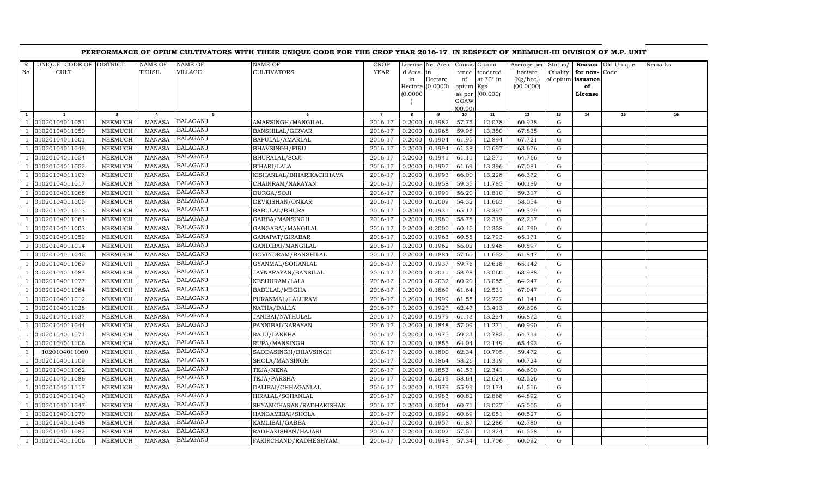|              |                                  |                            |                                |                                    | PERFORMANCE OF OPIUM CULTIVATORS WITH THEIR UNIQUE CODE FOR THE CROP YEAR 2016-17 IN RESPECT OF NEEMUCH-III DIVISION OF M.P. UNIT |                     |                             |                                                 |                                            |                                                          |                                                  |                                |                                                 |                    |         |
|--------------|----------------------------------|----------------------------|--------------------------------|------------------------------------|-----------------------------------------------------------------------------------------------------------------------------------|---------------------|-----------------------------|-------------------------------------------------|--------------------------------------------|----------------------------------------------------------|--------------------------------------------------|--------------------------------|-------------------------------------------------|--------------------|---------|
| R.<br>No.    | UNIQUE CODE OF DISTRICT<br>CULT. |                            | NAME OF<br>TEHSIL              | NAME OF<br>VILLAGE                 | NAME OF<br><b>CULTIVATORS</b>                                                                                                     | CROP<br><b>YEAR</b> | d Area in<br>in<br>(0.0000) | License Net Area<br>Hectare<br>Hectare (0.0000) | tence<br>of<br>opium Kgs<br>as per<br>GOAW | Consis Opium<br>tendered<br>at $70^\circ$ in<br>(00.000) | Average per<br>hectare<br>(Kg/hec.)<br>(00.0000) | Status/<br>Quality<br>of opium | Reason<br>for non-<br>issuance<br>of<br>License | Old Unique<br>Code | Remarks |
|              |                                  |                            |                                |                                    |                                                                                                                                   |                     |                             |                                                 | (00.00)                                    |                                                          |                                                  |                                |                                                 |                    |         |
| $\mathbf{1}$ | $\overline{2}$                   | $\overline{\mathbf{3}}$    | $\overline{a}$                 | 5                                  | 6                                                                                                                                 | $\overline{7}$      | 8                           | 9                                               | 10                                         | 11                                                       | $12\,$                                           | 13                             | 14                                              | 15                 | 16      |
|              | 01020104011051                   | NEEMUCH                    | <b>MANASA</b>                  | <b>BALAGANJ</b>                    | AMARSINGH/MANGILAL                                                                                                                | 2016-17             | 0.2000                      | 0.1982                                          | 57.75                                      | 12.078                                                   | 60.938                                           | G                              |                                                 |                    |         |
|              | 01020104011050                   | NEEMUCH                    | <b>MANASA</b>                  | <b>BALAGANJ</b>                    | <b>BANSHILAL/GIRVAR</b>                                                                                                           | 2016-17             | 0.2000                      | 0.1968                                          | 59.98                                      | 13.350                                                   | 67.835                                           | ${\rm G}$                      |                                                 |                    |         |
|              | 01020104011001                   | NEEMUCH                    | <b>MANASA</b>                  | <b>BALAGANJ</b>                    | BAPULAL/AMARLAL                                                                                                                   | 2016-17             | 0.2000                      | 0.1904                                          | 61.95                                      | 12.894                                                   | 67.721                                           | G                              |                                                 |                    |         |
|              | 01020104011049                   | NEEMUCH                    | <b>MANASA</b>                  | <b>BALAGANJ</b><br><b>BALAGANJ</b> | BHAVSINGH/PIRU                                                                                                                    | 2016-17             | 0.2000                      | 0.1994                                          | 61.38                                      | 12.697                                                   | 63.676                                           | G                              |                                                 |                    |         |
|              | 01020104011054                   | NEEMUCH                    | <b>MANASA</b>                  | <b>BALAGANJ</b>                    | BHURALAL/SOJI                                                                                                                     | 2016-17             | 0.2000                      | 0.1941                                          | 61.11                                      | 12.571                                                   | 64.766                                           | ${\rm G}$                      |                                                 |                    |         |
|              | 01020104011052                   | NEEMUCH                    | MANASA                         | <b>BALAGANJ</b>                    | BIHARI/LALA                                                                                                                       | 2016-17             | 0.2000                      | 0.1997                                          | 61.69                                      | 13.396                                                   | 67.081                                           | G                              |                                                 |                    |         |
|              | 01020104011103                   | ${\tt NEEMUCH}$            | <b>MANASA</b>                  | <b>BALAGANJ</b>                    | KISHANLAL/BIHARIKACHHAVA                                                                                                          | 2016-17             | 0.2000                      | 0.1993                                          | 66.00                                      | 13.228                                                   | 66.372                                           | G                              |                                                 |                    |         |
|              | 01020104011017                   | NEEMUCH                    | <b>MANASA</b>                  | <b>BALAGANJ</b>                    | CHAINRAM/NARAYAN                                                                                                                  | 2016-17             | 0.2000                      | 0.1958                                          | 59.35                                      | 11.785                                                   | 60.189                                           | G                              |                                                 |                    |         |
|              | 01020104011068                   | <b>NEEMUCH</b>             | <b>MANASA</b>                  | <b>BALAGANJ</b>                    | DURGA/SOJI                                                                                                                        | 2016-17             | 0.2000                      | 0.1991                                          | 56.20                                      | 11.810                                                   | 59.317                                           | $\mathbf G$                    |                                                 |                    |         |
|              | 01020104011005                   | NEEMUCH                    | <b>MANASA</b>                  | <b>BALAGANJ</b>                    | DEVKISHAN/ONKAR                                                                                                                   | 2016-17             | 0.2000                      | 0.2009                                          | $\overline{5}4.32$                         | 11.663                                                   | 58.054                                           | G                              |                                                 |                    |         |
|              | 01020104011013                   | NEEMUCH                    | <b>MANASA</b>                  | <b>BALAGANJ</b>                    | BABULAL/BHURA                                                                                                                     | 2016-17             | 0.2000                      | 0.1931                                          | 65.17                                      | 13.397                                                   | 69.379                                           | G                              |                                                 |                    |         |
|              | 01020104011061                   | NEEMUCH                    | <b>MANASA</b><br><b>MANASA</b> | <b>BALAGANJ</b>                    | GABBA/MANSINGH                                                                                                                    | 2016-17             | 0.2000                      | 0.1980                                          | 58.78                                      | 12.319                                                   | 62.217                                           | $\mathbf G$<br>G               |                                                 |                    |         |
|              | 01020104011003                   | NEEMUCH<br>${\tt NEEMUCH}$ | <b>MANASA</b>                  | <b>BALAGANJ</b>                    | GANGABAI/MANGILAL                                                                                                                 | 2016-17<br>2016-17  | 0.2000<br>0.2000            | 0.2000<br>0.1963                                | 60.45<br>60.55                             | 12.358<br>12.793                                         | 61.790<br>65.171                                 | $\mathbf G$                    |                                                 |                    |         |
|              | 01020104011059                   |                            |                                | <b>BALAGANJ</b>                    | GANAPAT/GIRABAR                                                                                                                   |                     |                             |                                                 |                                            |                                                          |                                                  | G                              |                                                 |                    |         |
|              | 01020104011014<br>01020104011045 | NEEMUCH<br>NEEMUCH         | <b>MANASA</b><br><b>MANASA</b> | <b>BALAGANJ</b>                    | GANDIBAI/MANGILAL                                                                                                                 | 2016-17<br>2016-17  | 0.2000<br>0.2000            | 0.1962<br>0.1884                                | 56.02<br>57.60                             | 11.948<br>11.652                                         | 60.897<br>61.847                                 | G                              |                                                 |                    |         |
|              | 01020104011069                   | NEEMUCH                    | <b>MANASA</b>                  | <b>BALAGANJ</b>                    | GOVINDRAM/BANSHILAL<br>GYANMAL/SOHANLAL                                                                                           | 2016-17             | 0.2000                      | 0.1937                                          | 59.76                                      | 12.618                                                   | 65.142                                           | G                              |                                                 |                    |         |
|              | 01020104011087                   | <b>NEEMUCH</b>             | <b>MANASA</b>                  | <b>BALAGANJ</b>                    | JAYNARAYAN/BANSILAL                                                                                                               | 2016-17             | 0.2000                      | 0.2041                                          | 58.98                                      | 13.060                                                   | 63.988                                           | G                              |                                                 |                    |         |
|              | 01020104011077                   | NEEMUCH                    | <b>MANASA</b>                  | <b>BALAGANJ</b>                    | KESHURAM/LALA                                                                                                                     | 2016-17             | 0.2000                      | 0.2032                                          | 60.20                                      | 13.055                                                   | 64.247                                           | G                              |                                                 |                    |         |
|              | 01020104011084                   | NEEMUCH                    | <b>MANASA</b>                  | <b>BALAGANJ</b>                    | BABULAL/MEGHA                                                                                                                     | 2016-17             | 0.2000                      | 0.1869                                          | 61.64                                      | 12.531                                                   | 67.047                                           | ${\rm G}$                      |                                                 |                    |         |
|              | 01020104011012                   | NEEMUCH                    | <b>MANASA</b>                  | <b>BALAGANJ</b>                    | PURANMAL/LALURAM                                                                                                                  | 2016-17             | 0.2000                      | 0.1999                                          | 61.55                                      | 12.222                                                   | 61.141                                           | G                              |                                                 |                    |         |
|              | 01020104011028                   | NEEMUCH                    | MANASA                         | <b>BALAGANJ</b>                    | NATHA/DALLA                                                                                                                       | 2016-17             | 0.2000                      | 0.1927                                          | 62.47                                      | 13.413                                                   | 69.606                                           | G                              |                                                 |                    |         |
|              | 01020104011037                   | ${\tt NEEMUCH}$            | <b>MANASA</b>                  | <b>BALAGANJ</b>                    | JANIBAI/NATHULAL                                                                                                                  | 2016-17             | 0.2000                      | 0.1979                                          | 61.43                                      | 13.234                                                   | 66.872                                           | ${\rm G}$                      |                                                 |                    |         |
|              | 01020104011044                   | NEEMUCH                    | <b>MANASA</b>                  | BALAGANJ                           | PANNIBAI/NARAYAN                                                                                                                  | 2016-17             | 0.2000                      | 0.1848                                          | 57.09                                      | 11.271                                                   | 60.990                                           | G                              |                                                 |                    |         |
|              | 01020104011071                   | NEEMUCH                    | <b>MANASA</b>                  | <b>BALAGANJ</b>                    | RAJU/LAKKHA                                                                                                                       | 2016-17             | 0.2000                      | 0.1975                                          | 59.23                                      | 12.785                                                   | 64.734                                           | G                              |                                                 |                    |         |
|              | 01020104011106                   | NEEMUCH                    | <b>MANASA</b>                  | <b>BALAGANJ</b>                    | RUPA/MANSINGH                                                                                                                     | 2016-17             | 0.2000                      | 0.1855                                          | 64.04                                      | 12.149                                                   | 65.493                                           | $\mathbf G$                    |                                                 |                    |         |
|              | 1020104011060                    | <b>NEEMUCH</b>             | <b>MANASA</b>                  | <b>BALAGANJ</b>                    | SADDASINGH/BHAVSINGH                                                                                                              | 2016-17             | 0.2000                      | 0.1800                                          | 62.34                                      | 10.705                                                   | 59.472                                           | ${\rm G}$                      |                                                 |                    |         |
|              | 01020104011109                   | NEEMUCH                    | <b>MANASA</b>                  | <b>BALAGANJ</b>                    | SHOLA/MANSINGH                                                                                                                    | 2016-17             | 0.2000                      | 0.1864                                          | 58.26                                      | 11.319                                                   | 60.724                                           | G                              |                                                 |                    |         |
|              | 01020104011062                   | NEEMUCH                    | <b>MANASA</b>                  | <b>BALAGANJ</b>                    | TEJA/NENA                                                                                                                         | 2016-17             | 0.2000                      | 0.1853                                          | 61.53                                      | 12.341                                                   | 66.600                                           | G                              |                                                 |                    |         |
|              | 01020104011086                   | NEEMUCH                    | <b>MANASA</b>                  | <b>BALAGANJ</b>                    | TEJA/PARSHA                                                                                                                       | 2016-17             | 0.2000                      | 0.2019                                          | 58.64                                      | 12.624                                                   | 62.526                                           | G                              |                                                 |                    |         |
|              | 01020104011117                   | NEEMUCH                    | <b>MANASA</b>                  | <b>BALAGANJ</b>                    | DALIBAI/CHHAGANLAL                                                                                                                | 2016-17             | 0.2000                      | 0.1979                                          | 55.99                                      | 12.174                                                   | 61.516                                           | G                              |                                                 |                    |         |
|              | 01020104011040                   | NEEMUCH                    | <b>MANASA</b>                  | <b>BALAGANJ</b>                    | HIRALAL/SOHANLAL                                                                                                                  | 2016-17             | 0.2000                      | 0.1983                                          | 60.82                                      | 12.868                                                   | 64.892                                           | ${\rm G}$                      |                                                 |                    |         |
|              | 01020104011047                   | NEEMUCH                    | <b>MANASA</b>                  | BALAGANJ                           | SHYAMCHARAN/RADHAKISHAN                                                                                                           | 2016-17             | 0.2000                      | 0.2004                                          | 60.71                                      | 13.027                                                   | 65.005                                           | G                              |                                                 |                    |         |
|              | 01020104011070                   | NEEMUCH                    | <b>MANASA</b>                  | <b>BALAGANJ</b>                    | HANGAMIBAI/SHOLA                                                                                                                  | 2016-17             | 0.2000                      | 0.1991                                          | 60.69                                      | 12.051                                                   | 60.527                                           | G                              |                                                 |                    |         |
|              | 01020104011048                   | NEEMUCH                    | <b>MANASA</b>                  | <b>BALAGANJ</b>                    | KAMLIBAI/GABBA                                                                                                                    | 2016-17             | 0.2000                      | 0.1957                                          | 61.87                                      | 12.286                                                   | 62.780                                           | ${\rm G}$                      |                                                 |                    |         |
|              | 01020104011082                   | NEEMUCH                    | MANASA                         | <b>BALAGANJ</b>                    | RADHAKISHAN/HAJARI                                                                                                                | 2016-17             | 0.2000                      | 0.2002                                          | 57.51                                      | 12.324                                                   | 61.558                                           | G                              |                                                 |                    |         |
|              | 01020104011006                   | <b>NEEMUCH</b>             | MANASA                         | <b>BALAGANJ</b>                    | FAKIRCHAND/RADHESHYAM                                                                                                             | 2016-17             | 0.2000                      | 0.1948                                          | 57.34                                      | 11.706                                                   | 60.092                                           | G                              |                                                 |                    |         |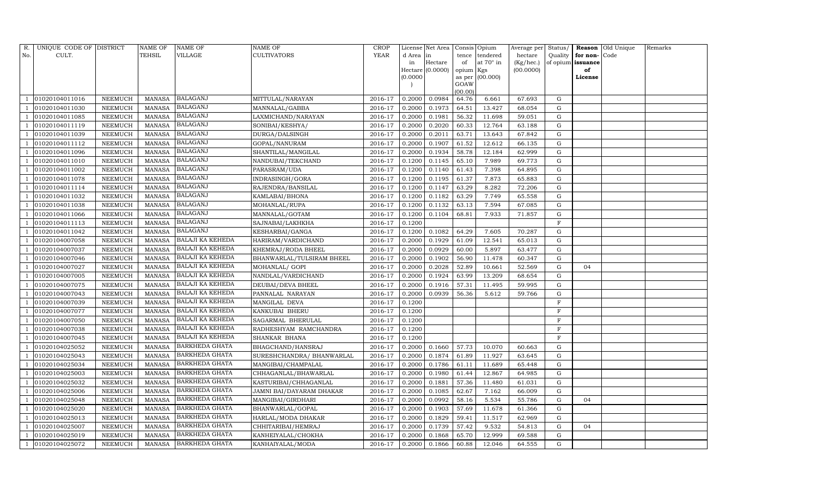| R.  | UNIQUE CODE OF DISTRICT |                 | <b>NAME OF</b> | NAME OF                 | NAME OF                   | CROP        |           | License Net Area |           | Consis Opium     | Average per Status/ |              |                   | Reason Old Unique | Remarks |
|-----|-------------------------|-----------------|----------------|-------------------------|---------------------------|-------------|-----------|------------------|-----------|------------------|---------------------|--------------|-------------------|-------------------|---------|
| No. | CULT.                   |                 | TEHSIL         | VILLAGE                 | CULTIVATORS               | <b>YEAR</b> | d Area in |                  | tence     | tendered         | hectare             | Quality      | for non-          | Code              |         |
|     |                         |                 |                |                         |                           |             | in        | Hectare          | of        | at $70^\circ$ in | (Kg/hec.)           |              | of opium issuance |                   |         |
|     |                         |                 |                |                         |                           |             |           | Hectare (0.0000) | opium Kgs |                  | (00.0000)           |              | of                |                   |         |
|     |                         |                 |                |                         |                           |             | (0.0000)  |                  | GOAW      | as per (00.000)  |                     |              | License           |                   |         |
|     |                         |                 |                |                         |                           |             |           |                  | (00.00)   |                  |                     |              |                   |                   |         |
|     | 01020104011016          | NEEMUCH         | <b>MANASA</b>  | BALAGANJ                | MITTULAL/NARAYAN          | 2016-17     | 0.2000    | 0.0984           | 64.76     | 6.661            | 67.693              | G            |                   |                   |         |
|     | 01020104011030          | NEEMUCH         | <b>MANASA</b>  | <b>BALAGANJ</b>         | MANNALAL/GABBA            | 2016-17     | 0.2000    | 0.1973           | 64.51     | 13.427           | 68.054              | G            |                   |                   |         |
|     | 01020104011085          | ${\tt NEEMUCH}$ | <b>MANASA</b>  | <b>BALAGANJ</b>         | LAXMICHAND/NARAYAN        | 2016-17     | 0.2000    | 0.1981           | 56.32     | 11.698           | 59.051              | G            |                   |                   |         |
|     | 01020104011119          | ${\tt NEEMUCH}$ | <b>MANASA</b>  | <b>BALAGANJ</b>         | SONIBAI/KESHYA/           | 2016-17     | 0.2000    | 0.2020           | 60.33     | 12.764           | 63.188              | ${\rm G}$    |                   |                   |         |
|     | 01020104011039          | NEEMUCH         | <b>MANASA</b>  | <b>BALAGANJ</b>         | DURGA/DALSINGH            | 2016-17     | 0.2000    | 0.2011           | 63.71     | 13.643           | 67.842              | G            |                   |                   |         |
|     | 01020104011112          | NEEMUCH         | <b>MANASA</b>  | <b>BALAGANJ</b>         | GOPAL/NANURAM             | 2016-17     | 0.2000    | 0.1907           | 61.52     | 12.612           | 66.135              | ${\rm G}$    |                   |                   |         |
|     | 01020104011096          | NEEMUCH         | <b>MANASA</b>  | <b>BALAGANJ</b>         | SHANTILAL/MANGILAL        | 2016-17     | 0.2000    | 0.1934           | 58.78     | 12.184           | 62.999              | G            |                   |                   |         |
|     | 01020104011010          | NEEMUCH         | <b>MANASA</b>  | <b>BALAGANJ</b>         | NANDUBAI/TEKCHAND         | 2016-17     | 0.1200    | 0.1145           | 65.10     | 7.989            | 69.773              | G            |                   |                   |         |
|     | 01020104011002          | NEEMUCH         | <b>MANASA</b>  | <b>BALAGANJ</b>         | PARASRAM/UDA              | 2016-17     | 0.1200    | 0.1140           | 61.43     | 7.398            | 64.895              | G            |                   |                   |         |
|     | 01020104011078          | NEEMUCH         | <b>MANASA</b>  | <b>BALAGANJ</b>         | INDRASINGH/GORA           | 2016-17     | 0.1200    | 0.1195           | 61.37     | 7.873            | 65.883              | G            |                   |                   |         |
|     | 01020104011114          | NEEMUCH         | <b>MANASA</b>  | <b>BALAGANJ</b>         | RAJENDRA/BANSILAL         | 2016-17     | 0.1200    | 0.1147           | 63.29     | 8.282            | 72.206              | G            |                   |                   |         |
|     | 01020104011032          | NEEMUCH         | <b>MANASA</b>  | <b>BALAGANJ</b>         | KAMLABAI/BHONA            | 2016-17     | 0.1200    | 0.1182           | 63.29     | 7.749            | 65.558              | G            |                   |                   |         |
|     | 01020104011038          | NEEMUCH         | <b>MANASA</b>  | <b>BALAGANJ</b>         | MOHANLAL/RUPA             | 2016-17     | 0.1200    | 0.1132           | 63.13     | 7.594            | 67.085              | ${\rm G}$    |                   |                   |         |
|     | 01020104011066          | NEEMUCH         | <b>MANASA</b>  | <b>BALAGANJ</b>         | MANNALAL/GOTAM            | 2016-17     | 0.1200    | 0.1104           | 68.81     | 7.933            | 71.857              | ${\rm G}$    |                   |                   |         |
|     | 01020104011113          | NEEMUCH         | <b>MANASA</b>  | <b>BALAGANJ</b>         | SAJNABAI/LAKHKHA          | 2016-17     | 0.1200    |                  |           |                  |                     | $\mathbf F$  |                   |                   |         |
|     | 01020104011042          | NEEMUCH         | <b>MANASA</b>  | <b>BALAGANJ</b>         | KESHARBAI/GANGA           | 2016-17     | 0.1200    | 0.1082           | 64.29     | 7.605            | 70.287              | G            |                   |                   |         |
|     | 01020104007058          | <b>NEEMUCH</b>  | <b>MANASA</b>  | <b>BALAJI KA KEHEDA</b> | HARIRAM/VARDICHAND        | 2016-17     | 0.2000    | 0.1929           | 61.09     | 12.541           | 65.013              | ${\rm G}$    |                   |                   |         |
|     | 01020104007037          | NEEMUCH         | <b>MANASA</b>  | BALAJI KA KEHEDA        | KHEMRAJ/RODA BHEEL        | 2016-17     | 0.2000    | 0.0929           | 60.00     | 5.897            | 63.477              | G            |                   |                   |         |
|     | 01020104007046          | NEEMUCH         | <b>MANASA</b>  | <b>BALAJI KA KEHEDA</b> | BHANWARLAL/TULSIRAM BHEEL | 2016-17     | 0.2000    | 0.1902           | 56.90     | 11.478           | 60.347              | G            |                   |                   |         |
|     | 01020104007027          | <b>NEEMUCH</b>  | <b>MANASA</b>  | BALAJI KA KEHEDA        | MOHANLAL/ GOPI            | 2016-17     | 0.2000    | 0.2028           | 52.89     | 10.661           | 52.569              | ${\rm G}$    | 04                |                   |         |
|     | 01020104007005          | NEEMUCH         | MANASA         | <b>BALAJI KA KEHEDA</b> | NANDLAL/VARDICHAND        | 2016-17     | 0.2000    | 0.1924           | 63.99     | 13.209           | 68.654              | ${\rm G}$    |                   |                   |         |
|     | 01020104007075          | NEEMUCH         | <b>MANASA</b>  | BALAJI KA KEHEDA        | DEUBAI/DEVA BHEEL         | 2016-17     | 0.2000    | 0.1916           | 57.31     | 11.495           | 59.995              | G            |                   |                   |         |
|     | 01020104007043          | NEEMUCH         | <b>MANASA</b>  | <b>BALAJI KA KEHEDA</b> | PANNALAL NARAYAN          | 2016-17     | 0.2000    | 0.0939           | 56.36     | 5.612            | 59.766              | G            |                   |                   |         |
|     | 01020104007039          | NEEMUCH         | <b>MANASA</b>  | <b>BALAJI KA KEHEDA</b> | MANGILAL DEVA             | 2016-17     | 0.1200    |                  |           |                  |                     | $\rm F$      |                   |                   |         |
|     | 01020104007077          | NEEMUCH         | <b>MANASA</b>  | BALAJI KA KEHEDA        | KANKUBAI BHERU            | 2016-17     | 0.1200    |                  |           |                  |                     | $\mathbf F$  |                   |                   |         |
|     | 01020104007050          | NEEMUCH         | <b>MANASA</b>  | <b>BALAJI KA KEHEDA</b> | SAGARMAL BHERULAL         | 2016-17     | 0.1200    |                  |           |                  |                     | $\rm F$      |                   |                   |         |
|     | 01020104007038          | NEEMUCH         | <b>MANASA</b>  | <b>BALAJI KA KEHEDA</b> | RADHESHYAM RAMCHANDRA     | 2016-17     | 0.1200    |                  |           |                  |                     | F            |                   |                   |         |
|     | 01020104007045          | <b>NEEMUCH</b>  | <b>MANASA</b>  | BALAJI KA KEHEDA        | SHANKAR BHANA             | 2016-17     | 0.1200    |                  |           |                  |                     | $\mathbf{F}$ |                   |                   |         |
|     | 01020104025052          | NEEMUCH         | MANASA         | BARKHEDA GHATA          | BHAGCHAND/HANSRAJ         | 2016-17     | 0.2000    | 0.1660           | 57.73     | 10.070           | 60.663              | G            |                   |                   |         |
|     | 01020104025043          | NEEMUCH         | <b>MANASA</b>  | <b>BARKHEDA GHATA</b>   | SURESHCHANDRA/ BHANWARLAL | 2016-17     | 0.2000    | 0.1874           | 61.89     | 11.927           | 63.645              | G            |                   |                   |         |
|     | 01020104025034          | NEEMUCH         | <b>MANASA</b>  | <b>BARKHEDA GHATA</b>   | MANGIBAI/CHAMPALAL        | 2016-17     | 0.2000    | 0.1786           | 61.11     | 11.689           | 65.448              | G            |                   |                   |         |
|     | 01020104025003          | <b>NEEMUCH</b>  | <b>MANASA</b>  | <b>BARKHEDA GHATA</b>   | CHHAGANLAL/BHAWARLAL      | 2016-17     | 0.2000    | 0.1980           | 61.44     | 12.867           | 64.985              | G            |                   |                   |         |
|     | 01020104025032          | NEEMUCH         | <b>MANASA</b>  | BARKHEDA GHATA          | KASTURIBAI/CHHAGANLAL     | 2016-17     | 0.2000    | 0.1881           | 57.36     | 11.480           | 61.031              | G            |                   |                   |         |
|     | 01020104025006          | NEEMUCH         | <b>MANASA</b>  | <b>BARKHEDA GHATA</b>   | JAMNI BAI/DAYARAM DHAKAR  | 2016-17     | 0.2000    | 0.1085           | 62.67     | 7.162            | 66.009              | G            |                   |                   |         |
|     | 01020104025048          | NEEMUCH         | <b>MANASA</b>  | <b>BARKHEDA GHATA</b>   | MANGIBAI/GIRDHARI         | 2016-17     | 0.2000    | 0.0992           | 58.16     | 5.534            | 55.786              | G            | 04                |                   |         |
|     | 01020104025020          | NEEMUCH         | <b>MANASA</b>  | BARKHEDA GHATA          | BHANWARLAL/GOPAL          | 2016-17     | 0.2000    | 0.1903           | 57.69     | 11.678           | 61.366              | ${\rm G}$    |                   |                   |         |
|     | 01020104025013          | NEEMUCH         | <b>MANASA</b>  | <b>BARKHEDA GHATA</b>   | HARLAL/MODA DHAKAR        | 2016-17     | 0.2000    | 0.1829           | 59.41     | 11.517           | 62.969              | G            |                   |                   |         |
|     | 01020104025007          | NEEMUCH         | <b>MANASA</b>  | <b>BARKHEDA GHATA</b>   | CHHITARIBAI/HEMRAJ        | 2016-17     | 0.2000    | 0.1739           | 57.42     | 9.532            | 54.813              | ${\rm G}$    | 04                |                   |         |
|     | 01020104025019          | NEEMUCH         | <b>MANASA</b>  | BARKHEDA GHATA          | KANHEIYALAL/CHOKHA        | 2016-17     | 0.2000    | 0.1868           | 65.70     | 12.999           | 69.588              | G            |                   |                   |         |
|     | 01020104025072          | NEEMUCH         | MANASA         | <b>BARKHEDA GHATA</b>   | KANHAIYALAL/MODA          | 2016-17     | 0.2000    | 0.1866           | 60.88     | 12.046           | 64.555              | G            |                   |                   |         |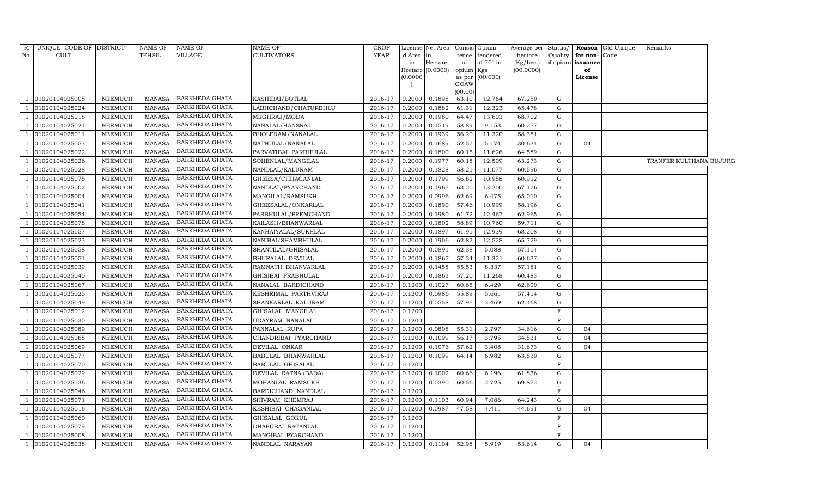| R.             | UNIQUE CODE OF DISTRICT |                | <b>NAME OF</b> | <b>NAME OF</b>        | <b>NAME OF</b>            | <b>CROP</b> |           | License Net Area        |           | Consis Opium    | Average per Status/ |             |                          | Reason Old Unique | Remarks                 |  |
|----------------|-------------------------|----------------|----------------|-----------------------|---------------------------|-------------|-----------|-------------------------|-----------|-----------------|---------------------|-------------|--------------------------|-------------------|-------------------------|--|
| No.            | CULT.                   |                | <b>TEHSIL</b>  | VILLAGE               | <b>CULTIVATORS</b>        | YEAR        | d Area in |                         |           | tence tendered  | hectare             |             | Quality for non-Code     |                   |                         |  |
|                |                         |                |                |                       |                           |             | in        | Hectare                 | of        | at 70° in       | (Kg/hec.)           |             | of opium <b>issuance</b> |                   |                         |  |
|                |                         |                |                |                       |                           |             | (0.0000)  | Hectare (0.0000)        | opium Kgs |                 | (00.0000)           |             | of<br>License            |                   |                         |  |
|                |                         |                |                |                       |                           |             |           |                         | GOAW      | as per (00.000) |                     |             |                          |                   |                         |  |
|                |                         |                |                |                       |                           |             |           |                         | (00.00)   |                 |                     |             |                          |                   |                         |  |
| $\overline{1}$ | 01020104025005          | NEEMUCH        | MANASA         | <b>BARKHEDA GHATA</b> | KASHIBAI/BOTLAL           | 2016-17     | 0.2000    | 0.1898                  | 63.10     | 12.764          | 67.250              | G           |                          |                   |                         |  |
|                | 01020104025024          | <b>NEEMUCH</b> | <b>MANASA</b>  | BARKHEDA GHATA        | LABHCHAND/CHATURBHUJ      | 2016-17     | 0.2000    | 0.1882                  | 61.31     | 12.323          | 65.478              | G           |                          |                   |                         |  |
|                | 01020104025018          | NEEMUCH        | <b>MANASA</b>  | BARKHEDA GHATA        | MEGHRAJ/MODA              | 2016-17     | 0.2000    | 0.1980                  | 64.47     | 13.603          | 68.702              | G           |                          |                   |                         |  |
| $\mathbf{1}$   | 01020104025021          | NEEMUCH        | <b>MANASA</b>  | BARKHEDA GHATA        | NANALAL/HANSRAJ           | 2016-17     | 0.2000    | 0.1519                  | 58.89     | 9.153           | 60.257              | G           |                          |                   |                         |  |
|                | 01020104025011          | <b>NEEMUCH</b> | <b>MANASA</b>  | BARKHEDA GHATA        | BHOLERAM/NANALAL          | 2016-17     | 0.2000    | 0.1939                  | 56.20     | 11.320          | 58.381              | G           |                          |                   |                         |  |
|                | 01020104025053          | <b>NEEMUCH</b> | <b>MANASA</b>  | BARKHEDA GHATA        | NATHULAL/NANALAL          | 2016-17     | 0.2000    | 0.1689                  | 52.57     | 5.174           | 30.634              | ${\rm G}$   | 04                       |                   |                         |  |
|                | 01020104025022          | NEEMUCH        | <b>MANASA</b>  | BARKHEDA GHATA        | PARVATIBAI PARBHULAL      | 2016-17     | 0.2000    | 0.1800                  | 60.15     | 11.626          | 64.589              | G           |                          |                   |                         |  |
| <sup>1</sup>   | 01020104025026          | NEEMUCH        | <b>MANASA</b>  | BARKHEDA GHATA        | SOHENLAL/MANGILAL         | 2016-17     | 0.2000    | 0.1977                  | 60.18     | 12.509          | 63.273              | G           |                          |                   | TRANFER KULTHANA BUJURG |  |
|                | 01020104025028          | NEEMUCH        | <b>MANASA</b>  | BARKHEDA GHATA        | NANDLAL/KALURAM           | 2016-17     | 0.2000    | 0.1828                  | 58.21     | 11.077          | 60.596              | G           |                          |                   |                         |  |
|                | 01020104025075          | <b>NEEMUCH</b> | <b>MANASA</b>  | <b>BARKHEDA GHATA</b> | GHEESA/CHHAGANLAL         | 2016-17     | 0.2000    | 0.1799                  | 56.82     | 10.958          | 60.912              | G           |                          |                   |                         |  |
| 1              | 01020104025002          | <b>NEEMUCH</b> | <b>MANASA</b>  | BARKHEDA GHATA        | NANDLAL/PYARCHAND         | 2016-17     | 0.2000    | 0.1965                  | 63.20     | 13.200          | 67.176              | G           |                          |                   |                         |  |
|                | 01020104025004          | NEEMUCH        | <b>MANASA</b>  | <b>BARKHEDA GHATA</b> | MANGILAL/RAMSUKH          | 2016-17     | 0.2000    | 0.0996                  | 62.69     | 6.475           | 65.010              | G           |                          |                   |                         |  |
|                | 01020104025041          | <b>NEEMUCH</b> | <b>MANASA</b>  | BARKHEDA GHATA        | GHEESALAL/ONKARLAL        | 2016-17     | 0.2000    | 0.1890                  | 57.46     | 10.999          | 58.196              | $\mathbf G$ |                          |                   |                         |  |
| $\mathbf{1}$   | 01020104025054          | NEEMUCH        | <b>MANASA</b>  | <b>BARKHEDA GHATA</b> | PARBHULAL/PREMCHAND       | 2016-17     | 0.2000    | 0.1980                  | 61.72     | 12.467          | 62.965              | G           |                          |                   |                         |  |
| $\mathbf{1}$   | 01020104025078          | NEEMUCH        | <b>MANASA</b>  | BARKHEDA GHATA        | KAILASH/BHANWARLAL        | 2016-17     | 0.2000    | 0.1802                  | 58.89     | 10.760          | 59.711              | G           |                          |                   |                         |  |
| $\overline{1}$ | 01020104025057          | NEEMUCH        | <b>MANASA</b>  | BARKHEDA GHATA        | KANHAIYALAL/SUKHLAL       | 2016-17     | 0.2000    | 0.1897                  | 61.91     | 12.939          | 68.208              | G           |                          |                   |                         |  |
|                | 01020104025023          | <b>NEEMUCH</b> | <b>MANASA</b>  | BARKHEDA GHATA        | NANIBAI/SHAMBHULAL        | 2016-17     | 0.2000    | 0.1906                  | 62.82     | 12.528          | 65.729              | G           |                          |                   |                         |  |
| $\mathbf{1}$   | 01020104025058          | NEEMUCH        | <b>MANASA</b>  | <b>BARKHEDA GHATA</b> | SHANTILAL/GHISALAL        | 2016-17     | 0.2000    | 0.0891                  | 62.38     | 5.088           | 57.104              | G           |                          |                   |                         |  |
| $\mathbf{1}$   | 01020104025051          | <b>NEEMUCH</b> | <b>MANASA</b>  | BARKHEDA GHATA        | BHURALAL DEVILAL          | 2016-17     | 0.2000    | 0.1867                  | 57.34     | 11.321          | 60.637              | G           |                          |                   |                         |  |
|                | 01020104025039          | NEEMUCH        | <b>MANASA</b>  | <b>BARKHEDA GHATA</b> | RAMNATH BHANVARLAL        | 2016-17     | 0.2000    | 0.1458                  | 55.53     | 8.337           | 57.181              | G           |                          |                   |                         |  |
|                | 01020104025040          | <b>NEEMUCH</b> | <b>MANASA</b>  | <b>BARKHEDA GHATA</b> | GHISIBAI PRABHULAL        | 2016-17     | 0.2000    | 0.1863                  | 57.20     | 11.268          | 60.483              | G           |                          |                   |                         |  |
| $\mathbf{1}$   | 01020104025067          | <b>NEEMUCH</b> | <b>MANASA</b>  | BARKHEDA GHATA        | NANALAL BARDICHAND        | 2016-17     | 0.1200    | 0.1027                  | 60.65     | 6.429           | 62.600              | G           |                          |                   |                         |  |
| $\overline{1}$ | 01020104025025          | <b>NEEMUCH</b> | <b>MANASA</b>  | BARKHEDA GHATA        | KESHRIMAL PARTHVIRAJ      | 2016-17     | 0.1200    | 0.0986                  | 55.89     | 5.661           | 57.414              | G           |                          |                   |                         |  |
| $\overline{1}$ | 01020104025049          | <b>NEEMUCH</b> | <b>MANASA</b>  | BARKHEDA GHATA        | SHANKARLAL KALURAM        | 2016-17     | 0.1200    | 0.0558                  | 57.95     | 3.469           | 62.168              | G           |                          |                   |                         |  |
|                | 01020104025012          | <b>NEEMUCH</b> | <b>MANASA</b>  | BARKHEDA GHATA        | GHISALAL MANGILAL         | 2016-17     | 0.1200    |                         |           |                 |                     | $\mathbf F$ |                          |                   |                         |  |
|                | 01020104025030          | <b>NEEMUCH</b> | <b>MANASA</b>  | BARKHEDA GHATA        | UDAYRAM NANALAL           | 2016-17     | 0.1200    |                         |           |                 |                     | $_{\rm F}$  |                          |                   |                         |  |
| 1              | 01020104025089          | <b>NEEMUCH</b> | <b>MANASA</b>  | BARKHEDA GHATA        | PANNALAL RUPA             | 2016-17     | 0.1200    | 0.0808                  | 55.31     | 2.797           | 34.616              | G           | 04                       |                   |                         |  |
|                | 01020104025065          | <b>NEEMUCH</b> | <b>MANASA</b>  | BARKHEDA GHATA        | CHANDRIBAI PYARCHAND      | 2016-17     | 0.1200    | 0.1099                  | 56.17     | 3.795           | 34.531              | G           | 04                       |                   |                         |  |
|                | 01020104025069          | <b>NEEMUCH</b> | MANASA         | <b>BARKHEDA GHATA</b> | DEVILAL ONKAR             | 2016-17     | 0.1200    | 0.1076                  | 57.62     | 3.408           | 31.673              | G           | 04                       |                   |                         |  |
| $\mathbf{1}$   | 01020104025077          | NEEMUCH        | <b>MANASA</b>  | BARKHEDA GHATA        | <b>BABULAL BHANWARLAL</b> | 2016-17     | 0.1200    | 0.1099                  | 64.14     | 6.982           | 63.530              | G           |                          |                   |                         |  |
| 1              | 01020104025070          | NEEMUCH        | <b>MANASA</b>  | BARKHEDA GHATA        | <b>BABULAL GHISALAL</b>   | 2016-17     | 0.1200    |                         |           |                 |                     | F           |                          |                   |                         |  |
|                | 01020104025029          | <b>NEEMUCH</b> | <b>MANASA</b>  | BARKHEDA GHATA        | DEVILAL RATNA (BADA)      | 2016-17     | 0.1200    | 0.1002                  | 60.66     | 6.196           | 61.836              | G           |                          |                   |                         |  |
|                | 01020104025036          | <b>NEEMUCH</b> | <b>MANASA</b>  | BARKHEDA GHATA        | MOHANLAL RAMSUKH          | 2016-17     | 0.1200    | 0.0390                  | 60.56     | 2.725           | 69.872              | G           |                          |                   |                         |  |
| $\mathbf{1}$   | 01020104025046          | NEEMUCH        | <b>MANASA</b>  | BARKHEDA GHATA        | BARDICHAND NANDLAL        | 2016-17     | 0.1200    |                         |           |                 |                     | $\mathbf F$ |                          |                   |                         |  |
| $\mathbf{1}$   | 01020104025071          | NEEMUCH        | <b>MANASA</b>  | <b>BARKHEDA GHATA</b> | SHIVRAM KHEMRAJ           | 2016-17     | 0.1200    | 0.1103                  | 60.94     | 7.086           | 64.243              | G           |                          |                   |                         |  |
|                | 01020104025016          | <b>NEEMUCH</b> | <b>MANASA</b>  | BARKHEDA GHATA        | KESHIBAI CHAGANLAL        | 2016-17     | 0.1200    | 0.0987                  | 47.58     | 4.411           | 44.691              | ${\rm G}$   | 04                       |                   |                         |  |
| $\mathbf{1}$   | 01020104025060          | NEEMUCH        | <b>MANASA</b>  | <b>BARKHEDA GHATA</b> | GHISALAL GOKUL            | 2016-17     | 0.1200    |                         |           |                 |                     | $_{\rm F}$  |                          |                   |                         |  |
| $\mathbf{1}$   | 01020104025079          | NEEMUCH        | <b>MANASA</b>  | BARKHEDA GHATA        | DHAPUBAI RATANLAL         | 2016-17     | 0.1200    |                         |           |                 |                     | $_{\rm F}$  |                          |                   |                         |  |
| $\mathbf{1}$   | 01020104025008          | NEEMUCH        | MANASA         | BARKHEDA GHATA        | MANGIBAI PYARCHAND        | 2016-17     | 0.1200    |                         |           |                 |                     | $_{\rm F}$  |                          |                   |                         |  |
| $\mathbf{1}$   | 01020104025038          | NEEMUCH        | <b>MANASA</b>  | <b>BARKHEDA GHATA</b> | NANDLAL NARAYAN           | 2016-17     |           | $0.1200$ $0.1104$ 52.98 |           | 5.919           | 53.614              | G           | 04                       |                   |                         |  |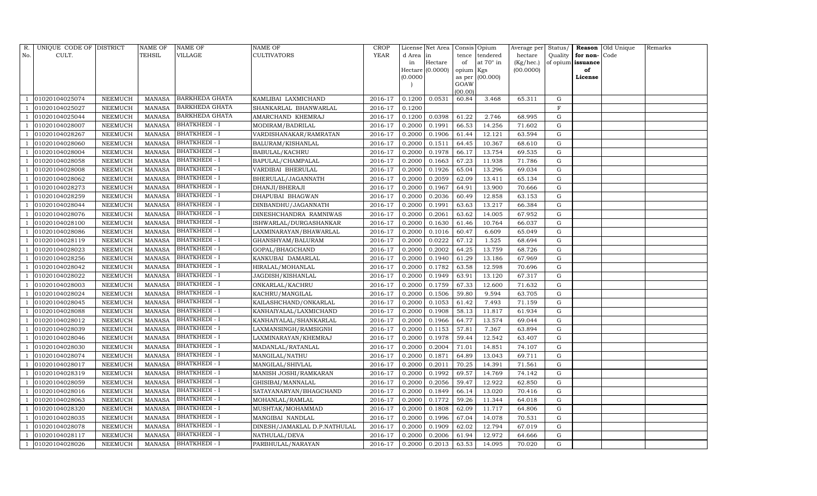| R.  | UNIQUE CODE OF DISTRICT |                 | <b>NAME OF</b> | NAME OF               | <b>NAME OF</b>               | <b>CROP</b> |           | License Net Area |                 | Consis Opium      | Average per | Status/     |                   | <b>Reason</b> Old Unique | Remarks |
|-----|-------------------------|-----------------|----------------|-----------------------|------------------------------|-------------|-----------|------------------|-----------------|-------------------|-------------|-------------|-------------------|--------------------------|---------|
| No. | CULT.                   |                 | TEHSIL         | VILLAGE               | <b>CULTIVATORS</b>           | YEAR        | d Area in |                  | tence           | tendered          | hectare     | Quality     | for non-          | Code                     |         |
|     |                         |                 |                |                       |                              |             | in        | Hectare          | of              | at $70^\circ$ in  | (Kg/hec.)   |             | of opium issuance |                          |         |
|     |                         |                 |                |                       |                              |             |           | Hectare (0.0000) | opium Kgs       |                   | (00.0000)   |             | of                |                          |         |
|     |                         |                 |                |                       |                              |             | (0.0000)  |                  |                 | as per $(00.000)$ |             |             | License           |                          |         |
|     |                         |                 |                |                       |                              |             |           |                  | GOAW<br>(00.00) |                   |             |             |                   |                          |         |
|     | 01020104025074          | NEEMUCH         | MANASA         | BARKHEDA GHATA        | KAMLIBAI LAXMICHAND          | 2016-17     | 0.1200    | 0.0531           | 60.84           | 3.468             | 65.311      | G           |                   |                          |         |
|     | 01020104025027          | NEEMUCH         | <b>MANASA</b>  | <b>BARKHEDA GHATA</b> | SHANKARLAL BHANWARLAL        | 2016-17     | 0.1200    |                  |                 |                   |             | F           |                   |                          |         |
|     | 01020104025044          | NEEMUCH         | <b>MANASA</b>  | BARKHEDA GHATA        | AMARCHAND KHEMRAJ            | 2016-17     | 0.1200    | 0.0398           | 61.22           | 2.746             | 68.995      | G           |                   |                          |         |
|     | 01020104028007          | NEEMUCH         | MANASA         | <b>BHATKHEDI - I</b>  | MODIRAM/BADRILAL             | 2016-17     | 0.2000    | 0.1991           | 66.53           | 14.256            | 71.602      | G           |                   |                          |         |
|     | 01020104028267          | NEEMUCH         | <b>MANASA</b>  | <b>BHATKHEDI - I</b>  | VARDISHANAKAR/RAMRATAN       | 2016-17     | 0.2000    | 0.1906           | 61.44           | 12.121            | 63.594      | G           |                   |                          |         |
|     | 01020104028060          | NEEMUCH         | <b>MANASA</b>  | <b>BHATKHEDI - I</b>  | BALURAM/KISHANLAL            | 2016-17     | 0.2000    | 0.1511           | 64.45           | 10.367            | 68.610      | G           |                   |                          |         |
|     | 01020104028004          | NEEMUCH         | MANASA         | <b>BHATKHEDI - I</b>  | <b>BABULAL/KACHRU</b>        | 2016-17     | 0.2000    | 0.1978           | 66.17           | 13.754            | 69.535      | G           |                   |                          |         |
|     | 01020104028058          | NEEMUCH         | MANASA         | <b>BHATKHEDI - I</b>  | BAPULAL/CHAMPALAL            | 2016-17     | 0.2000    | 0.1663           | 67.23           | 11.938            | 71.786      | G           |                   |                          |         |
|     | 01020104028008          | NEEMUCH         | <b>MANASA</b>  | <b>BHATKHEDI - I</b>  | VARDIBAI BHERULAL            | 2016-17     | 0.2000    | 0.1926           | 65.04           | 13.296            | 69.034      | $\mathbf G$ |                   |                          |         |
|     | 01020104028062          | NEEMUCH         | <b>MANASA</b>  | <b>BHATKHEDI - I</b>  | BHERULAL/JAGANNATH           | 2016-17     | 0.2000    | 0.2059           | 62.09           | 13.411            | 65.134      | G           |                   |                          |         |
|     | 01020104028273          | ${\tt NEEMUCH}$ | <b>MANASA</b>  | <b>BHATKHEDI - I</b>  | DHANJI/BHERAJI               | 2016-17     | 0.2000    | 0.1967           | 64.91           | 13.900            | 70.666      | G           |                   |                          |         |
|     | 01020104028259          | NEEMUCH         | <b>MANASA</b>  | BHATKHEDI - I         | DHAPUBAI BHAGWAN             | 2016-17     | 0.2000    | 0.2036           | 60.49           | 12.858            | 63.153      | $\mathbf G$ |                   |                          |         |
|     | 01020104028044          | <b>NEEMUCH</b>  | <b>MANASA</b>  | <b>BHATKHEDI - I</b>  | DINBANDHU/JAGANNATH          | 2016-17     | 0.2000    | 0.1991           | 63.63           | 13.217            | 66.384      | G           |                   |                          |         |
|     | 01020104028076          | NEEMUCH         | <b>MANASA</b>  | <b>BHATKHEDI - I</b>  | DINESHCHANDRA RAMNIWAS       | 2016-17     | 0.2000    | 0.2061           | 63.62           | 14.005            | 67.952      | G           |                   |                          |         |
|     | 01020104028100          | NEEMUCH         | <b>MANASA</b>  | <b>BHATKHEDI - I</b>  | ISHWARLAL/DURGASHANKAR       | 2016-17     | 0.2000    | 0.1630           | 61.46           | 10.764            | 66.037      | G           |                   |                          |         |
|     | 01020104028086          | NEEMUCH         | <b>MANASA</b>  | <b>BHATKHEDI - I</b>  | LAXMINARAYAN/BHAWARLAL       | 2016-17     | 0.2000    | 0.1016           | 60.47           | 6.609             | 65.049      | G           |                   |                          |         |
|     | 01020104028119          | NEEMUCH         | <b>MANASA</b>  | <b>BHATKHEDI - I</b>  | GHANSHYAM/BALURAM            | 2016-17     | 0.2000    | 0.0222           | 67.12           | 1.525             | 68.694      | G           |                   |                          |         |
|     | 01020104028023          | NEEMUCH         | <b>MANASA</b>  | <b>BHATKHEDI - I</b>  | GOPAL/BHAGCHAND              | 2016-17     | 0.2000    | 0.2002           | 64.25           | 13.759            | 68.726      | G           |                   |                          |         |
|     | 01020104028256          | NEEMUCH         | <b>MANASA</b>  | <b>BHATKHEDI - I</b>  | KANKUBAI DAMARLAL            | 2016-17     | 0.2000    | 0.1940           | 61.29           | 13.186            | 67.969      | ${\rm G}$   |                   |                          |         |
|     | 01020104028042          | <b>NEEMUCH</b>  | <b>MANASA</b>  | <b>BHATKHEDI - I</b>  | HIRALAL/MOHANLAL             | 2016-17     | 0.2000    | 0.1782           | 63.58           | 12.598            | 70.696      | $\mathbf G$ |                   |                          |         |
|     | 01020104028022          | NEEMUCH         | <b>MANASA</b>  | <b>BHATKHEDI - I</b>  | JAGDISH/KISHANLAL            | 2016-17     | 0.2000    | 0.1949           | 63.91           | 13.120            | 67.317      | ${\rm G}$   |                   |                          |         |
|     | 01020104028003          | NEEMUCH         | <b>MANASA</b>  | <b>BHATKHEDI - I</b>  | ONKARLAL/KACHRU              | 2016-17     | 0.2000    | 0.1759           | 67.33           | 12.600            | 71.632      | ${\rm G}$   |                   |                          |         |
|     | 01020104028024          | NEEMUCH         | MANASA         | <b>BHATKHEDI - I</b>  | KACHRU/MANGILAL              | 2016-17     | 0.2000    | 0.1506           | 59.80           | 9.594             | 63.705      | $\mathbf G$ |                   |                          |         |
|     | 01020104028045          | NEEMUCH         | <b>MANASA</b>  | <b>BHATKHEDI - I</b>  | KAILASHCHAND/ONKARLAL        | 2016-17     | 0.2000    | 0.1053           | 61.42           | 7.493             | 71.159      | G           |                   |                          |         |
|     | 01020104028088          | NEEMUCH         | <b>MANASA</b>  | <b>BHATKHEDI - I</b>  | KANHAIYALAL/LAXMICHAND       | 2016-17     | 0.2000    | 0.1908           | 58.13           | 11.817            | 61.934      | G           |                   |                          |         |
|     | 01020104028012          | NEEMUCH         | <b>MANASA</b>  | <b>BHATKHEDI - I</b>  | KANHAIYALAL/SHANKARLAL       | 2016-17     | 0.2000    | 0.1966           | 64.77           | 13.574            | 69.044      | ${\rm G}$   |                   |                          |         |
|     | 01020104028039          | NEEMUCH         | <b>MANASA</b>  | <b>BHATKHEDI - I</b>  | LAXMANSINGH/RAMSIGNH         | 2016-17     | 0.2000    | 0.1153           | 57.81           | 7.367             | 63.894      | ${\rm G}$   |                   |                          |         |
|     | 01020104028046          | <b>NEEMUCH</b>  | <b>MANASA</b>  | BHATKHEDI - I         | LAXMINARAYAN/KHEMRAJ         | 2016-17     | 0.2000    | 0.1978           | 59.44           | 12.542            | 63.407      | ${\rm G}$   |                   |                          |         |
|     | 01020104028030          | NEEMUCH         | MANASA         | <b>BHATKHEDI - I</b>  | MADANLAL/RATANLAL            | 2016-17     | 0.2000    | 0.2004           | 71.01           | 14.851            | 74.107      | G           |                   |                          |         |
|     | 01020104028074          | NEEMUCH         | <b>MANASA</b>  | <b>BHATKHEDI - I</b>  | MANGILAL/NATHU               | 2016-17     | 0.2000    | 0.1871           | 64.89           | 13.043            | 69.711      | ${\rm G}$   |                   |                          |         |
|     | 01020104028017          | NEEMUCH         | MANASA         | <b>BHATKHEDI - I</b>  | MANGILAL/SHIVLAL             | 2016-17     | 0.2000    | 0.2011           | 70.25           | 14.391            | 71.561      | G           |                   |                          |         |
|     | 01020104028319          | <b>NEEMUCH</b>  | <b>MANASA</b>  | <b>BHATKHEDI - I</b>  | MANISH JOSHI/RAMKARAN        | 2016-17     | 0.2000    | 0.1992           | 69.57           | 14.769            | 74.142      | G           |                   |                          |         |
|     | 01020104028059          | NEEMUCH         | <b>MANASA</b>  | <b>BHATKHEDI - I</b>  | GHISIBAI/MANNALAL            | 2016-17     | 0.2000    | 0.2056           | 59.47           | 12.922            | 62.850      | G           |                   |                          |         |
|     | 01020104028016          | NEEMUCH         | <b>MANASA</b>  | <b>BHATKHEDI - I</b>  | SATAYANARYAN/BHAGCHAND       | 2016-17     | 0.2000    | 0.1849           | 66.14           | 13.020            | 70.416      | G           |                   |                          |         |
|     | 01020104028063          | NEEMUCH         | <b>MANASA</b>  | <b>BHATKHEDI - I</b>  | MOHANLAL/RAMLAL              | 2016-17     | 0.2000    | 0.1772           | 59.26           | 11.344            | 64.018      | G           |                   |                          |         |
|     | 01020104028320          | NEEMUCH         | MANASA         | <b>BHATKHEDI - I</b>  | MUSHTAK/MOHAMMAD             | 2016-17     | 0.2000    | 0.1808           | 62.09           | 11.717            | 64.806      | G           |                   |                          |         |
|     | 01020104028035          | NEEMUCH         | <b>MANASA</b>  | <b>BHATKHEDI - I</b>  | MANGIBAI NANDLAL             | 2016-17     | 0.2000    | 0.1996           | 67.04           | 14.078            | 70.531      | G           |                   |                          |         |
|     | 01020104028078          | NEEMUCH         | <b>MANASA</b>  | <b>BHATKHEDI - I</b>  | DINESH/JAMAKLAL D.P.NATHULAL | 2016-17     | 0.2000    | 0.1909           | 62.02           | 12.794            | 67.019      | G           |                   |                          |         |
|     | 01020104028117          | NEEMUCH         | <b>MANASA</b>  | BHATKHEDI - I         | NATHULAL/DEVA                | 2016-17     | 0.2000    | 0.2006           | 61.94           | 12.972            | 64.666      | G           |                   |                          |         |
|     | 01020104028026          | NEEMUCH         |                | MANASA BHATKHEDI - I  | PARBHULAL/NARAYAN            | 2016-17     | 0.2000    | 0.2013           | 63.53           | 14.095            | 70.020      | G           |                   |                          |         |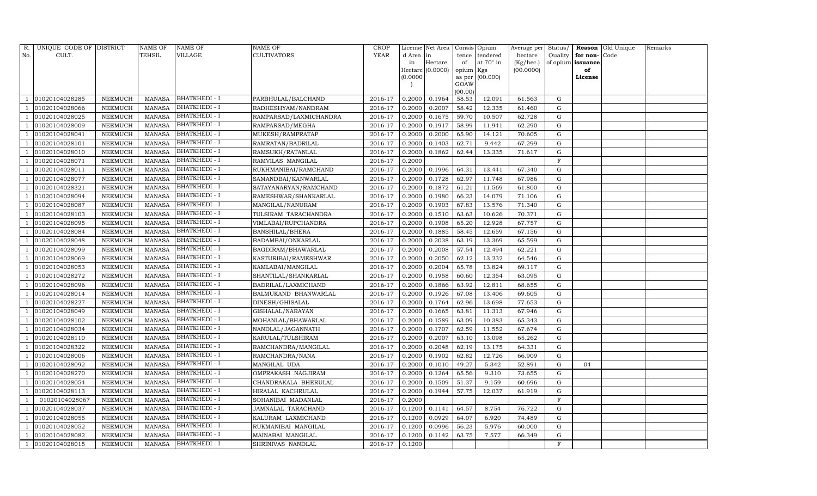| R.  | UNIQUE CODE OF DISTRICT |                | <b>NAME OF</b> | NAME OF              | NAME OF                | CROP        |           | License Net Area |           | Consis Opium     | Average per Status/ |             |          | Reason Old Unique | Remarks |
|-----|-------------------------|----------------|----------------|----------------------|------------------------|-------------|-----------|------------------|-----------|------------------|---------------------|-------------|----------|-------------------|---------|
| No. | CULT.                   |                | TEHSIL         | VILLAGE              | CULTIVATORS            | <b>YEAR</b> | d Area in |                  | tence     | tendered         | hectare             | Quality     | for non- | Code              |         |
|     |                         |                |                |                      |                        |             | in        | Hectare          | of        | at $70^\circ$ in | (Kg/hec.)           | of opium    | issuance |                   |         |
|     |                         |                |                |                      |                        |             |           | Hectare (0.0000) | opium Kgs |                  | (00.0000)           |             | of       |                   |         |
|     |                         |                |                |                      |                        |             | (0.0000)  |                  | GOAW      | as per (00.000)  |                     |             | License  |                   |         |
|     |                         |                |                |                      |                        |             |           |                  | (00.00)   |                  |                     |             |          |                   |         |
|     | 01020104028285          | NEEMUCH        | <b>MANASA</b>  | BHATKHEDI - I        | PARBHULAL/BALCHAND     | 2016-17     | 0.2000    | 0.1964           | 58.53     | 12.091           | 61.563              | G           |          |                   |         |
|     | 01020104028066          | NEEMUCH        | <b>MANASA</b>  | <b>BHATKHEDI - I</b> | RADHESHYAM/NANDRAM     | 2016-17     | 0.2000    | 0.2007           | 58.42     | 12.335           | 61.460              | G           |          |                   |         |
|     | 01020104028025          | NEEMUCH        | <b>MANASA</b>  | <b>BHATKHEDI - I</b> | RAMPARSAD/LAXMICHANDRA | 2016-17     | 0.2000    | 0.1675           | 59.70     | 10.507           | 62.728              | G           |          |                   |         |
|     | 01020104028009          | NEEMUCH        | <b>MANASA</b>  | <b>BHATKHEDI - I</b> | RAMPARSAD/MEGHA        | 2016-17     | 0.2000    | 0.1917           | 58.99     | 11.941           | 62.290              | G           |          |                   |         |
|     | 01020104028041          | NEEMUCH        | <b>MANASA</b>  | <b>BHATKHEDI - I</b> | MUKESH/RAMPRATAP       | 2016-17     | 0.2000    | 0.2000           | 65.90     | 14.121           | 70.605              | G           |          |                   |         |
|     | 01020104028101          | NEEMUCH        | <b>MANASA</b>  | BHATKHEDI - I        | RAMRATAN/BADRILAL      | 2016-17     | 0.2000    | 0.1403           | 62.71     | 9.442            | 67.299              | ${\rm G}$   |          |                   |         |
|     | 01020104028010          | NEEMUCH        | <b>MANASA</b>  | <b>BHATKHEDI - I</b> | RAMSUKH/RATANLAL       | 2016-17     | 0.2000    | 0.1862           | 62.44     | 13.335           | 71.617              | G           |          |                   |         |
|     | 01020104028071          | NEEMUCH        | <b>MANASA</b>  | <b>BHATKHEDI - I</b> | RAMVILAS MANGILAL      | 2016-17     | 0.2000    |                  |           |                  |                     | $\mathbf F$ |          |                   |         |
|     | 01020104028011          | NEEMUCH        | <b>MANASA</b>  | BHATKHEDI - I        | RUKHMANIBAI/RAMCHAND   | 2016-17     | 0.2000    | 0.1996           | 64.31     | 13.441           | 67.340              | G           |          |                   |         |
|     | 01020104028077          | NEEMUCH        | <b>MANASA</b>  | <b>BHATKHEDI - I</b> | SAMANDBAI/KANWARLAL    | 2016-17     | 0.2000    | 0.1728           | 62.97     | 11.748           | 67.986              | ${\rm G}$   |          |                   |         |
|     | 01020104028321          | NEEMUCH        | <b>MANASA</b>  | <b>BHATKHEDI - I</b> | SATAYANARYAN/RAMCHAND  | 2016-17     | 0.2000    | 0.1872           | 61.21     | 11.569           | 61.800              | G           |          |                   |         |
|     | 01020104028094          | NEEMUCH        | <b>MANASA</b>  | <b>BHATKHEDI - I</b> | RAMESHWAR/SHANKARLAL   | 2016-17     | 0.2000    | 0.1980           | 66.23     | 14.079           | 71.106              | G           |          |                   |         |
|     | 01020104028087          | <b>NEEMUCH</b> | <b>MANASA</b>  | <b>BHATKHEDI - I</b> | MANGILAL/NANURAM       | 2016-17     | 0.2000    | 0.1903           | 67.83     | 13.576           | 71.340              | ${\rm G}$   |          |                   |         |
|     | 01020104028103          | NEEMUCH        | MANASA         | <b>BHATKHEDI - I</b> | TULSIRAM TARACHANDRA   | 2016-17     | 0.2000    | 0.1510           | 63.63     | 10.626           | 70.371              | G           |          |                   |         |
|     | 01020104028095          | NEEMUCH        | <b>MANASA</b>  | <b>BHATKHEDI - I</b> | VIMLABAI/RUPCHANDRA    | 2016-17     | 0.2000    | 0.1908           | 65.20     | 12.928           | 67.757              | G           |          |                   |         |
|     | 01020104028084          | NEEMUCH        | <b>MANASA</b>  | <b>BHATKHEDI - I</b> | <b>BANSHILAL/BHERA</b> | 2016-17     | 0.2000    | 0.1885           | 58.45     | 12.659           | 67.156              | G           |          |                   |         |
|     | 01020104028048          | <b>NEEMUCH</b> | <b>MANASA</b>  | <b>BHATKHEDI - I</b> | BADAMBAI/ONKARLAL      | 2016-17     | 0.2000    | 0.2038           | 63.19     | 13.369           | 65.599              | G           |          |                   |         |
|     | 01020104028099          | NEEMUCH        | MANASA         | <b>BHATKHEDI - I</b> | BAGDIRAM/BHAWARLAL     | 2016-17     | 0.2000    | 0.2008           | 57.54     | 12.494           | 62.221              | G           |          |                   |         |
|     | 01020104028069          | NEEMUCH        | <b>MANASA</b>  | <b>BHATKHEDI - I</b> | KASTURIBAI/RAMESHWAR   | 2016-17     | 0.2000    | 0.2050           | 62.12     | 13.232           | 64.546              | G           |          |                   |         |
|     | 01020104028053          | NEEMUCH        | <b>MANASA</b>  | <b>BHATKHEDI - I</b> | KAMLABAI/MANGILAL      | 2016-17     | 0.2000    | 0.2004           | 65.78     | 13.824           | 69.117              | G           |          |                   |         |
|     | 01020104028272          | NEEMUCH        | <b>MANASA</b>  | <b>BHATKHEDI - I</b> | SHANTILAL/SHANKARLAL   | 2016-17     | 0.2000    | 0.1958           | 60.60     | 12.354           | 63.095              | ${\rm G}$   |          |                   |         |
|     | 01020104028096          | NEEMUCH        | <b>MANASA</b>  | <b>BHATKHEDI - I</b> | BADRILAL/LAXMICHAND    | 2016-17     | 0.2000    | 0.1866           | 63.92     | 12.811           | 68.655              | ${\rm G}$   |          |                   |         |
|     | 01020104028014          | NEEMUCH        | <b>MANASA</b>  | <b>BHATKHEDI - I</b> | BALMUKAND BHANWARLAL   | 2016-17     | 0.2000    | 0.1926           | 67.08     | 13.406           | 69.605              | G           |          |                   |         |
|     | 01020104028227          | NEEMUCH        | <b>MANASA</b>  | BHATKHEDI - I        | DINESH/GHISALAL        | 2016-17     | 0.2000    | 0.1764           | 62.96     | 13.698           | 77.653              | ${\rm G}$   |          |                   |         |
|     | 01020104028049          | NEEMUCH        | <b>MANASA</b>  | <b>BHATKHEDI - I</b> | GISHALAL/NARAYAN       | 2016-17     | 0.2000    | 0.1665           | 63.81     | 11.313           | 67.946              | ${\rm G}$   |          |                   |         |
|     | 01020104028102          | NEEMUCH        | <b>MANASA</b>  | <b>BHATKHEDI - I</b> | MOHANLAL/BHAWARLAL     | 2016-17     | 0.2000    | 0.1589           | 63.09     | 10.383           | 65.343              | G           |          |                   |         |
|     | 01020104028034          | NEEMUCH        | <b>MANASA</b>  | <b>BHATKHEDI - I</b> | NANDLAL/JAGANNATH      | 2016-17     | 0.2000    | 0.1707           | 62.59     | 11.552           | 67.674              | ${\rm G}$   |          |                   |         |
|     | 01020104028110          | <b>NEEMUCH</b> | <b>MANASA</b>  | BHATKHEDI - I        | KARULAL/TULSHIRAM      | 2016-17     | 0.2000    | 0.2007           | 63.10     | 13.098           | 65.262              | ${\rm G}$   |          |                   |         |
|     | 01020104028322          | NEEMUCH        | <b>MANASA</b>  | <b>BHATKHEDI - I</b> | RAMCHANDRA/MANGILAL    | 2016-17     | 0.2000    | 0.2048           | 62.19     | 13.175           | 64.331              | G           |          |                   |         |
|     | 01020104028006          | NEEMUCH        | <b>MANASA</b>  | <b>BHATKHEDI - I</b> | RAMCHANDRA/NANA        | 2016-17     | 0.2000    | 0.1902           | 62.82     | 12.726           | 66.909              | G           |          |                   |         |
|     | 01020104028092          | NEEMUCH        | <b>MANASA</b>  | <b>BHATKHEDI - I</b> | MANGILAL UDA           | 2016-17     | 0.2000    | 0.1010           | 49.27     | 5.342            | 52.891              | G           | 04       |                   |         |
|     | 01020104028270          | NEEMUCH        | <b>MANASA</b>  | <b>BHATKHEDI - I</b> | OMPRAKASH NAGJIRAM     | 2016-17     | 0.2000    | 0.1264           | 65.56     | 9.310            | 73.655              | G           |          |                   |         |
|     | 01020104028054          | NEEMUCH        | <b>MANASA</b>  | BHATKHEDI - I        | CHANDRAKALA BHERULAL   | 2016-17     | 0.2000    | 0.1509           | 51.37     | 9.159            | 60.696              | ${\rm G}$   |          |                   |         |
|     | 01020104028113          | NEEMUCH        | <b>MANASA</b>  | <b>BHATKHEDI - I</b> | HIRALAL KACHRULAL      | 2016-17     | 0.2000    | 0.1944           | 57.75     | 12.037           | 61.919              | G           |          |                   |         |
|     | 01020104028067          | NEEMUCH        | <b>MANASA</b>  | <b>BHATKHEDI - I</b> | SOHANIBAI MADANLAL     | 2016-17     | 0.2000    |                  |           |                  |                     | $\mathbf F$ |          |                   |         |
|     | 01020104028037          | <b>NEEMUCH</b> | <b>MANASA</b>  | BHATKHEDI - I        | JAMNALAL TARACHAND     | 2016-17     | 0.1200    | 0.1141           | 64.57     | 8.754            | 76.722              | ${\rm G}$   |          |                   |         |
|     | 01020104028055          | NEEMUCH        | MANASA         | <b>BHATKHEDI - I</b> | KALURAM LAXMICHAND     | 2016-17     | 0.1200    | 0.0929           | 64.07     | 6.920            | 74.489              | G           |          |                   |         |
|     | 01020104028052          | NEEMUCH        | MANASA         | <b>BHATKHEDI - I</b> | RUKMANIBAI MANGILAL    | 2016-17     | 0.1200    | 0.0996           | 56.23     | 5.976            | 60.000              | G           |          |                   |         |
|     | 01020104028082          | NEEMUCH        | <b>MANASA</b>  | <b>BHATKHEDI - I</b> | MAINABAI MANGILAL      | 2016-17     | 0.1200    | 0.1142           | 63.75     | 7.577            | 66.349              | G           |          |                   |         |
|     | 01020104028015          | NEEMUCH        | MANASA         | <b>BHATKHEDI - I</b> | SHRINIVAS NANDLAL      | 2016-17     | 0.1200    |                  |           |                  |                     | F           |          |                   |         |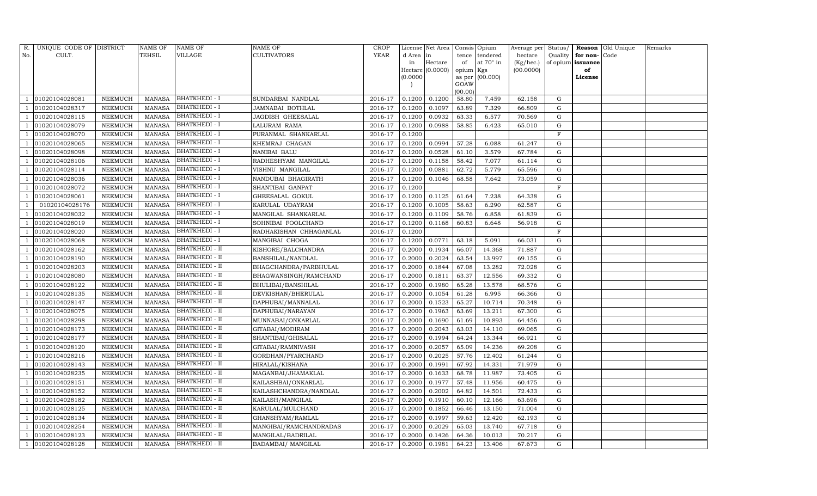| R.  | UNIQUE CODE OF DISTRICT |                | NAME OF       | <b>NAME OF</b>        | NAME OF                | <b>CROP</b> |          | License Net Area |           | Consis Opium     | Average per Status/ |              |                   | Reason Old Unique | Remarks |
|-----|-------------------------|----------------|---------------|-----------------------|------------------------|-------------|----------|------------------|-----------|------------------|---------------------|--------------|-------------------|-------------------|---------|
| No. | CULT.                   |                | TEHSIL        | VILLAGE               | <b>CULTIVATORS</b>     | YEAR        | d Area   | in               | tence     | tendered         | hectare             | Quality      | for non-Code      |                   |         |
|     |                         |                |               |                       |                        |             | in       | Hectare          | of        | at $70^\circ$ in | (Kg/hec.)           |              | of opium issuance |                   |         |
|     |                         |                |               |                       |                        |             |          | Hectare (0.0000) | opium Kgs |                  | (00.0000)           |              | of                |                   |         |
|     |                         |                |               |                       |                        |             | (0.0000) |                  | GOAW      | as per (00.000)  |                     |              | License           |                   |         |
|     |                         |                |               |                       |                        |             |          |                  | (00.00)   |                  |                     |              |                   |                   |         |
|     | 01020104028081          | NEEMUCH        | <b>MANASA</b> | <b>BHATKHEDI - I</b>  | SUNDARBAI NANDLAL      | 2016-17     | 0.1200   | 0.1200           | 58.80     | 7.459            | 62.158              | G            |                   |                   |         |
|     | 01020104028317          | NEEMUCH        | <b>MANASA</b> | <b>BHATKHEDI - I</b>  | JAMNABAI BOTHLAL       | 2016-17     | 0.1200   | 0.1097           | 63.89     | 7.329            | 66.809              | G            |                   |                   |         |
|     | 01020104028115          | NEEMUCH        | <b>MANASA</b> | <b>BHATKHEDI - I</b>  | JAGDISH GHEESALAL      | 2016-17     | 0.1200   | 0.0932           | 63.33     | 6.577            | 70.569              | G            |                   |                   |         |
|     | 01020104028079          | NEEMUCH        | <b>MANASA</b> | <b>BHATKHEDI - I</b>  | LALURAM RAMA           | 2016-17     | 0.1200   | 0.0988           | 58.85     | 6.423            | 65.010              | G            |                   |                   |         |
|     | 01020104028070          | NEEMUCH        | <b>MANASA</b> | <b>BHATKHEDI - I</b>  | PURANMAL SHANKARLAL    | 2016-17     | 0.1200   |                  |           |                  |                     | $\mathbf{F}$ |                   |                   |         |
|     | 01020104028065          | NEEMUCH        | <b>MANASA</b> | BHATKHEDI - I         | KHEMRAJ CHAGAN         | 2016-17     | 0.1200   | 0.0994           | 57.28     | 6.088            | 61.247              | G            |                   |                   |         |
|     | 01020104028098          | NEEMUCH        | <b>MANASA</b> | <b>BHATKHEDI - I</b>  | NANIBAI BALU           | 2016-17     | 0.1200   | 0.0528           | 61.10     | 3.579            | 67.784              | G            |                   |                   |         |
|     | 01020104028106          | <b>NEEMUCH</b> | <b>MANASA</b> | <b>BHATKHEDI - I</b>  | RADHESHYAM MANGILAL    | 2016-17     | 0.1200   | 0.1158           | 58.42     | 7.077            | 61.114              | $\mathbf G$  |                   |                   |         |
|     | 01020104028114          | <b>NEEMUCH</b> | <b>MANASA</b> | <b>BHATKHEDI - I</b>  | VISHNU MANGILAL        | 2016-17     | 0.1200   | 0.0881           | 62.72     | 5.779            | 65.596              | G            |                   |                   |         |
|     | 01020104028036          | NEEMUCH        | <b>MANASA</b> | <b>BHATKHEDI - I</b>  | NANDUBAI BHAGIRATH     | 2016-17     | 0.1200   | 0.1046           | 68.58     | 7.642            | 73.059              | $\mathbf G$  |                   |                   |         |
|     | 01020104028072          | NEEMUCH        | <b>MANASA</b> | <b>BHATKHEDI - I</b>  | SHANTIBAI GANPAT       | 2016-17     | 0.1200   |                  |           |                  |                     | $\mathbf{F}$ |                   |                   |         |
|     | 01020104028061          | NEEMUCH        | <b>MANASA</b> | BHATKHEDI - I         | GHEESALAL GOKUL        | 2016-17     | 0.1200   | 0.1125           | 61.64     | 7.238            | 64.338              | G            |                   |                   |         |
|     | 01020104028176          | <b>NEEMUCH</b> | <b>MANASA</b> | <b>BHATKHEDI - I</b>  | KARULAL UDAYRAM        | 2016-17     | 0.1200   | 0.1005           | 58.63     | 6.290            | 62.587              | G            |                   |                   |         |
|     | 01020104028032          | NEEMUCH        | <b>MANASA</b> | BHATKHEDI - I         | MANGILAL SHANKARLAL    | 2016-17     | 0.1200   | 0.1109           | 58.76     | 6.858            | 61.839              | G            |                   |                   |         |
|     | 01020104028019          | NEEMUCH        | <b>MANASA</b> | <b>BHATKHEDI - I</b>  | SOHNIBAI FOOLCHAND     | 2016-17     | 0.1200   | 0.1168           | 60.83     | 6.648            | 56.918              | G            |                   |                   |         |
|     | 01020104028020          | NEEMUCH        | <b>MANASA</b> | BHATKHEDI - I         | RADHAKISHAN CHHAGANLAL | 2016-17     | 0.1200   |                  |           |                  |                     | $\mathbf{F}$ |                   |                   |         |
|     | 01020104028068          | NEEMUCH        | <b>MANASA</b> | <b>BHATKHEDI - I</b>  | MANGIBAI CHOGA         | 2016-17     | 0.1200   | 0.0771           | 63.18     | 5.091            | 66.031              | G            |                   |                   |         |
|     | 01020104028162          | NEEMUCH        | <b>MANASA</b> | <b>BHATKHEDI - II</b> | KISHORE/BALCHANDRA     | 2016-17     | 0.2000   | 0.1934           | 66.07     | 14.368           | 71.887              | G            |                   |                   |         |
|     | 01020104028190          | NEEMUCH        | <b>MANASA</b> | <b>BHATKHEDI - II</b> | BANSHILAL/NANDLAL      | 2016-17     | 0.2000   | 0.2024           | 63.54     | 13.997           | 69.155              | G            |                   |                   |         |
|     | 01020104028203          | NEEMUCH        | <b>MANASA</b> | BHATKHEDI - II        | BHAGCHANDRA/PARBHULAL  | 2016-17     | 0.2000   | 0.1844           | 67.08     | 13.282           | 72.028              | G            |                   |                   |         |
|     | 01020104028080          | NEEMUCH        | <b>MANASA</b> | <b>BHATKHEDI - II</b> | BHAGWANSINGH/RAMCHAND  | 2016-17     | 0.2000   | 0.1811           | 63.37     | 12.556           | 69.332              | G            |                   |                   |         |
|     | 01020104028122          | NEEMUCH        | <b>MANASA</b> | <b>BHATKHEDI - II</b> | BHULIBAI/BANSHILAL     | 2016-17     | 0.2000   | 0.1980           | 65.28     | 13.578           | 68.576              | G            |                   |                   |         |
|     | 01020104028135          | NEEMUCH        | <b>MANASA</b> | <b>BHATKHEDI - II</b> | DEVKISHAN/BHERULAL     | 2016-17     | 0.2000   | 0.1054           | 61.28     | 6.995            | 66.366              | G            |                   |                   |         |
|     | 01020104028147          | NEEMUCH        | <b>MANASA</b> | <b>BHATKHEDI - II</b> | DAPHUBAI/MANNALAL      | 2016-17     | 0.2000   | 0.1523           | 65.27     | 10.714           | 70.348              | G            |                   |                   |         |
|     | 01020104028075          | <b>NEEMUCH</b> | <b>MANASA</b> | <b>BHATKHEDI - II</b> | DAPHUBAI/NARAYAN       | 2016-17     | 0.2000   | 0.1963           | 63.69     | 13.211           | 67.300              | G            |                   |                   |         |
|     | 01020104028298          | NEEMUCH        | <b>MANASA</b> | <b>BHATKHEDI - II</b> | MUNNABAI/ONKARLAL      | 2016-17     | 0.2000   | 0.1690           | 61.69     | 10.893           | 64.456              | G            |                   |                   |         |
|     | 01020104028173          | NEEMUCH        | <b>MANASA</b> | <b>BHATKHEDI - II</b> | GITABAI/MODIRAM        | 2016-17     | 0.2000   | 0.2043           | 63.03     | 14.110           | 69.065              | $\mathbf G$  |                   |                   |         |
|     | 01020104028177          | NEEMUCH        | <b>MANASA</b> | BHATKHEDI - II        | SHANTIBAI/GHISALAL     | 2016-17     | 0.2000   | 0.1994           | 64.24     | 13.344           | 66.921              | G            |                   |                   |         |
|     | 01020104028120          | NEEMUCH        | <b>MANASA</b> | <b>BHATKHEDI - II</b> | GITABAI/RAMNIVASH      | 2016-17     | 0.2000   | 0.2057           | 65.09     | 14.236           | 69.208              | G            |                   |                   |         |
|     | 01020104028216          | NEEMUCH        | <b>MANASA</b> | <b>BHATKHEDI - II</b> | GORDHAN/PYARCHAND      | 2016-17     | 0.2000   | 0.2025           | 57.76     | 12.402           | 61.244              | G            |                   |                   |         |
|     | 01020104028143          | NEEMUCH        | <b>MANASA</b> | <b>BHATKHEDI - II</b> | HIRALAL/KISHANA        | 2016-17     | 0.2000   | 0.1991           | 67.92     | 14.331           | 71.979              | G            |                   |                   |         |
|     | 01020104028235          | NEEMUCH        | <b>MANASA</b> | <b>BHATKHEDI - II</b> | MAGANBAI/JHAMAKLAL     | 2016-17     | 0.2000   | 0.1633           | 68.78     | 11.987           | 73.405              | G            |                   |                   |         |
|     | 01020104028151          | NEEMUCH        | <b>MANASA</b> | BHATKHEDI - II        | KAILASHBAI/ONKARLAL    | 2016-17     | 0.2000   | 0.1977           | 57.48     | 11.956           | 60.475              | G            |                   |                   |         |
|     | 01020104028152          | NEEMUCH        | <b>MANASA</b> | <b>BHATKHEDI - II</b> | KAILASHCHANDRA/NANDLAL | 2016-17     | 0.2000   | 0.2002           | 64.82     | 14.501           | 72.433              | G            |                   |                   |         |
|     | 01020104028182          | <b>NEEMUCH</b> | <b>MANASA</b> | <b>BHATKHEDI - II</b> | KAILASH/MANGILAL       | 2016-17     | 0.2000   | 0.1910           | 60.10     | 12.166           | 63.696              | $\mathbf G$  |                   |                   |         |
|     | 01020104028125          | <b>NEEMUCH</b> | <b>MANASA</b> | BHATKHEDI - II        | KARULAL/MULCHAND       | 2016-17     | 0.2000   | 0.1852           | 66.46     | 13.150           | 71.004              | G            |                   |                   |         |
|     | 01020104028134          | NEEMUCH        | MANASA        | <b>BHATKHEDI - II</b> | GHANSHYAM/RAMLAL       | 2016-17     | 0.2000   | 0.1997           | 59.63     | 12.420           | 62.193              | G            |                   |                   |         |
|     | 01020104028254          | NEEMUCH        | <b>MANASA</b> | <b>BHATKHEDI - II</b> | MANGIBAI/RAMCHANDRADAS | 2016-17     | 0.2000   | 0.2029           | 65.03     | 13.740           | 67.718              | G            |                   |                   |         |
|     | 01020104028123          | NEEMUCH        | <b>MANASA</b> | BHATKHEDI - II        | MANGILAL/BADRILAL      | 2016-17     | 0.2000   | 0.1426           | 64.36     | 10.013           | 70.217              | G            |                   |                   |         |
|     | 01020104028128          | <b>NEEMUCH</b> | MANASA        | <b>BHATKHEDI - II</b> | BADAMBAI/ MANGILAL     | 2016-17     | 0.2000   | 0.1981           | 64.23     | 13.406           | 67.673              | G            |                   |                   |         |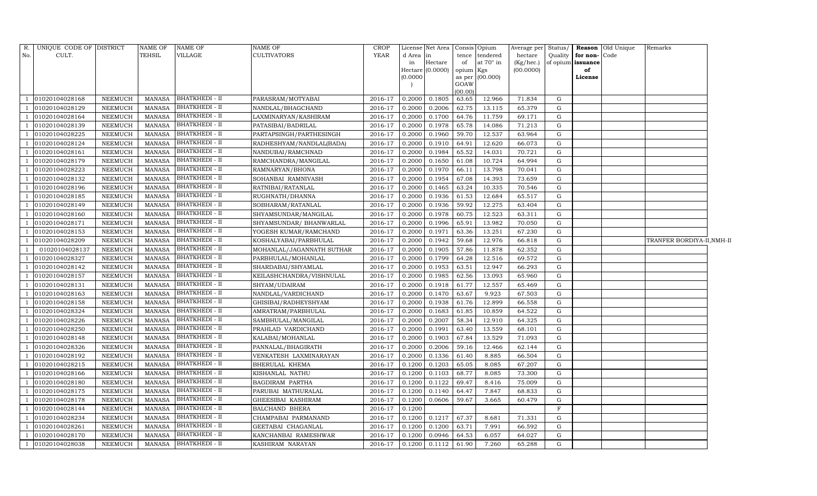| R.  | UNIQUE CODE OF DISTRICT |                | NAME OF       | <b>NAME OF</b>        | NAME OF                   | <b>CROP</b>    |          | License Net Area   |           | Consis Opium      | Average per | Status/     |                   | Reason Old Unique | Remarks                    |  |
|-----|-------------------------|----------------|---------------|-----------------------|---------------------------|----------------|----------|--------------------|-----------|-------------------|-------------|-------------|-------------------|-------------------|----------------------------|--|
| No. | CULT.                   |                | TEHSIL        | <b>VILLAGE</b>        | <b>CULTIVATORS</b>        | YEAR           | d Area   | in                 | tence     | tendered          | hectare     | Quality     | for non-Code      |                   |                            |  |
|     |                         |                |               |                       |                           |                | in       | Hectare            | of        | at $70^\circ$ in  | (Kg/hec.)   |             | of opium issuance |                   |                            |  |
|     |                         |                |               |                       |                           |                |          | Hectare $(0.0000)$ | opium Kgs |                   | (00.0000)   |             | of                |                   |                            |  |
|     |                         |                |               |                       |                           |                | (0.0000) |                    | GOAW      | as per $(00.000)$ |             |             | License           |                   |                            |  |
|     |                         |                |               |                       |                           |                |          |                    | (00.00)   |                   |             |             |                   |                   |                            |  |
|     | 01020104028168          | <b>NEEMUCH</b> | MANASA        | <b>BHATKHEDI - II</b> | PARASRAM/MOTYABAI         | 2016-17        | 0.2000   | 0.1805             | 63.65     | 12.966            | 71.834      | G           |                   |                   |                            |  |
|     | 01020104028129          | NEEMUCH        | <b>MANASA</b> | <b>BHATKHEDI - II</b> | NANDLAL/BHAGCHAND         | 2016-17        | 0.2000   | 0.2006             | 62.75     | 13.115            | 65.379      | G           |                   |                   |                            |  |
|     | 01020104028164          | <b>NEEMUCH</b> | <b>MANASA</b> | <b>BHATKHEDI - II</b> | LAXMINARYAN/KASHIRAM      | 2016-17        | 0.2000   | 0.1700             | 64.76     | 11.759            | 69.171      | G           |                   |                   |                            |  |
|     | 01020104028139          | <b>NEEMUCH</b> | <b>MANASA</b> | <b>BHATKHEDI - II</b> | PATASIBAI/BADRILAL        | 2016-17        | 0.2000   | 0.1978             | 65.78     | 14.086            | 71.213      | G           |                   |                   |                            |  |
|     | 01020104028225          | <b>NEEMUCH</b> | <b>MANASA</b> | <b>BHATKHEDI - II</b> | PARTAPSINGH/PARTHESINGH   | 2016-17        | 0.2000   | 0.1960             | 59.70     | 12.537            | 63.964      | G           |                   |                   |                            |  |
|     | 01020104028124          | <b>NEEMUCH</b> | <b>MANASA</b> | <b>BHATKHEDI - II</b> | RADHESHYAM/NANDLAL(BADA)  | 2016-17        | 0.2000   | 0.1910             | 64.91     | 12.620            | 66.073      | G           |                   |                   |                            |  |
|     | 01020104028161          | <b>NEEMUCH</b> | <b>MANASA</b> | <b>BHATKHEDI - II</b> | NANDUBAI/RAMCHNAD         | 2016-17        | 0.2000   | 0.1984             | 65.52     | 14.031            | 70.721      | G           |                   |                   |                            |  |
|     | 01020104028179          | <b>NEEMUCH</b> | <b>MANASA</b> | <b>BHATKHEDI - II</b> | RAMCHANDRA/MANGILAL       | 2016-17        | 0.2000   | 0.1650             | 61.08     | 10.724            | 64.994      | $\mathbf G$ |                   |                   |                            |  |
|     | 01020104028223          | NEEMUCH        | <b>MANASA</b> | <b>BHATKHEDI - II</b> | RAMNARYAN/BHONA           | 2016-17        | 0.2000   | 0.1970             | 66.11     | 13.798            | 70.041      | G           |                   |                   |                            |  |
|     | 01020104028132          | NEEMUCH        | <b>MANASA</b> | <b>BHATKHEDI - II</b> | SOHANBAI RAMNIVASH        | 2016-17        | 0.2000   | 0.1954             | 67.08     | 14.393            | 73.659      | G           |                   |                   |                            |  |
|     | 01020104028196          | <b>NEEMUCH</b> | <b>MANASA</b> | <b>BHATKHEDI - II</b> | RATNIBAI/RATANLAL         | 2016-17        | 0.2000   | 0.1465             | 63.24     | 10.335            | 70.546      | G           |                   |                   |                            |  |
|     | 01020104028185          | NEEMUCH        | <b>MANASA</b> | <b>BHATKHEDI - II</b> | RUGHNATH/DHANNA           | 2016-17        | 0.2000   | 0.1936             | 61.53     | 12.684            | 65.517      | G           |                   |                   |                            |  |
|     | 01020104028149          | <b>NEEMUCH</b> | <b>MANASA</b> | <b>BHATKHEDI - II</b> | SOBHARAM/RATANLAL         | 2016-17        | 0.2000   | 0.1936             | 59.92     | 12.275            | 63.404      | G           |                   |                   |                            |  |
|     | 01020104028160          | <b>NEEMUCH</b> | <b>MANASA</b> | <b>BHATKHEDI - II</b> | SHYAMSUNDAR/MANGILAL      | 2016-17        | 0.2000   | 0.1978             | 60.75     | 12.523            | 63.311      | G           |                   |                   |                            |  |
|     | 01020104028171          | <b>NEEMUCH</b> | <b>MANASA</b> | <b>BHATKHEDI - II</b> | SHYAMSUNDAR/ BHANWARLAL   | 2016-17        | 0.2000   | 0.1996             | 65.91     | 13.982            | 70.050      | G           |                   |                   |                            |  |
|     | 01020104028153          | <b>NEEMUCH</b> | <b>MANASA</b> | <b>BHATKHEDI - II</b> | YOGESH KUMAR/RAMCHAND     | 2016-17        | 0.2000   | 0.1971             | 63.36     | 13.251            | 67.230      | G           |                   |                   |                            |  |
|     | 01020104028209          | <b>NEEMUCH</b> | <b>MANASA</b> | <b>BHATKHEDI - II</b> | KOSHALYABAI/PARBHULAL     | 2016-17        | 0.2000   | 0.1942             | 59.68     | 12.976            | 66.818      | G           |                   |                   | TRANFER BORDIYA-II, NMH-II |  |
|     | 01020104028137          | <b>NEEMUCH</b> | <b>MANASA</b> | <b>BHATKHEDI - II</b> | MOHANLAL/JAGANNATH SUTHAR | 2016-17        | 0.2000   | 0.1905             | 57.86     | 11.878            | 62.352      | G           |                   |                   |                            |  |
|     | 01020104028327          | <b>NEEMUCH</b> | <b>MANASA</b> | <b>BHATKHEDI - II</b> | PARBHULAL/MOHANLAL        | 2016-17        | 0.2000   | 0.1799             | 64.28     | 12.516            | 69.572      | G           |                   |                   |                            |  |
|     | 01020104028142          | <b>NEEMUCH</b> | <b>MANASA</b> | <b>BHATKHEDI - II</b> | SHARDABAI/SHYAMLAL        | 2016-17        | 0.2000   | 0.1953             | 63.51     | 12.947            | 66.293      | G           |                   |                   |                            |  |
|     | 01020104028157          | <b>NEEMUCH</b> | <b>MANASA</b> | <b>BHATKHEDI - II</b> | KEILASHCHANDRA/VISHNULAL  | 2016-17        | 0.2000   | 0.1985             | 62.56     | 13.093            | 65.960      | G           |                   |                   |                            |  |
|     | 01020104028131          | <b>NEEMUCH</b> | <b>MANASA</b> | <b>BHATKHEDI - II</b> | SHYAM/UDAIRAM             | 2016-17        | 0.2000   | 0.1918             | 61.77     | 12.557            | 65.469      | G           |                   |                   |                            |  |
|     | 01020104028163          | <b>NEEMUCH</b> | MANASA        | <b>BHATKHEDI - II</b> | NANDLAL/VARDICHAND        | 2016-17        | 0.2000   | 0.1470             | 63.67     | 9.923             | 67.503      | G           |                   |                   |                            |  |
|     | 01020104028158          | <b>NEEMUCH</b> | <b>MANASA</b> | <b>BHATKHEDI - II</b> | GHISIBAI/RADHEYSHYAM      | 2016-17        | 0.2000   | 0.1938             | 61.76     | 12.899            | 66.558      | G           |                   |                   |                            |  |
|     | 01020104028324          | <b>NEEMUCH</b> | <b>MANASA</b> | <b>BHATKHEDI - II</b> | AMRATRAM/PARBHULAL        | 2016-17        | 0.2000   | 0.1683             | 61.85     | 10.859            | 64.522      | G           |                   |                   |                            |  |
|     | 01020104028226          | NEEMUCH        | <b>MANASA</b> | <b>BHATKHEDI - II</b> | SAMBHULAL/MANGILAL        | 2016-17        | 0.2000   | 0.2007             | 58.34     | 12.910            | 64.325      | G           |                   |                   |                            |  |
|     | 01020104028250          | NEEMUCH        | MANASA        | <b>BHATKHEDI - II</b> | PRAHLAD VARDICHAND        | 2016-17        | 0.2000   | 0.1991             | 63.40     | 13.559            | 68.101      | G           |                   |                   |                            |  |
|     | 01020104028148          | <b>NEEMUCH</b> | <b>MANASA</b> | <b>BHATKHEDI - II</b> | KALABAI/MOHANLAL          | 2016-17        | 0.2000   | 0.1903             | 67.84     | 13.529            | 71.093      | G           |                   |                   |                            |  |
|     | 01020104028326          | NEEMUCH        | <b>MANASA</b> | <b>BHATKHEDI - II</b> | PANNALAL/BHAGIRATH        | 2016-17        | 0.2000   | 0.2006             | 59.16     | 12.466            | 62.144      | G           |                   |                   |                            |  |
|     | 01020104028192          | <b>NEEMUCH</b> | <b>MANASA</b> | <b>BHATKHEDI - II</b> | VENKATESH LAXMINARAYAN    | 2016-17        | 0.2000   | 0.1336             | 61.40     | 8.885             | 66.504      | G           |                   |                   |                            |  |
|     | 01020104028215          | <b>NEEMUCH</b> | <b>MANASA</b> | <b>BHATKHEDI - II</b> | BHERULAL KHEMA            | 2016-17        | 0.1200   | 0.1203             | 65.05     | 8.085             | 67.207      | G           |                   |                   |                            |  |
|     | 01020104028166          | <b>NEEMUCH</b> | <b>MANASA</b> | <b>BHATKHEDI - II</b> | KISHANLAL NATHU           | 2016-17        | 0.1200   | 0.1103             | 68.77     | 8.085             | 73.300      | G           |                   |                   |                            |  |
|     | 01020104028180          | <b>NEEMUCH</b> | <b>MANASA</b> | <b>BHATKHEDI - II</b> | BAGDIRAM PARTHA           | 2016-17        | 0.1200   | 0.1122             | 69.47     | 8.416             | 75.009      | G           |                   |                   |                            |  |
|     | 01020104028175          | <b>NEEMUCH</b> | <b>MANASA</b> | <b>BHATKHEDI - II</b> | PARUBAI MATHURALAL        | 2016-17        | 0.1200   | 0.1140             | 64.47     | 7.847             | 68.833      | G           |                   |                   |                            |  |
|     | 01020104028178          | <b>NEEMUCH</b> | <b>MANASA</b> | <b>BHATKHEDI - II</b> | GHEESIBAI KASHIRAM        | 2016-17        | 0.1200   | 0.0606             | 59.67     | 3.665             | 60.479      | G           |                   |                   |                            |  |
|     | 01020104028144          | <b>NEEMUCH</b> | <b>MANASA</b> | <b>BHATKHEDI - II</b> | <b>BALCHAND BHERA</b>     | 2016-17        | 0.1200   |                    |           |                   |             | F           |                   |                   |                            |  |
|     | 01020104028234          | <b>NEEMUCH</b> | <b>MANASA</b> | <b>BHATKHEDI - II</b> | CHAMPABAI PARMANAND       | 2016-17        | 0.1200   | 0.1217             | 67.37     | 8.681             | 71.331      | G           |                   |                   |                            |  |
|     | 01020104028261          | <b>NEEMUCH</b> | <b>MANASA</b> | <b>BHATKHEDI - II</b> | GEETABAI CHAGANLAL        | 2016-17        | 0.1200   | 0.1200             | 63.71     | 7.991             | 66.592      | G           |                   |                   |                            |  |
|     | 01020104028170          | <b>NEEMUCH</b> | <b>MANASA</b> | <b>BHATKHEDI - II</b> | KANCHANBAI RAMESHWAR      | 2016-17        | 0.1200   | 0.0946             | 64.53     | 6.057             | 64.027      | G           |                   |                   |                            |  |
| -1  | 01020104028038          | NEEMUCH        | MANASA        | <b>BHATKHEDI - II</b> | KASHIRAM NARAYAN          | 2016-17 0.1200 |          | 0.1112             | 61.90     | 7.260             | 65.288      | G           |                   |                   |                            |  |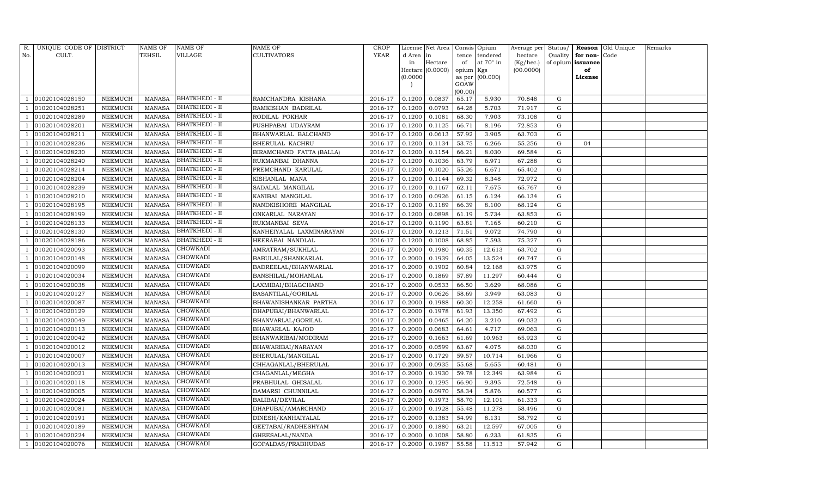| R.  | UNIQUE CODE OF DISTRICT |                | NAME OF       | NAME OF               | NAME OF                  | CROP        |           | License Net Area |           | Consis Opium     | Average per Status/ |           |                   | Reason Old Unique | Remarks |
|-----|-------------------------|----------------|---------------|-----------------------|--------------------------|-------------|-----------|------------------|-----------|------------------|---------------------|-----------|-------------------|-------------------|---------|
| No. | CULT.                   |                | TEHSIL        | VILLAGE               | CULTIVATORS              | <b>YEAR</b> | d Area in |                  | tence     | tendered         | hectare             | Quality   | for non-          | Code              |         |
|     |                         |                |               |                       |                          |             | in        | Hectare          | of        | at $70^\circ$ in | (Kg/hec.)           |           | of opium issuance |                   |         |
|     |                         |                |               |                       |                          |             |           | Hectare (0.0000) | opium Kgs |                  | (00.0000)           |           | of                |                   |         |
|     |                         |                |               |                       |                          |             | (0.0000)  |                  | GOAW      | as per (00.000)  |                     |           | License           |                   |         |
|     |                         |                |               |                       |                          |             |           |                  | (00.00)   |                  |                     |           |                   |                   |         |
|     | 01020104028150          | NEEMUCH        | <b>MANASA</b> | BHATKHEDI - II        | RAMCHANDRA KISHANA       | 2016-17     | 0.1200    | 0.0837           | 65.17     | 5.930            | 70.848              | G         |                   |                   |         |
|     | 01020104028251          | NEEMUCH        | <b>MANASA</b> | <b>BHATKHEDI - II</b> | RAMKISHAN BADRILAL       | 2016-17     | 0.1200    | 0.0793           | 64.28     | 5.703            | 71.917              | G         |                   |                   |         |
|     | 01020104028289          | NEEMUCH        | <b>MANASA</b> | <b>BHATKHEDI - II</b> | RODILAL POKHAR           | 2016-17     | 0.1200    | 0.1081           | 68.30     | 7.903            | 73.108              | G         |                   |                   |         |
|     | 01020104028201          | NEEMUCH        | <b>MANASA</b> | <b>BHATKHEDI - II</b> | PUSHPABAI UDAYRAM        | 2016-17     | 0.1200    | 0.1125           | 66.71     | 8.196            | 72.853              | ${\rm G}$ |                   |                   |         |
|     | 01020104028211          | NEEMUCH        | <b>MANASA</b> | <b>BHATKHEDI - II</b> | BHANWARLAL BALCHAND      | 2016-17     | 0.1200    | 0.0613           | 57.92     | 3.905            | 63.703              | G         |                   |                   |         |
|     | 01020104028236          | NEEMUCH        | <b>MANASA</b> | BHATKHEDI - II        | BHERULAL KACHRU          | 2016-17     | 0.1200    | 0.1134           | 53.75     | 6.266            | 55.256              | ${\rm G}$ | 04                |                   |         |
|     | 01020104028230          | NEEMUCH        | <b>MANASA</b> | <b>BHATKHEDI - II</b> | BIRAMCHAND FATTA (BALLA) | 2016-17     | 0.1200    | 0.1154           | 66.21     | 8.030            | 69.584              | G         |                   |                   |         |
|     | 01020104028240          | NEEMUCH        | <b>MANASA</b> | <b>BHATKHEDI - II</b> | RUKMANBAI DHANNA         | 2016-17     | 0.1200    | 0.1036           | 63.79     | 6.971            | 67.288              | G         |                   |                   |         |
|     | 01020104028214          | <b>NEEMUCH</b> | <b>MANASA</b> | BHATKHEDI - II        | PREMCHAND KARULAL        | 2016-17     | 0.1200    | 0.1020           | 55.26     | 6.671            | 65.402              | G         |                   |                   |         |
|     | 01020104028204          | NEEMUCH        | <b>MANASA</b> | <b>BHATKHEDI - II</b> | KISHANLAL MANA           | 2016-17     | 0.1200    | 0.1144           | 69.32     | 8.348            | 72.972              | ${\rm G}$ |                   |                   |         |
|     | 01020104028239          | NEEMUCH        | <b>MANASA</b> | <b>BHATKHEDI - II</b> | SADALAL MANGILAL         | 2016-17     | 0.1200    | 0.1167           | 62.11     | 7.675            | 65.767              | ${\rm G}$ |                   |                   |         |
|     | 01020104028210          | NEEMUCH        | MANASA        | <b>BHATKHEDI - II</b> | KANIBAI MANGILAL         | 2016-17     | 0.1200    | 0.0926           | 61.15     | 6.124            | 66.134              | G         |                   |                   |         |
|     | 01020104028195          | <b>NEEMUCH</b> | <b>MANASA</b> | <b>BHATKHEDI - II</b> | NANDKISHORE MANGILAL     | 2016-17     | 0.1200    | 0.1189           | 66.39     | 8.100            | 68.124              | ${\rm G}$ |                   |                   |         |
|     | 01020104028199          | NEEMUCH        | MANASA        | <b>BHATKHEDI - II</b> | ONKARLAL NARAYAN         | 2016-17     | 0.1200    | 0.0898           | 61.19     | 5.734            | 63.853              | G         |                   |                   |         |
|     | 01020104028133          | NEEMUCH        | MANASA        | <b>BHATKHEDI - II</b> | RUKMANBAI SEVA           | 2016-17     | 0.1200    | 0.1190           | 63.81     | 7.165            | 60.210              | G         |                   |                   |         |
|     | 01020104028130          | NEEMUCH        | <b>MANASA</b> | <b>BHATKHEDI - II</b> | KANHEIYALAL LAXMINARAYAN | 2016-17     | 0.1200    | 0.1213           | 71.51     | 9.072            | 74.790              | G         |                   |                   |         |
|     | 01020104028186          | <b>NEEMUCH</b> | <b>MANASA</b> | <b>BHATKHEDI - II</b> | HEERABAI NANDLAL         | 2016-17     | 0.1200    | 0.1008           | 68.85     | 7.593            | 75.327              | G         |                   |                   |         |
|     | 01020104020093          | NEEMUCH        | MANASA        | CHOWKADI              | AMRATRAM/SUKHLAL         | 2016-17     | 0.2000    | 0.1980           | 60.35     | 12.613           | 63.702              | G         |                   |                   |         |
|     | 01020104020148          | NEEMUCH        | <b>MANASA</b> | CHOWKADI              | BABULAL/SHANKARLAL       | 2016-17     | 0.2000    | 0.1939           | 64.05     | 13.524           | 69.747              | G         |                   |                   |         |
|     | 01020104020099          | NEEMUCH        | <b>MANASA</b> | CHOWKADI              | BADREELAL/BHANWARLAL     | 2016-17     | 0.2000    | 0.1902           | 60.84     | 12.168           | 63.975              | G         |                   |                   |         |
|     | 01020104020034          | NEEMUCH        | <b>MANASA</b> | <b>CHOWKADI</b>       | BANSHILAL/MOHANLAL       | 2016-17     | 0.2000    | 0.1869           | 57.89     | 11.297           | 60.444              | ${\rm G}$ |                   |                   |         |
|     | 01020104020038          | NEEMUCH        | <b>MANASA</b> | CHOWKADI              | LAXMIBAI/BHAGCHAND       | 2016-17     | 0.2000    | 0.0533           | 66.50     | 3.629            | 68.086              | ${\rm G}$ |                   |                   |         |
|     | 01020104020127          | NEEMUCH        | <b>MANASA</b> | CHOWKADI              | BASANTILAL/GORILAL       | 2016-17     | 0.2000    | 0.0626           | 58.69     | 3.949            | 63.083              | G         |                   |                   |         |
|     | 01020104020087          | NEEMUCH        | <b>MANASA</b> | CHOWKADI              | BHAWANISHANKAR PARTHA    | 2016-17     | 0.2000    | 0.1988           | 60.30     | 12.258           | 61.660              | G         |                   |                   |         |
|     | 01020104020129          | NEEMUCH        | <b>MANASA</b> | CHOWKADI              | DHAPUBAI/BHANWARLAL      | 2016-17     | 0.2000    | 0.1978           | 61.93     | 13.350           | 67.492              | ${\rm G}$ |                   |                   |         |
|     | 01020104020049          | NEEMUCH        | <b>MANASA</b> | CHOWKADI              | BHANVARLAL/GORILAL       | 2016-17     | 0.2000    | 0.0465           | 64.20     | 3.210            | 69.032              | G         |                   |                   |         |
|     | 01020104020113          | NEEMUCH        | <b>MANASA</b> | CHOWKADI              | BHAWARLAL KAJOD          | 2016-17     | 0.2000    | 0.0683           | 64.61     | 4.717            | 69.063              | G         |                   |                   |         |
|     | 01020104020042          | NEEMUCH        | <b>MANASA</b> | CHOWKADI              | BHANWARIBAI/MODIRAM      | 2016-17     | 0.2000    | 0.1663           | 61.69     | 10.963           | 65.923              | ${\rm G}$ |                   |                   |         |
|     | 01020104020012          | NEEMUCH        | <b>MANASA</b> | CHOWKADI              | BHAWARIBAI/NARAYAN       | 2016-17     | 0.2000    | 0.0599           | 63.67     | 4.075            | 68.030              | G         |                   |                   |         |
|     | 01020104020007          | NEEMUCH        | <b>MANASA</b> | CHOWKADI              | BHERULAL/MANGILAL        | 2016-17     | 0.2000    | 0.1729           | 59.57     | 10.714           | 61.966              | ${\rm G}$ |                   |                   |         |
|     | 01020104020013          | NEEMUCH        | <b>MANASA</b> | CHOWKADI              | CHHAGANLAL/BHERULAL      | 2016-17     | 0.2000    | 0.0935           | 55.68     | 5.655            | 60.481              | G         |                   |                   |         |
|     | 01020104020021          | NEEMUCH        | <b>MANASA</b> | <b>CHOWKADI</b>       | CHAGANLAL/MEGHA          | 2016-17     | 0.2000    | 0.1930           | 59.78     | 12.349           | 63.984              | G         |                   |                   |         |
|     | 01020104020118          | NEEMUCH        | <b>MANASA</b> | CHOWKADI              | PRABHULAL GHISALAL       | 2016-17     | 0.2000    | 0.1295           | 66.90     | 9.395            | 72.548              | ${\rm G}$ |                   |                   |         |
|     | 01020104020005          | NEEMUCH        | <b>MANASA</b> | CHOWKADI              | DAMARSI CHUNNILAL        | 2016-17     | 0.2000    | 0.0970           | 58.34     | 5.876            | 60.577              | G         |                   |                   |         |
|     | 01020104020024          | NEEMUCH        | <b>MANASA</b> | CHOWKADI              | BALIBAI/DEVILAL          | 2016-17     | 0.2000    | 0.1973           | 58.70     | 12.101           | 61.333              | ${\rm G}$ |                   |                   |         |
|     | 01020104020081          | <b>NEEMUCH</b> | <b>MANASA</b> | CHOWKADI              | DHAPUBAI/AMARCHAND       | 2016-17     | 0.2000    | 0.1928           | 55.48     | 11.278           | 58.496              | ${\rm G}$ |                   |                   |         |
|     | 01020104020191          | NEEMUCH        | MANASA        | <b>CHOWKADI</b>       | DINESH/KANHAIYALAL       | 2016-17     | 0.2000    | 0.1383           | 54.99     | 8.131            | 58.792              | G         |                   |                   |         |
|     | 01020104020189          | NEEMUCH        | <b>MANASA</b> | CHOWKADI              | GEETABAI/RADHESHYAM      | 2016-17     | 0.2000    | 0.1880           | 63.21     | 12.597           | 67.005              | G         |                   |                   |         |
|     | 01020104020224          | NEEMUCH        | MANASA        | CHOWKADI              | GHEESALAL/NANDA          | 2016-17     | 0.2000    | 0.1008           | 58.80     | 6.233            | 61.835              | G         |                   |                   |         |
|     | 01020104020076          | NEEMUCH        | MANASA        | CHOWKADI              | GOPALDAS/PRABHUDAS       | 2016-17     | 0.2000    | 0.1987           | 55.58     | 11.513           | 57.942              | G         |                   |                   |         |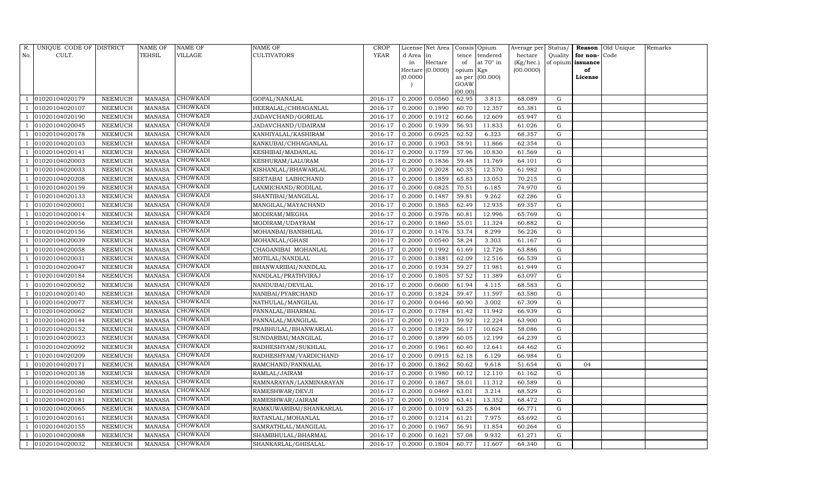| R.  | UNIQUE CODE OF DISTRICT |                 | <b>NAME OF</b> | NAME OF         | <b>NAME OF</b>          | <b>CROP</b> |           | License Net Area   |                 | Consis Opium | Average per | Status/     | Reason            | Old Unique | Remarks |
|-----|-------------------------|-----------------|----------------|-----------------|-------------------------|-------------|-----------|--------------------|-----------------|--------------|-------------|-------------|-------------------|------------|---------|
| No. | CULT.                   |                 | TEHSIL         | VILLAGE         | <b>CULTIVATORS</b>      | <b>YEAR</b> | d Area in |                    | tence           | tendered     | hectare     | Quality     | for non-          | Code       |         |
|     |                         |                 |                |                 |                         |             | in        | Hectare            | of              | at 70° in    | (Kg/hec.)   |             | of opium issuance |            |         |
|     |                         |                 |                |                 |                         |             |           | Hectare $(0.0000)$ | opium Kgs       |              | (00.0000)   |             | of                |            |         |
|     |                         |                 |                |                 |                         |             | (0.0000)  |                    | as per          | (00.000)     |             |             | License           |            |         |
|     |                         |                 |                |                 |                         |             |           |                    | GOAW<br>(00.00) |              |             |             |                   |            |         |
|     | 01020104020179          | ${\tt NEEMUCH}$ | <b>MANASA</b>  | CHOWKADI        | GOPAL/NANALAL           | 2016-17     | 0.2000    | 0.0560             | 62.95           | 3.813        | 68.089      | G           |                   |            |         |
|     | 01020104020107          | NEEMUCH         | <b>MANASA</b>  | <b>CHOWKADI</b> | HEERALAL/CHHAGANLAL     | 2016-17     | 0.2000    | 0.1890             | 60.70           | 12.357       | 65.381      | G           |                   |            |         |
|     | 01020104020190          | NEEMUCH         | <b>MANASA</b>  | <b>CHOWKADI</b> | JADAVCHAND/GORILAL      | 2016-17     | 0.2000    | 0.1912             | 60.66           | 12.609       | 65.947      | G           |                   |            |         |
|     | 01020104020045          | ${\tt NEEMUCH}$ | MANASA         | <b>CHOWKADI</b> | JADAVCHAND/UDAIRAM      | 2016-17     | 0.2000    | 0.1939             | 56.93           | 11.833       | 61.026      | ${\rm G}$   |                   |            |         |
|     | 01020104020178          | <b>NEEMUCH</b>  | <b>MANASA</b>  | CHOWKADI        | KANHIYALAL/KASHIRAM     | 2016-17     | 0.2000    | 0.0925             | 62.52           | 6.323        | 68.357      | G           |                   |            |         |
|     | 01020104020103          | NEEMUCH         | <b>MANASA</b>  | CHOWKADI        | KANKUBAI/CHHAGANLAL     | 2016-17     | 0.2000    | 0.1903             | 58.91           | 11.866       | 62.354      | G           |                   |            |         |
|     | 01020104020141          | NEEMUCH         | <b>MANASA</b>  | CHOWKADI        | KESHIBAI/MADANLAL       | 2016-17     | 0.2000    | 0.1759             | 57.96           | 10.830       | 61.569      | G           |                   |            |         |
|     | 01020104020003          | NEEMUCH         | <b>MANASA</b>  | CHOWKADI        | KESHURAM/LALURAM        | 2016-17     | 0.2000    | 0.1836             | 59.48           | 11.769       | 64.101      | G           |                   |            |         |
|     | 01020104020033          | NEEMUCH         | <b>MANASA</b>  | CHOWKADI        | KISHANLAL/BHAWARLAL     | 2016-17     | 0.2000    | 0.2028             | 60.35           | 12.570       | 61.982      | $\mathbf G$ |                   |            |         |
|     | 01020104020208          | NEEMUCH         | <b>MANASA</b>  | CHOWKADI        | SEETABAI LABHCHAND      | 2016-17     | 0.2000    | 0.1859             | 65.83           | 13.053       | 70.215      | G           |                   |            |         |
|     | 01020104020159          | NEEMUCH         | <b>MANASA</b>  | CHOWKADI        | LAXMICHAND/RODILAL      | 2016-17     | 0.2000    | 0.0825             | 70.51           | 6.185        | 74.970      | ${\rm G}$   |                   |            |         |
|     | 01020104020133          | NEEMUCH         | <b>MANASA</b>  | CHOWKADI        | SHANTIBAI/MANGILAL      | 2016-17     | 0.2000    | 0.1487             | 59.81           | 9.262        | 62.286      | $\mathbf G$ |                   |            |         |
|     | 01020104020001          | <b>NEEMUCH</b>  | <b>MANASA</b>  | <b>CHOWKADI</b> | MANGILAL/MAYACHAND      | 2016-17     | 0.2000    | 0.1865             | 62.49           | 12.935       | 69.357      | ${\rm G}$   |                   |            |         |
|     | 01020104020014          | NEEMUCH         | <b>MANASA</b>  | CHOWKADI        | MODIRAM/MEGHA           | 2016-17     | 0.2000    | 0.1976             | 60.81           | 12.996       | 65.769      | ${\rm G}$   |                   |            |         |
|     | 01020104020056          | NEEMUCH         | <b>MANASA</b>  | <b>CHOWKADI</b> | MODIRAM/UDAYRAM         | 2016-17     | 0.2000    | 0.1860             | 55.01           | 11.324       | 60.882      | ${\rm G}$   |                   |            |         |
|     | 01020104020156          | NEEMUCH         | <b>MANASA</b>  | CHOWKADI        | MOHANBAI/BANSHILAL      | 2016-17     | 0.2000    | 0.1476             | 53.74           | 8.299        | 56.226      | ${\rm G}$   |                   |            |         |
|     | 01020104020039          | <b>NEEMUCH</b>  | <b>MANASA</b>  | CHOWKADI        | MOHANLAL/GHASI          | 2016-17     | 0.2000    | 0.0540             | 58.24           | 3.303        | 61.167      | ${\rm G}$   |                   |            |         |
|     | 01020104020058          | NEEMUCH         | <b>MANASA</b>  | CHOWKADI        | CHAGANIBAI MOHANLAL     | 2016-17     | 0.2000    | 0.1992             | 61.69           | 12.726       | 63.886      | G           |                   |            |         |
|     | 01020104020031          | NEEMUCH         | <b>MANASA</b>  | CHOWKADI        | MOTILAL/NANDLAL         | 2016-17     | 0.2000    | 0.1881             | 62.09           | 12.516       | 66.539      | ${\rm G}$   |                   |            |         |
|     | 01020104020047          | NEEMUCH         | <b>MANASA</b>  | CHOWKADI        | BHANWARIBAI/NANDLAL     | 2016-17     | 0.2000    | 0.1934             | 59.27           | 11.981       | 61.949      | $\mathbf G$ |                   |            |         |
|     | 01020104020184          | NEEMUCH         | <b>MANASA</b>  | <b>CHOWKADI</b> | NANDLAL/PRATHVIRAJ      | 2016-17     | 0.2000    | 0.1805             | 57.52           | 11.389       | 63.097      | ${\rm G}$   |                   |            |         |
|     | 01020104020052          | NEEMUCH         | <b>MANASA</b>  | CHOWKADI        | NANDUBAI/DEVILAL        | 2016-17     | 0.2000    | 0.0600             | 61.94           | 4.115        | 68.583      | ${\rm G}$   |                   |            |         |
|     | 01020104020140          | NEEMUCH         | <b>MANASA</b>  | CHOWKADI        | NANIBAI/PYARCHAND       | 2016-17     | 0.2000    | 0.1824             | 59.47           | 11.597       | 63.580      | $\mathbf G$ |                   |            |         |
|     | 01020104020077          | NEEMUCH         | <b>MANASA</b>  | CHOWKADI        | NATHULAL/MANGILAL       | 2016-17     | 0.2000    | 0.0446             | 60.90           | 3.002        | 67.309      | ${\rm G}$   |                   |            |         |
|     | 01020104020062          | NEEMUCH         | <b>MANASA</b>  | CHOWKADI        | PANNALAL/BHARMAL        | 2016-17     | 0.2000    | 0.1784             | 61.42           | 11.942       | 66.939      | ${\rm G}$   |                   |            |         |
|     | 01020104020144          | NEEMUCH         | <b>MANASA</b>  | <b>CHOWKADI</b> | PANNALAL/MANGILAL       | 2016-17     | 0.2000    | 0.1913             | 59.92           | 12.224       | 63.900      | ${\rm G}$   |                   |            |         |
|     | 01020104020152          | NEEMUCH         | <b>MANASA</b>  | CHOWKADI        | PRABHULAL/BHANWARLAL    | 2016-17     | 0.2000    | 0.1829             | 56.17           | 10.624       | 58.086      | ${\rm G}$   |                   |            |         |
|     | 01020104020023          | <b>NEEMUCH</b>  | <b>MANASA</b>  | CHOWKADI        | SUNDARBAI/MANGILAL      | 2016-17     | 0.2000    | 0.1899             | 60.05           | 12.199       | 64.239      | $\mathbf G$ |                   |            |         |
|     | 01020104020092          | NEEMUCH         | <b>MANASA</b>  | <b>CHOWKADI</b> | RADHESHYAM/SUKHLAL      | 2016-17     | 0.2000    | 0.1961             | 60.40           | 12.641       | 64.462      | G           |                   |            |         |
|     | 01020104020209          | NEEMUCH         | <b>MANASA</b>  | CHOWKADI        | RADHESHYAM/VARDICHAND   | 2016-17     | 0.2000    | 0.0915             | 62.18           | 6.129        | 66.984      | ${\rm G}$   |                   |            |         |
|     | 01020104020171          | NEEMUCH         | MANASA         | CHOWKADI        | RAMCHAND/PANNALAL       | 2016-17     | 0.2000    | 0.1862             | 50.62           | 9.618        | 51.654      | $\mathbf G$ | 04                |            |         |
|     | 01020104020138          | <b>NEEMUCH</b>  | <b>MANASA</b>  | <b>CHOWKADI</b> | RAMLAL/JAIRAM           | 2016-17     | 0.2000    | 0.1980             | 60.12           | 12.110       | 61.162      | G           |                   |            |         |
|     | 01020104020080          | NEEMUCH         | <b>MANASA</b>  | CHOWKADI        | RAMNARAYAN/LAXMINARAYAN | 2016-17     | 0.2000    | 0.1867             | 58.01           | 11.312       | 60.589      | G           |                   |            |         |
|     | 01020104020160          | NEEMUCH         | <b>MANASA</b>  | CHOWKADI        | RAMESHWAR/DEVJI         | 2016-17     | 0.2000    | 0.0469             | 63.01           | 3.214        | 68.529      | G           |                   |            |         |
|     | 01020104020181          | NEEMUCH         | <b>MANASA</b>  | CHOWKADI        | RAMESHWAR/JAIRAM        | 2016-17     | 0.2000    | 0.1950             | 63.41           | 13.352       | 68.472      | G           |                   |            |         |
|     | 01020104020065          | NEEMUCH         | <b>MANASA</b>  | CHOWKADI        | RAMKUWARIBAI/SHANKARLAL | 2016-17     | 0.2000    | 0.1019             | 63.25           | 6.804        | 66.771      | G           |                   |            |         |
|     | 01020104020161          | NEEMUCH         | <b>MANASA</b>  | <b>CHOWKADI</b> | RATANLAL/MOHANLAL       | 2016-17     | 0.2000    | 0.1214             | 61.21           | 7.975        | 65.692      | G           |                   |            |         |
|     | 01020104020155          | NEEMUCH         | <b>MANASA</b>  | CHOWKADI        | SAMRATHLAL/MANGILAL     | 2016-17     | 0.2000    | 0.1967             | 56.91           | 11.854       | 60.264      | G           |                   |            |         |
|     | 01020104020088          | <b>NEEMUCH</b>  | <b>MANASA</b>  | CHOWKADI        | SHAMBHULAL/BHARMAL      | 2016-17     | 0.2000    | 0.1621             | 57.08           | 9.932        | 61.271      | G           |                   |            |         |
|     | 01020104020032          | NEEMUCH         |                | MANASA CHOWKADI | SHANKARLAL/GHISALAL     | 2016-17     | 0.2000    | 0.1804             | 60.77           | 11.607       | 64.340      | G           |                   |            |         |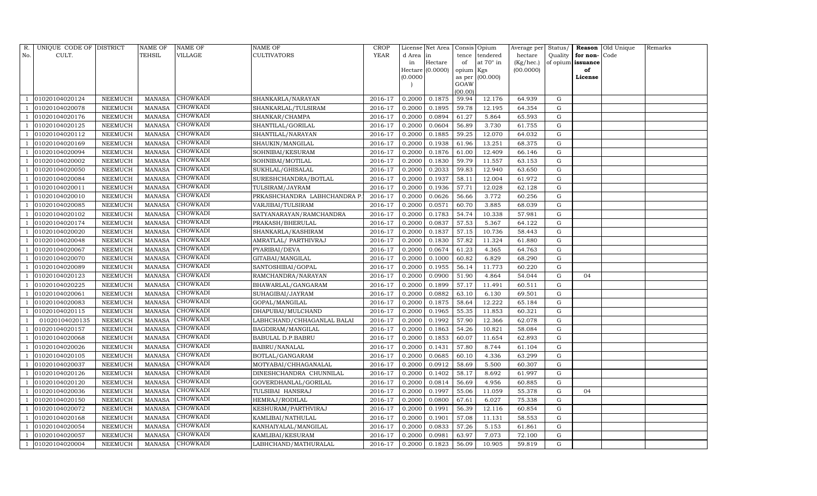| R.  | UNIQUE CODE OF DISTRICT |                 | <b>NAME OF</b> | NAME OF         | NAME OF                     | <b>CROP</b> |           | License Net Area |           | Consis Opium    | Average per | Status/   |          | Reason Old Unique | Remarks |
|-----|-------------------------|-----------------|----------------|-----------------|-----------------------------|-------------|-----------|------------------|-----------|-----------------|-------------|-----------|----------|-------------------|---------|
| No. | CULT.                   |                 | TEHSIL         | VILLAGE         | CULTIVATORS                 | <b>YEAR</b> | d Area in |                  | tence     | tendered        | hectare     | Quality   | for non- | Code              |         |
|     |                         |                 |                |                 |                             |             | in        | Hectare          | of        | at 70° in       | (Kg/hec.)   | of opium  | issuance |                   |         |
|     |                         |                 |                |                 |                             |             |           | Hectare (0.0000) | opium Kgs |                 | (00.0000)   |           | of       |                   |         |
|     |                         |                 |                |                 |                             |             | (0.0000)  |                  | GOAW      | as per (00.000) |             |           | License  |                   |         |
|     |                         |                 |                |                 |                             |             |           |                  | (00.00)   |                 |             |           |          |                   |         |
|     | 01020104020124          | NEEMUCH         | <b>MANASA</b>  | CHOWKADI        | SHANKARLA/NARAYAN           | 2016-17     | 0.2000    | 0.1875           | 59.94     | 12.176          | 64.939      | G         |          |                   |         |
|     | 01020104020078          | NEEMUCH         | <b>MANASA</b>  | <b>CHOWKADI</b> | SHANKARLAL/TULSIRAM         | 2016-17     | 0.2000    | 0.1895           | 59.78     | 12.195          | 64.354      | G         |          |                   |         |
|     | 01020104020176          | ${\tt NEEMUCH}$ | <b>MANASA</b>  | <b>CHOWKADI</b> | SHANKAR/CHAMPA              | 2016-17     | 0.2000    | 0.0894           | 61.27     | 5.864           | 65.593      | G         |          |                   |         |
|     | 01020104020125          | ${\tt NEEMUCH}$ | <b>MANASA</b>  | <b>CHOWKADI</b> | SHANTILAL/GORILAL           | 2016-17     | 0.2000    | 0.0604           | 56.89     | 3.730           | 61.755      | ${\rm G}$ |          |                   |         |
|     | 01020104020112          | NEEMUCH         | <b>MANASA</b>  | CHOWKADI        | SHANTILAL/NARAYAN           | 2016-17     | 0.2000    | 0.1885           | 59.25     | 12.070          | 64.032      | G         |          |                   |         |
|     | 01020104020169          | NEEMUCH         | <b>MANASA</b>  | CHOWKADI        | SHAUKIN/MANGILAL            | 2016-17     | 0.2000    | 0.1938           | 61.96     | 13.251          | 68.375      | ${\rm G}$ |          |                   |         |
|     | 01020104020094          | ${\tt NEEMUCH}$ | <b>MANASA</b>  | CHOWKADI        | SOHNIBAI/KESURAM            | 2016-17     | 0.2000    | 0.1876           | 61.00     | 12.409          | 66.146      | G         |          |                   |         |
|     | 01020104020002          | NEEMUCH         | <b>MANASA</b>  | CHOWKADI        | SOHNIBAI/MOTILAL            | 2016-17     | 0.2000    | 0.1830           | 59.79     | 11.557          | 63.153      | ${\rm G}$ |          |                   |         |
|     | 01020104020050          | NEEMUCH         | <b>MANASA</b>  | CHOWKADI        | SUKHLAL/GHISALAL            | 2016-17     | 0.2000    | 0.2033           | 59.83     | 12.940          | 63.650      | G         |          |                   |         |
|     | 01020104020084          | NEEMUCH         | <b>MANASA</b>  | CHOWKADI        | SURESHCHANDRA/BOTLAL        | 2016-17     | 0.2000    | 0.1937           | 58.11     | 12.004          | 61.972      | G         |          |                   |         |
|     | 01020104020011          | ${\tt NEEMUCH}$ | <b>MANASA</b>  | CHOWKADI        | TULSIRAM/JAYRAM             | 2016-17     | 0.2000    | 0.1936           | 57.71     | 12.028          | 62.128      | ${\rm G}$ |          |                   |         |
|     | 01020104020010          | NEEMUCH         | <b>MANASA</b>  | CHOWKADI        | PRKASHCHANDRA LABHCHANDRA P | 2016-17     | 0.2000    | 0.0626           | 56.66     | 3.772           | 60.256      | G         |          |                   |         |
|     | 01020104020085          | <b>NEEMUCH</b>  | <b>MANASA</b>  | <b>CHOWKADI</b> | VARJIBAI/TULSIRAM           | 2016-17     | 0.2000    | 0.0571           | 60.70     | 3.885           | 68.039      | ${\rm G}$ |          |                   |         |
|     | 01020104020102          | NEEMUCH         | <b>MANASA</b>  | CHOWKADI        | SATYANARAYAN/RAMCHANDRA     | 2016-17     | 0.2000    | 0.1783           | 54.74     | 10.338          | 57.981      | ${\rm G}$ |          |                   |         |
|     | 01020104020174          | NEEMUCH         | <b>MANASA</b>  | <b>CHOWKADI</b> | PRAKASH/BHERULAL            | 2016-17     | 0.2000    | 0.0837           | 57.53     | 5.367           | 64.122      | G         |          |                   |         |
|     | 01020104020020          | NEEMUCH         | <b>MANASA</b>  | CHOWKADI        | SHANKARLA/KASHIRAM          | 2016-17     | 0.2000    | 0.1837           | 57.15     | 10.736          | 58.443      | G         |          |                   |         |
|     | 01020104020048          | <b>NEEMUCH</b>  | <b>MANASA</b>  | CHOWKADI        | AMRATLAL/ PARTHIVRAJ        | 2016-17     | 0.2000    | 0.1830           | 57.82     | 11.324          | 61.880      | ${\rm G}$ |          |                   |         |
|     | 01020104020067          | NEEMUCH         | <b>MANASA</b>  | CHOWKADI        | PYARIBAI/DEVA               | 2016-17     | 0.2000    | 0.0674           | 61.23     | 4.365           | 64.763      | G         |          |                   |         |
|     | 01020104020070          | NEEMUCH         | <b>MANASA</b>  | CHOWKADI        | GITABAI/MANGILAL            | 2016-17     | 0.2000    | 0.1000           | 60.82     | 6.829           | 68.290      | G         |          |                   |         |
|     | 01020104020089          | <b>NEEMUCH</b>  | <b>MANASA</b>  | CHOWKADI        | SANTOSHIBAI/GOPAL           | 2016-17     | 0.2000    | 0.1955           | 56.14     | 11.773          | 60.220      | G         |          |                   |         |
|     | 01020104020123          | NEEMUCH         | <b>MANASA</b>  | CHOWKADI        | RAMCHANDRA/NARAYAN          | 2016-17     | 0.2000    | 0.0900           | 51.90     | 4.864           | 54.044      | ${\rm G}$ | 04       |                   |         |
|     | 01020104020225          | NEEMUCH         | <b>MANASA</b>  | CHOWKADI        | BHAWARLAL/GANGARAM          | 2016-17     | 0.2000    | 0.1899           | 57.17     | 11.491          | 60.511      | G         |          |                   |         |
|     | 01020104020061          | NEEMUCH         | <b>MANASA</b>  | CHOWKADI        | SUHAGIBAI/JAYRAM            | 2016-17     | 0.2000    | 0.0882           | 63.10     | 6.130           | 69.501      | ${\rm G}$ |          |                   |         |
|     | 01020104020083          | NEEMUCH         | <b>MANASA</b>  | CHOWKADI        | GOPAL/MANGILAL              | 2016-17     | 0.2000    | 0.1875           | 58.64     | 12.222          | 65.184      | ${\rm G}$ |          |                   |         |
|     | 01020104020115          | NEEMUCH         | <b>MANASA</b>  | CHOWKADI        | DHAPUBAI/MULCHAND           | 2016-17     | 0.2000    | 0.1965           | 55.35     | 11.853          | 60.321      | ${\rm G}$ |          |                   |         |
|     | 01020104020135          | NEEMUCH         | <b>MANASA</b>  | <b>CHOWKADI</b> | LABHCHAND/CHHAGANLAL BALAI  | 2016-17     | 0.2000    | 0.1992           | 57.90     | 12.366          | 62.078      | G         |          |                   |         |
|     | 01020104020157          | NEEMUCH         | <b>MANASA</b>  | CHOWKADI        | BAGDIRAM/MANGILAL           | 2016-17     | 0.2000    | 0.1863           | 54.26     | 10.821          | 58.084      | ${\rm G}$ |          |                   |         |
|     | 01020104020068          | <b>NEEMUCH</b>  | <b>MANASA</b>  | CHOWKADI        | BABULAL D.P.BABRU           | 2016-17     | 0.2000    | 0.1853           | 60.07     | 11.654          | 62.893      | ${\rm G}$ |          |                   |         |
|     | 01020104020026          | NEEMUCH         | MANASA         | <b>CHOWKADI</b> | BABRU/NANALAL               | 2016-17     | 0.2000    | 0.1431           | 57.80     | 8.744           | 61.104      | G         |          |                   |         |
|     | 01020104020105          | NEEMUCH         | <b>MANASA</b>  | CHOWKADI        | BOTLAL/GANGARAM             | 2016-17     | 0.2000    | 0.0685           | 60.10     | 4.336           | 63.299      | G         |          |                   |         |
|     | 01020104020037          | NEEMUCH         | <b>MANASA</b>  | CHOWKADI        | MOTYABAI/CHHAGANALAL        | 2016-17     | 0.2000    | 0.0912           | 58.69     | 5.500           | 60.307      | G         |          |                   |         |
|     | 01020104020126          | <b>NEEMUCH</b>  | <b>MANASA</b>  | CHOWKADI        | DINESHCHANDRA CHUNNILAL     | 2016-17     | 0.2000    | 0.1402           | 58.17     | 8.692           | 61.997      | G         |          |                   |         |
|     | 01020104020120          | NEEMUCH         | <b>MANASA</b>  | CHOWKADI        | GOVERDHANLAL/GORILAL        | 2016-17     | 0.2000    | 0.0814           | 56.69     | 4.956           | 60.885      | G         |          |                   |         |
|     | 01020104020036          | NEEMUCH         | <b>MANASA</b>  | CHOWKADI        | TULSIBAI HANSRAJ            | 2016-17     | 0.2000    | 0.1997           | 55.06     | 11.059          | 55.378      | G         | 04       |                   |         |
|     | 01020104020150          | NEEMUCH         | <b>MANASA</b>  | CHOWKADI        | HEMRAJ/RODILAL              | 2016-17     | 0.2000    | 0.0800           | 67.61     | 6.027           | 75.338      | G         |          |                   |         |
|     | 01020104020072          | NEEMUCH         | <b>MANASA</b>  | CHOWKADI        | KESHURAM/PARTHVIRAJ         | 2016-17     | 0.2000    | 0.1991           | 56.39     | 12.116          | 60.854      | ${\rm G}$ |          |                   |         |
|     | 01020104020168          | NEEMUCH         | <b>MANASA</b>  | <b>CHOWKADI</b> | KAMLIBAI/NATHULAL           | 2016-17     | 0.2000    | 0.1901           | 57.08     | 11.131          | 58.553      | G         |          |                   |         |
|     | 01020104020054          | NEEMUCH         | <b>MANASA</b>  | CHOWKADI        | KANHAIYALAL/MANGILAL        | 2016-17     | 0.2000    | 0.0833           | 57.26     | 5.153           | 61.861      | ${\rm G}$ |          |                   |         |
|     | 01020104020057          | NEEMUCH         | <b>MANASA</b>  | CHOWKADI        | KAMLIBAI/KESURAM            | 2016-17     | 0.2000    | 0.0981           | 63.97     | 7.073           | 72.100      | G         |          |                   |         |
|     | 01020104020004          | NEEMUCH         | MANASA         | <b>CHOWKADI</b> | LABHCHAND/MATHURALAL        | 2016-17     | 0.2000    | 0.1823           | 56.09     | 10.905          | 59.819      | G         |          |                   |         |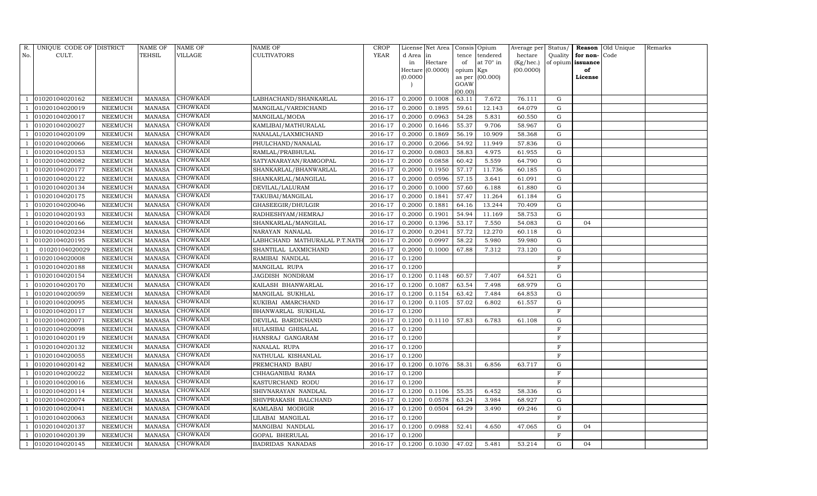| R.  | UNIQUE CODE OF DISTRICT |                | NAME OF       | NAME OF         | NAME OF                       | CROP        |           | License Net Area |                 | Consis Opium     | Average per Status/ |             |                   | Reason Old Unique | Remarks |
|-----|-------------------------|----------------|---------------|-----------------|-------------------------------|-------------|-----------|------------------|-----------------|------------------|---------------------|-------------|-------------------|-------------------|---------|
| No. | CULT.                   |                | TEHSIL        | VILLAGE         | CULTIVATORS                   | <b>YEAR</b> | d Area in |                  | tence           | tendered         | hectare             | Quality     | for non-          | Code              |         |
|     |                         |                |               |                 |                               |             | in        | Hectare          | of              | at $70^\circ$ in | (Kg/hec.)           |             | of opium issuance |                   |         |
|     |                         |                |               |                 |                               |             |           | Hectare (0.0000) | opium Kgs       |                  | (00.0000)           |             | of                |                   |         |
|     |                         |                |               |                 |                               |             | (0.0000)  |                  |                 | as per (00.000)  |                     |             | License           |                   |         |
|     |                         |                |               |                 |                               |             |           |                  | GOAW<br>(00.00) |                  |                     |             |                   |                   |         |
|     | 01020104020162          | NEEMUCH        | MANASA        | CHOWKADI        | LABHACHAND/SHANKARLAL         | 2016-17     | 0.2000    | 0.1008           | 63.11           | 7.672            | 76.111              | G           |                   |                   |         |
|     | 01020104020019          | NEEMUCH        | <b>MANASA</b> | CHOWKADI        | MANGILAL/VARDICHAND           | 2016-17     | 0.2000    | 0.1895           | 59.61           | 12.143           | 64.079              | G           |                   |                   |         |
|     | 01020104020017          | NEEMUCH        | <b>MANASA</b> | CHOWKADI        | MANGILAL/MODA                 | 2016-17     | 0.2000    | 0.0963           | 54.28           | 5.831            | 60.550              | G           |                   |                   |         |
|     | 01020104020027          | NEEMUCH        | <b>MANASA</b> | CHOWKADI        | KAMLIBAI/MATHURALAL           | 2016-17     | 0.2000    | 0.1646           | 55.37           | 9.706            | 58.967              | ${\rm G}$   |                   |                   |         |
|     | 01020104020109          | NEEMUCH        | <b>MANASA</b> | <b>CHOWKADI</b> | NANALAL/LAXMICHAND            | 2016-17     | 0.2000    | 0.1869           | 56.19           | 10.909           | 58.368              | G           |                   |                   |         |
|     | 01020104020066          | NEEMUCH        | <b>MANASA</b> | CHOWKADI        | PHULCHAND/NANALAL             | 2016-17     | 0.2000    | 0.2066           | 54.92           | 11.949           | 57.836              | $\mathbf G$ |                   |                   |         |
|     | 01020104020153          | NEEMUCH        | <b>MANASA</b> | CHOWKADI        | RAMLAL/PRABHULAL              | 2016-17     | 0.2000    | 0.0803           | 58.83           | 4.975            | 61.955              | G           |                   |                   |         |
|     | 01020104020082          | NEEMUCH        | <b>MANASA</b> | CHOWKADI        | SATYANARAYAN/RAMGOPAL         | 2016-17     | 0.2000    | 0.0858           | 60.42           | 5.559            | 64.790              | G           |                   |                   |         |
|     | 01020104020177          | <b>NEEMUCH</b> | <b>MANASA</b> | <b>CHOWKADI</b> | SHANKARLAL/BHANWARLAL         | 2016-17     | 0.2000    | 0.1950           | 57.17           | 11.736           | 60.185              | G           |                   |                   |         |
|     | 01020104020122          | NEEMUCH        | <b>MANASA</b> | CHOWKADI        | SHANKARLAL/MANGILAL           | 2016-17     | 0.2000    | 0.0596           | 57.15           | 3.641            | 61.091              | ${\rm G}$   |                   |                   |         |
|     | 01020104020134          | NEEMUCH        | <b>MANASA</b> | CHOWKADI        | DEVILAL/LALURAM               | 2016-17     | 0.2000    | 0.1000           | 57.60           | 6.188            | 61.880              | G           |                   |                   |         |
|     | 01020104020175          | NEEMUCH        | MANASA        | CHOWKADI        | TAKUBAI/MANGILAL              | 2016-17     | 0.2000    | 0.1841           | 57.47           | 11.264           | 61.184              | G           |                   |                   |         |
|     | 01020104020046          | <b>NEEMUCH</b> | <b>MANASA</b> | <b>CHOWKADI</b> | GHASEEGIR/DHULGIR             | 2016-17     | 0.2000    | 0.1881           | 64.16           | 13.244           | 70.409              | ${\rm G}$   |                   |                   |         |
|     | 01020104020193          | NEEMUCH        | MANASA        | CHOWKADI        | RADHESHYAM/HEMRAJ             | 2016-17     | 0.2000    | 0.1901           | 54.94           | 11.169           | 58.753              | G           |                   |                   |         |
|     | 01020104020166          | NEEMUCH        | <b>MANASA</b> | CHOWKADI        | SHANKARLAL/MANGILAL           | 2016-17     | 0.2000    | 0.1396           | 53.17           | 7.550            | 54.083              | G           | 04                |                   |         |
|     | 01020104020234          | NEEMUCH        | <b>MANASA</b> | CHOWKADI        | NARAYAN NANALAL               | 2016-17     | 0.2000    | 0.2041           | 57.72           | 12.270           | 60.118              | G           |                   |                   |         |
|     | 01020104020195          | NEEMUCH        | <b>MANASA</b> | CHOWKADI        | LABHCHAND MATHURALAL P.T.NATH | 2016-17     | 0.2000    | 0.0997           | 58.22           | 5.980            | 59.980              | G           |                   |                   |         |
|     | 01020104020029          | NEEMUCH        | MANASA        | CHOWKADI        | SHANTILAL LAXMICHAND          | 2016-17     | 0.2000    | 0.1000           | 67.88           | 7.312            | 73.120              | G           |                   |                   |         |
|     | 01020104020008          | NEEMUCH        | <b>MANASA</b> | CHOWKADI        | RAMIBAI NANDLAL               | 2016-17     | 0.1200    |                  |                 |                  |                     | F           |                   |                   |         |
|     | 01020104020188          | NEEMUCH        | <b>MANASA</b> | CHOWKADI        | MANGILAL RUPA                 | 2016-17     | 0.1200    |                  |                 |                  |                     | F           |                   |                   |         |
|     | 01020104020154          | NEEMUCH        | <b>MANASA</b> | <b>CHOWKADI</b> | JAGDISH NONDRAM               | 2016-17     | 0.1200    | 0.1148           | 60.57           | 7.407            | 64.521              | $\mathbf G$ |                   |                   |         |
|     | 01020104020170          | NEEMUCH        | <b>MANASA</b> | CHOWKADI        | KAILASH BHANWARLAL            | 2016-17     | 0.1200    | 0.1087           | 63.54           | 7.498            | 68.979              | G           |                   |                   |         |
|     | 01020104020059          | NEEMUCH        | <b>MANASA</b> | CHOWKADI        | MANGILAL SUKHLAL              | 2016-17     | 0.1200    | 0.1154           | 63.42           | 7.484            | 64.853              | G           |                   |                   |         |
|     | 01020104020095          | NEEMUCH        | <b>MANASA</b> | CHOWKADI        | KUKIBAI AMARCHAND             | 2016-17     | 0.1200    | 0.1105           | 57.02           | 6.802            | 61.557              | $\mathbf G$ |                   |                   |         |
|     | 01020104020117          | NEEMUCH        | <b>MANASA</b> | CHOWKADI        | BHANWARLAL SUKHLAL            | 2016-17     | 0.1200    |                  |                 |                  |                     | $\mathbf F$ |                   |                   |         |
|     | 01020104020071          | NEEMUCH        | <b>MANASA</b> | CHOWKADI        | DEVILAL BARDICHAND            | 2016-17     | 0.1200    | 0.1110           | 57.83           | 6.783            | 61.108              | G           |                   |                   |         |
|     | 01020104020098          | NEEMUCH        | <b>MANASA</b> | CHOWKADI        | HULASIBAI GHISALAL            | 2016-17     | 0.1200    |                  |                 |                  |                     | $\mathbf F$ |                   |                   |         |
|     | 01020104020119          | NEEMUCH        | <b>MANASA</b> | CHOWKADI        | HANSRAJ GANGARAM              | 2016-17     | 0.1200    |                  |                 |                  |                     | $\rm F$     |                   |                   |         |
|     | 01020104020132          | NEEMUCH        | <b>MANASA</b> | CHOWKADI        | NANALAL RUPA                  | 2016-17     | 0.1200    |                  |                 |                  |                     | $\mathbf F$ |                   |                   |         |
|     | 01020104020055          | NEEMUCH        | <b>MANASA</b> | CHOWKADI        | NATHULAL KISHANLAL            | 2016-17     | 0.1200    |                  |                 |                  |                     | $\mathbf F$ |                   |                   |         |
|     | 01020104020142          | NEEMUCH        | <b>MANASA</b> | CHOWKADI        | PREMCHAND BABU                | 2016-17     | 0.1200    | 0.1076           | 58.31           | 6.856            | 63.717              | G           |                   |                   |         |
|     | 01020104020022          | NEEMUCH        | <b>MANASA</b> | <b>CHOWKADI</b> | CHHAGANIBAI RAMA              | 2016-17     | 0.1200    |                  |                 |                  |                     | $\rm F$     |                   |                   |         |
|     | 01020104020016          | NEEMUCH        | <b>MANASA</b> | CHOWKADI        | KASTURCHAND RODU              | 2016-17     | 0.1200    |                  |                 |                  |                     | $\mathbf F$ |                   |                   |         |
|     | 01020104020114          | NEEMUCH        | <b>MANASA</b> | CHOWKADI        | SHIVNARAYAN NANDLAL           | 2016-17     | 0.1200    | 0.1106           | 55.35           | 6.452            | 58.336              | G           |                   |                   |         |
|     | 01020104020074          | NEEMUCH        | <b>MANASA</b> | CHOWKADI        | SHIVPRAKASH BALCHAND          | 2016-17     | 0.1200    | 0.0578           | 63.24           | 3.984            | 68.927              | ${\rm G}$   |                   |                   |         |
|     | 01020104020041          | <b>NEEMUCH</b> | <b>MANASA</b> | CHOWKADI        | KAMLABAI MODIGIR              | 2016-17     | 0.1200    | 0.0504           | 64.29           | 3.490            | 69.246              | ${\rm G}$   |                   |                   |         |
|     | 01020104020063          | NEEMUCH        | MANASA        | <b>CHOWKADI</b> | LILABAI MANGILAL              | 2016-17     | 0.1200    |                  |                 |                  |                     | $\mathbf F$ |                   |                   |         |
|     | 01020104020137          | NEEMUCH        | <b>MANASA</b> | CHOWKADI        | MANGIBAI NANDLAL              | 2016-17     | 0.1200    | 0.0988           | 52.41           | 4.650            | 47.065              | G           | 04                |                   |         |
|     | 01020104020139          | NEEMUCH        | <b>MANASA</b> | CHOWKADI        | GOPAL BHERULAL                | 2016-17     | 0.1200    |                  |                 |                  |                     | F           |                   |                   |         |
|     | 01020104020145          | NEEMUCH        | MANASA        | CHOWKADI        | <b>BADRIDAS NANADAS</b>       | 2016-17     |           | $0.1200$ 0.1030  | 47.02           | 5.481            | 53.214              | G           | 04                |                   |         |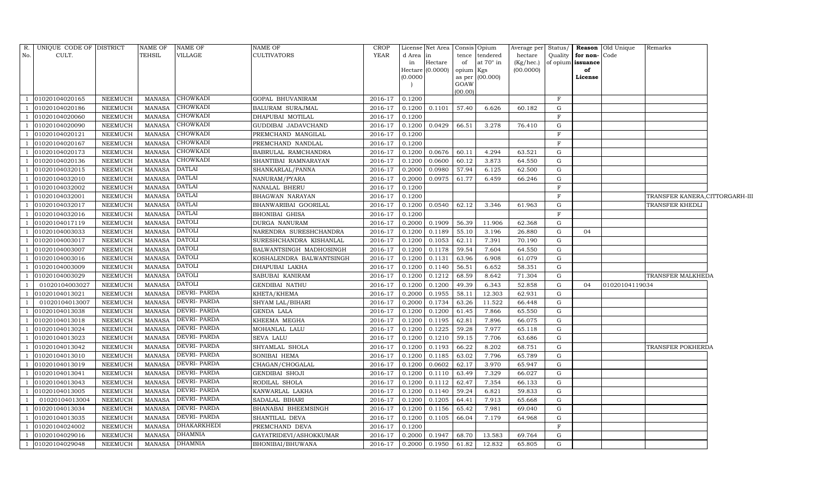|                | R. UNIQUE CODE OF DISTRICT |                | <b>NAME OF</b> | <b>NAME OF</b>     | NAME OF                  | CROP    |          | License Net Area   Consis   Opium |           |                  | Average per Status/ |             |                   | Reason Old Unique | Remarks                        |  |
|----------------|----------------------------|----------------|----------------|--------------------|--------------------------|---------|----------|-----------------------------------|-----------|------------------|---------------------|-------------|-------------------|-------------------|--------------------------------|--|
| No.            | CULT.                      |                | TEHSIL         | VILLAGE            | <b>CULTIVATORS</b>       | YEAR    | d Area   | in                                |           | tence tendered   | hectare             | Quality     | for non-Code      |                   |                                |  |
|                |                            |                |                |                    |                          |         | in       | Hectare                           | of        | at $70^\circ$ in | (Kg/hec.)           |             | of opium issuance |                   |                                |  |
|                |                            |                |                |                    |                          |         |          | Hectare $(0.0000)$                | opium Kgs |                  | (00.0000)           |             | of                |                   |                                |  |
|                |                            |                |                |                    |                          |         | (0.0000) |                                   | GOAW      | as per (00.000)  |                     |             | License           |                   |                                |  |
|                |                            |                |                |                    |                          |         |          |                                   | (00.00)   |                  |                     |             |                   |                   |                                |  |
|                | 01020104020165             | NEEMUCH        | MANASA         | <b>CHOWKADI</b>    | GOPAL BHUVANIRAM         | 2016-17 | 0.1200   |                                   |           |                  |                     | $_{\rm F}$  |                   |                   |                                |  |
|                | 01020104020186             | <b>NEEMUCH</b> | <b>MANASA</b>  | <b>CHOWKADI</b>    | BALURAM SURAJMAL         | 2016-17 | 0.1200   | 0.1101                            | 57.40     | 6.626            | 60.182              | $\mathbf G$ |                   |                   |                                |  |
|                | 01020104020060             | <b>NEEMUCH</b> | MANASA         | <b>CHOWKADI</b>    | DHAPUBAI MOTILAL         | 2016-17 | 0.1200   |                                   |           |                  |                     | $_{\rm F}$  |                   |                   |                                |  |
|                | 01020104020090             | NEEMUCH        | MANASA         | <b>CHOWKADI</b>    | GUDDIBAI JADAVCHAND      | 2016-17 | 0.1200   | 0.0429                            | 66.51     | 3.278            | 76.410              | $\mathbf G$ |                   |                   |                                |  |
|                | 01020104020121             | <b>NEEMUCH</b> | <b>MANASA</b>  | <b>CHOWKADI</b>    | PREMCHAND MANGILAL       | 2016-17 | 0.1200   |                                   |           |                  |                     | $\mathbf F$ |                   |                   |                                |  |
|                | 01020104020167             | <b>NEEMUCH</b> | MANASA         | <b>CHOWKADI</b>    | PREMCHAND NANDLAL        | 2016-17 | 0.1200   |                                   |           |                  |                     | $\rm F$     |                   |                   |                                |  |
|                | 01020104020173             | <b>NEEMUCH</b> | <b>MANASA</b>  | <b>CHOWKADI</b>    | BABRULAL RAMCHANDRA      | 2016-17 | 0.1200   | 0.0676                            | 60.11     | 4.294            | 63.521              | G           |                   |                   |                                |  |
|                | 01020104020136             | <b>NEEMUCH</b> | <b>MANASA</b>  | <b>CHOWKADI</b>    | SHANTIBAI RAMNARAYAN     | 2016-17 | 0.1200   | 0.0600                            | 60.12     | 3.873            | 64.550              | ${\rm G}$   |                   |                   |                                |  |
|                | 01020104032015             | NEEMUCH        | MANASA         | <b>DATLAI</b>      | SHANKARLAL/PANNA         | 2016-17 | 0.2000   | 0.0980                            | 57.94     | 6.125            | 62.500              | G           |                   |                   |                                |  |
|                | 01020104032010             | <b>NEEMUCH</b> | <b>MANASA</b>  | <b>DATLAI</b>      | NANURAM/PYARA            | 2016-17 | 0.2000   | 0.0975                            | 61.77     | 6.459            | 66.246              | G           |                   |                   |                                |  |
|                | 01020104032002             | NEEMUCH        | <b>MANASA</b>  | <b>DATLAI</b>      | NANALAL BHERU            | 2016-17 | 0.1200   |                                   |           |                  |                     | $_{\rm F}$  |                   |                   |                                |  |
|                | 01020104032001             | NEEMUCH        | <b>MANASA</b>  | <b>DATLAI</b>      | BHAGWAN NARAYAN          | 2016-17 | 0.1200   |                                   |           |                  |                     | F           |                   |                   | TRANSFER KANERA,CITTORGARH-III |  |
|                | 01020104032017             | <b>NEEMUCH</b> | <b>MANASA</b>  | <b>DATLAI</b>      | BHANWARIBAI GOORILAL     | 2016-17 | 0.1200   | 0.0540                            | 62.12     | 3.346            | 61.963              | G           |                   |                   | TRANSFER KHEDLI                |  |
|                | 01020104032016             | <b>NEEMUCH</b> | <b>MANASA</b>  | DATLAI             | <b>BHONIBAI GHISA</b>    | 2016-17 | 0.1200   |                                   |           |                  |                     | $_{\rm F}$  |                   |                   |                                |  |
|                | 01020104017119             | <b>NEEMUCH</b> | MANASA         | <b>DATOLI</b>      | DURGA NANURAM            | 2016-17 | 0.2000   | 0.1909                            | 56.39     | 11.906           | 62.368              | G           |                   |                   |                                |  |
|                | 01020104003033             | NEEMUCH        | <b>MANASA</b>  | <b>DATOLI</b>      | NARENDRA SURESHCHANDRA   | 2016-17 | 0.1200   | 0.1189                            | 55.10     | 3.196            | 26.880              | $\mathbf G$ | 04                |                   |                                |  |
|                | 01020104003017             | <b>NEEMUCH</b> | <b>MANASA</b>  | <b>DATOLI</b>      | SURESHCHANDRA KISHANLAL  | 2016-17 | 0.1200   | 0.1053                            | 62.11     | 7.391            | 70.190              | G           |                   |                   |                                |  |
|                | 01020104003007             | NEEMUCH        | <b>MANASA</b>  | <b>DATOLI</b>      | BALWANTSINGH MADHOSINGH  | 2016-17 | 0.1200   | 0.1178                            | 59.54     | 7.604            | 64.550              | G           |                   |                   |                                |  |
|                | 01020104003016             | <b>NEEMUCH</b> | MANASA         | <b>DATOLI</b>      | KOSHALENDRA BALWANTSINGH | 2016-17 | 0.1200   | 0.1131                            | 63.96     | 6.908            | 61.079              | G           |                   |                   |                                |  |
|                | 01020104003009             | NEEMUCH        | MANASA         | <b>DATOLI</b>      | DHAPUBAI LAKHA           | 2016-17 | 0.1200   | 0.1140                            | 56.51     | 6.652            | 58.351              | G           |                   |                   |                                |  |
|                | 01020104003029             | <b>NEEMUCH</b> | <b>MANASA</b>  | <b>DATOLI</b>      | SABUBAI KANIRAM          | 2016-17 | 0.1200   | 0.1212                            | 68.59     | 8.642            | 71.304              | G           |                   |                   | TRANSFER MALKHEDA              |  |
| - 1            | 01020104003027             | <b>NEEMUCH</b> | <b>MANASA</b>  | <b>DATOLI</b>      | <b>GENDIBAI NATHU</b>    | 2016-17 | 0.1200   | 0.1200                            | 49.39     | 6.343            | 52.858              | $\mathbf G$ | 04                | 01020104119034    |                                |  |
|                | 01020104013021             | <b>NEEMUCH</b> | MANASA         | <b>DEVRI-PARDA</b> | KHETA/KHEMA              | 2016-17 | 0.2000   | 0.1955                            | 58.11     | 12.303           | 62.931              | G           |                   |                   |                                |  |
| $\overline{1}$ | 01020104013007             | NEEMUCH        | MANASA         | <b>DEVRI-PARDA</b> | SHYAM LAL/BIHARI         | 2016-17 | 0.2000   | 0.1734                            | 63.26     | 11.522           | 66.448              | $\mathbf G$ |                   |                   |                                |  |
|                | 01020104013038             | NEEMUCH        | <b>MANASA</b>  | <b>DEVRI-PARDA</b> | GENDA LALA               | 2016-17 | 0.1200   | 0.1200                            | 61.45     | 7.866            | 65.550              | G           |                   |                   |                                |  |
|                | 01020104013018             | NEEMUCH        | <b>MANASA</b>  | DEVRI- PARDA       | KHEEMA MEGHA             | 2016-17 | 0.1200   | 0.1195                            | 62.81     | 7.896            | 66.075              | G           |                   |                   |                                |  |
|                | 01020104013024             | <b>NEEMUCH</b> | <b>MANASA</b>  | <b>DEVRI-PARDA</b> | MOHANLAL LALU            | 2016-17 | 0.1200   | 0.1225                            | 59.28     | 7.977            | 65.118              | G           |                   |                   |                                |  |
|                | 01020104013023             | NEEMUCH        | MANASA         | DEVRI- PARDA       | SEVA LALU                | 2016-17 | 0.1200   | 0.1210                            | 59.15     | 7.706            | 63.686              | G           |                   |                   |                                |  |
|                | 01020104013042             | <b>NEEMUCH</b> | MANASA         | <b>DEVRI-PARDA</b> | SHYAMLAL SHOLA           | 2016-17 | 0.1200   | 0.1193                            | 66.22     | 8.202            | 68.751              | $\mathbf G$ |                   |                   | TRANSFER POKHERDA              |  |
|                | 01020104013010             | <b>NEEMUCH</b> | <b>MANASA</b>  | <b>DEVRI-PARDA</b> | SONIBAI HEMA             | 2016-17 | 0.1200   | 0.1185                            | 63.02     | 7.796            | 65.789              | G           |                   |                   |                                |  |
|                | 01020104013019             | <b>NEEMUCH</b> | <b>MANASA</b>  | <b>DEVRI-PARDA</b> | CHAGAN/CHOGALAL          | 2016-17 | 0.1200   | 0.0602                            | 62.17     | 3.970            | 65.947              | $\mathbf G$ |                   |                   |                                |  |
|                | 01020104013041             | NEEMUCH        | MANASA         | <b>DEVRI-PARDA</b> | <b>GENDIBAI SHOJI</b>    | 2016-17 | 0.1200   | 0.1110                            | 63.49     | 7.329            | 66.027              | $\mathbf G$ |                   |                   |                                |  |
|                | 01020104013043             | <b>NEEMUCH</b> | <b>MANASA</b>  | DEVRI- PARDA       | RODILAL SHOLA            | 2016-17 | 0.1200   | 0.1112                            | 62.47     | 7.354            | 66.133              | G           |                   |                   |                                |  |
|                | 01020104013005             | <b>NEEMUCH</b> | <b>MANASA</b>  | <b>DEVRI-PARDA</b> | KANWARLAL LAKHA          | 2016-17 | 0.1200   | 0.1140                            | 59.24     | 6.821            | 59.833              | G           |                   |                   |                                |  |
| $\overline{1}$ | 01020104013004             | <b>NEEMUCH</b> | MANASA         | <b>DEVRI-PARDA</b> | SADALAL BIHARI           | 2016-17 | 0.1200   | 0.1205                            | 64.41     | 7.913            | 65.668              | G           |                   |                   |                                |  |
|                | 01020104013034             | <b>NEEMUCH</b> | <b>MANASA</b>  | DEVRI- PARDA       | BHANABAI BHEEMSINGH      | 2016-17 | 0.1200   | 0.1156                            | 65.42     | 7.981            | 69.040              | G           |                   |                   |                                |  |
|                | 01020104013035             | <b>NEEMUCH</b> | <b>MANASA</b>  | <b>DEVRI-PARDA</b> | SHANTILAL DEVA           | 2016-17 | 0.1200   | 0.1105                            | 66.04     | 7.179            | 64.968              | $\mathbf G$ |                   |                   |                                |  |
|                | 01020104024002             | <b>NEEMUCH</b> | <b>MANASA</b>  | <b>DHAKARKHEDI</b> | PREMCHAND DEVA           | 2016-17 | 0.1200   |                                   |           |                  |                     | $\mathbf F$ |                   |                   |                                |  |
|                | 01020104029016             | <b>NEEMUCH</b> | <b>MANASA</b>  | <b>DHAMNIA</b>     | GAYATRIDEVI/ASHOKKUMAR   | 2016-17 | 0.2000   | 0.1947                            | 68.70     | 13.583           | 69.764              | G           |                   |                   |                                |  |
| -1             | 01020104029048             | NEEMUCH        | MANASA         | <b>DHAMNIA</b>     | BHONIBAI/BHUWANA         | 2016-17 | 0.2000   | 0.1950                            | 61.82     | 12.832           | 65.805              | $\mathbf G$ |                   |                   |                                |  |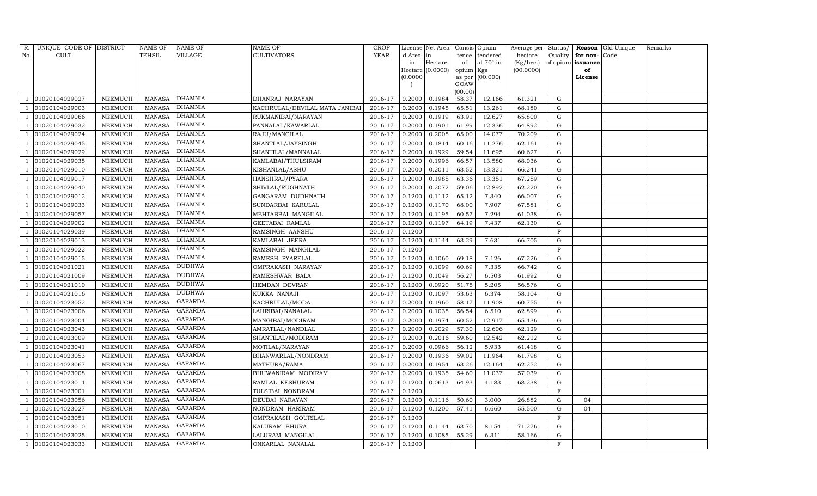| R.             | UNIQUE CODE OF DISTRICT |                | <b>NAME OF</b> | NAME OF        | <b>NAME OF</b>                 | <b>CROP</b> |           | License Net Area |                  | Consis Opium      | Average per | Status/     |                   | Reason Old Unique | Remarks |
|----------------|-------------------------|----------------|----------------|----------------|--------------------------------|-------------|-----------|------------------|------------------|-------------------|-------------|-------------|-------------------|-------------------|---------|
| No.            | CULT.                   |                | TEHSIL         | VILLAGE        | <b>CULTIVATORS</b>             | <b>YEAR</b> | d Area in |                  | tence            | tendered          | hectare     | Quality     | for non-          | Code              |         |
|                |                         |                |                |                |                                |             | in        | Hectare          | of               | at $70^\circ$ in  | (Kg/hec.)   |             | of opium issuance |                   |         |
|                |                         |                |                |                |                                |             |           | Hectare (0.0000) | opium Kgs        |                   | (00.0000)   |             | of                |                   |         |
|                |                         |                |                |                |                                |             | (0.0000)  |                  |                  | as per $(00.000)$ |             |             | License           |                   |         |
|                |                         |                |                |                |                                |             |           |                  | GOAW             |                   |             |             |                   |                   |         |
|                | 01020104029027          | NEEMUCH        | <b>MANASA</b>  | DHAMNIA        | DHANRAJ NARAYAN                | 2016-17     | 0.2000    | 0.1984           | (00.00)<br>58.37 | 12.166            | 61.321      | G           |                   |                   |         |
|                | 01020104029003          | NEEMUCH        | <b>MANASA</b>  | <b>DHAMNIA</b> | KACHRULAL/DEVILAL MATA JANIBAI | 2016-17     | 0.2000    | 0.1945           | 65.51            | 13.261            | 68.180      | G           |                   |                   |         |
|                | 01020104029066          | NEEMUCH        | <b>MANASA</b>  | DHAMNIA        | RUKMANIBAI/NARAYAN             | 2016-17     | 0.2000    | 0.1919           | 63.91            | 12.627            | 65.800      | G           |                   |                   |         |
|                | 01020104029032          | NEEMUCH        | <b>MANASA</b>  | <b>DHAMNIA</b> | PANNALAL/KAWARLAL              | 2016-17     | 0.2000    | 0.1901           | 61.99            | 12.336            | 64.892      | ${\rm G}$   |                   |                   |         |
|                | 01020104029024          | NEEMUCH        | <b>MANASA</b>  | <b>DHAMNIA</b> | RAJU/MANGILAL                  | 2016-17     | 0.2000    | 0.2005           | 65.00            | 14.077            | 70.209      | ${\rm G}$   |                   |                   |         |
|                | 01020104029045          | NEEMUCH        | <b>MANASA</b>  | <b>DHAMNIA</b> | SHANTLAL/JAYSINGH              | 2016-17     | 0.2000    | 0.1814           | 60.16            | 11.276            | 62.161      | ${\rm G}$   |                   |                   |         |
|                | 01020104029029          | NEEMUCH        | MANASA         | <b>DHAMNIA</b> | SHANTILAL/MANNALAL             | 2016-17     | 0.2000    | 0.1929           | 59.54            | 11.695            | 60.627      | G           |                   |                   |         |
|                | 01020104029035          | NEEMUCH        | <b>MANASA</b>  | <b>DHAMNIA</b> | KAMLABAI/THULSIRAM             | 2016-17     | 0.2000    | 0.1996           | 66.57            | 13.580            | 68.036      | ${\rm G}$   |                   |                   |         |
|                | 01020104029010          | NEEMUCH        | <b>MANASA</b>  | <b>DHAMNIA</b> | KISHANLAL/ASHU                 | 2016-17     | 0.2000    | 0.2011           | 63.52            | 13.321            | 66.241      | G           |                   |                   |         |
|                | 01020104029017          | NEEMUCH        | <b>MANASA</b>  | <b>DHAMNIA</b> | HANSHRAJ/PYARA                 | 2016-17     | 0.2000    | 0.1985           | 63.36            | 13.351            | 67.259      | G           |                   |                   |         |
|                | 01020104029040          | NEEMUCH        | <b>MANASA</b>  | <b>DHAMNIA</b> | SHIVLAL/RUGHNATH               | 2016-17     | 0.2000    | 0.2072           | 59.06            | 12.892            | 62.220      | G           |                   |                   |         |
|                | 01020104029012          | NEEMUCH        | MANASA         | <b>DHAMNIA</b> | GANGARAM DUDHNATH              | 2016-17     | 0.1200    | 0.1112           | 65.12            | 7.340             | 66.007      | $\mathbf G$ |                   |                   |         |
|                | 01020104029033          | NEEMUCH        | <b>MANASA</b>  | <b>DHAMNIA</b> | SUNDARBAI KARULAL              | 2016-17     | 0.1200    | 0.1170           | 68.00            | 7.907             | 67.581      | G           |                   |                   |         |
|                | 01020104029057          | NEEMUCH        | <b>MANASA</b>  | <b>DHAMNIA</b> | MEHTABBAI MANGILAL             | 2016-17     | 0.1200    | 0.1195           | 60.57            | 7.294             | 61.038      | G           |                   |                   |         |
|                | 01020104029002          | NEEMUCH        | MANASA         | <b>DHAMNIA</b> | GEETABAI RAMLAL                | 2016-17     | 0.1200    | 0.1197           | 64.19            | 7.437             | 62.130      | G           |                   |                   |         |
|                | 01020104029039          | NEEMUCH        | <b>MANASA</b>  | <b>DHAMNIA</b> | RAMSINGH AANSHU                | 2016-17     | 0.1200    |                  |                  |                   |             | $\mathbf F$ |                   |                   |         |
|                | 01020104029013          | <b>NEEMUCH</b> | <b>MANASA</b>  | DHAMNIA        | KAMLABAI JEERA                 | 2016-17     | 0.1200    | 0.1144           | 63.29            | 7.631             | 66.705      | $\mathbf G$ |                   |                   |         |
|                | 01020104029022          | NEEMUCH        | <b>MANASA</b>  | <b>DHAMNIA</b> | RAMSINGH MANGILAL              | 2016-17     | 0.1200    |                  |                  |                   |             | $\mathbf F$ |                   |                   |         |
|                | 01020104029015          | NEEMUCH        | <b>MANASA</b>  | <b>DHAMNIA</b> | RAMESH PYARELAL                | 2016-17     | 0.1200    | 0.1060           | 69.18            | 7.126             | 67.226      | G           |                   |                   |         |
|                | 01020104021021          | NEEMUCH        | <b>MANASA</b>  | DUDHWA         | OMPRAKASH NARAYAN              | 2016-17     | 0.1200    | 0.1099           | 60.69            | 7.335             | 66.742      | G           |                   |                   |         |
|                | 01020104021009          | <b>NEEMUCH</b> | <b>MANASA</b>  | <b>DUDHWA</b>  | RAMESHWAR BALA                 | 2016-17     | 0.1200    | 0.1049           | 56.27            | 6.503             | 61.992      | ${\rm G}$   |                   |                   |         |
|                | 01020104021010          | NEEMUCH        | <b>MANASA</b>  | DUDHWA         | HEMDAN DEVRAN                  | 2016-17     | 0.1200    | 0.0920           | 51.75            | 5.205             | 56.576      | G           |                   |                   |         |
|                | 01020104021016          | NEEMUCH        | <b>MANASA</b>  | <b>DUDHWA</b>  | KUKKA NANAJI                   | 2016-17     | 0.1200    | 0.1097           | 53.63            | 6.374             | 58.104      | G           |                   |                   |         |
|                | 01020104023052          | NEEMUCH        | MANASA         | <b>GAFARDA</b> | KACHRULAL/MODA                 | 2016-17     | 0.2000    | 0.1960           | 58.17            | 11.908            | 60.755      | G           |                   |                   |         |
|                | 01020104023006          | NEEMUCH        | <b>MANASA</b>  | <b>GAFARDA</b> | LAHRIBAI/NANALAL               | 2016-17     | 0.2000    | 0.1035           | 56.54            | 6.510             | 62.899      | G           |                   |                   |         |
|                | 01020104023004          | NEEMUCH        | <b>MANASA</b>  | <b>GAFARDA</b> | MANGIBAI/MODIRAM               | 2016-17     | 0.2000    | 0.1974           | 60.52            | 12.917            | 65.436      | G           |                   |                   |         |
|                | 01020104023043          | NEEMUCH        | <b>MANASA</b>  | <b>GAFARDA</b> | AMRATLAL/NANDLAL               | 2016-17     | 0.2000    | 0.2029           | 57.30            | 12.606            | 62.129      | G           |                   |                   |         |
|                | 01020104023009          | NEEMUCH        | MANASA         | <b>GAFARDA</b> | SHANTILAL/MODIRAM              | 2016-17     | 0.2000    | 0.2016           | 59.60            | 12.542            | 62.212      | G           |                   |                   |         |
|                | 01020104023041          | NEEMUCH        | <b>MANASA</b>  | <b>GAFARDA</b> | MOTILAL/NARAYAN                | 2016-17     | 0.2000    | 0.0966           | 56.12            | 5.933             | 61.418      | G           |                   |                   |         |
|                | 01020104023053          | NEEMUCH        | <b>MANASA</b>  | <b>GAFARDA</b> | BHANWARLAL/NONDRAM             | 2016-17     | 0.2000    | 0.1936           | 59.02            | 11.964            | 61.798      | G           |                   |                   |         |
|                | 01020104023067          | NEEMUCH        | <b>MANASA</b>  | <b>GAFARDA</b> | MATHURA/RAMA                   | 2016-17     | 0.2000    | 0.1954           | 63.26            | 12.164            | 62.252      | G           |                   |                   |         |
|                | 01020104023008          | NEEMUCH        | <b>MANASA</b>  | GAFARDA        | BHUWANIRAM MODIRAM             | 2016-17     | 0.2000    | 0.1935           | 54.60            | 11.037            | 57.039      | ${\rm G}$   |                   |                   |         |
|                | 01020104023014          | NEEMUCH        | <b>MANASA</b>  | <b>GAFARDA</b> | RAMLAL KESHURAM                | 2016-17     | 0.1200    | 0.0613           | 64.93            | 4.183             | 68.238      | G           |                   |                   |         |
|                | 01020104023001          | NEEMUCH        | <b>MANASA</b>  | <b>GAFARDA</b> | TULSIBAI NONDRAM               | 2016-17     | 0.1200    |                  |                  |                   |             | $\mathbf F$ |                   |                   |         |
|                | 01020104023056          | NEEMUCH        | <b>MANASA</b>  | <b>GAFARDA</b> | DEUBAI NARAYAN                 | 2016-17     | 0.1200    | 0.1116           | 50.60            | 3.000             | 26.882      | G           | 04                |                   |         |
|                | 01020104023027          | NEEMUCH        | <b>MANASA</b>  | <b>GAFARDA</b> | NONDRAM HARIRAM                | 2016-17     | 0.1200    | 0.1200           | 57.41            | 6.660             | 55.500      | G           | 04                |                   |         |
|                | 01020104023051          | NEEMUCH        | <b>MANASA</b>  | <b>GAFARDA</b> | OMPRAKASH GOURILAL             | 2016-17     | 0.1200    |                  |                  |                   |             | $\mathbf F$ |                   |                   |         |
|                | 01020104023010          | NEEMUCH        | <b>MANASA</b>  | <b>GAFARDA</b> | KALURAM BHURA                  | 2016-17     | 0.1200    | 0.1144           | 63.70            | 8.154             | 71.276      | ${\rm G}$   |                   |                   |         |
|                | 01020104023025          | NEEMUCH        | MANASA         | <b>GAFARDA</b> | LALURAM MANGILAL               | 2016-17     | 0.1200    | 0.1085           | 55.29            | 6.311             | 58.166      | G           |                   |                   |         |
| $\overline{1}$ | 01020104023033          | NEEMUCH        | MANASA         | <b>GAFARDA</b> | ONKARLAL NANALAL               | 2016-17     | 0.1200    |                  |                  |                   |             | $\mathbf F$ |                   |                   |         |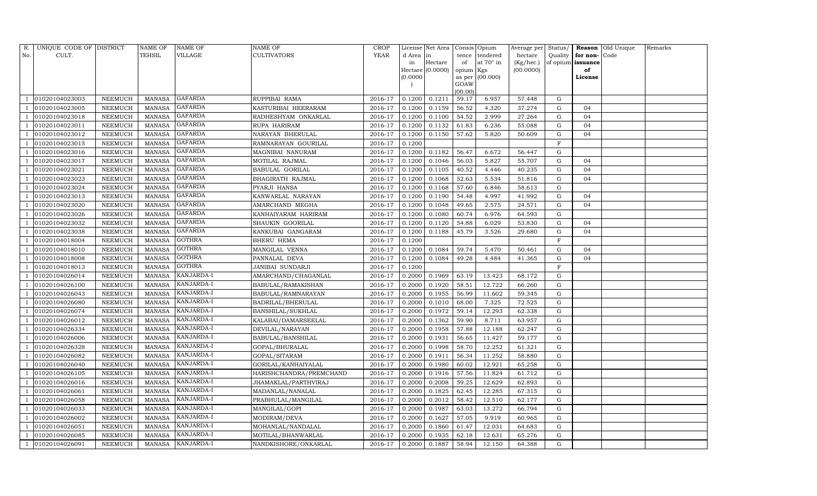| R.  | UNIQUE CODE OF DISTRICT |                | NAME OF       | <b>NAME OF</b> | NAME OF                 | CROP        |          | License Net Area   |           | Consis Opium     | Average per Status/ |              |                   | Reason Old Unique | Remarks |
|-----|-------------------------|----------------|---------------|----------------|-------------------------|-------------|----------|--------------------|-----------|------------------|---------------------|--------------|-------------------|-------------------|---------|
| No. | CULT.                   |                | TEHSIL        | VILLAGE        | <b>CULTIVATORS</b>      | <b>YEAR</b> | d Area   | in                 |           | tence tendered   | hectare             | Quality      | for non-Code      |                   |         |
|     |                         |                |               |                |                         |             | in       | Hectare            | of        | at $70^\circ$ in | (Kg/hec.)           |              | of opium issuance |                   |         |
|     |                         |                |               |                |                         |             |          | Hectare $(0.0000)$ | opium Kgs |                  | (00.0000)           |              | of                |                   |         |
|     |                         |                |               |                |                         |             | (0.0000) |                    | GOAW      | as per (00.000)  |                     |              | License           |                   |         |
|     |                         |                |               |                |                         |             |          |                    | (00.00)   |                  |                     |              |                   |                   |         |
|     | 01020104023003          | NEEMUCH        | MANASA        | <b>GAFARDA</b> | RUPPIBAI RAMA           | 2016-17     | 0.1200   | 0.1211             | 59.17     | 6.957            | 57.448              | G            |                   |                   |         |
|     | 01020104023005          | NEEMUCH        | <b>MANASA</b> | <b>GAFARDA</b> | KASTURIBAI HEERARAM     | 2016-17     | 0.1200   | 0.1159             | 56.52     | 4.320            | 37.274              | G            | 04                |                   |         |
|     | 01020104023018          | NEEMUCH        | <b>MANASA</b> | <b>GAFARDA</b> | RADHESHYAM ONKARLAL     | 2016-17     | 0.1200   | 0.1100             | 54.52     | 2.999            | 27.264              | G            | 04                |                   |         |
|     | 01020104023011          | NEEMUCH        | <b>MANASA</b> | <b>GAFARDA</b> | RUPA HARIRAM            | 2016-17     | 0.1200   | 0.1132             | 61.83     | 6.236            | 55.088              | G            | 04                |                   |         |
|     | 01020104023012          | NEEMUCH        | <b>MANASA</b> | <b>GAFARDA</b> | NARAYAN BHERULAL        | 2016-17     | 0.1200   | 0.1150             | 57.62     | 5.820            | 50.609              | G            | 04                |                   |         |
|     | 01020104023015          | NEEMUCH        | <b>MANASA</b> | GAFARDA        | RAMNARAYAN GOURILAL     | 2016-17     | 0.1200   |                    |           |                  |                     | $\mathbf F$  |                   |                   |         |
|     | 01020104023016          | NEEMUCH        | <b>MANASA</b> | <b>GAFARDA</b> | MAGNIBAI NANURAM        | 2016-17     | 0.1200   | 0.1182             | 56.47     | 6.672            | 56.447              | G            |                   |                   |         |
|     | 01020104023017          | NEEMUCH        | <b>MANASA</b> | <b>GAFARDA</b> | MOTILAL RAJMAL          | 2016-17     | 0.1200   | 0.1046             | 56.03     | 5.827            | 55.707              | G            | 04                |                   |         |
|     | 01020104023021          | <b>NEEMUCH</b> | <b>MANASA</b> | <b>GAFARDA</b> | <b>BABULAL GORILAL</b>  | 2016-17     | 0.1200   | 0.1105             | 40.52     | 4.446            | 40.235              | G            | 04                |                   |         |
|     | 01020104023023          | NEEMUCH        | <b>MANASA</b> | <b>GAFARDA</b> | BHAGIRATH RAJMAL        | 2016-17     | 0.1200   | 0.1068             | 52.63     | 5.534            | 51.816              | G            | 04                |                   |         |
|     | 01020104023024          | NEEMUCH        | <b>MANASA</b> | <b>GAFARDA</b> | PYARJI HANSA            | 2016-17     | 0.1200   | 0.1168             | 57.60     | 6.846            | 58.613              | G            |                   |                   |         |
|     | 01020104023013          | NEEMUCH        | <b>MANASA</b> | GAFARDA        | KANWARLAL NARAYAN       | 2016-17     | 0.1200   | 0.1190             | 54.48     | 4.997            | 41.992              | G            | 04                |                   |         |
|     | 01020104023020          | NEEMUCH        | <b>MANASA</b> | <b>GAFARDA</b> | AMARCHAND MEGHA         | 2016-17     | 0.1200   | 0.1048             | 49.65     | 2.575            | 24.571              | G            | 04                |                   |         |
|     | 01020104023026          | NEEMUCH        | <b>MANASA</b> | <b>GAFARDA</b> | KANHAIYARAM HARIRAM     | 2016-17     | 0.1200   | 0.1080             | 60.74     | 6.976            | 64.593              | G            |                   |                   |         |
|     | 01020104023032          | NEEMUCH        | <b>MANASA</b> | <b>GAFARDA</b> | SHAUKIN GOORILAL        | 2016-17     | 0.1200   | 0.1120             | 54.88     | 6.029            | 53.830              | G            | 04                |                   |         |
|     | 01020104023038          | NEEMUCH        | <b>MANASA</b> | <b>GAFARDA</b> | KANKUBAI GANGARAM       | 2016-17     | 0.1200   | 0.1188             | 45.79     | 3.526            | 29.680              | G            | 04                |                   |         |
|     | 01020104018004          | NEEMUCH        | <b>MANASA</b> | <b>GOTHRA</b>  | BHERU HEMA              | 2016-17     | 0.1200   |                    |           |                  |                     | $\mathbf F$  |                   |                   |         |
|     | 01020104018010          | NEEMUCH        | <b>MANASA</b> | <b>GOTHRA</b>  | MANGILAL VENNA          | 2016-17     | 0.1200   | 0.1084             | 59.74     | 5.470            | 50.461              | G            | 04                |                   |         |
|     | 01020104018008          | NEEMUCH        | <b>MANASA</b> | <b>GOTHRA</b>  | PANNALAL DEVA           | 2016-17     | 0.1200   | 0.1084             | 49.28     | 4.484            | 41.365              | $\mathbf G$  | 04                |                   |         |
|     | 01020104018013          | NEEMUCH        | <b>MANASA</b> | GOTHRA         | JANIBAI SUNDARJI        | 2016-17     | 0.1200   |                    |           |                  |                     | $\mathbf{F}$ |                   |                   |         |
|     | 01020104026014          | NEEMUCH        | <b>MANASA</b> | KANJARDA-I     | AMARCHAND/CHAGANLAL     | 2016-17     | 0.2000   | 0.1969             | 63.19     | 13.423           | 68.172              | $\mathbf G$  |                   |                   |         |
|     | 01020104026100          | NEEMUCH        | <b>MANASA</b> | KANJARDA-I     | BABULAL/RAMAKISHAN      | 2016-17     | 0.2000   | 0.1920             | 58.51     | 12.722           | 66.260              | G            |                   |                   |         |
|     | 01020104026043          | NEEMUCH        | <b>MANASA</b> | KANJARDA-I     | BABULAL/RAMNARAYAN      | 2016-17     | 0.2000   | 0.1955             | 56.99     | 11.602           | 59.345              | G            |                   |                   |         |
|     | 01020104026080          | NEEMUCH        | <b>MANASA</b> | KANJARDA-I     | BADRILAL/BHERULAL       | 2016-17     | 0.2000   | 0.1010             | 68.00     | 7.325            | 72.525              | $\mathbf G$  |                   |                   |         |
|     | 01020104026074          | NEEMUCH        | <b>MANASA</b> | KANJARDA-I     | BANSHILAL/SUKHLAL       | 2016-17     | 0.2000   | 0.1972             | 59.14     | 12.293           | 62.338              | G            |                   |                   |         |
|     | 01020104026012          | NEEMUCH        | <b>MANASA</b> | KANJARDA-I     | KALABAI/DAMARSEELAL     | 2016-17     | 0.2000   | 0.1362             | 59.90     | 8.711            | 63.957              | G            |                   |                   |         |
|     | 01020104026334          | NEEMUCH        | <b>MANASA</b> | KANJARDA-I     | DEVILAL/NARAYAN         | 2016-17     | 0.2000   | 0.1958             | 57.88     | 12.188           | 62.247              | $\mathbf G$  |                   |                   |         |
|     | 01020104026006          | <b>NEEMUCH</b> | <b>MANASA</b> | KANJARDA-I     | BABULAL/BANSHILAL       | 2016-17     | 0.2000   | 0.1931             | 56.65     | 11.427           | 59.177              | G            |                   |                   |         |
|     | 01020104026328          | NEEMUCH        | <b>MANASA</b> | KANJARDA-I     | GOPAL/BHURALAL          | 2016-17     | 0.2000   | 0.1998             | 58.70     | 12.252           | 61.321              | G            |                   |                   |         |
|     | 01020104026082          | NEEMUCH        | <b>MANASA</b> | KANJARDA-I     | GOPAL/SITARAM           | 2016-17     | 0.2000   | 0.1911             | 56.34     | 11.252           | 58.880              | $\mathbf G$  |                   |                   |         |
|     | 01020104026040          | NEEMUCH        | MANASA        | KANJARDA-I     | GORILAL/KANHAIYALAL     | 2016-17     | 0.2000   | 0.1980             | 60.02     | 12.921           | 65.258              | G            |                   |                   |         |
|     | 01020104026105          | <b>NEEMUCH</b> | <b>MANASA</b> | KANJARDA-I     | HARISHCHANDRA/PREMCHAND | 2016-17     | 0.2000   | 0.1916             | 57.56     | 11.824           | 61.712              | G            |                   |                   |         |
|     | 01020104026016          | <b>NEEMUCH</b> | <b>MANASA</b> | KANJARDA-I     | JHAMAKLAL/PARTHVIRAJ    | 2016-17     | 0.2000   | 0.2008             | 59.25     | 12.629           | 62.893              | G            |                   |                   |         |
|     | 01020104026061          | NEEMUCH        | <b>MANASA</b> | KANJARDA-I     | MADANLAL/NANALAL        | 2016-17     | 0.2000   | 0.1825             | 62.45     | 12.285           | 67.315              | G            |                   |                   |         |
|     | 01020104026058          | NEEMUCH        | <b>MANASA</b> | KANJARDA-I     | PRABHULAL/MANGILAL      | 2016-17     | 0.2000   | 0.2012             | 58.42     | 12.510           | 62.177              | G            |                   |                   |         |
|     | 01020104026033          | NEEMUCH        | <b>MANASA</b> | KANJARDA-I     | MANGILAL/GOPI           | 2016-17     | 0.2000   | 0.1987             | 63.03     | 13.272           | 66.794              | G            |                   |                   |         |
|     | 01020104026002          | NEEMUCH        | <b>MANASA</b> | KANJARDA-I     | MODIRAM/DEVA            | 2016-17     | 0.2000   | 0.1627             | 57.05     | 9.919            | 60.965              | G            |                   |                   |         |
|     | 01020104026051          | NEEMUCH        | <b>MANASA</b> | KANJARDA-I     | MOHANLAL/NANDALAL       | 2016-17     | 0.2000   | 0.1860             | 61.47     | 12.031           | 64.683              | ${\rm G}$    |                   |                   |         |
|     | 01020104026085          | NEEMUCH        | <b>MANASA</b> | KANJARDA-I     | MOTILAL/BHANWARLAL      | 2016-17     | 0.2000   | 0.1935             | 62.18     | 12.631           | 65.276              | G            |                   |                   |         |
|     | 01020104026091          | NEEMUCH        | MANASA        | KANJARDA-I     | NANDKISHORE/ONKARLAL    | 2016-17     | 0.2000   | 0.1887             | 58.94     | 12.150           | 64.388              | G            |                   |                   |         |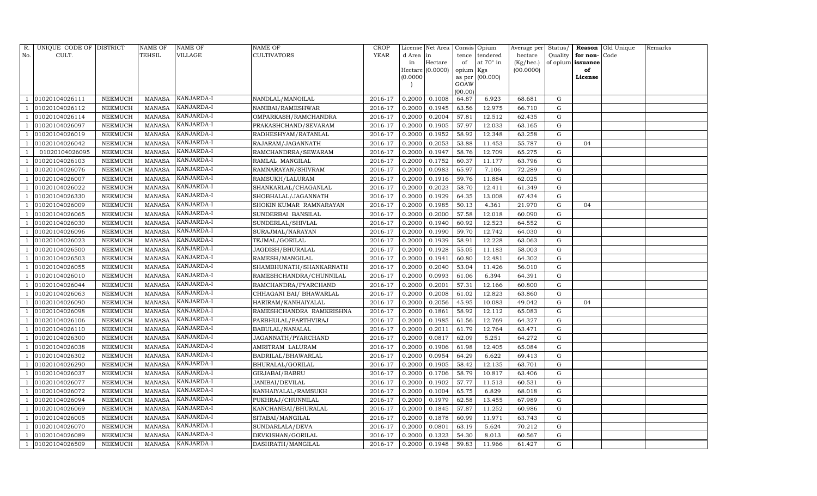| R.  | UNIQUE CODE OF DISTRICT |                 | <b>NAME OF</b> | NAME OF    | NAME OF                  | <b>CROP</b> |           | License Net Area |           | Consis Opium    | Average per | Status/   |          | Reason Old Unique | Remarks |
|-----|-------------------------|-----------------|----------------|------------|--------------------------|-------------|-----------|------------------|-----------|-----------------|-------------|-----------|----------|-------------------|---------|
| No. | CULT.                   |                 | TEHSIL         | VILLAGE    | CULTIVATORS              | <b>YEAR</b> | d Area in |                  | tence     | tendered        | hectare     | Quality   | for non- | Code              |         |
|     |                         |                 |                |            |                          |             | in        | Hectare          | of        | at 70° in       | (Kg/hec.)   | of opium  | issuance |                   |         |
|     |                         |                 |                |            |                          |             |           | Hectare (0.0000) | opium Kgs |                 | (00.0000)   |           | of       |                   |         |
|     |                         |                 |                |            |                          |             | (0.0000)  |                  | GOAW      | as per (00.000) |             |           | License  |                   |         |
|     |                         |                 |                |            |                          |             |           |                  | (00.00)   |                 |             |           |          |                   |         |
|     | 01020104026111          | ${\tt NEEMUCH}$ | <b>MANASA</b>  | KANJARDA-I | NANDLAL/MANGILAL         | 2016-17     | 0.2000    | 0.1008           | 64.87     | 6.923           | 68.681      | G         |          |                   |         |
|     | 01020104026112          | NEEMUCH         | <b>MANASA</b>  | KANJARDA-I | NANIBAI/RAMESHWAR        | 2016-17     | 0.2000    | 0.1945           | 63.56     | 12.975          | 66.710      | G         |          |                   |         |
|     | 01020104026114          | NEEMUCH         | <b>MANASA</b>  | KANJARDA-I | OMPARKASH/RAMCHANDRA     | 2016-17     | 0.2000    | 0.2004           | 57.81     | 12.512          | 62.435      | G         |          |                   |         |
|     | 01020104026097          | NEEMUCH         | <b>MANASA</b>  | KANJARDA-I | PRAKASHCHAND/SEVARAM     | 2016-17     | 0.2000    | 0.1905           | 57.97     | 12.033          | 63.165      | ${\rm G}$ |          |                   |         |
|     | 01020104026019          | NEEMUCH         | <b>MANASA</b>  | KANJARDA-I | RADHESHYAM/RATANLAL      | 2016-17     | 0.2000    | 0.1952           | 58.92     | 12.348          | 63.258      | G         |          |                   |         |
|     | 01020104026042          | NEEMUCH         | <b>MANASA</b>  | KANJARDA-I | RAJARAM/JAGANNATH        | 2016-17     | 0.2000    | 0.2053           | 53.88     | 11.453          | 55.787      | ${\rm G}$ | 04       |                   |         |
|     | 01020104026095          | NEEMUCH         | <b>MANASA</b>  | KANJARDA-I | RAMCHANDRRA/SEWARAM      | 2016-17     | 0.2000    | 0.1947           | 58.76     | 12.709          | 65.275      | G         |          |                   |         |
|     | 01020104026103          | NEEMUCH         | <b>MANASA</b>  | KANJARDA-I | RAMLAL MANGILAL          | 2016-17     | 0.2000    | 0.1752           | 60.37     | 11.177          | 63.796      | G         |          |                   |         |
|     | 01020104026076          | NEEMUCH         | <b>MANASA</b>  | KANJARDA-I | RAMNARAYAN/SHIVRAM       | 2016-17     | 0.2000    | 0.0983           | 65.97     | 7.106           | 72.289      | G         |          |                   |         |
|     | 01020104026007          | NEEMUCH         | MANASA         | KANJARDA-I | RAMSUKH/LALURAM          | 2016-17     | 0.2000    | 0.1916           | 59.76     | 11.884          | 62.025      | G         |          |                   |         |
|     | 01020104026022          | NEEMUCH         | <b>MANASA</b>  | KANJARDA-I | SHANKARLAL/CHAGANLAL     | 2016-17     | 0.2000    | 0.2023           | 58.70     | 12.411          | 61.349      | G         |          |                   |         |
|     | 01020104026330          | NEEMUCH         | <b>MANASA</b>  | KANJARDA-I | SHOBHALAL/JAGANNATH      | 2016-17     | 0.2000    | 0.1929           | 64.35     | 13.008          | 67.434      | G         |          |                   |         |
|     | 01020104026009          | NEEMUCH         | <b>MANASA</b>  | KANJARDA-I | SHOKIN KUMAR RAMNARAYAN  | 2016-17     | 0.2000    | 0.1985           | 50.13     | 4.361           | 21.970      | ${\rm G}$ | 04       |                   |         |
|     | 01020104026065          | NEEMUCH         | <b>MANASA</b>  | KANJARDA-I | SUNDERBAI BANSILAL       | 2016-17     | 0.2000    | 0.2000           | 57.58     | 12.018          | 60.090      | ${\rm G}$ |          |                   |         |
|     | 01020104026030          | NEEMUCH         | <b>MANASA</b>  | KANJARDA-I | SUNDERLAL/SHIVLAL        | 2016-17     | 0.2000    | 0.1940           | 60.92     | 12.523          | 64.552      | ${\rm G}$ |          |                   |         |
|     | 01020104026096          | NEEMUCH         | <b>MANASA</b>  | KANJARDA-I | SURAJMAL/NARAYAN         | 2016-17     | 0.2000    | 0.1990           | 59.70     | 12.742          | 64.030      | ${\rm G}$ |          |                   |         |
|     | 01020104026023          | NEEMUCH         | <b>MANASA</b>  | KANJARDA-I | TEJMAL/GORILAL           | 2016-17     | 0.2000    | 0.1939           | 58.91     | 12.228          | 63.063      | ${\rm G}$ |          |                   |         |
|     | 01020104026500          | NEEMUCH         | <b>MANASA</b>  | KANJARDA-I | JAGDISH/BHURALAL         | 2016-17     | 0.2000    | 0.1928           | 55.05     | 11.183          | 58.003      | G         |          |                   |         |
|     | 01020104026503          | NEEMUCH         | <b>MANASA</b>  | KANJARDA-I | RAMESH/MANGILAL          | 2016-17     | 0.2000    | 0.1941           | 60.80     | 12.481          | 64.302      | ${\rm G}$ |          |                   |         |
|     | 01020104026055          | NEEMUCH         | <b>MANASA</b>  | KANJARDA-I | SHAMBHUNATH/SHANKARNATH  | 2016-17     | 0.2000    | 0.2040           | 53.04     | 11.426          | 56.010      | G         |          |                   |         |
|     | 01020104026010          | NEEMUCH         | MANASA         | KANJARDA-I | RAMESHCHANDRA/CHUNNILAL  | 2016-17     | 0.2000    | 0.0993           | 61.06     | 6.394           | 64.391      | G         |          |                   |         |
|     | 01020104026044          | NEEMUCH         | <b>MANASA</b>  | KANJARDA-I | RAMCHANDRA/PYARCHAND     | 2016-17     | 0.2000    | 0.2001           | 57.31     | 12.166          | 60.800      | ${\rm G}$ |          |                   |         |
|     | 01020104026063          | NEEMUCH         | MANASA         | KANJARDA-I | CHHAGANI BAI/ BHAWARLAL  | 2016-17     | 0.2000    | 0.2008           | 61.02     | 12.823          | 63.860      | G         |          |                   |         |
|     | 01020104026090          | NEEMUCH         | <b>MANASA</b>  | KANJARDA-I | HARIRAM/KANHAIYALAL      | 2016-17     | 0.2000    | 0.2056           | 45.95     | 10.083          | 49.042      | ${\rm G}$ | 04       |                   |         |
|     | 01020104026098          | NEEMUCH         | <b>MANASA</b>  | KANJARDA-I | RAMESHCHANDRA RAMKRISHNA | 2016-17     | 0.2000    | 0.1861           | 58.92     | 12.112          | 65.083      | ${\rm G}$ |          |                   |         |
|     | 01020104026106          | NEEMUCH         | <b>MANASA</b>  | KANJARDA-I | PARBHULAL/PARTHVIRAJ     | 2016-17     | 0.2000    | 0.1985           | 61.56     | 12.769          | 64.327      | G         |          |                   |         |
|     | 01020104026110          | NEEMUCH         | <b>MANASA</b>  | KANJARDA-I | BABULAL/NANALAL          | 2016-17     | 0.2000    | 0.2011           | 61.79     | 12.764          | 63.471      | G         |          |                   |         |
|     | 01020104026300          | NEEMUCH         | <b>MANASA</b>  | KANJARDA-I | JAGANNATH/PYARCHAND      | 2016-17     | 0.2000    | 0.0817           | 62.09     | 5.251           | 64.272      | ${\rm G}$ |          |                   |         |
|     | 01020104026038          | NEEMUCH         | <b>MANASA</b>  | KANJARDA-I | AMRITRAM LALURAM         | 2016-17     | 0.2000    | 0.1906           | 61.98     | 12.405          | 65.084      | G         |          |                   |         |
|     | 01020104026302          | NEEMUCH         | <b>MANASA</b>  | KANJARDA-I | BADRILAL/BHAWARLAL       | 2016-17     | 0.2000    | 0.0954           | 64.29     | 6.622           | 69.413      | ${\rm G}$ |          |                   |         |
|     | 01020104026290          | NEEMUCH         | <b>MANASA</b>  | KANJARDA-I | BHURALAL/GORILAL         | 2016-17     | 0.2000    | 0.1905           | 58.42     | 12.135          | 63.701      | G         |          |                   |         |
|     | 01020104026037          | NEEMUCH         | <b>MANASA</b>  | KANJARDA-I | GIRJABAI/BABRU           | 2016-17     | 0.2000    | 0.1706           | 58.79     | 10.817          | 63.406      | G         |          |                   |         |
|     | 01020104026077          | NEEMUCH         | <b>MANASA</b>  | KANJARDA-I | JANIBAI/DEVILAL          | 2016-17     | 0.2000    | 0.1902           | 57.77     | 11.513          | 60.531      | G         |          |                   |         |
|     | 01020104026072          | NEEMUCH         | <b>MANASA</b>  | KANJARDA-I | KANHAIYALAL/RAMSUKH      | 2016-17     | 0.2000    | 0.1004           | 65.75     | 6.829           | 68.018      | ${\rm G}$ |          |                   |         |
|     | 01020104026094          | NEEMUCH         | <b>MANASA</b>  | KANJARDA-I | PUKHRAJ/CHUNNILAL        | 2016-17     | 0.2000    | 0.1979           | 62.58     | 13.455          | 67.989      | ${\rm G}$ |          |                   |         |
|     | 01020104026069          | NEEMUCH         | <b>MANASA</b>  | KANJARDA-I | KANCHANBAI/BHURALAL      | 2016-17     | 0.2000    | 0.1845           | 57.87     | 11.252          | 60.986      | ${\rm G}$ |          |                   |         |
|     | 01020104026005          | NEEMUCH         | <b>MANASA</b>  | KANJARDA-I | SITABAI/MANGILAL         | 2016-17     | 0.2000    | 0.1878           | 60.99     | 11.971          | 63.743      | G         |          |                   |         |
|     | 01020104026070          | NEEMUCH         | <b>MANASA</b>  | KANJARDA-I | SUNDARLALA/DEVA          | 2016-17     | 0.2000    | 0.0801           | 63.19     | 5.624           | 70.212      | ${\rm G}$ |          |                   |         |
|     | 01020104026089          | NEEMUCH         | <b>MANASA</b>  | KANJARDA-I | DEVKISHAN/GORILAL        | 2016-17     | 0.2000    | 0.1323           | 54.30     | 8.013           | 60.567      | G         |          |                   |         |
| -1  | 01020104026509          | NEEMUCH         | MANASA         | KANJARDA-I | DASHRATH/MANGILAL        | 2016-17     | 0.2000    | 0.1948           | 59.83     | 11.966          | 61.427      | G         |          |                   |         |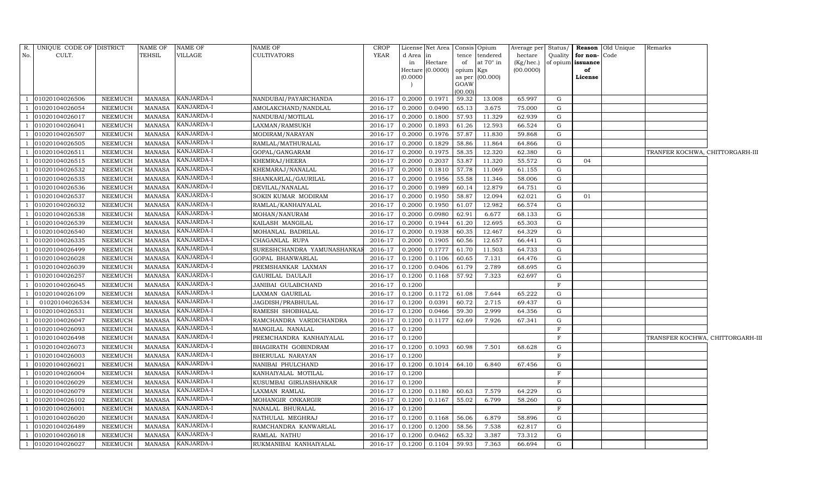|                          | R. UNIQUE CODE OF DISTRICT |                 | <b>NAME OF</b> | <b>NAME OF</b>    | <b>NAME OF</b>             | <b>CROP</b>    |           | License Net Area   Consis   Opium |           |                 |           |              |                   | Average per Status/ Reason Old Unique | Remarks                          |  |
|--------------------------|----------------------------|-----------------|----------------|-------------------|----------------------------|----------------|-----------|-----------------------------------|-----------|-----------------|-----------|--------------|-------------------|---------------------------------------|----------------------------------|--|
| No.                      | CULT.                      |                 | <b>TEHSIL</b>  | VILLAGE           | <b>CULTIVATORS</b>         | YEAR           | d Area in |                                   | tence     | tendered        | hectare   | Quality      | for non-Code      |                                       |                                  |  |
|                          |                            |                 |                |                   |                            |                | in        | Hectare                           | of        | at 70° in       | (Kg/hec.) |              | of opium issuance |                                       |                                  |  |
|                          |                            |                 |                |                   |                            |                |           | Hectare (0.0000)                  | opium Kgs |                 | (00.0000) |              | of                |                                       |                                  |  |
|                          |                            |                 |                |                   |                            |                | (0.0000)  |                                   | GOAW      | as per (00.000) |           |              | License           |                                       |                                  |  |
|                          |                            |                 |                |                   |                            |                |           |                                   | (00.00)   |                 |           |              |                   |                                       |                                  |  |
|                          | 01020104026506             | NEEMUCH         | MANASA         | <b>KANJARDA-I</b> | NANDUBAI/PAYARCHANDA       | 2016-17        | 0.2000    | 0.1971                            | 59.32     | 13.008          | 65.997    | G            |                   |                                       |                                  |  |
|                          | 01020104026054             | NEEMUCH         | <b>MANASA</b>  | KANJARDA-I        | AMOLAKCHAND/NANDLAL        | 2016-17        | 0.2000    | 0.0490                            | 65.13     | 3.675           | 75.000    | G            |                   |                                       |                                  |  |
|                          | 01020104026017             | NEEMUCH         | MANASA         | KANJARDA-I        | NANDUBAI/MOTILAL           | 2016-17        | 0.2000    | 0.1800                            | 57.93     | 11.329          | 62.939    | G            |                   |                                       |                                  |  |
| $\overline{1}$           | 01020104026041             | NEEMUCH         | <b>MANASA</b>  | KANJARDA-I        | LAXMAN/RAMSUKH             | 2016-17        | 0.2000    | 0.1893                            | 61.26     | 12.593          | 66.524    | G            |                   |                                       |                                  |  |
|                          | 01020104026507             | NEEMUCH         | <b>MANASA</b>  | KANJARDA-I        | MODIRAM/NARAYAN            | 2016-17        | 0.2000    | 0.1976                            | 57.87     | 11.830          | 59.868    | G            |                   |                                       |                                  |  |
|                          | 01020104026505             | NEEMUCH         | <b>MANASA</b>  | KANJARDA-I        | RAMLAL/MATHURALAL          | 2016-17        | 0.2000    | 0.1829                            | 58.86     | 11.864          | 64.866    | G            |                   |                                       |                                  |  |
|                          | 01020104026511             | NEEMUCH         | <b>MANASA</b>  | KANJARDA-I        | GOPAL/GANGARAM             | 2016-17        | 0.2000    | 0.1975                            | 58.35     | 12.320          | 62.380    | G            |                   |                                       | TRANFER KOCHWA, CHITTORGARH-III  |  |
| $\overline{\phantom{0}}$ | 01020104026515             | NEEMUCH         | <b>MANASA</b>  | KANJARDA-I        | KHEMRAJ/HEERA              | 2016-17        | 0.2000    | 0.2037                            | 53.87     | 11.320          | 55.572    | G            | 04                |                                       |                                  |  |
|                          | 01020104026532             | NEEMUCH         | <b>MANASA</b>  | KANJARDA-I        | KHEMARAJ/NANALAL           | 2016-17        | 0.2000    | 0.1810                            | 57.78     | 11.069          | 61.155    | G            |                   |                                       |                                  |  |
|                          | 01020104026535             | NEEMUCH         | <b>MANASA</b>  | KANJARDA-I        | SHANKARLAL/GAURILAL        | 2016-17        | 0.2000    | 0.1956                            | 55.58     | 11.346          | 58.006    | G            |                   |                                       |                                  |  |
|                          | 01020104026536             | NEEMUCH         | <b>MANASA</b>  | KANJARDA-I        | DEVILAL/NANALAL            | 2016-17        | 0.2000    | 0.1989                            | 60.14     | 12.879          | 64.751    | G            |                   |                                       |                                  |  |
| $\overline{1}$           | 01020104026537             | NEEMUCH         | <b>MANASA</b>  | KANJARDA-I        | SOKIN KUMAR MODIRAM        | 2016-17        | 0.2000    | 0.1950                            | 58.87     | 12.094          | 62.021    | G            | 01                |                                       |                                  |  |
|                          | 01020104026032             | NEEMUCH         | <b>MANASA</b>  | KANJARDA-I        | RAMLAL/KANHAIYALAL         | 2016-17        | 0.2000    | 0.1950                            | 61.07     | 12.982          | 66.574    | G            |                   |                                       |                                  |  |
|                          | 01020104026538             | NEEMUCH         | <b>MANASA</b>  | KANJARDA-I        | MOHAN/NANURAM              | 2016-17        | 0.2000    | 0.0980                            | 62.91     | 6.677           | 68.133    | G            |                   |                                       |                                  |  |
|                          | 01020104026539             | NEEMUCH         | <b>MANASA</b>  | KANJARDA-I        | KAILASH MANGILAL           | 2016-17        | 0.2000    | 0.1944                            | 61.20     | 12.695          | 65.303    | G            |                   |                                       |                                  |  |
|                          | 01020104026540             | NEEMUCH         | MANASA         | KANJARDA-I        | MOHANLAL BADRILAL          | 2016-17        | 0.2000    | 0.1938                            | 60.35     | 12.467          | 64.329    | G            |                   |                                       |                                  |  |
|                          | 01020104026335             | NEEMUCH         | <b>MANASA</b>  | KANJARDA-I        | CHAGANLAL RUPA             | 2016-17        | 0.2000    | 0.1905                            | 60.56     | 12.657          | 66.441    | G            |                   |                                       |                                  |  |
|                          | 01020104026499             | NEEMUCH         | <b>MANASA</b>  | KANJARDA-I        | SURESHCHANDRA YAMUNASHANKA | 2016-17        | 0.2000    | 0.1777                            | 61.70     | 11.503          | 64.733    | G            |                   |                                       |                                  |  |
|                          | 01020104026028             | NEEMUCH         | <b>MANASA</b>  | KANJARDA-I        | GOPAL BHANWARLAL           | 2016-17        | 0.1200    | 0.1106                            | 60.65     | 7.131           | 64.476    | G            |                   |                                       |                                  |  |
| $\overline{1}$           | 01020104026039             | NEEMUCH         | <b>MANASA</b>  | KANJARDA-I        | PREMSHANKAR LAXMAN         | 2016-17        | 0.1200    | 0.0406                            | 61.79     | 2.789           | 68.695    | G            |                   |                                       |                                  |  |
|                          | 01020104026257             | NEEMUCH         | <b>MANASA</b>  | KANJARDA-I        | GAURILAL DAULAJI           | 2016-17        | 0.1200    | 0.1168                            | 57.92     | 7.323           | 62.697    | G            |                   |                                       |                                  |  |
|                          | 01020104026045             | <b>NEEMUCH</b>  | <b>MANASA</b>  | KANJARDA-I        | JANIBAI GULABCHAND         | 2016-17        | 0.1200    |                                   |           |                 |           | $\rm F$      |                   |                                       |                                  |  |
|                          | 01020104026109             | NEEMUCH         | MANASA         | KANJARDA-I        | LAXMAN GAURILAL            | 2016-17        | 0.1200    | 0.1172                            | 61.08     | 7.644           | 65.222    | G            |                   |                                       |                                  |  |
| -1                       | 01020104026534             | NEEMUCH         | MANASA         | KANJARDA-I        | JAGDISH/PRABHULAL          | 2016-17        | 0.1200    | 0.0391                            | 60.72     | 2.715           | 69.437    | G            |                   |                                       |                                  |  |
|                          | 01020104026531             | NEEMUCH         | <b>MANASA</b>  | KANJARDA-I        | RAMESH SHOBHALAL           | 2016-17        | 0.1200    | 0.0466                            | 59.30     | 2.999           | 64.356    | G            |                   |                                       |                                  |  |
| - 1                      | 01020104026047             | NEEMUCH         | <b>MANASA</b>  | KANJARDA-I        | RAMCHANDRA VARDICHANDRA    | 2016-17        | 0.1200    | 0.1177                            | 62.69     | 7.926           | 67.341    | G            |                   |                                       |                                  |  |
|                          | 01020104026093             | NEEMUCH         | <b>MANASA</b>  | KANJARDA-I        | MANGILAL NANALAL           | 2016-17        | 0.1200    |                                   |           |                 |           | F            |                   |                                       |                                  |  |
| $\overline{1}$           | 01020104026498             | NEEMUCH         | <b>MANASA</b>  | <b>KANJARDA-I</b> | PREMCHANDRA KANHAIYALAL    | 2016-17        | 0.1200    |                                   |           |                 |           | $_{\rm F}$   |                   |                                       | TRANSFER KOCHWA, CHITTORGARH-III |  |
|                          | 01020104026073             | NEEMUCH         | <b>MANASA</b>  | KANJARDA-I        | BHAGIRATH GOBINDRAM        | 2016-17        | 0.1200    | 0.1093                            | 60.98     | 7.501           | 68.628    | G            |                   |                                       |                                  |  |
|                          | 01020104026003             | NEEMUCH         | <b>MANASA</b>  | KANJARDA-I        | BHERULAL NARAYAN           | 2016-17        | 0.1200    |                                   |           |                 |           | $\rm F$      |                   |                                       |                                  |  |
|                          | 01020104026021             | NEEMUCH         | <b>MANASA</b>  | KANJARDA-I        | NANIBAI PHULCHAND          | $2016 - 17$    | 0.1200    | 0.1014                            | 64.10     | 6.840           | 67.456    | G            |                   |                                       |                                  |  |
|                          | 01020104026004             | NEEMUCH         | <b>MANASA</b>  | KANJARDA-I        | KANHAIYALAL MOTILAL        | 2016-17        | 0.1200    |                                   |           |                 |           | $\mathbf{F}$ |                   |                                       |                                  |  |
|                          | 01020104026029             | <b>NEEMUCH</b>  | <b>MANASA</b>  | KANJARDA-I        | KUSUMBAI GIRIJASHANKAR     | 2016-17        | 0.1200    |                                   |           |                 |           | $\mathbf{F}$ |                   |                                       |                                  |  |
|                          | 01020104026079             | NEEMUCH         | <b>MANASA</b>  | KANJARDA-I        | LAXMAN RAMLAL              | 2016-17        | 0.1200    | 0.1180                            | 60.63     | 7.579           | 64.229    | G            |                   |                                       |                                  |  |
| $\overline{1}$           | 01020104026102             | NEEMUCH         | <b>MANASA</b>  | KANJARDA-I        | MOHANGIR ONKARGIR          | 2016-17        | 0.1200    | 0.1167                            | 55.02     | 6.799           | 58.260    | G            |                   |                                       |                                  |  |
|                          | 01020104026001             | ${\tt NEEMUCH}$ | <b>MANASA</b>  | KANJARDA-I        | NANALAL BHURALAL           | 2016-17        | 0.1200    |                                   |           |                 |           | $\mathbf{F}$ |                   |                                       |                                  |  |
|                          | 01020104026020             | NEEMUCH         | <b>MANASA</b>  | KANJARDA-I        | NATHULAL MEGHRAJ           | 2016-17        | 0.1200    | 0.1168                            | 56.06     | 6.879           | 58.896    | G            |                   |                                       |                                  |  |
| - 1                      | 01020104026489             | NEEMUCH         | <b>MANASA</b>  | KANJARDA-I        | RAMCHANDRA KANWARLAL       | 2016-17        | 0.1200    | 0.1200                            | 58.56     | 7.538           | 62.817    | G            |                   |                                       |                                  |  |
| $\overline{1}$           | 01020104026018             | NEEMUCH         | <b>MANASA</b>  | KANJARDA-I        | RAMLAL NATHU               | 2016-17        | 0.1200    | 0.0462                            | 65.32     | 3.387           | 73.312    | G            |                   |                                       |                                  |  |
| $\overline{1}$           | 01020104026027             | <b>NEEMUCH</b>  | <b>MANASA</b>  | KANJARDA-I        | RUKMANIBAI KANHAIYALAL     | 2016-17 0.1200 |           | 0.1104                            | 59.93     | 7.363           | 66.694    | G            |                   |                                       |                                  |  |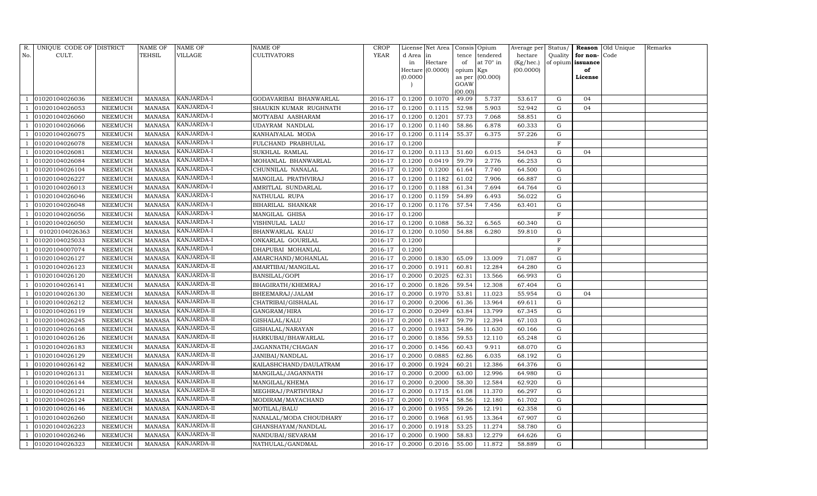| R.  | UNIQUE CODE OF DISTRICT |                | NAME OF       | <b>NAME OF</b> | NAME OF                | <b>CROP</b> |          | License Net Area |           | Consis Opium     | Average per Status/ |              |                   | Reason Old Unique | Remarks |
|-----|-------------------------|----------------|---------------|----------------|------------------------|-------------|----------|------------------|-----------|------------------|---------------------|--------------|-------------------|-------------------|---------|
| No. | CULT.                   |                | TEHSIL        | VILLAGE        | <b>CULTIVATORS</b>     | YEAR        | d Area   | in               | tence     | tendered         | hectare             | Quality      | for non-Code      |                   |         |
|     |                         |                |               |                |                        |             | in       | Hectare          | of        | at $70^\circ$ in | (Kg/hec.)           |              | of opium issuance |                   |         |
|     |                         |                |               |                |                        |             |          | Hectare (0.0000) | opium Kgs |                  | (00.0000)           |              | of                |                   |         |
|     |                         |                |               |                |                        |             | (0.0000) |                  | GOAW      | as per (00.000)  |                     |              | License           |                   |         |
|     |                         |                |               |                |                        |             |          |                  | (00.00)   |                  |                     |              |                   |                   |         |
|     | 01020104026036          | NEEMUCH        | <b>MANASA</b> | KANJARDA-I     | GODAVARIBAI BHANWARLAL | 2016-17     | 0.1200   | 0.1070           | 49.09     | 5.737            | 53.617              | G            | 04                |                   |         |
|     | 01020104026053          | NEEMUCH        | <b>MANASA</b> | KANJARDA-I     | SHAUKIN KUMAR RUGHNATH | 2016-17     | 0.1200   | 0.1115           | 52.98     | 5.903            | 52.942              | G            | 04                |                   |         |
|     | 01020104026060          | NEEMUCH        | <b>MANASA</b> | KANJARDA-I     | MOTYABAI AASHARAM      | 2016-17     | 0.1200   | 0.1201           | 57.73     | 7.068            | 58.851              | G            |                   |                   |         |
|     | 01020104026066          | NEEMUCH        | <b>MANASA</b> | KANJARDA-I     | UDAYRAM NANDLAL        | 2016-17     | 0.1200   | 0.1140           | 58.86     | 6.878            | 60.333              | G            |                   |                   |         |
|     | 01020104026075          | NEEMUCH        | <b>MANASA</b> | KANJARDA-I     | KANHAIYALAL MODA       | 2016-17     | 0.1200   | 0.1114           | 55.37     | 6.375            | 57.226              | G            |                   |                   |         |
|     | 01020104026078          | NEEMUCH        | <b>MANASA</b> | KANJARDA-I     | FULCHAND PRABHULAL     | 2016-17     | 0.1200   |                  |           |                  |                     | $\mathbf F$  |                   |                   |         |
|     | 01020104026081          | NEEMUCH        | <b>MANASA</b> | KANJARDA-I     | SUKHLAL RAMLAL         | 2016-17     | 0.1200   | 0.1113           | 51.60     | 6.015            | 54.043              | G            | 04                |                   |         |
|     | 01020104026084          | NEEMUCH        | <b>MANASA</b> | KANJARDA-I     | MOHANLAL BHANWARLAL    | 2016-17     | 0.1200   | 0.0419           | 59.79     | 2.776            | 66.253              | G            |                   |                   |         |
|     | 01020104026104          | <b>NEEMUCH</b> | <b>MANASA</b> | KANJARDA-I     | CHUNNILAL NANALAL      | 2016-17     | 0.1200   | 0.1200           | 61.64     | 7.740            | 64.500              | G            |                   |                   |         |
|     | 01020104026227          | NEEMUCH        | <b>MANASA</b> | KANJARDA-I     | MANGILAL PRATHVIRAJ    | 2016-17     | 0.1200   | 0.1182           | 61.02     | 7.906            | 66.887              | G            |                   |                   |         |
|     | 01020104026013          | NEEMUCH        | <b>MANASA</b> | KANJARDA-I     | AMRITLAL SUNDARLAL     | 2016-17     | 0.1200   | 0.1188           | 61.34     | 7.694            | 64.764              | G            |                   |                   |         |
|     | 01020104026046          | NEEMUCH        | <b>MANASA</b> | KANJARDA-I     | NATHULAL RUPA          | 2016-17     | 0.1200   | 0.1159           | 54.89     | 6.493            | 56.022              | G            |                   |                   |         |
|     | 01020104026048          | <b>NEEMUCH</b> | <b>MANASA</b> | KANJARDA-I     | BIHARILAL SHANKAR      | 2016-17     | 0.1200   | 0.1176           | 57.54     | 7.456            | 63.401              | G            |                   |                   |         |
|     | 01020104026056          | NEEMUCH        | <b>MANASA</b> | KANJARDA-I     | MANGILAL GHISA         | 2016-17     | 0.1200   |                  |           |                  |                     | $\,$ F       |                   |                   |         |
|     | 01020104026050          | NEEMUCH        | <b>MANASA</b> | KANJARDA-I     | VISHNULAL LALU         | 2016-17     | 0.1200   | 0.1088           | 56.32     | 6.565            | 60.340              | G            |                   |                   |         |
|     | 01020104026363          | NEEMUCH        | MANASA        | KANJARDA-I     | BHANWARLAL KALU        | 2016-17     | 0.1200   | 0.1050           | 54.88     | 6.280            | 59.810              | G            |                   |                   |         |
|     | 01020104025033          | NEEMUCH        | <b>MANASA</b> | KANJARDA-I     | ONKARLAL GOURILAL      | 2016-17     | 0.1200   |                  |           |                  |                     | F            |                   |                   |         |
|     | 01020104007074          | NEEMUCH        | <b>MANASA</b> | KANJARDA-I     | DHAPUBAI MOHANLAL      | 2016-17     | 0.1200   |                  |           |                  |                     | $\mathbf{F}$ |                   |                   |         |
|     | 01020104026127          | NEEMUCH        | <b>MANASA</b> | KANJARDA-II    | AMARCHAND/MOHANLAL     | 2016-17     | 0.2000   | 0.1830           | 65.09     | 13.009           | 71.087              | G            |                   |                   |         |
|     | 01020104026123          | NEEMUCH        | <b>MANASA</b> | KANJARDA-II    | AMARTIBAI/MANGILAL     | 2016-17     | 0.2000   | 0.1911           | 60.81     | 12.284           | 64.280              | G            |                   |                   |         |
|     | 01020104026120          | NEEMUCH        | <b>MANASA</b> | KANJARDA-II    | BANSILAL/GOPI          | 2016-17     | 0.2000   | 0.2025           | 62.31     | 13.566           | 66.993              | G            |                   |                   |         |
|     | 01020104026141          | NEEMUCH        | <b>MANASA</b> | KANJARDA-II    | BHAGIRATH/KHEMRAJ      | 2016-17     | 0.2000   | 0.1826           | 59.54     | 12.308           | 67.404              | G            |                   |                   |         |
|     | 01020104026130          | NEEMUCH        | <b>MANASA</b> | KANJARDA-II    | BHEEMARAJ/JALAM        | 2016-17     | 0.2000   | 0.1970           | 53.81     | 11.023           | 55.954              | G            | 04                |                   |         |
|     | 01020104026212          | NEEMUCH        | <b>MANASA</b> | KANJARDA-II    | CHATRIBAI/GISHALAL     | 2016-17     | 0.2000   | 0.2006           | 61.36     | 13.964           | 69.611              | G            |                   |                   |         |
|     | 01020104026119          | NEEMUCH        | <b>MANASA</b> | KANJARDA-II    | GANGRAM/HIRA           | 2016-17     | 0.2000   | 0.2049           | 63.84     | 13.799           | 67.345              | G            |                   |                   |         |
|     | 01020104026245          | NEEMUCH        | <b>MANASA</b> | KANJARDA-II    | GISHALAL/KALU          | 2016-17     | 0.2000   | 0.1847           | 59.79     | 12.394           | 67.103              | G            |                   |                   |         |
|     | 01020104026168          | NEEMUCH        | <b>MANASA</b> | KANJARDA-II    | GISHALAL/NARAYAN       | 2016-17     | 0.2000   | 0.1933           | 54.86     | 11.630           | 60.166              | $\mathbf G$  |                   |                   |         |
|     | 01020104026126          | NEEMUCH        | <b>MANASA</b> | KANJARDA-II    | HARKUBAI/BHAWARLAL     | 2016-17     | 0.2000   | 0.1856           | 59.53     | 12.110           | 65.248              | G            |                   |                   |         |
|     | 01020104026183          | NEEMUCH        | <b>MANASA</b> | KANJARDA-II    | JAGANNATH/CHAGAN       | 2016-17     | 0.2000   | 0.1456           | 60.43     | 9.911            | 68.070              | G            |                   |                   |         |
|     | 01020104026129          | NEEMUCH        | <b>MANASA</b> | KANJARDA-II    | JANIBAI/NANDLAL        | 2016-17     | 0.2000   | 0.0885           | 62.86     | 6.035            | 68.192              | G            |                   |                   |         |
|     | 01020104026142          | NEEMUCH        | <b>MANASA</b> | KANJARDA-II    | KAILASHCHAND/DAULATRAM | 2016-17     | 0.2000   | 0.1924           | 60.21     | 12.386           | 64.376              | G            |                   |                   |         |
|     | 01020104026131          | NEEMUCH        | <b>MANASA</b> | KANJARDA-II    | MANGILAL/JAGANNATH     | 2016-17     | 0.2000   | 0.2000           | 63.00     | 12.996           | 64.980              | $\mathbf G$  |                   |                   |         |
|     | 01020104026144          | NEEMUCH        | <b>MANASA</b> | KANJARDA-II    | MANGILAL/KHEMA         | 2016-17     | 0.2000   | 0.2000           | 58.30     | 12.584           | 62.920              | G            |                   |                   |         |
|     | 01020104026121          | NEEMUCH        | <b>MANASA</b> | KANJARDA-II    | MEGHRAJ/PARTHVIRAJ     | 2016-17     | 0.2000   | 0.1715           | 61.08     | 11.370           | 66.297              | G            |                   |                   |         |
|     | 01020104026124          | NEEMUCH        | <b>MANASA</b> | KANJARDA-II    | MODIRAM/MAYACHAND      | 2016-17     | 0.2000   | 0.1974           | 58.56     | 12.180           | 61.702              | $\mathbf G$  |                   |                   |         |
|     | 01020104026146          | <b>NEEMUCH</b> | <b>MANASA</b> | KANJARDA-II    | MOTILAL/BALU           | 2016-17     | 0.2000   | 0.1955           | 59.26     | 12.191           | 62.358              | $\mathbf G$  |                   |                   |         |
|     | 01020104026260          | NEEMUCH        | MANASA        | KANJARDA-II    | NANALAL/MODA CHOUDHARY | 2016-17     | 0.2000   | 0.1968           | 61.95     | 13.364           | 67.907              | G            |                   |                   |         |
|     | 01020104026223          | NEEMUCH        | <b>MANASA</b> | KANJARDA-II    | GHANSHAYAM/NANDLAL     | 2016-17     | 0.2000   | 0.1918           | 53.25     | 11.274           | 58.780              | G            |                   |                   |         |
|     | 01020104026246          | NEEMUCH        | MANASA        | KANJARDA-II    | NANDUBAI/SEVARAM       | 2016-17     | 0.2000   | 0.1900           | 58.83     | 12.279           | 64.626              | G            |                   |                   |         |
|     | 01020104026323          | <b>NEEMUCH</b> | MANASA        | KANJARDA-II    | NATHULAL/GANDMAL       | 2016-17     | 0.2000   | 0.2016           | 55.00     | 11.872           | 58.889              | G            |                   |                   |         |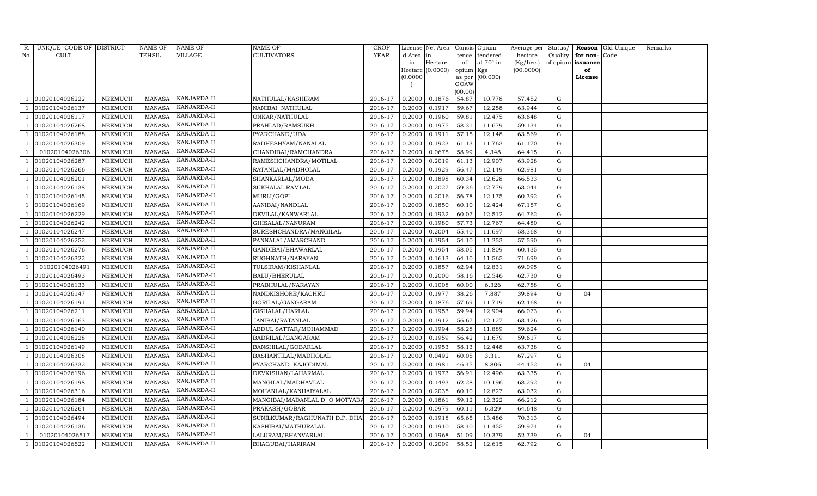| R.             | UNIQUE CODE OF DISTRICT |                | <b>NAME OF</b> | NAME OF     | NAME OF                       | <b>CROP</b> |           | License Net Area |                 | Consis Opium | Average per | Status/   |          | Reason Old Unique | Remarks |
|----------------|-------------------------|----------------|----------------|-------------|-------------------------------|-------------|-----------|------------------|-----------------|--------------|-------------|-----------|----------|-------------------|---------|
| No.            | CULT.                   |                | TEHSIL         | VILLAGE     | CULTIVATORS                   | <b>YEAR</b> | d Area in |                  | tence           | tendered     | hectare     | Quality   | for non- | Code              |         |
|                |                         |                |                |             |                               |             | in        | Hectare          | of              | at 70° in    | (Kg/hec.)   | of opium  | issuance |                   |         |
|                |                         |                |                |             |                               |             |           | Hectare (0.0000) | opium Kgs       |              | (00.0000)   |           | of       |                   |         |
|                |                         |                |                |             |                               |             | (0.0000)  |                  | as per          | (00.000)     |             |           | License  |                   |         |
|                |                         |                |                |             |                               |             |           |                  | GOAW<br>(00.00) |              |             |           |          |                   |         |
|                | 01020104026222          | NEEMUCH        | <b>MANASA</b>  | KANJARDA-II | NATHULAL/KASHIRAM             | 2016-17     | 0.2000    | 0.1876           | 54.87           | 10.778       | 57.452      | G         |          |                   |         |
|                | 01020104026137          | NEEMUCH        | <b>MANASA</b>  | KANJARDA-II | NANIBAI NATHULAL              | 2016-17     | 0.2000    | 0.1917           | 59.67           | 12.258       | 63.944      | G         |          |                   |         |
|                | 01020104026117          | NEEMUCH        | <b>MANASA</b>  | KANJARDA-II | ONKAR/NATHULAL                | 2016-17     | 0.2000    | 0.1960           | 59.81           | 12.475       | 63.648      | G         |          |                   |         |
|                | 01020104026268          | NEEMUCH        | <b>MANASA</b>  | KANJARDA-II | PRAHLAD/RAMSUKH               | 2016-17     | 0.2000    | 0.1975           | 58.31           | 11.679       | 59.134      | ${\rm G}$ |          |                   |         |
|                | 01020104026188          | NEEMUCH        | <b>MANASA</b>  | KANJARDA-II | PYARCHAND/UDA                 | 2016-17     | 0.2000    | 0.1911           | 57.15           | 12.148       | 63.569      | G         |          |                   |         |
|                | 01020104026309          | NEEMUCH        | <b>MANASA</b>  | KANJARDA-II | RADHESHYAM/NANALAL            | 2016-17     | 0.2000    | 0.1923           | 61.13           | 11.763       | 61.170      | ${\rm G}$ |          |                   |         |
|                | 01020104026306          | NEEMUCH        | <b>MANASA</b>  | KANJARDA-II | CHANDIBAI/RAMCHANDRA          | 2016-17     | 0.2000    | 0.0675           | 58.99           | 4.348        | 64.415      | G         |          |                   |         |
|                | 01020104026287          | NEEMUCH        | <b>MANASA</b>  | KANJARDA-II | RAMESHCHANDRA/MOTILAL         | 2016-17     | 0.2000    | 0.2019           | 61.13           | 12.907       | 63.928      | ${\rm G}$ |          |                   |         |
|                | 01020104026266          | <b>NEEMUCH</b> | <b>MANASA</b>  | KANJARDA-II | RATANLAL/MADHOLAL             | 2016-17     | 0.2000    | 0.1929           | 56.47           | 12.149       | 62.981      | G         |          |                   |         |
|                | 01020104026201          | NEEMUCH        | <b>MANASA</b>  | KANJARDA-II | SHANKARLAL/MODA               | 2016-17     | 0.2000    | 0.1898           | 60.34           | 12.628       | 66.533      | ${\rm G}$ |          |                   |         |
|                | 01020104026138          | NEEMUCH        | <b>MANASA</b>  | KANJARDA-II | SUKHALAL RAMLAL               | 2016-17     | 0.2000    | 0.2027           | 59.36           | 12.779       | 63.044      | ${\rm G}$ |          |                   |         |
|                | 01020104026145          | NEEMUCH        | <b>MANASA</b>  | KANJARDA-II | MURLI/GOPI                    | 2016-17     | 0.2000    | 0.2016           | 56.78           | 12.175       | 60.392      | G         |          |                   |         |
|                | 01020104026169          | <b>NEEMUCH</b> | <b>MANASA</b>  | KANJARDA-II | AANIBAI/NANDLAL               | 2016-17     | 0.2000    | 0.1850           | 60.10           | 12.424       | 67.157      | ${\rm G}$ |          |                   |         |
|                | 01020104026229          | NEEMUCH        | MANASA         | KANJARDA-II | DEVILAL/KANWARLAL             | 2016-17     | 0.2000    | 0.1932           | 60.07           | 12.512       | 64.762      | G         |          |                   |         |
|                | 01020104026242          | NEEMUCH        | <b>MANASA</b>  | KANJARDA-II | GHISALAL/NANURAM              | 2016-17     | 0.2000    | 0.1980           | 57.73           | 12.767       | 64.480      | G         |          |                   |         |
|                | 01020104026247          | NEEMUCH        | <b>MANASA</b>  | KANJARDA-II | SURESHCHANDRA/MANGILAL        | 2016-17     | 0.2000    | 0.2004           | 55.40           | 11.697       | 58.368      | G         |          |                   |         |
|                | 01020104026252          | <b>NEEMUCH</b> | <b>MANASA</b>  | KANJARDA-II | PANNALAL/AMARCHAND            | 2016-17     | 0.2000    | 0.1954           | 54.10           | 11.253       | 57.590      | G         |          |                   |         |
|                | 01020104026276          | NEEMUCH        | MANASA         | KANJARDA-II | GANDIBAI/BHAWARLAL            | 2016-17     | 0.2000    | 0.1954           | 58.05           | 11.809       | 60.435      | G         |          |                   |         |
|                | 01020104026322          | NEEMUCH        | <b>MANASA</b>  | KANJARDA-II | RUGHNATH/NARAYAN              | 2016-17     | 0.2000    | 0.1613           | 64.10           | 11.565       | 71.699      | G         |          |                   |         |
|                | 01020104026491          | NEEMUCH        | <b>MANASA</b>  | KANJARDA-II | TULSIRAM/KISHANLAL            | 2016-17     | 0.2000    | 0.1857           | 62.94           | 12.831       | 69.095      | G         |          |                   |         |
|                | 01020104026493          | NEEMUCH        | <b>MANASA</b>  | KANJARDA-II | BALU/BHERULAL                 | 2016-17     | 0.2000    | 0.2000           | 58.16           | 12.546       | 62.730      | ${\rm G}$ |          |                   |         |
|                | 01020104026133          | NEEMUCH        | <b>MANASA</b>  | KANJARDA-II | PRABHULAL/NARAYAN             | 2016-17     | 0.2000    | 0.1008           | 60.00           | 6.326        | 62.758      | ${\rm G}$ |          |                   |         |
|                | 01020104026147          | NEEMUCH        | <b>MANASA</b>  | KANJARDA-II | NANDKISHORE/KACHRU            | 2016-17     | 0.2000    | 0.1977           | 38.26           | 7.887        | 39.894      | G         | 04       |                   |         |
|                | 01020104026191          | NEEMUCH        | <b>MANASA</b>  | KANJARDA-II | GORILAL/GANGARAM              | 2016-17     | 0.2000    | 0.1876           | 57.69           | 11.719       | 62.468      | G         |          |                   |         |
|                | 01020104026211          | NEEMUCH        | <b>MANASA</b>  | KANJARDA-II | GISHALAL/HARLAL               | 2016-17     | 0.2000    | 0.1953           | 59.94           | 12.904       | 66.073      | ${\rm G}$ |          |                   |         |
|                | 01020104026163          | NEEMUCH        | <b>MANASA</b>  | KANJARDA-II | JANIBAI/RATANLAL              | 2016-17     | 0.2000    | 0.1912           | 56.67           | 12.127       | 63.426      | G         |          |                   |         |
|                | 01020104026140          | NEEMUCH        | <b>MANASA</b>  | KANJARDA-II | ABDUL SATTAR/MOHAMMAD         | 2016-17     | 0.2000    | 0.1994           | 58.28           | 11.889       | 59.624      | ${\rm G}$ |          |                   |         |
|                | 01020104026228          | <b>NEEMUCH</b> | <b>MANASA</b>  | KANJARDA-II | BADRILAL/GANGARAM             | 2016-17     | 0.2000    | 0.1959           | 56.42           | 11.679       | 59.617      | ${\rm G}$ |          |                   |         |
|                | 01020104026149          | NEEMUCH        | <b>MANASA</b>  | KANJARDA-II | BANSHILAL/GOBARLAL            | 2016-17     | 0.2000    | 0.1953           | 58.13           | 12.448       | 63.738      | G         |          |                   |         |
|                | 01020104026308          | NEEMUCH        | <b>MANASA</b>  | KANJARDA-II | BASHANTILAL/MADHOLAL          | 2016-17     | 0.2000    | 0.0492           | 60.05           | 3.311        | 67.297      | G         |          |                   |         |
|                | 01020104026332          | NEEMUCH        | <b>MANASA</b>  | KANJARDA-II | PYARCHAND KAJODIMAL           | 2016-17     | 0.2000    | 0.1981           | 46.45           | 8.806        | 44.452      | G         | 04       |                   |         |
|                | 01020104026196          | <b>NEEMUCH</b> | <b>MANASA</b>  | KANJARDA-II | DEVKISHAN/LAHARMAL            | 2016-17     | 0.2000    | 0.1973           | 56.91           | 12.496       | 63.335      | G         |          |                   |         |
|                | 01020104026198          | NEEMUCH        | <b>MANASA</b>  | KANJARDA-II | MANGILAL/MADHAVLAL            | 2016-17     | 0.2000    | 0.1493           | 62.28           | 10.196       | 68.292      | ${\rm G}$ |          |                   |         |
|                | 01020104026316          | NEEMUCH        | <b>MANASA</b>  | KANJARDA-II | MOHANLAL/KANHAIYALAL          | 2016-17     | 0.2000    | 0.2035           | 60.10           | 12.827       | 63.032      | G         |          |                   |         |
|                | 01020104026184          | NEEMUCH        | <b>MANASA</b>  | KANJARDA-II | MANGIBAI/MADANLAL D O MOTYAB  | 2016-17     | 0.2000    | 0.1861           | 59.12           | 12.322       | 66.212      | ${\rm G}$ |          |                   |         |
|                | 01020104026264          | <b>NEEMUCH</b> | <b>MANASA</b>  | KANJARDA-II | PRAKASH/GOBAR                 | 2016-17     | 0.2000    | 0.0979           | 60.11           | 6.329        | 64.648      | ${\rm G}$ |          |                   |         |
|                | 01020104026494          | NEEMUCH        | <b>MANASA</b>  | KANJARDA-II | SUNILKUMAR/RAGHUNATH D.P. DHA | 2016-17     | 0.2000    | 0.1918           | 65.65           | 13.486       | 70.313      | G         |          |                   |         |
|                | 01020104026136          | NEEMUCH        | <b>MANASA</b>  | KANJARDA-II | KASHIBAI/MATHURALAL           | 2016-17     | 0.2000    | 0.1910           | 58.40           | 11.455       | 59.974      | G         |          |                   |         |
|                | 01020104026517          | NEEMUCH        | <b>MANASA</b>  | KANJARDA-II | LALURAM/BHANVARLAL            | 2016-17     | 0.2000    | 0.1968           | 51.09           | 10.379       | 52.739      | G         | 04       |                   |         |
| $\overline{1}$ | 01020104026522          | NEEMUCH        | MANASA         | KANJARDA-II | BHAGUBAI/HARIRAM              | 2016-17     | 0.2000    | 0.2009           | 58.52           | 12.615       | 62.792      | G         |          |                   |         |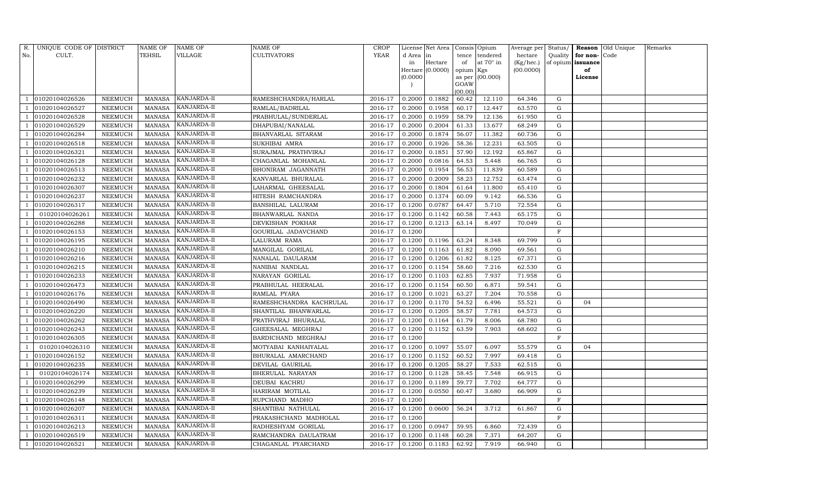| R.  | UNIQUE CODE OF DISTRICT |                | NAME OF       | <b>NAME OF</b> | NAME OF                 | <b>CROP</b> |          | License Net Area Consis Opium |           |                  | Average per Status/ |              |                   | <b>Reason</b> Old Unique | Remarks |
|-----|-------------------------|----------------|---------------|----------------|-------------------------|-------------|----------|-------------------------------|-----------|------------------|---------------------|--------------|-------------------|--------------------------|---------|
| No. | CULT.                   |                | TEHSIL        | VILLAGE        | <b>CULTIVATORS</b>      | YEAR        | d Area   | in                            |           | tence tendered   | hectare             | Quality      | for non-Code      |                          |         |
|     |                         |                |               |                |                         |             | in       | Hectare                       | of        | at $70^\circ$ in | (Kg/hec.)           |              | of opium issuance |                          |         |
|     |                         |                |               |                |                         |             |          | Hectare $(0.0000)$            | opium Kgs |                  | (00.0000)           |              | of                |                          |         |
|     |                         |                |               |                |                         |             | (0.0000) |                               | GOAW      | as per (00.000)  |                     |              | License           |                          |         |
|     |                         |                |               |                |                         |             |          |                               | (00.00)   |                  |                     |              |                   |                          |         |
|     | 01020104026526          | NEEMUCH        | MANASA        | KANJARDA-II    | RAMESHCHANDRA/HARLAL    | 2016-17     | 0.2000   | 0.1882                        | 60.42     | 12.110           | 64.346              | G            |                   |                          |         |
|     | 01020104026527          | NEEMUCH        | <b>MANASA</b> | KANJARDA-II    | RAMLAL/BADRILAL         | 2016-17     | 0.2000   | 0.1958                        | 60.17     | 12.447           | 63.570              | G            |                   |                          |         |
|     | 01020104026528          | NEEMUCH        | <b>MANASA</b> | KANJARDA-II    | PRABHULAL/SUNDERLAL     | 2016-17     | 0.2000   | 0.1959                        | 58.79     | 12.136           | 61.950              | G            |                   |                          |         |
|     | 01020104026529          | NEEMUCH        | <b>MANASA</b> | KANJARDA-II    | DHAPUBAI/NANALAL        | 2016-17     | 0.2000   | 0.2004                        | 61.33     | 13.677           | 68.249              | G            |                   |                          |         |
|     | 01020104026284          | NEEMUCH        | <b>MANASA</b> | KANJARDA-II    | BHANVARLAL SITARAM      | 2016-17     | 0.2000   | 0.1874                        | 56.07     | 11.382           | 60.736              | G            |                   |                          |         |
|     | 01020104026518          | NEEMUCH        | <b>MANASA</b> | KANJARDA-II    | SUKHIBAI AMRA           | 2016-17     | 0.2000   | 0.1926                        | 58.36     | 12.231           | 63.505              | G            |                   |                          |         |
|     | 01020104026321          | NEEMUCH        | <b>MANASA</b> | KANJARDA-II    | SURAJMAL PRATHVIRAJ     | 2016-17     | 0.2000   | 0.1851                        | 57.90     | 12.192           | 65.867              | G            |                   |                          |         |
|     | 01020104026128          | <b>NEEMUCH</b> | <b>MANASA</b> | KANJARDA-II    | CHAGANLAL MOHANLAL      | 2016-17     | 0.2000   | 0.0816                        | 64.53     | 5.448            | 66.765              | G            |                   |                          |         |
|     | 01020104026513          | <b>NEEMUCH</b> | <b>MANASA</b> | KANJARDA-II    | BHONIRAM JAGANNATH      | 2016-17     | 0.2000   | 0.1954                        | 56.53     | 11.839           | 60.589              | G            |                   |                          |         |
|     | 01020104026232          | NEEMUCH        | <b>MANASA</b> | KANJARDA-II    | KANVARLAL BHURALAL      | 2016-17     | 0.2000   | 0.2009                        | 58.23     | 12.752           | 63.474              | G            |                   |                          |         |
|     | 01020104026307          | NEEMUCH        | <b>MANASA</b> | KANJARDA-II    | LAHARMAL GHEESALAL      | 2016-17     | 0.2000   | 0.1804                        | 61.64     | 11.800           | 65.410              | G            |                   |                          |         |
|     | 01020104026237          | NEEMUCH        | <b>MANASA</b> | KANJARDA-II    | HITESH RAMCHANDRA       | 2016-17     | 0.2000   | 0.1374                        | 60.09     | 9.142            | 66.536              | G            |                   |                          |         |
|     | 01020104026317          | <b>NEEMUCH</b> | <b>MANASA</b> | KANJARDA-II    | BANSHILAL LALURAM       | 2016-17     | 0.1200   | 0.0787                        | 64.47     | 5.710            | 72.554              | G            |                   |                          |         |
|     | 01020104026261          | NEEMUCH        | MANASA        | KANJARDA-II    | BHANWARLAL NANDA        | 2016-17     | 0.1200   | 0.1142                        | 60.58     | 7.443            | 65.175              | G            |                   |                          |         |
|     | 01020104026288          | NEEMUCH        | <b>MANASA</b> | KANJARDA-II    | DEVKISHAN POKHAR        | 2016-17     | 0.1200   | 0.1213                        | 63.14     | 8.497            | 70.049              | G            |                   |                          |         |
|     | 01020104026153          | NEEMUCH        | MANASA        | KANJARDA-II    | GOURILAL JADAVCHAND     | 2016-17     | 0.1200   |                               |           |                  |                     | $\mathbf{F}$ |                   |                          |         |
|     | 01020104026195          | NEEMUCH        | <b>MANASA</b> | KANJARDA-II    | LALURAM RAMA            | 2016-17     | 0.1200   | 0.1196                        | 63.24     | 8.348            | 69.799              | G            |                   |                          |         |
|     | 01020104026210          | NEEMUCH        | MANASA        | KANJARDA-II    | MANGILAL GORILAL        | 2016-17     | 0.1200   | 0.1163                        | 61.82     | 8.090            | 69.561              | G            |                   |                          |         |
|     | 01020104026216          | NEEMUCH        | <b>MANASA</b> | KANJARDA-II    | NANALAL DAULARAM        | 2016-17     | 0.1200   | 0.1206                        | 61.82     | 8.125            | 67.371              | G            |                   |                          |         |
|     | 01020104026215          | NEEMUCH        | <b>MANASA</b> | KANJARDA-II    | NANIBAI NANDLAL         | 2016-17     | 0.1200   | 0.1154                        | 58.60     | 7.216            | 62.530              | G            |                   |                          |         |
|     | 01020104026233          | NEEMUCH        | <b>MANASA</b> | KANJARDA-II    | NARAYAN GORILAL         | 2016-17     | 0.1200   | 0.1103                        | 62.85     | 7.937            | 71.958              | G            |                   |                          |         |
|     | 01020104026473          | NEEMUCH        | <b>MANASA</b> | KANJARDA-II    | PRABHULAL HEERALAL      | 2016-17     | 0.1200   | 0.1154                        | 60.50     | 6.871            | 59.541              | G            |                   |                          |         |
|     | 01020104026176          | NEEMUCH        | <b>MANASA</b> | KANJARDA-II    | RAMLAL PYARA            | 2016-17     | 0.1200   | 0.1021                        | 63.27     | 7.204            | 70.558              | G            |                   |                          |         |
|     | 01020104026490          | NEEMUCH        | <b>MANASA</b> | KANJARDA-II    | RAMESHCHANDRA KACHRULAL | 2016-17     | 0.1200   | 0.1170                        | 54.52     | 6.496            | 55.521              | G            | 04                |                          |         |
|     | 01020104026220          | NEEMUCH        | <b>MANASA</b> | KANJARDA-II    | SHANTILAL BHANWARLAL    | 2016-17     | 0.1200   | 0.1205                        | 58.57     | 7.781            | 64.573              | G            |                   |                          |         |
|     | 01020104026262          | NEEMUCH        | <b>MANASA</b> | KANJARDA-II    | PRATHVIRAJ BHURALAL     | 2016-17     | 0.1200   | 0.1164                        | 61.79     | 8.006            | 68.780              | G            |                   |                          |         |
|     | 01020104026243          | NEEMUCH        | <b>MANASA</b> | KANJARDA-II    | GHEESALAL MEGHRAJ       | 2016-17     | 0.1200   | 0.1152                        | 63.59     | 7.903            | 68.602              | G            |                   |                          |         |
|     | 01020104026305          | NEEMUCH        | <b>MANASA</b> | KANJARDA-II    | BARDICHAND MEGHRAJ      | 2016-17     | 0.1200   |                               |           |                  |                     | $\mathbf{F}$ |                   |                          |         |
|     | 01020104026310          | NEEMUCH        | <b>MANASA</b> | KANJARDA-II    | MOTYABAI KANHAIYALAL    | 2016-17     | 0.1200   | 0.1097                        | 55.07     | 6.097            | 55.579              | G            | 04                |                          |         |
|     | 01020104026152          | NEEMUCH        | <b>MANASA</b> | KANJARDA-II    | BHURALAL AMARCHAND      | 2016-17     | 0.1200   | 0.1152                        | 60.52     | 7.997            | 69.418              | G            |                   |                          |         |
|     | 01020104026235          | NEEMUCH        | <b>MANASA</b> | KANJARDA-II    | DEVILAL GAURILAL        | 2016-17     | 0.1200   | 0.1205                        | 58.27     | 7.533            | 62.515              | G            |                   |                          |         |
|     | 01020104026174          | <b>NEEMUCH</b> | <b>MANASA</b> | KANJARDA-II    | BHERULAL NARAYAN        | 2016-17     | 0.1200   | 0.1128                        | 58.45     | 7.548            | 66.915              | G            |                   |                          |         |
|     | 01020104026299          | NEEMUCH        | <b>MANASA</b> | KANJARDA-II    | DEUBAI KACHRU           | 2016-17     | 0.1200   | 0.1189                        | 59.77     | 7.702            | 64.777              | G            |                   |                          |         |
|     | 01020104026239          | NEEMUCH        | <b>MANASA</b> | KANJARDA-II    | HARIRAM MOTILAL         | 2016-17     | 0.1200   | 0.0550                        | 60.47     | 3.680            | 66.909              | G            |                   |                          |         |
|     | 01020104026148          | NEEMUCH        | <b>MANASA</b> | KANJARDA-II    | RUPCHAND MADHO          | 2016-17     | 0.1200   |                               |           |                  |                     | $\mathbf F$  |                   |                          |         |
|     | 01020104026207          | <b>NEEMUCH</b> | <b>MANASA</b> | KANJARDA-II    | SHANTIBAI NATHULAL      | 2016-17     | 0.1200   | 0.0600                        | 56.24     | 3.712            | 61.867              | G            |                   |                          |         |
|     | 01020104026311          | NEEMUCH        | MANASA        | KANJARDA-II    | PRAKASHCHAND MADHOLAL   | 2016-17     | 0.1200   |                               |           |                  |                     | $\mathbf{F}$ |                   |                          |         |
|     | 01020104026213          | NEEMUCH        | <b>MANASA</b> | KANJARDA-II    | RADHESHYAM GORILAL      | 2016-17     | 0.1200   | 0.0947                        | 59.95     | 6.860            | 72.439              | G            |                   |                          |         |
|     | 01020104026519          | NEEMUCH        | MANASA        | KANJARDA-II    | RAMCHANDRA DAULATRAM    | 2016-17     | 0.1200   | 0.1148                        | 60.28     | 7.371            | 64.207              | G            |                   |                          |         |
|     | 01020104026521          | <b>NEEMUCH</b> | MANASA        | KANJARDA-II    | CHAGANLAL PYARCHAND     | 2016-17     | 0.1200   | 0.1183                        | 62.92     | 7.919            | 66.940              | G            |                   |                          |         |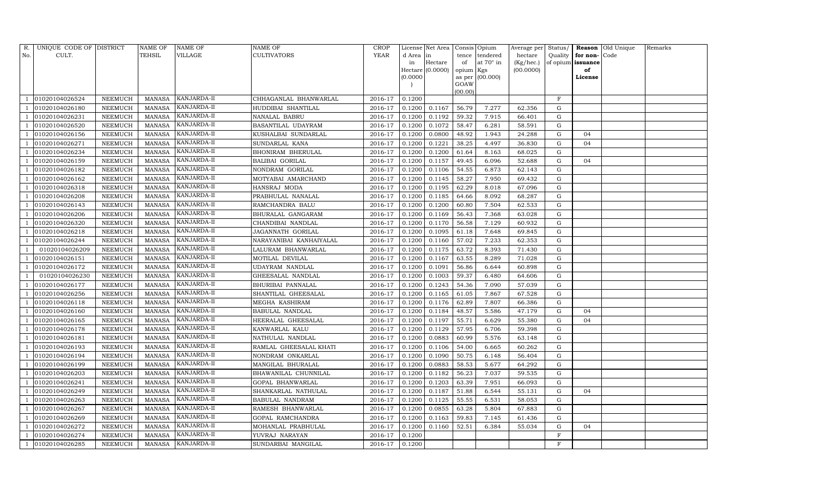| R.  | UNIQUE CODE OF DISTRICT |                 | NAME OF       | <b>NAME OF</b>     | <b>NAME OF</b>          | <b>CROP</b> |           | License Net Area   Consis   Opium |                 |                   | Average per Status/           |             |                          | <b>Reason</b> Old Unique | Remarks |
|-----|-------------------------|-----------------|---------------|--------------------|-------------------------|-------------|-----------|-----------------------------------|-----------------|-------------------|-------------------------------|-------------|--------------------------|--------------------------|---------|
| No. | CULT.                   |                 | TEHSIL        | VILLAGE            | <b>CULTIVATORS</b>      | YEAR        | d Area in |                                   | tence           | tendered          | hectare                       |             | Quality $\vert$ for non- | Code                     |         |
|     |                         |                 |               |                    |                         |             | in        | Hectare                           | of              | at 70° in         | $(Kg/hec.)$ of opium issuance |             |                          |                          |         |
|     |                         |                 |               |                    |                         |             |           | Hectare (0.0000)                  | opium Kgs       |                   | (00.0000)                     |             | of                       |                          |         |
|     |                         |                 |               |                    |                         |             | (0.0000)  |                                   |                 | as per $(00.000)$ |                               |             | License                  |                          |         |
|     |                         |                 |               |                    |                         |             |           |                                   | GOAW<br>(00.00) |                   |                               |             |                          |                          |         |
|     | 01020104026524          | NEEMUCH         | MANASA        | KANJARDA-II        | CHHAGANLAL BHANWARLAL   | 2016-17     | 0.1200    |                                   |                 |                   |                               | $\mathbf F$ |                          |                          |         |
|     | 01020104026180          | NEEMUCH         | <b>MANASA</b> | KANJARDA-II        | HUDDIBAI SHANTILAL      | 2016-17     | 0.1200    | 0.1167                            | 56.79           | 7.277             | 62.356                        | G           |                          |                          |         |
|     | 01020104026231          | NEEMUCH         | MANASA        | KANJARDA-II        | NANALAL BABRU           | 2016-17     | 0.1200    | 0.1192                            | 59.32           | 7.915             | 66.401                        | G           |                          |                          |         |
|     | 01020104026520          | NEEMUCH         | MANASA        | KANJARDA-II        | BASANTILAL UDAYRAM      | 2016-17     | 0.1200    | 0.1072                            | 58.47           | 6.281             | 58.591                        | G           |                          |                          |         |
|     | 01020104026156          | NEEMUCH         | <b>MANASA</b> | KANJARDA-II        | KUSHALBAI SUNDARLAL     | 2016-17     | 0.1200    | 0.0800                            | 48.92           | 1.943             | 24.288                        | G           | 04                       |                          |         |
|     | 01020104026271          | NEEMUCH         | MANASA        | KANJARDA-II        | SUNDARLAL KANA          | 2016-17     | 0.1200    | 0.1221                            | 38.25           | 4.497             | 36.830                        | G           | 04                       |                          |         |
|     | 01020104026234          | NEEMUCH         | MANASA        | KANJARDA-II        | BHONIRAM BHERULAL       | 2016-17     | 0.1200    | 0.1200                            | 61.64           | 8.163             | 68.025                        | G           |                          |                          |         |
|     | 01020104026159          | NEEMUCH         | <b>MANASA</b> | KANJARDA-II        | <b>BALIBAI GORILAL</b>  | 2016-17     | 0.1200    | 0.1157                            | 49.45           | 6.096             | 52.688                        | G           | 04                       |                          |         |
|     | 01020104026182          | NEEMUCH         | <b>MANASA</b> | KANJARDA-II        | NONDRAM GORILAL         | 2016-17     | 0.1200    | 0.1106                            | 54.55           | 6.873             | 62.143                        | G           |                          |                          |         |
|     | 01020104026162          | NEEMUCH         | MANASA        | KANJARDA-II        | MOTYABAI AMARCHAND      | 2016-17     | 0.1200    | 0.1145                            | 58.27           | 7.950             | 69.432                        | G           |                          |                          |         |
|     | 01020104026318          | NEEMUCH         | MANASA        | KANJARDA-II        | HANSRAJ MODA            | 2016-17     | 0.1200    | 0.1195                            | 62.29           | 8.018             | 67.096                        | G           |                          |                          |         |
|     | 01020104026208          | NEEMUCH         | MANASA        | KANJARDA-II        | PRABHULAL NANALAL       | 2016-17     | 0.1200    | 0.1185                            | 64.66           | 8.092             | 68.287                        | G           |                          |                          |         |
|     | 01020104026143          | <b>NEEMUCH</b>  | <b>MANASA</b> | KANJARDA-II        | RAMCHANDRA BALU         | 2016-17     | 0.1200    | 0.1200                            | 60.80           | 7.504             | 62.533                        | $\mathbf G$ |                          |                          |         |
|     | 01020104026206          | NEEMUCH         | MANASA        | KANJARDA-II        | BHURALAL GANGARAM       | 2016-17     | 0.1200    | 0.1169                            | 56.43           | 7.368             | 63.028                        | G           |                          |                          |         |
|     | 01020104026320          | NEEMUCH         |               | MANASA KANJARDA-II | CHANDIBAI NANDLAL       | 2016-17     | 0.1200    | 0.1170                            | 56.58           | 7.129             | 60.932                        | G           |                          |                          |         |
|     | 01020104026218          | NEEMUCH         | MANASA        | KANJARDA-II        | JAGANNATH GORILAL       | 2016-17     | 0.1200    | 0.1095                            | 61.18           | 7.648             | 69.845                        | G           |                          |                          |         |
|     | 01020104026244          | NEEMUCH         | <b>MANASA</b> | KANJARDA-II        | NARAYANIBAI KANHAIYALAL | 2016-17     | 0.1200    | 0.1160                            | 57.02           | 7.233             | 62.353                        | G           |                          |                          |         |
|     | 01020104026209          | NEEMUCH         | MANASA        | KANJARDA-II        | LALURAM BHANWARLAL      | 2016-17     | 0.1200    | 0.1175                            | 63.72           | 8.393             | 71.430                        | G           |                          |                          |         |
|     | 01020104026151          | NEEMUCH         | MANASA        | KANJARDA-II        | MOTILAL DEVILAL         | 2016-17     | 0.1200    | 0.1167                            | 63.55           | 8.289             | 71.028                        | G           |                          |                          |         |
|     | 01020104026172          | ${\tt NEEMUCH}$ | MANASA        | KANJARDA-II        | UDAYRAM NANDLAL         | 2016-17     | 0.1200    | 0.1091                            | 56.86           | 6.644             | 60.898                        | G           |                          |                          |         |
|     | 01020104026230          | NEEMUCH         | MANASA        | KANJARDA-II        | GHEESALAL NANDLAL       | 2016-17     | 0.1200    | 0.1003                            | 59.37           | 6.480             | 64.606                        | G           |                          |                          |         |
|     | 01020104026177          | NEEMUCH         | <b>MANASA</b> | KANJARDA-II        | BHURIBAI PANNALAL       | 2016-17     | 0.1200    | 0.1243                            | 54.36           | 7.090             | 57.039                        | G           |                          |                          |         |
|     | 01020104026256          | NEEMUCH         | MANASA        | KANJARDA-II        | SHANTILAL GHEESALAL     | 2016-17     | 0.1200    | 0.1165                            | 61.05           | 7.867             | 67.528                        | G           |                          |                          |         |
|     | 01020104026118          | NEEMUCH         | <b>MANASA</b> | KANJARDA-II        | MEGHA KASHIRAM          | 2016-17     | 0.1200    | 0.1176                            | 62.89           | 7.807             | 66.386                        | G           |                          |                          |         |
|     | 01020104026160          | NEEMUCH         | <b>MANASA</b> | KANJARDA-II        | BABULAL NANDLAL         | 2016-17     | 0.1200    | 0.1184                            | 48.57           | 5.586             | 47.179                        | G           | 04                       |                          |         |
|     | 01020104026165          | NEEMUCH         | MANASA        | KANJARDA-II        | HEERALAL GHEESALAL      | 2016-17     | 0.1200    | 0.1197                            | 55.71           | 6.629             | 55.380                        | G           | 04                       |                          |         |
|     | 01020104026178          | NEEMUCH         | <b>MANASA</b> | KANJARDA-II        | KANWARLAL KALU          | 2016-17     | 0.1200    | 0.1129                            | 57.95           | 6.706             | 59.398                        | G           |                          |                          |         |
|     | 01020104026181          | NEEMUCH         | <b>MANASA</b> | KANJARDA-II        | NATHULAL NANDLAL        | 2016-17     | 0.1200    | 0.0883                            | 60.99           | 5.576             | 63.148                        | G           |                          |                          |         |
|     | 01020104026193          | NEEMUCH         | MANASA        | KANJARDA-II        | RAMLAL GHEESALAL KHATI  | 2016-17     | 0.1200    | 0.1106                            | 54.00           | 6.665             | 60.262                        | G           |                          |                          |         |
|     | 01020104026194          | NEEMUCH         | MANASA        | KANJARDA-II        | NONDRAM ONKARLAL        | 2016-17     | 0.1200    | 0.1090                            | 50.75           | 6.148             | 56.404                        | G           |                          |                          |         |
|     | 01020104026199          | NEEMUCH         | MANASA        | KANJARDA-II        | MANGILAL BHURALAL       | 2016-17     | 0.1200    | 0.0883                            | 58.53           | 5.677             | 64.292                        | G           |                          |                          |         |
|     | 01020104026203          | NEEMUCH         | <b>MANASA</b> | KANJARDA-II        | BHAWANILAL CHUNNILAL    | 2016-17     | 0.1200    | 0.1182                            | 56.23           | 7.037             | 59.535                        | G           |                          |                          |         |
|     | 01020104026241          | NEEMUCH         | MANASA        | KANJARDA-II        | GOPAL BHANWARLAL        | 2016-17     | 0.1200    | 0.1203                            | 63.39           | 7.951             | 66.093                        | G           |                          |                          |         |
|     | 01020104026249          | NEEMUCH         | <b>MANASA</b> | KANJARDA-II        | SHANKARLAL NATHULAL     | 2016-17     | 0.1200    | 0.1187                            | 51.88           | 6.544             | 55.131                        | G           | 04                       |                          |         |
|     | 01020104026263          | NEEMUCH         | <b>MANASA</b> | KANJARDA-II        | <b>BABULAL NANDRAM</b>  | 2016-17     | 0.1200    | 0.1125                            | 55.55           | 6.531             | 58.053                        | G           |                          |                          |         |
|     | 01020104026267          | <b>NEEMUCH</b>  | <b>MANASA</b> | KANJARDA-II        | RAMESH BHANWARLAL       | 2016-17     | 0.1200    | 0.0855                            | 63.28           | 5.804             | 67.883                        | G           |                          |                          |         |
|     | 01020104026269          | NEEMUCH         | MANASA        | KANJARDA-II        | GOPAL RAMCHANDRA        | 2016-17     | 0.1200    | 0.1163                            | 59.83           | 7.145             | 61.436                        | G           |                          |                          |         |
|     | 01020104026272          | NEEMUCH         | MANASA        | KANJARDA-II        | MOHANLAL PRABHULAL      | 2016-17     | 0.1200    | 0.1160                            | 52.51           | 6.384             | 55.034                        | G           | 04                       |                          |         |
|     | 01020104026274          | NEEMUCH         | MANASA        | KANJARDA-II        | YUVRAJ NARAYAN          | 2016-17     | 0.1200    |                                   |                 |                   |                               | F           |                          |                          |         |
|     | 01020104026285          | NEEMUCH         |               | MANASA KANJARDA-II | SUNDARBAI MANGILAL      | 2016-17     | 0.1200    |                                   |                 |                   |                               | F           |                          |                          |         |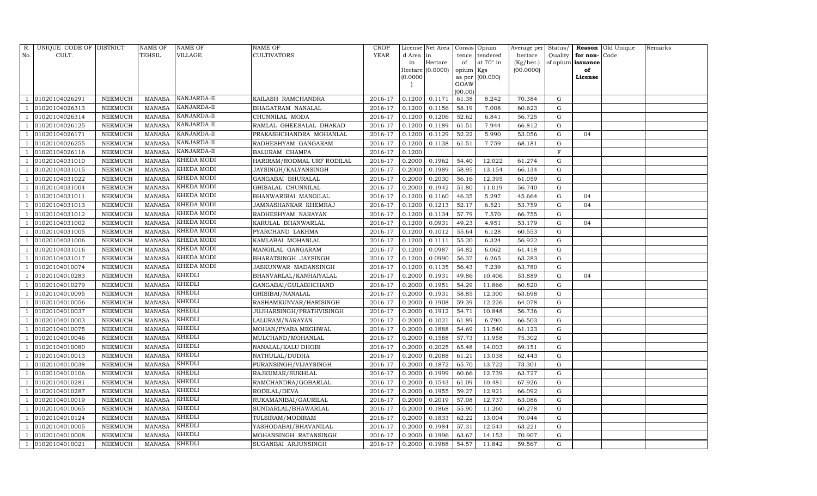| R.  | UNIQUE CODE OF DISTRICT |                | NAME OF       | NAME OF     | NAME OF                    | CROP        |           | License Net Area |           | Consis Opium    | Average per Status/ |             |          | Reason Old Unique | Remarks |
|-----|-------------------------|----------------|---------------|-------------|----------------------------|-------------|-----------|------------------|-----------|-----------------|---------------------|-------------|----------|-------------------|---------|
| No. | CULT.                   |                | TEHSIL        | VILLAGE     | CULTIVATORS                | <b>YEAR</b> | d Area in |                  | tence     | tendered        | hectare             | Quality     | for non- | Code              |         |
|     |                         |                |               |             |                            |             | in        | Hectare          | of        | at 70° in       | (Kg/hec.)           | of opium    | issuance |                   |         |
|     |                         |                |               |             |                            |             |           | Hectare (0.0000) | opium Kgs |                 | (00.0000)           |             | of       |                   |         |
|     |                         |                |               |             |                            |             | (0.0000)  |                  | GOAW      | as per (00.000) |                     |             | License  |                   |         |
|     |                         |                |               |             |                            |             |           |                  | (00.00)   |                 |                     |             |          |                   |         |
|     | 01020104026291          | NEEMUCH        | <b>MANASA</b> | KANJARDA-II | KAILASH RAMCHANDRA         | 2016-17     | 0.1200    | 0.1171           | 61.38     | 8.242           | 70.384              | G           |          |                   |         |
|     | 01020104026313          | NEEMUCH        | <b>MANASA</b> | KANJARDA-II | BHAGATRAM NANALAL          | 2016-17     | 0.1200    | 0.1156           | 58.19     | 7.008           | 60.623              | G           |          |                   |         |
|     | 01020104026314          | NEEMUCH        | <b>MANASA</b> | KANJARDA-II | CHUNNILAL MODA             | 2016-17     | 0.1200    | 0.1206           | 52.62     | 6.841           | 56.725              | G           |          |                   |         |
|     | 01020104026125          | NEEMUCH        | <b>MANASA</b> | KANJARDA-II | RAMLAL GHEESALAL DHAKAD    | 2016-17     | 0.1200    | 0.1189           | 61.51     | 7.944           | 66.812              | G           |          |                   |         |
|     | 01020104026171          | NEEMUCH        | <b>MANASA</b> | KANJARDA-II | PRAKASHCHANDRA MOHANLAL    | 2016-17     | 0.1200    | 0.1129           | 52.22     | 5.990           | 53.056              | G           | 04       |                   |         |
|     | 01020104026255          | NEEMUCH        | <b>MANASA</b> | KANJARDA-II | RADHESHYAM GANGARAM        | 2016-17     | 0.1200    | 0.1138           | 61.51     | 7.759           | 68.181              | ${\rm G}$   |          |                   |         |
|     | 01020104026116          | NEEMUCH        | <b>MANASA</b> | KANJARDA-II | BALURAM CHAMPA             | 2016-17     | 0.1200    |                  |           |                 |                     | $\mathbf F$ |          |                   |         |
|     | 01020104031010          | NEEMUCH        | <b>MANASA</b> | KHEDA MODI  | HARIRAM/RODMAL URF RODILAL | 2016-17     | 0.2000    | 0.1962           | 54.40     | 12.022          | 61.274              | G           |          |                   |         |
|     | 01020104031015          | NEEMUCH        | <b>MANASA</b> | KHEDA MODI  | JAYSINGH/KALYANSINGH       | 2016-17     | 0.2000    | 0.1989           | 58.95     | 13.154          | 66.134              | G           |          |                   |         |
|     | 01020104031022          | NEEMUCH        | <b>MANASA</b> | KHEDA MODI  | GANGABAI BHURALAL          | 2016-17     | 0.2000    | 0.2030           | 56.16     | 12.395          | 61.059              | ${\rm G}$   |          |                   |         |
|     | 01020104031004          | NEEMUCH        | <b>MANASA</b> | KHEDA MODI  | GHISALAL CHUNNILAL         | 2016-17     | 0.2000    | 0.1942           | 51.80     | 11.019          | 56.740              | ${\rm G}$   |          |                   |         |
|     | 01020104031011          | NEEMUCH        | <b>MANASA</b> | KHEDA MODI  | BHANWARIBAI MANGILAL       | 2016-17     | 0.1200    | 0.1160           | 46.35     | 5.297           | 45.664              | G           | 04       |                   |         |
|     | 01020104031013          | <b>NEEMUCH</b> | <b>MANASA</b> | KHEDA MODI  | JAMNASHANKAR KHEMRAJ       | 2016-17     | 0.1200    | 0.1213           | 52.17     | 6.521           | 53.759              | ${\rm G}$   | 04       |                   |         |
|     | 01020104031012          | NEEMUCH        | MANASA        | KHEDA MODI  | RADHESHYAM NARAYAN         | 2016-17     | 0.1200    | 0.1134           | 57.79     | 7.570           | 66.755              | G           |          |                   |         |
|     | 01020104031002          | NEEMUCH        | <b>MANASA</b> | KHEDA MODI  | KARULAL BHANWARLAL         | 2016-17     | 0.1200    | 0.0931           | 49.23     | 4.951           | 53.179              | G           | 04       |                   |         |
|     | 01020104031005          | NEEMUCH        | <b>MANASA</b> | KHEDA MODI  | PYARCHAND LAKHMA           | 2016-17     | 0.1200    | 0.1012           | 55.64     | 6.128           | 60.553              | G           |          |                   |         |
|     | 01020104031006          | <b>NEEMUCH</b> | <b>MANASA</b> | KHEDA MODI  | KAMLABAI MOHANLAL          | 2016-17     | 0.1200    | 0.1111           | 55.20     | 6.324           | 56.922              | G           |          |                   |         |
|     | 01020104031016          | NEEMUCH        | MANASA        | KHEDA MODI  | MANGILAL GANGARAM          | 2016-17     | 0.1200    | 0.0987           | 54.82     | 6.062           | 61.418              | G           |          |                   |         |
|     | 01020104031017          | NEEMUCH        | <b>MANASA</b> | KHEDA MODI  | BHARATSINGH JAYSINGH       | 2016-17     | 0.1200    | 0.0990           | 56.37     | 6.265           | 63.283              | G           |          |                   |         |
|     | 01020104010074          | NEEMUCH        | <b>MANASA</b> | KHEDA MODI  | JASKUNWAR MADANSINGH       | 2016-17     | 0.1200    | 0.1135           | 56.43     | 7.239           | 63.780              | G           |          |                   |         |
|     | 01020104010283          | NEEMUCH        | <b>MANASA</b> | KHEDLI      | BHANVARLAL/KANHAIYALAL     | 2016-17     | 0.2000    | 0.1931           | 49.86     | 10.406          | 53.889              | ${\rm G}$   | 04       |                   |         |
|     | 01020104010279          | NEEMUCH        | <b>MANASA</b> | KHEDLI      | GANGABAI/GULABHCHAND       | 2016-17     | 0.2000    | 0.1951           | 54.29     | 11.866          | 60.820              | G           |          |                   |         |
|     | 01020104010095          | NEEMUCH        | <b>MANASA</b> | KHEDLI      | GHISIBAI/NANALAL           | 2016-17     | 0.2000    | 0.1931           | 58.85     | 12.300          | 63.698              | G           |          |                   |         |
|     | 01020104010056          | NEEMUCH        | <b>MANASA</b> | KHEDLI      | RASHAMKUNVAR/HARISINGH     | 2016-17     | 0.2000    | 0.1908           | 59.39     | 12.226          | 64.078              | G           |          |                   |         |
|     | 01020104010037          | NEEMUCH        | <b>MANASA</b> | KHEDLI      | JUJHARSINGH/PRATHVISINGH   | 2016-17     | 0.2000    | 0.1912           | 54.71     | 10.848          | 56.736              | ${\rm G}$   |          |                   |         |
|     | 01020104010003          | NEEMUCH        | <b>MANASA</b> | KHEDLI      | LALURAM/NARAYAN            | 2016-17     | 0.2000    | 0.1021           | 61.89     | 6.790           | 66.503              | G           |          |                   |         |
|     | 01020104010075          | NEEMUCH        | <b>MANASA</b> | KHEDLI      | MOHAN/PYARA MEGHWAL        | 2016-17     | 0.2000    | 0.1888           | 54.69     | 11.540          | 61.123              | ${\rm G}$   |          |                   |         |
|     | 01020104010046          | NEEMUCH        | <b>MANASA</b> | KHEDLI      | MULCHAND/MOHANLAL          | 2016-17     | 0.2000    | 0.1588           | 57.73     | 11.958          | 75.302              | ${\rm G}$   |          |                   |         |
|     | 01020104010080          | NEEMUCH        | <b>MANASA</b> | KHEDLI      | NANALAL/KALU DHOBI         | 2016-17     | 0.2000    | 0.2025           | 65.48     | 14.003          | 69.151              | G           |          |                   |         |
|     | 01020104010013          | NEEMUCH        | <b>MANASA</b> | KHEDLI      | NATHULAL/DUDHA             | 2016-17     | 0.2000    | 0.2088           | 61.21     | 13.038          | 62.443              | ${\rm G}$   |          |                   |         |
|     | 01020104010038          | NEEMUCH        | <b>MANASA</b> | KHEDLI      | PURANSINGH/VIJAYSINGH      | 2016-17     | 0.2000    | 0.1872           | 65.70     | 13.722          | 73.301              | G           |          |                   |         |
|     | 01020104010106          | NEEMUCH        | <b>MANASA</b> | KHEDLI      | RAJKUMAR/SUKHLAL           | 2016-17     | 0.2000    | 0.1999           | 60.66     | 12.739          | 63.727              | G           |          |                   |         |
|     | 01020104010281          | NEEMUCH        | <b>MANASA</b> | KHEDLI      | RAMCHANDRA/GOBARLAL        | 2016-17     | 0.2000    | 0.1543           | 61.09     | 10.481          | 67.926              | ${\rm G}$   |          |                   |         |
|     | 01020104010287          | NEEMUCH        | <b>MANASA</b> | KHEDLI      | RODILAL/DEVA               | 2016-17     | 0.2000    | 0.1955           | 59.27     | 12.921          | 66.092              | G           |          |                   |         |
|     | 01020104010019          | NEEMUCH        | <b>MANASA</b> | KHEDLI      | RUKAMANIBAI/GAURILAL       | 2016-17     | 0.2000    | 0.2019           | 57.08     | 12.737          | 63.086              | ${\rm G}$   |          |                   |         |
|     | 01020104010065          | <b>NEEMUCH</b> | <b>MANASA</b> | KHEDLI      | SUNDARLAL/BHAWARLAL        | 2016-17     | 0.2000    | 0.1868           | 55.90     | 11.260          | 60.278              | ${\rm G}$   |          |                   |         |
|     | 01020104010124          | NEEMUCH        | <b>MANASA</b> | KHEDLI      | TULSIRAM/MODIRAM           | 2016-17     | 0.2000    | 0.1833           | 62.22     | 13.004          | 70.944              | G           |          |                   |         |
|     | 01020104010005          | NEEMUCH        | <b>MANASA</b> | KHEDLI      | YASHODABAI/BHAVANILAL      | 2016-17     | 0.2000    | 0.1984           | 57.31     | 12.543          | 63.221              | G           |          |                   |         |
|     | 01020104010008          | NEEMUCH        | <b>MANASA</b> | KHEDLI      | MOHANSINGH RATANSINGH      | 2016-17     | 0.2000    | 0.1996           | 63.67     | 14.153          | 70.907              | G           |          |                   |         |
|     | 01020104010021          | NEEMUCH        | <b>MANASA</b> | KHEDLI      | SUGANBAI ARJUNSINGH        | 2016-17     | 0.2000    | 0.1988           | 54.57     | 11.842          | 59.567              | G           |          |                   |         |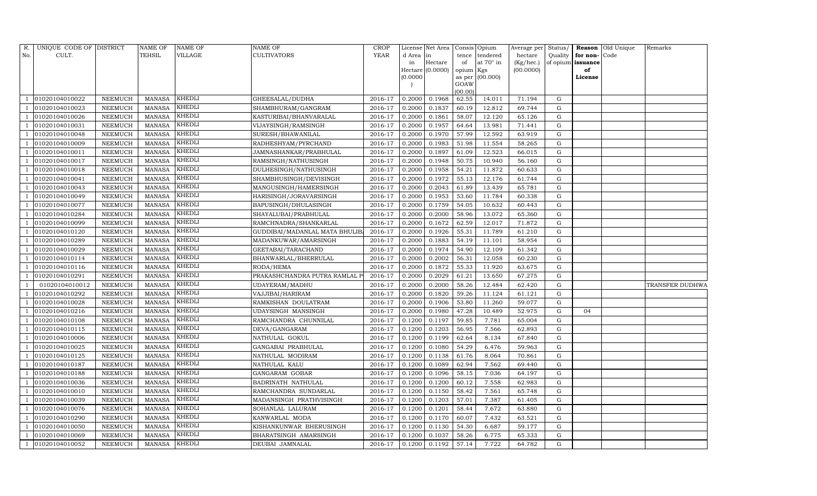| R.  | UNIQUE CODE OF DISTRICT |                | <b>NAME OF</b> | NAME OF       | <b>NAME OF</b>                 | <b>CROP</b> |           | License Net Area |                | Consis Opium | Average per | Status/     | Reason            | Old Unique | Remarks         |
|-----|-------------------------|----------------|----------------|---------------|--------------------------------|-------------|-----------|------------------|----------------|--------------|-------------|-------------|-------------------|------------|-----------------|
| No. | CULT.                   |                | TEHSIL         | VILLAGE       | <b>CULTIVATORS</b>             | <b>YEAR</b> | d Area in |                  | tence          | tendered     | hectare     | Quality     | for non-          | Code       |                 |
|     |                         |                |                |               |                                |             | in        | Hectare          | of             | at 70° in    | (Kg/hec.)   |             | of opium issuance |            |                 |
|     |                         |                |                |               |                                |             |           | Hectare (0.0000) | opium Kgs      |              | (00.0000)   |             | of                |            |                 |
|     |                         |                |                |               |                                |             | (0.0000)  |                  | as per<br>GOAW | (00.000)     |             |             | License           |            |                 |
|     |                         |                |                |               |                                |             |           |                  | (00.00)        |              |             |             |                   |            |                 |
|     | 01020104010022          | NEEMUCH        | <b>MANASA</b>  | KHEDLI        | GHEESALAL/DUDHA                | 2016-17     | 0.2000    | 0.1968           | 62.55          | 14.011       | 71.194      | G           |                   |            |                 |
|     | 01020104010023          | NEEMUCH        | <b>MANASA</b>  | KHEDLI        | SHAMBHURAM/GANGRAM             | 2016-17     | 0.2000    | 0.1837           | 60.19          | 12.812       | 69.744      | G           |                   |            |                 |
|     | 01020104010026          | NEEMUCH        | <b>MANASA</b>  | <b>KHEDLI</b> | KASTURIBAI/BHANVARALAL         | 2016-17     | 0.2000    | 0.1861           | 58.07          | 12.120       | 65.126      | G           |                   |            |                 |
|     | 01020104010031          | NEEMUCH        | <b>MANASA</b>  | KHEDLI        | VIJAYSINGH/RAMSINGH            | 2016-17     | 0.2000    | 0.1957           | 64.64          | 13.981       | 71.441      | ${\rm G}$   |                   |            |                 |
|     | 01020104010048          | <b>NEEMUCH</b> | <b>MANASA</b>  | KHEDLI        | SURESH/BHAWANILAL              | 2016-17     | 0.2000    | 0.1970           | 57.99          | 12.592       | 63.919      | ${\rm G}$   |                   |            |                 |
|     | 01020104010009          | NEEMUCH        | <b>MANASA</b>  | KHEDLI        | RADHESHYAM/PYRCHAND            | 2016-17     | 0.2000    | 0.1983           | 51.98          | 11.554       | 58.265      | ${\rm G}$   |                   |            |                 |
|     | 01020104010011          | NEEMUCH        | <b>MANASA</b>  | <b>KHEDLI</b> | JAMNASHANKAR/PRABHULAL         | 2016-17     | 0.2000    | 0.1897           | 61.09          | 12.523       | 66.015      | ${\rm G}$   |                   |            |                 |
|     | 01020104010017          | NEEMUCH        | <b>MANASA</b>  | KHEDLI        | RAMSINGH/NATHUSINGH            | 2016-17     | 0.2000    | 0.1948           | 50.75          | 10.940       | 56.160      | ${\rm G}$   |                   |            |                 |
|     | 01020104010018          | <b>NEEMUCH</b> | <b>MANASA</b>  | KHEDLI        | DULHESINGH/NATHUSINGH          | 2016-17     | 0.2000    | 0.1958           | 54.21          | 11.872       | 60.633      | $\mathbf G$ |                   |            |                 |
|     | 01020104010041          | NEEMUCH        | <b>MANASA</b>  | KHEDLI        | SHAMBHUSINGH/DEVISINGH         | 2016-17     | 0.2000    | 0.1972           | 55.13          | 12.176       | 61.744      | ${\rm G}$   |                   |            |                 |
|     | 01020104010043          | NEEMUCH        | <b>MANASA</b>  | KHEDLI        | MANGUSINGH/HAMERSINGH          | 2016-17     | 0.2000    | 0.2043           | 61.89          | 13.439       | 65.781      | ${\rm G}$   |                   |            |                 |
|     | 01020104010049          | NEEMUCH        | <b>MANASA</b>  | KHEDLI        | HARISINGH/JORAVARSINGH         | 2016-17     | 0.2000    | 0.1953           | 53.60          | 11.784       | 60.338      | G           |                   |            |                 |
|     | 01020104010077          | <b>NEEMUCH</b> | <b>MANASA</b>  | KHEDLI        | BAPUSINGH/DHULASINGH           | 2016-17     | 0.2000    | 0.1759           | 54.05          | 10.632       | 60.443      | ${\rm G}$   |                   |            |                 |
|     | 01020104010284          | NEEMUCH        | <b>MANASA</b>  | KHEDLI        | SHAYALUBAI/PRABHULAL           | 2016-17     | 0.2000    | 0.2000           | 58.96          | 13.072       | 65.360      | G           |                   |            |                 |
|     | 01020104010099          | NEEMUCH        | <b>MANASA</b>  | <b>KHEDLI</b> | RAMCHNADRA/SHANKARLAL          | 2016-17     | 0.2000    | 0.1672           | 62.59          | 12.017       | 71.872      | G           |                   |            |                 |
|     | 01020104010120          | NEEMUCH        | <b>MANASA</b>  | KHEDLI        | GUDDIBAI/MADANLAL MATA BHULIB. | 2016-17     | 0.2000    | 0.1926           | 55.31          | 11.789       | 61.210      | G           |                   |            |                 |
|     | 01020104010289          | <b>NEEMUCH</b> | <b>MANASA</b>  | KHEDLI        | MADANKUWAR/AMARSINGH           | 2016-17     | 0.2000    | 0.1883           | 54.19          | 11.101       | 58.954      | G           |                   |            |                 |
|     | 01020104010029          | NEEMUCH        | MANASA         | KHEDLI        | GEETABAI/TARACHAND             | 2016-17     | 0.2000    | 0.1974           | 54.90          | 12.109       | 61.342      | G           |                   |            |                 |
|     | 01020104010114          | NEEMUCH        | <b>MANASA</b>  | <b>KHEDLI</b> | BHANWARLAL/BHERRULAL           | 2016-17     | 0.2000    | 0.2002           | 56.31          | 12.058       | 60.230      | G           |                   |            |                 |
|     | 01020104010116          | NEEMUCH        | <b>MANASA</b>  | KHEDLI        | RODA/HEMA                      | 2016-17     | 0.2000    | 0.1872           | 55.33          | 11.920       | 63.675      | G           |                   |            |                 |
|     | 01020104010291          | NEEMUCH        | <b>MANASA</b>  | KHEDLI        | PRAKASHCHANDRA PUTRA RAMLAL I  | 2016-17     | 0.2000    | 0.2029           | 61.21          | 13.650       | 67.275      | G           |                   |            |                 |
|     | 01020104010012          | NEEMUCH        | <b>MANASA</b>  | KHEDLI        | UDAYERAM/MADHU                 | 2016-17     | 0.2000    | 0.2000           | 58.26          | 12.484       | 62.420      | G           |                   |            | TRANSFER DUDHWA |
|     | 01020104010292          | NEEMUCH        | <b>MANASA</b>  | KHEDLI        | VAJJIBAI/HARIRAM               | 2016-17     | 0.2000    | 0.1820           | 59.26          | 11.124       | 61.121      | G           |                   |            |                 |
|     | 01020104010028          | NEEMUCH        | <b>MANASA</b>  | KHEDLI        | RAMKISHAN DOULATRAM            | 2016-17     | 0.2000    | 0.1906           | 53.80          | 11.260       | 59.077      | ${\rm G}$   |                   |            |                 |
|     | 01020104010216          | NEEMUCH        | <b>MANASA</b>  | KHEDLI        | UDAYSINGH MANSINGH             | 2016-17     | 0.2000    | 0.1980           | 47.28          | 10.489       | 52.975      | G           | 04                |            |                 |
|     | 01020104010108          | NEEMUCH        | <b>MANASA</b>  | KHEDLI        | RAMCHANDRA CHUNNILAL           | 2016-17     | 0.1200    | 0.1197           | 59.85          | 7.781        | 65.004      | G           |                   |            |                 |
|     | 01020104010115          | NEEMUCH        | <b>MANASA</b>  | KHEDLI        | DEVA/GANGARAM                  | 2016-17     | 0.1200    | 0.1203           | 56.95          | 7.566        | 62.893      | ${\rm G}$   |                   |            |                 |
|     | 01020104010006          | NEEMUCH        | <b>MANASA</b>  | KHEDLI        | NATHULAL GOKUL                 | 2016-17     | 0.1200    | 0.1199           | 62.64          | 8.134        | 67.840      | $\mathbf G$ |                   |            |                 |
|     | 01020104010025          | NEEMUCH        | <b>MANASA</b>  | KHEDLI        | GANGABAI PRABHULAL             | 2016-17     | 0.1200    | 0.1080           | 54.29          | 6.476        | 59.963      | G           |                   |            |                 |
|     | 01020104010125          | NEEMUCH        | <b>MANASA</b>  | KHEDLI        | NATHULAL MODIRAM               | 2016-17     | 0.1200    | 0.1138           | 61.76          | 8.064        | 70.861      | ${\rm G}$   |                   |            |                 |
|     | 01020104010187          | NEEMUCH        | <b>MANASA</b>  | KHEDLI        | NATHULAL KALU                  | 2016-17     | 0.1200    | 0.1089           | 62.94          | 7.562        | 69.440      | $\mathbf G$ |                   |            |                 |
|     | 01020104010188          | <b>NEEMUCH</b> | <b>MANASA</b>  | KHEDLI        | GANGARAM GOBAR                 | 2016-17     | 0.1200    | 0.1096           | 58.15          | 7.036        | 64.197      | $\mathbf G$ |                   |            |                 |
|     | 01020104010036          | NEEMUCH        | <b>MANASA</b>  | KHEDLI        | BADRINATH NATHULAL             | 2016-17     | 0.1200    | 0.1200           | 60.12          | 7.558        | 62.983      | ${\rm G}$   |                   |            |                 |
|     | 01020104010010          | NEEMUCH        | <b>MANASA</b>  | KHEDLI        | RAMCHANDRA SUNDARLAL           | 2016-17     | 0.1200    | 0.1150           | 58.42          | 7.561        | 65.748      | ${\rm G}$   |                   |            |                 |
|     | 01020104010039          | NEEMUCH        | <b>MANASA</b>  | KHEDLI        | MADANSINGH PRATHVISINGH        | 2016-17     | 0.1200    | 0.1203           | 57.01          | 7.387        | 61.405      | ${\rm G}$   |                   |            |                 |
|     | 01020104010076          | <b>NEEMUCH</b> | <b>MANASA</b>  | KHEDLI        | SOHANLAL LALURAM               | 2016-17     | 0.1200    | 0.1201           | 58.44          | 7.672        | 63.880      | ${\rm G}$   |                   |            |                 |
|     | 01020104010290          | NEEMUCH        | <b>MANASA</b>  | KHEDLI        | KANWARLAL MODA                 | 2016-17     | 0.1200    | 0.1170           | 60.07          | 7.432        | 63.521      | G           |                   |            |                 |
|     | 01020104010050          | NEEMUCH        | <b>MANASA</b>  | <b>KHEDLI</b> | KISHANKUNWAR BHERUSINGH        | 2016-17     | 0.1200    | 0.1130           | 54.30          | 6.687        | 59.177      | G           |                   |            |                 |
|     | 01020104010069          | NEEMUCH        | <b>MANASA</b>  | KHEDLI        | BHARATSINGH AMARSINGH          | 2016-17     | 0.1200    | 0.1037           | 58.26          | 6.775        | 65.333      | G           |                   |            |                 |
|     | 01020104010052          | <b>NEEMUCH</b> | <b>MANASA</b>  | <b>KHEDLI</b> | DEUBAI JAMNALAL                | 2016-17     | 0.1200    | 0.1192           | 57.14          | 7.722        | 64.782      | G           |                   |            |                 |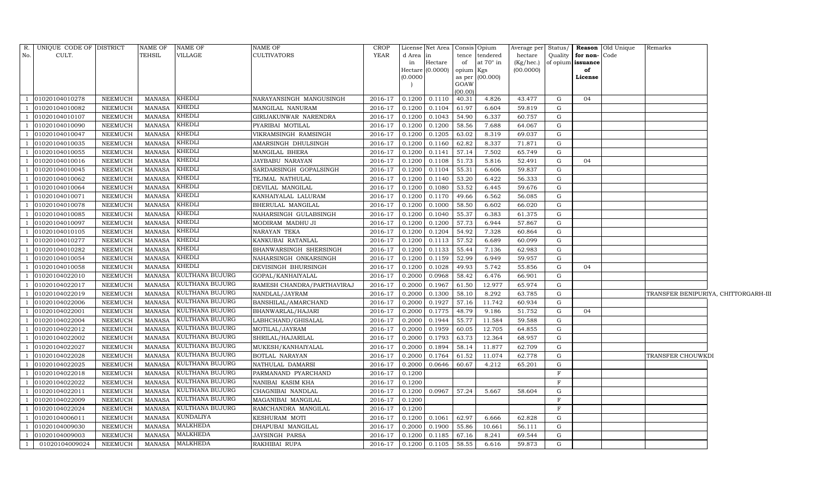| No.          | R. UNIQUE CODE OF DISTRICT<br>CULT. |                | <b>NAME OF</b><br><b>TEHSIL</b> | NAME OF<br>VILLAGE | NAME OF<br><b>CULTIVATORS</b> | CROP<br>YEAR | d Area   | License Net Area   Consis   Opium<br>in | tence          | tendered         | hectare   |              | Quality $\vert$ for non- $\vert$ Code | Average per Status/ Reason Old Unique | Remarks           |                                      |
|--------------|-------------------------------------|----------------|---------------------------------|--------------------|-------------------------------|--------------|----------|-----------------------------------------|----------------|------------------|-----------|--------------|---------------------------------------|---------------------------------------|-------------------|--------------------------------------|
|              |                                     |                |                                 |                    |                               |              | in       | Hectare                                 | of             | at $70^\circ$ in | (Kg/hec.) |              | of opium issuance                     |                                       |                   |                                      |
|              |                                     |                |                                 |                    |                               |              | Hectare  | (0.0000)                                | opium Kgs      |                  | (00.0000) |              | of                                    |                                       |                   |                                      |
|              |                                     |                |                                 |                    |                               |              | (0.0000) |                                         | as per<br>GOAW | (00.000)         |           |              | License                               |                                       |                   |                                      |
|              |                                     |                |                                 |                    |                               |              |          |                                         | (00.00)        |                  |           |              |                                       |                                       |                   |                                      |
|              | 01020104010278                      | <b>NEEMUCH</b> | <b>MANASA</b>                   | KHEDLI             | NARAYANSINGH MANGUSINGH       | 2016-17      | 0.1200   | 0.1110                                  | 40.31          | 4.826            | 43.477    | G            | 04                                    |                                       |                   |                                      |
|              | 01020104010082                      | <b>NEEMUCH</b> | <b>MANASA</b>                   | KHEDLI             | MANGILAL NANURAM              | 2016-17      | 0.1200   | 0.1104                                  | 61.97          | 6.604            | 59.819    | G            |                                       |                                       |                   |                                      |
|              | 01020104010107                      | NEEMUCH        | <b>MANASA</b>                   | KHEDLI             | GIRIJAKUNWAR NARENDRA         | 2016-17      | 0.1200   | 0.1043                                  | 54.90          | 6.337            | 60.757    | G            |                                       |                                       |                   |                                      |
|              | 01020104010090                      | <b>NEEMUCH</b> | <b>MANASA</b>                   | KHEDLI             | PYARIBAI MOTILAL              | 2016-17      | 0.1200   | 0.1200                                  | 58.56          | 7.688            | 64.067    | G            |                                       |                                       |                   |                                      |
|              | 01020104010047                      | <b>NEEMUCH</b> | <b>MANASA</b>                   | <b>KHEDLI</b>      | VIKRAMSINGH RAMSINGH          | 2016-17      | 0.1200   | 0.1205                                  | 63.02          | 8.319            | 69.037    | G            |                                       |                                       |                   |                                      |
|              | 01020104010035                      | <b>NEEMUCH</b> | <b>MANASA</b>                   | KHEDLI             | AMARSINGH DHULSINGH           | 2016-17      | 0.1200   | 0.1160                                  | 62.82          | 8.337            | 71.871    | G            |                                       |                                       |                   |                                      |
|              | 01020104010055                      | <b>NEEMUCH</b> | <b>MANASA</b>                   | <b>KHEDLI</b>      | MANGILAL BHERA                | 2016-17      | 0.1200   | 0.1141                                  | 57.14          | 7.502            | 65.749    | G            |                                       |                                       |                   |                                      |
|              | 01020104010016                      | <b>NEEMUCH</b> | <b>MANASA</b>                   | KHEDLI             | JAYBABU NARAYAN               | 2016-17      | 0.1200   | 0.1108                                  | 51.73          | 5.816            | 52.491    | G            | 04                                    |                                       |                   |                                      |
|              | 01020104010045                      | NEEMUCH        | <b>MANASA</b>                   | KHEDLI             | SARDARSINGH GOPALSINGH        | 2016-17      | 0.1200   | 0.1104                                  | 55.31          | 6.606            | 59.837    | G            |                                       |                                       |                   |                                      |
|              | 01020104010062                      | <b>NEEMUCH</b> | <b>MANASA</b>                   | KHEDLI             | TEJMAL NATHULAL               | 2016-17      | 0.1200   | 0.1140                                  | 53.20          | 6.422            | 56.333    | G            |                                       |                                       |                   |                                      |
|              | 01020104010064                      | <b>NEEMUCH</b> | <b>MANASA</b>                   | KHEDLI             | DEVILAL MANGILAL              | 2016-17      | 0.1200   | 0.1080                                  | 53.52          | 6.445            | 59.676    | G            |                                       |                                       |                   |                                      |
|              | 01020104010071                      | <b>NEEMUCH</b> | <b>MANASA</b>                   | KHEDLI             | KANHAIYALAL LALURAM           | 2016-17      | 0.1200   | 0.1170                                  | 49.66          | 6.562            | 56.085    | G            |                                       |                                       |                   |                                      |
|              | 01020104010078                      | <b>NEEMUCH</b> | <b>MANASA</b>                   | KHEDLI             | BHERULAL MANGILAL             | 2016-17      | 0.1200   | 0.1000                                  | 58.50          | 6.602            | 66.020    | G            |                                       |                                       |                   |                                      |
|              | 01020104010085                      | <b>NEEMUCH</b> | <b>MANASA</b>                   | KHEDLI             | NAHARSINGH GULABSINGH         | 2016-17      | 0.1200   | 0.1040                                  | 55.37          | 6.383            | 61.375    | G            |                                       |                                       |                   |                                      |
|              | 01020104010097                      | <b>NEEMUCH</b> | <b>MANASA</b>                   | KHEDLI             | MODIRAM MADHU JI              | 2016-17      | 0.1200   | 0.1200                                  | 57.73          | 6.944            | 57.867    | G            |                                       |                                       |                   |                                      |
|              | 01020104010105                      | NEEMUCH        | <b>MANASA</b>                   | KHEDLI             | NARAYAN TEKA                  | 2016-17      | 0.1200   | 0.1204                                  | 54.92          | 7.328            | 60.864    | G            |                                       |                                       |                   |                                      |
|              | 01020104010277                      | <b>NEEMUCH</b> | <b>MANASA</b>                   | KHEDLI             | KANKUBAI RATANLAL             | 2016-17      | 0.1200   | 0.1113                                  | 57.52          | 6.689            | 60.099    | G            |                                       |                                       |                   |                                      |
|              | 01020104010282                      | NEEMUCH        | <b>MANASA</b>                   | KHEDLI             | BHANWARSINGH SHERSINGH        | 2016-17      | 0.1200   | 0.1133                                  | 55.44          | 7.136            | 62.983    | G            |                                       |                                       |                   |                                      |
|              | 01020104010054                      | <b>NEEMUCH</b> | <b>MANASA</b>                   | KHEDLI             | NAHARSINGH ONKARSINGH         | 2016-17      | 0.1200   | 0.1159                                  | 52.99          | 6.949            | 59.957    | G            |                                       |                                       |                   |                                      |
|              | 01020104010058                      | <b>NEEMUCH</b> | <b>MANASA</b>                   | KHEDLI             | DEVISINGH BHURSINGH           | 2016-17      | 0.1200   | 0.1028                                  | 49.93          | 5.742            | 55.856    | G            | 04                                    |                                       |                   |                                      |
|              | 01020104022010                      | <b>NEEMUCH</b> | <b>MANASA</b>                   | KULTHANA BUJURG    | GOPAL/KANHAIYALAL             | 2016-17      | 0.2000   | 0.0968                                  | 58.42          | 6.476            | 66.901    | G            |                                       |                                       |                   |                                      |
|              | 01020104022017                      | <b>NEEMUCH</b> | <b>MANASA</b>                   | KULTHANA BUJURG    | RAMESH CHANDRA/PARTHAVIRAJ    | 2016-17      | 0.2000   | 0.1967                                  | 61.50          | 12.977           | 65.974    | G            |                                       |                                       |                   |                                      |
|              | 01020104022019                      | <b>NEEMUCH</b> | <b>MANASA</b>                   | KULTHANA BUJURG    | NANDLAL/JAYRAM                | 2016-17      | 0.2000   | 0.1300                                  | 58.10          | 8.292            | 63.785    | G            |                                       |                                       |                   | TRANSFER BENIPURIYA, CHITTORGARH-III |
|              | 01020104022006                      | <b>NEEMUCH</b> | <b>MANASA</b>                   | KULTHANA BUJURG    | BANSHILAL/AMARCHAND           | 2016-17      | 0.2000   | 0.1927                                  | 57.16          | 11.742           | 60.934    | G            |                                       |                                       |                   |                                      |
|              | 01020104022001                      | NEEMUCH        | <b>MANASA</b>                   | KULTHANA BUJURG    | BHANWARLAL/HAJARI             | 2016-17      | 0.2000   | 0.1775                                  | 48.79          | 9.186            | 51.752    | G            | 04                                    |                                       |                   |                                      |
|              | 01020104022004                      | <b>NEEMUCH</b> | <b>MANASA</b>                   | KULTHANA BUJURG    | LABHCHAND/GHISALAL            | 2016-17      | 0.2000   | 0.1944                                  | 55.77          | 11.584           | 59.588    | G            |                                       |                                       |                   |                                      |
|              | 01020104022012                      | <b>NEEMUCH</b> | <b>MANASA</b>                   | KULTHANA BUJURG    | MOTILAL/JAYRAM                | 2016-17      | 0.2000   | 0.1959                                  | 60.05          | 12.705           | 64.855    | G            |                                       |                                       |                   |                                      |
|              | 01020104022002                      | <b>NEEMUCH</b> | <b>MANASA</b>                   | KULTHANA BUJURG    | SHRILAL/HAJARILAL             | 2016-17      | 0.2000   | 0.1793                                  | 63.73          | 12.364           | 68.957    | G            |                                       |                                       |                   |                                      |
|              | 01020104022027                      | <b>NEEMUCH</b> | <b>MANASA</b>                   | KULTHANA BUJURG    | MUKESH/KANHAIYALAL            | 2016-17      | 0.2000   | 0.1894                                  | 58.14          | 11.877           | 62.709    | G            |                                       |                                       |                   |                                      |
|              | 01020104022028                      | <b>NEEMUCH</b> | <b>MANASA</b>                   | KULTHANA BUJURG    | <b>BOTLAL NARAYAN</b>         | 2016-17      | 0.2000   | 0.1764                                  | 61.52          | 11.074           | 62.778    | G            |                                       |                                       | TRANSFER CHOUWKDI |                                      |
|              | 01020104022025                      | <b>NEEMUCH</b> | <b>MANASA</b>                   | KULTHANA BUJURG    | NATHULAL DAMARSI              | 2016-17      | 0.2000   | 0.0646                                  | 60.67          | 4.212            | 65.201    | G            |                                       |                                       |                   |                                      |
|              | 01020104022018                      | NEEMUCH        | <b>MANASA</b>                   | KULTHANA BUJURG    | PARMANAND PYARCHAND           | 2016-17      | 0.1200   |                                         |                |                  |           | $\mathbf{F}$ |                                       |                                       |                   |                                      |
|              | 01020104022022                      | <b>NEEMUCH</b> | <b>MANASA</b>                   | KULTHANA BUJURG    | NANIBAI KASIM KHA             | 2016-17      | 0.1200   |                                         |                |                  |           | F            |                                       |                                       |                   |                                      |
|              | 01020104022011                      | <b>NEEMUCH</b> | <b>MANASA</b>                   | KULTHANA BUJURG    | CHAGNIBAI NANDLAL             | 2016-17      | 0.1200   | 0.0967                                  | 57.24          | 5.667            | 58.604    | G            |                                       |                                       |                   |                                      |
|              | 01020104022009                      | <b>NEEMUCH</b> | <b>MANASA</b>                   | KULTHANA BUJURG    | MAGANIBAI MANGILAL            | 2016-17      | 0.1200   |                                         |                |                  |           | F            |                                       |                                       |                   |                                      |
|              | 01020104022024                      | <b>NEEMUCH</b> | <b>MANASA</b>                   | KULTHANA BUJURG    | RAMCHANDRA MANGILAL           | 2016-17      | 0.1200   |                                         |                |                  |           | $_{\rm F}$   |                                       |                                       |                   |                                      |
|              | 01020104006011                      | <b>NEEMUCH</b> | <b>MANASA</b>                   | KUNDALIYA          | KESHURAM MOTI                 | 2016-17      | 0.1200   | 0.1061                                  | 62.97          | 6.666            | 62.828    | G            |                                       |                                       |                   |                                      |
|              | 01020104009030                      | <b>NEEMUCH</b> | <b>MANASA</b>                   | MALKHEDA           | DHAPUBAI MANGILAL             | 2016-17      | 0.2000   | 0.1900                                  | 55.86          | 10.661           | 56.111    | G            |                                       |                                       |                   |                                      |
|              | 01020104009003                      | <b>NEEMUCH</b> | <b>MANASA</b>                   | MALKHEDA           | JAYSINGH PARSA                | 2016-17      | 0.1200   | 0.1185                                  | 67.16          | 8.241            | 69.544    | G            |                                       |                                       |                   |                                      |
| $\mathbf{1}$ | 01020104009024                      | NEEMUCH        | <b>MANASA</b>                   | <b>MALKHEDA</b>    | RAKHIBAI RUPA                 | 2016-17      | 0.1200   | 0.1105                                  | 58.55          | 6.616            | 59.873    | G            |                                       |                                       |                   |                                      |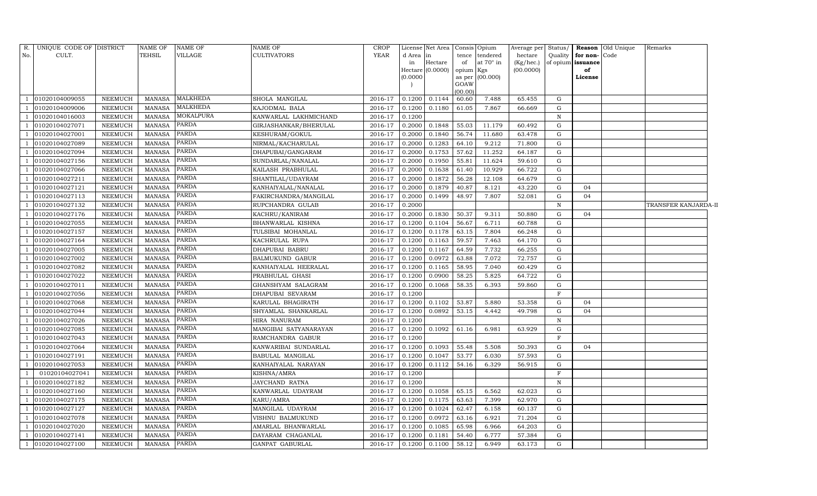| R.           | UNIQUE CODE OF DISTRICT |                | <b>NAME OF</b> | NAME OF      | NAME OF               | <b>CROP</b> |           | License Net Area |           | Consis Opium    | Average per | Status/      |                   | <b>Reason</b> Old Unique | Remarks              |
|--------------|-------------------------|----------------|----------------|--------------|-----------------------|-------------|-----------|------------------|-----------|-----------------|-------------|--------------|-------------------|--------------------------|----------------------|
| No.          | CULT.                   |                | <b>TEHSIL</b>  | VILLAGE      | <b>CULTIVATORS</b>    | YEAR        | d Area in |                  |           | tence tendered  | hectare     | Quality      | for non-Code      |                          |                      |
|              |                         |                |                |              |                       |             | in        | Hectare          | of        | at 70° in       | (Kg/hec.)   |              | of opium issuance |                          |                      |
|              |                         |                |                |              |                       |             | (0.0000)  | Hectare (0.0000) | opium Kgs | as per (00.000) | (00.0000)   |              | of<br>License     |                          |                      |
|              |                         |                |                |              |                       |             |           |                  | GOAW      |                 |             |              |                   |                          |                      |
|              |                         |                |                |              |                       |             |           |                  | (00.00)   |                 |             |              |                   |                          |                      |
|              | 01020104009055          | <b>NEEMUCH</b> | MANASA         | MALKHEDA     | SHOLA MANGILAL        | 2016-17     | 0.1200    | 0.1144           | 60.60     | 7.488           | 65.455      | G            |                   |                          |                      |
|              | 01020104009006          | <b>NEEMUCH</b> | <b>MANASA</b>  | MALKHEDA     | KAJODMAL BALA         | 2016-17     | 0.1200    | 0.1180           | 61.05     | 7.867           | 66.669      | G            |                   |                          |                      |
|              | 01020104016003          | <b>NEEMUCH</b> | <b>MANASA</b>  | MOKALPURA    | KANWARLAL LAKHMICHAND | 2016-17     | 0.1200    |                  |           |                 |             | N            |                   |                          |                      |
|              | 01020104027071          | <b>NEEMUCH</b> | <b>MANASA</b>  | PARDA        | GIRJASHANKAR/BHERULAL | 2016-17     | 0.2000    | 0.1848           | 55.03     | 11.179          | 60.492      | G            |                   |                          |                      |
|              | 01020104027001          | <b>NEEMUCH</b> | <b>MANASA</b>  | PARDA        | KESHURAM/GOKUL        | 2016-17     | 0.2000    | 0.1840           | 56.74     | 11.680          | 63.478      | G            |                   |                          |                      |
|              | 01020104027089          | <b>NEEMUCH</b> | <b>MANASA</b>  | PARDA        | NIRMAL/KACHARULAL     | 2016-17     | 0.2000    | 0.1283           | 64.10     | 9.212           | 71.800      | G            |                   |                          |                      |
|              | 01020104027094          | <b>NEEMUCH</b> | <b>MANASA</b>  | PARDA        | DHAPUBAI/GANGARAM     | 2016-17     | 0.2000    | 0.1753           | 57.62     | 11.252          | 64.187      | G            |                   |                          |                      |
|              | 01020104027156          | <b>NEEMUCH</b> | <b>MANASA</b>  | PARDA        | SUNDARLAL/NANALAL     | 2016-17     | 0.2000    | 0.1950           | 55.81     | 11.624          | 59.610      | G            |                   |                          |                      |
|              | 01020104027066          | <b>NEEMUCH</b> | <b>MANASA</b>  | PARDA        | KAILASH PRABHULAL     | 2016-17     | 0.2000    | 0.1638           | 61.40     | 10.929          | 66.722      | G            |                   |                          |                      |
|              | 01020104027211          | <b>NEEMUCH</b> | <b>MANASA</b>  | <b>PARDA</b> | SHANTILAL/UDAYRAM     | 2016-17     | 0.2000    | 0.1872           | 56.28     | 12.108          | 64.679      | G            |                   |                          |                      |
|              | 01020104027121          | <b>NEEMUCH</b> | <b>MANASA</b>  | PARDA        | KANHAIYALAL/NANALAL   | 2016-17     | 0.2000    | 0.1879           | 40.87     | 8.121           | 43.220      | G            | 04                |                          |                      |
|              | 01020104027113          | <b>NEEMUCH</b> | <b>MANASA</b>  | PARDA        | FAKIRCHANDRA/MANGILAL | 2016-17     | 0.2000    | 0.1499           | 48.97     | 7.807           | 52.081      | G            | 04                |                          |                      |
|              | 01020104027132          | <b>NEEMUCH</b> | <b>MANASA</b>  | PARDA        | RUPCHANDRA GULAB      | 2016-17     | 0.2000    |                  |           |                 |             | $\mathbf N$  |                   |                          | TRANSFER KANJARDA-II |
|              | 01020104027176          | <b>NEEMUCH</b> | <b>MANASA</b>  | <b>PARDA</b> | KACHRU/KANIRAM        | 2016-17     | 0.2000    | 0.1830           | 50.37     | 9.311           | 50.880      | G            | 04                |                          |                      |
|              | 01020104027055          | NEEMUCH        | <b>MANASA</b>  | PARDA        | BHANWARLAL KISHNA     | 2016-17     | 0.1200    | 0.1104           | 56.67     | 6.711           | 60.788      | G            |                   |                          |                      |
|              | 01020104027157          | NEEMUCH        | <b>MANASA</b>  | PARDA        | TULSIBAI MOHANLAL     | 2016-17     | 0.1200    | 0.1178           | 63.15     | 7.804           | 66.248      | G            |                   |                          |                      |
|              | 01020104027164          | <b>NEEMUCH</b> | <b>MANASA</b>  | PARDA        | KACHRULAL RUPA        | 2016-17     | 0.1200    | 0.1163           | 59.57     | 7.463           | 64.170      | G            |                   |                          |                      |
|              | 01020104027005          | <b>NEEMUCH</b> | <b>MANASA</b>  | PARDA        | DHAPUBAI BABRU        | 2016-17     | 0.1200    | 0.1167           | 64.59     | 7.732           | 66.255      | G            |                   |                          |                      |
|              | 01020104027002          | NEEMUCH        | <b>MANASA</b>  | <b>PARDA</b> | BALMUKUND GABUR       | 2016-17     | 0.1200    | 0.0972           | 63.88     | 7.072           | 72.757      | G            |                   |                          |                      |
|              | 01020104027082          | NEEMUCH        | <b>MANASA</b>  | PARDA        | KANHAIYALAL HEERALAL  | 2016-17     | 0.1200    | 0.1165           | 58.95     | 7.040           | 60.429      | G            |                   |                          |                      |
|              | 01020104027022          | <b>NEEMUCH</b> | <b>MANASA</b>  | <b>PARDA</b> | PRABHULAL GHASI       | 2016-17     | 0.1200    | 0.0900           | 58.25     | 5.825           | 64.722      | G            |                   |                          |                      |
|              | 01020104027011          | <b>NEEMUCH</b> | <b>MANASA</b>  | PARDA        | GHANSHYAM SALAGRAM    | 2016-17     | 0.1200    | 0.1068           | 58.35     | 6.393           | 59.860      | G            |                   |                          |                      |
|              | 01020104027056          | <b>NEEMUCH</b> | <b>MANASA</b>  | PARDA        | DHAPUBAI SEVARAM      | 2016-17     | 0.1200    |                  |           |                 |             | $\mathbf{F}$ |                   |                          |                      |
|              | 01020104027068          | NEEMUCH        | <b>MANASA</b>  | PARDA        | KARULAL BHAGIRATH     | 2016-17     | 0.1200    | 0.1102           | 53.87     | 5.880           | 53.358      | G            | 04                |                          |                      |
|              | 01020104027044          | <b>NEEMUCH</b> | <b>MANASA</b>  | PARDA        | SHYAMLAL SHANKARLAL   | 2016-17     | 0.1200    | 0.0892           | 53.15     | 4.442           | 49.798      | G            | 04                |                          |                      |
|              | 01020104027026          | <b>NEEMUCH</b> | <b>MANASA</b>  | PARDA        | HIRA NANURAM          | 2016-17     | 0.1200    |                  |           |                 |             | $\mathbf N$  |                   |                          |                      |
|              | 01020104027085          | <b>NEEMUCH</b> | <b>MANASA</b>  | PARDA        | MANGIBAI SATYANARAYAN | 2016-17     | 0.1200    | 0.1092           | 61.16     | 6.981           | 63.929      | G            |                   |                          |                      |
|              | 01020104027043          | <b>NEEMUCH</b> | <b>MANASA</b>  | PARDA        | RAMCHANDRA GABUR      | 2016-17     | 0.1200    |                  |           |                 |             | $\mathbf F$  |                   |                          |                      |
|              | 01020104027064          | <b>NEEMUCH</b> | <b>MANASA</b>  | PARDA        | KANWARIBAI SUNDARLAL  | 2016-17     | 0.1200    | 0.1093           | 55.48     | 5.508           | 50.393      | G            | 04                |                          |                      |
|              | 01020104027191          | <b>NEEMUCH</b> | <b>MANASA</b>  | PARDA        | BABULAL MANGILAL      | 2016-17     | 0.1200    | 0.1047           | 53.77     | 6.030           | 57.593      | G            |                   |                          |                      |
|              | 01020104027053          | <b>NEEMUCH</b> | <b>MANASA</b>  | PARDA        | KANHAIYALAL NARAYAN   | 2016-17     | 0.1200    | 0.1112           | 54.16     | 6.329           | 56.915      | G            |                   |                          |                      |
|              | 01020104027041          | <b>NEEMUCH</b> | <b>MANASA</b>  | PARDA        | KISHNA/AMRA           | 2016-17     | 0.1200    |                  |           |                 |             | $\mathbf F$  |                   |                          |                      |
|              | 01020104027182          | <b>NEEMUCH</b> | <b>MANASA</b>  | PARDA        | JAYCHAND RATNA        | 2016-17     | 0.1200    |                  |           |                 |             | $\,$ N       |                   |                          |                      |
|              | 01020104027160          | <b>NEEMUCH</b> | <b>MANASA</b>  | PARDA        | KANWARLAL UDAYRAM     | 2016-17     | 0.1200    | 0.1058           | 65.15     | 6.562           | 62.023      | G            |                   |                          |                      |
|              | 01020104027175          | <b>NEEMUCH</b> | <b>MANASA</b>  | PARDA        | KARU/AMRA             | 2016-17     | 0.1200    | 0.1175           | 63.63     | 7.399           | 62.970      | ${\rm G}$    |                   |                          |                      |
|              | 01020104027127          | <b>NEEMUCH</b> | <b>MANASA</b>  | PARDA        | MANGILAL UDAYRAM      | 2016-17     | 0.1200    | 0.1024           | 62.47     | 6.158           | 60.137      | $\mathbf G$  |                   |                          |                      |
|              | 01020104027078          | <b>NEEMUCH</b> | <b>MANASA</b>  | PARDA        | VISHNU BALMUKUND      | 2016-17     | 0.1200    | 0.0972           | 63.16     | 6.921           | 71.204      | G            |                   |                          |                      |
|              | 01020104027020          | NEEMUCH        | <b>MANASA</b>  | <b>PARDA</b> | AMARLAL BHANWARLAL    | 2016-17     | 0.1200    | 0.1085           | 65.98     | 6.966           | 64.203      | G            |                   |                          |                      |
|              | 01020104027141          | NEEMUCH        | <b>MANASA</b>  | PARDA        | DAYARAM CHAGANLAL     | 2016-17     | 0.1200    | 0.1181           | 54.40     | 6.777           | 57.384      | G            |                   |                          |                      |
| $\mathbf{1}$ | 01020104027100          | <b>NEEMUCH</b> | <b>MANASA</b>  | <b>PARDA</b> | GANPAT GABURLAL       | 2016-17     | 0.1200    | 0.1100           | 58.12     | 6.949           | 63.173      | G            |                   |                          |                      |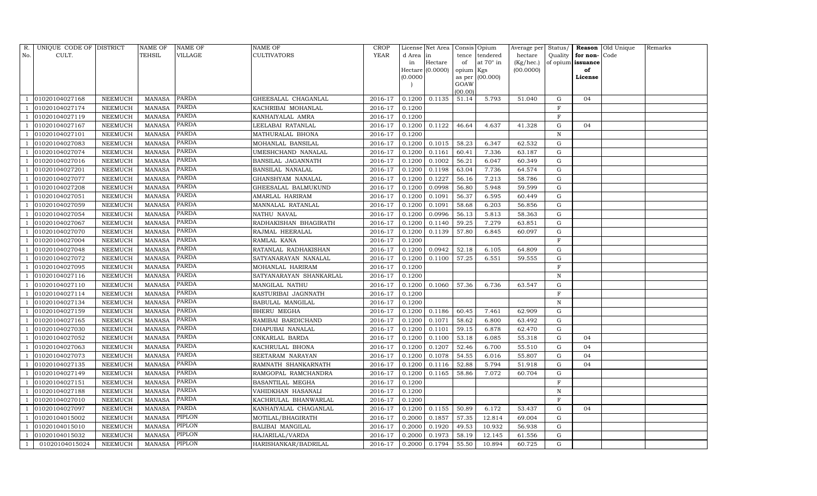| R.  | UNIQUE CODE OF DISTRICT |                | NAME OF       | <b>NAME OF</b> | <b>NAME OF</b>            | <b>CROP</b> |           | License Net Area   Consis   Opium |                 |                   | Average per Status/ |              |                          | <b>Reason</b> Old Unique | Remarks |
|-----|-------------------------|----------------|---------------|----------------|---------------------------|-------------|-----------|-----------------------------------|-----------------|-------------------|---------------------|--------------|--------------------------|--------------------------|---------|
| No. | CULT.                   |                | TEHSIL        | VILLAGE        | <b>CULTIVATORS</b>        | YEAR        | d Area in |                                   | tence           | tendered          | hectare             |              | Quality $\vert$ for non- | Code                     |         |
|     |                         |                |               |                |                           |             | in        | Hectare                           | of              | at 70° in         | (Kg/hec.)           |              | of opium issuance        |                          |         |
|     |                         |                |               |                |                           |             |           | Hectare (0.0000)                  | opium Kgs       |                   | (00.0000)           |              | of                       |                          |         |
|     |                         |                |               |                |                           |             | (0.0000)  |                                   |                 | as per $(00.000)$ |                     |              | License                  |                          |         |
|     |                         |                |               |                |                           |             |           |                                   | GOAW<br>(00.00) |                   |                     |              |                          |                          |         |
|     | 01020104027168          | NEEMUCH        | MANASA        | PARDA          | GHEESALAL CHAGANLAL       | 2016-17     | 0.1200    | 0.1135                            | 51.14           | 5.793             | 51.040              | G            | 04                       |                          |         |
|     | 01020104027174          | NEEMUCH        | <b>MANASA</b> | PARDA          | KACHRIBAI MOHANLAL        | 2016-17     | 0.1200    |                                   |                 |                   |                     | $\mathbf F$  |                          |                          |         |
|     | 01020104027119          | NEEMUCH        | MANASA        | PARDA          | KANHAIYALAL AMRA          | 2016-17     | 0.1200    |                                   |                 |                   |                     | $\mathbf F$  |                          |                          |         |
|     | 01020104027167          | NEEMUCH        | MANASA        | PARDA          | LEELABAI RATANLAL         | 2016-17     | 0.1200    | 0.1122                            | 46.64           | 4.637             | 41.328              | G            | 04                       |                          |         |
|     | 01020104027101          | NEEMUCH        | <b>MANASA</b> | PARDA          | MATHURALAL BHONA          | 2016-17     | 0.1200    |                                   |                 |                   |                     | $\, {\rm N}$ |                          |                          |         |
|     | 01020104027083          | NEEMUCH        | MANASA        | PARDA          | MOHANLAL BANSILAL         | 2016-17     | 0.1200    | 0.1015                            | 58.23           | 6.347             | 62.532              | G            |                          |                          |         |
|     | 01020104027074          | NEEMUCH        | MANASA        | <b>PARDA</b>   | UMESHCHAND NANALAL        | 2016-17     | 0.1200    | 0.1161                            | 60.41           | 7.336             | 63.187              | G            |                          |                          |         |
|     | 01020104027016          | NEEMUCH        | <b>MANASA</b> | PARDA          | <b>BANSILAL JAGANNATH</b> | 2016-17     | 0.1200    | 0.1002                            | 56.21           | 6.047             | 60.349              | G            |                          |                          |         |
|     | 01020104027201          | NEEMUCH        | <b>MANASA</b> | PARDA          | <b>BANSILAL NANALAL</b>   | 2016-17     | 0.1200    | 0.1198                            | 63.04           | 7.736             | 64.574              | G            |                          |                          |         |
|     | 01020104027077          | NEEMUCH        | MANASA        | PARDA          | GHANSHYAM NANALAL         | 2016-17     | 0.1200    | 0.1227                            | 56.16           | 7.213             | 58.786              | G            |                          |                          |         |
|     | 01020104027208          | NEEMUCH        | MANASA        | PARDA          | GHEESALAL BALMUKUND       | 2016-17     | 0.1200    | 0.0998                            | 56.80           | 5.948             | 59.599              | G            |                          |                          |         |
|     | 01020104027051          | NEEMUCH        | MANASA        | PARDA          | AMARLAL HARIRAM           | 2016-17     | 0.1200    | 0.1091                            | 56.37           | 6.595             | 60.449              | G            |                          |                          |         |
|     | 01020104027059          | <b>NEEMUCH</b> | <b>MANASA</b> | <b>PARDA</b>   | MANNALAL RATANLAL         | 2016-17     | 0.1200    | 0.1091                            | 58.68           | 6.203             | 56.856              | $\mathbf{G}$ |                          |                          |         |
|     | 01020104027054          | NEEMUCH        | MANASA        | PARDA          | NATHU NAVAL               | 2016-17     | 0.1200    | 0.0996                            | 56.13           | 5.813             | 58.363              | G            |                          |                          |         |
|     | 01020104027067          | NEEMUCH        | MANASA        | <b>PARDA</b>   | RADHAKISHAN BHAGIRATH     | 2016-17     | 0.1200    | 0.1140                            | 59.25           | 7.279             | 63.851              | G            |                          |                          |         |
|     | 01020104027070          | NEEMUCH        | MANASA        | PARDA          | RAJMAL HEERALAL           | 2016-17     | 0.1200    | 0.1139                            | 57.80           | 6.845             | 60.097              | G            |                          |                          |         |
|     | 01020104027004          | NEEMUCH        | <b>MANASA</b> | PARDA          | RAMLAL KANA               | 2016-17     | 0.1200    |                                   |                 |                   |                     | $\mathbf{F}$ |                          |                          |         |
|     | 01020104027048          | NEEMUCH        | MANASA        | <b>PARDA</b>   | RATANLAL RADHAKISHAN      | 2016-17     | 0.1200    | 0.0942                            | 52.18           | 6.105             | 64.809              | G            |                          |                          |         |
|     | 01020104027072          | NEEMUCH        | MANASA        | <b>PARDA</b>   | SATYANARAYAN NANALAL      | 2016-17     | 0.1200    | 0.1100                            | 57.25           | 6.551             | 59.555              | G            |                          |                          |         |
|     | 01020104027095          | NEEMUCH        | MANASA        | PARDA          | MOHANLAL HARIRAM          | 2016-17     | 0.1200    |                                   |                 |                   |                     | $\, {\rm F}$ |                          |                          |         |
|     | 01020104027116          | NEEMUCH        | <b>MANASA</b> | PARDA          | SATYANARAYAN SHANKARLAL   | 2016-17     | 0.1200    |                                   |                 |                   |                     | $\mathbf N$  |                          |                          |         |
|     | 01020104027110          | NEEMUCH        | <b>MANASA</b> | PARDA          | MANGILAL NATHU            | 2016-17     | 0.1200    | 0.1060                            | 57.36           | 6.736             | 63.547              | G            |                          |                          |         |
|     | 01020104027114          | NEEMUCH        | MANASA        | PARDA          | KASTURIBAI JAGNNATH       | 2016-17     | 0.1200    |                                   |                 |                   |                     | F            |                          |                          |         |
|     | 01020104027134          | NEEMUCH        | <b>MANASA</b> | PARDA          | BABULAL MANGILAL          | 2016-17     | 0.1200    |                                   |                 |                   |                     | $\, {\rm N}$ |                          |                          |         |
|     | 01020104027159          | NEEMUCH        | <b>MANASA</b> | PARDA          | BHERU MEGHA               | 2016-17     | 0.1200    | 0.1186                            | 60.45           | 7.461             | 62.909              | G            |                          |                          |         |
|     | 01020104027165          | NEEMUCH        | MANASA        | PARDA          | RAMIBAI BARDICHAND        | 2016-17     | 0.1200    | 0.1071                            | 58.62           | 6.800             | 63.492              | G            |                          |                          |         |
|     | 01020104027030          | NEEMUCH        | <b>MANASA</b> | PARDA          | DHAPUBAI NANALAL          | 2016-17     | 0.1200    | 0.1101                            | 59.15           | 6.878             | 62.470              | G            |                          |                          |         |
|     | 01020104027052          | NEEMUCH        | <b>MANASA</b> | PARDA          | ONKARLAL BARDA            | 2016-17     | 0.1200    | 0.1100                            | 53.18           | 6.085             | 55.318              | G            | 04                       |                          |         |
|     | 01020104027063          | NEEMUCH        | MANASA        | PARDA          | KACHRULAL BHONA           | 2016-17     | 0.1200    | 0.1207                            | 52.46           | 6.700             | 55.510              | G            | 04                       |                          |         |
|     | 01020104027073          | NEEMUCH        | <b>MANASA</b> | PARDA          | SEETARAM NARAYAN          | 2016-17     | 0.1200    | 0.1078                            | 54.55           | 6.016             | 55.807              | G            | 04                       |                          |         |
|     | 01020104027135          | NEEMUCH        | MANASA        | PARDA          | RAMNATH SHANKARNATH       | 2016-17     | 0.1200    | 0.1116                            | 52.88           | 5.794             | 51.918              | G            | 04                       |                          |         |
|     | 01020104027149          | NEEMUCH        | <b>MANASA</b> | PARDA          | RAMGOPAL RAMCHANDRA       | 2016-17     | 0.1200    | 0.1165                            | 58.86           | 7.072             | 60.704              | G            |                          |                          |         |
|     | 01020104027151          | NEEMUCH        | MANASA        | PARDA          | BASANTILAL MEGHA          | 2016-17     | 0.1200    |                                   |                 |                   |                     | $\rm F$      |                          |                          |         |
|     | 01020104027188          | NEEMUCH        | <b>MANASA</b> | PARDA          | VAHIDKHAN HASANALI        | 2016-17     | 0.1200    |                                   |                 |                   |                     | N            |                          |                          |         |
|     | 01020104027010          | NEEMUCH        | <b>MANASA</b> | PARDA          | KACHRULAL BHANWARLAL      | 2016-17     | 0.1200    |                                   |                 |                   |                     | $\mathbf F$  |                          |                          |         |
|     | 01020104027097          | <b>NEEMUCH</b> | <b>MANASA</b> | PARDA          | KANHAIYALAL CHAGANLAL     | 2016-17     | 0.1200    | 0.1155                            | 50.89           | 6.172             | 53.437              | G            | 04                       |                          |         |
|     | 01020104015002          | NEEMUCH        | MANASA        | <b>PIPLON</b>  | MOTILAL/BHAGIRATH         | 2016-17     | 0.2000    | 0.1857                            | 57.35           | 12.814            | 69.004              | G            |                          |                          |         |
|     | 01020104015010          | NEEMUCH        | MANASA        | PIPLON         | BALIBAI MANGILAL          | 2016-17     | 0.2000    | 0.1920                            | 49.53           | 10.932            | 56.938              | G            |                          |                          |         |
|     | 01020104015032          | NEEMUCH        | MANASA        | PIPLON         | HAJARILAL/VARDA           | 2016-17     | 0.2000    | 0.1973                            | 58.19           | 12.145            | 61.556              | G            |                          |                          |         |
|     | 01020104015024          | NEEMUCH        | MANASA        | <b>PIPLON</b>  | HARISHANKAR/BADRILAL      | 2016-17     | 0.2000    | 0.1794                            | 55.50           | 10.894            | 60.725              | G            |                          |                          |         |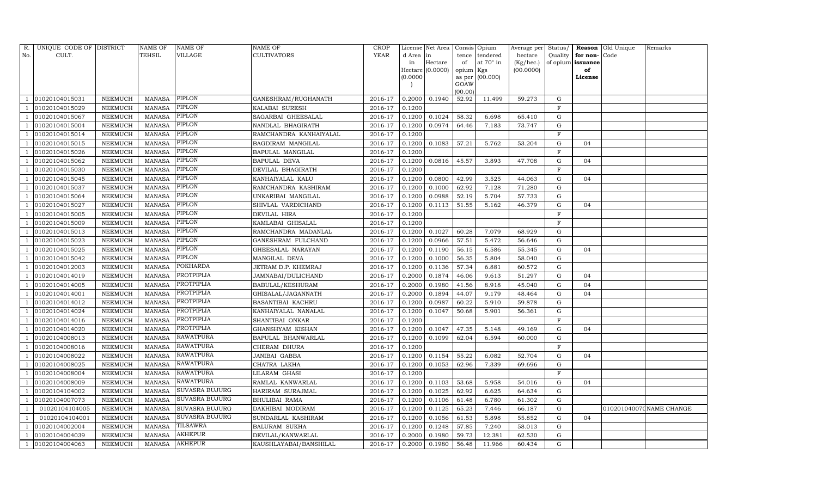| R.  | UNIQUE CODE OF DISTRICT |                | NAME OF       | NAME OF               | NAME OF                | CROP        |           | License Net Area |           | Consis Opium     | Average per Status/ |             |                   | Reason Old Unique | Remarks                  |
|-----|-------------------------|----------------|---------------|-----------------------|------------------------|-------------|-----------|------------------|-----------|------------------|---------------------|-------------|-------------------|-------------------|--------------------------|
| No. | CULT.                   |                | TEHSIL        | VILLAGE               | CULTIVATORS            | <b>YEAR</b> | d Area in |                  | tence     | tendered         | hectare             | Quality     | for non-Code      |                   |                          |
|     |                         |                |               |                       |                        |             | in        | Hectare          | of        | at $70^\circ$ in | (Kg/hec.)           |             | of opium issuance |                   |                          |
|     |                         |                |               |                       |                        |             |           | Hectare (0.0000) | opium Kgs |                  | (00.0000)           |             | of                |                   |                          |
|     |                         |                |               |                       |                        |             | (0.0000)  |                  | GOAW      | as per (00.000)  |                     |             | License           |                   |                          |
|     |                         |                |               |                       |                        |             |           |                  | (00.00)   |                  |                     |             |                   |                   |                          |
|     | 01020104015031          | NEEMUCH        | MANASA        | PIPLON                | GANESHRAM/RUGHANATH    | 2016-17     | 0.2000    | 0.1940           | 52.92     | 11.499           | 59.273              | G           |                   |                   |                          |
|     | 01020104015029          | NEEMUCH        | <b>MANASA</b> | PIPLON                | KALABAI SURESH         | 2016-17     | 0.1200    |                  |           |                  |                     | F           |                   |                   |                          |
|     | 01020104015067          | NEEMUCH        | MANASA        | PIPLON                | SAGARBAI GHEESALAL     | 2016-17     | 0.1200    | 0.1024           | 58.32     | 6.698            | 65.410              | G           |                   |                   |                          |
|     | 01020104015004          | NEEMUCH        | MANASA        | PIPLON                | NANDLAL BHAGIRATH      | 2016-17     | 0.1200    | 0.0974           | 64.46     | 7.183            | 73.747              | G           |                   |                   |                          |
|     | 01020104015014          | NEEMUCH        | <b>MANASA</b> | PIPLON                | RAMCHANDRA KANHAIYALAL | 2016-17     | 0.1200    |                  |           |                  |                     | F           |                   |                   |                          |
|     | 01020104015015          | NEEMUCH        | <b>MANASA</b> | PIPLON                | BAGDIRAM MANGILAL      | 2016-17     | 0.1200    | 0.1083           | 57.21     | 5.762            | 53.204              | $\mathbf G$ | 04                |                   |                          |
|     | 01020104015026          | NEEMUCH        | <b>MANASA</b> | PIPLON                | BAPULAL MANGILAL       | 2016-17     | 0.1200    |                  |           |                  |                     | $\mathbf F$ |                   |                   |                          |
|     | 01020104015062          | NEEMUCH        | <b>MANASA</b> | PIPLON                | <b>BAPULAL DEVA</b>    | 2016-17     | 0.1200    | 0.0816           | 45.57     | 3.893            | 47.708              | G           | 04                |                   |                          |
|     | 01020104015030          | NEEMUCH        | <b>MANASA</b> | PIPLON                | DEVILAL BHAGIRATH      | 2016-17     | 0.1200    |                  |           |                  |                     | F           |                   |                   |                          |
|     | 01020104015045          | NEEMUCH        | <b>MANASA</b> | PIPLON                | KANHAIYALAL KALU       | 2016-17     | 0.1200    | 0.0800           | 42.99     | 3.525            | 44.063              | $\mathbf G$ | 04                |                   |                          |
|     | 01020104015037          | NEEMUCH        | <b>MANASA</b> | PIPLON                | RAMCHANDRA KASHIRAM    | 2016-17     | 0.1200    | 0.1000           | 62.92     | 7.128            | 71.280              | G           |                   |                   |                          |
|     | 01020104015064          | NEEMUCH        | <b>MANASA</b> | PIPLON                | UNKARIBAI MANGILAL     | 2016-17     | 0.1200    | 0.0988           | 52.19     | 5.704            | 57.733              | G           |                   |                   |                          |
|     | 01020104015027          | NEEMUCH        | <b>MANASA</b> | PIPLON                | SHIVLAL VARDICHAND     | 2016-17     | 0.1200    | 0.1113           | 51.55     | 5.162            | 46.379              | G           | 04                |                   |                          |
|     | 01020104015005          | NEEMUCH        | <b>MANASA</b> | PIPLON                | DEVILAL HIRA           | 2016-17     | 0.1200    |                  |           |                  |                     | $\rm F$     |                   |                   |                          |
|     | 01020104015009          | NEEMUCH        | MANASA        | PIPLON                | KAMLABAI GHISALAL      | 2016-17     | 0.1200    |                  |           |                  |                     | F           |                   |                   |                          |
|     | 01020104015013          | NEEMUCH        | <b>MANASA</b> | PIPLON                | RAMCHANDRA MADANLAL    | 2016-17     | 0.1200    | 0.1027           | 60.28     | 7.079            | 68.929              | G           |                   |                   |                          |
|     | 01020104015023          | NEEMUCH        | <b>MANASA</b> | PIPLON                | GANESHRAM FULCHAND     | 2016-17     | 0.1200    | 0.0966           | 57.51     | 5.472            | 56.646              | G           |                   |                   |                          |
|     | 01020104015025          | NEEMUCH        | <b>MANASA</b> | PIPLON                | GHEESALAL NARAYAN      | 2016-17     | 0.1200    | 0.1190           | 56.15     | 6.586            | 55.345              | G           | 04                |                   |                          |
|     | 01020104015042          | NEEMUCH        | <b>MANASA</b> | PIPLON                | MANGILAL DEVA          | 2016-17     | 0.1200    | 0.1000           | 56.35     | 5.804            | 58.040              | G           |                   |                   |                          |
|     | 01020104012003          | NEEMUCH        | <b>MANASA</b> | POKHARDA              | JETRAM D.P. KHEMRAJ    | 2016-17     | 0.1200    | 0.1136           | 57.34     | 6.881            | 60.572              | G           |                   |                   |                          |
|     | 01020104014019          | <b>NEEMUCH</b> | <b>MANASA</b> | PROTPIPLIA            | JAMNABAI/DULICHAND     | 2016-17     | 0.2000    | 0.1874           | 46.06     | 9.613            | 51.297              | G           | 04                |                   |                          |
|     | 01020104014005          | NEEMUCH        | <b>MANASA</b> | PROTPIPLIA            | BABULAL/KESHURAM       | 2016-17     | 0.2000    | 0.1980           | 41.56     | 8.918            | 45.040              | G           | 04                |                   |                          |
|     | 01020104014001          | NEEMUCH        | <b>MANASA</b> | PROTPIPLIA            | GHISALAL/JAGANNATH     | 2016-17     | 0.2000    | 0.1894           | 44.07     | 9.179            | 48.464              | G           | 04                |                   |                          |
|     | 01020104014012          | NEEMUCH        | <b>MANASA</b> | PROTPIPLIA            | BASANTIBAI KACHRU      | 2016-17     | 0.1200    | 0.0987           | 60.22     | 5.910            | 59.878              | G           |                   |                   |                          |
|     | 01020104014024          | <b>NEEMUCH</b> | <b>MANASA</b> | PROTPIPLIA            | KANHAIYALAL NANALAL    | 2016-17     | 0.1200    | 0.1047           | 50.68     | 5.901            | 56.361              | G           |                   |                   |                          |
|     | 01020104014016          | NEEMUCH        | <b>MANASA</b> | PROTPIPLIA            | SHANTIBAI ONKAR        | 2016-17     | 0.1200    |                  |           |                  |                     | $\mathbf F$ |                   |                   |                          |
|     | 01020104014020          | NEEMUCH        | <b>MANASA</b> | <b>PROTPIPLIA</b>     | GHANSHYAM KISHAN       | 2016-17     | 0.1200    | 0.1047           | 47.35     | 5.148            | 49.169              | G           | 04                |                   |                          |
|     | 01020104008013          | NEEMUCH        | <b>MANASA</b> | RAWATPURA             | BAPULAL BHANWARLAL     | 2016-17     | 0.1200    | 0.1099           | 62.04     | 6.594            | 60.000              | G           |                   |                   |                          |
|     | 01020104008016          | NEEMUCH        | <b>MANASA</b> | <b>RAWATPURA</b>      | CHERAM DHURA           | 2016-17     | 0.1200    |                  |           |                  |                     | $\mathbf F$ |                   |                   |                          |
|     | 01020104008022          | NEEMUCH        | <b>MANASA</b> | <b>RAWATPURA</b>      | JANIBAI GABBA          | 2016-17     | 0.1200    | 0.1154           | 55.22     | 6.082            | 52.704              | ${\rm G}$   | 04                |                   |                          |
|     | 01020104008025          | NEEMUCH        | <b>MANASA</b> | <b>RAWATPURA</b>      | CHATRA LAKHA           | 2016-17     | 0.1200    | 0.1053           | 62.96     | 7.339            | 69.696              | G           |                   |                   |                          |
|     | 01020104008004          | NEEMUCH        | <b>MANASA</b> | <b>RAWATPURA</b>      | LILARAM GHASI          | 2016-17     | 0.1200    |                  |           |                  |                     | $\mathbf F$ |                   |                   |                          |
|     | 01020104008009          | NEEMUCH        | MANASA        | <b>RAWATPURA</b>      | RAMLAL KANWARLAL       | 2016-17     | 0.1200    | 0.1103           | 53.68     | 5.958            | 54.016              | ${\rm G}$   | 04                |                   |                          |
|     | 01020104104002          | NEEMUCH        | <b>MANASA</b> | SUVASRA BUJURG        | HARIRAM SURAJMAL       | 2016-17     | 0.1200    | 0.1025           | 62.92     | 6.625            | 64.634              | G           |                   |                   |                          |
|     | 01020104007073          | NEEMUCH        | MANASA        | SUVASRA BUJURG        | <b>BHULIBAI RAMA</b>   | 2016-17     | 0.1200    | 0.1106           | 61.48     | 6.780            | 61.302              | G           |                   |                   |                          |
|     | 01020104104005          | <b>NEEMUCH</b> | <b>MANASA</b> | <b>SUVASRA BUJURG</b> | DAKHIBAI MODIRAM       | 2016-17     | 0.1200    | 0.1125           | 65.23     | 7.446            | 66.187              | G           |                   |                   | 010201040070 NAME CHANGE |
|     | 01020104104001          | NEEMUCH        | MANASA        | <b>SUVASRA BUJURG</b> | SUNDARLAL KASHIRAM     | 2016-17     | 0.1200    | 0.1056           | 61.53     | 5.898            | 55.852              | G           | 04                |                   |                          |
|     | 01020104002004          | NEEMUCH        | <b>MANASA</b> | <b>TILSAWRA</b>       | BALURAM SUKHA          | 2016-17     | 0.1200    | 0.1248           | 57.85     | 7.240            | 58.013              | G           |                   |                   |                          |
|     | 01020104004039          | NEEMUCH        | MANASA        | AKHEPUR               | DEVILAL/KANWARLAL      | 2016-17     | 0.2000    | 0.1980           | 59.73     | 12.381           | 62.530              | G           |                   |                   |                          |
|     | 01020104004063          | NEEMUCH        | <b>MANASA</b> | <b>AKHEPUR</b>        | KAUSHLAYABAI/BANSHILAL | 2016-17     | 0.2000    | 0.1980           | 56.48     | 11.966           | 60.434              | G           |                   |                   |                          |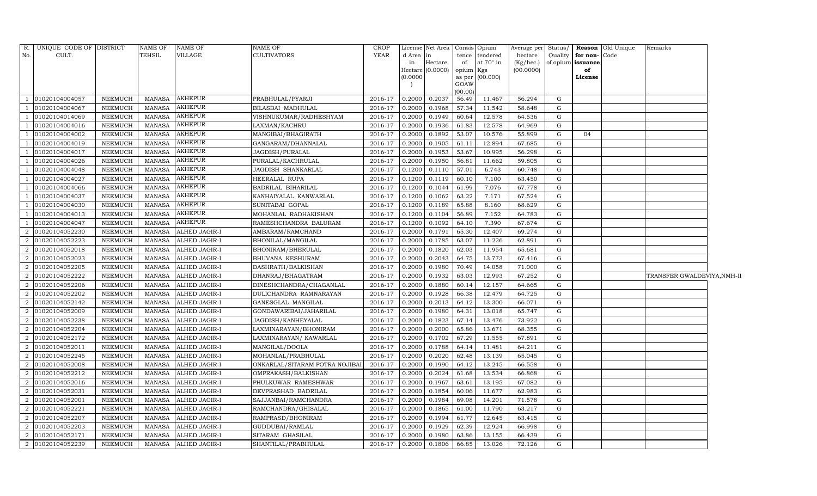| R.             | UNIQUE CODE OF DISTRICT |                | NAME OF         | <b>NAME OF</b>       | NAME OF                        | <b>CROP</b>    |          | License Net Area   Consis   Opium |                |                  | Average per     | Status/     |                   | <b>Reason</b> Old Unique | Remarks                    |  |
|----------------|-------------------------|----------------|-----------------|----------------------|--------------------------------|----------------|----------|-----------------------------------|----------------|------------------|-----------------|-------------|-------------------|--------------------------|----------------------------|--|
| No.            | CULT.                   |                | <b>TEHSIL</b>   | <b>VILLAGE</b>       | CULTIVATORS                    | YEAR           | d Area   | in                                | tence          | tendered         | hectare         | Quality     | for non-Code      |                          |                            |  |
|                |                         |                |                 |                      |                                |                | in       | Hectare                           | of             | at $70^\circ$ in | $(Kg/$ hec. $)$ |             | of opium issuance |                          |                            |  |
|                |                         |                |                 |                      |                                |                |          | Hectare (0.0000)                  | opium Kgs      |                  | (00.0000)       |             | of                |                          |                            |  |
|                |                         |                |                 |                      |                                |                | (0.0000) |                                   | as per<br>GOAW | (00.000)         |                 |             | License           |                          |                            |  |
|                |                         |                |                 |                      |                                |                |          |                                   | (00.00)        |                  |                 |             |                   |                          |                            |  |
|                | 01020104004057          | <b>NEEMUCH</b> | <b>MANASA</b>   | <b>AKHEPUR</b>       | PRABHULAL/PYARJI               | 2016-17        | 0.2000   | 0.2037                            | 56.49          | 11.467           | 56.294          | G           |                   |                          |                            |  |
|                | 01020104004067          | <b>NEEMUCH</b> | <b>MANASA</b>   | <b>AKHEPUR</b>       | BILASBAI MADHULAL              | 2016-17        | 0.2000   | 0.1968                            | 57.34          | 11.542           | 58.648          | G           |                   |                          |                            |  |
|                | 01020104014069          | <b>NEEMUCH</b> | <b>MANASA</b>   | <b>AKHEPUR</b>       | VISHNUKUMAR/RADHESHYAM         | 2016-17        | 0.2000   | 0.1949                            | 60.64          | 12.578           | 64.536          | G           |                   |                          |                            |  |
|                | 01020104004016          | <b>NEEMUCH</b> | <b>MANASA</b>   | AKHEPUR              | LAXMAN/KACHRU                  | 2016-17        | 0.2000   | 0.1936                            | 61.83          | 12.578           | 64.969          | G           |                   |                          |                            |  |
|                | 01020104004002          | <b>NEEMUCH</b> | <b>MANASA</b>   | <b>AKHEPUR</b>       | MANGIBAI/BHAGIRATH             | 2016-17        | 0.2000   | 0.1892                            | 53.07          | 10.576           | 55.899          | G           | 04                |                          |                            |  |
|                | 01020104004019          | <b>NEEMUCH</b> | <b>MANASA</b>   | <b>AKHEPUR</b>       | GANGARAM/DHANNALAL             | 2016-17        | 0.2000   | 0.1905                            | 61.11          | 12.894           | 67.685          | G           |                   |                          |                            |  |
|                | 01020104004017          | NEEMUCH        | MANASA          | <b>AKHEPUR</b>       | JAGDISH/PURALAL                | 2016-17        | 0.2000   | 0.1953                            | 53.67          | 10.995           | 56.298          | G           |                   |                          |                            |  |
|                | 01020104004026          | NEEMUCH        | <b>MANASA</b>   | <b>AKHEPUR</b>       | PURALAL/KACHRULAL              | 2016-17        | 0.2000   | 0.1950                            | 56.81          | 11.662           | 59.805          | G           |                   |                          |                            |  |
|                | 01020104004048          | <b>NEEMUCH</b> | <b>MANASA</b>   | <b>AKHEPUR</b>       | JAGDISH SHANKARLAL             | 2016-17        | 0.1200   | 0.1110                            | 57.01          | 6.743            | 60.748          | G           |                   |                          |                            |  |
|                | 01020104004027          | NEEMUCH        | MANASA          | <b>AKHEPUR</b>       | HEERALAL RUPA                  | 2016-17        | 0.1200   | 0.1119                            | 60.10          | 7.100            | 63.450          | G           |                   |                          |                            |  |
|                | 01020104004066          | NEEMUCH        | MANASA          | <b>AKHEPUR</b>       | BADRILAL BIHARILAL             | 2016-17        | 0.1200   | 0.1044                            | 61.99          | 7.076            | 67.778          | G           |                   |                          |                            |  |
|                | 01020104004037          | NEEMUCH        | <b>MANASA</b>   | <b>AKHEPUR</b>       | KANHAIYALAL KANWARLAL          | 2016-17        | 0.1200   | 0.1062                            | 63.22          | 7.171            | 67.524          | G           |                   |                          |                            |  |
|                | 01020104004030          | <b>NEEMUCH</b> | <b>MANASA</b>   | <b>AKHEPUR</b>       | SUNITABAI GOPAL                | 2016-17        | 0.1200   | 0.1189                            | 65.88          | 8.160            | 68.629          | G           |                   |                          |                            |  |
|                | 01020104004013          | NEEMUCH        | <b>MANASA</b>   | <b>AKHEPUR</b>       | MOHANLAL RADHAKISHAN           | 2016-17        | 0.1200   | 0.1104                            | 56.89          | 7.152            | 64.783          | G           |                   |                          |                            |  |
|                | 01020104004047          | <b>NEEMUCH</b> | $\mbox{MANASA}$ | <b>AKHEPUR</b>       | RAMESHCHANDRA BALURAM          | 2016-17        | 0.1200   | 0.1092                            | 64.10          | 7.390            | 67.674          | G           |                   |                          |                            |  |
| 2              | 01020104052230          | <b>NEEMUCH</b> | <b>MANASA</b>   | <b>ALHED JAGIR-I</b> | AMBARAM/RAMCHAND               | 2016-17        | 0.2000   | 0.1791                            | 65.30          | 12.407           | 69.274          | G           |                   |                          |                            |  |
| $\overline{2}$ | 01020104052223          | <b>NEEMUCH</b> | <b>MANASA</b>   | ALHED JAGIR-I        | BHONILAL/MANGILAL              | 2016-17        | 0.2000   | 0.1785                            | 63.07          | 11.226           | 62.891          | G           |                   |                          |                            |  |
| 2              | 01020104052018          | <b>NEEMUCH</b> | <b>MANASA</b>   | ALHED JAGIR-I        | BHONIRAM/BHERULAL              | 2016-17        | 0.2000   | 0.1820                            | 62.03          | 11.954           | 65.681          | G           |                   |                          |                            |  |
| $\overline{2}$ | 01020104052023          | <b>NEEMUCH</b> | <b>MANASA</b>   | ALHED JAGIR-I        | BHUVANA KESHURAM               | 2016-17        | 0.2000   | 0.2043                            | 64.75          | 13.773           | 67.416          | G           |                   |                          |                            |  |
| $\overline{a}$ | 01020104052205          | <b>NEEMUCH</b> | <b>MANASA</b>   | ALHED JAGIR-I        | DASHRATH/BALKISHAN             | 2016-17        | 0.2000   | 0.1980                            | 70.49          | 14.058           | 71.000          | G           |                   |                          |                            |  |
| 2              | 01020104052222          | <b>NEEMUCH</b> | <b>MANASA</b>   | ALHED JAGIR-I        | DHANRAJ/BHAGATRAM              | 2016-17        | 0.2000   | 0.1932                            | 63.03          | 12.993           | 67.252          | ${\rm G}$   |                   |                          | TRANSFER GWALDEVIYA,NMH-II |  |
| 2              | 01020104052206          | <b>NEEMUCH</b> | <b>MANASA</b>   | <b>ALHED JAGIR-I</b> | DINESHCHANDRA/CHAGANLAL        | 2016-17        | 0.2000   | 0.1880                            | 60.14          | 12.157           | 64.665          | G           |                   |                          |                            |  |
| 2              | 01020104052202          | NEEMUCH        | MANASA          | ALHED JAGIR-I        | DULICHANDRA RAMNARAYAN         | 2016-17        | 0.2000   | 0.1928                            | 66.38          | 12.479           | 64.725          | G           |                   |                          |                            |  |
| 2              | 01020104052142          | <b>NEEMUCH</b> | <b>MANASA</b>   | <b>ALHED JAGIR-I</b> | GANESGLAL MANGILAL             | 2016-17        | 0.2000   | 0.2013                            | 64.12          | 13.300           | 66.071          | G           |                   |                          |                            |  |
| $\overline{2}$ | 01020104052009          | NEEMUCH        | MANASA          | ALHED JAGIR-I        | GONDAWARIBAI/JAHARILAL         | 2016-17        | 0.2000   | 0.1980                            | 64.31          | 13.018           | 65.747          | G           |                   |                          |                            |  |
| $\overline{a}$ | 01020104052238          | NEEMUCH        | <b>MANASA</b>   | ALHED JAGIR-I        | JAGDISH/KANHEYALAL             | 2016-17        | 0.2000   | 0.1823                            | 67.14          | 13.476           | 73.922          | G           |                   |                          |                            |  |
| $\overline{2}$ | 01020104052204          | NEEMUCH        | MANASA          | ALHED JAGIR-I        | LAXMINARAYAN/BHONIRAM          | 2016-17        | 0.2000   | 0.2000                            | 65.86          | 13.671           | 68.355          | G           |                   |                          |                            |  |
| $\overline{2}$ | 01020104052172          | <b>NEEMUCH</b> | <b>MANASA</b>   | ALHED JAGIR-I        | LAXMINARAYAN/KAWARLAL          | 2016-17        | 0.2000   | 0.1702                            | 67.29          | 11.555           | 67.891          | G           |                   |                          |                            |  |
| 2              | 01020104052011          | NEEMUCH        | <b>MANASA</b>   | ALHED JAGIR-I        | MANGILAL/DOOLA                 | 2016-17        | 0.2000   | 0.1788                            | 64.14          | 11.481           | 64.211          | G           |                   |                          |                            |  |
| $\overline{2}$ | 01020104052245          | <b>NEEMUCH</b> | <b>MANASA</b>   | ALHED JAGIR-I        | MOHANLAL/PRABHULAL             | 2016-17        | 0.2000   | 0.2020                            | 62.48          | 13.139           | 65.045          | G           |                   |                          |                            |  |
| $\overline{2}$ | 01020104052008          | NEEMUCH        | MANASA          | ALHED JAGIR-I        | ONKARLAL/SITARAM POTRA NOJIBAI | 2016-17        | 0.2000   | 0.1990                            | 64.12          | 13.245           | 66.558          | G           |                   |                          |                            |  |
| 2              | 01020104052212          | <b>NEEMUCH</b> | <b>MANASA</b>   | ALHED JAGIR-I        | OMPRAKASH/BALKISHAN            | 2016-17        | 0.2000   | 0.2024                            | 61.68          | 13.534           | 66.868          | G           |                   |                          |                            |  |
| 2              | 01020104052016          | NEEMUCH        | <b>MANASA</b>   | ALHED JAGIR-I        | PHULKUWAR RAMESHWAR            | 2016-17        | 0.2000   | 0.1967                            | 63.61          | 13.195           | 67.082          | G           |                   |                          |                            |  |
| 2              | 01020104052031          | <b>NEEMUCH</b> | MANASA          | ALHED JAGIR-I        | DEVPRASHAD BADRILAL            | 2016-17        | 0.2000   | 0.1854                            | 60.06          | 11.677           | 62.983          | G           |                   |                          |                            |  |
| 2              | 01020104052001          | <b>NEEMUCH</b> | <b>MANASA</b>   | ALHED JAGIR-I        | SAJJANBAI/RAMCHANDRA           | 2016-17        | 0.2000   | 0.1984                            | 69.08          | 14.201           | 71.578          | G           |                   |                          |                            |  |
| $\overline{2}$ | 01020104052221          | <b>NEEMUCH</b> | <b>MANASA</b>   | ALHED JAGIR-I        | RAMCHANDRA/GHISALAL            | 2016-17        | 0.2000   | 0.1865                            | 61.00          | 11.790           | 63.217          | G           |                   |                          |                            |  |
| 2              | 01020104052207          | <b>NEEMUCH</b> | <b>MANASA</b>   | <b>ALHED JAGIR-I</b> | RAMPRASD/BHONIRAM              | 2016-17        | 0.2000   | 0.1994                            | 61.77          | 12.645           | 63.415          | G           |                   |                          |                            |  |
| 2              | 01020104052203          | <b>NEEMUCH</b> | <b>MANASA</b>   | ALHED JAGIR-I        | GUDDUBAI/RAMLAL                | 2016-17        | 0.2000   | 0.1929                            | 62.39          | 12.924           | 66.998          | $\mathbf G$ |                   |                          |                            |  |
| 2              | 01020104052171          | NEEMUCH        | MANASA          | ALHED JAGIR-I        | SITARAM GHASILAL               | 2016-17        | 0.2000   | 0.1980                            | 63.86          | 13.155           | 66.439          | G           |                   |                          |                            |  |
|                | 2 01020104052239        | <b>NEEMUCH</b> | MANASA          | <b>ALHED JAGIR-I</b> | SHANTILAL/PRABHULAL            | 2016-17 0.2000 |          | 0.1806                            | 66.85          | 13.026           | 72.126          | G           |                   |                          |                            |  |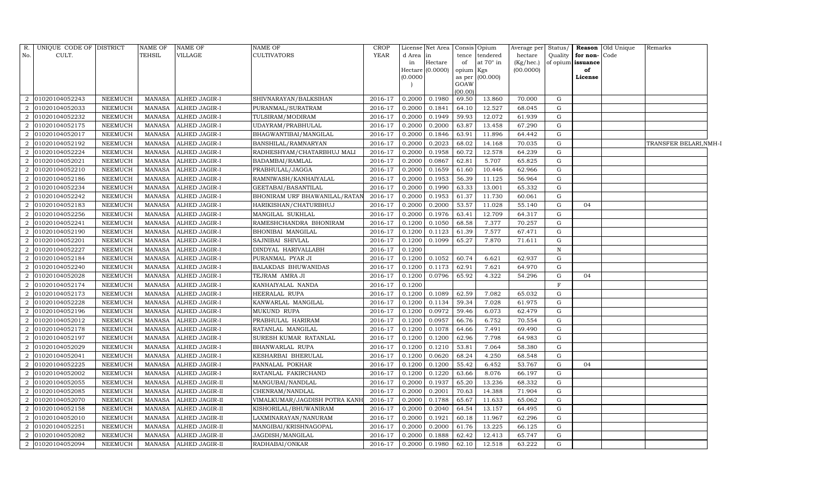| R.                          | UNIQUE CODE OF DISTRICT |                | NAME OF       | <b>NAME OF</b>        | NAME OF                       | <b>CROP</b> |          | License Net Area |           | Consis Opium    | Average per | Status/     |                          | <b>Reason</b> Old Unique | Remarks               |  |
|-----------------------------|-------------------------|----------------|---------------|-----------------------|-------------------------------|-------------|----------|------------------|-----------|-----------------|-------------|-------------|--------------------------|--------------------------|-----------------------|--|
| No.                         | CULT.                   |                | <b>TEHSIL</b> | VILLAGE               | CULTIVATORS                   | <b>YEAR</b> | d Area   | in               | tence     | tendered        | hectare     | Quality     | for non-Code             |                          |                       |  |
|                             |                         |                |               |                       |                               |             | in       | Hectare          | of        | at 70° in       | (Kg/hec.)   |             | of opium <b>issuance</b> |                          |                       |  |
|                             |                         |                |               |                       |                               |             |          | Hectare (0.0000) | opium Kgs |                 | (00.0000)   |             | of                       |                          |                       |  |
|                             |                         |                |               |                       |                               |             | (0.0000) |                  | GOAW      | as per (00.000) |             |             | License                  |                          |                       |  |
|                             |                         |                |               |                       |                               |             |          |                  | (00.00)   |                 |             |             |                          |                          |                       |  |
| $\overline{2}$              | 01020104052243          | NEEMUCH        | <b>MANASA</b> | ALHED JAGIR-I         | SHIVNARAYAN/BALKSIHAN         | 2016-17     | 0.2000   | 0.1980           | 69.50     | 13.860          | 70.000      | G           |                          |                          |                       |  |
|                             | 01020104052033          | NEEMUCH        | <b>MANASA</b> | ALHED JAGIR-I         | PURANMAL/SURATRAM             | 2016-17     | 0.2000   | 0.1841           | 64.10     | 12.527          | 68.045      | G           |                          |                          |                       |  |
| $\overline{2}$              | 01020104052232          | NEEMUCH        | <b>MANASA</b> | ALHED JAGIR-I         | TULSIRAM/MODIRAM              | 2016-17     | 0.2000   | 0.1949           | 59.93     | 12.072          | 61.939      | G           |                          |                          |                       |  |
| 2                           | 01020104052175          | NEEMUCH        | <b>MANASA</b> | ALHED JAGIR-I         | UDAYRAM/PRABHULAL             | 2016-17     | 0.2000   | 0.2000           | 63.87     | 13.458          | 67.290      | G           |                          |                          |                       |  |
| $\overline{2}$              | 01020104052017          | NEEMUCH        | <b>MANASA</b> | ALHED JAGIR-I         | BHAGWANTIBAI/MANGILAL         | 2016-17     | 0.2000   | 0.1846           | 63.91     | 11.896          | 64.442      | G           |                          |                          |                       |  |
| $\overline{2}$              | 01020104052192          | NEEMUCH        | <b>MANASA</b> | ALHED JAGIR-I         | BANSHILAL/RAMNARYAN           | 2016-17     | 0.2000   | 0.2023           | 68.02     | 14.168          | 70.035      | ${\rm G}$   |                          |                          | TRANSFER BELARI,NMH-I |  |
| $\overline{2}$              | 01020104052224          | NEEMUCH        | <b>MANASA</b> | ALHED JAGIR-I         | RADHESHYAM/CHATARBHUJ MALI    | 2016-17     | 0.2000   | 0.1958           | 60.72     | 12.578          | 64.239      | G           |                          |                          |                       |  |
| $\overline{2}$              | 01020104052021          | NEEMUCH        | <b>MANASA</b> | ALHED JAGIR-I         | BADAMBAI/RAMLAL               | 2016-17     | 0.2000   | 0.0867           | 62.81     | 5.707           | 65.825      | G           |                          |                          |                       |  |
| $\overline{2}$              | 01020104052210          | <b>NEEMUCH</b> | <b>MANASA</b> | ALHED JAGIR-I         | PRABHULAL/JAGGA               | 2016-17     | 0.2000   | 0.1659           | 61.60     | 10.446          | 62.966      | G           |                          |                          |                       |  |
| $\overline{2}$              | 01020104052186          | NEEMUCH        | <b>MANASA</b> | ALHED JAGIR-I         | RAMNIWASH/KANHAIYALAL         | 2016-17     | 0.2000   | 0.1953           | 56.39     | 11.125          | 56.964      | ${\rm G}$   |                          |                          |                       |  |
| $\overline{2}$              | 01020104052234          | NEEMUCH        | <b>MANASA</b> | ALHED JAGIR-I         | GEETABAI/BASANTILAL           | 2016-17     | 0.2000   | 0.1990           | 63.33     | 13.001          | 65.332      | G           |                          |                          |                       |  |
| $\overline{2}$              | 01020104052242          | NEEMUCH        | <b>MANASA</b> | ALHED JAGIR-I         | BHONIRAM URF BHAWANILAL/RATAN | 2016-17     | 0.2000   | 0.1953           | 61.37     | 11.730          | 60.061      | G           |                          |                          |                       |  |
| $\overline{2}$              | 01020104052183          | <b>NEEMUCH</b> | <b>MANASA</b> | ALHED JAGIR-I         | HARIKISHAN/CHATURBHUJ         | 2016-17     | 0.2000   | 0.2000           | 53.57     | 11.028          | 55.140      | G           | 04                       |                          |                       |  |
| 2                           | 01020104052256          | NEEMUCH        | <b>MANASA</b> | ALHED JAGIR-I         | MANGILAL SUKHLAL              | 2016-17     | 0.2000   | 0.1976           | 63.41     | 12.709          | 64.317      | G           |                          |                          |                       |  |
| $\overline{2}$              | 01020104052241          | NEEMUCH        | <b>MANASA</b> | ALHED JAGIR-I         | RAMESHCHANDRA BHONIRAM        | 2016-17     | 0.1200   | 0.1050           | 68.58     | 7.377           | 70.257      | G           |                          |                          |                       |  |
| 2                           | 01020104052190          | NEEMUCH        | <b>MANASA</b> | ALHED JAGIR-I         | BHONIBAI MANGILAL             | 2016-17     | 0.1200   | 0.1123           | 61.39     | 7.577           | 67.471      | G           |                          |                          |                       |  |
| $\mathcal{D}_{\mathcal{L}}$ | 01020104052201          | NEEMUCH        | <b>MANASA</b> | ALHED JAGIR-I         | SAJNIBAI SHIVLAL              | 2016-17     | 0.1200   | 0.1099           | 65.27     | 7.870           | 71.611      | G           |                          |                          |                       |  |
| 2                           | 01020104052227          | NEEMUCH        | <b>MANASA</b> | ALHED JAGIR-I         | DINDYAL HARIVALLABH           | 2016-17     | 0.1200   |                  |           |                 |             | N           |                          |                          |                       |  |
| 2                           | 01020104052184          | NEEMUCH        | <b>MANASA</b> | ALHED JAGIR-I         | PURANMAL PYAR JI              | 2016-17     | 0.1200   | 0.1052           | 60.74     | 6.621           | 62.937      | G           |                          |                          |                       |  |
| $\overline{2}$              | 01020104052240          | NEEMUCH        | <b>MANASA</b> | ALHED JAGIR-I         | BALAKDAS BHUWANIDAS           | 2016-17     | 0.1200   | 0.1173           | 62.91     | 7.621           | 64.970      | G           |                          |                          |                       |  |
| $\overline{2}$              | 01020104052028          | NEEMUCH        | <b>MANASA</b> | ALHED JAGIR-I         | TEJRAM AMRA JI                | 2016-17     | 0.1200   | 0.0796           | 65.92     | 4.322           | 54.296      | G           | 04                       |                          |                       |  |
| $\overline{2}$              | 01020104052174          | NEEMUCH        | <b>MANASA</b> | ALHED JAGIR-I         | KANHAIYALAL NANDA             | 2016-17     | 0.1200   |                  |           |                 |             | $\mathbf F$ |                          |                          |                       |  |
| $\overline{2}$              | 01020104052173          | NEEMUCH        | <b>MANASA</b> | ALHED JAGIR-I         | HEERALAL RUPA                 | 2016-17     | 0.1200   | 0.1089           | 62.59     | 7.082           | 65.032      | G           |                          |                          |                       |  |
| $\overline{2}$              | 01020104052228          | <b>NEEMUCH</b> | <b>MANASA</b> | ALHED JAGIR-I         | KANWARLAL MANGILAL            | 2016-17     | 0.1200   | 0.1134           | 59.34     | 7.028           | 61.975      | G           |                          |                          |                       |  |
| $\mathcal{D}_{1}^{(1)}$     | 01020104052196          | NEEMUCH        | <b>MANASA</b> | ALHED JAGIR-I         | MUKUND RUPA                   | 2016-17     | 0.1200   | 0.0972           | 59.46     | 6.073           | 62.479      | G           |                          |                          |                       |  |
| $\overline{2}$              | 01020104052012          | NEEMUCH        | <b>MANASA</b> | ALHED JAGIR-I         | PRABHULAL HARIRAM             | 2016-17     | 0.1200   | 0.0957           | 66.76     | 6.752           | 70.554      | G           |                          |                          |                       |  |
| $\overline{2}$              | 01020104052178          | NEEMUCH        | <b>MANASA</b> | ALHED JAGIR-I         | RATANLAL MANGILAL             | 2016-17     | 0.1200   | 0.1078           | 64.66     | 7.491           | 69.490      | G           |                          |                          |                       |  |
| $\overline{2}$              | 01020104052197          | NEEMUCH        | <b>MANASA</b> | ALHED JAGIR-I         | SURESH KUMAR RATANLAL         | 2016-17     | 0.1200   | 0.1200           | 62.96     | 7.798           | 64.983      | G           |                          |                          |                       |  |
| $\overline{2}$              | 01020104052029          | NEEMUCH        | <b>MANASA</b> | ALHED JAGIR-I         | BHANWARLAL RUPA               | 2016-17     | 0.1200   | 0.1210           | 53.81     | 7.064           | 58.380      | $\mathbf G$ |                          |                          |                       |  |
| $\overline{2}$              | 01020104052041          | NEEMUCH        | <b>MANASA</b> | ALHED JAGIR-I         | KESHARBAI BHERULAL            | 2016-17     | 0.1200   | 0.0620           | 68.24     | 4.250           | 68.548      | G           |                          |                          |                       |  |
| 2                           | 01020104052225          | NEEMUCH        | <b>MANASA</b> | ALHED JAGIR-I         | PANNALAL POKHAR               | 2016-17     | 0.1200   | 0.1200           | 55.42     | 6.452           | 53.767      | G           | 04                       |                          |                       |  |
| $\overline{2}$              | 01020104052002          | NEEMUCH        | <b>MANASA</b> | ALHED JAGIR-I         | RATANLAL FAKIRCHAND           | 2016-17     | 0.1200   | 0.1220           | 63.66     | 8.076           | 66.197      | G           |                          |                          |                       |  |
| $\overline{2}$              | 01020104052055          | NEEMUCH        | <b>MANASA</b> | ALHED JAGIR-II        | MANGUBAI/NANDLAL              | 2016-17     | 0.2000   | 0.1937           | 65.20     | 13.236          | 68.332      | ${\rm G}$   |                          |                          |                       |  |
| 2                           | 01020104052085          | NEEMUCH        | <b>MANASA</b> | ALHED JAGIR-II        | CHENRAM/NANDLAL               | 2016-17     | 0.2000   | 0.2001           | 70.63     | 14.388          | 71.904      | G           |                          |                          |                       |  |
| 2                           | 01020104052070          | NEEMUCH        | MANASA        | ALHED JAGIR-II        | VIMALKUMAR/JAGDISH POTRA KANH | 2016-17     | 0.2000   | 0.1788           | 65.67     | 11.633          | 65.062      | G           |                          |                          |                       |  |
| $\mathcal{D}_{\mathcal{L}}$ | 01020104052158          | NEEMUCH        | <b>MANASA</b> | ALHED JAGIR-II        | KISHORILAL/BHUWANIRAM         | 2016-17     | 0.2000   | 0.2040           | 64.54     | 13.157          | 64.495      | $\mathbf G$ |                          |                          |                       |  |
| 2                           | 01020104052010          | NEEMUCH        | <b>MANASA</b> | ALHED JAGIR-II        | LAXMINARAYAN/NANURAM          | 2016-17     | 0.2000   | 0.1921           | 60.18     | 11.967          | 62.296      | G           |                          |                          |                       |  |
| $\overline{2}$              | 01020104052251          | NEEMUCH        | <b>MANASA</b> | ALHED JAGIR-II        | MANGIBAI/KRISHNAGOPAL         | 2016-17     | 0.2000   | 0.2000           | 61.76     | 13.225          | 66.125      | G           |                          |                          |                       |  |
| $\overline{2}$              | 01020104052082          | NEEMUCH        | MANASA        | ALHED JAGIR-II        | JAGDISH/MANGILAL              | 2016-17     | 0.2000   | 0.1888           | 62.42     | 12.413          | 65.747      | G           |                          |                          |                       |  |
|                             | 2 01020104052094        | NEEMUCH        | <b>MANASA</b> | <b>ALHED JAGIR-II</b> | RADHABAI/ONKAR                | 2016-17     | 0.2000   | 0.1980           | 62.10     | 12.518          | 63.222      | G           |                          |                          |                       |  |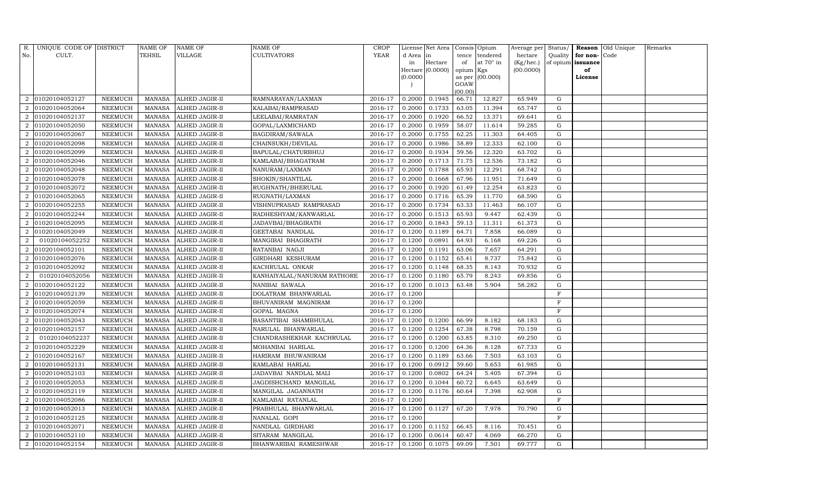| R.                          | UNIQUE CODE OF DISTRICT |                | <b>NAME OF</b> | NAME OF        | <b>NAME OF</b>              | <b>CROP</b> |           | License Net Area |                 | Consis Opium      | Average per | Status/      |                   | <b>Reason</b> Old Unique | Remarks |
|-----------------------------|-------------------------|----------------|----------------|----------------|-----------------------------|-------------|-----------|------------------|-----------------|-------------------|-------------|--------------|-------------------|--------------------------|---------|
| No.                         | CULT.                   |                | TEHSIL         | VILLAGE        | <b>CULTIVATORS</b>          | YEAR        | d Area in |                  | tence           | tendered          | hectare     | Quality      | for non-          | Code                     |         |
|                             |                         |                |                |                |                             |             | in        | Hectare          | of              | at $70^\circ$ in  | (Kg/hec.)   |              | of opium issuance |                          |         |
|                             |                         |                |                |                |                             |             |           | Hectare (0.0000) | opium Kgs       |                   | (00.0000)   |              | of                |                          |         |
|                             |                         |                |                |                |                             |             | (0.0000)  |                  |                 | as per $(00.000)$ |             |              | License           |                          |         |
|                             |                         |                |                |                |                             |             |           |                  | GOAW<br>(00.00) |                   |             |              |                   |                          |         |
| 2                           | 01020104052127          | NEEMUCH        | MANASA         | ALHED JAGIR-II | RAMNARAYAN/LAXMAN           | 2016-17     | 0.2000    | 0.1945           | 66.71           | 12.827            | 65.949      | G            |                   |                          |         |
|                             | 01020104052064          | NEEMUCH        | <b>MANASA</b>  | ALHED JAGIR-II | KALABAI/RAMPRASAD           | 2016-17     | 0.2000    | 0.1733           | 63.05           | 11.394            | 65.747      | G            |                   |                          |         |
| $\overline{2}$              | 01020104052137          | NEEMUCH        | <b>MANASA</b>  | ALHED JAGIR-II | LEELABAI/RAMRATAN           | 2016-17     | 0.2000    | 0.1920           | 66.52           | 13.371            | 69.641      | G            |                   |                          |         |
| $\overline{2}$              | 01020104052050          | NEEMUCH        | MANASA         | ALHED JAGIR-II | GOPAL/LAXMICHAND            | 2016-17     | 0.2000    | 0.1959           | 58.07           | 11.614            | 59.285      | ${\rm G}$    |                   |                          |         |
| $\overline{2}$              | 01020104052067          | <b>NEEMUCH</b> | <b>MANASA</b>  | ALHED JAGIR-II | BAGDIRAM/SAWALA             | 2016-17     | 0.2000    | 0.1755           | 62.25           | 11.303            | 64.405      | G            |                   |                          |         |
|                             | 01020104052098          | NEEMUCH        | MANASA         | ALHED JAGIR-II | CHAINSUKH/DEVILAL           | 2016-17     | 0.2000    | 0.1986           | 58.89           | 12.333            | 62.100      | G            |                   |                          |         |
| $\overline{2}$              | 01020104052099          | NEEMUCH        | MANASA         | ALHED JAGIR-II | BAPULAL/CHATURBHUJ          | 2016-17     | 0.2000    | 0.1934           | 59.56           | 12.320            | 63.702      | G            |                   |                          |         |
| 2                           | 01020104052046          | NEEMUCH        | MANASA         | ALHED JAGIR-II | KAMLABAI/BHAGATRAM          | 2016-17     | 0.2000    | 0.1713           | 71.75           | 12.536            | 73.182      | G            |                   |                          |         |
| $\overline{2}$              | 01020104052048          | NEEMUCH        | MANASA         | ALHED JAGIR-II | NANURAM/LAXMAN              | 2016-17     | 0.2000    | 0.1788           | 65.93           | 12.291            | 68.742      | $\mathbf G$  |                   |                          |         |
|                             | 01020104052078          | NEEMUCH        | MANASA         | ALHED JAGIR-II | SHOKIN/SHANTILAL            | 2016-17     | 0.2000    | 0.1668           | 67.96           | 11.951            | 71.649      | ${\rm G}$    |                   |                          |         |
| $\mathcal{D}_{\alpha}$      | 01020104052072          | NEEMUCH        | <b>MANASA</b>  | ALHED JAGIR-II | RUGHNATH/BHERULAL           | 2016-17     | 0.2000    | 0.1920           | 61.49           | 12.254            | 63.823      | ${\rm G}$    |                   |                          |         |
| 2                           | 01020104052065          | NEEMUCH        | MANASA         | ALHED JAGIR-II | RUGNATH/LAXMAN              | 2016-17     | 0.2000    | 0.1716           | 65.39           | 11.770            | 68.590      | G            |                   |                          |         |
|                             | 01020104052255          | <b>NEEMUCH</b> | <b>MANASA</b>  | ALHED JAGIR-II | VISHNUPRASAD RAMPRASAD      | 2016-17     | 0.2000    | 0.1734           | 63.33           | 11.463            | 66.107      | ${\rm G}$    |                   |                          |         |
| $\mathcal{D}_{\mathcal{L}}$ | 01020104052244          | NEEMUCH        | MANASA         | ALHED JAGIR-II | RADHESHYAM/KANWARLAL        | 2016-17     | 0.2000    | 0.1513           | 65.93           | 9.447             | 62.439      | G            |                   |                          |         |
| 2                           | 01020104052095          | NEEMUCH        | MANASA         | ALHED JAGIR-II | JADAVBAI/BHAGIRATH          | 2016-17     | 0.2000    | 0.1843           | 59.13           | 11.311            | 61.373      | G            |                   |                          |         |
| 2                           | 01020104052049          | NEEMUCH        | MANASA         | ALHED JAGIR-II | GEETABAI NANDLAL            | 2016-17     | 0.1200    | 0.1189           | 64.71           | 7.858             | 66.089      | G            |                   |                          |         |
| $\overline{2}$              | 01020104052252          | NEEMUCH        | <b>MANASA</b>  | ALHED JAGIR-II | MANGIBAI BHAGIRATH          | 2016-17     | 0.1200    | 0.0891           | 64.93           | 6.168             | 69.226      | G            |                   |                          |         |
| 2                           | 01020104052101          | NEEMUCH        | MANASA         | ALHED JAGIR-II | RATANBAI NAGJI              | 2016-17     | 0.1200    | 0.1191           | 63.06           | 7.657             | 64.291      | G            |                   |                          |         |
| $\mathcal{D}_{\alpha}$      | 01020104052076          | NEEMUCH        | <b>MANASA</b>  | ALHED JAGIR-II | GIRDHARI KESHURAM           | 2016-17     | 0.1200    | 0.1152           | 65.41           | 8.737             | 75.842      | G            |                   |                          |         |
| $\overline{2}$              | 01020104052092          | NEEMUCH        | MANASA         | ALHED JAGIR-II | KACHRULAL ONKAR             | 2016-17     | 0.1200    | 0.1148           | 68.35           | 8.143             | 70.932      | G            |                   |                          |         |
| $\overline{2}$              | 01020104052056          | NEEMUCH        | <b>MANASA</b>  | ALHED JAGIR-II | KANHAIYALAL/NANURAM RATHORE | 2016-17     | 0.1200    | 0.1180           | 65.79           | 8.243             | 69.856      | G            |                   |                          |         |
| $\mathcal{D}_{\mathcal{L}}$ | 01020104052122          | NEEMUCH        | <b>MANASA</b>  | ALHED JAGIR-II | NANIBAI SAWALA              | 2016-17     | 0.1200    | 0.1013           | 63.48           | 5.904             | 58.282      | G            |                   |                          |         |
| 2                           | 01020104052139          | NEEMUCH        | MANASA         | ALHED JAGIR-II | DOLATRAM BHANWARLAL         | 2016-17     | 0.1200    |                  |                 |                   |             | $\mathbf F$  |                   |                          |         |
| $\mathcal{D}_{\mathcal{L}}$ | 01020104052059          | NEEMUCH        | <b>MANASA</b>  | ALHED JAGIR-II | BHUVANIRAM MAGNIRAM         | 2016-17     | 0.1200    |                  |                 |                   |             | $\mathbf F$  |                   |                          |         |
|                             | 01020104052074          | NEEMUCH        | MANASA         | ALHED JAGIR-II | GOPAL MAGNA                 | 2016-17     | 0.1200    |                  |                 |                   |             | $\mathbf{F}$ |                   |                          |         |
|                             | 01020104052043          | NEEMUCH        | <b>MANASA</b>  | ALHED JAGIR-II | BASANTIBAI SHAMBHULAL       | 2016-17     | 0.1200    | 0.1200           | 66.99           | 8.182             | 68.183      | G            |                   |                          |         |
| $\overline{2}$              | 01020104052157          | NEEMUCH        | <b>MANASA</b>  | ALHED JAGIR-II | NARULAL BHANWARLAL          | 2016-17     | 0.1200    | 0.1254           | 67.38           | 8.798             | 70.159      | G            |                   |                          |         |
| 2                           | 01020104052237          | NEEMUCH        | <b>MANASA</b>  | ALHED JAGIR-II | CHANDRASHEKHAR KACHRULAL    | 2016-17     | 0.1200    | 0.1200           | 63.85           | 8.310             | 69.250      | ${\rm G}$    |                   |                          |         |
| $\overline{2}$              | 01020104052229          | NEEMUCH        | MANASA         | ALHED JAGIR-II | MOHANBAI HARILAL            | 2016-17     | 0.1200    | 0.1200           | 64.36           | 8.128             | 67.733      | G            |                   |                          |         |
| $\overline{2}$              | 01020104052167          | NEEMUCH        | <b>MANASA</b>  | ALHED JAGIR-II | HARIRAM BHUWANIRAM          | 2016-17     | 0.1200    | 0.1189           | 63.66           | 7.503             | 63.103      | G            |                   |                          |         |
| 2                           | 01020104052131          | NEEMUCH        | MANASA         | ALHED JAGIR-II | KAMLABAI HARLAL             | 2016-17     | 0.1200    | 0.0912           | 59.60           | 5.653             | 61.985      | $\mathbf G$  |                   |                          |         |
| $\overline{2}$              | 01020104052103          | NEEMUCH        | <b>MANASA</b>  | ALHED JAGIR-II | JADAVBAI NANDLAL MALI       | 2016-17     | 0.1200    | 0.0802           | 64.24           | 5.405             | 67.394      | G            |                   |                          |         |
|                             | 01020104052053          | NEEMUCH        | <b>MANASA</b>  | ALHED JAGIR-II | JAGDISHCHAND MANGILAL       | 2016-17     | 0.1200    | 0.1044           | 60.72           | 6.645             | 63.649      | ${\rm G}$    |                   |                          |         |
| 2                           | 01020104052119          | NEEMUCH        | MANASA         | ALHED JAGIR-II | MANGILAL JAGANNATH          | 2016-17     | 0.1200    | 0.1176           | 60.64           | 7.398             | 62.908      | ${\rm G}$    |                   |                          |         |
| 2                           | 01020104052086          | NEEMUCH        | <b>MANASA</b>  | ALHED JAGIR-II | KAMLABAI RATANLAL           | 2016-17     | 0.1200    |                  |                 |                   |             | $\mathbf F$  |                   |                          |         |
| $\mathcal{D}_{\mathcal{L}}$ | 01020104052013          | <b>NEEMUCH</b> | <b>MANASA</b>  | ALHED JAGIR-II | PRABHULAL BHANWARLAL        | 2016-17     | 0.1200    | 0.1127           | 67.20           | 7.978             | 70.790      | ${\rm G}$    |                   |                          |         |
| 2                           | 01020104052125          | NEEMUCH        | MANASA         | ALHED JAGIR-II | NANALAL GOPI                | 2016-17     | 0.1200    |                  |                 |                   |             | $\mathbf F$  |                   |                          |         |
| $\overline{2}$              | 01020104052071          | NEEMUCH        | <b>MANASA</b>  | ALHED JAGIR-II | NANDLAL GIRDHARI            | 2016-17     | 0.1200    | 0.1152           | 66.45           | 8.116             | 70.451      | G            |                   |                          |         |
| 2                           | 01020104052110          | NEEMUCH        | MANASA         | ALHED JAGIR-II | SITARAM MANGILAL            | 2016-17     | 0.1200    | 0.0614           | 60.47           | 4.069             | 66.270      | G            |                   |                          |         |
| $\overline{2}$              | 01020104052154          | NEEMUCH        | MANASA         | ALHED JAGIR-II | BHANWARIBAI RAMESHWAR       | 2016-17     | 0.1200    | 0.1075           | 69.09           | 7.501             | 69.777      | G            |                   |                          |         |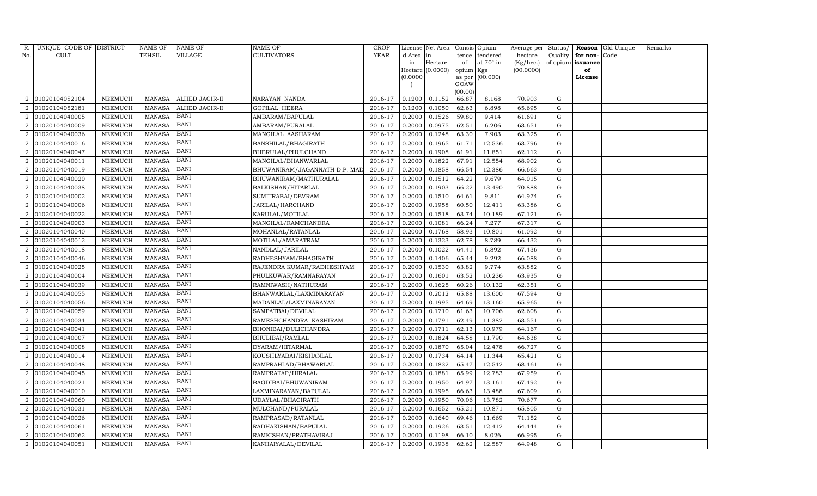| R.                          | UNIQUE CODE OF DISTRICT |                | NAME OF       | <b>NAME OF</b> | NAME OF                       | <b>CROP</b> |          | License Net Area |                 | Consis Opium    | Average per | Status/   | Reason   | Old Unique | Remarks |
|-----------------------------|-------------------------|----------------|---------------|----------------|-------------------------------|-------------|----------|------------------|-----------------|-----------------|-------------|-----------|----------|------------|---------|
| No.                         | CULT.                   |                | TEHSIL        | VILLAGE        | <b>CULTIVATORS</b>            | YEAR        | d Area   | in               | tence           | tendered        | hectare     | Quality   | for non- | Code       |         |
|                             |                         |                |               |                |                               |             | in       | Hectare          | of              | at 70° in       | (Kg/hec.)   | of opium  | issuance |            |         |
|                             |                         |                |               |                |                               |             |          | Hectare (0.0000) | opium Kgs       |                 | (00.0000)   |           | of       |            |         |
|                             |                         |                |               |                |                               |             | (0.0000) |                  |                 | as per (00.000) |             |           | License  |            |         |
|                             |                         |                |               |                |                               |             |          |                  | GOAW<br>(00.00) |                 |             |           |          |            |         |
| $\overline{2}$              | 01020104052104          | NEEMUCH        | <b>MANASA</b> | ALHED JAGIR-II | NARAYAN NANDA                 | 2016-17     | 0.1200   | 0.1152           | 66.87           | 8.168           | 70.903      | G         |          |            |         |
|                             | 01020104052181          | NEEMUCH        | MANASA        | ALHED JAGIR-II | GOPILAL HEERA                 | 2016-17     | 0.1200   | 0.1050           | 62.63           | 6.898           | 65.695      | G         |          |            |         |
| $\overline{2}$              | 01020104040005          | <b>NEEMUCH</b> | <b>MANASA</b> | BANI           | AMBARAM/BAPULAL               | 2016-17     | 0.2000   | 0.1526           | 59.80           | 9.414           | 61.691      | G         |          |            |         |
| $\overline{2}$              | 01020104040009          | NEEMUCH        | <b>MANASA</b> | <b>BANI</b>    | AMBARAM/PURALAL               | 2016-17     | 0.2000   | 0.0975           | 62.51           | 6.206           | 63.651      | ${\rm G}$ |          |            |         |
| $\mathcal{D}$               | 01020104040036          | <b>NEEMUCH</b> | <b>MANASA</b> | <b>BANI</b>    | MANGILAL AASHARAM             | 2016-17     | 0.2000   | 0.1248           | 63.30           | 7.903           | 63.325      | G         |          |            |         |
| $\mathcal{D}_{\mathcal{L}}$ | 01020104040016          | NEEMUCH        | <b>MANASA</b> | <b>BANI</b>    | BANSHILAL/BHAGIRATH           | 2016-17     | 0.2000   | 0.1965           | 61.71           | 12.536          | 63.796      | ${\rm G}$ |          |            |         |
| $\overline{2}$              | 01020104040047          | NEEMUCH        | <b>MANASA</b> | <b>BANI</b>    | BHERULAL/PHULCHAND            | 2016-17     | 0.2000   | 0.1908           | 61.91           | 11.851          | 62.112      | G         |          |            |         |
| $\overline{2}$              | 01020104040011          | <b>NEEMUCH</b> | <b>MANASA</b> | <b>BANI</b>    | MANGILAL/BHANWARLAL           | 2016-17     | 0.2000   | 0.1822           | 67.91           | 12.554          | 68.902      | ${\rm G}$ |          |            |         |
| $\mathcal{D}$               | 01020104040019          | <b>NEEMUCH</b> | <b>MANASA</b> | <b>BANI</b>    | BHUWANIRAM/JAGANNATH D.P. MAI | 2016-17     | 0.2000   | 0.1858           | 66.54           | 12.386          | 66.663      | G         |          |            |         |
|                             | 01020104040020          | NEEMUCH        | <b>MANASA</b> | <b>BANI</b>    | BHUWANIRAM/MATHURALAL         | 2016-17     | 0.2000   | 0.1512           | 64.22           | 9.679           | 64.015      | G         |          |            |         |
| $\mathcal{D}_{\mathcal{L}}$ | 01020104040038          | NEEMUCH        | <b>MANASA</b> | <b>BANI</b>    | BALKISHAN/HITARLAL            | 2016-17     | 0.2000   | 0.1903           | 66.22           | 13.490          | 70.888      | ${\rm G}$ |          |            |         |
| $\overline{2}$              | 01020104040002          | NEEMUCH        | <b>MANASA</b> | <b>BANI</b>    | SUMITRABAI/DEVRAM             | 2016-17     | 0.2000   | 0.1510           | 64.61           | 9.811           | 64.974      | G         |          |            |         |
|                             | 01020104040006          | NEEMUCH        | <b>MANASA</b> | BANI           | JARILAL/HARCHAND              | 2016-17     | 0.2000   | 0.1958           | 60.50           | 12.411          | 63.386      | ${\rm G}$ |          |            |         |
| $\overline{2}$              | 01020104040022          | <b>NEEMUCH</b> | <b>MANASA</b> | <b>BANI</b>    | KARULAL/MOTILAL               | 2016-17     | 0.2000   | 0.1518           | 63.74           | 10.189          | 67.121      | ${\rm G}$ |          |            |         |
| 2                           | 01020104040003          | NEEMUCH        | <b>MANASA</b> | <b>BANI</b>    | MANGILAL/RAMCHANDRA           | 2016-17     | 0.2000   | 0.1081           | 66.24           | 7.277           | 67.317      | ${\rm G}$ |          |            |         |
| $\overline{2}$              | 01020104040040          | NEEMUCH        | <b>MANASA</b> | <b>BANI</b>    | MOHANLAL/RATANLAL             | 2016-17     | 0.2000   | 0.1768           | 58.93           | 10.801          | 61.092      | ${\rm G}$ |          |            |         |
|                             | 01020104040012          | NEEMUCH        | <b>MANASA</b> | <b>BANI</b>    | MOTILAL/AMARATRAM             | 2016-17     | 0.2000   | 0.1323           | 62.78           | 8.789           | 66.432      | ${\rm G}$ |          |            |         |
| $\overline{2}$              | 01020104040018          | NEEMUCH        | <b>MANASA</b> | <b>BANI</b>    | NANDLAL/JARILAL               | 2016-17     | 0.2000   | 0.1022           | 64.41           | 6.892           | 67.436      | G         |          |            |         |
| $\overline{2}$              | 01020104040046          | NEEMUCH        | <b>MANASA</b> | <b>BANI</b>    | RADHESHYAM/BHAGIRATH          | 2016-17     | 0.2000   | 0.1406           | 65.44           | 9.292           | 66.088      | ${\rm G}$ |          |            |         |
| $\mathcal{D}$               | 01020104040025          | <b>NEEMUCH</b> | <b>MANASA</b> | BANI           | RAJENDRA KUMAR/RADHESHYAM     | 2016-17     | 0.2000   | 0.1530           | 63.82           | 9.774           | 63.882      | G         |          |            |         |
|                             | 01020104040004          | NEEMUCH        | <b>MANASA</b> | <b>BANI</b>    | PHULKUWAR/RAMNARAYAN          | 2016-17     | 0.2000   | 0.1601           | 63.52           | 10.236          | 63.935      | ${\rm G}$ |          |            |         |
| $\overline{2}$              | 01020104040039          | NEEMUCH        | <b>MANASA</b> | <b>BANI</b>    | RAMNIWASH/NATHURAM            | 2016-17     | 0.2000   | 0.1625           | 60.26           | 10.132          | 62.351      | ${\rm G}$ |          |            |         |
| $\overline{2}$              | 01020104040055          | <b>NEEMUCH</b> | <b>MANASA</b> | <b>BANI</b>    | BHANWARLAL/LAXMINARAYAN       | 2016-17     | 0.2000   | 0.2012           | 65.88           | 13.600          | 67.594      | G         |          |            |         |
|                             | 01020104040056          | <b>NEEMUCH</b> | <b>MANASA</b> | <b>BANI</b>    | MADANLAL/LAXMINARAYAN         | 2016-17     | 0.2000   | 0.1995           | 64.69           | 13.160          | 65.965      | ${\rm G}$ |          |            |         |
|                             | 01020104040059          | NEEMUCH        | <b>MANASA</b> | <b>BANI</b>    | SAMPATBAI/DEVILAL             | 2016-17     | 0.2000   | 0.1710           | 61.63           | 10.706          | 62.608      | ${\rm G}$ |          |            |         |
| $\overline{2}$              | 01020104040034          | NEEMUCH        | <b>MANASA</b> | <b>BANI</b>    | RAMESHCHANDRA KASHIRAM        | 2016-17     | 0.2000   | 0.1791           | 62.49           | 11.382          | 63.551      | G         |          |            |         |
| $\overline{2}$              | 01020104040041          | NEEMUCH        | <b>MANASA</b> | <b>BANI</b>    | BHONIBAI/DULICHANDRA          | 2016-17     | 0.2000   | 0.1711           | 62.13           | 10.979          | 64.167      | G         |          |            |         |
|                             | 01020104040007          | <b>NEEMUCH</b> | <b>MANASA</b> | BANI           | BHULIBAI/RAMLAL               | 2016-17     | 0.2000   | 0.1824           | 64.58           | 11.790          | 64.638      | ${\rm G}$ |          |            |         |
| $\overline{2}$              | 01020104040008          | NEEMUCH        | <b>MANASA</b> | <b>BANI</b>    | DYARAM/HITARMAL               | 2016-17     | 0.2000   | 0.1870           | 65.04           | 12.478          | 66.727      | G         |          |            |         |
| $\overline{2}$              | 01020104040014          | <b>NEEMUCH</b> | <b>MANASA</b> | <b>BANI</b>    | KOUSHLYABAI/KISHANLAL         | 2016-17     | 0.2000   | 0.1734           | 64.14           | 11.344          | 65.421      | ${\rm G}$ |          |            |         |
| $\overline{2}$              | 01020104040048          | NEEMUCH        | <b>MANASA</b> | BANI           | RAMPRAHLAD/BHAWARLAL          | 2016-17     | 0.2000   | 0.1832           | 65.47           | 12.542          | 68.461      | G         |          |            |         |
|                             | 01020104040045          | NEEMUCH        | <b>MANASA</b> | <b>BANI</b>    | RAMPRATAP/HIRALAL             | 2016-17     | 0.2000   | 0.1881           | 65.99           | 12.783          | 67.959      | ${\rm G}$ |          |            |         |
| $\overline{2}$              | 01020104040021          | <b>NEEMUCH</b> | <b>MANASA</b> | <b>BANI</b>    | BAGDIBAI/BHUWANIRAM           | 2016-17     | 0.2000   | 0.1950           | 64.97           | 13.161          | 67.492      | G         |          |            |         |
| $\overline{2}$              | 01020104040010          | NEEMUCH        | MANASA        | <b>BANI</b>    | LAXMINARAYAN/BAPULAL          | 2016-17     | 0.2000   | 0.1995           | 66.63           | 13.488          | 67.609      | ${\rm G}$ |          |            |         |
| $\overline{2}$              | 01020104040060          | <b>NEEMUCH</b> | <b>MANASA</b> | <b>BANI</b>    | UDAYLAL/BHAGIRATH             | 2016-17     | 0.2000   | 0.1950           | 70.06           | 13.782          | 70.677      | ${\rm G}$ |          |            |         |
| $\mathcal{D}$               | 01020104040031          | <b>NEEMUCH</b> | <b>MANASA</b> | <b>BANI</b>    | MULCHAND/PURALAL              | 2016-17     | 0.2000   | 0.1652           | 65.21           | 10.871          | 65.805      | ${\rm G}$ |          |            |         |
| $\overline{2}$              | 01020104040026          | NEEMUCH        | <b>MANASA</b> | <b>BANI</b>    | RAMPRASAD/RATANLAL            | 2016-17     | 0.2000   | 0.1640           | 69.46           | 11.669          | 71.152      | ${\rm G}$ |          |            |         |
| $\overline{2}$              | 01020104040061          | <b>NEEMUCH</b> | <b>MANASA</b> | <b>BANI</b>    | RADHAKISHAN/BAPULAL           | 2016-17     | 0.2000   | 0.1926           | 63.51           | 12.412          | 64.444      | ${\rm G}$ |          |            |         |
| $\mathcal{D}$               | 01020104040062          | NEEMUCH        | <b>MANASA</b> | BANI           | RAMKISHAN/PRATHAVIRAJ         | 2016-17     | 0.2000   | 0.1198           | 66.10           | 8.026           | 66.995      | G         |          |            |         |
| $\overline{2}$              | 01020104040051          | NEEMUCH        | <b>MANASA</b> | <b>BANI</b>    | KANHAIYALAL/DEVILAL           | 2016-17     | 0.2000   | 0.1938           | 62.62           | 12.587          | 64.948      | G         |          |            |         |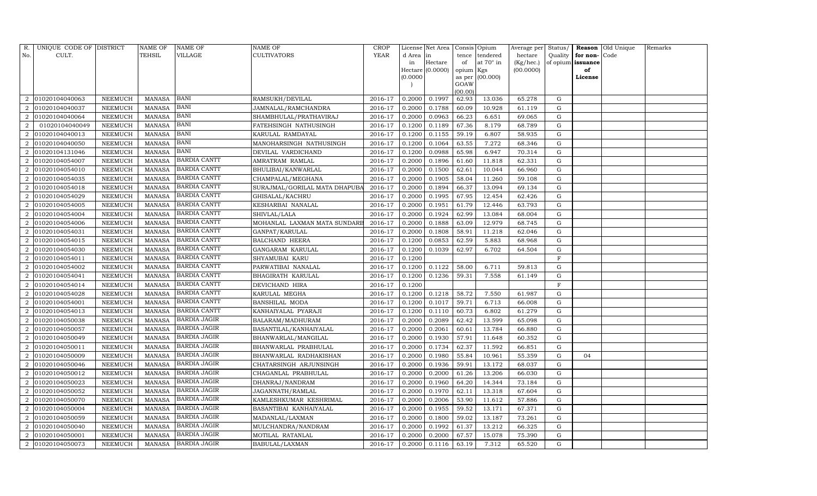| R.                          | UNIQUE CODE OF DISTRICT |                | NAME OF       | NAME OF             | NAME OF                       | <b>CROP</b> |          | License Net Area |           | Consis Opium     | Average per | Status/      |                   | Reason Old Unique | Remarks |
|-----------------------------|-------------------------|----------------|---------------|---------------------|-------------------------------|-------------|----------|------------------|-----------|------------------|-------------|--------------|-------------------|-------------------|---------|
| No.                         | CULT.                   |                | TEHSIL        | VILLAGE             | <b>CULTIVATORS</b>            | <b>YEAR</b> | d Area   | in               | tence     | tendered         | hectare     | Quality      | for non-Code      |                   |         |
|                             |                         |                |               |                     |                               |             | in       | Hectare          | of        | at $70^\circ$ in | (Kg/hec.)   |              | of opium issuance |                   |         |
|                             |                         |                |               |                     |                               |             |          | Hectare (0.0000) | opium Kgs |                  | (00.0000)   |              | of                |                   |         |
|                             |                         |                |               |                     |                               |             | (0.0000) |                  | GOAW      | as per (00.000)  |             |              | License           |                   |         |
|                             |                         |                |               |                     |                               |             |          |                  | (00.00)   |                  |             |              |                   |                   |         |
| 2                           | 01020104040063          | NEEMUCH        | <b>MANASA</b> | BANI                | RAMSUKH/DEVILAL               | 2016-17     | 0.2000   | 0.1997           | 62.93     | 13.036           | 65.278      | G            |                   |                   |         |
|                             | 01020104040037          | NEEMUCH        | <b>MANASA</b> | BANI                | JAMNALAL/RAMCHANDRA           | 2016-17     | 0.2000   | 0.1788           | 60.09     | 10.928           | 61.119      | G            |                   |                   |         |
| $\overline{2}$              | 01020104040064          | NEEMUCH        | <b>MANASA</b> | BANI                | SHAMBHULAL/PRATHAVIRAJ        | 2016-17     | 0.2000   | 0.0963           | 66.23     | 6.651            | 69.065      | G            |                   |                   |         |
| 2                           | 01020104040049          | NEEMUCH        | <b>MANASA</b> | BANI                | FATEHSINGH NATHUSINGH         | 2016-17     | 0.1200   | 0.1189           | 67.36     | 8.179            | 68.789      | G            |                   |                   |         |
| $\overline{2}$              | 01020104040013          | NEEMUCH        | <b>MANASA</b> | BANI                | KARULAL RAMDAYAL              | 2016-17     | 0.1200   | 0.1155           | 59.19     | 6.807            | 58.935      | G            |                   |                   |         |
|                             | 01020104040050          | NEEMUCH        | <b>MANASA</b> | BANI                | MANOHARSINGH NATHUSINGH       | 2016-17     | 0.1200   | 0.1064           | 63.55     | 7.272            | 68.346      | G            |                   |                   |         |
| $\overline{2}$              | 01020104131046          | NEEMUCH        | <b>MANASA</b> | <b>BANI</b>         | DEVILAL VARDICHAND            | 2016-17     | 0.1200   | 0.0988           | 65.98     | 6.947            | 70.314      | G            |                   |                   |         |
| 2                           | 01020104054007          | <b>NEEMUCH</b> | <b>MANASA</b> | <b>BARDIA CANTT</b> | AMRATRAM RAMLAL               | 2016-17     | 0.2000   | 0.1896           | 61.60     | 11.818           | 62.331      | G            |                   |                   |         |
| $\overline{2}$              | 01020104054010          | <b>NEEMUCH</b> | <b>MANASA</b> | <b>BARDIA CANTT</b> | BHULIBAI/KANWARLAL            | 2016-17     | 0.2000   | 0.1500           | 62.61     | 10.044           | 66.960      | G            |                   |                   |         |
|                             | 01020104054035          | NEEMUCH        | <b>MANASA</b> | <b>BARDIA CANTT</b> | CHAMPALAL/MEGHANA             | 2016-17     | 0.2000   | 0.1905           | 58.04     | 11.260           | 59.108      | G            |                   |                   |         |
| 2                           | 01020104054018          | NEEMUCH        | <b>MANASA</b> | <b>BARDIA CANTT</b> | SURAJMAL/GORILAL MATA DHAPUB. | 2016-17     | 0.2000   | 0.1894           | 66.37     | 13.094           | 69.134      | $\mathbf G$  |                   |                   |         |
| 2                           | 01020104054029          | NEEMUCH        | <b>MANASA</b> | <b>BARDIA CANTT</b> | GHISALAL/KACHRU               | 2016-17     | 0.2000   | 0.1995           | 67.95     | 12.454           | 62.426      | G            |                   |                   |         |
|                             | 01020104054005          | <b>NEEMUCH</b> | <b>MANASA</b> | <b>BARDIA CANTT</b> | KESHARBAI NANALAL             | 2016-17     | 0.2000   | 0.1951           | 61.79     | 12.446           | 63.793      | G            |                   |                   |         |
| $\mathcal{D}$               | 01020104054004          | NEEMUCH        | <b>MANASA</b> | <b>BARDIA CANTT</b> | SHIVLAL/LALA                  | 2016-17     | 0.2000   | 0.1924           | 62.99     | 13.084           | 68.004      | G            |                   |                   |         |
| $\overline{2}$              | 01020104054006          | NEEMUCH        | <b>MANASA</b> | <b>BARDIA CANTT</b> | MOHANLAL LAXMAN MATA SUNDARE  | 2016-17     | 0.2000   | 0.1888           | 63.09     | 12.979           | 68.745      | G            |                   |                   |         |
| 2                           | 01020104054031          | NEEMUCH        | <b>MANASA</b> | <b>BARDIA CANTT</b> | GANPAT/KARULAL                | 2016-17     | 0.2000   | 0.1808           | 58.91     | 11.218           | 62.046      | G            |                   |                   |         |
| $\mathcal{D}_{\mathcal{L}}$ | 01020104054015          | NEEMUCH        | <b>MANASA</b> | <b>BARDIA CANTT</b> | <b>BALCHAND HEERA</b>         | 2016-17     | 0.1200   | 0.0853           | 62.59     | 5.883            | 68.968      | G            |                   |                   |         |
|                             | 01020104054030          | NEEMUCH        | <b>MANASA</b> | <b>BARDIA CANTT</b> | GANGARAM KARULAL              | 2016-17     | 0.1200   | 0.1039           | 62.97     | 6.702            | 64.504      | G            |                   |                   |         |
| $\mathcal{D}_{\mathcal{L}}$ | 01020104054011          | NEEMUCH        | <b>MANASA</b> | <b>BARDIA CANTT</b> | SHYAMUBAI KARU                | 2016-17     | 0.1200   |                  |           |                  |             | $\mathbf{F}$ |                   |                   |         |
| $\overline{2}$              | 01020104054002          | NEEMUCH        | <b>MANASA</b> | <b>BARDIA CANTT</b> | PARWATIBAI NANALAL            | 2016-17     | 0.1200   | 0.1122           | 58.00     | 6.711            | 59.813      | G            |                   |                   |         |
|                             | 01020104054041          | NEEMUCH        | <b>MANASA</b> | <b>BARDIA CANTT</b> | BHAGIRATH KARULAL             | 2016-17     | 0.1200   | 0.1236           | 59.31     | 7.558            | 61.149      | G            |                   |                   |         |
| $\mathcal{D}_{\mathcal{L}}$ | 01020104054014          | NEEMUCH        | <b>MANASA</b> | <b>BARDIA CANTT</b> | DEVICHAND HIRA                | 2016-17     | 0.1200   |                  |           |                  |             | $\mathbf{F}$ |                   |                   |         |
| 2                           | 01020104054028          | NEEMUCH        | <b>MANASA</b> | <b>BARDIA CANTT</b> | KARULAL MEGHA                 | 2016-17     | 0.1200   | 0.1218           | 58.72     | 7.550            | 61.987      | G            |                   |                   |         |
| $\mathcal{D}_{\mathcal{L}}$ | 01020104054001          | <b>NEEMUCH</b> | <b>MANASA</b> | <b>BARDIA CANTT</b> | <b>BANSHILAL MODA</b>         | 2016-17     | 0.1200   | 0.1017           | 59.71     | 6.713            | 66.008      | G            |                   |                   |         |
| $\mathcal{D}$               | 01020104054013          | <b>NEEMUCH</b> | <b>MANASA</b> | <b>BARDIA CANTT</b> | KANHAIYALAL PYARAJI           | 2016-17     | 0.1200   | 0.1110           | 60.73     | 6.802            | 61.279      | G            |                   |                   |         |
| 2                           | 01020104050038          | NEEMUCH        | <b>MANASA</b> | <b>BARDIA JAGIR</b> | BALARAM/MADHURAM              | 2016-17     | 0.2000   | 0.2089           | 62.42     | 13.599           | 65.098      | G            |                   |                   |         |
| $\overline{2}$              | 01020104050057          | NEEMUCH        | <b>MANASA</b> | <b>BARDIA JAGIR</b> | BASANTILAL/KANHAIYALAL        | 2016-17     | 0.2000   | 0.2061           | 60.61     | 13.784           | 66.880      | $\mathbf G$  |                   |                   |         |
| $\overline{2}$              | 01020104050049          | <b>NEEMUCH</b> | <b>MANASA</b> | BARDIA JAGIR        | BHANWARLAL/MANGILAL           | 2016-17     | 0.2000   | 0.1930           | 57.91     | 11.648           | 60.352      | G            |                   |                   |         |
|                             | 01020104050011          | NEEMUCH        | <b>MANASA</b> | <b>BARDIA JAGIR</b> | BHANWARLAL PRABHULAL          | 2016-17     | 0.2000   | 0.1734           | 62.37     | 11.592           | 66.851      | G            |                   |                   |         |
| $\overline{2}$              | 01020104050009          | NEEMUCH        | <b>MANASA</b> | <b>BARDIA JAGIR</b> | BHANWARLAL RADHAKISHAN        | 2016-17     | 0.2000   | 0.1980           | 55.84     | 10.961           | 55.359      | G            | 04                |                   |         |
| 2                           | 01020104050046          | NEEMUCH        | <b>MANASA</b> | <b>BARDIA JAGIR</b> | CHATARSINGH ARJUNSINGH        | 2016-17     | 0.2000   | 0.1936           | 59.91     | 13.172           | 68.037      | G            |                   |                   |         |
| $\overline{2}$              | 01020104050012          | <b>NEEMUCH</b> | <b>MANASA</b> | <b>BARDIA JAGIR</b> | CHAGANLAL PRABHULAL           | 2016-17     | 0.2000   | 0.2000           | 61.26     | 13.206           | 66.030      | G            |                   |                   |         |
| $\overline{2}$              | 01020104050023          | NEEMUCH        | <b>MANASA</b> | BARDIA JAGIR        | DHANRAJ/NANDRAM               | 2016-17     | 0.2000   | 0.1960           | 64.20     | 14.344           | 73.184      | G            |                   |                   |         |
| 2                           | 01020104050052          | NEEMUCH        | <b>MANASA</b> | <b>BARDIA JAGIR</b> | JAGANNATH/RAMLAL              | 2016-17     | 0.2000   | 0.1970           | 62.11     | 13.318           | 67.604      | G            |                   |                   |         |
| 2                           | 01020104050070          | <b>NEEMUCH</b> | <b>MANASA</b> | <b>BARDIA JAGIR</b> | KAMLESHKUMAR KESHRIMAL        | 2016-17     | 0.2000   | 0.2006           | 53.90     | 11.612           | 57.886      | $\mathbf G$  |                   |                   |         |
| $\mathcal{D}_{\mathcal{L}}$ | 01020104050004          | <b>NEEMUCH</b> | <b>MANASA</b> | BARDIA JAGIR        | BASANTIBAI KANHAIYALAL        | 2016-17     | 0.2000   | 0.1955           | 59.52     | 13.171           | 67.371      | G            |                   |                   |         |
| 2                           | 01020104050059          | NEEMUCH        | <b>MANASA</b> | BARDIA JAGIR        | MADANLAL/LAXMAN               | 2016-17     | 0.2000   | 0.1800           | 59.02     | 13.187           | 73.261      | G            |                   |                   |         |
| $\overline{2}$              | 01020104050040          | NEEMUCH        | <b>MANASA</b> | <b>BARDIA JAGIR</b> | MULCHANDRA/NANDRAM            | 2016-17     | 0.2000   | 0.1992           | 61.37     | 13.212           | 66.325      | G            |                   |                   |         |
| 2                           | 01020104050001          | <b>NEEMUCH</b> | <b>MANASA</b> | BARDIA JAGIR        | MOTILAL RATANLAL              | 2016-17     | 0.2000   | 0.2000           | 67.57     | 15.078           | 75.390      | G            |                   |                   |         |
| $\overline{a}$              | 01020104050073          | <b>NEEMUCH</b> | MANASA        | <b>BARDIA JAGIR</b> | BABULAL/LAXMAN                | 2016-17     | 0.2000   | 0.1116           | 63.19     | 7.312            | 65.520      | G            |                   |                   |         |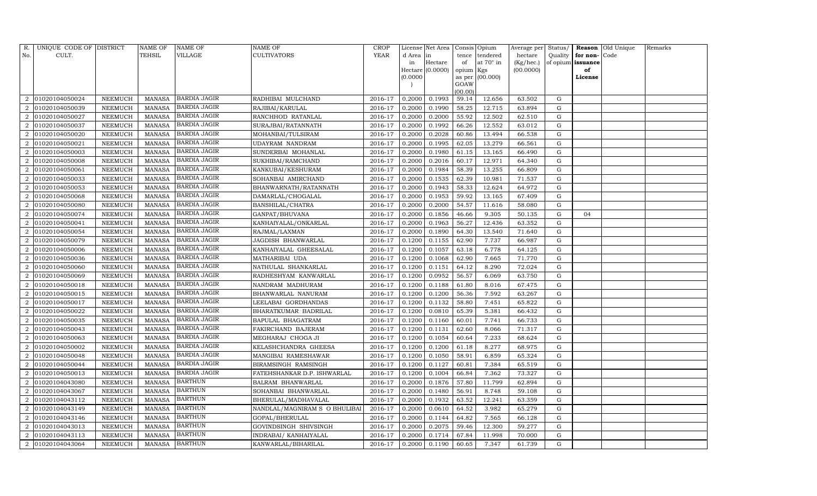| R.                          | UNIQUE CODE OF DISTRICT |                | <b>NAME OF</b> | NAME OF             | <b>NAME OF</b>                | <b>CROP</b> |           | License Net Area |                 | Consis Opium     | Average per | Status/     |                   | <b>Reason</b> Old Unique | Remarks |
|-----------------------------|-------------------------|----------------|----------------|---------------------|-------------------------------|-------------|-----------|------------------|-----------------|------------------|-------------|-------------|-------------------|--------------------------|---------|
| No.                         | CULT.                   |                | TEHSIL         | VILLAGE             | <b>CULTIVATORS</b>            | YEAR        | d Area in |                  | tence           | tendered         | hectare     | Quality     | for non-          | Code                     |         |
|                             |                         |                |                |                     |                               |             | in        | Hectare          | of              | at $70^\circ$ in | (Kg/hec.)   |             | of opium issuance |                          |         |
|                             |                         |                |                |                     |                               |             |           | Hectare (0.0000) | opium Kgs       |                  | (00.0000)   |             | of                |                          |         |
|                             |                         |                |                |                     |                               |             | (0.0000)  |                  | as per          | (00.000)         |             |             | License           |                          |         |
|                             |                         |                |                |                     |                               |             |           |                  | GOAW<br>(00.00) |                  |             |             |                   |                          |         |
| 2                           | 01020104050024          | NEEMUCH        | <b>MANASA</b>  | <b>BARDIA JAGIR</b> | RADHIBAI MULCHAND             | 2016-17     | 0.2000    | 0.1993           | 59.14           | 12.656           | 63.502      | G           |                   |                          |         |
|                             | 01020104050039          | NEEMUCH        | <b>MANASA</b>  | <b>BARDIA JAGIR</b> | RAJIBAI/KARULAL               | 2016-17     | 0.2000    | 0.1990           | 58.25           | 12.715           | 63.894      | G           |                   |                          |         |
| $\overline{2}$              | 01020104050027          | NEEMUCH        | <b>MANASA</b>  | <b>BARDIA JAGIR</b> | RANCHHOD RATANLAL             | 2016-17     | 0.2000    | 0.2000           | 55.92           | 12.502           | 62.510      | G           |                   |                          |         |
| $\overline{2}$              | 01020104050037          | NEEMUCH        | MANASA         | <b>BARDIA JAGIR</b> | SURAJBAI/RATANNATH            | 2016-17     | 0.2000    | 0.1992           | 66.26           | 12.552           | 63.012      | G           |                   |                          |         |
| $\overline{2}$              | 01020104050020          | NEEMUCH        | <b>MANASA</b>  | <b>BARDIA JAGIR</b> | MOHANBAI/TULSIRAM             | 2016-17     | 0.2000    | 0.2028           | 60.86           | 13.494           | 66.538      | G           |                   |                          |         |
| $\overline{2}$              | 01020104050021          | NEEMUCH        | <b>MANASA</b>  | <b>BARDIA JAGIR</b> | UDAYRAM NANDRAM               | 2016-17     | 0.2000    | 0.1995           | 62.05           | 13.279           | 66.561      | G           |                   |                          |         |
| $\overline{2}$              | 01020104050003          | NEEMUCH        | <b>MANASA</b>  | <b>BARDIA JAGIR</b> | SUNDERBAI MOHANLAL            | 2016-17     | 0.2000    | 0.1980           | 61.15           | 13.165           | 66.490      | G           |                   |                          |         |
| 2                           | 01020104050008          | NEEMUCH        | <b>MANASA</b>  | <b>BARDIA JAGIR</b> | SUKHIBAI/RAMCHAND             | 2016-17     | 0.2000    | 0.2016           | 60.17           | 12.971           | 64.340      | G           |                   |                          |         |
| $\overline{2}$              | 01020104050061          | NEEMUCH        | <b>MANASA</b>  | <b>BARDIA JAGIR</b> | KANKUBAI/KESHURAM             | 2016-17     | 0.2000    | 0.1984           | 58.39           | 13.255           | 66.809      | $\mathbf G$ |                   |                          |         |
|                             | 01020104050033          | NEEMUCH        | <b>MANASA</b>  | <b>BARDIA JAGIR</b> | SOHANBAI AMIRCHAND            | 2016-17     | 0.2000    | 0.1535           | 62.39           | 10.981           | 71.537      | G           |                   |                          |         |
| $\mathcal{D}_{\alpha}$      | 01020104050053          | NEEMUCH        | <b>MANASA</b>  | <b>BARDIA JAGIR</b> | BHANWARNATH/RATANNATH         | $2016 - 17$ | 0.2000    | 0.1943           | 58.33           | 12.624           | 64.972      | ${\rm G}$   |                   |                          |         |
| 2                           | 01020104050068          | NEEMUCH        | MANASA         | <b>BARDIA JAGIR</b> | DAMARLAL/CHOGALAL             | 2016-17     | 0.2000    | 0.1953           | 59.92           | 13.165           | 67.409      | G           |                   |                          |         |
|                             | 01020104050080          | <b>NEEMUCH</b> | <b>MANASA</b>  | <b>BARDIA JAGIR</b> | BANSHILAL/CHATRA              | 2016-17     | 0.2000    | 0.2000           | 54.57           | 11.616           | 58.080      | ${\rm G}$   |                   |                          |         |
| $\mathcal{D}_{\mathcal{L}}$ | 01020104050074          | NEEMUCH        | MANASA         | <b>BARDIA JAGIR</b> | GANPAT/BHUVANA                | 2016-17     | 0.2000    | 0.1856           | 46.66           | 9.305            | 50.135      | G           | 04                |                          |         |
| 2                           | 01020104050041          | NEEMUCH        | MANASA         | <b>BARDIA JAGIR</b> | KANHAIYALAL/ONKARLAL          | 2016-17     | 0.2000    | 0.1963           | 56.27           | 12.436           | 63.352      | G           |                   |                          |         |
| $\overline{2}$              | 01020104050054          | NEEMUCH        | <b>MANASA</b>  | <b>BARDIA JAGIR</b> | RAJMAL/LAXMAN                 | 2016-17     | 0.2000    | 0.1890           | 64.30           | 13.540           | 71.640      | G           |                   |                          |         |
| $\mathcal{D}$               | 01020104050079          | <b>NEEMUCH</b> | <b>MANASA</b>  | <b>BARDIA JAGIR</b> | JAGDISH BHANWARLAL            | 2016-17     | 0.1200    | 0.1155           | 62.90           | 7.737            | 66.987      | G           |                   |                          |         |
| 2                           | 01020104050006          | NEEMUCH        | MANASA         | <b>BARDIA JAGIR</b> | KANHAIYALAL GHEESALAL         | 2016-17     | 0.1200    | 0.1057           | 63.18           | 6.778            | 64.125      | G           |                   |                          |         |
| $\mathcal{D}_{\mathcal{L}}$ | 01020104050036          | NEEMUCH        | <b>MANASA</b>  | <b>BARDIA JAGIR</b> | MATHARIBAI UDA                | 2016-17     | 0.1200    | 0.1068           | 62.90           | 7.665            | 71.770      | G           |                   |                          |         |
| $\overline{2}$              | 01020104050060          | NEEMUCH        | MANASA         | <b>BARDIA JAGIR</b> | NATHULAL SHANKARLAL           | 2016-17     | 0.1200    | 0.1151           | 64.12           | 8.290            | 72.024      | G           |                   |                          |         |
|                             | 01020104050069          | NEEMUCH        | <b>MANASA</b>  | <b>BARDIA JAGIR</b> | RADHESHYAM KANWARLAL          | 2016-17     | 0.1200    | 0.0952           | 56.57           | 6.069            | 63.750      | G           |                   |                          |         |
| $\mathcal{D}_{\mathcal{L}}$ | 01020104050018          | NEEMUCH        | <b>MANASA</b>  | <b>BARDIA JAGIR</b> | NANDRAM MADHURAM              | 2016-17     | 0.1200    | 0.1188           | 61.80           | 8.016            | 67.475      | G           |                   |                          |         |
| 2                           | 01020104050015          | NEEMUCH        | <b>MANASA</b>  | <b>BARDIA JAGIR</b> | BHANWARLAL NANURAM            | 2016-17     | 0.1200    | 0.1200           | 56.36           | 7.592            | 63.267      | G           |                   |                          |         |
| $\mathcal{D}_{\mathcal{L}}$ | 01020104050017          | NEEMUCH        | <b>MANASA</b>  | <b>BARDIA JAGIR</b> | LEELABAI GORDHANDAS           | 2016-17     | 0.1200    | 0.1132           | 58.80           | 7.451            | 65.822      | G           |                   |                          |         |
|                             | 01020104050022          | NEEMUCH        | <b>MANASA</b>  | <b>BARDIA JAGIR</b> | BHARATKUMAR BADRILAL          | 2016-17     | 0.1200    | 0.0810           | 65.39           | 5.381            | 66.432      | G           |                   |                          |         |
|                             | 01020104050035          | NEEMUCH        | <b>MANASA</b>  | <b>BARDIA JAGIR</b> | BAPULAL BHAGATRAM             | 2016-17     | 0.1200    | 0.1160           | 60.01           | 7.741            | 66.733      | G           |                   |                          |         |
| $\overline{2}$              | 01020104050043          | NEEMUCH        | <b>MANASA</b>  | <b>BARDIA JAGIR</b> | FAKIRCHAND BAJERAM            | 2016-17     | 0.1200    | 0.1131           | 62.60           | 8.066            | 71.317      | G           |                   |                          |         |
| $\overline{2}$              | 01020104050063          | NEEMUCH        | <b>MANASA</b>  | <b>BARDIA JAGIR</b> | MEGHARAJ CHOGA JI             | 2016-17     | 0.1200    | 0.1054           | 60.64           | 7.233            | 68.624      | $\mathbf G$ |                   |                          |         |
|                             | 01020104050002          | NEEMUCH        | <b>MANASA</b>  | <b>BARDIA JAGIR</b> | KELASHCHANDRA GHEESA          | 2016-17     | 0.1200    | 0.1200           | 61.18           | 8.277            | 68.975      | G           |                   |                          |         |
| $\overline{2}$              | 01020104050048          | NEEMUCH        | <b>MANASA</b>  | <b>BARDIA JAGIR</b> | MANGIBAI RAMESHAWAR           | 2016-17     | 0.1200    | 0.1050           | 58.91           | 6.859            | 65.324      | G           |                   |                          |         |
| 2                           | 01020104050044          | NEEMUCH        | <b>MANASA</b>  | <b>BARDIA JAGIR</b> | BIRAMSINGH RAMSINGH           | 2016-17     | 0.1200    | 0.1127           | 60.81           | 7.384            | 65.519      | $\mathbf G$ |                   |                          |         |
| $\overline{2}$              | 01020104050013          | <b>NEEMUCH</b> | <b>MANASA</b>  | <b>BARDIA JAGIR</b> | FATEHSHANKAR D.P. ISHWARLAL   | 2016-17     | 0.1200    | 0.1004           | 66.84           | 7.362            | 73.327      | G           |                   |                          |         |
|                             | 01020104043080          | NEEMUCH        | <b>MANASA</b>  | <b>BARTHUN</b>      | BALRAM BHANWARLAL             | 2016-17     | 0.2000    | 0.1876           | 57.80           | 11.799           | 62.894      | G           |                   |                          |         |
| 2                           | 01020104043067          | NEEMUCH        | <b>MANASA</b>  | <b>BARTHUN</b>      | SOHANBAI BHANWARLAL           | 2016-17     | 0.2000    | 0.1480           | 56.91           | 8.748            | 59.108      | G           |                   |                          |         |
| 2                           | 01020104043112          | NEEMUCH        | <b>MANASA</b>  | <b>BARTHUN</b>      | BHERULAL/MADHAVALAL           | 2016-17     | 0.2000    | 0.1932           | 63.52           | 12.241           | 63.359      | G           |                   |                          |         |
| $\mathcal{D}_{\mathcal{L}}$ | 01020104043149          | <b>NEEMUCH</b> | <b>MANASA</b>  | <b>BARTHUN</b>      | NANDLAL/MAGNIRAM S O BHULIBAI | 2016-17     | 0.2000    | 0.0610           | 64.52           | 3.982            | 65.279      | ${\rm G}$   |                   |                          |         |
| 2                           | 01020104043146          | NEEMUCH        | <b>MANASA</b>  | <b>BARTHUN</b>      | GOPAL/BHERULAL                | 2016-17     | 0.2000    | 0.1144           | 64.82           | 7.565            | 66.128      | G           |                   |                          |         |
| $\overline{2}$              | 01020104043013          | NEEMUCH        | <b>MANASA</b>  | <b>BARTHUN</b>      | GOVINDSINGH SHIVSINGH         | 2016-17     | 0.2000    | 0.2075           | 59.46           | 12.300           | 59.277      | G           |                   |                          |         |
| 2                           | 01020104043113          | NEEMUCH        | MANASA         | <b>BARTHUN</b>      | INDRABAI/ KANHAIYALAL         | 2016-17     | 0.2000    | 0.1714           | 67.84           | 11.998           | 70.000      | G           |                   |                          |         |
| 2                           | 01020104043064          | NEEMUCH        | MANASA         | <b>BARTHUN</b>      | KANWARLAL/BIHARILAL           | 2016-17     | 0.2000    | 0.1190           | 60.65           | 7.347            | 61.739      | G           |                   |                          |         |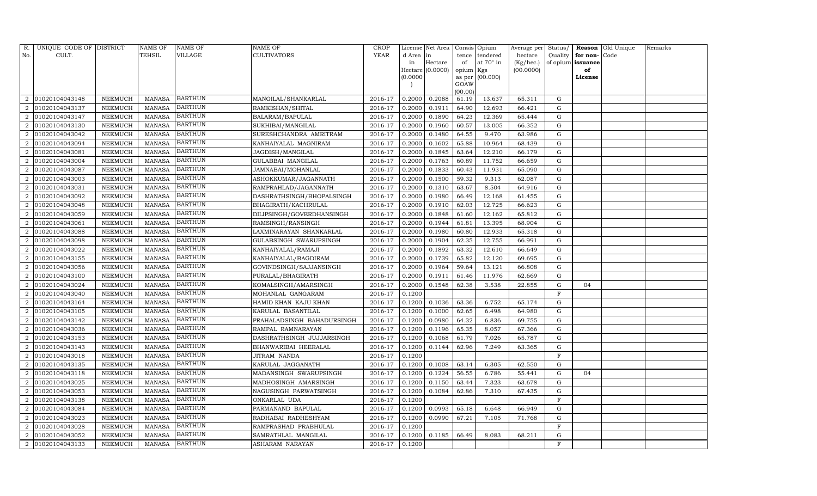| R.                          | UNIQUE CODE OF DISTRICT |                | <b>NAME OF</b> | NAME OF        | <b>NAME OF</b>             | <b>CROP</b> |           | License Net Area |                 | Consis Opium | Average per | Status/     |                   | Reason Old Unique | Remarks |
|-----------------------------|-------------------------|----------------|----------------|----------------|----------------------------|-------------|-----------|------------------|-----------------|--------------|-------------|-------------|-------------------|-------------------|---------|
| No.                         | CULT.                   |                | TEHSIL         | VILLAGE        | <b>CULTIVATORS</b>         | <b>YEAR</b> | d Area in |                  | tence           | tendered     | hectare     | Quality     | for non-          | Code              |         |
|                             |                         |                |                |                |                            |             | in        | Hectare          | of              | at 70° in    | (Kg/hec.)   |             | of opium issuance |                   |         |
|                             |                         |                |                |                |                            |             |           | Hectare (0.0000) | opium Kgs       |              | (00.0000)   |             | of                |                   |         |
|                             |                         |                |                |                |                            |             | (0.0000)  |                  | as per          | (00.000)     |             |             | License           |                   |         |
|                             |                         |                |                |                |                            |             |           |                  | GOAW<br>(00.00) |              |             |             |                   |                   |         |
| 2                           | 01020104043148          | NEEMUCH        | <b>MANASA</b>  | <b>BARTHUN</b> | MANGILAL/SHANKARLAL        | 2016-17     | 0.2000    | 0.2088           | 61.19           | 13.637       | 65.311      | G           |                   |                   |         |
|                             | 01020104043137          | NEEMUCH        | <b>MANASA</b>  | <b>BARTHUN</b> | RAMKISHAN/SHITAL           | 2016-17     | 0.2000    | 0.1911           | 64.90           | 12.693       | 66.421      | G           |                   |                   |         |
| $\overline{2}$              | 01020104043147          | NEEMUCH        | <b>MANASA</b>  | <b>BARTHUN</b> | BALARAM/BAPULAL            | 2016-17     | 0.2000    | 0.1890           | 64.23           | 12.369       | 65.444      | G           |                   |                   |         |
| $\overline{2}$              | 01020104043130          | NEEMUCH        | <b>MANASA</b>  | <b>BARTHUN</b> | SUKHIBAI/MANGILAL          | 2016-17     | 0.2000    | 0.1960           | 60.57           | 13.005       | 66.352      | ${\rm G}$   |                   |                   |         |
| $\overline{2}$              | 01020104043042          | <b>NEEMUCH</b> | <b>MANASA</b>  | <b>BARTHUN</b> | SURESHCHANDRA AMRITRAM     | 2016-17     | 0.2000    | 0.1480           | 64.55           | 9.470        | 63.986      | G           |                   |                   |         |
|                             | 01020104043094          | NEEMUCH        | <b>MANASA</b>  | <b>BARTHUN</b> | KANHAIYALAL MAGNIRAM       | 2016-17     | 0.2000    | 0.1602           | 65.88           | 10.964       | 68.439      | G           |                   |                   |         |
| $\overline{2}$              | 01020104043081          | NEEMUCH        | <b>MANASA</b>  | <b>BARTHUN</b> | JAGDISH/MANGILAL           | 2016-17     | 0.2000    | 0.1845           | 63.64           | 12.210       | 66.179      | G           |                   |                   |         |
| 2                           | 01020104043004          | NEEMUCH        | <b>MANASA</b>  | <b>BARTHUN</b> | GULABBAI MANGILAL          | 2016-17     | 0.2000    | 0.1763           | 60.89           | 11.752       | 66.659      | ${\rm G}$   |                   |                   |         |
| $\overline{2}$              | 01020104043087          | <b>NEEMUCH</b> | <b>MANASA</b>  | BARTHUN        | JAMNABAI/MOHANLAL          | 2016-17     | 0.2000    | 0.1833           | 60.43           | 11.931       | 65.090      | $\mathbf G$ |                   |                   |         |
|                             | 01020104043003          | NEEMUCH        | <b>MANASA</b>  | <b>BARTHUN</b> | ASHOKKUMAR/JAGANNATH       | 2016-17     | 0.2000    | 0.1500           | 59.32           | 9.313        | 62.087      | ${\rm G}$   |                   |                   |         |
| $\mathcal{D}_{\alpha}$      | 01020104043031          | NEEMUCH        | <b>MANASA</b>  | <b>BARTHUN</b> | RAMPRAHLAD/JAGANNATH       | 2016-17     | 0.2000    | 0.1310           | 63.67           | 8.504        | 64.916      | ${\rm G}$   |                   |                   |         |
| 2                           | 01020104043092          | NEEMUCH        | MANASA         | <b>BARTHUN</b> | DASHRATHSINGH/BHOPALSINGH  | 2016-17     | 0.2000    | 0.1980           | 66.49           | 12.168       | 61.455      | G           |                   |                   |         |
|                             | 01020104043048          | <b>NEEMUCH</b> | <b>MANASA</b>  | <b>BARTHUN</b> | BHAGIRATH/KACHRULAL        | 2016-17     | 0.2000    | 0.1910           | 62.03           | 12.725       | 66.623      | ${\rm G}$   |                   |                   |         |
| $\mathcal{D}_{\mathcal{L}}$ | 01020104043059          | NEEMUCH        | MANASA         | <b>BARTHUN</b> | DILIPSINGH/GOVERDHANSINGH  | 2016-17     | 0.2000    | 0.1848           | 61.60           | 12.162       | 65.812      | G           |                   |                   |         |
| 2                           | 01020104043061          | NEEMUCH        | MANASA         | <b>BARTHUN</b> | RAMSINGH/RANSINGH          | 2016-17     | 0.2000    | 0.1944           | 61.81           | 13.395       | 68.904      | G           |                   |                   |         |
| $\overline{2}$              | 01020104043088          | NEEMUCH        | <b>MANASA</b>  | <b>BARTHUN</b> | LAXMINARAYAN SHANKARLAL    | 2016-17     | 0.2000    | 0.1980           | 60.80           | 12.933       | 65.318      | G           |                   |                   |         |
| $\mathcal{D}$               | 01020104043098          | <b>NEEMUCH</b> | <b>MANASA</b>  | <b>BARTHUN</b> | GULABSINGH SWARUPSINGH     | 2016-17     | 0.2000    | 0.1904           | 62.35           | 12.755       | 66.991      | G           |                   |                   |         |
|                             | 01020104043022          | NEEMUCH        | MANASA         | <b>BARTHUN</b> | KANHAIYALAL/RAMAJI         | 2016-17     | 0.2000    | 0.1892           | 63.32           | 12.610       | 66.649      | G           |                   |                   |         |
| $\mathcal{D}_{\mathcal{L}}$ | 01020104043155          | NEEMUCH        | <b>MANASA</b>  | <b>BARTHUN</b> | KANHAIYALAL/BAGDIRAM       | 2016-17     | 0.2000    | 0.1739           | 65.82           | 12.120       | 69.695      | G           |                   |                   |         |
| $\overline{2}$              | 01020104043056          | NEEMUCH        | <b>MANASA</b>  | <b>BARTHUN</b> | GOVINDSINGH/SAJJANSINGH    | 2016-17     | 0.2000    | 0.1964           | 59.64           | 13.121       | 66.808      | G           |                   |                   |         |
|                             | 01020104043100          | NEEMUCH        | <b>MANASA</b>  | <b>BARTHUN</b> | PURALAL/BHAGIRATH          | 2016-17     | 0.2000    | 0.1911           | 61.46           | 11.976       | 62.669      | G           |                   |                   |         |
| $\mathcal{D}_{\mathcal{L}}$ | 01020104043024          | NEEMUCH        | <b>MANASA</b>  | <b>BARTHUN</b> | KOMALSINGH/AMARSINGH       | 2016-17     | 0.2000    | 0.1548           | 62.38           | 3.538        | 22.855      | G           | 04                |                   |         |
| 2                           | 01020104043040          | NEEMUCH        | <b>MANASA</b>  | <b>BARTHUN</b> | MOHANLAL GANGARAM          | 2016-17     | 0.1200    |                  |                 |              |             | $\mathbf F$ |                   |                   |         |
| $\mathcal{D}_{\mathcal{L}}$ | 01020104043164          | NEEMUCH        | <b>MANASA</b>  | <b>BARTHUN</b> | HAMID KHAN KAJU KHAN       | 2016-17     | 0.1200    | 0.1036           | 63.36           | 6.752        | 65.174      | G           |                   |                   |         |
|                             | 01020104043105          | NEEMUCH        | <b>MANASA</b>  | <b>BARTHUN</b> | KARULAL BASANTILAL         | 2016-17     | 0.1200    | 0.1000           | 62.65           | 6.498        | 64.980      | G           |                   |                   |         |
|                             | 01020104043142          | NEEMUCH        | <b>MANASA</b>  | <b>BARTHUN</b> | PRAHALADSINGH BAHADURSINGH | 2016-17     | 0.1200    | 0.0980           | 64.32           | 6.836        | 69.755      | G           |                   |                   |         |
| $\overline{2}$              | 01020104043036          | NEEMUCH        | <b>MANASA</b>  | <b>BARTHUN</b> | RAMPAL RAMNARAYAN          | 2016-17     | 0.1200    | 0.1196           | 65.35           | 8.057        | 67.366      | G           |                   |                   |         |
| $\overline{2}$              | 01020104043153          | NEEMUCH        | <b>MANASA</b>  | <b>BARTHUN</b> | DASHRATHSINGH JUJJARSINGH  | 2016-17     | 0.1200    | 0.1068           | 61.79           | 7.026        | 65.787      | $\mathbf G$ |                   |                   |         |
|                             | 01020104043143          | NEEMUCH        | <b>MANASA</b>  | <b>BARTHUN</b> | BHANWARIBAI HEERALAL       | 2016-17     | 0.1200    | 0.1144           | 62.96           | 7.249        | 63.365      | G           |                   |                   |         |
| $\mathcal{D}_{\alpha}$      | 01020104043018          | NEEMUCH        | <b>MANASA</b>  | <b>BARTHUN</b> | JITRAM NANDA               | 2016-17     | 0.1200    |                  |                 |              |             | $\mathbf F$ |                   |                   |         |
| 2                           | 01020104043135          | NEEMUCH        | <b>MANASA</b>  | <b>BARTHUN</b> | KARULAL JAGGANATH          | 2016-17     | 0.1200    | 0.1008           | 63.14           | 6.305        | 62.550      | $\mathbf G$ |                   |                   |         |
| $\overline{2}$              | 01020104043118          | NEEMUCH        | <b>MANASA</b>  | <b>BARTHUN</b> | MADANSINGH SWARUPSINGH     | 2016-17     | 0.1200    | 0.1224           | 56.55           | 6.786        | 55.441      | $\mathbf G$ | 04                |                   |         |
|                             | 01020104043025          | NEEMUCH        | <b>MANASA</b>  | <b>BARTHUN</b> | MADHOSINGH AMARSINGH       | 2016-17     | 0.1200    | 0.1150           | 63.44           | 7.323        | 63.678      | ${\rm G}$   |                   |                   |         |
| 2                           | 01020104043053          | NEEMUCH        | <b>MANASA</b>  | <b>BARTHUN</b> | NAGUSINGH PARWATSINGH      | 2016-17     | 0.1200    | 0.1084           | 62.86           | 7.310        | 67.435      | ${\rm G}$   |                   |                   |         |
| 2                           | 01020104043138          | NEEMUCH        | <b>MANASA</b>  | <b>BARTHUN</b> | ONKARLAL UDA               | 2016-17     | 0.1200    |                  |                 |              |             | $\mathbf F$ |                   |                   |         |
| $\mathcal{D}_{\mathcal{L}}$ | 01020104043084          | <b>NEEMUCH</b> | <b>MANASA</b>  | <b>BARTHUN</b> | PARMANAND BAPULAL          | 2016-17     | 0.1200    | 0.0993           | 65.18           | 6.648        | 66.949      | ${\rm G}$   |                   |                   |         |
| 2                           | 01020104043023          | NEEMUCH        | MANASA         | <b>BARTHUN</b> | RADHABAI RADHESHYAM        | 2016-17     | 0.1200    | 0.0990           | 67.21           | 7.105        | 71.768      | G           |                   |                   |         |
| $\overline{2}$              | 01020104043028          | NEEMUCH        | <b>MANASA</b>  | <b>BARTHUN</b> | RAMPRASHAD PRABHULAL       | 2016-17     | 0.1200    |                  |                 |              |             | F           |                   |                   |         |
| 2                           | 01020104043052          | NEEMUCH        | <b>MANASA</b>  | <b>BARTHUN</b> | SAMRATHLAL MANGILAL        | 2016-17     | 0.1200    | 0.1185           | 66.49           | 8.083        | 68.211      | G           |                   |                   |         |
| $\overline{2}$              | 01020104043133          | NEEMUCH        | MANASA         | <b>BARTHUN</b> | <b>ASHARAM NARAYAN</b>     | 2016-17     | 0.1200    |                  |                 |              |             | F           |                   |                   |         |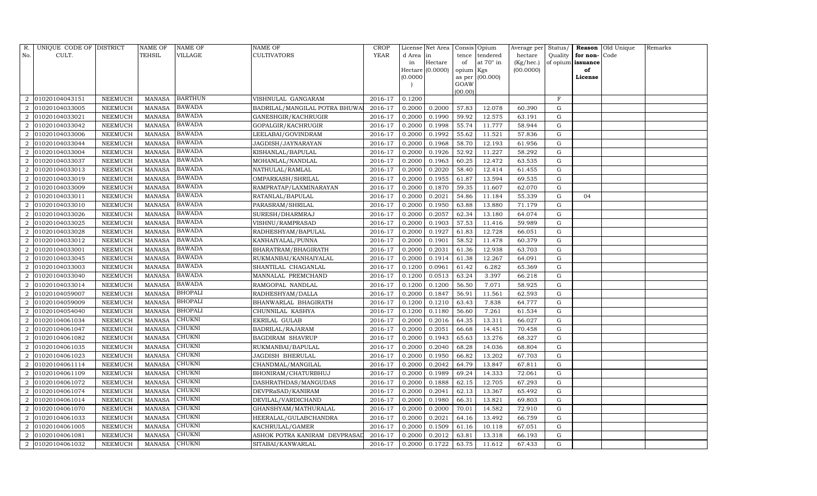| R.                          | UNIQUE CODE OF DISTRICT |                 | <b>NAME OF</b> | NAME OF        | <b>NAME OF</b>                | <b>CROP</b> |           | License Net Area |           | Consis Opium | Average per | Status/     |                   | Reason Old Unique | Remarks |
|-----------------------------|-------------------------|-----------------|----------------|----------------|-------------------------------|-------------|-----------|------------------|-----------|--------------|-------------|-------------|-------------------|-------------------|---------|
| No.                         | CULT.                   |                 | TEHSIL         | VILLAGE        | <b>CULTIVATORS</b>            | YEAR        | d Area in |                  | tence     | tendered     | hectare     | Quality     | for non-          | Code              |         |
|                             |                         |                 |                |                |                               |             | in        | Hectare          | of        | at 70° in    | (Kg/hec.)   |             | of opium issuance |                   |         |
|                             |                         |                 |                |                |                               |             |           | Hectare (0.0000) | opium Kgs |              | (00.0000)   |             | of                |                   |         |
|                             |                         |                 |                |                |                               |             | (0.0000)  |                  | as per    | (00.000)     |             |             | License           |                   |         |
|                             |                         |                 |                |                |                               |             |           |                  | GOAW      |              |             |             |                   |                   |         |
| 2                           | 01020104043151          | ${\tt NEEMUCH}$ | <b>MANASA</b>  | BARTHUN        | VISHNULAL GANGARAM            | 2016-17     | 0.1200    |                  | (00.00)   |              |             | $\mathbf F$ |                   |                   |         |
|                             | 01020104033005          | NEEMUCH         | <b>MANASA</b>  | <b>BAWADA</b>  | BADRILAL/MANGILAL POTRA BHUWA | 2016-17     | 0.2000    | 0.2000           | 57.83     | 12.078       | 60.390      | G           |                   |                   |         |
| $\mathcal{D}_{\mathcal{L}}$ | 01020104033021          | NEEMUCH         | <b>MANASA</b>  | <b>BAWADA</b>  | GANESHGIR/KACHRUGIR           | 2016-17     | 0.2000    | 0.1990           | 59.92     | 12.575       | 63.191      | G           |                   |                   |         |
| 2                           | 01020104033042          | NEEMUCH         | MANASA         | <b>BAWADA</b>  | GOPALGIR/KACHRUGIR            | 2016-17     | 0.2000    | 0.1998           | 55.74     | 11.777       | 58.944      | G           |                   |                   |         |
| $\mathcal{D}_{\mathcal{L}}$ | 01020104033006          | NEEMUCH         | <b>MANASA</b>  | <b>BAWADA</b>  | LEELABAI/GOVINDRAM            | 2016-17     | 0.2000    | 0.1992           | 55.62     | 11.521       | 57.836      | G           |                   |                   |         |
| $\mathcal{D}_{\mathcal{L}}$ | 01020104033044          | NEEMUCH         | <b>MANASA</b>  | BAWADA         | JAGDISH/JAYNARAYAN            | 2016-17     | 0.2000    | 0.1968           | 58.70     | 12.193       | 61.956      | G           |                   |                   |         |
| 2                           | 01020104033004          | ${\tt NEEMUCH}$ | <b>MANASA</b>  | <b>BAWADA</b>  | KISHANLAL/BAPULAL             | 2016-17     | 0.2000    | 0.1926           | 52.92     | 11.227       | 58.292      | G           |                   |                   |         |
| 2                           | 01020104033037          | NEEMUCH         | <b>MANASA</b>  | <b>BAWADA</b>  | MOHANLAL/NANDLAL              | 2016-17     | 0.2000    | 0.1963           | 60.25     | 12.472       | 63.535      | G           |                   |                   |         |
| $\overline{2}$              | 01020104033013          | NEEMUCH         | <b>MANASA</b>  | BAWADA         | NATHULAL/RAMLAL               | 2016-17     | 0.2000    | 0.2020           | 58.40     | 12.414       | 61.455      | $\mathbf G$ |                   |                   |         |
|                             | 01020104033019          | NEEMUCH         | <b>MANASA</b>  | <b>BAWADA</b>  | OMPARKASH/SHRILAL             | 2016-17     | 0.2000    | 0.1955           | 61.87     | 13.594       | 69.535      | G           |                   |                   |         |
| $\overline{2}$              | 01020104033009          | ${\tt NEEMUCH}$ | <b>MANASA</b>  | <b>BAWADA</b>  | RAMPRATAP/LAXMINARAYAN        | 2016-17     | 0.2000    | 0.1870           | 59.35     | 11.607       | 62.070      | G           |                   |                   |         |
| 2                           | 01020104033011          | NEEMUCH         | <b>MANASA</b>  | BAWADA         | RATANLAL/BAPULAL              | 2016-17     | 0.2000    | 0.2021           | 54.86     | 11.184       | 55.339      | $\mathbf G$ | 04                |                   |         |
|                             | 01020104033010          | <b>NEEMUCH</b>  | <b>MANASA</b>  | <b>BAWADA</b>  | PARASRAM/SHRILAL              | 2016-17     | 0.2000    | 0.1950           | 63.88     | 13.880       | 71.179      | G           |                   |                   |         |
| $\overline{2}$              | 01020104033026          | NEEMUCH         | <b>MANASA</b>  | <b>BAWADA</b>  | SURESH/DHARMRAJ               | 2016-17     | 0.2000    | 0.2057           | 62.34     | 13.180       | 64.074      | G           |                   |                   |         |
| $\overline{2}$              | 01020104033025          | NEEMUCH         | <b>MANASA</b>  | <b>BAWADA</b>  | VISHNU/RAMPRASAD              | 2016-17     | 0.2000    | 0.1903           | 57.53     | 11.416       | 59.989      | G           |                   |                   |         |
| 2                           | 01020104033028          | NEEMUCH         | <b>MANASA</b>  | <b>BAWADA</b>  | RADHESHYAM/BAPULAL            | 2016-17     | 0.2000    | 0.1927           | 61.83     | 12.728       | 66.051      | G           |                   |                   |         |
|                             | 01020104033012          | <b>NEEMUCH</b>  | <b>MANASA</b>  | <b>BAWADA</b>  | KANHAIYALAL/PUNNA             | 2016-17     | 0.2000    | 0.1901           | 58.52     | 11.478       | 60.379      | ${\rm G}$   |                   |                   |         |
|                             | 01020104033001          | NEEMUCH         | <b>MANASA</b>  | <b>BAWADA</b>  | BHARATRAM/BHAGIRATH           | 2016-17     | 0.2000    | 0.2031           | 61.36     | 12.938       | 63.703      | G           |                   |                   |         |
| $\mathcal{D}_{\mathcal{L}}$ | 01020104033045          | NEEMUCH         | <b>MANASA</b>  | <b>BAWADA</b>  | RUKMANBAI/KANHAIYALAL         | 2016-17     | 0.2000    | 0.1914           | 61.38     | 12.267       | 64.091      | ${\rm G}$   |                   |                   |         |
| $\overline{2}$              | 01020104033003          | <b>NEEMUCH</b>  | <b>MANASA</b>  | BAWADA         | SHANTILAL CHAGANLAL           | 2016-17     | 0.1200    | 0.0961           | 61.42     | 6.282        | 65.369      | $\mathbf G$ |                   |                   |         |
|                             | 01020104033040          | NEEMUCH         | <b>MANASA</b>  | <b>BAWADA</b>  | MANNALAL PREMCHAND            | 2016-17     | 0.1200    | 0.0513           | 63.24     | 3.397        | 66.218      | ${\rm G}$   |                   |                   |         |
| $\mathcal{D}_{\alpha}$      | 01020104033014          | NEEMUCH         | <b>MANASA</b>  | <b>BAWADA</b>  | RAMGOPAL NANDLAL              | 2016-17     | 0.1200    | 0.1200           | 56.50     | 7.071        | 58.925      | ${\rm G}$   |                   |                   |         |
| 2                           | 01020104059007          | NEEMUCH         | <b>MANASA</b>  | <b>BHOPALI</b> | RADHESHYAM/DALLA              | 2016-17     | 0.2000    | 0.1847           | 56.91     | 11.561       | 62.593      | $\mathbf G$ |                   |                   |         |
| $\mathcal{D}_{\mathcal{L}}$ | 01020104059009          | NEEMUCH         | <b>MANASA</b>  | <b>BHOPALI</b> | BHANWARLAL BHAGIRATH          | 2016-17     | 0.1200    | 0.1210           | 63.43     | 7.838        | 64.777      | $\mathbf G$ |                   |                   |         |
|                             | 01020104054040          | NEEMUCH         | <b>MANASA</b>  | <b>BHOPALI</b> | CHUNNILAL KASHYA              | 2016-17     | 0.1200    | 0.1180           | 56.60     | 7.261        | 61.534      | G           |                   |                   |         |
| 2                           | 01020104061034          | NEEMUCH         | <b>MANASA</b>  | CHUKNI         | EKRILAL GULAB                 | 2016-17     | 0.2000    | 0.2016           | 64.35     | 13.311       | 66.027      | ${\rm G}$   |                   |                   |         |
| 2                           | 01020104061047          | NEEMUCH         | <b>MANASA</b>  | CHUKNI         | BADRILAL/RAJARAM              | 2016-17     | 0.2000    | 0.2051           | 66.68     | 14.451       | 70.458      | $\mathbf G$ |                   |                   |         |
| $\mathcal{D}_{\mathcal{L}}$ | 01020104061082          | <b>NEEMUCH</b>  | <b>MANASA</b>  | <b>CHUKNI</b>  | <b>BAGDIRAM SHAVRUP</b>       | 2016-17     | 0.2000    | 0.1943           | 65.63     | 13.276       | 68.327      | $\mathbf G$ |                   |                   |         |
|                             | 01020104061035          | NEEMUCH         | <b>MANASA</b>  | CHUKNI         | RUKMANBAI/BAPULAL             | 2016-17     | 0.2000    | 0.2040           | 68.28     | 14.036       | 68.804      | ${\rm G}$   |                   |                   |         |
| $\mathcal{D}_{\mathcal{L}}$ | 01020104061023          | NEEMUCH         | <b>MANASA</b>  | CHUKNI         | JAGDISH BHERULAL              | 2016-17     | 0.2000    | 0.1950           | 66.82     | 13.202       | 67.703      | ${\rm G}$   |                   |                   |         |
| 2                           | 01020104061114          | NEEMUCH         | MANASA         | <b>CHUKNI</b>  | CHANDMAL/MANGILAL             | 2016-17     | 0.2000    | 0.2042           | 64.79     | 13.847       | 67.811      | G           |                   |                   |         |
| $\mathcal{D}_{\mathcal{L}}$ | 01020104061109          | <b>NEEMUCH</b>  | <b>MANASA</b>  | CHUKNI         | BHONIRAM/CHATURBHUJ           | 2016-17     | 0.2000    | 0.1989           | 69.24     | 14.333       | 72.061      | G           |                   |                   |         |
| $\mathcal{D}_{\mathcal{L}}$ | 01020104061072          | <b>NEEMUCH</b>  | <b>MANASA</b>  | CHUKNI         | DASHRATHDAS/MANGUDAS          | 2016-17     | 0.2000    | 0.1888           | 62.15     | 12.705       | 67.293      | G           |                   |                   |         |
| 2                           | 01020104061074          | NEEMUCH         | <b>MANASA</b>  | CHUKNI         | DEVPRaSAD/KANIRAM             | 2016-17     | 0.2000    | 0.2041           | 62.13     | 13.367       | 65.492      | G           |                   |                   |         |
| $\overline{2}$              | 01020104061014          | NEEMUCH         | <b>MANASA</b>  | CHUKNI         | DEVILAL/VARDICHAND            | 2016-17     | 0.2000    | 0.1980           | 66.31     | 13.821       | 69.803      | G           |                   |                   |         |
| $\mathcal{D}$               | 01020104061070          | NEEMUCH         | <b>MANASA</b>  | CHUKNI         | GHANSHYAM/MATHURALAL          | 2016-17     | 0.2000    | 0.2000           | 70.01     | 14.582       | 72.910      | G           |                   |                   |         |
| 2                           | 01020104061033          | NEEMUCH         | <b>MANASA</b>  | <b>CHUKNI</b>  | HEERALAL/GULABCHANDRA         | 2016-17     | 0.2000    | 0.2021           | 64.16     | 13.492       | 66.759      | G           |                   |                   |         |
| 2                           | 01020104061005          | NEEMUCH         | <b>MANASA</b>  | CHUKNI         | KACHRULAL/GAMER               | 2016-17     | 0.2000    | 0.1509           | 61.16     | 10.118       | 67.051      | G           |                   |                   |         |
| $\overline{2}$              | 01020104061081          | <b>NEEMUCH</b>  | <b>MANASA</b>  | CHUKNI         | ASHOK POTRA KANIRAM DEVPRASAL | 2016-17     | 0.2000    | 0.2012           | 63.81     | 13.318       | 66.193      | G           |                   |                   |         |
| $\overline{a}$              | 01020104061032          | NEEMUCH         | MANASA         | <b>CHUKNI</b>  | SITABAI/KANWARLAL             | 2016-17     | 0.2000    | 0.1722           | 63.75     | 11.612       | 67.433      | G           |                   |                   |         |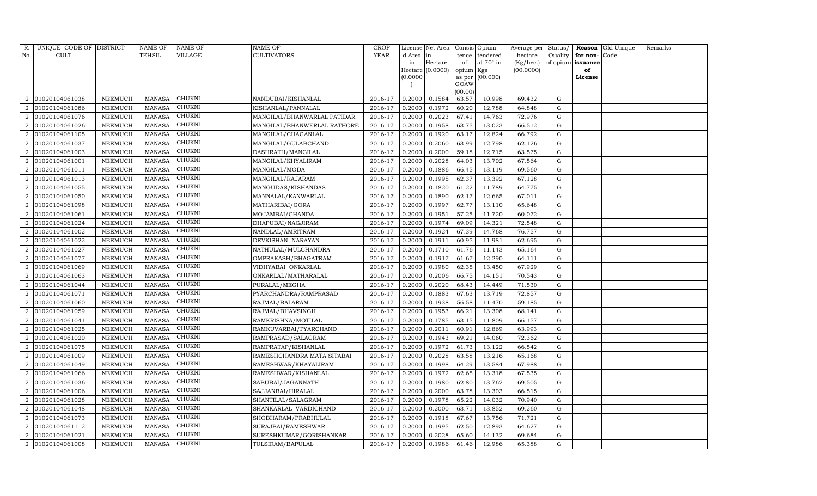| R.                          | UNIQUE CODE OF DISTRICT |                 | NAME OF       | NAME OF       | NAME OF                     | <b>CROP</b> |           | License Net Area |                 | Consis Opium | Average per | Status/   |          | Reason Old Unique | Remarks |
|-----------------------------|-------------------------|-----------------|---------------|---------------|-----------------------------|-------------|-----------|------------------|-----------------|--------------|-------------|-----------|----------|-------------------|---------|
| No.                         | CULT.                   |                 | TEHSIL        | VILLAGE       | CULTIVATORS                 | <b>YEAR</b> | d Area in |                  | tence           | tendered     | hectare     | Quality   | for non- | Code              |         |
|                             |                         |                 |               |               |                             |             | in        | Hectare          | of              | at 70° in    | (Kg/hec.)   | of opium  | issuance |                   |         |
|                             |                         |                 |               |               |                             |             |           | Hectare (0.0000) | opium Kgs       |              | (00.0000)   |           | of       |                   |         |
|                             |                         |                 |               |               |                             |             | (0.0000)  |                  | as per          | (00.000)     |             |           | License  |                   |         |
|                             |                         |                 |               |               |                             |             |           |                  | GOAW<br>(00.00) |              |             |           |          |                   |         |
| 2                           | 01020104061038          | ${\tt NEEMUCH}$ | <b>MANASA</b> | CHUKNI        | NANDUBAI/KISHANLAL          | 2016-17     | 0.2000    | 0.1584           | 63.57           | 10.998       | 69.432      | G         |          |                   |         |
|                             | 01020104061086          | ${\tt NEEMUCH}$ | <b>MANASA</b> | CHUKNI        | KISHANLAL/PANNALAL          | 2016-17     | 0.2000    | 0.1972           | 60.20           | 12.788       | 64.848      | G         |          |                   |         |
| $\mathcal{D}_{\mathcal{L}}$ | 01020104061076          | NEEMUCH         | <b>MANASA</b> | CHUKNI        | MANGILAL/BHANWARLAL PATIDAR | 2016-17     | 0.2000    | 0.2023           | 67.41           | 14.763       | 72.976      | G         |          |                   |         |
| 2                           | 01020104061026          | NEEMUCH         | <b>MANASA</b> | CHUKNI        | MANGILAL/BHANWERLAL RATHORE | 2016-17     | 0.2000    | 0.1958           | 63.75           | 13.023       | 66.512      | ${\rm G}$ |          |                   |         |
| $\mathcal{D}_{\mathcal{L}}$ | 01020104061105          | NEEMUCH         | <b>MANASA</b> | <b>CHUKNI</b> | MANGILAL/CHAGANLAL          | 2016-17     | 0.2000    | 0.1920           | 63.17           | 12.824       | 66.792      | ${\rm G}$ |          |                   |         |
| $\mathcal{D}_{\mathcal{L}}$ | 01020104061037          | NEEMUCH         | <b>MANASA</b> | CHUKNI        | MANGILAL/GULABCHAND         | 2016-17     | 0.2000    | 0.2060           | 63.99           | 12.798       | 62.126      | ${\rm G}$ |          |                   |         |
| $\overline{2}$              | 01020104061003          | NEEMUCH         | <b>MANASA</b> | CHUKNI        | DASHRATH/MANGILAL           | 2016-17     | 0.2000    | 0.2000           | 59.18           | 12.715       | 63.575      | G         |          |                   |         |
| 2                           | 01020104061001          | NEEMUCH         | <b>MANASA</b> | CHUKNI        | MANGILAL/KHYALIRAM          | 2016-17     | 0.2000    | 0.2028           | 64.03           | 13.702       | 67.564      | ${\rm G}$ |          |                   |         |
| $\mathcal{D}_{\mathcal{L}}$ | 01020104061011          | NEEMUCH         | <b>MANASA</b> | CHUKNI        | MANGILAL/MODA               | 2016-17     | 0.2000    | 0.1886           | 66.45           | 13.119       | 69.560      | G         |          |                   |         |
|                             | 01020104061013          | NEEMUCH         | <b>MANASA</b> | CHUKNI        | MANGILAL/RAJARAM            | 2016-17     | 0.2000    | 0.1995           | 62.37           | 13.392       | 67.128      | G         |          |                   |         |
| $\mathcal{D}_{\alpha}$      | 01020104061055          | NEEMUCH         | <b>MANASA</b> | CHUKNI        | MANGUDAS/KISHANDAS          | 2016-17     | 0.2000    | 0.1820           | 61.22           | 11.789       | 64.775      | ${\rm G}$ |          |                   |         |
| $\overline{2}$              | 01020104061050          | NEEMUCH         | <b>MANASA</b> | CHUKNI        | MANNALAL/KANWARLAL          | 2016-17     | 0.2000    | 0.1890           | 62.17           | 12.665       | 67.011      | G         |          |                   |         |
|                             | 01020104061098          | NEEMUCH         | <b>MANASA</b> | <b>CHUKNI</b> | MATHARIBAI/GORA             | 2016-17     | 0.2000    | 0.1997           | 62.77           | 13.110       | 65.648      | ${\rm G}$ |          |                   |         |
| $\mathcal{D}_{\mathcal{L}}$ | 01020104061061          | NEEMUCH         | <b>MANASA</b> | CHUKNI        | MOJAMBAI/CHANDA             | 2016-17     | 0.2000    | 0.1951           | 57.25           | 11.720       | 60.072      | ${\rm G}$ |          |                   |         |
| 2                           | 01020104061024          | NEEMUCH         | <b>MANASA</b> | CHUKNI        | DHAPUBAI/NAGJIRAM           | 2016-17     | 0.2000    | 0.1974           | 69.09           | 14.321       | 72.548      | ${\rm G}$ |          |                   |         |
| $\overline{2}$              | 01020104061002          | NEEMUCH         | <b>MANASA</b> | CHUKNI        | NANDLAL/AMRITRAM            | 2016-17     | 0.2000    | 0.1924           | 67.39           | 14.768       | 76.757      | ${\rm G}$ |          |                   |         |
|                             | 01020104061022          | NEEMUCH         | <b>MANASA</b> | CHUKNI        | DEVKISHAN NARAYAN           | 2016-17     | 0.2000    | 0.1911           | 60.95           | 11.981       | 62.695      | ${\rm G}$ |          |                   |         |
| $\mathcal{D}_{\mathcal{L}}$ | 01020104061027          | NEEMUCH         | <b>MANASA</b> | <b>CHUKNI</b> | NATHULAL/MULCHANDRA         | 2016-17     | 0.2000    | 0.1710           | 61.76           | 11.143       | 65.164      | G         |          |                   |         |
| $\mathcal{D}_{\mathcal{L}}$ | 01020104061077          | NEEMUCH         | <b>MANASA</b> | CHUKNI        | OMPRAKASH/BHAGATRAM         | 2016-17     | 0.2000    | 0.1917           | 61.67           | 12.290       | 64.111      | ${\rm G}$ |          |                   |         |
| $\mathcal{D}_{\alpha}$      | 01020104061069          | NEEMUCH         | <b>MANASA</b> | CHUKNI        | VIDHYABAI ONKARLAL          | 2016-17     | 0.2000    | 0.1980           | 62.35           | 13.450       | 67.929      | G         |          |                   |         |
|                             | 01020104061063          | NEEMUCH         | <b>MANASA</b> | <b>CHUKNI</b> | ONKARLAL/MATHARALAL         | 2016-17     | 0.2000    | 0.2006           | 66.75           | 14.151       | 70.543      | G         |          |                   |         |
| $\mathcal{D}_{\alpha}$      | 01020104061044          | NEEMUCH         | <b>MANASA</b> | <b>CHUKNI</b> | PURALAL/MEGHA               | 2016-17     | 0.2000    | 0.2020           | 68.43           | 14.449       | 71.530      | ${\rm G}$ |          |                   |         |
| 2                           | 01020104061071          | NEEMUCH         | <b>MANASA</b> | CHUKNI        | PYARCHANDRA/RAMPRASAD       | 2016-17     | 0.2000    | 0.1883           | 67.63           | 13.719       | 72.857      | G         |          |                   |         |
| $\mathcal{D}_{\mathcal{L}}$ | 01020104061060          | NEEMUCH         | <b>MANASA</b> | CHUKNI        | RAJMAL/BALARAM              | 2016-17     | 0.2000    | 0.1938           | 56.58           | 11.470       | 59.185      | ${\rm G}$ |          |                   |         |
| $\overline{2}$              | 01020104061059          | NEEMUCH         | <b>MANASA</b> | CHUKNI        | RAJMAL/BHAVSINGH            | 2016-17     | 0.2000    | 0.1953           | 66.21           | 13.308       | 68.141      | ${\rm G}$ |          |                   |         |
| 2                           | 01020104061041          | NEEMUCH         | <b>MANASA</b> | <b>CHUKNI</b> | RAMKRISHNA/MOTILAL          | 2016-17     | 0.2000    | 0.1785           | 63.15           | 11.809       | 66.157      | ${\rm G}$ |          |                   |         |
| $\overline{2}$              | 01020104061025          | NEEMUCH         | <b>MANASA</b> | <b>CHUKNI</b> | RAMKUVARBAI/PYARCHAND       | 2016-17     | 0.2000    | 0.2011           | 60.91           | 12.869       | 63.993      | G         |          |                   |         |
|                             | 01020104061020          | NEEMUCH         | <b>MANASA</b> | CHUKNI        | RAMPRASAD/SALAGRAM          | 2016-17     | 0.2000    | 0.1943           | 69.21           | 14.060       | 72.362      | ${\rm G}$ |          |                   |         |
| $\mathcal{D}_{\mathcal{L}}$ | 01020104061075          | NEEMUCH         | <b>MANASA</b> | <b>CHUKNI</b> | RAMPRATAP/KISHANLAL         | 2016-17     | 0.2000    | 0.1972           | 61.73           | 13.122       | 66.542      | G         |          |                   |         |
| $\mathcal{D}_{\mathcal{L}}$ | 01020104061009          | NEEMUCH         | <b>MANASA</b> | CHUKNI        | RAMESHCHANDRA MATA SITABAI  | 2016-17     | 0.2000    | 0.2028           | 63.58           | 13.216       | 65.168      | ${\rm G}$ |          |                   |         |
| $\overline{2}$              | 01020104061049          | NEEMUCH         | <b>MANASA</b> | CHUKNI        | RAMESHWAR/KHAYALIRAM        | 2016-17     | 0.2000    | 0.1998           | 64.29           | 13.584       | 67.988      | G         |          |                   |         |
|                             | 01020104061066          | NEEMUCH         | <b>MANASA</b> | <b>CHUKNI</b> | RAMESHWAR/KISHANLAL         | 2016-17     | 0.2000    | 0.1972           | 62.65           | 13.318       | 67.535      | ${\rm G}$ |          |                   |         |
| $\mathcal{D}_{\mathcal{L}}$ | 01020104061036          | NEEMUCH         | <b>MANASA</b> | CHUKNI        | SABUBAI/JAGANNATH           | 2016-17     | 0.2000    | 0.1980           | 62.80           | 13.762       | 69.505      | G         |          |                   |         |
| 2                           | 01020104061006          | NEEMUCH         | <b>MANASA</b> | CHUKNI        | SAJJANBAI/HIRALAL           | 2016-17     | 0.2000    | 0.2000           | 63.78           | 13.303       | 66.515      | ${\rm G}$ |          |                   |         |
| $\mathcal{D}_{\mathcal{L}}$ | 01020104061028          | <b>NEEMUCH</b>  | <b>MANASA</b> | <b>CHUKNI</b> | SHANTILAL/SALAGRAM          | 2016-17     | 0.2000    | 0.1978           | 65.22           | 14.032       | 70.940      | ${\rm G}$ |          |                   |         |
| 2                           | 01020104061048          | NEEMUCH         | <b>MANASA</b> | CHUKNI        | SHANKARLAL VARDICHAND       | 2016-17     | 0.2000    | 0.2000           | 63.71           | 13.852       | 69.260      | ${\rm G}$ |          |                   |         |
| $\overline{2}$              | 01020104061073          | NEEMUCH         | <b>MANASA</b> | CHUKNI        | SHOBHARAM/PRABHULAL         | 2016-17     | 0.2000    | 0.1918           | 67.67           | 13.756       | 71.721      | G         |          |                   |         |
| 2                           | 01020104061112          | <b>NEEMUCH</b>  | <b>MANASA</b> | CHUKNI        | SURAJBAI/RAMESHWAR          | 2016-17     | 0.2000    | 0.1995           | 62.50           | 12.893       | 64.627      | ${\rm G}$ |          |                   |         |
| $\mathcal{D}_{\mathcal{L}}$ | 01020104061021          | NEEMUCH         | <b>MANASA</b> | CHUKNI        | SURESHKUMAR/GORISHANKAR     | 2016-17     | 0.2000    | 0.2028           | 65.60           | 14.132       | 69.684      | G         |          |                   |         |
| $\overline{2}$              | 01020104061008          | NEEMUCH         | MANASA        | <b>CHUKNI</b> | TULSIRAM/BAPULAL            | 2016-17     | 0.2000    | 0.1986           | 61.46           | 12.986       | 65.388      | G         |          |                   |         |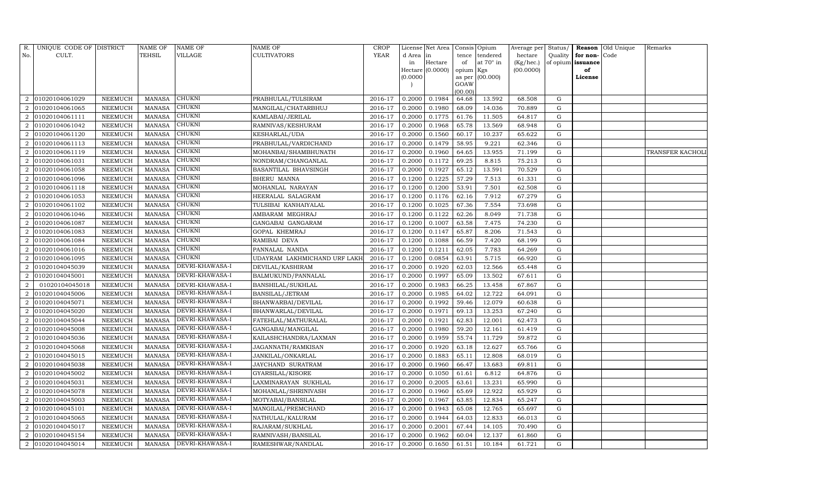| R.                          | UNIQUE CODE OF DISTRICT |                 | NAME OF       | NAME OF         | NAME OF                      | <b>CROP</b> |          | License Net Area |           | Consis Opium    | Average per | Status/   |                   | Reason Old Unique | Remarks          |
|-----------------------------|-------------------------|-----------------|---------------|-----------------|------------------------------|-------------|----------|------------------|-----------|-----------------|-------------|-----------|-------------------|-------------------|------------------|
| No.                         | CULT.                   |                 | TEHSIL        | VILLAGE         | <b>CULTIVATORS</b>           | <b>YEAR</b> | d Area   | in               | tence     | tendered        | hectare     | Quality   | for non-Code      |                   |                  |
|                             |                         |                 |               |                 |                              |             | in       | Hectare          | of        | at 70° in       | (Kg/hec.)   |           | of opium issuance |                   |                  |
|                             |                         |                 |               |                 |                              |             |          | Hectare (0.0000) | opium Kgs |                 | (00.0000)   |           | of                |                   |                  |
|                             |                         |                 |               |                 |                              |             | (0.0000) |                  | GOAW      | as per (00.000) |             |           | License           |                   |                  |
|                             |                         |                 |               |                 |                              |             |          |                  | (00.00)   |                 |             |           |                   |                   |                  |
| 2                           | 01020104061029          | NEEMUCH         | <b>MANASA</b> | <b>CHUKNI</b>   | PRABHULAL/TULSIRAM           | 2016-17     | 0.2000   | 0.1984           | 64.68     | 13.592          | 68.508      | G         |                   |                   |                  |
|                             | 01020104061065          | NEEMUCH         | <b>MANASA</b> | <b>CHUKNI</b>   | MANGILAL/CHATARBHUJ          | 2016-17     | 0.2000   | 0.1980           | 68.09     | 14.036          | 70.889      | ${\rm G}$ |                   |                   |                  |
| $\mathcal{D}_{\mathcal{L}}$ | 01020104061111          | NEEMUCH         | <b>MANASA</b> | CHUKNI          | KAMLABAI/JERILAL             | 2016-17     | 0.2000   | 0.1775           | 61.76     | 11.505          | 64.817      | G         |                   |                   |                  |
| 2                           | 01020104061042          | NEEMUCH         | <b>MANASA</b> | CHUKNI          | RAMNIVAS/KESHURAM            | 2016-17     | 0.2000   | 0.1968           | 65.78     | 13.569          | 68.948      | G         |                   |                   |                  |
| $\mathcal{D}_{\mathcal{L}}$ | 01020104061120          | NEEMUCH         | <b>MANASA</b> | <b>CHUKNI</b>   | KESHARLAL/UDA                | 2016-17     | 0.2000   | 0.1560           | 60.17     | 10.237          | 65.622      | G         |                   |                   |                  |
| $\mathcal{D}_{\mathcal{L}}$ | 01020104061113          | NEEMUCH         | <b>MANASA</b> | CHUKNI          | PRABHULAL/VARDICHAND         | 2016-17     | 0.2000   | 0.1479           | 58.95     | 9.221           | 62.346      | G         |                   |                   |                  |
| $\overline{2}$              | 01020104061119          | NEEMUCH         | <b>MANASA</b> | <b>CHUKNI</b>   | MOHANBAI/SHAMBHUNATH         | 2016-17     | 0.2000   | 0.1960           | 64.65     | 13.955          | 71.199      | G         |                   |                   | TRANSFER KACHOLI |
| 2                           | 01020104061031          | <b>NEEMUCH</b>  | <b>MANASA</b> | <b>CHUKNI</b>   | NONDRAM/CHANGANLAL           | 2016-17     | 0.2000   | 0.1172           | 69.25     | 8.815           | 75.213      | G         |                   |                   |                  |
| $\mathcal{D}_{\mathcal{L}}$ | 01020104061058          | <b>NEEMUCH</b>  | <b>MANASA</b> | CHUKNI          | BASANTILAL BHAVSINGH         | 2016-17     | 0.2000   | 0.1927           | 65.12     | 13.591          | 70.529      | G         |                   |                   |                  |
|                             | 01020104061096          | NEEMUCH         | MANASA        | CHUKNI          | BHERU MANNA                  | 2016-17     | 0.1200   | 0.1225           | 57.29     | 7.513           | 61.331      | G         |                   |                   |                  |
| $\mathcal{D}_{\alpha}$      | 01020104061118          | NEEMUCH         | <b>MANASA</b> | <b>CHUKNI</b>   | MOHANLAL NARAYAN             | 2016-17     | 0.1200   | 0.1200           | 53.91     | 7.501           | 62.508      | G         |                   |                   |                  |
| $\overline{2}$              | 01020104061053          | NEEMUCH         | MANASA        | CHUKNI          | HEERALAL SALAGRAM            | 2016-17     | 0.1200   | 0.1176           | 62.16     | 7.912           | 67.279      | G         |                   |                   |                  |
|                             | 01020104061102          | NEEMUCH         | <b>MANASA</b> | <b>CHUKNI</b>   | TULSIBAI KANHAIYALAL         | 2016-17     | 0.1200   | 0.1025           | 67.36     | 7.554           | 73.698      | G         |                   |                   |                  |
| $\mathcal{D}_{\mathcal{L}}$ | 01020104061046          | NEEMUCH         | <b>MANASA</b> | CHUKNI          | AMBARAM MEGHRAJ              | 2016-17     | 0.1200   | 0.1122           | 62.26     | 8.049           | 71.738      | G         |                   |                   |                  |
| 2                           | 01020104061087          | NEEMUCH         | <b>MANASA</b> | <b>CHUKNI</b>   | GANGABAI GANGARAM            | 2016-17     | 0.1200   | 0.1007           | 63.58     | 7.475           | 74.230      | G         |                   |                   |                  |
| $\mathcal{D}_{\mathcal{L}}$ | 01020104061083          | NEEMUCH         | <b>MANASA</b> | <b>CHUKNI</b>   | GOPAL KHEMRAJ                | 2016-17     | 0.1200   | 0.1147           | 65.87     | 8.206           | 71.543      | G         |                   |                   |                  |
|                             | 01020104061084          | NEEMUCH         | <b>MANASA</b> | CHUKNI          | RAMIBAI DEVA                 | 2016-17     | 0.1200   | 0.1088           | 66.59     | 7.420           | 68.199      | ${\rm G}$ |                   |                   |                  |
| $\mathcal{D}_{\mathcal{L}}$ | 01020104061016          | NEEMUCH         | <b>MANASA</b> | <b>CHUKNI</b>   | PANNALAL NANDA               | 2016-17     | 0.1200   | 0.1211           | 62.05     | 7.783           | 64.269      | G         |                   |                   |                  |
| $\mathcal{D}_{\mathcal{L}}$ | 01020104061095          | NEEMUCH         | <b>MANASA</b> | <b>CHUKNI</b>   | UDAYRAM LAKHMICHAND URF LAKH | 2016-17     | 0.1200   | 0.0854           | 63.91     | 5.715           | 66.920      | G         |                   |                   |                  |
| $\mathcal{D}_{\alpha}$      | 01020104045039          | <b>NEEMUCH</b>  | <b>MANASA</b> | DEVRI-KHAWASA-I | DEVILAL/KASHIRAM             | 2016-17     | 0.2000   | 0.1920           | 62.03     | 12.566          | 65.448      | G         |                   |                   |                  |
|                             | 01020104045001          | NEEMUCH         | <b>MANASA</b> | DEVRI-KHAWASA-I | BALMUKUND/PANNALAL           | 2016-17     | 0.2000   | 0.1997           | 65.09     | 13.502          | 67.611      | G         |                   |                   |                  |
| 2                           | 01020104045018          | NEEMUCH         | <b>MANASA</b> | DEVRI-KHAWASA-I | BANSHILAL/SUKHLAL            | 2016-17     | 0.2000   | 0.1983           | 66.25     | 13.458          | 67.867      | G         |                   |                   |                  |
| 2                           | 01020104045006          | ${\tt NEEMUCH}$ | <b>MANASA</b> | DEVRI-KHAWASA-I | BANSILAL/JETRAM              | 2016-17     | 0.2000   | 0.1985           | 64.02     | 12.722          | 64.091      | G         |                   |                   |                  |
| $\mathcal{D}_{\mathcal{L}}$ | 01020104045071          | <b>NEEMUCH</b>  | <b>MANASA</b> | DEVRI-KHAWASA-I | BHANWARBAI/DEVILAL           | 2016-17     | 0.2000   | 0.1992           | 59.46     | 12.079          | 60.638      | G         |                   |                   |                  |
| $\overline{2}$              | 01020104045020          | NEEMUCH         | <b>MANASA</b> | DEVRI-KHAWASA-I | BHANWARLAL/DEVILAL           | 2016-17     | 0.2000   | 0.1971           | 69.13     | 13.253          | 67.240      | G         |                   |                   |                  |
| 2                           | 01020104045044          | NEEMUCH         | <b>MANASA</b> | DEVRI-KHAWASA-I | FATEHLAL/MATHURALAL          | 2016-17     | 0.2000   | 0.1921           | 62.83     | 12.001          | 62.473      | G         |                   |                   |                  |
| 2                           | 01020104045008          | NEEMUCH         | <b>MANASA</b> | DEVRI-KHAWASA-I | GANGABAI/MANGILAL            | 2016-17     | 0.2000   | 0.1980           | 59.20     | 12.161          | 61.419      | G         |                   |                   |                  |
|                             | 01020104045036          | <b>NEEMUCH</b>  | <b>MANASA</b> | DEVRI-KHAWASA-I | KAILASHCHANDRA/LAXMAN        | 2016-17     | 0.2000   | 0.1959           | 55.74     | 11.729          | 59.872      | G         |                   |                   |                  |
| $\mathcal{D}_{\mathcal{L}}$ | 01020104045068          | NEEMUCH         | <b>MANASA</b> | DEVRI-KHAWASA-I | JAGANNATH/RAMKISAN           | 2016-17     | 0.2000   | 0.1920           | 63.18     | 12.627          | 65.766      | G         |                   |                   |                  |
| $\mathcal{D}_{\mathcal{L}}$ | 01020104045015          | NEEMUCH         | <b>MANASA</b> | DEVRI-KHAWASA-I | JANKILAL/ONKARLAL            | 2016-17     | 0.2000   | 0.1883           | 65.11     | 12.808          | 68.019      | G         |                   |                   |                  |
| $\overline{2}$              | 01020104045038          | NEEMUCH         | <b>MANASA</b> | DEVRI-KHAWASA-I | JAYCHAND SURATRAM            | 2016-17     | 0.2000   | 0.1960           | 66.47     | 13.683          | 69.811      | G         |                   |                   |                  |
|                             | 01020104045002          | NEEMUCH         | <b>MANASA</b> | DEVRI-KHAWASA-I | GYARSILAL/KISORE             | 2016-17     | 0.2000   | 0.1050           | 61.61     | 6.812           | 64.876      | G         |                   |                   |                  |
| $\mathcal{D}_{\mathcal{L}}$ | 01020104045031          | NEEMUCH         | <b>MANASA</b> | DEVRI-KHAWASA-I | LAXMINARAYAN SUKHLAL         | 2016-17     | 0.2000   | 0.2005           | 63.61     | 13.231          | 65.990      | G         |                   |                   |                  |
| 2                           | 01020104045078          | NEEMUCH         | <b>MANASA</b> | DEVRI-KHAWASA-I | MOHANLAL/SHRINIVASH          | 2016-17     | 0.2000   | 0.1960           | 65.69     | 12.922          | 65.929      | G         |                   |                   |                  |
| $\mathcal{D}_{\mathcal{L}}$ | 01020104045003          | <b>NEEMUCH</b>  | <b>MANASA</b> | DEVRI-KHAWASA-I | MOTYABAI/BANSILAL            | 2016-17     | 0.2000   | 0.1967           | 63.85     | 12.834          | 65.247      | G         |                   |                   |                  |
| 2                           | 01020104045101          | <b>NEEMUCH</b>  | <b>MANASA</b> | DEVRI-KHAWASA-I | MANGILAL/PREMCHAND           | 2016-17     | 0.2000   | 0.1943           | 65.08     | 12.765          | 65.697      | G         |                   |                   |                  |
| 2                           | 01020104045065          | NEEMUCH         | <b>MANASA</b> | DEVRI-KHAWASA-I | NATHULAL/KALURAM             | 2016-17     | 0.2000   | 0.1944           | 64.03     | 12.833          | 66.013      | G         |                   |                   |                  |
| 2                           | 01020104045017          | <b>NEEMUCH</b>  | <b>MANASA</b> | DEVRI-KHAWASA-I | RAJARAM/SUKHLAL              | 2016-17     | 0.2000   | 0.2001           | 67.44     | 14.105          | 70.490      | G         |                   |                   |                  |
| $\mathcal{D}_{\mathcal{L}}$ | 01020104045154          | <b>NEEMUCH</b>  | <b>MANASA</b> | DEVRI-KHAWASA-I | RAMNIVASH/BANSILAL           | 2016-17     | 0.2000   | 0.1962           | 60.04     | 12.137          | 61.860      | G         |                   |                   |                  |
| $\overline{2}$              | 01020104045014          | NEEMUCH         | MANASA        | DEVRI-KHAWASA-I | RAMESHWAR/NANDLAL            | 2016-17     | 0.2000   | 0.1650           | 61.51     | 10.184          | 61.721      | G         |                   |                   |                  |
|                             |                         |                 |               |                 |                              |             |          |                  |           |                 |             |           |                   |                   |                  |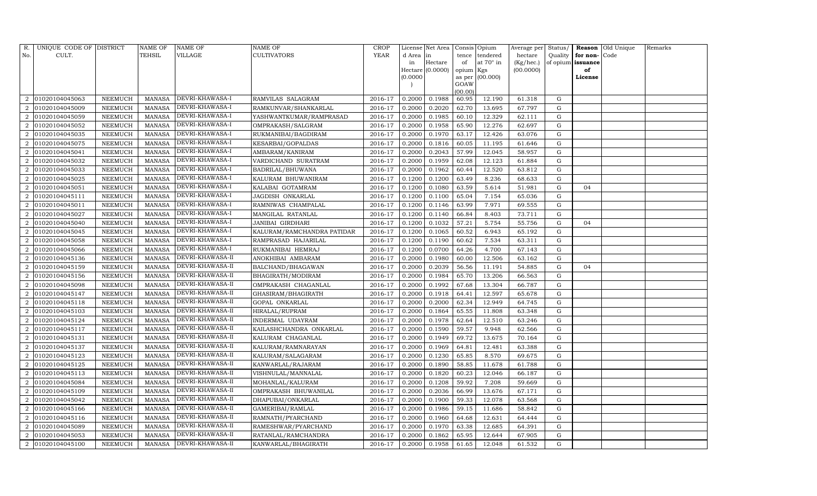| R.                          | UNIQUE CODE OF DISTRICT |                | NAME OF       | NAME OF          | NAME OF                    | <b>CROP</b> |          | License Net Area |           | Consis Opium     | Average per | Status/     |                   | Reason Old Unique | Remarks |
|-----------------------------|-------------------------|----------------|---------------|------------------|----------------------------|-------------|----------|------------------|-----------|------------------|-------------|-------------|-------------------|-------------------|---------|
| No.                         | CULT.                   |                | TEHSIL        | VILLAGE          | <b>CULTIVATORS</b>         | YEAR        | d Area   | in               | tence     | tendered         | hectare     | Quality     | for non-Code      |                   |         |
|                             |                         |                |               |                  |                            |             | in       | Hectare          | of        | at $70^\circ$ in | (Kg/hec.)   |             | of opium issuance |                   |         |
|                             |                         |                |               |                  |                            |             |          | Hectare (0.0000) | opium Kgs |                  | (00.0000)   |             | of                |                   |         |
|                             |                         |                |               |                  |                            |             | (0.0000) |                  | GOAW      | as per (00.000)  |             |             | License           |                   |         |
|                             |                         |                |               |                  |                            |             |          |                  | (00.00)   |                  |             |             |                   |                   |         |
| 2                           | 01020104045063          | NEEMUCH        | <b>MANASA</b> | DEVRI-KHAWASA-I  | RAMVILAS SALAGRAM          | 2016-17     | 0.2000   | 0.1988           | 60.95     | 12.190           | 61.318      | G           |                   |                   |         |
|                             | 01020104045009          | NEEMUCH        | MANASA        | DEVRI-KHAWASA-I  | RAMKUNVAR/SHANKARLAL       | 2016-17     | 0.2000   | 0.2020           | 62.70     | 13.695           | 67.797      | ${\rm G}$   |                   |                   |         |
| $\mathcal{D}_{\mathcal{L}}$ | 01020104045059          | NEEMUCH        | <b>MANASA</b> | DEVRI-KHAWASA-I  | YASHWANTKUMAR/RAMPRASAD    | 2016-17     | 0.2000   | 0.1985           | 60.10     | 12.329           | 62.111      | G           |                   |                   |         |
| 2                           | 01020104045052          | NEEMUCH        | <b>MANASA</b> | DEVRI-KHAWASA-I  | OMPRAKASH/SALGRAM          | 2016-17     | 0.2000   | 0.1958           | 65.90     | 12.276           | 62.697      | G           |                   |                   |         |
| $\mathcal{D}_{\mathcal{L}}$ | 01020104045035          | <b>NEEMUCH</b> | <b>MANASA</b> | DEVRI-KHAWASA-I  | RUKMANIBAI/BAGDIRAM        | 2016-17     | 0.2000   | 0.1970           | 63.17     | 12.426           | 63.076      | G           |                   |                   |         |
| $\mathcal{D}_{\mathcal{L}}$ | 01020104045075          | NEEMUCH        | MANASA        | DEVRI-KHAWASA-I  | KESARBAI/GOPALDAS          | 2016-17     | 0.2000   | 0.1816           | 60.05     | 11.195           | 61.646      | G           |                   |                   |         |
| $\overline{2}$              | 01020104045041          | NEEMUCH        | <b>MANASA</b> | DEVRI-KHAWASA-I  | AMBARAM/KANIRAM            | 2016-17     | 0.2000   | 0.2043           | 57.99     | 12.045           | 58.957      | G           |                   |                   |         |
| 2                           | 01020104045032          | <b>NEEMUCH</b> | <b>MANASA</b> | DEVRI-KHAWASA-I  | VARDICHAND SURATRAM        | 2016-17     | 0.2000   | 0.1959           | 62.08     | 12.123           | 61.884      | G           |                   |                   |         |
| $\mathcal{D}_{\mathcal{L}}$ | 01020104045033          | <b>NEEMUCH</b> | <b>MANASA</b> | DEVRI-KHAWASA-I  | BADRILAL/BHUWANA           | 2016-17     | 0.2000   | 0.1962           | 60.44     | 12.520           | 63.812      | G           |                   |                   |         |
|                             | 01020104045025          | NEEMUCH        | MANASA        | DEVRI-KHAWASA-I  | KALURAM BHUWANIRAM         | 2016-17     | 0.1200   | 0.1200           | 63.49     | 8.236            | 68.633      | G           |                   |                   |         |
| $\mathcal{D}_{\alpha}$      | 01020104045051          | NEEMUCH        | <b>MANASA</b> | DEVRI-KHAWASA-I  | KALABAI GOTAMRAM           | 2016-17     | 0.1200   | 0.1080           | 63.59     | 5.614            | 51.981      | G           | 04                |                   |         |
| $\mathcal{D}_{\mathcal{L}}$ | 01020104045111          | NEEMUCH        | <b>MANASA</b> | DEVRI-KHAWASA-I  | JAGDISH ONKARLAL           | 2016-17     | 0.1200   | 0.1100           | 65.04     | 7.154            | 65.036      | G           |                   |                   |         |
|                             | 01020104045011          | NEEMUCH        | <b>MANASA</b> | DEVRI-KHAWASA-I  | RAMNIWAS CHAMPALAL         | 2016-17     | 0.1200   | 0.1146           | 63.99     | 7.971            | 69.555      | G           |                   |                   |         |
| $\mathcal{D}_{\mathcal{L}}$ | 01020104045027          | NEEMUCH        | <b>MANASA</b> | DEVRI-KHAWASA-I  | MANGILAL RATANLAL          | 2016-17     | 0.1200   | 0.1140           | 66.84     | 8.403            | 73.711      | G           |                   |                   |         |
| 2                           | 01020104045040          | NEEMUCH        | <b>MANASA</b> | DEVRI-KHAWASA-I  | JANIBAI GIRDHARI           | 2016-17     | 0.1200   | 0.1032           | 57.21     | 5.754            | 55.756      | G           | 04                |                   |         |
| $\mathcal{D}_{\mathcal{L}}$ | 01020104045045          | NEEMUCH        | <b>MANASA</b> | DEVRI-KHAWASA-I  | KALURAM/RAMCHANDRA PATIDAR | 2016-17     | 0.1200   | 0.1065           | 60.52     | 6.943            | 65.192      | G           |                   |                   |         |
|                             | 01020104045058          | NEEMUCH        | <b>MANASA</b> | DEVRI-KHAWASA-I  | RAMPRASAD HAJARILAL        | 2016-17     | 0.1200   | 0.1190           | 60.62     | 7.534            | 63.311      | ${\rm G}$   |                   |                   |         |
| $\mathcal{D}_{\mathcal{L}}$ | 01020104045066          | NEEMUCH        | <b>MANASA</b> | DEVRI-KHAWASA-I  | RUKMANIBAI HEMRAJ          | 2016-17     | 0.1200   | 0.0700           | 64.26     | 4.700            | 67.143      | G           |                   |                   |         |
| $\mathcal{D}_{\mathcal{L}}$ | 01020104045136          | NEEMUCH        | <b>MANASA</b> | DEVRI-KHAWASA-II | ANOKHIBAI AMBARAM          | 2016-17     | 0.2000   | 0.1980           | 60.00     | 12.506           | 63.162      | G           |                   |                   |         |
| $\mathcal{D}_{\mathcal{L}}$ | 01020104045159          | <b>NEEMUCH</b> | <b>MANASA</b> | DEVRI-KHAWASA-II | BALCHAND/BHAGAWAN          | 2016-17     | 0.2000   | 0.2039           | 56.56     | 11.191           | 54.885      | G           | 04                |                   |         |
|                             | 01020104045156          | NEEMUCH        | MANASA        | DEVRI-KHAWASA-II | BHAGIRATH/MODIRAM          | 2016-17     | 0.2000   | 0.1984           | 65.70     | 13.206           | 66.563      | G           |                   |                   |         |
| $\mathcal{D}_{\mathcal{L}}$ | 01020104045098          | NEEMUCH        | <b>MANASA</b> | DEVRI-KHAWASA-II | OMPRAKASH CHAGANLAL        | 2016-17     | 0.2000   | 0.1992           | 67.68     | 13.304           | 66.787      | G           |                   |                   |         |
| 2                           | 01020104045147          | NEEMUCH        | <b>MANASA</b> | DEVRI-KHAWASA-II | GHASIRAM/BHAGIRATH         | 2016-17     | 0.2000   | 0.1918           | 64.41     | 12.597           | 65.678      | G           |                   |                   |         |
| $\mathcal{D}_{\mathcal{L}}$ | 01020104045118          | NEEMUCH        | <b>MANASA</b> | DEVRI-KHAWASA-II | GOPAL ONKARLAL             | 2016-17     | 0.2000   | 0.2000           | 62.34     | 12.949           | 64.745      | G           |                   |                   |         |
| $\overline{2}$              | 01020104045103          | NEEMUCH        | <b>MANASA</b> | DEVRI-KHAWASA-II | HIRALAL/RUPRAM             | 2016-17     | 0.2000   | 0.1864           | 65.55     | 11.808           | 63.348      | G           |                   |                   |         |
| 2                           | 01020104045124          | NEEMUCH        | <b>MANASA</b> | DEVRI-KHAWASA-II | INDERMAL UDAYRAM           | 2016-17     | 0.2000   | 0.1978           | 62.64     | 12.510           | 63.246      | G           |                   |                   |         |
| 2                           | 01020104045117          | NEEMUCH        | <b>MANASA</b> | DEVRI-KHAWASA-II | KAILASHCHANDRA ONKARLAL    | 2016-17     | 0.2000   | 0.1590           | 59.57     | 9.948            | 62.566      | G           |                   |                   |         |
|                             | 01020104045131          | <b>NEEMUCH</b> | <b>MANASA</b> | DEVRI-KHAWASA-II | KALURAM CHAGANLAL          | 2016-17     | 0.2000   | 0.1949           | 69.72     | 13.675           | 70.164      | $\mathbf G$ |                   |                   |         |
| $\mathcal{D}_{\mathcal{L}}$ | 01020104045137          | NEEMUCH        | <b>MANASA</b> | DEVRI-KHAWASA-II | KALURAM/RAMNARAYAN         | 2016-17     | 0.2000   | 0.1969           | 64.81     | 12.481           | 63.388      | G           |                   |                   |         |
| $\mathcal{D}_{\mathcal{L}}$ | 01020104045123          | NEEMUCH        | <b>MANASA</b> | DEVRI-KHAWASA-II | KALURAM/SALAGARAM          | 2016-17     | 0.2000   | 0.1230           | 65.85     | 8.570            | 69.675      | G           |                   |                   |         |
| $\overline{2}$              | 01020104045125          | NEEMUCH        | <b>MANASA</b> | DEVRI-KHAWASA-II | KANWARLAL/RAJARAM          | 2016-17     | 0.2000   | 0.1890           | 58.85     | 11.678           | 61.788      | G           |                   |                   |         |
|                             | 01020104045113          | NEEMUCH        | <b>MANASA</b> | DEVRI-KHAWASA-II | VISHNULAL/MANNALAL         | 2016-17     | 0.2000   | 0.1820           | 60.23     | 12.046           | 66.187      | G           |                   |                   |         |
| $\mathcal{D}_{\mathcal{L}}$ | 01020104045084          | NEEMUCH        | <b>MANASA</b> | DEVRI-KHAWASA-II | MOHANLAL/KALURAM           | 2016-17     | 0.2000   | 0.1208           | 59.92     | 7.208            | 59.669      | G           |                   |                   |         |
| 2                           | 01020104045109          | NEEMUCH        | <b>MANASA</b> | DEVRI-KHAWASA-II | OMPRAKASH BHUWANILAL       | 2016-17     | 0.2000   | 0.2036           | 66.99     | 13.676           | 67.171      | G           |                   |                   |         |
| $\mathcal{D}_{\mathcal{L}}$ | 01020104045042          | <b>NEEMUCH</b> | <b>MANASA</b> | DEVRI-KHAWASA-II | DHAPUBAI/ONKARLAL          | 2016-17     | 0.2000   | 0.1900           | 59.33     | 12.078           | 63.568      | G           |                   |                   |         |
| 2                           | 01020104045166          | <b>NEEMUCH</b> | <b>MANASA</b> | DEVRI-KHAWASA-II | GAMERIBAI/RAMLAL           | 2016-17     | 0.2000   | 0.1986           | 59.15     | 11.686           | 58.842      | G           |                   |                   |         |
| 2                           | 01020104045116          | NEEMUCH        | <b>MANASA</b> | DEVRI-KHAWASA-II | RAMNATH/PYARCHAND          | 2016-17     | 0.2000   | 0.1960           | 64.68     | 12.631           | 64.444      | G           |                   |                   |         |
| 2                           | 01020104045089          | <b>NEEMUCH</b> | <b>MANASA</b> | DEVRI-KHAWASA-II | RAMESHWAR/PYARCHAND        | 2016-17     | 0.2000   | 0.1970           | 63.38     | 12.685           | 64.391      | G           |                   |                   |         |
| $\mathcal{D}_{\mathcal{L}}$ | 01020104045053          | <b>NEEMUCH</b> | <b>MANASA</b> | DEVRI-KHAWASA-II | RATANLAL/RAMCHANDRA        | 2016-17     | 0.2000   | 0.1862           | 65.95     | 12.644           | 67.905      | $\mathbf G$ |                   |                   |         |
| $\overline{2}$              | 01020104045100          | NEEMUCH        | MANASA        | DEVRI-KHAWASA-II | KANWARLAL/BHAGIRATH        | 2016-17     | 0.2000   | 0.1958           | 61.65     | 12.048           | 61.532      | G           |                   |                   |         |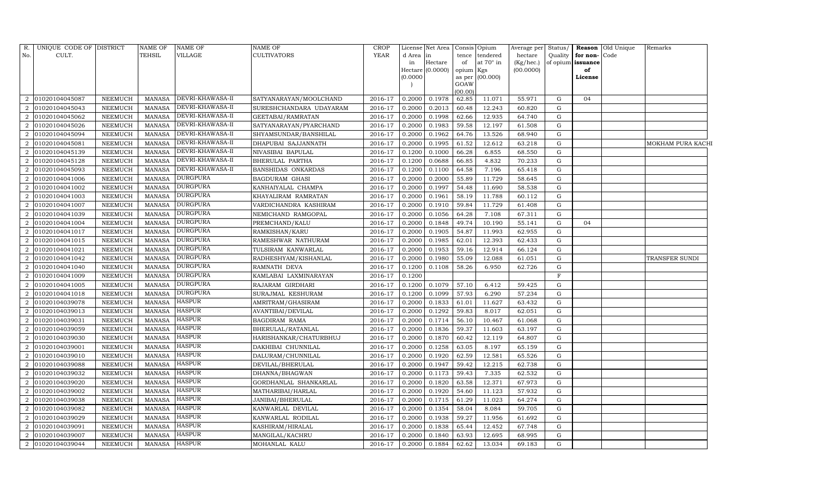| R.                          | UNIQUE CODE OF DISTRICT |                | <b>NAME OF</b> | <b>NAME OF</b>   | NAME OF                 | <b>CROP</b> |           | License Net Area   Consis   Opium |           |                 | Average per Status/ |             |                   | <b>Reason</b> Old Unique | Remarks               |
|-----------------------------|-------------------------|----------------|----------------|------------------|-------------------------|-------------|-----------|-----------------------------------|-----------|-----------------|---------------------|-------------|-------------------|--------------------------|-----------------------|
| No.                         | CULT.                   |                | TEHSIL         | <b>VILLAGE</b>   | <b>CULTIVATORS</b>      | YEAR        | d Area in |                                   | tence     | tendered        | hectare             | Quality     | for non-Code      |                          |                       |
|                             |                         |                |                |                  |                         |             | in        | Hectare                           | of        | at 70° in       | (Kg/hec.)           |             | of opium issuance |                          |                       |
|                             |                         |                |                |                  |                         |             |           | Hectare (0.0000)                  | opium Kgs |                 | (00.0000)           |             | of                |                          |                       |
|                             |                         |                |                |                  |                         |             | (0.0000)  |                                   | GOAW      | as per (00.000) |                     |             | License           |                          |                       |
|                             |                         |                |                |                  |                         |             |           |                                   | (00.00)   |                 |                     |             |                   |                          |                       |
| $\mathcal{D}_{\mathcal{L}}$ | 01020104045087          | <b>NEEMUCH</b> | <b>MANASA</b>  | DEVRI-KHAWASA-II | SATYANARAYAN/MOOLCHAND  | 2016-17     | 0.2000    | 0.1978                            | 62.85     | 11.071          | 55.971              | G           | 04                |                          |                       |
|                             | 01020104045043          | NEEMUCH        | <b>MANASA</b>  | DEVRI-KHAWASA-II | SURESHCHANDARA UDAYARAM | 2016-17     | 0.2000    | 0.2013                            | 60.48     | 12.243          | 60.820              | G           |                   |                          |                       |
| $\mathcal{D}$               | 01020104045062          | <b>NEEMUCH</b> | <b>MANASA</b>  | DEVRI-KHAWASA-II | GEETABAI/RAMRATAN       | 2016-17     | 0.2000    | 0.1998                            | 62.66     | 12.935          | 64.740              | G           |                   |                          |                       |
| 2                           | 01020104045026          | NEEMUCH        | <b>MANASA</b>  | DEVRI-KHAWASA-II | SATYANARAYAN/PYARCHAND  | 2016-17     | 0.2000    | 0.1983                            | 59.58     | 12.197          | 61.508              | G           |                   |                          |                       |
| $\mathcal{D}$               | 01020104045094          | <b>NEEMUCH</b> | <b>MANASA</b>  | DEVRI-KHAWASA-II | SHYAMSUNDAR/BANSHILAL   | 2016-17     | 0.2000    | 0.1962                            | 64.76     | 13.526          | 68.940              | G           |                   |                          |                       |
| $\mathcal{D}$               | 01020104045081          | <b>NEEMUCH</b> | <b>MANASA</b>  | DEVRI-KHAWASA-II | DHAPUBAI SAJJANNATH     | 2016-17     | 0.2000    | 0.1995                            | 61.52     | 12.612          | 63.218              | G           |                   |                          | MOKHAM PURA KACHI     |
| 2                           | 01020104045139          | <b>NEEMUCH</b> | <b>MANASA</b>  | DEVRI-KHAWASA-II | NIVASIBAI BAPULAL       | 2016-17     | 0.1200    | 0.1000                            | 66.28     | 6.855           | 68.550              | G           |                   |                          |                       |
| $\overline{2}$              | 01020104045128          | <b>NEEMUCH</b> | <b>MANASA</b>  | DEVRI-KHAWASA-II | BHERULAL PARTHA         | 2016-17     | 0.1200    | 0.0688                            | 66.85     | 4.832           | 70.233              | G           |                   |                          |                       |
| $\mathcal{D}$               | 01020104045093          | NEEMUCH        | <b>MANASA</b>  | DEVRI-KHAWASA-II | BANSHIDAS ONKARDAS      | 2016-17     | 0.1200    | 0.1100                            | 64.58     | 7.196           | 65.418              | G           |                   |                          |                       |
|                             | 01020104041006          | <b>NEEMUCH</b> | <b>MANASA</b>  | <b>DURGPURA</b>  | BAGDURAM GHASI          | 2016-17     | 0.2000    | 0.2000                            | 55.89     | 11.729          | 58.645              | G           |                   |                          |                       |
| $\mathcal{D}_{\mathcal{L}}$ | 01020104041002          | <b>NEEMUCH</b> | <b>MANASA</b>  | <b>DURGPURA</b>  | KANHAIYALAL CHAMPA      | 2016-17     | 0.2000    | 0.1997                            | 54.48     | 11.690          | 58.538              | G           |                   |                          |                       |
| $\mathcal{D}_{\mathcal{L}}$ | 01020104041003          | NEEMUCH        | <b>MANASA</b>  | DURGPURA         | KHAYALIRAM RAMRATAN     | 2016-17     | 0.2000    | 0.1961                            | 58.19     | 11.788          | 60.112              | G           |                   |                          |                       |
|                             | 01020104041007          | <b>NEEMUCH</b> | <b>MANASA</b>  | <b>DURGPURA</b>  | VARDICHANDRA KASHIRAM   | 2016-17     | 0.2000    | 0.1910                            | 59.84     | 11.729          | 61.408              | G           |                   |                          |                       |
| $\mathcal{D}$               | 01020104041039          | <b>NEEMUCH</b> | <b>MANASA</b>  | <b>DURGPURA</b>  | NEMICHAND RAMGOPAL      | 2016-17     | 0.2000    | 0.1056                            | 64.28     | 7.108           | 67.311              | G           |                   |                          |                       |
| 2                           | 01020104041004          | NEEMUCH        | <b>MANASA</b>  | <b>DURGPURA</b>  | PREMCHAND/KALU          | 2016-17     | 0.2000    | 0.1848                            | 49.74     | 10.190          | 55.141              | G           | 04                |                          |                       |
| $\overline{2}$              | 01020104041017          | <b>NEEMUCH</b> | <b>MANASA</b>  | <b>DURGPURA</b>  | RAMKISHAN/KARU          | 2016-17     | 0.2000    | 0.1905                            | 54.87     | 11.993          | 62.955              | G           |                   |                          |                       |
|                             | 01020104041015          | NEEMUCH        | <b>MANASA</b>  | <b>DURGPURA</b>  | RAMESHWAR NATHURAM      | 2016-17     | 0.2000    | 0.1985                            | 62.01     | 12.393          | 62.433              | G           |                   |                          |                       |
| $\mathcal{D}$               | 01020104041021          | NEEMUCH        | <b>MANASA</b>  | <b>DURGPURA</b>  | TULSIRAM KANWARLAL      | 2016-17     | 0.2000    | 0.1953                            | 59.16     | 12.914          | 66.124              | G           |                   |                          |                       |
| 2                           | 01020104041042          | NEEMUCH        | <b>MANASA</b>  | <b>DURGPURA</b>  | RADHESHYAM/KISHANLAL    | 2016-17     | 0.2000    | 0.1980                            | 55.09     | 12.088          | 61.051              | G           |                   |                          | <b>TRANSFER SUNDI</b> |
| $\mathcal{D}$               | 01020104041040          | <b>NEEMUCH</b> | <b>MANASA</b>  | DURGPURA         | RAMNATH DEVA            | 2016-17     | 0.1200    | 0.1108                            | 58.26     | 6.950           | 62.726              | G           |                   |                          |                       |
|                             | 01020104041009          | <b>NEEMUCH</b> | <b>MANASA</b>  | <b>DURGPURA</b>  | KAMLABAI LAXMINARAYAN   | 2016-17     | 0.1200    |                                   |           |                 |                     | $\mathbf F$ |                   |                          |                       |
| $\mathcal{D}_{\mathcal{L}}$ | 01020104041005          | <b>NEEMUCH</b> | <b>MANASA</b>  | <b>DURGPURA</b>  | RAJARAM GIRDHARI        | 2016-17     | 0.1200    | 0.1079                            | 57.10     | 6.412           | 59.425              | G           |                   |                          |                       |
| 2                           | 01020104041018          | NEEMUCH        | <b>MANASA</b>  | DURGPURA         | SURAJMAL KESHURAM       | 2016-17     | 0.1200    | 0.1099                            | 57.93     | 6.290           | 57.234              | G           |                   |                          |                       |
| $\mathcal{D}$               | 01020104039078          | NEEMUCH        | <b>MANASA</b>  | <b>HASPUR</b>    | AMRITRAM/GHASIRAM       | 2016-17     | 0.2000    | 0.1833                            | 61.01     | 11.627          | 63.432              | G           |                   |                          |                       |
| $\mathcal{D}$               | 01020104039013          | <b>NEEMUCH</b> | <b>MANASA</b>  | HASPUR           | AVANTIBAI/DEVILAL       | 2016-17     | 0.2000    | 0.1292                            | 59.83     | 8.017           | 62.051              | G           |                   |                          |                       |
| $\overline{2}$              | 01020104039031          | NEEMUCH        | <b>MANASA</b>  | <b>HASPUR</b>    | BAGDIRAM RAMA           | 2016-17     | 0.2000    | 0.1714                            | 56.10     | 10.467          | 61.068              | G           |                   |                          |                       |
| $\overline{2}$              | 01020104039059          | <b>NEEMUCH</b> | <b>MANASA</b>  | <b>HASPUR</b>    | BHERULAL/RATANLAL       | 2016-17     | 0.2000    | 0.1836                            | 59.37     | 11.603          | 63.197              | G           |                   |                          |                       |
|                             | 01020104039030          | NEEMUCH        | <b>MANASA</b>  | <b>HASPUR</b>    | HARISHANKAR/CHATURBHUJ  | 2016-17     | 0.2000    | 0.1870                            | 60.42     | 12.119          | 64.807              | G           |                   |                          |                       |
| $\mathcal{D}$               | 01020104039001          | <b>NEEMUCH</b> | <b>MANASA</b>  | <b>HASPUR</b>    | DAKHIBAI CHUNNILAL      | 2016-17     | 0.2000    | 0.1258                            | 63.05     | 8.197           | 65.159              | G           |                   |                          |                       |
| $\mathcal{D}_{\mathcal{L}}$ | 01020104039010          | NEEMUCH        | <b>MANASA</b>  | <b>HASPUR</b>    | DALURAM/CHUNNILAL       | 2016-17     | 0.2000    | 0.1920                            | 62.59     | 12.581          | 65.526              | G           |                   |                          |                       |
| $\mathcal{D}$               | 01020104039088          | NEEMUCH        | <b>MANASA</b>  | HASPUR           | DEVILAL/BHERULAL        | 2016-17     | 0.2000    | 0.1947                            | 59.42     | 12.215          | 62.738              | G           |                   |                          |                       |
|                             | 01020104039032          | <b>NEEMUCH</b> | <b>MANASA</b>  | <b>HASPUR</b>    | DHANNA/BHAGWAN          | 2016-17     | 0.2000    | 0.1173                            | 59.43     | 7.335           | 62.532              | G           |                   |                          |                       |
| $\mathcal{D}_{\mathcal{L}}$ | 01020104039020          | <b>NEEMUCH</b> | <b>MANASA</b>  | <b>HASPUR</b>    | GORDHANLAL SHANKARLAL   | 2016-17     | 0.2000    | 0.1820                            | 63.58     | 12.371          | 67.973              | G           |                   |                          |                       |
| 2                           | 01020104039002          | NEEMUCH        | <b>MANASA</b>  | <b>HASPUR</b>    | MATHARIBAI/HARLAL       | 2016-17     | 0.2000    | 0.1920                            | 54.60     | 11.123          | 57.932              | G           |                   |                          |                       |
| $\mathcal{D}_{\mathcal{L}}$ | 01020104039038          | <b>NEEMUCH</b> | <b>MANASA</b>  | <b>HASPUR</b>    | JANIBAI/BHERULAL        | 2016-17     | 0.2000    | 0.1715                            | 61.29     | 11.023          | 64.274              | G           |                   |                          |                       |
| $\mathcal{D}$               | 01020104039082          | <b>NEEMUCH</b> | <b>MANASA</b>  | <b>HASPUR</b>    | KANWARLAL DEVILAL       | 2016-17     | 0.2000    | 0.1354                            | 58.04     | 8.084           | 59.705              | G           |                   |                          |                       |
| 2                           | 01020104039029          | <b>NEEMUCH</b> | <b>MANASA</b>  | <b>HASPUR</b>    | KANWARLAL RODILAL       | 2016-17     | 0.2000    | 0.1938                            | 59.27     | 11.956          | 61.692              | G           |                   |                          |                       |
| 2                           | 01020104039091          | <b>NEEMUCH</b> | <b>MANASA</b>  | <b>HASPUR</b>    | KASHIRAM/HIRALAL        | 2016-17     | 0.2000    | 0.1838                            | 65.44     | 12.452          | 67.748              | G           |                   |                          |                       |
| $\mathcal{D}_{\mathcal{L}}$ | 01020104039007          | <b>NEEMUCH</b> | <b>MANASA</b>  | <b>HASPUR</b>    | MANGILAL/KACHRU         | 2016-17     | 0.2000    | 0.1840                            | 63.93     | 12.695          | 68.995              | G           |                   |                          |                       |
| $\overline{2}$              | 01020104039044          | NEEMUCH        | MANASA HASPUR  |                  | MOHANLAL KALU           | 2016-17     | 0.2000    | 0.1884                            | 62.62     | 13.034          | 69.183              | G           |                   |                          |                       |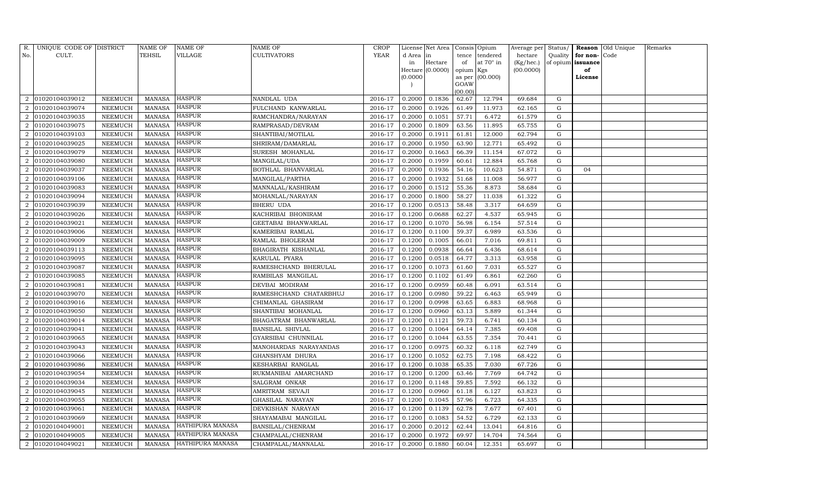| R.             | UNIQUE CODE OF DISTRICT |                | NAME OF       | <b>NAME OF</b>   | NAME OF                 | CROP        |          | License Net Area   Consis   Opium |                  |                 | Average per | Status/   |          | Reason Old Unique | Remarks |
|----------------|-------------------------|----------------|---------------|------------------|-------------------------|-------------|----------|-----------------------------------|------------------|-----------------|-------------|-----------|----------|-------------------|---------|
| No.            | CULT.                   |                | TEHSIL        | VILLAGE          | <b>CULTIVATORS</b>      | <b>YEAR</b> | d Area   | lin                               | tence            | tendered        | hectare     | Quality   | for non- | Code              |         |
|                |                         |                |               |                  |                         |             | in       | Hectare                           | of               | at 70° in       | (Kg/hec.)   | of opium  | issuance |                   |         |
|                |                         |                |               |                  |                         |             |          | Hectare $(0.0000)$                | opium Kgs        |                 | (00.0000)   |           | of       |                   |         |
|                |                         |                |               |                  |                         |             | (0.0000) |                                   |                  | as per (00.000) |             |           | License  |                   |         |
|                |                         |                |               |                  |                         |             |          |                                   | GOAW             |                 |             |           |          |                   |         |
| $\overline{2}$ | 01020104039012          | NEEMUCH        | <b>MANASA</b> | <b>HASPUR</b>    | NANDLAL UDA             | 2016-17     | 0.2000   | 0.1836                            | (00.00)<br>62.67 | 12.794          | 69.684      | G         |          |                   |         |
|                | 01020104039074          | NEEMUCH        | <b>MANASA</b> | <b>HASPUR</b>    | FULCHAND KANWARLAL      | 2016-17     | 0.2000   | 0.1926                            | 61.49            | 11.973          | 62.165      | G         |          |                   |         |
| $\overline{2}$ | 01020104039035          | <b>NEEMUCH</b> | <b>MANASA</b> | <b>HASPUR</b>    | RAMCHANDRA/NARAYAN      | 2016-17     | 0.2000   | 0.1051                            | 57.71            | 6.472           | 61.579      | G         |          |                   |         |
| 2              | 01020104039075          | NEEMUCH        | <b>MANASA</b> | <b>HASPUR</b>    | RAMPRASAD/DEVRAM        | 2016-17     | 0.2000   | 0.1809                            | 63.56            | 11.895          | 65.755      | G         |          |                   |         |
| 2              | 01020104039103          | <b>NEEMUCH</b> | <b>MANASA</b> | <b>HASPUR</b>    | SHANTIBAI/MOTILAL       | 2016-17     | 0.2000   | 0.1911                            | 61.81            | 12.000          | 62.794      | G         |          |                   |         |
| $\mathcal{D}$  | 01020104039025          | <b>NEEMUCH</b> | <b>MANASA</b> | HASPUR           | SHRIRAM/DAMARLAL        | 2016-17     | 0.2000   | 0.1950                            | 63.90            | 12.771          | 65.492      | ${\rm G}$ |          |                   |         |
| $\overline{2}$ | 01020104039079          | NEEMUCH        | <b>MANASA</b> | <b>HASPUR</b>    | SURESH MOHANLAL         | 2016-17     | 0.2000   | 0.1663                            | 66.39            | 11.154          | 67.072      | G         |          |                   |         |
| $\overline{2}$ | 01020104039080          | <b>NEEMUCH</b> | <b>MANASA</b> | <b>HASPUR</b>    | MANGILAL/UDA            | 2016-17     | 0.2000   | 0.1959                            | 60.61            | 12.884          | 65.768      | G         |          |                   |         |
| $\mathcal{D}$  | 01020104039037          | <b>NEEMUCH</b> | <b>MANASA</b> | <b>HASPUR</b>    | BOTHLAL BHANVARLAL      | 2016-17     | 0.2000   | 0.1936                            | 54.16            | 10.623          | 54.871      | G         | 04       |                   |         |
| $\overline{2}$ | 01020104039106          | NEEMUCH        | <b>MANASA</b> | <b>HASPUR</b>    | MANGILAL/PARTHA         | 2016-17     | 0.2000   | 0.1932                            | 51.68            | 11.008          | 56.977      | G         |          |                   |         |
| 2              | 01020104039083          | NEEMUCH        | <b>MANASA</b> | <b>HASPUR</b>    | MANNALAL/KASHIRAM       | 2016-17     | 0.2000   | 0.1512                            | 55.36            | 8.873           | 58.684      | G         |          |                   |         |
| $\overline{2}$ | 01020104039094          | <b>NEEMUCH</b> | <b>MANASA</b> | <b>HASPUR</b>    | MOHANLAL/NARAYAN        | 2016-17     | 0.2000   | 0.1800                            | 58.27            | 11.038          | 61.322      | G         |          |                   |         |
|                | 01020104039039          | <b>NEEMUCH</b> | <b>MANASA</b> | <b>HASPUR</b>    | BHERU UDA               | 2016-17     | 0.1200   | 0.0513                            | 58.48            | 3.317           | 64.659      | G         |          |                   |         |
|                | 01020104039026          | <b>NEEMUCH</b> | <b>MANASA</b> | <b>HASPUR</b>    | KACHRIBAI BHONIRAM      | 2016-17     | 0.1200   | 0.0688                            | 62.27            | 4.537           | 65.945      | G         |          |                   |         |
| 2              | 01020104039021          | NEEMUCH        | <b>MANASA</b> | <b>HASPUR</b>    | GEETABAI BHANWARLAL     | 2016-17     | 0.1200   | 0.1070                            | 56.98            | 6.154           | 57.514      | G         |          |                   |         |
| $\overline{2}$ | 01020104039006          | <b>NEEMUCH</b> | <b>MANASA</b> | <b>HASPUR</b>    | KAMERIBAI RAMLAL        | 2016-17     | 0.1200   | 0.1100                            | 59.37            | 6.989           | 63.536      | G         |          |                   |         |
|                | 01020104039009          | <b>NEEMUCH</b> | <b>MANASA</b> | <b>HASPUR</b>    | RAMLAL BHOLERAM         | 2016-17     | 0.1200   | 0.1005                            | 66.01            | 7.016           | 69.811      | ${\rm G}$ |          |                   |         |
|                | 01020104039113          | NEEMUCH        | <b>MANASA</b> | <b>HASPUR</b>    | BHAGIRATH KISHANLAL     | 2016-17     | 0.1200   | 0.0938                            | 66.64            | 6.436           | 68.614      | G         |          |                   |         |
| $\overline{2}$ | 01020104039095          | <b>NEEMUCH</b> | <b>MANASA</b> | <b>HASPUR</b>    | KARULAL PYARA           | 2016-17     | 0.1200   | 0.0518                            | 64.77            | 3.313           | 63.958      | G         |          |                   |         |
| $\overline{2}$ | 01020104039087          | <b>NEEMUCH</b> | <b>MANASA</b> | HASPUR           | RAMESHCHAND BHERULAL    | 2016-17     | 0.1200   | 0.1073                            | 61.60            | 7.031           | 65.527      | G         |          |                   |         |
| 2              | 01020104039085          | NEEMUCH        | <b>MANASA</b> | <b>HASPUR</b>    | RAMBILAS MANGILAL       | 2016-17     | 0.1200   | 0.1102                            | 61.49            | 6.861           | 62.260      | G         |          |                   |         |
| 2              | 01020104039081          | NEEMUCH        | <b>MANASA</b> | <b>HASPUR</b>    | DEVBAI MODIRAM          | 2016-17     | 0.1200   | 0.0959                            | 60.48            | 6.091           | 63.514      | G         |          |                   |         |
| 2              | 01020104039070          | <b>NEEMUCH</b> | <b>MANASA</b> | <b>HASPUR</b>    | RAMESHCHAND CHATARBHUJ  | 2016-17     | 0.1200   | 0.0980                            | 59.22            | 6.463           | 65.949      | G         |          |                   |         |
| $\overline{2}$ | 01020104039016          | <b>NEEMUCH</b> | <b>MANASA</b> | <b>HASPUR</b>    | CHIMANLAL GHASIRAM      | 2016-17     | 0.1200   | 0.0998                            | 63.65            | 6.883           | 68.968      | G         |          |                   |         |
|                | 01020104039050          | NEEMUCH        | <b>MANASA</b> | <b>HASPUR</b>    | SHANTIBAI MOHANLAL      | 2016-17     | 0.1200   | 0.0960                            | 63.13            | 5.889           | 61.344      | G         |          |                   |         |
| 2              | 01020104039014          | NEEMUCH        | <b>MANASA</b> | <b>HASPUR</b>    | BHAGATRAM BHANWARLAL    | 2016-17     | 0.1200   | 0.1121                            | 59.73            | 6.741           | 60.134      | G         |          |                   |         |
| $\overline{2}$ | 01020104039041          | <b>NEEMUCH</b> | <b>MANASA</b> | <b>HASPUR</b>    | <b>BANSILAL SHIVLAL</b> | 2016-17     | 0.1200   | 0.1064                            | 64.14            | 7.385           | 69.408      | ${\rm G}$ |          |                   |         |
|                | 01020104039065          | <b>NEEMUCH</b> | <b>MANASA</b> | <b>HASPUR</b>    | GYARSIBAI CHUNNILAL     | 2016-17     | 0.1200   | 0.1044                            | 63.55            | 7.354           | 70.441      | G         |          |                   |         |
|                | 01020104039043          | NEEMUCH        | <b>MANASA</b> | <b>HASPUR</b>    | MANOHARDAS NARAYANDAS   | 2016-17     | 0.1200   | 0.0975                            | 60.32            | 6.118           | 62.749      | G         |          |                   |         |
| $\overline{2}$ | 01020104039066          | NEEMUCH        | <b>MANASA</b> | <b>HASPUR</b>    | GHANSHYAM DHURA         | 2016-17     | 0.1200   | 0.1052                            | 62.75            | 7.198           | 68.422      | G         |          |                   |         |
| $\overline{2}$ | 01020104039086          | <b>NEEMUCH</b> | <b>MANASA</b> | <b>HASPUR</b>    | KESHARBAI RANGLAL       | 2016-17     | 0.1200   | 0.1038                            | 65.35            | 7.030           | 67.726      | G         |          |                   |         |
|                | 01020104039054          | <b>NEEMUCH</b> | <b>MANASA</b> | <b>HASPUR</b>    | RUKMANIBAI AMARCHAND    | 2016-17     | 0.1200   | 0.1200                            | 63.46            | 7.769           | 64.742      | G         |          |                   |         |
| $\mathfrak{D}$ | 01020104039034          | <b>NEEMUCH</b> | <b>MANASA</b> | <b>HASPUR</b>    | SALGRAM ONKAR           | 2016-17     | 0.1200   | 0.1148                            | 59.85            | 7.592           | 66.132      | G         |          |                   |         |
| $\overline{2}$ | 01020104039045          | <b>NEEMUCH</b> | <b>MANASA</b> | <b>HASPUR</b>    | AMRITRAM SEVAJI         | 2016-17     | 0.1200   | 0.0960                            | 61.18            | 6.127           | 63.823      | G         |          |                   |         |
| $\overline{2}$ | 01020104039055          | NEEMUCH        | <b>MANASA</b> | <b>HASPUR</b>    | GHASILAL NARAYAN        | 2016-17     | 0.1200   | 0.1045                            | 57.96            | 6.723           | 64.335      | G         |          |                   |         |
|                | 01020104039061          | NEEMUCH        | <b>MANASA</b> | <b>HASPUR</b>    | DEVKISHAN NARAYAN       | 2016-17     | 0.1200   | 0.1139                            | 62.78            | 7.677           | 67.401      | ${\rm G}$ |          |                   |         |
| $\overline{2}$ | 01020104039069          | NEEMUCH        | <b>MANASA</b> | <b>HASPUR</b>    | SHAYAMABAI MANGILAL     | 2016-17     | 0.1200   | 0.1083                            | 54.52            | 6.729           | 62.133      | G         |          |                   |         |
| $\overline{2}$ | 01020104049001          | NEEMUCH        | <b>MANASA</b> | HATHIPURA MANASA | BANSILAL/CHENRAM        | 2016-17     | 0.2000   | 0.2012                            | 62.44            | 13.041          | 64.816      | ${\rm G}$ |          |                   |         |
| 2              | 01020104049005          | <b>NEEMUCH</b> | <b>MANASA</b> | HATHIPURA MANASA | CHAMPALAL/CHENRAM       | 2016-17     | 0.2000   | 0.1972                            | 69.97            | 14.704          | 74.564      | G         |          |                   |         |
| $\overline{2}$ | 01020104049021          | <b>NEEMUCH</b> | <b>MANASA</b> | HATHIPURA MANASA | CHAMPALAL/MANNALAL      | 2016-17     | 0.2000   | 0.1880                            | 60.04            | 12.351          | 65.697      | G         |          |                   |         |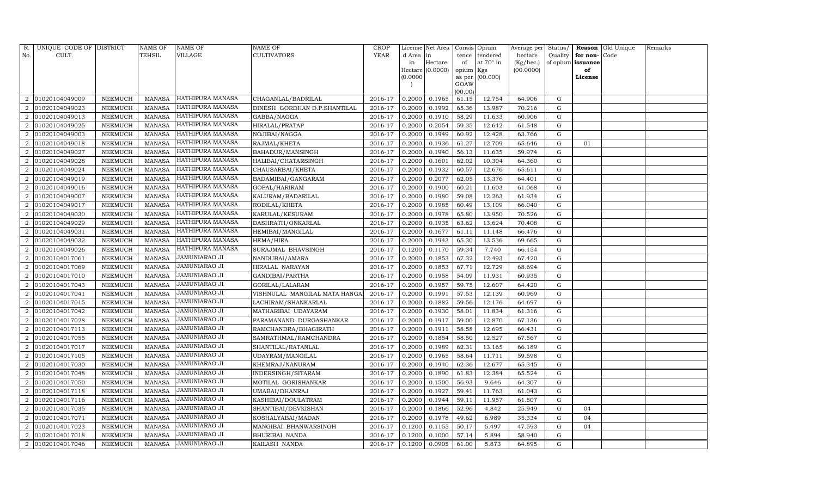| R.                          | UNIQUE CODE OF DISTRICT |                 | <b>NAME OF</b> | NAME OF              | NAME OF                       | <b>CROP</b> |           | License Net Area |                 | Consis Opium    | Average per | Status/   |          | Reason Old Unique | Remarks |
|-----------------------------|-------------------------|-----------------|----------------|----------------------|-------------------------------|-------------|-----------|------------------|-----------------|-----------------|-------------|-----------|----------|-------------------|---------|
| No.                         | CULT.                   |                 | TEHSIL         | VILLAGE              | CULTIVATORS                   | <b>YEAR</b> | d Area in |                  | tence           | tendered        | hectare     | Quality   | for non- | Code              |         |
|                             |                         |                 |                |                      |                               |             | in        | Hectare          | of              | at 70° in       | (Kg/hec.)   | of opium  | issuance |                   |         |
|                             |                         |                 |                |                      |                               |             |           | Hectare (0.0000) | opium Kgs       |                 | (00.0000)   |           | of       |                   |         |
|                             |                         |                 |                |                      |                               |             | (0.0000)  |                  |                 | as per (00.000) |             |           | License  |                   |         |
|                             |                         |                 |                |                      |                               |             |           |                  | GOAW<br>(00.00) |                 |             |           |          |                   |         |
| 2                           | 01020104049009          | NEEMUCH         | MANASA         | HATHIPURA MANASA     | CHAGANLAL/BADRILAL            | 2016-17     | 0.2000    | 0.1965           | 61.15           | 12.754          | 64.906      | G         |          |                   |         |
|                             | 01020104049023          | NEEMUCH         | <b>MANASA</b>  | HATHIPURA MANASA     | DINESH GORDHAN D.P.SHANTILAL  | 2016-17     | 0.2000    | 0.1992           | 65.36           | 13.987          | 70.216      | G         |          |                   |         |
| $\mathcal{D}_{\mathcal{L}}$ | 01020104049013          | NEEMUCH         | <b>MANASA</b>  | HATHIPURA MANASA     | GABBA/NAGGA                   | 2016-17     | 0.2000    | 0.1910           | 58.29           | 11.633          | 60.906      | G         |          |                   |         |
| 2                           | 01020104049025          | NEEMUCH         | <b>MANASA</b>  | HATHIPURA MANASA     | HIRALAL/PRATAP                | 2016-17     | 0.2000    | 0.2054           | 59.35           | 12.642          | 61.548      | ${\rm G}$ |          |                   |         |
| $\mathcal{D}_{\mathcal{L}}$ | 01020104049003          | NEEMUCH         | <b>MANASA</b>  | HATHIPURA MANASA     | NOJIBAI/NAGGA                 | 2016-17     | 0.2000    | 0.1949           | 60.92           | 12.428          | 63.766      | G         |          |                   |         |
| $\mathcal{D}_{\mathcal{L}}$ | 01020104049018          | NEEMUCH         | <b>MANASA</b>  | HATHIPURA MANASA     | RAJMAL/KHETA                  | 2016-17     | 0.2000    | 0.1936           | 61.27           | 12.709          | 65.646      | ${\rm G}$ | 01       |                   |         |
| $\mathcal{D}_{\mathcal{L}}$ | 01020104049027          | NEEMUCH         | <b>MANASA</b>  | HATHIPURA MANASA     | BAHADUR/MANSINGH              | 2016-17     | 0.2000    | 0.1940           | 56.13           | 11.635          | 59.974      | G         |          |                   |         |
| 2                           | 01020104049028          | NEEMUCH         | <b>MANASA</b>  | HATHIPURA MANASA     | HALIBAI/CHATARSINGH           | 2016-17     | 0.2000    | 0.1601           | 62.02           | 10.304          | 64.360      | ${\rm G}$ |          |                   |         |
| $\overline{2}$              | 01020104049024          | NEEMUCH         | <b>MANASA</b>  | HATHIPURA MANASA     | CHAUSARBAI/KHETA              | 2016-17     | 0.2000    | 0.1932           | 60.57           | 12.676          | 65.611      | G         |          |                   |         |
|                             | 01020104049019          | NEEMUCH         | <b>MANASA</b>  | HATHIPURA MANASA     | BADAMIBAI/GANGARAM            | 2016-17     | 0.2000    | 0.2077           | 62.05           | 13.376          | 64.401      | G         |          |                   |         |
| $\overline{2}$              | 01020104049016          | ${\tt NEEMUCH}$ | <b>MANASA</b>  | HATHIPURA MANASA     | GOPAL/HARIRAM                 | 2016-17     | 0.2000    | 0.1900           | 60.21           | 11.603          | 61.068      | ${\rm G}$ |          |                   |         |
| 2                           | 01020104049007          | NEEMUCH         | <b>MANASA</b>  | HATHIPURA MANASA     | KALURAM / BADARILAL           | 2016-17     | 0.2000    | 0.1980           | 59.08           | 12.263          | 61.934      | G         |          |                   |         |
|                             | 01020104049017          | <b>NEEMUCH</b>  | <b>MANASA</b>  | HATHIPURA MANASA     | RODILAL/KHETA                 | 2016-17     | 0.2000    | 0.1985           | 60.49           | 13.109          | 66.040      | ${\rm G}$ |          |                   |         |
| $\overline{2}$              | 01020104049030          | NEEMUCH         | <b>MANASA</b>  | HATHIPURA MANASA     | KARULAL/KESURAM               | 2016-17     | 0.2000    | 0.1978           | 65.80           | 13.950          | 70.526      | ${\rm G}$ |          |                   |         |
| $\overline{2}$              | 01020104049029          | NEEMUCH         | <b>MANASA</b>  | HATHIPURA MANASA     | DASHRATH/ONKARLAL             | 2016-17     | 0.2000    | 0.1935           | 63.62           | 13.624          | 70.408      | ${\rm G}$ |          |                   |         |
| 2                           | 01020104049031          | NEEMUCH         | <b>MANASA</b>  | HATHIPURA MANASA     | HEMIBAI/MANGILAL              | 2016-17     | 0.2000    | 0.1677           | 61.11           | 11.148          | 66.476      | G         |          |                   |         |
|                             | 01020104049032          | NEEMUCH         | <b>MANASA</b>  | HATHIPURA MANASA     | HEMA/HIRA                     | 2016-17     | 0.2000    | 0.1943           | 65.30           | 13.536          | 69.665      | ${\rm G}$ |          |                   |         |
|                             | 01020104049026          | NEEMUCH         | <b>MANASA</b>  | HATHIPURA MANASA     | SURAJMAL BHAVSINGH            | 2016-17     | 0.1200    | 0.1170           | 59.34           | 7.740           | 66.154      | G         |          |                   |         |
| $\mathcal{D}_{\mathcal{L}}$ | 01020104017061          | NEEMUCH         | <b>MANASA</b>  | JAMUNIARAO JI        | NANDUBAI/AMARA                | 2016-17     | 0.2000    | 0.1853           | 67.32           | 12.493          | 67.420      | ${\rm G}$ |          |                   |         |
| $\overline{2}$              | 01020104017069          | <b>NEEMUCH</b>  | <b>MANASA</b>  | JAMUNIARAO JI        | HIRALAL NARAYAN               | 2016-17     | 0.2000    | 0.1853           | 67.71           | 12.729          | 68.694      | ${\rm G}$ |          |                   |         |
|                             | 01020104017010          | NEEMUCH         | <b>MANASA</b>  | JAMUNIARAO JI        | GANDIBAI/PARTHA               | 2016-17     | 0.2000    | 0.1958           | 54.09           | 11.931          | 60.935      | ${\rm G}$ |          |                   |         |
| $\mathcal{D}_{\alpha}$      | 01020104017043          | NEEMUCH         | <b>MANASA</b>  | JAMUNIARAO JI        | GORILAL/LALARAM               | 2016-17     | 0.2000    | 0.1957           | 59.75           | 12.607          | 64.420      | G         |          |                   |         |
| 2                           | 01020104017041          | NEEMUCH         | <b>MANASA</b>  | JAMUNIARAO JI        | VISHNULAL MANGILAL MATA HANGA | 2016-17     | 0.2000    | 0.1991           | 57.53           | 12.139          | 60.969      | G         |          |                   |         |
| $\mathcal{D}_{\mathcal{L}}$ | 01020104017015          | <b>NEEMUCH</b>  | <b>MANASA</b>  | JAMUNIARAO JI        | LACHIRAM / SHANKARLAL         | 2016-17     | 0.2000    | 0.1882           | 59.56           | 12.176          | 64.697      | ${\rm G}$ |          |                   |         |
|                             | 01020104017042          | NEEMUCH         | <b>MANASA</b>  | JAMUNIARAO JI        | MATHARIBAI UDAYARAM           | 2016-17     | 0.2000    | 0.1930           | 58.01           | 11.834          | 61.316      | ${\rm G}$ |          |                   |         |
| 2                           | 01020104017028          | NEEMUCH         | <b>MANASA</b>  | JAMUNIARAO JI        | PARAMANAND DURGASHANKAR       | 2016-17     | 0.2000    | 0.1917           | 59.00           | 12.870          | 67.136      | G         |          |                   |         |
| 2                           | 01020104017113          | NEEMUCH         | <b>MANASA</b>  | JAMUNIARAO JI        | RAMCHANDRA/BHAGIRATH          | 2016-17     | 0.2000    | 0.1911           | 58.58           | 12.695          | 66.431      | ${\rm G}$ |          |                   |         |
| $\mathcal{D}_{\mathcal{L}}$ | 01020104017055          | <b>NEEMUCH</b>  | <b>MANASA</b>  | JAMUNIARAO JI        | SAMRATHMAL/RAMCHANDRA         | 2016-17     | 0.2000    | 0.1854           | 58.50           | 12.527          | 67.567      | ${\rm G}$ |          |                   |         |
|                             | 01020104017017          | NEEMUCH         | <b>MANASA</b>  | JAMUNIARAO JI        | SHANTILAL/RATANLAL            | 2016-17     | 0.2000    | 0.1989           | 62.31           | 13.165          | 66.189      | G         |          |                   |         |
| $\mathcal{D}_{\mathcal{L}}$ | 01020104017105          | NEEMUCH         | <b>MANASA</b>  | JAMUNIARAO JI        | UDAYRAM/MANGILAL              | 2016-17     | 0.2000    | 0.1965           | 58.64           | 11.711          | 59.598      | ${\rm G}$ |          |                   |         |
| 2                           | 01020104017030          | NEEMUCH         | <b>MANASA</b>  | JAMUNIARAO JI        | KHEMRAJ/NANURAM               | 2016-17     | 0.2000    | 0.1940           | 62.36           | 12.677          | 65.345      | G         |          |                   |         |
| $\mathcal{D}_{\mathcal{L}}$ | 01020104017048          | <b>NEEMUCH</b>  | <b>MANASA</b>  | JAMUNIARAO JI        | INDERSINGH/SITARAM            | 2016-17     | 0.2000    | 0.1890           | 61.83           | 12.384          | 65.524      | G         |          |                   |         |
| 2                           | 01020104017050          | <b>NEEMUCH</b>  | <b>MANASA</b>  | JAMUNIARAO JI        | MOTILAL GORISHANKAR           | 2016-17     | 0.2000    | 0.1500           | 56.93           | 9.646           | 64.307      | G         |          |                   |         |
| 2                           | 01020104017118          | NEEMUCH         | MANASA         | JAMUNIARAO JI        | UMABAI/DHANRAJ                | 2016-17     | 0.2000    | 0.1927           | 59.41           | 11.763          | 61.043      | G         |          |                   |         |
| $\overline{2}$              | 01020104017116          | NEEMUCH         | <b>MANASA</b>  | <b>JAMUNIARAO JI</b> | KASHIBAI/DOULATRAM            | 2016-17     | 0.2000    | 0.1944           | 59.11           | 11.957          | 61.507      | G         |          |                   |         |
| $\mathcal{D}$               | 01020104017035          | NEEMUCH         | <b>MANASA</b>  | JAMUNIARAO JI        | SHANTIBAI/DEVKISHAN           | 2016-17     | 0.2000    | 0.1866           | 52.96           | 4.842           | 25.949      | ${\rm G}$ | 04       |                   |         |
| 2                           | 01020104017071          | NEEMUCH         | <b>MANASA</b>  | <b>JAMUNIARAO JI</b> | KOSHALYABAI/MADAN             | 2016-17     | 0.2000    | 0.1978           | 49.62           | 6.989           | 35.334      | ${\rm G}$ | 04       |                   |         |
| 2                           | 01020104017023          | NEEMUCH         | <b>MANASA</b>  | JAMUNIARAO JI        | MANGIBAI BHANWARSINGH         | 2016-17     | 0.1200    | 0.1155           | 50.17           | 5.497           | 47.593      | ${\rm G}$ | 04       |                   |         |
| $\overline{2}$              | 01020104017018          | <b>NEEMUCH</b>  | <b>MANASA</b>  | JAMUNIARAO JI        | BHURIBAI NANDA                | 2016-17     | 0.1200    | 0.1000           | 57.14           | 5.894           | 58.940      | G         |          |                   |         |
| $\overline{a}$              | 01020104017046          | NEEMUCH         | MANASA         | JAMUNIARAO JI        | KAILASH NANDA                 | 2016-17     | 0.1200    | 0.0905           | 61.00           | 5.873           | 64.895      | G         |          |                   |         |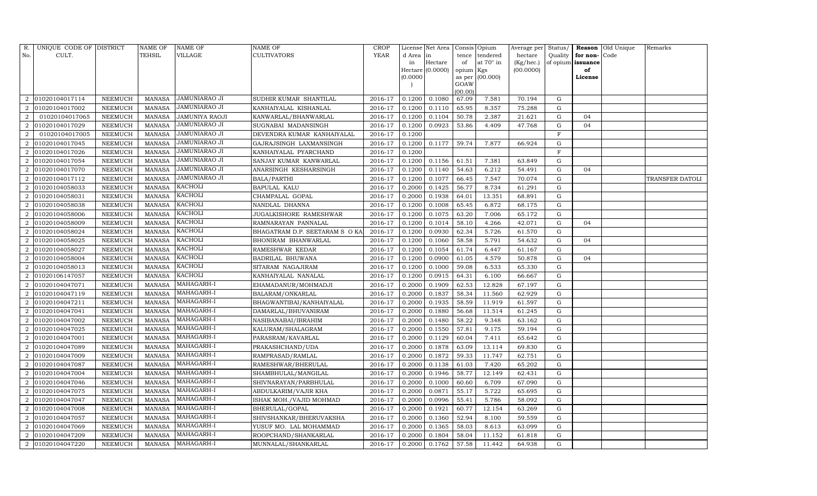| R.                          | UNIQUE CODE OF DISTRICT |                | NAME OF       | NAME OF               | NAME OF                        | <b>CROP</b> |          | License Net Area |           | Consis Opium     | Average per | Status/      |                   | Reason Old Unique | Remarks         |
|-----------------------------|-------------------------|----------------|---------------|-----------------------|--------------------------------|-------------|----------|------------------|-----------|------------------|-------------|--------------|-------------------|-------------------|-----------------|
| No.                         | CULT.                   |                | TEHSIL        | VILLAGE               | <b>CULTIVATORS</b>             | <b>YEAR</b> | d Area   | in               | tence     | tendered         | hectare     | Quality      | for non-Code      |                   |                 |
|                             |                         |                |               |                       |                                |             | in       | Hectare          | of        | at $70^\circ$ in | (Kg/hec.)   |              | of opium issuance |                   |                 |
|                             |                         |                |               |                       |                                |             |          | Hectare (0.0000) | opium Kgs |                  | (00.0000)   |              | of                |                   |                 |
|                             |                         |                |               |                       |                                |             | (0.0000) |                  | GOAW      | as per (00.000)  |             |              | License           |                   |                 |
|                             |                         |                |               |                       |                                |             |          |                  | (00.00)   |                  |             |              |                   |                   |                 |
| 2                           | 01020104017114          | NEEMUCH        | <b>MANASA</b> | JAMUNIARAO JI         | SUDHIR KUMAR SHANTILAL         | 2016-17     | 0.1200   | 0.1080           | 67.09     | 7.581            | 70.194      | G            |                   |                   |                 |
|                             | 01020104017002          | NEEMUCH        | <b>MANASA</b> | JAMUNIARAO JI         | KANHAIYALAL KISHANLAL          | 2016-17     | 0.1200   | 0.1110           | 65.95     | 8.357            | 75.288      | G            |                   |                   |                 |
| 2                           | 01020104017065          | NEEMUCH        | MANASA        | <b>JAMUNIYA RAOJI</b> | KANWARLAL/BHANWARLAL           | 2016-17     | 0.1200   | 0.1104           | 50.78     | 2.387            | 21.621      | G            | 04                |                   |                 |
| 2                           | 01020104017029          | NEEMUCH        | <b>MANASA</b> | JAMUNIARAO JI         | SUGNABAI MADANSINGH            | 2016-17     | 0.1200   | 0.0923           | 53.86     | 4.409            | 47.768      | G            | 04                |                   |                 |
| 2                           | 01020104017005          | <b>NEEMUCH</b> | <b>MANASA</b> | JAMUNIARAO JI         | DEVENDRA KUMAR KANHAIYALAL     | 2016-17     | 0.1200   |                  |           |                  |             | $\mathbf{F}$ |                   |                   |                 |
|                             | 01020104017045          | NEEMUCH        | <b>MANASA</b> | JAMUNIARAO JI         | GAJRAJSINGH LAXMANSINGH        | 2016-17     | 0.1200   | 0.1177           | 59.74     | 7.877            | 66.924      | ${\rm G}$    |                   |                   |                 |
| $\overline{2}$              | 01020104017026          | NEEMUCH        | <b>MANASA</b> | JAMUNIARAO JI         | KANHAIYALAL PYARCHAND          | 2016-17     | 0.1200   |                  |           |                  |             | $\mathbf{F}$ |                   |                   |                 |
| 2                           | 01020104017054          | <b>NEEMUCH</b> | <b>MANASA</b> | JAMUNIARAO JI         | SANJAY KUMAR KANWARLAL         | 2016-17     | 0.1200   | 0.1156           | 61.51     | 7.381            | 63.849      | $\mathbf G$  |                   |                   |                 |
| $\overline{2}$              | 01020104017070          | <b>NEEMUCH</b> | <b>MANASA</b> | JAMUNIARAO JI         | ANARSINGH KESHARSINGH          | 2016-17     | 0.1200   | 0.1140           | 54.63     | 6.212            | 54.491      | G            | 04                |                   |                 |
|                             | 01020104017112          | NEEMUCH        | <b>MANASA</b> | JAMUNIARAO JI         | BALA/PARTHI                    | 2016-17     | 0.1200   | 0.1077           | 66.45     | 7.547            | 70.074      | G            |                   |                   | TRANSFER DATOLI |
| 2                           | 01020104058033          | NEEMUCH        | <b>MANASA</b> | KACHOLI               | <b>BAPULAL KALU</b>            | 2016-17     | 0.2000   | 0.1425           | 56.77     | 8.734            | 61.291      | G            |                   |                   |                 |
| 2                           | 01020104058031          | NEEMUCH        | <b>MANASA</b> | KACHOLI               | CHAMPALAL GOPAL                | 2016-17     | 0.2000   | 0.1938           | 64.01     | 13.351           | 68.891      | G            |                   |                   |                 |
|                             | 01020104058038          | <b>NEEMUCH</b> | <b>MANASA</b> | KACHOLI               | NANDLAL DHANNA                 | 2016-17     | 0.1200   | 0.1008           | 65.45     | 6.872            | 68.175      | G            |                   |                   |                 |
| $\mathcal{D}_{\mathcal{L}}$ | 01020104058006          | NEEMUCH        | <b>MANASA</b> | KACHOLI               | JUGALKISHORE RAMESHWAR         | 2016-17     | 0.1200   | 0.1075           | 63.20     | 7.006            | 65.172      | G            |                   |                   |                 |
| $\overline{2}$              | 01020104058009          | NEEMUCH        | <b>MANASA</b> | KACHOLI               | RAMNARAYAN PANNALAL            | 2016-17     | 0.1200   | 0.1014           | 58.10     | 4.266            | 42.071      | G            | 04                |                   |                 |
| 2                           | 01020104058024          | NEEMUCH        | <b>MANASA</b> | KACHOLI               | BHAGATRAM D.P. SEETARAM S O KA | 2016-17     | 0.1200   | 0.0930           | 62.34     | 5.726            | 61.570      | G            |                   |                   |                 |
| $\mathcal{D}_{\mathcal{L}}$ | 01020104058025          | NEEMUCH        | <b>MANASA</b> | KACHOLI               | BHONIRAM BHANWARLAL            | 2016-17     | 0.1200   | 0.1060           | 58.58     | 5.791            | 54.632      | G            | 04                |                   |                 |
|                             | 01020104058027          | NEEMUCH        | MANASA        | KACHOLI               | RAMESHWAR KEDAR                | 2016-17     | 0.1200   | 0.1054           | 61.74     | 6.447            | 61.167      | G            |                   |                   |                 |
| $\mathcal{D}_{\mathcal{L}}$ | 01020104058004          | NEEMUCH        | <b>MANASA</b> | <b>KACHOLI</b>        | BADRILAL BHUWANA               | 2016-17     | 0.1200   | 0.0900           | 61.05     | 4.579            | 50.878      | G            | 04                |                   |                 |
| $\overline{2}$              | 01020104058013          | NEEMUCH        | <b>MANASA</b> | KACHOLI               | SITARAM NAGAJIRAM              | 2016-17     | 0.1200   | 0.1000           | 59.08     | 6.533            | 65.330      | G            |                   |                   |                 |
|                             | 01020106147057          | NEEMUCH        | <b>MANASA</b> | KACHOLI               | KANHAIYALAL NANALAL            | 2016-17     | 0.1200   | 0.0915           | 64.31     | 6.100            | 66.667      | G            |                   |                   |                 |
| $\mathcal{D}_{\mathcal{L}}$ | 01020104047071          | NEEMUCH        | <b>MANASA</b> | MAHAGARH-I            | EHAMADANUR/MOHMADJI            | 2016-17     | 0.2000   | 0.1909           | 62.53     | 12.828           | 67.197      | G            |                   |                   |                 |
| 2                           | 01020104047119          | NEEMUCH        | <b>MANASA</b> | MAHAGARH-I            | BALARAM/ONKARLAL               | 2016-17     | 0.2000   | 0.1837           | 58.34     | 11.560           | 62.929      | G            |                   |                   |                 |
| $\mathcal{D}_{\mathcal{L}}$ | 01020104047211          | <b>NEEMUCH</b> | <b>MANASA</b> | MAHAGARH-I            | BHAGWANTIBAI/KANHAIYALAL       | 2016-17     | 0.2000   | 0.1935           | 58.59     | 11.919           | 61.597      | G            |                   |                   |                 |
| $\mathcal{D}$               | 01020104047041          | <b>NEEMUCH</b> | <b>MANASA</b> | MAHAGARH-I            | DAMARLAL/BHUVANIRAM            | 2016-17     | 0.2000   | 0.1880           | 56.68     | 11.514           | 61.245      | G            |                   |                   |                 |
| 2                           | 01020104047002          | NEEMUCH        | <b>MANASA</b> | MAHAGARH-I            | NASIBANABAI/IBRAHIM            | 2016-17     | 0.2000   | 0.1480           | 58.22     | 9.348            | 63.162      | G            |                   |                   |                 |
| $\overline{2}$              | 01020104047025          | NEEMUCH        | <b>MANASA</b> | MAHAGARH-I            | KALURAM/SHALAGRAM              | 2016-17     | 0.2000   | 0.1550           | 57.81     | 9.175            | 59.194      | $\mathbf G$  |                   |                   |                 |
| $\overline{2}$              | 01020104047001          | <b>NEEMUCH</b> | <b>MANASA</b> | MAHAGARH-I            | PARASRAM/KAVARLAL              | 2016-17     | 0.2000   | 0.1129           | 60.04     | 7.411            | 65.642      | G            |                   |                   |                 |
|                             | 01020104047089          | NEEMUCH        | <b>MANASA</b> | MAHAGARH-I            | PRAKASHCHAND/UDA               | 2016-17     | 0.2000   | 0.1878           | 63.09     | 13.114           | 69.830      | G            |                   |                   |                 |
| $\overline{2}$              | 01020104047009          | NEEMUCH        | <b>MANASA</b> | MAHAGARH-I            | RAMPRASAD/RAMLAL               | 2016-17     | 0.2000   | 0.1872           | 59.33     | 11.747           | 62.751      | G            |                   |                   |                 |
| 2                           | 01020104047087          | NEEMUCH        | <b>MANASA</b> | MAHAGARH-I            | RAMESHWAR/BHERULAL             | 2016-17     | 0.2000   | 0.1138           | 61.03     | 7.420            | 65.202      | G            |                   |                   |                 |
| $\overline{2}$              | 01020104047004          | <b>NEEMUCH</b> | <b>MANASA</b> | MAHAGARH-I            | SHAMBHULAL/MANGILAL            | 2016-17     | 0.2000   | 0.1946           | 58.77     | 12.149           | 62.431      | $\mathbf G$  |                   |                   |                 |
| $\overline{2}$              | 01020104047046          | NEEMUCH        | <b>MANASA</b> | MAHAGARH-I            | SHIVNARAYAN/PARBHULAL          | 2016-17     | 0.2000   | 0.1000           | 60.60     | 6.709            | 67.090      | G            |                   |                   |                 |
| 2                           | 01020104047075          | NEEMUCH        | <b>MANASA</b> | MAHAGARH-I            | ABDULKARIM/VAJIR KHA           | 2016-17     | 0.2000   | 0.0871           | 55.17     | 5.722            | 65.695      | G            |                   |                   |                 |
| 2                           | 01020104047047          | <b>NEEMUCH</b> | <b>MANASA</b> | MAHAGARH-I            | ISHAK MOH./VAJID MOHMAD        | 2016-17     | 0.2000   | 0.0996           | 55.41     | 5.786            | 58.092      | $\mathbf G$  |                   |                   |                 |
| $\mathcal{D}_{\mathcal{L}}$ | 01020104047008          | <b>NEEMUCH</b> | <b>MANASA</b> | MAHAGARH-I            | BHERULAL/GOPAL                 | 2016-17     | 0.2000   | 0.1921           | 60.77     | 12.154           | 63.269      | $\mathbf G$  |                   |                   |                 |
| 2                           | 01020104047057          | NEEMUCH        | <b>MANASA</b> | MAHAGARH-I            | SHIVSHANKAR/BHERUVAKSHA        | 2016-17     | 0.2000   | 0.1360           | 52.94     | 8.100            | 59.559      | G            |                   |                   |                 |
| $\overline{2}$              | 01020104047069          | NEEMUCH        | <b>MANASA</b> | MAHAGARH-I            | YUSUF MO. LAL MOHAMMAD         | 2016-17     | 0.2000   | 0.1365           | 58.03     | 8.613            | 63.099      | G            |                   |                   |                 |
| 2                           | 01020104047209          | NEEMUCH        | <b>MANASA</b> | MAHAGARH-I            | ROOPCHAND/SHANKARLAL           | 2016-17     | 0.2000   | 0.1804           | 58.04     | 11.152           | 61.818      | G            |                   |                   |                 |
| $\overline{a}$              | 01020104047220          | <b>NEEMUCH</b> | MANASA        | MAHAGARH-I            | MUNNALAL/SHANKARLAL            | 2016-17     | 0.2000   | 0.1762           | 57.58     | 11.442           | 64.938      | G            |                   |                   |                 |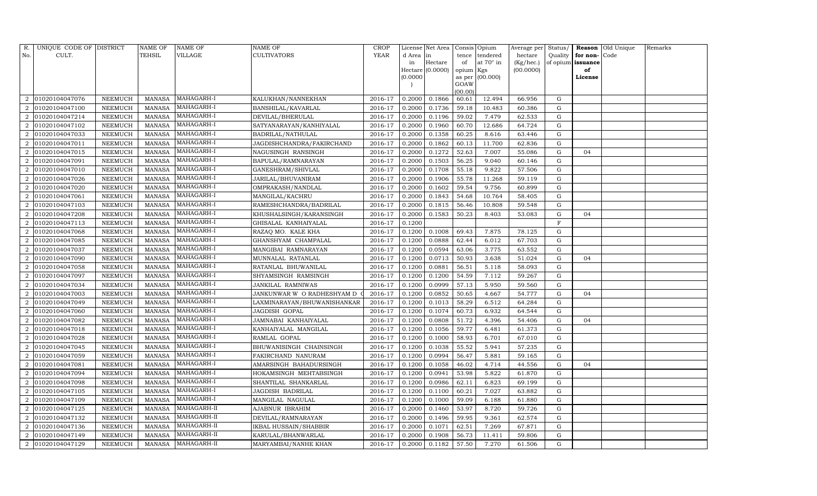| R.                          | UNIQUE CODE OF DISTRICT |                | <b>NAME OF</b> | NAME OF     | <b>NAME OF</b>               | <b>CROP</b> |           | License Net Area |                | Consis Opium | Average per | Status/     | Reason            | Old Unique | Remarks |
|-----------------------------|-------------------------|----------------|----------------|-------------|------------------------------|-------------|-----------|------------------|----------------|--------------|-------------|-------------|-------------------|------------|---------|
| No.                         | CULT.                   |                | TEHSIL         | VILLAGE     | <b>CULTIVATORS</b>           | YEAR        | d Area in |                  | tence          | tendered     | hectare     | Quality     | for non-          | Code       |         |
|                             |                         |                |                |             |                              |             | in        | Hectare          | of             | at 70° in    | (Kg/hec.)   |             | of opium issuance |            |         |
|                             |                         |                |                |             |                              |             |           | Hectare (0.0000) | opium Kgs      |              | (00.0000)   |             | of                |            |         |
|                             |                         |                |                |             |                              |             | (0.0000)  |                  | as per<br>GOAW | (00.000)     |             |             | License           |            |         |
|                             |                         |                |                |             |                              |             |           |                  | (00.00)        |              |             |             |                   |            |         |
| 2                           | 01020104047076          | NEEMUCH        | <b>MANASA</b>  | MAHAGARH-I  | KALUKHAN/NANNEKHAN           | 2016-17     | 0.2000    | 0.1866           | 60.61          | 12.494       | 66.956      | G           |                   |            |         |
|                             | 01020104047100          | NEEMUCH        | <b>MANASA</b>  | MAHAGARH-I  | BANSHILAL/KAVARLAL           | 2016-17     | 0.2000    | 0.1736           | 59.18          | 10.483       | 60.386      | G           |                   |            |         |
| $\overline{2}$              | 01020104047214          | NEEMUCH        | <b>MANASA</b>  | MAHAGARH-I  | DEVILAL/BHERULAL             | 2016-17     | 0.2000    | 0.1196           | 59.02          | 7.479        | 62.533      | G           |                   |            |         |
| $\overline{2}$              | 01020104047102          | NEEMUCH        | <b>MANASA</b>  | MAHAGARH-I  | SATYANARAYAN/KANHIYALAL      | 2016-17     | 0.2000    | 0.1960           | 60.70          | 12.686       | 64.724      | G           |                   |            |         |
| $\overline{2}$              | 01020104047033          | <b>NEEMUCH</b> | <b>MANASA</b>  | MAHAGARH-I  | BADRILAL/NATHULAL            | 2016-17     | 0.2000    | 0.1358           | 60.25          | 8.616        | 63.446      | G           |                   |            |         |
| $\overline{2}$              | 01020104047011          | NEEMUCH        | <b>MANASA</b>  | MAHAGARH-I  | JAGDISHCHANDRA/FAKIRCHAND    | 2016-17     | 0.2000    | 0.1862           | 60.13          | 11.700       | 62.836      | G           |                   |            |         |
| $\overline{2}$              | 01020104047015          | NEEMUCH        | <b>MANASA</b>  | MAHAGARH-I  | NAGUSINGH RANSINGH           | 2016-17     | 0.2000    | 0.1272           | 52.63          | 7.007        | 55.086      | G           | 04                |            |         |
| 2                           | 01020104047091          | NEEMUCH        | <b>MANASA</b>  | MAHAGARH-I  | BAPULAL/RAMNARAYAN           | 2016-17     | 0.2000    | 0.1503           | 56.25          | 9.040        | 60.146      | G           |                   |            |         |
| $\overline{2}$              | 01020104047010          | NEEMUCH        | <b>MANASA</b>  | MAHAGARH-I  | GANESHRAM/SHIVLAL            | 2016-17     | 0.2000    | 0.1708           | 55.18          | 9.822        | 57.506      | $\mathbf G$ |                   |            |         |
|                             | 01020104047026          | NEEMUCH        | <b>MANASA</b>  | MAHAGARH-I  | JARILAL/BHUVANIRAM           | 2016-17     | 0.2000    | 0.1906           | 55.78          | 11.268       | 59.119      | G           |                   |            |         |
| $\overline{2}$              | 01020104047020          | NEEMUCH        | <b>MANASA</b>  | MAHAGARH-I  | OMPRAKASH/NANDLAL            | 2016-17     | 0.2000    | 0.1602           | 59.54          | 9.756        | 60.899      | ${\rm G}$   |                   |            |         |
| 2                           | 01020104047061          | NEEMUCH        | MANASA         | MAHAGARH-I  | MANGILAL/KACHRU              | 2016-17     | 0.2000    | 0.1843           | 54.68          | 10.764       | 58.405      | G           |                   |            |         |
|                             | 01020104047103          | <b>NEEMUCH</b> | <b>MANASA</b>  | MAHAGARH-I  | RAMESHCHANDRA/BADRILAL       | 2016-17     | 0.2000    | 0.1815           | 56.46          | 10.808       | 59.548      | ${\rm G}$   |                   |            |         |
| $\mathcal{D}_{\mathcal{L}}$ | 01020104047208          | NEEMUCH        | MANASA         | MAHAGARH-I  | KHUSHALSINGH/KARANSINGH      | 2016-17     | 0.2000    | 0.1583           | 50.23          | 8.403        | 53.083      | G           | 04                |            |         |
| 2                           | 01020104047113          | NEEMUCH        | <b>MANASA</b>  | MAHAGARH-I  | GHISALAL KANHAIYALAL         | 2016-17     | 0.1200    |                  |                |              |             | F           |                   |            |         |
| $\overline{2}$              | 01020104047068          | NEEMUCH        | <b>MANASA</b>  | MAHAGARH-I  | RAZAQ MO. KALE KHA           | 2016-17     | 0.1200    | 0.1008           | 69.43          | 7.875        | 78.125      | G           |                   |            |         |
| $\mathcal{D}$               | 01020104047085          | <b>NEEMUCH</b> | <b>MANASA</b>  | MAHAGARH-I  | GHANSHYAM CHAMPALAL          | 2016-17     | 0.1200    | 0.0888           | 62.44          | 6.012        | 67.703      | G           |                   |            |         |
| 2                           | 01020104047037          | NEEMUCH        | MANASA         | MAHAGARH-I  | MANGIBAI RAMNARAYAN          | 2016-17     | 0.1200    | 0.0594           | 63.06          | 3.775        | 63.552      | G           |                   |            |         |
| $\mathcal{D}_{\mathcal{L}}$ | 01020104047090          | NEEMUCH        | <b>MANASA</b>  | MAHAGARH-I  | MUNNALAL RATANLAL            | 2016-17     | 0.1200    | 0.0713           | 50.93          | 3.638        | 51.024      | G           | 04                |            |         |
| $\overline{2}$              | 01020104047058          | NEEMUCH        | MANASA         | MAHAGARH-I  | RATANLAL BHUWANILAL          | 2016-17     | 0.1200    | 0.0881           | 56.51          | 5.118        | 58.093      | G           |                   |            |         |
|                             | 01020104047097          | NEEMUCH        | <b>MANASA</b>  | MAHAGARH-I  | SHYAMSINGH RAMSINGH          | 2016-17     | 0.1200    | 0.1200           | 54.59          | 7.112        | 59.267      | G           |                   |            |         |
| $\mathcal{D}_{\mathcal{L}}$ | 01020104047034          | NEEMUCH        | <b>MANASA</b>  | MAHAGARH-I  | JANKILAL RAMNIWAS            | 2016-17     | 0.1200    | 0.0999           | 57.13          | 5.950        | 59.560      | G           |                   |            |         |
| 2                           | 01020104047003          | NEEMUCH        | <b>MANASA</b>  | MAHAGARH-I  | JANKUNWAR W O RADHESHYAM D   | 2016-17     | 0.1200    | 0.0852           | 50.65          | 4.667        | 54.777      | G           | 04                |            |         |
| $\mathcal{D}_{\mathcal{L}}$ | 01020104047049          | NEEMUCH        | <b>MANASA</b>  | MAHAGARH-I  | LAXMINARAYAN/BHUWANISHANKAR  | 2016-17     | 0.1200    | 0.1013           | 58.29          | 6.512        | 64.284      | G           |                   |            |         |
|                             | 01020104047060          | NEEMUCH        | <b>MANASA</b>  | MAHAGARH-I  | JAGDISH GOPAL                | 2016-17     | 0.1200    | 0.1074           | 60.73          | 6.932        | 64.544      | G           |                   |            |         |
|                             | 01020104047082          | NEEMUCH        | <b>MANASA</b>  | MAHAGARH-I  | JAMNABAI KANHAIYALAL         | 2016-17     | 0.1200    | 0.0808           | 51.72          | 4.396        | 54.406      | G           | 04                |            |         |
| $\overline{2}$              | 01020104047018          | NEEMUCH        | <b>MANASA</b>  | MAHAGARH-I  | KANHAIYALAL MANGILAL         | 2016-17     | 0.1200    | 0.1056           | 59.77          | 6.481        | 61.373      | G           |                   |            |         |
| $\overline{2}$              | 01020104047028          | <b>NEEMUCH</b> | <b>MANASA</b>  | MAHAGARH-I  | RAMLAL GOPAL                 | 2016-17     | 0.1200    | 0.1000           | 58.93          | 6.701        | 67.010      | $\mathbf G$ |                   |            |         |
|                             | 01020104047045          | NEEMUCH        | <b>MANASA</b>  | MAHAGARH-I  | BHUWANISINGH CHAINSINGH      | 2016-17     | 0.1200    | 0.1038           | 55.52          | 5.941        | 57.235      | G           |                   |            |         |
| $\overline{2}$              | 01020104047059          | NEEMUCH        | <b>MANASA</b>  | MAHAGARH-I  | FAKIRCHAND NANURAM           | 2016-17     | 0.1200    | 0.0994           | 56.47          | 5.881        | 59.165      | G           |                   |            |         |
| 2                           | 01020104047081          | NEEMUCH        | <b>MANASA</b>  | MAHAGARH-I  | AMARSINGH BAHADURSINGH       | 2016-17     | 0.1200    | 0.1058           | 46.02          | 4.714        | 44.556      | ${\rm G}$   | 04                |            |         |
| $\overline{2}$              | 01020104047094          | <b>NEEMUCH</b> | <b>MANASA</b>  | MAHAGARH-I  | HOKAMSINGH MEHTABSINGH       | 2016-17     | 0.1200    | 0.0941           | 53.98          | 5.822        | 61.870      | G           |                   |            |         |
|                             | 01020104047098          | NEEMUCH        | <b>MANASA</b>  | MAHAGARH-I  | SHANTILAL SHANKARLAL         | 2016-17     | 0.1200    | 0.0986           | 62.11          | 6.823        | 69.199      | G           |                   |            |         |
| 2                           | 01020104047105          | NEEMUCH        | <b>MANASA</b>  | MAHAGARH-I  | JAGDISH BADRILAL             | 2016-17     | 0.1200    | 0.1100           | 60.21          | 7.027        | 63.882      | ${\rm G}$   |                   |            |         |
| 2                           | 01020104047109          | NEEMUCH        | <b>MANASA</b>  | MAHAGARH-I  | MANGILAL NAGULAL             | 2016-17     | 0.1200    | 0.1000           | 59.09          | 6.188        | 61.880      | G           |                   |            |         |
| $\mathcal{D}_{\mathcal{L}}$ | 01020104047125          | <b>NEEMUCH</b> | <b>MANASA</b>  | MAHAGARH-II | <b>AJABNUR IBRAHIM</b>       | 2016-17     | 0.2000    | 0.1460           | 53.97          | 8.720        | 59.726      | ${\rm G}$   |                   |            |         |
| 2                           | 01020104047132          | NEEMUCH        | <b>MANASA</b>  | MAHAGARH-II | DEVILAL/RAMNARAYAN           | 2016-17     | 0.2000    | 0.1496           | 59.95          | 9.361        | 62.574      | G           |                   |            |         |
| $\overline{2}$              | 01020104047136          | NEEMUCH        | <b>MANASA</b>  | MAHAGARH-II | <b>IKBAL HUSSAIN/SHABBIR</b> | 2016-17     | 0.2000    | 0.1071           | 62.51          | 7.269        | 67.871      | G           |                   |            |         |
| 2                           | 01020104047149          | NEEMUCH        | MANASA         | MAHAGARH-II | KARULAL/BHANWARLAL           | 2016-17     | 0.2000    | 0.1908           | 56.73          | 11.411       | 59.806      | G           |                   |            |         |
| $\overline{a}$              | 01020104047129          | NEEMUCH        | MANASA         | MAHAGARH-II | MARYAMBAI/NANHE KHAN         | 2016-17     | 0.2000    | 0.1182           | 57.50          | 7.270        | 61.506      | G           |                   |            |         |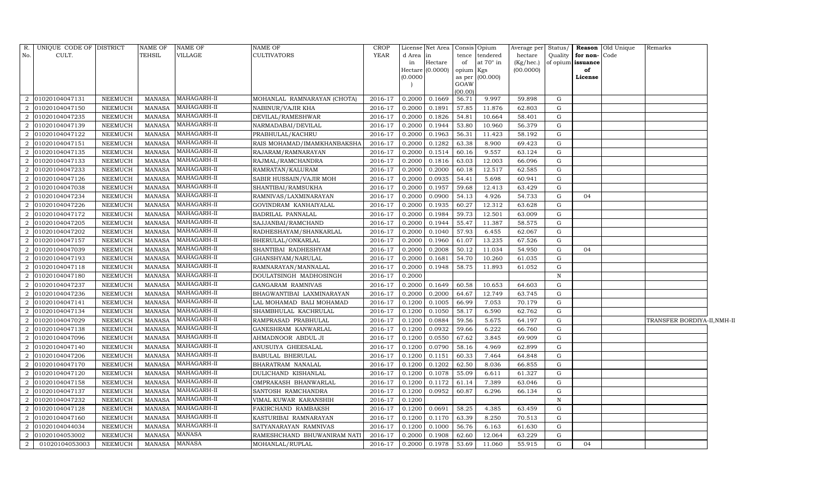| R.             | UNIQUE CODE OF DISTRICT |                | NAME OF       | NAME OF       | NAME OF                     | <b>CROP</b> | License Net Area   |           | Consis Opium     |           |              |                      | Average per Status/ <b>Reason</b> Old Unique | Remarks                     |  |
|----------------|-------------------------|----------------|---------------|---------------|-----------------------------|-------------|--------------------|-----------|------------------|-----------|--------------|----------------------|----------------------------------------------|-----------------------------|--|
| No.            | CULT.                   |                | TEHSIL        | VILLAGE       | <b>CULTIVATORS</b>          | <b>YEAR</b> | d Area<br>lin      |           | tence tendered   | hectare   |              | Quality for non-Code |                                              |                             |  |
|                |                         |                |               |               |                             |             | Hectare<br>in      | of        | at $70^\circ$ in | (Kg/hec.) |              | of opium issuance    |                                              |                             |  |
|                |                         |                |               |               |                             |             | Hectare $(0.0000)$ | opium Kgs |                  | (00.0000) |              | of                   |                                              |                             |  |
|                |                         |                |               |               |                             |             | (0.0000)           | GOAW      | as per (00.000)  |           |              | License              |                                              |                             |  |
|                |                         |                |               |               |                             |             |                    | (00.00)   |                  |           |              |                      |                                              |                             |  |
| 2              | 01020104047131          | <b>NEEMUCH</b> | MANASA        | MAHAGARH-II   | MOHANLAL RAMNARAYAN (CHOTA) | 2016-17     | 0.2000<br>0.1669   | 56.71     | 9.997            | 59.898    | G            |                      |                                              |                             |  |
| $\overline{2}$ | 01020104047150          | NEEMUCH        | <b>MANASA</b> | MAHAGARH-II   | NABINUR/VAJIR KHA           | 2016-17     | 0.2000<br>0.1891   | 57.85     | 11.876           | 62.803    | G            |                      |                                              |                             |  |
| 2              | 01020104047235          | <b>NEEMUCH</b> | <b>MANASA</b> | MAHAGARH-II   | DEVILAL/RAMESHWAR           | 2016-17     | 0.2000<br>0.1826   | 54.81     | 10.664           | 58.401    | G            |                      |                                              |                             |  |
| 2              | 01020104047139          | NEEMUCH        | <b>MANASA</b> | MAHAGARH-II   | NARMADABAI/DEVILAL          | 2016-17     | 0.1944<br>0.2000   | 53.80     | 10.960           | 56.379    | G            |                      |                                              |                             |  |
| 2              | 01020104047122          | <b>NEEMUCH</b> | <b>MANASA</b> | MAHAGARH-II   | PRABHULAL/KACHRU            | 2016-17     | 0.2000<br>0.1963   | 56.31     | 11.423           | 58.192    | G            |                      |                                              |                             |  |
| 2              | 01020104047151          | <b>NEEMUCH</b> | MANASA        | MAHAGARH-II   | RAIS MOHAMAD/IMAMKHANBAKSHA | 2016-17     | 0.2000<br>0.1282   | 63.38     | 8.900            | 69.423    | G            |                      |                                              |                             |  |
| $\overline{a}$ | 01020104047135          | NEEMUCH        | <b>MANASA</b> | MAHAGARH-II   | RAJARAM/RAMNARAYAN          | 2016-17     | 0.2000<br>0.1514   | 60.16     | 9.557            | 63.124    | G            |                      |                                              |                             |  |
| 2              | 01020104047133          | <b>NEEMUCH</b> | MANASA        | MAHAGARH-II   | RAJMAL/RAMCHANDRA           | 2016-17     | 0.1816<br>0.2000   | 63.03     | 12.003           | 66.096    | G            |                      |                                              |                             |  |
| $\overline{2}$ | 01020104047233          | <b>NEEMUCH</b> | <b>MANASA</b> | MAHAGARH-II   | RAMRATAN/KALURAM            | 2016-17     | 0.2000<br>0.2000   | 60.18     | 12.517           | 62.585    | G            |                      |                                              |                             |  |
| $\overline{2}$ | 01020104047126          | <b>NEEMUCH</b> | <b>MANASA</b> | MAHAGARH-II   | SABIR HUSSAIN/VAJIR MOH     | 2016-17     | 0.0935<br>0.2000   | 54.41     | 5.698            | 60.941    | G            |                      |                                              |                             |  |
| $\overline{2}$ | 01020104047038          | <b>NEEMUCH</b> | <b>MANASA</b> | MAHAGARH-II   | SHANTIBAI/RAMSUKHA          | 2016-17     | 0.2000<br>0.1957   | 59.68     | 12.413           | 63.429    | G            |                      |                                              |                             |  |
| 2              | 01020104047234          | <b>NEEMUCH</b> | <b>MANASA</b> | MAHAGARH-II   | RAMNIVAS/LAXMINARAYAN       | 2016-17     | 0.2000<br>0.0900   | 54.13     | 4.926            | 54.733    | G            | 04                   |                                              |                             |  |
| 2              | 01020104047226          | <b>NEEMUCH</b> | <b>MANASA</b> | MAHAGARH-II   | GOVINDRAM KANHAIYALAL       | 2016-17     | 0.1935<br>0.2000   | 60.27     | 12.312           | 63.628    | G            |                      |                                              |                             |  |
| 2              | 01020104047172          | <b>NEEMUCH</b> | <b>MANASA</b> | MAHAGARH-II   | BADRILAL PANNALAL           | 2016-17     | 0.2000<br>0.1984   | 59.73     | 12.501           | 63.009    | G            |                      |                                              |                             |  |
| 2              | 01020104047205          | <b>NEEMUCH</b> | <b>MANASA</b> | MAHAGARH-II   | SAJJANBAI/RAMCHAND          | 2016-17     | 0.1944<br>0.2000   | 55.47     | 11.387           | 58.575    | G            |                      |                                              |                             |  |
| 2              | 01020104047202          | <b>NEEMUCH</b> | MANASA        | MAHAGARH-II   | RADHESHAYAM/SHANKARLAL      | 2016-17     | 0.2000<br>0.1040   | 57.93     | 6.455            | 62.067    | G            |                      |                                              |                             |  |
| $\overline{2}$ | 01020104047157          | <b>NEEMUCH</b> | <b>MANASA</b> | MAHAGARH-II   | BHERULAL/ONKARLAL           | 2016-17     | 0.1960<br>0.2000   | 61.07     | 13.235           | 67.526    | G            |                      |                                              |                             |  |
| $\overline{2}$ | 01020104047039          | NEEMUCH        | MANASA        | MAHAGARH-II   | SHANTIBAI RADHESHYAM        | 2016-17     | 0.2000<br>0.2008   | 50.12     | 11.034           | 54.950    | G            | 04                   |                                              |                             |  |
| 2              | 01020104047193          | NEEMUCH        | <b>MANASA</b> | MAHAGARH-II   | GHANSHYAM/NARULAL           | 2016-17     | 0.2000<br>0.1681   | 54.70     | 10.260           | 61.035    | G            |                      |                                              |                             |  |
| 2              | 01020104047118          | <b>NEEMUCH</b> | <b>MANASA</b> | MAHAGARH-II   | RAMNARAYAN/MANNALAL         | 2016-17     | 0.1948<br>0.2000   | 58.75     | 11.893           | 61.052    | G            |                      |                                              |                             |  |
| $\overline{2}$ | 01020104047180          | <b>NEEMUCH</b> | <b>MANASA</b> | MAHAGARH-II   | DOULATSINGH MADHOSINGH      | 2016-17     | 0.2000             |           |                  |           | $\, {\bf N}$ |                      |                                              |                             |  |
| 2              | 01020104047237          | <b>NEEMUCH</b> | <b>MANASA</b> | MAHAGARH-II   | GANGARAM RAMNIVAS           | 2016-17     | 0.2000<br>0.1649   | 60.58     | 10.653           | 64.603    | G            |                      |                                              |                             |  |
| $\overline{2}$ | 01020104047236          | <b>NEEMUCH</b> | <b>MANASA</b> | MAHAGARH-II   | BHAGWANTIBAI LAXMINARAYAN   | 2016-17     | 0.2000<br>0.2000   | 64.67     | 12.749           | 63.745    | G            |                      |                                              |                             |  |
| 2              | 01020104047141          | <b>NEEMUCH</b> | <b>MANASA</b> | MAHAGARH-II   | LAL MOHAMAD BALI MOHAMAD    | 2016-17     | 0.1200<br>0.1005   | 66.99     | 7.053            | 70.179    | G            |                      |                                              |                             |  |
| $\overline{2}$ | 01020104047134          | <b>NEEMUCH</b> | <b>MANASA</b> | MAHAGARH-II   | SHAMBHULAL KACHRULAL        | 2016-17     | 0.1200<br>0.1050   | 58.17     | 6.590            | 62.762    | G            |                      |                                              |                             |  |
| 2              | 01020104047029          | <b>NEEMUCH</b> | <b>MANASA</b> | MAHAGARH-II   | RAMPRASAD PRABHULAL         | 2016-17     | 0.1200<br>0.0884   | 59.56     | 5.675            | 64.197    | G            |                      |                                              | TRANSFER BORDIYA-II, NMH-II |  |
| $\overline{2}$ | 01020104047138          | <b>NEEMUCH</b> | <b>MANASA</b> | MAHAGARH-II   | GANESHRAM KANWARLAL         | 2016-17     | 0.0932<br>0.1200   | 59.66     | 6.222            | 66.760    | G            |                      |                                              |                             |  |
| $\overline{2}$ | 01020104047096          | NEEMUCH        | MANASA        | MAHAGARH-II   | AHMADNOOR ABDUL JI          | 2016-17     | 0.1200<br>0.0550   | 67.62     | 3.845            | 69.909    | G            |                      |                                              |                             |  |
| 2              | 01020104047140          | NEEMUCH        | MANASA        | MAHAGARH-II   | ANUSUIYA GHEESALAL          | 2016-17     | 0.0790<br>0.1200   | 58.16     | 4.969            | 62.899    | G            |                      |                                              |                             |  |
| 2              | 01020104047206          | <b>NEEMUCH</b> | <b>MANASA</b> | MAHAGARH-II   | <b>BABULAL BHERULAL</b>     | 2016-17     | 0.1200<br>0.1151   | 60.33     | 7.464            | 64.848    | G            |                      |                                              |                             |  |
| $\overline{2}$ | 01020104047170          | NEEMUCH        | <b>MANASA</b> | MAHAGARH-II   | BHARATRAM NANALAL           | 2016-17     | 0.1202<br>0.1200   | 62.50     | 8.036            | 66.855    | G            |                      |                                              |                             |  |
| 2              | 01020104047120          | <b>NEEMUCH</b> | <b>MANASA</b> | MAHAGARH-II   | DULICHAND KISHANLAL         | 2016-17     | 0.1200<br>0.1078   | 55.09     | 6.611            | 61.327    | G            |                      |                                              |                             |  |
| 2              | 01020104047158          | <b>NEEMUCH</b> | <b>MANASA</b> | MAHAGARH-II   | OMPRAKASH BHANWARLAL        | 2016-17     | 0.1172<br>0.1200   | 61.14     | 7.389            | 63.046    | G            |                      |                                              |                             |  |
| $\overline{a}$ | 01020104047137          | NEEMUCH        | <b>MANASA</b> | MAHAGARH-II   | SANTOSH RAMCHANDRA          | 2016-17     | 0.0952<br>0.1200   | 60.87     | 6.296            | 66.134    | G            |                      |                                              |                             |  |
| $\overline{2}$ | 01020104047232          | <b>NEEMUCH</b> | <b>MANASA</b> | MAHAGARH-II   | VIMAL KUWAR KARANSHIH       | 2016-17     | 0.1200             |           |                  |           | $\mathbf N$  |                      |                                              |                             |  |
| $\overline{a}$ | 01020104047128          | <b>NEEMUCH</b> | <b>MANASA</b> | MAHAGARH-II   | FAKIRCHAND RAMBAKSH         | 2016-17     | 0.0691<br>0.1200   | 58.25     | 4.385            | 63.459    | G            |                      |                                              |                             |  |
| $\overline{2}$ | 01020104047160          | <b>NEEMUCH</b> | <b>MANASA</b> | MAHAGARH-II   | KASTURIBAI RAMNARAYAN       | 2016-17     | 0.1170<br>0.1200   | 63.39     | 8.250            | 70.513    | G            |                      |                                              |                             |  |
| 2              | 01020104044034          | <b>NEEMUCH</b> | <b>MANASA</b> | MAHAGARH-II   | SATYANARAYAN RAMNIVAS       | 2016-17     | 0.1200<br>0.1000   | 56.76     | 6.163            | 61.630    | G            |                      |                                              |                             |  |
| 2              | 01020104053002          | <b>NEEMUCH</b> | <b>MANASA</b> | MANASA        | RAMESHCHAND BHUWANIRAM NATI | 2016-17     | 0.2000<br>0.1908   | 62.60     | 12.064           | 63.229    | G            |                      |                                              |                             |  |
| $\overline{a}$ | 01020104053003          | <b>NEEMUCH</b> | MANASA        | <b>MANASA</b> | MOHANLAL/RUPLAL             | 2016-17     | 0.2000<br>0.1978   | 53.69     | 11.060           | 55.915    | G            | 04                   |                                              |                             |  |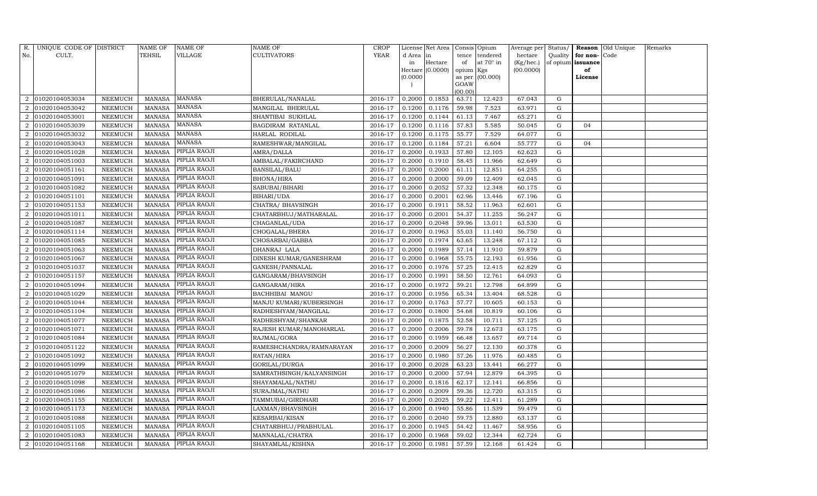| R.                          | UNIQUE CODE OF DISTRICT |                 | <b>NAME OF</b> | NAME OF       | <b>NAME OF</b>           | CROP        |           | License Net Area |                 | Consis Opium | Average per | Status/     | Reason            | Old Unique | Remarks |
|-----------------------------|-------------------------|-----------------|----------------|---------------|--------------------------|-------------|-----------|------------------|-----------------|--------------|-------------|-------------|-------------------|------------|---------|
| No.                         | CULT.                   |                 | TEHSIL         | VILLAGE       | <b>CULTIVATORS</b>       | <b>YEAR</b> | d Area in |                  | tence           | tendered     | hectare     | Quality     | for non-          | Code       |         |
|                             |                         |                 |                |               |                          |             | in        | Hectare          | of              | at 70° in    | (Kg/hec.)   |             | of opium issuance |            |         |
|                             |                         |                 |                |               |                          |             |           | Hectare (0.0000) | opium Kgs       |              | (00.0000)   |             | of                |            |         |
|                             |                         |                 |                |               |                          |             | (0.0000)  |                  | as per          | (00.000)     |             |             | License           |            |         |
|                             |                         |                 |                |               |                          |             |           |                  | GOAW<br>(00.00) |              |             |             |                   |            |         |
| 2                           | 01020104053034          | NEEMUCH         | <b>MANASA</b>  | MANASA        | BHERULAL/NANALAL         | 2016-17     | 0.2000    | 0.1853           | 63.71           | 12.423       | 67.043      | G           |                   |            |         |
|                             | 01020104053042          | NEEMUCH         | <b>MANASA</b>  | <b>MANASA</b> | MANGILAL BHERULAL        | 2016-17     | 0.1200    | 0.1176           | 59.98           | 7.523        | 63.971      | G           |                   |            |         |
| $\mathcal{D}_{\mathcal{L}}$ | 01020104053001          | NEEMUCH         | <b>MANASA</b>  | <b>MANASA</b> | SHANTIBAI SUKHLAL        | 2016-17     | 0.1200    | 0.1144           | 61.13           | 7.467        | 65.271      | G           |                   |            |         |
| 2                           | 01020104053039          | ${\tt NEEMUCH}$ | <b>MANASA</b>  | MANASA        | BAGDIRAM RATANLAL        | 2016-17     | 0.1200    | 0.1116           | 57.83           | 5.585        | 50.045      | ${\rm G}$   | 04                |            |         |
| $\mathcal{D}_{\mathcal{L}}$ | 01020104053032          | <b>NEEMUCH</b>  | <b>MANASA</b>  | MANASA        | HARLAL RODILAL           | 2016-17     | 0.1200    | 0.1175           | 55.77           | 7.529        | 64.077      | G           |                   |            |         |
| $\mathcal{D}_{\mathcal{L}}$ | 01020104053043          | NEEMUCH         | <b>MANASA</b>  | MANASA        | RAMESHWAR/MANGILAL       | 2016-17     | 0.1200    | 0.1184           | 57.21           | 6.604        | 55.777      | G           | 04                |            |         |
| 2                           | 01020104051028          | ${\tt NEEMUCH}$ | <b>MANASA</b>  | PIPLIA RAOJI  | AMRA/DALLA               | 2016-17     | 0.2000    | 0.1933           | 57.80           | 12.105       | 62.623      | G           |                   |            |         |
| 2                           | 01020104051003          | NEEMUCH         | <b>MANASA</b>  | PIPLIA RAOJI  | AMBALAL/FAKIRCHAND       | 2016-17     | 0.2000    | 0.1910           | 58.45           | 11.966       | 62.649      | G           |                   |            |         |
| $\overline{2}$              | 01020104051161          | NEEMUCH         | <b>MANASA</b>  | PIPLIA RAOJI  | <b>BANSILAL/BALU</b>     | 2016-17     | 0.2000    | 0.2000           | 61.11           | 12.851       | 64.255      | $\mathbf G$ |                   |            |         |
|                             | 01020104051091          | NEEMUCH         | <b>MANASA</b>  | PIPLIA RAOJI  | <b>BHONA/HIRA</b>        | 2016-17     | 0.2000    | 0.2000           | 59.09           | 12.409       | 62.045      | G           |                   |            |         |
| $\overline{2}$              | 01020104051082          | ${\tt NEEMUCH}$ | <b>MANASA</b>  | PIPLIA RAOJI  | SABUBAI/BIHARI           | 2016-17     | 0.2000    | 0.2052           | 57.32           | 12.348       | 60.175      | G           |                   |            |         |
| 2                           | 01020104051101          | NEEMUCH         | <b>MANASA</b>  | PIPLIA RAOJI  | <b>BIHARI/UDA</b>        | 2016-17     | 0.2000    | 0.2001           | 62.96           | 13.446       | 67.196      | $\mathbf G$ |                   |            |         |
|                             | 01020104051153          | <b>NEEMUCH</b>  | <b>MANASA</b>  | PIPLIA RAOJI  | CHATRA/ BHAVSINGH        | 2016-17     | 0.2000    | 0.1911           | 58.52           | 11.963       | 62.601      | ${\rm G}$   |                   |            |         |
| $\overline{2}$              | 01020104051011          | NEEMUCH         | <b>MANASA</b>  | PIPLIA RAOJI  | CHATARBHUJ/MATHARALAL    | 2016-17     | 0.2000    | 0.2001           | 54.37           | 11.255       | 56.247      | ${\rm G}$   |                   |            |         |
| 2                           | 01020104051087          | NEEMUCH         | <b>MANASA</b>  | PIPLIA RAOJI  | CHAGANLAL/UDA            | 2016-17     | 0.2000    | 0.2048           | 59.96           | 13.011       | 63.530      | ${\rm G}$   |                   |            |         |
| 2                           | 01020104051114          | NEEMUCH         | <b>MANASA</b>  | PIPLIA RAOJI  | CHOGALAL/BHERA           | 2016-17     | 0.2000    | 0.1963           | 55.03           | 11.140       | 56.750      | ${\rm G}$   |                   |            |         |
| $\mathcal{D}$               | 01020104051085          | <b>NEEMUCH</b>  | <b>MANASA</b>  | PIPLIA RAOJI  | CHOSARBAI/GABBA          | 2016-17     | 0.2000    | 0.1974           | 63.65           | 13.248       | 67.112      | ${\rm G}$   |                   |            |         |
|                             | 01020104051063          | NEEMUCH         | <b>MANASA</b>  | PIPLIA RAOJI  | DHANRAJ LALA             | 2016-17     | 0.2000    | 0.1989           | 57.14           | 11.910       | 59.879      | G           |                   |            |         |
| $\mathcal{D}_{\mathcal{L}}$ | 01020104051067          | NEEMUCH         | <b>MANASA</b>  | PIPLIA RAOJI  | DINESH KUMAR/GANESHRAM   | 2016-17     | 0.2000    | 0.1968           | 55.75           | 12.193       | 61.956      | ${\rm G}$   |                   |            |         |
| $\overline{2}$              | 01020104051037          | <b>NEEMUCH</b>  | <b>MANASA</b>  | PIPLIA RAOJI  | GANESH/PANNALAL          | 2016-17     | 0.2000    | 0.1976           | 57.25           | 12.415       | 62.829      | $\mathbf G$ |                   |            |         |
|                             | 01020104051157          | NEEMUCH         | <b>MANASA</b>  | PIPLIA RAOJI  | GANGARAM/BHAVSINGH       | 2016-17     | 0.2000    | 0.1991           | 58.50           | 12.761       | 64.093      | ${\rm G}$   |                   |            |         |
| $\overline{2}$              | 01020104051094          | NEEMUCH         | <b>MANASA</b>  | PIPLIA RAOJI  | GANGARAM/HIRA            | 2016-17     | 0.2000    | 0.1972           | 59.21           | 12.798       | 64.899      | ${\rm G}$   |                   |            |         |
| 2                           | 01020104051029          | NEEMUCH         | <b>MANASA</b>  | PIPLIA RAOJI  | <b>BACHHIBAI MANGU</b>   | 2016-17     | 0.2000    | 0.1956           | 65.34           | 13.404       | 68.528      | $\mathbf G$ |                   |            |         |
| $\mathcal{D}_{\mathcal{L}}$ | 01020104051044          | <b>NEEMUCH</b>  | <b>MANASA</b>  | PIPLIA RAOJI  | MANJU KUMARI/KUBERSINGH  | 2016-17     | 0.2000    | 0.1763           | 57.77           | 10.605       | 60.153      | ${\rm G}$   |                   |            |         |
|                             | 01020104051104          | NEEMUCH         | <b>MANASA</b>  | PIPLIA RAOJI  | RADHESHYAM/MANGILAL      | 2016-17     | 0.2000    | 0.1800           | 54.68           | 10.819       | 60.106      | ${\rm G}$   |                   |            |         |
| 2                           | 01020104051077          | NEEMUCH         | <b>MANASA</b>  | PIPLIA RAOJI  | RADHESHYAM/SHANKAR       | 2016-17     | 0.2000    | 0.1875           | 52.58           | 10.711       | 57.125      | ${\rm G}$   |                   |            |         |
| 2                           | 01020104051071          | NEEMUCH         | <b>MANASA</b>  | PIPLIA RAOJI  | RAJESH KUMAR/MANOHARLAL  | 2016-17     | 0.2000    | 0.2006           | 59.78           | 12.673       | 63.175      | ${\rm G}$   |                   |            |         |
| $\mathcal{D}_{\mathcal{L}}$ | 01020104051084          | <b>NEEMUCH</b>  | <b>MANASA</b>  | PIPLIA RAOJI  | RAJMAL/GORA              | 2016-17     | 0.2000    | 0.1959           | 66.48           | 13.657       | 69.714      | $\mathbf G$ |                   |            |         |
| 2                           | 01020104051122          | NEEMUCH         | MANASA         | PIPLIA RAOJI  | RAMESHCHANDRA/RAMNARAYAN | 2016-17     | 0.2000    | 0.2009           | 56.27           | 12.130       | 60.378      | G           |                   |            |         |
| $\mathcal{D}_{\mathcal{L}}$ | 01020104051092          | NEEMUCH         | <b>MANASA</b>  | PIPLIA RAOJI  | RATAN/HIRA               | 2016-17     | 0.2000    | 0.1980           | 57.26           | 11.976       | 60.485      | ${\rm G}$   |                   |            |         |
| $\overline{2}$              | 01020104051099          | NEEMUCH         | MANASA         | PIPLIA RAOJI  | GORILAL/DURGA            | 2016-17     | 0.2000    | 0.2028           | 63.23           | 13.441       | 66.277      | G           |                   |            |         |
| $\mathcal{D}_{\mathcal{L}}$ | 01020104051079          | <b>NEEMUCH</b>  | <b>MANASA</b>  | PIPLIA RAOJI  | SAMRATHSINGH/KALYANSINGH | 2016-17     | 0.2000    | 0.2000           | 57.94           | 12.879       | 64.395      | G           |                   |            |         |
| 2                           | 01020104051098          | <b>NEEMUCH</b>  | <b>MANASA</b>  | PIPLIA RAOJI  | SHAYAMALAL/NATHU         | 2016-17     | 0.2000    | 0.1816           | 62.17           | 12.141       | 66.856      | G           |                   |            |         |
| 2                           | 01020104051086          | NEEMUCH         | <b>MANASA</b>  | PIPLIA RAOJI  | SURAJMAL/NATHU           | 2016-17     | 0.2000    | 0.2009           | 59.36           | 12.720       | 63.315      | G           |                   |            |         |
| $\overline{2}$              | 01020104051155          | NEEMUCH         | <b>MANASA</b>  | PIPLIA RAOJI  | TAMMUBAI/GIRDHARI        | 2016-17     | 0.2000    | 0.2025           | 59.22           | 12.411       | 61.289      | G           |                   |            |         |
| $\mathcal{D}$               | 01020104051173          | NEEMUCH         | MANASA         | PIPLIA RAOJI  | LAXMAN/BHAVSINGH         | 2016-17     | 0.2000    | 0.1940           | 55.86           | 11.539       | 59.479      | G           |                   |            |         |
| 2                           | 01020104051088          | NEEMUCH         | <b>MANASA</b>  | PIPLIA RAOJI  | <b>KESARBAI/KISAN</b>    | 2016-17     | 0.2000    | 0.2040           | 59.75           | 12.880       | 63.137      | G           |                   |            |         |
| 2                           | 01020104051105          | NEEMUCH         | <b>MANASA</b>  | PIPLIA RAOJI  | CHATARBHUJ/PRABHULAL     | 2016-17     | 0.2000    | 0.1945           | 54.42           | 11.467       | 58.956      | G           |                   |            |         |
| $\overline{2}$              | 01020104051083          | NEEMUCH         | <b>MANASA</b>  | PIPLIA RAOJI  | MANNALAL/CHATRA          | 2016-17     | 0.2000    | 0.1968           | 59.02           | 12.344       | 62.724      | G           |                   |            |         |
| $\overline{a}$              | 01020104051168          | NEEMUCH         | MANASA         | PIPLIA RAOJI  | SHAYAMLAL/KISHNA         | 2016-17     | 0.2000    | 0.1981           | 57.59           | 12.168       | 61.424      | G           |                   |            |         |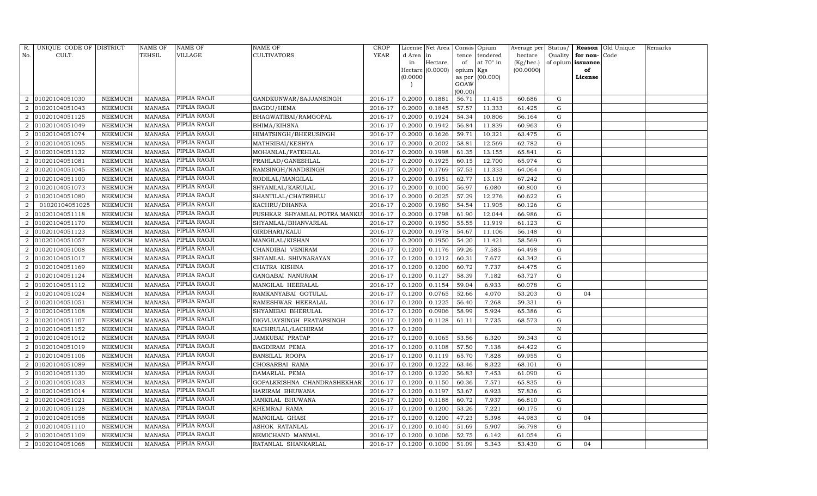| R.                          | UNIQUE CODE OF DISTRICT |                | <b>NAME OF</b> | NAME OF             | <b>NAME OF</b>               | <b>CROP</b> |           | License Net Area |                  | Consis Opium     | Average per | Status/      |                   | Reason Old Unique | Remarks |
|-----------------------------|-------------------------|----------------|----------------|---------------------|------------------------------|-------------|-----------|------------------|------------------|------------------|-------------|--------------|-------------------|-------------------|---------|
| No.                         | CULT.                   |                | TEHSIL         | VILLAGE             | <b>CULTIVATORS</b>           | YEAR        | d Area in |                  | tence            | tendered         | hectare     | Quality      | for non-          | Code              |         |
|                             |                         |                |                |                     |                              |             | in        | Hectare          | of               | at $70^\circ$ in | (Kg/hec.)   |              | of opium issuance |                   |         |
|                             |                         |                |                |                     |                              |             |           | Hectare (0.0000) | opium Kgs        |                  | (00.0000)   |              | of                |                   |         |
|                             |                         |                |                |                     |                              |             | (0.0000)  |                  |                  | as per (00.000)  |             |              | License           |                   |         |
|                             |                         |                |                |                     |                              |             |           |                  | GOAW             |                  |             |              |                   |                   |         |
| 2                           | 01020104051030          | NEEMUCH        | <b>MANASA</b>  | PIPLIA RAOJI        | GANDKUNWAR/SAJJANSINGH       | 2016-17     | 0.2000    | 0.1881           | (00.00)<br>56.71 | 11.415           | 60.686      | G            |                   |                   |         |
|                             | 01020104051043          | NEEMUCH        | MANASA         | PIPLIA RAOJI        | BAGDU/HEMA                   | 2016-17     | 0.2000    | 0.1845           | 57.57            | 11.333           | 61.425      | G            |                   |                   |         |
| $\mathcal{D}_{\mathcal{L}}$ | 01020104051125          | NEEMUCH        | <b>MANASA</b>  | PIPLIA RAOJI        | BHAGWATIBAI/RAMGOPAL         | 2016-17     | 0.2000    | 0.1924           | 54.34            | 10.806           | 56.164      | G            |                   |                   |         |
| 2                           | 01020104051049          | NEEMUCH        | MANASA         | PIPLIA RAOJI        | BHIMA/KIHSNA                 | 2016-17     | 0.2000    | 0.1942           | 56.84            | 11.839           | 60.963      | G            |                   |                   |         |
| $\mathcal{D}_{\mathcal{L}}$ | 01020104051074          | NEEMUCH        | <b>MANASA</b>  | PIPLIA RAOJI        | HIMATSINGH/BHERUSINGH        | 2016-17     | 0.2000    | 0.1626           | 59.71            | 10.321           | 63.475      | G            |                   |                   |         |
| $\mathcal{D}_{\mathcal{L}}$ | 01020104051095          | NEEMUCH        | <b>MANASA</b>  | PIPLIA RAOJI        | MATHRIBAI/KESHYA             | 2016-17     | 0.2000    | 0.2002           | 58.81            | 12.569           | 62.782      | G            |                   |                   |         |
| $\overline{2}$              | 01020104051132          | NEEMUCH        | MANASA         | PIPLIA RAOJI        | MOHANLAL/FATEHLAL            | 2016-17     | 0.2000    | 0.1998           | 61.35            | 13.155           | 65.841      | G            |                   |                   |         |
| $\overline{2}$              | 01020104051081          | NEEMUCH        | MANASA         | PIPLIA RAOJI        | PRAHLAD/GANESHLAL            | 2016-17     | 0.2000    | 0.1925           | 60.15            | 12.700           | 65.974      | G            |                   |                   |         |
| $\mathcal{D}_{\mathcal{L}}$ | 01020104051045          | NEEMUCH        | MANASA         | PIPLIA RAOJI        | RAMSINGH/NANDSINGH           | 2016-17     | 0.2000    | 0.1769           | 57.53            | 11.333           | 64.064      | G            |                   |                   |         |
|                             | 01020104051100          | NEEMUCH        | MANASA         | PIPLIA RAOJI        | RODILAL/MANGILAL             | 2016-17     | 0.2000    | 0.1951           | 62.77            | 13.119           | 67.242      | G            |                   |                   |         |
| $\mathcal{D}_{\alpha}$      | 01020104051073          | NEEMUCH        | <b>MANASA</b>  | PIPLIA RAOJI        | SHYAMLAL/KARULAL             | 2016-17     | 0.2000    | 0.1000           | 56.97            | 6.080            | 60.800      | G            |                   |                   |         |
| $\overline{2}$              | 01020104051080          | NEEMUCH        | MANASA         | PIPLIA RAOJI        | SHANTILAL/CHATRBHUJ          | 2016-17     | 0.2000    | 0.2025           | 57.29            | 12.276           | 60.622      | G            |                   |                   |         |
|                             | 01020104051025          | NEEMUCH        | <b>MANASA</b>  | PIPLIA RAOJI        | KACHRU/DHANNA                | 2016-17     | 0.2000    | 0.1980           | 54.54            | 11.905           | 60.126      | G            |                   |                   |         |
| $\mathcal{D}_{\mathcal{L}}$ | 01020104051118          | NEEMUCH        | <b>MANASA</b>  | PIPLIA RAOJI        | PUSHKAR SHYAMLAL POTRA MANKU | 2016-17     | 0.2000    | 0.1798           | 61.90            | 12.044           | 66.986      | G            |                   |                   |         |
| $\overline{2}$              | 01020104051170          | NEEMUCH        | MANASA         | PIPLIA RAOJI        | SHYAMLAL/BHANVARLAL          | 2016-17     | 0.2000    | 0.1950           | 55.55            | 11.919           | 61.123      | G            |                   |                   |         |
| $\overline{2}$              | 01020104051123          | NEEMUCH        | <b>MANASA</b>  | PIPLIA RAOJI        | GIRDHARI/KALU                | 2016-17     | 0.2000    | 0.1978           | 54.67            | 11.106           | 56.148      | ${\rm G}$    |                   |                   |         |
|                             | 01020104051057          | NEEMUCH        | <b>MANASA</b>  | PIPLIA RAOJI        | MANGILAL/KISHAN              | 2016-17     | 0.2000    | 0.1950           | 54.20            | 11.421           | 58.569      | G            |                   |                   |         |
| $\mathcal{D}_{\mathcal{L}}$ | 01020104051008          | NEEMUCH        | MANASA         | PIPLIA RAOJI        | CHANDIBAI VENIRAM            | 2016-17     | 0.1200    | 0.1176           | 59.26            | 7.585            | 64.498      | G            |                   |                   |         |
| $\mathcal{D}_{\mathcal{L}}$ | 01020104051017          | NEEMUCH        | <b>MANASA</b>  | PIPLIA RAOJI        | SHYAMLAL SHIVNARAYAN         | 2016-17     | 0.1200    | 0.1212           | 60.31            | 7.677            | 63.342      | G            |                   |                   |         |
| $\mathcal{D}_{\alpha}$      | 01020104051169          | NEEMUCH        | <b>MANASA</b>  | PIPLIA RAOJI        | CHATRA KISHNA                | 2016-17     | 0.1200    | 0.1200           | 60.72            | 7.737            | 64.475      | $\mathbf G$  |                   |                   |         |
|                             | 01020104051124          | NEEMUCH        | MANASA         | PIPLIA RAOJI        | GANGABAI NANURAM             | 2016-17     | 0.1200    | 0.1127           | 58.39            | 7.182            | 63.727      | G            |                   |                   |         |
| $\mathcal{D}_{\alpha}$      | 01020104051112          | NEEMUCH        | <b>MANASA</b>  | PIPLIA RAOJI        | MANGILAL HEERALAL            | 2016-17     | 0.1200    | 0.1154           | 59.04            | 6.933            | 60.078      | G            |                   |                   |         |
| $\overline{2}$              | 01020104051024          | NEEMUCH        | MANASA         | PIPLIA RAOJI        | RAMKANYABAI GOTULAL          | 2016-17     | 0.1200    | 0.0765           | 52.66            | 4.070            | 53.203      | G            | 04                |                   |         |
| $\overline{2}$              | 01020104051051          | NEEMUCH        | <b>MANASA</b>  | PIPLIA RAOJI        | RAMESHWAR HEERALAL           | 2016-17     | 0.1200    | 0.1225           | 56.40            | 7.268            | 59.331      | G            |                   |                   |         |
| $\overline{2}$              | 01020104051108          | NEEMUCH        | MANASA         | PIPLIA RAOJI        | SHYAMIBAI BHERULAL           | 2016-17     | 0.1200    | 0.0906           | 58.99            | 5.924            | 65.386      | G            |                   |                   |         |
| 2                           | 01020104051107          | NEEMUCH        | MANASA         | PIPLIA RAOJI        | DIGVIJAYSINGH PRATAPSINGH    | 2016-17     | 0.1200    | 0.1128           | 61.11            | 7.735            | 68.573      | G            |                   |                   |         |
| $\overline{2}$              | 01020104051152          | NEEMUCH        | MANASA         | PIPLIA RAOJI        | KACHRULAL/LACHIRAM           | 2016-17     | 0.1200    |                  |                  |                  |             | $\, {\rm N}$ |                   |                   |         |
| $\mathcal{D}$               | 01020104051012          | NEEMUCH        | <b>MANASA</b>  | PIPLIA RAOJI        | JAMKUBAI PRATAP              | 2016-17     | 0.1200    | 0.1065           | 53.56            | 6.320            | 59.343      | G            |                   |                   |         |
| $\mathcal{D}_{\mathcal{L}}$ | 01020104051019          | NEEMUCH        | MANASA         | PIPLIA RAOJI        | <b>BAGDIRAM PEMA</b>         | 2016-17     | 0.1200    | 0.1108           | 57.50            | 7.138            | 64.422      | G            |                   |                   |         |
| $\mathcal{D}_{\mathcal{L}}$ | 01020104051106          | NEEMUCH        | <b>MANASA</b>  | PIPLIA RAOJI        | <b>BANSILAL ROOPA</b>        | 2016-17     | 0.1200    | 0.1119           | 65.70            | 7.828            | 69.955      | G            |                   |                   |         |
| $\overline{2}$              | 01020104051089          | NEEMUCH        | <b>MANASA</b>  | PIPLIA RAOJI        | CHOSARBAI RAMA               | 2016-17     | 0.1200    | 0.1222           | 63.46            | 8.322            | 68.101      | G            |                   |                   |         |
|                             | 01020104051130          | NEEMUCH        | <b>MANASA</b>  | PIPLIA RAOJI        | DAMARLAL PEMA                | 2016-17     | 0.1200    | 0.1220           | 56.83            | 7.453            | 61.090      | G            |                   |                   |         |
| $\mathcal{D}_{\mathcal{L}}$ | 01020104051033          | NEEMUCH        | <b>MANASA</b>  | PIPLIA RAOJI        | GOPALKRISHNA CHANDRASHEKHAR  | 2016-17     | 0.1200    | 0.1150           | 60.36            | 7.571            | 65.835      | G            |                   |                   |         |
| 2                           | 01020104051014          | NEEMUCH        | <b>MANASA</b>  | PIPLIA RAOJI        | HARIRAM BHUWANA              | 2016-17     | 0.1200    | 0.1197           | 53.67            | 6.923            | 57.836      | G            |                   |                   |         |
| $\overline{2}$              | 01020104051021          | <b>NEEMUCH</b> | <b>MANASA</b>  | PIPLIA RAOJI        | JANKILAL BHUWANA             | 2016-17     | 0.1200    | 0.1188           | 60.72            | 7.937            | 66.810      | G            |                   |                   |         |
| 2                           | 01020104051128          | NEEMUCH        | <b>MANASA</b>  | PIPLIA RAOJI        | KHEMRAJ RAMA                 | 2016-17     | 0.1200    | 0.1200           | 53.26            | 7.221            | 60.175      | G            |                   |                   |         |
| 2                           | 01020104051058          | NEEMUCH        | <b>MANASA</b>  | PIPLIA RAOJI        | MANGILAL GHASI               | 2016-17     | 0.1200    | 0.1200           | 47.23            | 5.398            | 44.983      | G            | 04                |                   |         |
| $\overline{2}$              | 01020104051110          | NEEMUCH        | <b>MANASA</b>  | PIPLIA RAOJI        | ASHOK RATANLAL               | 2016-17     | 0.1200    | 0.1040           | 51.69            | 5.907            | 56.798      | G            |                   |                   |         |
| $\mathcal{D}_{\mathcal{L}}$ | 01020104051109          | NEEMUCH        | <b>MANASA</b>  | PIPLIA RAOJI        | NEMICHAND MANMAL             | 2016-17     | 0.1200    | 0.1006           | 52.75            | 6.142            | 61.054      | $\mathbf G$  |                   |                   |         |
|                             | 2 01020104051068        | NEEMUCH        |                | MANASA PIPLIA RAOJI | RATANLAL SHANKARLAL          | 2016-17     | 0.1200    | 0.1000           | 51.09            | 5.343            | 53.430      | G            | 04                |                   |         |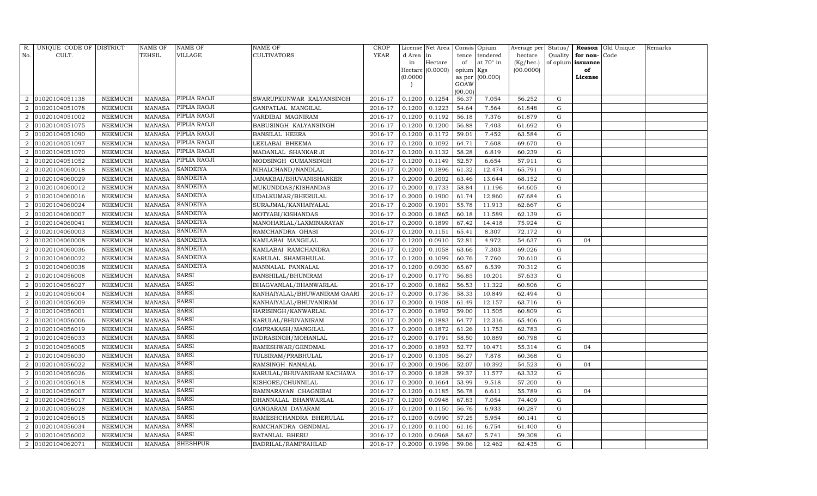| R.                          | UNIQUE CODE OF DISTRICT |                | NAME OF       | NAME OF         | NAME OF                      | <b>CROP</b> |          | License Net Area |           | Consis Opium     | Average per | Status/     |                   | Reason Old Unique | Remarks |
|-----------------------------|-------------------------|----------------|---------------|-----------------|------------------------------|-------------|----------|------------------|-----------|------------------|-------------|-------------|-------------------|-------------------|---------|
| No.                         | CULT.                   |                | TEHSIL        | VILLAGE         | <b>CULTIVATORS</b>           | <b>YEAR</b> | d Area   | in               | tence     | tendered         | hectare     | Quality     | for non-Code      |                   |         |
|                             |                         |                |               |                 |                              |             | in       | Hectare          | of        | at $70^\circ$ in | (Kg/hec.)   |             | of opium issuance |                   |         |
|                             |                         |                |               |                 |                              |             |          | Hectare (0.0000) | opium Kgs |                  | (00.0000)   |             | of                |                   |         |
|                             |                         |                |               |                 |                              |             | (0.0000) |                  | GOAW      | as per (00.000)  |             |             | License           |                   |         |
|                             |                         |                |               |                 |                              |             |          |                  | (00.00)   |                  |             |             |                   |                   |         |
| 2                           | 01020104051138          | NEEMUCH        | <b>MANASA</b> | PIPLIA RAOJI    | SWARUPKUNWAR KALYANSINGH     | 2016-17     | 0.1200   | 0.1254           | 56.37     | 7.054            | 56.252      | G           |                   |                   |         |
|                             | 01020104051078          | NEEMUCH        | MANASA        | PIPLIA RAOJI    | GANPATLAL MANGILAL           | 2016-17     | 0.1200   | 0.1223           | 54.64     | 7.564            | 61.848      | G           |                   |                   |         |
| $\mathcal{D}_{\mathcal{L}}$ | 01020104051002          | NEEMUCH        | <b>MANASA</b> | PIPLIA RAOJI    | VARDIBAI MAGNIRAM            | 2016-17     | 0.1200   | 0.1192           | 56.18     | 7.376            | 61.879      | G           |                   |                   |         |
| 2                           | 01020104051075          | NEEMUCH        | <b>MANASA</b> | PIPLIA RAOJI    | BABUSINGH KALYANSINGH        | 2016-17     | 0.1200   | 0.1200           | 56.88     | 7.403            | 61.692      | G           |                   |                   |         |
| $\mathcal{D}_{\mathcal{L}}$ | 01020104051090          | <b>NEEMUCH</b> | <b>MANASA</b> | PIPLIA RAOJI    | <b>BANSILAL HEERA</b>        | 2016-17     | 0.1200   | 0.1172           | 59.01     | 7.452            | 63.584      | G           |                   |                   |         |
| $\mathcal{D}_{\mathcal{L}}$ | 01020104051097          | NEEMUCH        | MANASA        | PIPLIA RAOJI    | LEELABAI BHEEMA              | 2016-17     | 0.1200   | 0.1092           | 64.71     | 7.608            | 69.670      | G           |                   |                   |         |
| $\overline{2}$              | 01020104051070          | NEEMUCH        | <b>MANASA</b> | PIPLIA RAOJI    | MADANLAL SHANKAR JI          | 2016-17     | 0.1200   | 0.1132           | 58.28     | 6.819            | 60.239      | G           |                   |                   |         |
| $\overline{2}$              | 01020104051052          | <b>NEEMUCH</b> | <b>MANASA</b> | PIPLIA RAOJI    | MODSINGH GUMANSINGH          | 2016-17     | 0.1200   | 0.1149           | 52.57     | 6.654            | 57.911      | G           |                   |                   |         |
| $\mathcal{D}_{\mathcal{L}}$ | 01020104060018          | <b>NEEMUCH</b> | <b>MANASA</b> | <b>SANDEIYA</b> | NIHALCHAND/NANDLAL           | 2016-17     | 0.2000   | 0.1896           | 61.32     | 12.474           | 65.791      | G           |                   |                   |         |
|                             | 01020104060029          | NEEMUCH        | MANASA        | <b>SANDEIYA</b> | JANAKBAI/BHUVANISHANKER      | 2016-17     | 0.2000   | 0.2002           | 63.46     | 13.644           | 68.152      | G           |                   |                   |         |
| $\mathcal{D}_{\alpha}$      | 01020104060012          | NEEMUCH        | <b>MANASA</b> | <b>SANDEIYA</b> | MUKUNDDAS/KISHANDAS          | 2016-17     | 0.2000   | 0.1733           | 58.84     | 11.196           | 64.605      | G           |                   |                   |         |
| $\overline{2}$              | 01020104060016          | NEEMUCH        | MANASA        | <b>SANDEIYA</b> | UDALKUMAR/BHERULAL           | 2016-17     | 0.2000   | 0.1900           | 61.74     | 12.860           | 67.684      | G           |                   |                   |         |
|                             | 01020104060024          | NEEMUCH        | <b>MANASA</b> | <b>SANDEIYA</b> | SURAJMAL/KANHAIYALAL         | 2016-17     | 0.2000   | 0.1901           | 55.78     | 11.913           | 62.667      | G           |                   |                   |         |
| $\mathcal{D}_{\mathcal{L}}$ | 01020104060007          | NEEMUCH        | <b>MANASA</b> | <b>SANDEIYA</b> | MOTYABI/KISHANDAS            | 2016-17     | 0.2000   | 0.1865           | 60.18     | 11.589           | 62.139      | G           |                   |                   |         |
| $\overline{2}$              | 01020104060041          | NEEMUCH        | <b>MANASA</b> | <b>SANDEIYA</b> | MANOHARLAL/LAXMINARAYAN      | 2016-17     | 0.2000   | 0.1899           | 67.42     | 14.418           | 75.924      | G           |                   |                   |         |
| $\mathcal{D}_{\mathcal{L}}$ | 01020104060003          | NEEMUCH        | <b>MANASA</b> | <b>SANDEIYA</b> | RAMCHANDRA GHASI             | 2016-17     | 0.1200   | 0.1151           | 65.41     | 8.307            | 72.172      | G           |                   |                   |         |
|                             | 01020104060008          | NEEMUCH        | <b>MANASA</b> | <b>SANDEIYA</b> | KAMLABAI MANGILAL            | 2016-17     | 0.1200   | 0.0910           | 52.81     | 4.972            | 54.637      | G           | 04                |                   |         |
| $\mathcal{D}_{\mathcal{L}}$ | 01020104060036          | NEEMUCH        | <b>MANASA</b> | <b>SANDEIYA</b> | KAMLABAI RAMCHANDRA          | 2016-17     | 0.1200   | 0.1058           | 63.66     | 7.303            | 69.026      | G           |                   |                   |         |
| $\mathcal{D}_{\mathcal{L}}$ | 01020104060022          | NEEMUCH        | <b>MANASA</b> | <b>SANDEIYA</b> | KARULAL SHAMBHULAL           | 2016-17     | 0.1200   | 0.1099           | 60.76     | 7.760            | 70.610      | G           |                   |                   |         |
| $\mathcal{D}_{\alpha}$      | 01020104060038          | <b>NEEMUCH</b> | <b>MANASA</b> | <b>SANDEIYA</b> | MANNALAL PANNALAL            | 2016-17     | 0.1200   | 0.0930           | 65.67     | 6.539            | 70.312      | G           |                   |                   |         |
|                             | 01020104056008          | NEEMUCH        | <b>MANASA</b> | <b>SARSI</b>    | BANSHILAL/BHUNIRAM           | 2016-17     | 0.2000   | 0.1770           | 56.85     | 10.201           | 57.633      | G           |                   |                   |         |
| $\mathcal{D}_{\alpha}$      | 01020104056027          | NEEMUCH        | <b>MANASA</b> | <b>SARSI</b>    | BHAGVANLAL/BHANWARLAL        | 2016-17     | 0.2000   | 0.1862           | 56.53     | 11.322           | 60.806      | G           |                   |                   |         |
| 2                           | 01020104056004          | NEEMUCH        | MANASA        | <b>SARSI</b>    | KANHAIYALAL/BHUWANIRAM GAARI | 2016-17     | 0.2000   | 0.1736           | 58.33     | 10.849           | 62.494      | G           |                   |                   |         |
| $\mathcal{D}_{\mathcal{L}}$ | 01020104056009          | <b>NEEMUCH</b> | <b>MANASA</b> | <b>SARSI</b>    | KANHAIYALAL/BHUVANIRAM       | 2016-17     | 0.2000   | 0.1908           | 61.49     | 12.157           | 63.716      | G           |                   |                   |         |
| $\overline{2}$              | 01020104056001          | <b>NEEMUCH</b> | <b>MANASA</b> | SARSI           | HARISINGH/KANWARLAL          | 2016-17     | 0.2000   | 0.1892           | 59.00     | 11.505           | 60.809      | G           |                   |                   |         |
| 2                           | 01020104056006          | NEEMUCH        | <b>MANASA</b> | <b>SARSI</b>    | KARULAL/BHUVANIRAM           | 2016-17     | 0.2000   | 0.1883           | 64.77     | 12.316           | 65.406      | G           |                   |                   |         |
| 2                           | 01020104056019          | NEEMUCH        | <b>MANASA</b> | <b>SARSI</b>    | OMPRAKASH/MANGILAL           | 2016-17     | 0.2000   | 0.1872           | 61.26     | 11.753           | 62.783      | G           |                   |                   |         |
|                             | 01020104056033          | <b>NEEMUCH</b> | <b>MANASA</b> | SARSI           | INDRASINGH/MOHANLAL          | 2016-17     | 0.2000   | 0.1791           | 58.50     | 10.889           | 60.798      | $\mathbf G$ |                   |                   |         |
| $\mathcal{D}_{\mathcal{L}}$ | 01020104056005          | NEEMUCH        | <b>MANASA</b> | <b>SARSI</b>    | RAMESHWAR/GENDMAL            | 2016-17     | 0.2000   | 0.1893           | 52.77     | 10.471           | 55.314      | G           | 04                |                   |         |
| $\mathcal{D}_{\mathcal{L}}$ | 01020104056030          | NEEMUCH        | <b>MANASA</b> | <b>SARSI</b>    | TULSIRAM/PRABHULAL           | 2016-17     | 0.2000   | 0.1305           | 56.27     | 7.878            | 60.368      | G           |                   |                   |         |
| $\overline{2}$              | 01020104056022          | NEEMUCH        | <b>MANASA</b> | <b>SARSI</b>    | RAMSINGH NANALAL             | 2016-17     | 0.2000   | 0.1906           | 52.07     | 10.392           | 54.523      | G           | 04                |                   |         |
|                             | 01020104056026          | NEEMUCH        | <b>MANASA</b> | <b>SARSI</b>    | KARULAL/BHUVANIRAM KACHAWA   | 2016-17     | 0.2000   | 0.1828           | 59.37     | 11.577           | 63.332      | G           |                   |                   |         |
| $\mathcal{D}_{\mathcal{L}}$ | 01020104056018          | NEEMUCH        | <b>MANASA</b> | <b>SARSI</b>    | KISHORE/CHUNNILAL            | 2016-17     | 0.2000   | 0.1664           | 53.99     | 9.518            | 57.200      | G           |                   |                   |         |
| 2                           | 01020104056007          | NEEMUCH        | <b>MANASA</b> | <b>SARSI</b>    | RAMNARAYAN CHAGNIBAI         | 2016-17     | 0.1200   | 0.1185           | 56.78     | 6.611            | 55.789      | G           | 04                |                   |         |
| $\mathcal{D}_{\mathcal{L}}$ | 01020104056017          | <b>NEEMUCH</b> | <b>MANASA</b> | <b>SARSI</b>    | DHANNALAL BHANWARLAL         | 2016-17     | 0.1200   | 0.0948           | 67.83     | 7.054            | 74.409      | G           |                   |                   |         |
| 2                           | 01020104056028          | <b>NEEMUCH</b> | <b>MANASA</b> | <b>SARSI</b>    | GANGARAM DAYARAM             | 2016-17     | 0.1200   | 0.1150           | 56.76     | 6.933            | 60.287      | G           |                   |                   |         |
| 2                           | 01020104056015          | NEEMUCH        | <b>MANASA</b> | SARSI           | RAMESHCHANDRA BHERULAL       | 2016-17     | 0.1200   | 0.0990           | 57.25     | 5.954            | 60.141      | G           |                   |                   |         |
| 2                           | 01020104056034          | <b>NEEMUCH</b> | <b>MANASA</b> | <b>SARSI</b>    | RAMCHANDRA GENDMAL           | 2016-17     | 0.1200   | 0.1100           | 61.16     | 6.754            | 61.400      | G           |                   |                   |         |
| $\mathcal{D}_{\mathcal{L}}$ | 01020104056002          | <b>NEEMUCH</b> | <b>MANASA</b> | <b>SARSI</b>    | RATANLAL BHERU               | 2016-17     | 0.1200   | 0.0968           | 58.67     | 5.741            | 59.308      | $\mathbf G$ |                   |                   |         |
| $\overline{a}$              | 01020104062071          | NEEMUCH        | MANASA        | <b>SHESHPUR</b> | BADRILAL/RAMPRAHLAD          | 2016-17     | 0.2000   | 0.1996           | 59.06     | 12.462           | 62.435      | G           |                   |                   |         |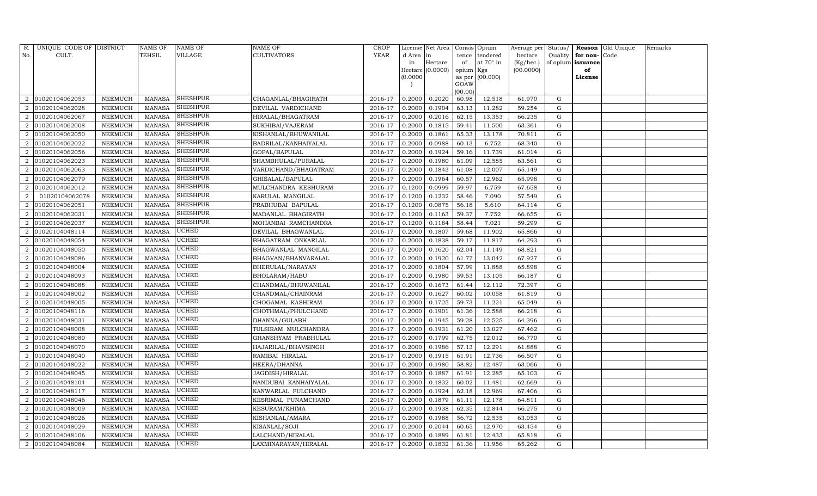| R.                          | UNIQUE CODE OF DISTRICT |                 | <b>NAME OF</b> | NAME OF         | NAME OF              | <b>CROP</b> |           | License Net Area |           | Consis Opium    | Average per Status/ |           |          | Reason Old Unique | Remarks |
|-----------------------------|-------------------------|-----------------|----------------|-----------------|----------------------|-------------|-----------|------------------|-----------|-----------------|---------------------|-----------|----------|-------------------|---------|
| No.                         | CULT.                   |                 | TEHSIL         | VILLAGE         | CULTIVATORS          | <b>YEAR</b> | d Area in |                  | tence     | tendered        | hectare             | Quality   | for non- | Code              |         |
|                             |                         |                 |                |                 |                      |             | in        | Hectare          | of        | at 70° in       | (Kg/hec.)           | of opium  | issuance |                   |         |
|                             |                         |                 |                |                 |                      |             |           | Hectare (0.0000) | opium Kgs |                 | (00.0000)           |           | of       |                   |         |
|                             |                         |                 |                |                 |                      |             | (0.0000)  |                  | GOAW      | as per (00.000) |                     |           | License  |                   |         |
|                             |                         |                 |                |                 |                      |             |           |                  | (00.00)   |                 |                     |           |          |                   |         |
| 2                           | 01020104062053          | ${\tt NEEMUCH}$ | <b>MANASA</b>  | <b>SHESHPUR</b> | CHAGANLAL/BHAGIRATH  | 2016-17     | 0.2000    | 0.2020           | 60.98     | 12.518          | 61.970              | G         |          |                   |         |
|                             | 01020104062028          | ${\tt NEEMUCH}$ | <b>MANASA</b>  | <b>SHESHPUR</b> | DEVILAL VARDICHAND   | 2016-17     | 0.2000    | 0.1904           | 63.13     | 11.282          | 59.254              | G         |          |                   |         |
| $\mathcal{D}_{\mathcal{L}}$ | 01020104062067          | NEEMUCH         | <b>MANASA</b>  | SHESHPUR        | HIRALAL/BHAGATRAM    | 2016-17     | 0.2000    | 0.2016           | 62.15     | 13.353          | 66.235              | G         |          |                   |         |
| $\overline{2}$              | 01020104062008          | NEEMUCH         | <b>MANASA</b>  | SHESHPUR        | SUKHIBAI/VAJERAM     | 2016-17     | 0.2000    | 0.1815           | 59.41     | 11.500          | 63.361              | ${\rm G}$ |          |                   |         |
| $\mathcal{D}_{\mathcal{L}}$ | 01020104062050          | NEEMUCH         | <b>MANASA</b>  | <b>SHESHPUR</b> | KISHANLAL/BHUWANILAL | 2016-17     | 0.2000    | 0.1861           | 65.33     | 13.178          | 70.811              | G         |          |                   |         |
| $\mathcal{D}_{\mathcal{L}}$ | 01020104062022          | NEEMUCH         | <b>MANASA</b>  | SHESHPUR        | BADRILAL/KANHAIYALAL | 2016-17     | 0.2000    | 0.0988           | 60.13     | 6.752           | 68.340              | ${\rm G}$ |          |                   |         |
| $\overline{2}$              | 01020104062056          | NEEMUCH         | <b>MANASA</b>  | <b>SHESHPUR</b> | GOPAL/BAPULAL        | 2016-17     | 0.2000    | 0.1924           | 59.16     | 11.739          | 61.014              | G         |          |                   |         |
| $\overline{2}$              | 01020104062023          | NEEMUCH         | <b>MANASA</b>  | <b>SHESHPUR</b> | SHAMBHULAL/PURALAL   | 2016-17     | 0.2000    | 0.1980           | 61.09     | 12.585          | 63.561              | G         |          |                   |         |
| $\mathcal{D}_{\mathcal{L}}$ | 01020104062063          | NEEMUCH         | <b>MANASA</b>  | <b>SHESHPUR</b> | VARDICHAND/BHAGATRAM | 2016-17     | 0.2000    | 0.1843           | 61.08     | 12.007          | 65.149              | G         |          |                   |         |
|                             | 01020104062079          | NEEMUCH         | <b>MANASA</b>  | <b>SHESHPUR</b> | GHISALAL/BAPULAL     | 2016-17     | 0.2000    | 0.1964           | 60.57     | 12.962          | 65.998              | G         |          |                   |         |
| $\mathcal{D}_{\alpha}$      | 01020104062012          | NEEMUCH         | <b>MANASA</b>  | <b>SHESHPUR</b> | MULCHANDRA KESHURAM  | 2016-17     | 0.1200    | 0.0999           | 59.97     | 6.759           | 67.658              | G         |          |                   |         |
| 2                           | 01020104062078          | NEEMUCH         | <b>MANASA</b>  | SHESHPUR        | KARULAL MANGILAL     | 2016-17     | 0.1200    | 0.1232           | 58.46     | 7.090           | 57.549              | G         |          |                   |         |
|                             | 01020104062051          | NEEMUCH         | <b>MANASA</b>  | <b>SHESHPUR</b> | PRABHUBAI BAPULAL    | 2016-17     | 0.1200    | 0.0875           | 56.18     | 5.610           | 64.114              | G         |          |                   |         |
| $\mathcal{D}_{\mathcal{L}}$ | 01020104062031          | NEEMUCH         | <b>MANASA</b>  | SHESHPUR        | MADANLAL BHAGIRATH   | 2016-17     | 0.1200    | 0.1163           | 59.37     | 7.752           | 66.655              | G         |          |                   |         |
| $\overline{2}$              | 01020104062037          | NEEMUCH         | <b>MANASA</b>  | SHESHPUR        | MOHANBAI RAMCHANDRA  | 2016-17     | 0.1200    | 0.1184           | 58.44     | 7.021           | 59.299              | ${\rm G}$ |          |                   |         |
| $\mathcal{D}_{\mathcal{L}}$ | 01020104048114          | NEEMUCH         | <b>MANASA</b>  | UCHED           | DEVILAL BHAGWANLAL   | 2016-17     | 0.2000    | 0.1807           | 59.68     | 11.902          | 65.866              | ${\rm G}$ |          |                   |         |
|                             | 01020104048054          | NEEMUCH         | <b>MANASA</b>  | UCHED           | BHAGATRAM ONKARLAL   | 2016-17     | 0.2000    | 0.1838           | 59.17     | 11.817          | 64.293              | ${\rm G}$ |          |                   |         |
| $\mathcal{D}_{\mathcal{L}}$ | 01020104048050          | NEEMUCH         | <b>MANASA</b>  | UCHED           | BHAGWANLAL MANGILAL  | 2016-17     | 0.2000    | 0.1620           | 62.04     | 11.149          | 68.821              | G         |          |                   |         |
| $\mathcal{D}_{\mathcal{L}}$ | 01020104048086          | NEEMUCH         | <b>MANASA</b>  | <b>UCHED</b>    | BHAGVAN/BHANVARALAL  | 2016-17     | 0.2000    | 0.1920           | 61.77     | 13.042          | 67.927              | ${\rm G}$ |          |                   |         |
| $\mathcal{D}_{\mathcal{L}}$ | 01020104048004          | NEEMUCH         | <b>MANASA</b>  | UCHED           | BHERULAL/NARAYAN     | 2016-17     | 0.2000    | 0.1804           | 57.99     | 11.888          | 65.898              | G         |          |                   |         |
|                             | 01020104048093          | NEEMUCH         | <b>MANASA</b>  | UCHED           | BHOLARAM/HABU        | 2016-17     | 0.2000    | 0.1980           | 59.53     | 13.105          | 66.187              | G         |          |                   |         |
| $\mathcal{D}_{\mathcal{L}}$ | 01020104048088          | NEEMUCH         | <b>MANASA</b>  | UCHED           | CHANDMAL/BHUWANILAL  | 2016-17     | 0.2000    | 0.1673           | 61.44     | 12.112          | 72.397              | G         |          |                   |         |
| 2                           | 01020104048002          | NEEMUCH         | MANASA         | UCHED           | CHANDMAL/CHAINRAM    | 2016-17     | 0.2000    | 0.1627           | 60.02     | 10.058          | 61.819              | G         |          |                   |         |
| $\mathcal{D}_{\mathcal{L}}$ | 01020104048005          | NEEMUCH         | <b>MANASA</b>  | UCHED           | CHOGAMAL KASHIRAM    | 2016-17     | 0.2000    | 0.1725           | 59.73     | 11.221          | 65.049              | G         |          |                   |         |
| $\overline{2}$              | 01020104048116          | NEEMUCH         | <b>MANASA</b>  | UCHED           | CHOTHMAL/PHULCHAND   | 2016-17     | 0.2000    | 0.1901           | 61.36     | 12.588          | 66.218              | ${\rm G}$ |          |                   |         |
| 2                           | 01020104048031          | NEEMUCH         | <b>MANASA</b>  | UCHED           | DHANNA/GULABH        | 2016-17     | 0.2000    | 0.1945           | 59.28     | 12.525          | 64.396              | G         |          |                   |         |
| 2                           | 01020104048008          | NEEMUCH         | <b>MANASA</b>  | UCHED           | TULSIRAM MULCHANDRA  | 2016-17     | 0.2000    | 0.1931           | 61.20     | 13.027          | 67.462              | G         |          |                   |         |
|                             | 01020104048080          | NEEMUCH         | <b>MANASA</b>  | UCHED           | GHANSHYAM PRABHULAL  | 2016-17     | 0.2000    | 0.1799           | 62.75     | 12.012          | 66.770              | ${\rm G}$ |          |                   |         |
| $\mathcal{D}_{\mathcal{L}}$ | 01020104048070          | NEEMUCH         | <b>MANASA</b>  | <b>UCHED</b>    | HAJARILAL/BHAVSINGH  | 2016-17     | 0.2000    | 0.1986           | 57.13     | 12.291          | 61.888              | G         |          |                   |         |
| $\mathcal{D}_{\mathcal{L}}$ | 01020104048040          | NEEMUCH         | <b>MANASA</b>  | UCHED           | RAMIBAI HIRALAL      | 2016-17     | 0.2000    | 0.1915           | 61.91     | 12.736          | 66.507              | ${\rm G}$ |          |                   |         |
| $\overline{2}$              | 01020104048022          | NEEMUCH         | <b>MANASA</b>  | UCHED           | HEERA/DHANNA         | 2016-17     | 0.2000    | 0.1980           | 58.82     | 12.487          | 63.066              | G         |          |                   |         |
|                             | 01020104048045          | NEEMUCH         | <b>MANASA</b>  | UCHED           | JAGDISH/HIRALAL      | 2016-17     | 0.2000    | 0.1887           | 61.91     | 12.285          | 65.103              | G         |          |                   |         |
| $\mathcal{D}_{\mathcal{L}}$ | 01020104048104          | NEEMUCH         | <b>MANASA</b>  | UCHED           | NANDUBAI KANHAIYALAL | 2016-17     | 0.2000    | 0.1832           | 60.02     | 11.481          | 62.669              | G         |          |                   |         |
| 2                           | 01020104048117          | NEEMUCH         | <b>MANASA</b>  | UCHED           | KANWARLAL FULCHAND   | 2016-17     | 0.2000    | 0.1924           | 62.18     | 12.969          | 67.406              | ${\rm G}$ |          |                   |         |
| $\mathcal{D}_{\mathcal{L}}$ | 01020104048046          | NEEMUCH         | <b>MANASA</b>  | UCHED           | KESRIMAL PUNAMCHAND  | 2016-17     | 0.2000    | 0.1879           | 61.11     | 12.178          | 64.811              | ${\rm G}$ |          |                   |         |
| 2                           | 01020104048009          | NEEMUCH         | <b>MANASA</b>  | UCHED           | KESURAM/KHIMA        | 2016-17     | 0.2000    | 0.1938           | 62.35     | 12.844          | 66.275              | ${\rm G}$ |          |                   |         |
| 2                           | 01020104048026          | NEEMUCH         | <b>MANASA</b>  | UCHED           | KISHANLAL/AMARA      | 2016-17     | 0.2000    | 0.1988           | 56.72     | 12.535          | 63.053              | G         |          |                   |         |
| 2                           | 01020104048029          | <b>NEEMUCH</b>  | <b>MANASA</b>  | UCHED           | KISANLAL/SOJI        | 2016-17     | 0.2000    | 0.2044           | 60.65     | 12.970          | 63.454              | ${\rm G}$ |          |                   |         |
| $\mathcal{D}_{\mathcal{L}}$ | 01020104048106          | NEEMUCH         | <b>MANASA</b>  | UCHED           | LALCHAND/HIRALAL     | 2016-17     | 0.2000    | 0.1889           | 61.81     | 12.433          | 65.818              | G         |          |                   |         |
| $\overline{a}$              | 01020104048084          | NEEMUCH         | MANASA         | <b>UCHED</b>    | LAXMINARAYAN/HIRALAL | 2016-17     | 0.2000    | 0.1832           | 61.36     | 11.956          | 65.262              | G         |          |                   |         |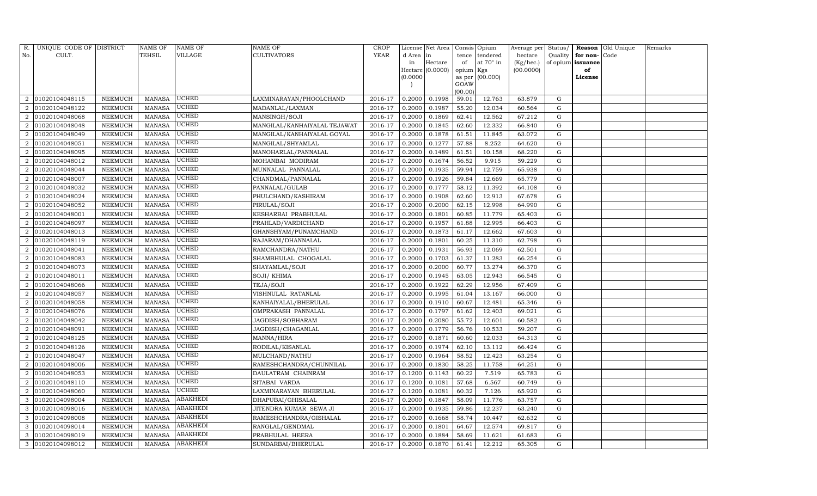| R.                          | UNIQUE CODE OF DISTRICT |                | <b>NAME OF</b> | NAME OF         | <b>NAME OF</b>               | <b>CROP</b> |           | License Net Area |                 | Consis Opium | Average per | Status/     | Reason            | Old Unique | Remarks |
|-----------------------------|-------------------------|----------------|----------------|-----------------|------------------------------|-------------|-----------|------------------|-----------------|--------------|-------------|-------------|-------------------|------------|---------|
| No.                         | CULT.                   |                | TEHSIL         | VILLAGE         | <b>CULTIVATORS</b>           | <b>YEAR</b> | d Area in |                  | tence           | tendered     | hectare     | Quality     | for non-          | Code       |         |
|                             |                         |                |                |                 |                              |             | in        | Hectare          | of              | at 70° in    | (Kg/hec.)   |             | of opium issuance |            |         |
|                             |                         |                |                |                 |                              |             |           | Hectare (0.0000) | opium Kgs       |              | (00.0000)   |             | of                |            |         |
|                             |                         |                |                |                 |                              |             | (0.0000)  |                  | as per          | (00.000)     |             |             | License           |            |         |
|                             |                         |                |                |                 |                              |             |           |                  | GOAW<br>(00.00) |              |             |             |                   |            |         |
| 2                           | 01020104048115          | NEEMUCH        | <b>MANASA</b>  | UCHED           | LAXMINARAYAN/PHOOLCHAND      | 2016-17     | 0.2000    | 0.1998           | 59.01           | 12.763       | 63.879      | G           |                   |            |         |
|                             | 01020104048122          | NEEMUCH        | <b>MANASA</b>  | UCHED           | MADANLAL/LAXMAN              | 2016-17     | 0.2000    | 0.1987           | 55.20           | 12.034       | 60.564      | G           |                   |            |         |
| $\overline{2}$              | 01020104048068          | NEEMUCH        | <b>MANASA</b>  | UCHED           | MANSINGH/SOJI                | 2016-17     | 0.2000    | 0.1869           | 62.41           | 12.562       | 67.212      | G           |                   |            |         |
| 2                           | 01020104048048          | NEEMUCH        | <b>MANASA</b>  | UCHED           | MANGILAL/KANHAIYALAL TEJAWAT | 2016-17     | 0.2000    | 0.1845           | 62.60           | 12.332       | 66.840      | ${\rm G}$   |                   |            |         |
| $\overline{2}$              | 01020104048049          | <b>NEEMUCH</b> | <b>MANASA</b>  | UCHED           | MANGILAL/KANHAIYALAL GOYAL   | 2016-17     | 0.2000    | 0.1878           | 61.51           | 11.845       | 63.072      | ${\rm G}$   |                   |            |         |
|                             | 01020104048051          | NEEMUCH        | <b>MANASA</b>  | UCHED           | MANGILAL/SHYAMLAL            | 2016-17     | 0.2000    | 0.1277           | 57.88           | 8.252        | 64.620      | G           |                   |            |         |
| $\overline{2}$              | 01020104048095          | NEEMUCH        | <b>MANASA</b>  | UCHED           | MANOHARLAL/PANNALAL          | 2016-17     | 0.2000    | 0.1489           | 61.51           | 10.158       | 68.220      | ${\rm G}$   |                   |            |         |
| 2                           | 01020104048012          | NEEMUCH        | <b>MANASA</b>  | UCHED           | MOHANBAI MODIRAM             | 2016-17     | 0.2000    | 0.1674           | 56.52           | 9.915        | 59.229      | ${\rm G}$   |                   |            |         |
| $\overline{2}$              | 01020104048044          | <b>NEEMUCH</b> | <b>MANASA</b>  | UCHED           | MUNNALAL PANNALAL            | 2016-17     | 0.2000    | 0.1935           | 59.94           | 12.759       | 65.938      | $\mathbf G$ |                   |            |         |
|                             | 01020104048007          | NEEMUCH        | <b>MANASA</b>  | UCHED           | CHANDMAL/PANNALAL            | 2016-17     | 0.2000    | 0.1926           | 59.84           | 12.669       | 65.779      | ${\rm G}$   |                   |            |         |
| $\mathcal{D}_{\alpha}$      | 01020104048032          | NEEMUCH        | <b>MANASA</b>  | UCHED           | PANNALAL/GULAB               | 2016-17     | 0.2000    | 0.1777           | 58.12           | 11.392       | 64.108      | ${\rm G}$   |                   |            |         |
| 2                           | 01020104048024          | NEEMUCH        | <b>MANASA</b>  | UCHED           | PHULCHAND/KASHIRAM           | 2016-17     | 0.2000    | 0.1908           | 62.60           | 12.913       | 67.678      | G           |                   |            |         |
|                             | 01020104048052          | <b>NEEMUCH</b> | <b>MANASA</b>  | UCHED           | PIRULAL/SOJI                 | 2016-17     | 0.2000    | 0.2000           | 62.15           | 12.998       | 64.990      | ${\rm G}$   |                   |            |         |
| $\mathcal{D}_{\mathcal{L}}$ | 01020104048001          | NEEMUCH        | <b>MANASA</b>  | UCHED           | KESHARBAI PRABHULAL          | 2016-17     | 0.2000    | 0.1801           | 60.85           | 11.779       | 65.403      | G           |                   |            |         |
| $\overline{2}$              | 01020104048097          | NEEMUCH        | <b>MANASA</b>  | <b>UCHED</b>    | PRAHLAD/VARDICHAND           | 2016-17     | 0.2000    | 0.1957           | 61.88           | 12.995       | 66.403      | G           |                   |            |         |
| $\overline{2}$              | 01020104048013          | NEEMUCH        | <b>MANASA</b>  | <b>UCHED</b>    | GHANSHYAM/PUNAMCHAND         | 2016-17     | 0.2000    | 0.1873           | 61.17           | 12.662       | 67.603      | G           |                   |            |         |
| $\mathcal{D}$               | 01020104048119          | <b>NEEMUCH</b> | <b>MANASA</b>  | UCHED           | RAJARAM/DHANNALAL            | 2016-17     | 0.2000    | 0.1801           | 60.25           | 11.310       | 62.798      | G           |                   |            |         |
| 2                           | 01020104048041          | NEEMUCH        | MANASA         | UCHED           | RAMCHANDRA/NATHU             | 2016-17     | 0.2000    | 0.1931           | 56.93           | 12.069       | 62.501      | G           |                   |            |         |
| $\mathcal{D}_{\alpha}$      | 01020104048083          | NEEMUCH        | <b>MANASA</b>  | <b>UCHED</b>    | SHAMBHULAL CHOGALAL          | 2016-17     | 0.2000    | 0.1703           | 61.37           | 11.283       | 66.254      | G           |                   |            |         |
| $\overline{2}$              | 01020104048073          | NEEMUCH        | <b>MANASA</b>  | UCHED           | SHAYAMLAL/SOJI               | 2016-17     | 0.2000    | 0.2000           | 60.77           | 13.274       | 66.370      | G           |                   |            |         |
|                             | 01020104048011          | NEEMUCH        | <b>MANASA</b>  | UCHED           | SOJI/ KHIMA                  | 2016-17     | 0.2000    | 0.1945           | 63.05           | 12.943       | 66.545      | G           |                   |            |         |
| $\mathcal{D}_{\mathcal{L}}$ | 01020104048066          | NEEMUCH        | <b>MANASA</b>  | UCHED           | TEJA/SOJI                    | 2016-17     | 0.2000    | 0.1922           | 62.29           | 12.956       | 67.409      | G           |                   |            |         |
| 2                           | 01020104048057          | NEEMUCH        | <b>MANASA</b>  | UCHED           | VISHNULAL RATANLAL           | 2016-17     | 0.2000    | 0.1995           | 61.04           | 13.167       | 66.000      | G           |                   |            |         |
| 2                           | 01020104048058          | NEEMUCH        | <b>MANASA</b>  | UCHED           | KANHAIYALAL/BHERULAL         | 2016-17     | 0.2000    | 0.1910           | 60.67           | 12.481       | 65.346      | G           |                   |            |         |
|                             | 01020104048076          | NEEMUCH        | <b>MANASA</b>  | UCHED           | OMPRAKASH PANNALAL           | 2016-17     | 0.2000    | 0.1797           | 61.62           | 12.403       | 69.021      | G           |                   |            |         |
|                             | 01020104048042          | NEEMUCH        | <b>MANASA</b>  | UCHED           | JAGDISH/SOBHARAM             | 2016-17     | 0.2000    | 0.2080           | 55.72           | 12.601       | 60.582      | G           |                   |            |         |
| $\overline{2}$              | 01020104048091          | NEEMUCH        | <b>MANASA</b>  | UCHED           | JAGDISH/CHAGANLAL            | 2016-17     | 0.2000    | 0.1779           | 56.76           | 10.533       | 59.207      | ${\rm G}$   |                   |            |         |
| $\overline{2}$              | 01020104048125          | <b>NEEMUCH</b> | <b>MANASA</b>  | UCHED           | MANNA/HIRA                   | 2016-17     | 0.2000    | 0.1871           | 60.60           | 12.033       | 64.313      | $\mathbf G$ |                   |            |         |
|                             | 01020104048126          | NEEMUCH        | <b>MANASA</b>  | UCHED           | RODILAL/KISANLAL             | 2016-17     | 0.2000    | 0.1974           | 62.10           | 13.112       | 66.424      | ${\rm G}$   |                   |            |         |
| $\overline{2}$              | 01020104048047          | NEEMUCH        | <b>MANASA</b>  | UCHED           | MULCHAND/NATHU               | 2016-17     | 0.2000    | 0.1964           | 58.52           | 12.423       | 63.254      | ${\rm G}$   |                   |            |         |
| 2                           | 01020104048006          | NEEMUCH        | <b>MANASA</b>  | UCHED           | RAMESHCHANDRA/CHUNNILAL      | 2016-17     | 0.2000    | 0.1830           | 58.25           | 11.758       | 64.251      | $\mathbf G$ |                   |            |         |
| $\overline{2}$              | 01020104048053          | <b>NEEMUCH</b> | <b>MANASA</b>  | UCHED           | DAULATRAM CHAINRAM           | 2016-17     | 0.1200    | 0.1143           | 60.22           | 7.519        | 65.783      | $\mathbf G$ |                   |            |         |
|                             | 01020104048110          | NEEMUCH        | <b>MANASA</b>  | UCHED           | SITABAI VARDA                | 2016-17     | 0.1200    | 0.1081           | 57.68           | 6.567        | 60.749      | ${\rm G}$   |                   |            |         |
| 2                           | 01020104048060          | NEEMUCH        | <b>MANASA</b>  | <b>UCHED</b>    | LAXMINARAYAN BHERULAL        | 2016-17     | 0.1200    | 0.1081           | 60.32           | 7.126        | 65.920      | ${\rm G}$   |                   |            |         |
| 3                           | 01020104098004          | NEEMUCH        | <b>MANASA</b>  | ABAKHEDI        | DHAPUBAI/GHISALAL            | 2016-17     | 0.2000    | 0.1847           | 58.09           | 11.776       | 63.757      | ${\rm G}$   |                   |            |         |
| 3                           | 01020104098016          | <b>NEEMUCH</b> | <b>MANASA</b>  | ABAKHEDI        | JITENDRA KUMAR SEWA JI       | 2016-17     | 0.2000    | 0.1935           | 59.86           | 12.237       | 63.240      | ${\rm G}$   |                   |            |         |
| 3                           | 01020104098008          | NEEMUCH        | <b>MANASA</b>  | <b>ABAKHEDI</b> | RAMESHCHANDRA/GISHALAL       | 2016-17     | 0.2000    | 0.1668           | 58.74           | 10.447       | 62.632      | G           |                   |            |         |
| 3                           | 01020104098014          | NEEMUCH        | <b>MANASA</b>  | <b>ABAKHEDI</b> | RANGLAL/GENDMAL              | 2016-17     | 0.2000    | 0.1801           | 64.67           | 12.574       | 69.817      | G           |                   |            |         |
| 3                           | 01020104098019          | NEEMUCH        | <b>MANASA</b>  | ABAKHEDI        | PRABHULAL HEERA              | 2016-17     | 0.2000    | 0.1884           | 58.69           | 11.621       | 61.683      | G           |                   |            |         |
| 3                           | 01020104098012          | <b>NEEMUCH</b> | MANASA         | <b>ABAKHEDI</b> | SUNDARBAI/BHERULAL           | 2016-17     | 0.2000    | 0.1870           | 61.41           | 12.212       | 65.305      | G           |                   |            |         |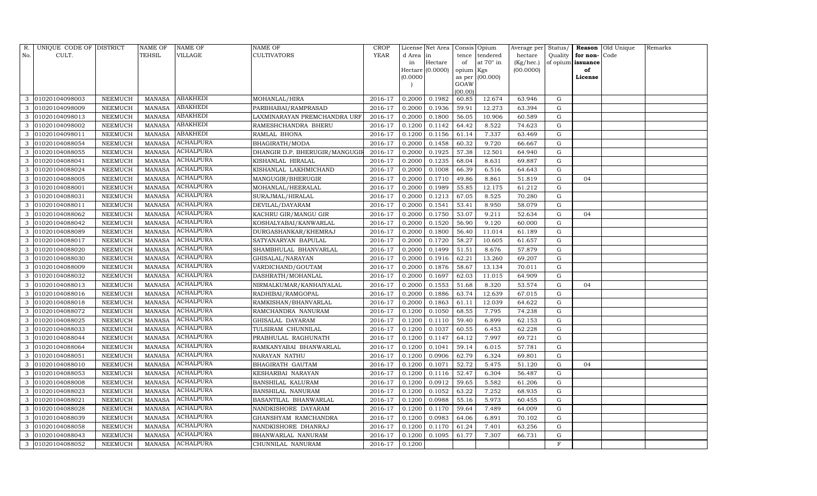| R.  | UNIQUE CODE OF DISTRICT |                | NAME OF       | NAME OF          | NAME OF                       | CROP        |           | License Net Area |           | Consis Opium    | Average per Status/ |             |          | Reason Old Unique | Remarks |
|-----|-------------------------|----------------|---------------|------------------|-------------------------------|-------------|-----------|------------------|-----------|-----------------|---------------------|-------------|----------|-------------------|---------|
| No. | CULT.                   |                | TEHSIL        | VILLAGE          | CULTIVATORS                   | <b>YEAR</b> | d Area in |                  | tence     | tendered        | hectare             | Quality     | for non- | Code              |         |
|     |                         |                |               |                  |                               |             | in        | Hectare          | of        | at 70° in       | (Kg/hec.)           | of opium    | issuance |                   |         |
|     |                         |                |               |                  |                               |             |           | Hectare (0.0000) | opium Kgs |                 | (00.0000)           |             | of       |                   |         |
|     |                         |                |               |                  |                               |             | (0.0000)  |                  | GOAW      | as per (00.000) |                     |             | License  |                   |         |
|     |                         |                |               |                  |                               |             |           |                  | (00.00)   |                 |                     |             |          |                   |         |
| 3   | 01020104098003          | NEEMUCH        | <b>MANASA</b> | ABAKHEDI         | MOHANLAL/HIRA                 | 2016-17     | 0.2000    | 0.1982           | 60.85     | 12.674          | 63.946              | G           |          |                   |         |
|     | 01020104098009          | NEEMUCH        | <b>MANASA</b> | <b>ABAKHEDI</b>  | PARBHABAI/RAMPRASAD           | 2016-17     | 0.2000    | 0.1936           | 59.91     | 12.273          | 63.394              | G           |          |                   |         |
| 3   | 01020104098013          | NEEMUCH        | <b>MANASA</b> | ABAKHEDI         | LAXMINARAYAN PREMCHANDRA URF  | 2016-17     | 0.2000    | 0.1800           | 56.05     | 10.906          | 60.589              | G           |          |                   |         |
| 3   | 01020104098002          | NEEMUCH        | <b>MANASA</b> | <b>ABAKHEDI</b>  | RAMESHCHANDRA BHERU           | 2016-17     | 0.1200    | 0.1142           | 64.42     | 8.522           | 74.623              | ${\rm G}$   |          |                   |         |
| 3   | 01020104098011          | NEEMUCH        | <b>MANASA</b> | ABAKHEDI         | RAMLAL BHONA                  | 2016-17     | 0.1200    | 0.1156           | 61.14     | 7.337           | 63.469              | G           |          |                   |         |
| 3   | 01020104088054          | NEEMUCH        | <b>MANASA</b> | ACHALPURA        | BHAGIRATH/MODA                | 2016-17     | 0.2000    | 0.1458           | 60.32     | 9.720           | 66.667              | $\mathbf G$ |          |                   |         |
| 3   | 01020104088055          | NEEMUCH        | <b>MANASA</b> | <b>ACHALPURA</b> | DHANGIR D.P. BHERUGIR/MANGUGI | 2016-17     | 0.2000    | 0.1925           | 57.38     | 12.501          | 64.940              | G           |          |                   |         |
| 3   | 01020104088041          | NEEMUCH        | <b>MANASA</b> | <b>ACHALPURA</b> | KISHANLAL HIRALAL             | 2016-17     | 0.2000    | 0.1235           | 68.04     | 8.631           | 69.887              | G           |          |                   |         |
| 3   | 01020104088024          | <b>NEEMUCH</b> | <b>MANASA</b> | ACHALPURA        | KISHANLAL LAKHMICHAND         | 2016-17     | 0.2000    | 0.1008           | 66.39     | 6.516           | 64.643              | G           |          |                   |         |
| 3   | 01020104088005          | NEEMUCH        | <b>MANASA</b> | <b>ACHALPURA</b> | MANGUGIR/BHERUGIR             | 2016-17     | 0.2000    | 0.1710           | 49.86     | 8.861           | 51.819              | G           | 04       |                   |         |
| 3   | 01020104088001          | NEEMUCH        | <b>MANASA</b> | <b>ACHALPURA</b> | MOHANLAL/HEERALAL             | 2016-17     | 0.2000    | 0.1989           | 55.85     | 12.175          | 61.212              | ${\rm G}$   |          |                   |         |
| 3   | 01020104088031          | NEEMUCH        | MANASA        | <b>ACHALPURA</b> | SURAJMAL/HIRALAL              | 2016-17     | 0.2000    | 0.1213           | 67.05     | 8.525           | 70.280              | G           |          |                   |         |
|     | 01020104088011          | <b>NEEMUCH</b> | <b>MANASA</b> | <b>ACHALPURA</b> | DEVILAL/DAYARAM               | 2016-17     | 0.2000    | 0.1541           | 53.41     | 8.950           | 58.079              | G           |          |                   |         |
| 3   | 01020104088062          | NEEMUCH        | MANASA        | <b>ACHALPURA</b> | KACHRU GIR/MANGU GIR          | 2016-17     | 0.2000    | 0.1750           | 53.07     | 9.211           | 52.634              | G           | 04       |                   |         |
| 3   | 01020104088042          | NEEMUCH        | MANASA        | <b>ACHALPURA</b> | KOSHALYABAI/KANWARLAL         | 2016-17     | 0.2000    | 0.1520           | 56.90     | 9.120           | 60.000              | G           |          |                   |         |
| 3   | 01020104088089          | NEEMUCH        | <b>MANASA</b> | <b>ACHALPURA</b> | DURGASHANKAR/KHEMRAJ          | 2016-17     | 0.2000    | 0.1800           | 56.40     | 11.014          | 61.189              | G           |          |                   |         |
|     | 01020104088017          | <b>NEEMUCH</b> | <b>MANASA</b> | <b>ACHALPURA</b> | SATYANARYAN BAPULAL           | 2016-17     | 0.2000    | 0.1720           | 58.27     | 10.605          | 61.657              | G           |          |                   |         |
| 3   | 01020104088020          | NEEMUCH        | MANASA        | <b>ACHALPURA</b> | SHAMBHULAL BHANVARLAL         | 2016-17     | 0.2000    | 0.1499           | 51.51     | 8.676           | 57.879              | G           |          |                   |         |
| 3   | 01020104088030          | NEEMUCH        | <b>MANASA</b> | <b>ACHALPURA</b> | GHISALAL/NARAYAN              | 2016-17     | 0.2000    | 0.1916           | 62.21     | 13.260          | 69.207              | G           |          |                   |         |
| 3   | 01020104088009          | NEEMUCH        | <b>MANASA</b> | <b>ACHALPURA</b> | VARDICHAND/GOUTAM             | 2016-17     | 0.2000    | 0.1876           | 58.67     | 13.134          | 70.011              | G           |          |                   |         |
| 3   | 01020104088032          | NEEMUCH        | <b>MANASA</b> | <b>ACHALPURA</b> | DASHRATH/MOHANLAL             | 2016-17     | 0.2000    | 0.1697           | 62.03     | 11.015          | 64.909              | ${\rm G}$   |          |                   |         |
| 3   | 01020104088013          | NEEMUCH        | <b>MANASA</b> | <b>ACHALPURA</b> | NIRMALKUMAR/KANHAIYALAL       | 2016-17     | 0.2000    | 0.1553           | 51.68     | 8.320           | 53.574              | ${\rm G}$   | 04       |                   |         |
| 3   | 01020104088016          | NEEMUCH        | <b>MANASA</b> | ACHALPURA        | RADHIBAI/RAMGOPAL             | 2016-17     | 0.2000    | 0.1886           | 63.74     | 12.639          | 67.015              | G           |          |                   |         |
| 3   | 01020104088018          | NEEMUCH        | <b>MANASA</b> | ACHALPURA        | RAMKISHAN/BHANVARLAL          | 2016-17     | 0.2000    | 0.1863           | 61.11     | 12.039          | 64.622              | G           |          |                   |         |
|     | 01020104088072          | NEEMUCH        | <b>MANASA</b> | <b>ACHALPURA</b> | RAMCHANDRA NANURAM            | 2016-17     | 0.1200    | 0.1050           | 68.55     | 7.795           | 74.238              | ${\rm G}$   |          |                   |         |
| 3   | 01020104088025          | NEEMUCH        | <b>MANASA</b> | <b>ACHALPURA</b> | GHISALAL DAYARAM              | 2016-17     | 0.1200    | 0.1110           | 59.40     | 6.899           | 62.153              | G           |          |                   |         |
| 3   | 01020104088033          | NEEMUCH        | <b>MANASA</b> | <b>ACHALPURA</b> | TULSIRAM CHUNNILAL            | 2016-17     | 0.1200    | 0.1037           | 60.55     | 6.453           | 62.228              | ${\rm G}$   |          |                   |         |
| 3   | 01020104088044          | NEEMUCH        | <b>MANASA</b> | ACHALPURA        | PRABHULAL RAGHUNATH           | 2016-17     | 0.1200    | 0.1147           | 64.12     | 7.997           | 69.721              | ${\rm G}$   |          |                   |         |
| 3   | 01020104088064          | NEEMUCH        | <b>MANASA</b> | <b>ACHALPURA</b> | RAMKANYABAI BHANWARLAL        | 2016-17     | 0.1200    | 0.1041           | 59.14     | 6.015           | 57.781              | G           |          |                   |         |
| 3   | 01020104088051          | NEEMUCH        | <b>MANASA</b> | <b>ACHALPURA</b> | NARAYAN NATHU                 | 2016-17     | 0.1200    | 0.0906           | 62.79     | 6.324           | 69.801              | ${\rm G}$   |          |                   |         |
| 3   | 01020104088010          | NEEMUCH        | <b>MANASA</b> | <b>ACHALPURA</b> | BHAGIRATH GAUTAM              | 2016-17     | 0.1200    | 0.1071           | 52.72     | 5.475           | 51.120              | G           | 04       |                   |         |
| 3   | 01020104088053          | NEEMUCH        | <b>MANASA</b> | ACHALPURA        | KESHARBAI NARAYAN             | 2016-17     | 0.1200    | 0.1116           | 52.47     | 6.304           | 56.487              | G           |          |                   |         |
| 3   | 01020104088008          | NEEMUCH        | <b>MANASA</b> | <b>ACHALPURA</b> | BANSHILAL KALURAM             | 2016-17     | 0.1200    | 0.0912           | 59.65     | 5.582           | 61.206              | $\mathbf G$ |          |                   |         |
| 3   | 01020104088023          | NEEMUCH        | <b>MANASA</b> | <b>ACHALPURA</b> | BANSHILAL NANURAM             | 2016-17     | 0.1200    | 0.1052           | 63.22     | 7.252           | 68.935              | G           |          |                   |         |
| 3   | 01020104088021          | NEEMUCH        | <b>MANASA</b> | <b>ACHALPURA</b> | BASANTILAL BHANWARLAL         | 2016-17     | 0.1200    | 0.0988           | 55.16     | 5.973           | 60.455              | ${\rm G}$   |          |                   |         |
| 3   | 01020104088028          | <b>NEEMUCH</b> | <b>MANASA</b> | <b>ACHALPURA</b> | NANDKISHORE DAYARAM           | 2016-17     | 0.1200    | 0.1170           | 59.64     | 7.489           | 64.009              | ${\rm G}$   |          |                   |         |
| 3   | 01020104088039          | NEEMUCH        | MANASA        | <b>ACHALPURA</b> | GHANSHYAM RAMCHANDRA          | 2016-17     | 0.1200    | 0.0983           | 64.06     | 6.891           | 70.102              | G           |          |                   |         |
| 3   | 01020104088058          | NEEMUCH        | <b>MANASA</b> | <b>ACHALPURA</b> | NANDKISHORE DHANRAJ           | 2016-17     | 0.1200    | 0.1170           | 61.24     | 7.401           | 63.256              | G           |          |                   |         |
| 3   | 01020104088043          | NEEMUCH        | <b>MANASA</b> | <b>ACHALPURA</b> | BHANWARLAL NANURAM            | 2016-17     | 0.1200    | 0.1095           | 61.77     | 7.307           | 66.731              | G           |          |                   |         |
| 3   | 01020104088052          | NEEMUCH        | MANASA        | <b>ACHALPURA</b> | CHUNNILAL NANURAM             | 2016-17     | 0.1200    |                  |           |                 |                     | F           |          |                   |         |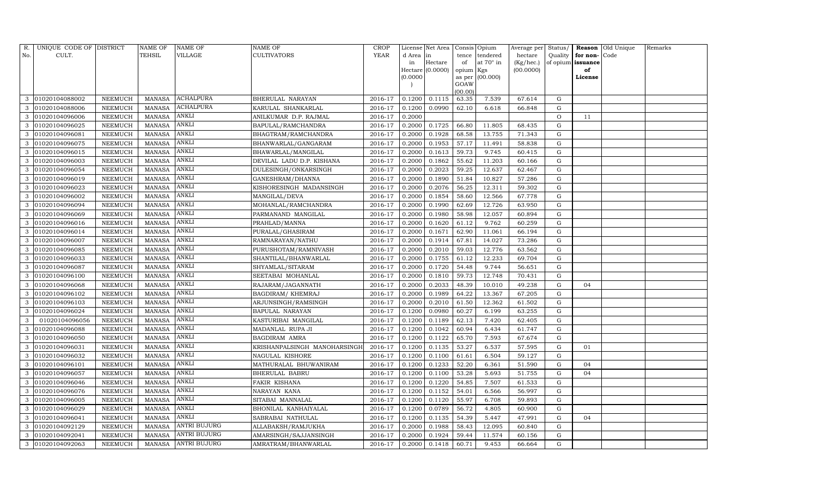| R.  | UNIQUE CODE OF DISTRICT |                 | NAME OF       | NAME OF             | NAME OF                      | CROP        |           | License Net Area |                 | Consis Opium    | Average per | Status/       |          | Reason Old Unique | Remarks |
|-----|-------------------------|-----------------|---------------|---------------------|------------------------------|-------------|-----------|------------------|-----------------|-----------------|-------------|---------------|----------|-------------------|---------|
| No. | CULT.                   |                 | TEHSIL        | VILLAGE             | CULTIVATORS                  | <b>YEAR</b> | d Area in |                  | tence           | tendered        | hectare     | Quality       | for non- | Code              |         |
|     |                         |                 |               |                     |                              |             | in        | Hectare          | of              | at 70° in       | (Kg/hec.)   | of opium      | issuance |                   |         |
|     |                         |                 |               |                     |                              |             |           | Hectare (0.0000) | opium Kgs       |                 | (00.0000)   |               | of       |                   |         |
|     |                         |                 |               |                     |                              |             | (0.0000)  |                  |                 | as per (00.000) |             |               | License  |                   |         |
|     |                         |                 |               |                     |                              |             |           |                  | GOAW<br>(00.00) |                 |             |               |          |                   |         |
| 3   | 01020104088002          | NEEMUCH         | <b>MANASA</b> | ACHALPURA           | BHERULAL NARAYAN             | 2016-17     | 0.1200    | 0.1115           | 63.35           | 7.539           | 67.614      | G             |          |                   |         |
| 3   | 01020104088006          | NEEMUCH         | <b>MANASA</b> | <b>ACHALPURA</b>    | KARULAL SHANKARLAL           | 2016-17     | 0.1200    | 0.0990           | 62.10           | 6.618           | 66.848      | G             |          |                   |         |
| 3   | 01020104096006          | NEEMUCH         | <b>MANASA</b> | <b>ANKLI</b>        | ANILKUMAR D.P. RAJMAL        | 2016-17     | 0.2000    |                  |                 |                 |             | $\mathcal{O}$ | 11       |                   |         |
| 3   | 01020104096025          | NEEMUCH         | MANASA        | ANKLI               | BAPULAL/RAMCHANDRA           | 2016-17     | 0.2000    | 0.1725           | 66.80           | 11.805          | 68.435      | G             |          |                   |         |
| 3   | 01020104096081          | NEEMUCH         | <b>MANASA</b> | ANKLI               | BHAGTRAM/RAMCHANDRA          | 2016-17     | 0.2000    | 0.1928           | 68.58           | 13.755          | 71.343      | G             |          |                   |         |
| 3   | 01020104096075          | NEEMUCH         | <b>MANASA</b> | ANKLI               | BHANWARLAL/GANGARAM          | 2016-17     | 0.2000    | 0.1953           | 57.17           | 11.491          | 58.838      | $\mathbf G$   |          |                   |         |
| 3   | 01020104096015          | <b>NEEMUCH</b>  | <b>MANASA</b> | ANKLI               | BHAWARLAL/MANGILAL           | 2016-17     | 0.2000    | 0.1613           | 59.73           | 9.745           | 60.415      | G             |          |                   |         |
| 3   | 01020104096003          | NEEMUCH         | <b>MANASA</b> | ANKLI               | DEVILAL LADU D.P. KISHANA    | 2016-17     | 0.2000    | 0.1862           | 55.62           | 11.203          | 60.166      | $\mathbf G$   |          |                   |         |
| 3   | 01020104096054          | NEEMUCH         | <b>MANASA</b> | ANKLI               | DULESINGH/ONKARSINGH         | 2016-17     | 0.2000    | 0.2023           | 59.25           | 12.637          | 62.467      | G             |          |                   |         |
| 3   | 01020104096019          | NEEMUCH         | <b>MANASA</b> | ANKLI               | GANESHRAM/DHANNA             | 2016-17     | 0.2000    | 0.1890           | 51.84           | 10.827          | 57.286      | G             |          |                   |         |
| 3   | 01020104096023          | ${\tt NEEMUCH}$ | <b>MANASA</b> | ANKLI               | KISHORESINGH MADANSINGH      | 2016-17     | 0.2000    | 0.2076           | 56.25           | 12.311          | 59.302      | G             |          |                   |         |
| 3   | 01020104096002          | NEEMUCH         | <b>MANASA</b> | ANKLI               | MANGILAL/DEVA                | 2016-17     | 0.2000    | 0.1854           | 58.60           | 12.566          | 67.778      | G             |          |                   |         |
|     | 01020104096094          | <b>NEEMUCH</b>  | <b>MANASA</b> | ANKLI               | MOHANLAL/RAMCHANDRA          | 2016-17     | 0.2000    | 0.1990           | 62.69           | 12.726          | 63.950      | ${\rm G}$     |          |                   |         |
| 3   | 01020104096069          | NEEMUCH         | <b>MANASA</b> | ANKLI               | PARMANAND MANGILAL           | 2016-17     | 0.2000    | 0.1980           | 58.98           | 12.057          | 60.894      | ${\rm G}$     |          |                   |         |
| 3   | 01020104096016          | NEEMUCH         | <b>MANASA</b> | ANKLI               | PRAHLAD/MANNA                | 2016-17     | 0.2000    | 0.1620           | 61.12           | 9.762           | 60.259      | G             |          |                   |         |
| 3   | 01020104096014          | NEEMUCH         | <b>MANASA</b> | ANKLI               | PURALAL/GHASIRAM             | 2016-17     | 0.2000    | 0.1671           | 62.90           | 11.061          | 66.194      | G             |          |                   |         |
|     | 01020104096007          | NEEMUCH         | <b>MANASA</b> | ANKLI               | RAMNARAYAN/NATHU             | 2016-17     | 0.2000    | 0.1914           | 67.81           | 14.027          | 73.286      | ${\rm G}$     |          |                   |         |
| 3   | 01020104096085          | NEEMUCH         | <b>MANASA</b> | ANKLI               | PURUSHOTAM/RAMNIVASH         | 2016-17     | 0.2000    | 0.2010           | 59.03           | 12.776          | 63.562      | G             |          |                   |         |
| 3   | 01020104096033          | NEEMUCH         | <b>MANASA</b> | ANKLI               | SHANTILAL/BHANWARLAL         | 2016-17     | 0.2000    | 0.1755           | 61.12           | 12.233          | 69.704      | G             |          |                   |         |
| 3   | 01020104096087          | <b>NEEMUCH</b>  | <b>MANASA</b> | ANKLI               | SHYAMLAL/SITARAM             | 2016-17     | 0.2000    | 0.1720           | 54.48           | 9.744           | 56.651      | G             |          |                   |         |
| 3   | 01020104096100          | NEEMUCH         | <b>MANASA</b> | <b>ANKLI</b>        | SEETABAI MOHANLAL            | 2016-17     | 0.2000    | 0.1810           | 59.73           | 12.748          | 70.431      | ${\rm G}$     |          |                   |         |
| 3   | 01020104096068          | NEEMUCH         | <b>MANASA</b> | ANKLI               | RAJARAM/JAGANNATH            | 2016-17     | 0.2000    | 0.2033           | 48.39           | 10.010          | 49.238      | ${\rm G}$     | 04       |                   |         |
| 3   | 01020104096102          | NEEMUCH         | <b>MANASA</b> | ANKLI               | BAGDIRAM/KHEMRAJ             | 2016-17     | 0.2000    | 0.1989           | 64.22           | 13.367          | 67.205      | G             |          |                   |         |
| 3   | 01020104096103          | NEEMUCH         | <b>MANASA</b> | ANKLI               | ARJUNSINGH/RAMSINGH          | 2016-17     | 0.2000    | 0.2010           | 61.50           | 12.362          | 61.502      | G             |          |                   |         |
| 3   | 01020104096024          | NEEMUCH         | <b>MANASA</b> | ANKLI               | BAPULAL NARAYAN              | 2016-17     | 0.1200    | 0.0980           | 60.27           | 6.199           | 63.255      | ${\rm G}$     |          |                   |         |
| 3   | 01020104096056          | NEEMUCH         | <b>MANASA</b> | ANKLI               | KASTURIBAI MANGILAL          | 2016-17     | 0.1200    | 0.1189           | 62.13           | 7.420           | 62.405      | G             |          |                   |         |
| 3   | 01020104096088          | NEEMUCH         | <b>MANASA</b> | ANKLI               | MADANLAL RUPA JI             | 2016-17     | 0.1200    | 0.1042           | 60.94           | 6.434           | 61.747      | ${\rm G}$     |          |                   |         |
| 3   | 01020104096050          | <b>NEEMUCH</b>  | <b>MANASA</b> | ANKLI               | BAGDIRAM AMRA                | 2016-17     | 0.1200    | 0.1122           | 65.70           | 7.593           | 67.674      | ${\rm G}$     |          |                   |         |
| 3   | 01020104096031          | NEEMUCH         | <b>MANASA</b> | ANKLI               | KRISHANPALSINGH MANOHARSINGI | 2016-17     | 0.1200    | 0.1135           | 53.27           | 6.537           | 57.595      | G             | 01       |                   |         |
| 3   | 01020104096032          | NEEMUCH         | <b>MANASA</b> | ANKLI               | NAGULAL KISHORE              | 2016-17     | 0.1200    | 0.1100           | 61.61           | 6.504           | 59.127      | ${\rm G}$     |          |                   |         |
| 3   | 01020104096101          | NEEMUCH         | <b>MANASA</b> | ANKLI               | MATHURALAL BHUWANIRAM        | 2016-17     | 0.1200    | 0.1233           | 52.20           | 6.361           | 51.590      | G             | 04       |                   |         |
| 3   | 01020104096057          | <b>NEEMUCH</b>  | <b>MANASA</b> | ANKLI               | BHERULAL BABRU               | 2016-17     | 0.1200    | 0.1100           | 53.28           | 5.693           | 51.755      | G             | 04       |                   |         |
| 3   | 01020104096046          | NEEMUCH         | <b>MANASA</b> | ANKLI               | FAKIR KISHANA                | 2016-17     | 0.1200    | 0.1220           | 54.85           | 7.507           | 61.533      | G             |          |                   |         |
| 3   | 01020104096076          | NEEMUCH         | <b>MANASA</b> | ANKLI               | NARAYAN KANA                 | 2016-17     | 0.1200    | 0.1152           | 54.01           | 6.566           | 56.997      | G             |          |                   |         |
| 3   | 01020104096005          | NEEMUCH         | <b>MANASA</b> | ANKLI               | SITABAI MANNALAL             | 2016-17     | 0.1200    | 0.1120           | 55.97           | 6.708           | 59.893      | G             |          |                   |         |
| 3   | 01020104096029          | NEEMUCH         | <b>MANASA</b> | ANKLI               | BHONILAL KANHAIYALAL         | 2016-17     | 0.1200    | 0.0789           | 56.72           | 4.805           | 60.900      | $\mathbf G$   |          |                   |         |
| 3   | 01020104096041          | NEEMUCH         | <b>MANASA</b> | ANKLI               | SABRABAI NATHULAL            | 2016-17     | 0.1200    | 0.1135           | 54.39           | 5.447           | 47.991      | G             | 04       |                   |         |
| 3   | 01020104092129          | NEEMUCH         | <b>MANASA</b> | <b>ANTRI BUJURG</b> | ALLABAKSH/RAMJUKHA           | 2016-17     | 0.2000    | 0.1988           | 58.43           | 12.095          | 60.840      | $\mathbf G$   |          |                   |         |
| 3   | 01020104092041          | <b>NEEMUCH</b>  | <b>MANASA</b> | ANTRI BUJURG        | AMARSINGH/SAJJANSINGH        | 2016-17     | 0.2000    | 0.1924           | 59.44           | 11.574          | 60.156      | G             |          |                   |         |
| 3   | 01020104092063          | NEEMUCH         | MANASA        | <b>ANTRI BUJURG</b> | AMRATRAM/BHANWARLAL          | 2016-17     | 0.2000    | 0.1418           | 60.71           | 9.453           | 66.664      | G             |          |                   |         |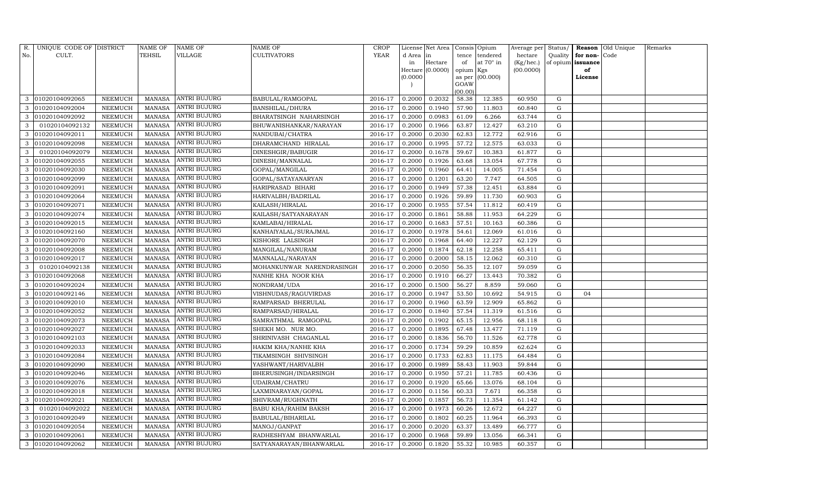| R.  | UNIQUE CODE OF DISTRICT |                | NAME OF       | NAME OF             | NAME OF                   | <b>CROP</b> |           | License Net Area |           | Consis Opium    | Average per | Status/     |          | Reason Old Unique | Remarks |
|-----|-------------------------|----------------|---------------|---------------------|---------------------------|-------------|-----------|------------------|-----------|-----------------|-------------|-------------|----------|-------------------|---------|
| No. | CULT.                   |                | TEHSIL        | VILLAGE             | CULTIVATORS               | <b>YEAR</b> | d Area in |                  | tence     | tendered        | hectare     | Quality     | for non- | Code              |         |
|     |                         |                |               |                     |                           |             | in        | Hectare          | of        | at 70° in       | (Kg/hec.)   | of opium    | issuance |                   |         |
|     |                         |                |               |                     |                           |             |           | Hectare (0.0000) | opium Kgs |                 | (00.0000)   |             | of       |                   |         |
|     |                         |                |               |                     |                           |             | (0.0000)  |                  | GOAW      | as per (00.000) |             |             | License  |                   |         |
|     |                         |                |               |                     |                           |             |           |                  | (00.00)   |                 |             |             |          |                   |         |
| 3   | 01020104092065          | NEEMUCH        | MANASA        | ANTRI BUJURG        | BABULAL/RAMGOPAL          | 2016-17     | 0.2000    | 0.2032           | 58.38     | 12.385          | 60.950      | G           |          |                   |         |
| 3   | 01020104092004          | NEEMUCH        | <b>MANASA</b> | <b>ANTRI BUJURG</b> | BANSHILAL/DHURA           | 2016-17     | 0.2000    | 0.1940           | 57.90     | 11.803          | 60.840      | G           |          |                   |         |
| 3   | 01020104092092          | NEEMUCH        | <b>MANASA</b> | <b>ANTRI BUJURG</b> | BHARATSINGH NAHARSINGH    | 2016-17     | 0.2000    | 0.0983           | 61.09     | 6.266           | 63.744      | G           |          |                   |         |
| 3   | 01020104092132          | NEEMUCH        | <b>MANASA</b> | <b>ANTRI BUJURG</b> | BHUWANISHANKAR/NARAYAN    | 2016-17     | 0.2000    | 0.1966           | 63.87     | 12.427          | 63.210      | $\mathbf G$ |          |                   |         |
| 3   | 01020104092011          | NEEMUCH        | <b>MANASA</b> | ANTRI BUJURG        | NANDUBAI/CHATRA           | 2016-17     | 0.2000    | 0.2030           | 62.83     | 12.772          | 62.916      | G           |          |                   |         |
| 3   | 01020104092098          | NEEMUCH        | <b>MANASA</b> | ANTRI BUJURG        | DHARAMCHAND HIRALAL       | 2016-17     | 0.2000    | 0.1995           | 57.72     | 12.575          | 63.033      | $\mathbf G$ |          |                   |         |
| 3   | 01020104092079          | NEEMUCH        | <b>MANASA</b> | ANTRI BUJURG        | DINESHGIR/BABUGIR         | 2016-17     | 0.2000    | 0.1678           | 59.67     | 10.383          | 61.877      | G           |          |                   |         |
| 3   | 01020104092055          | <b>NEEMUCH</b> | <b>MANASA</b> | ANTRI BUJURG        | DINESH/MANNALAL           | 2016-17     | 0.2000    | 0.1926           | 63.68     | 13.054          | 67.778      | $\mathbf G$ |          |                   |         |
| 3   | 01020104092030          | NEEMUCH        | <b>MANASA</b> | ANTRI BUJURG        | GOPAL/MANGILAL            | 2016-17     | 0.2000    | 0.1960           | 64.41     | 14.005          | 71.454      | G           |          |                   |         |
| 3   | 01020104092099          | NEEMUCH        | <b>MANASA</b> | ANTRI BUJURG        | GOPAL/SATAYANARYAN        | 2016-17     | 0.2000    | 0.1201           | 63.20     | 7.747           | 64.505      | G           |          |                   |         |
| 3   | 01020104092091          | NEEMUCH        | <b>MANASA</b> | ANTRI BUJURG        | HARIPRASAD BIHARI         | 2016-17     | 0.2000    | 0.1949           | 57.38     | 12.451          | 63.884      | G           |          |                   |         |
| 3   | 01020104092064          | NEEMUCH        | <b>MANASA</b> | ANTRI BUJURG        | HARIVALBH/BADRILAL        | 2016-17     | 0.2000    | 0.1926           | 59.89     | 11.730          | 60.903      | G           |          |                   |         |
|     | 01020104092071          | NEEMUCH        | <b>MANASA</b> | ANTRI BUJURG        | KAILASH/HIRALAL           | 2016-17     | 0.2000    | 0.1955           | 57.54     | 11.812          | 60.419      | $\mathbf G$ |          |                   |         |
| 3   | 01020104092074          | NEEMUCH        | <b>MANASA</b> | ANTRI BUJURG        | KAILASH/SATYANARAYAN      | 2016-17     | 0.2000    | 0.1861           | 58.88     | 11.953          | 64.229      | ${\rm G}$   |          |                   |         |
| 3   | 01020104092015          | NEEMUCH        | <b>MANASA</b> | ANTRI BUJURG        | KAMLABAI/HIRALAL          | 2016-17     | 0.2000    | 0.1683           | 57.51     | 10.163          | 60.386      | G           |          |                   |         |
| 3   | 01020104092160          | <b>NEEMUCH</b> | <b>MANASA</b> | ANTRI BUJURG        | KANHAIYALAL/SURAJMAL      | 2016-17     | 0.2000    | 0.1978           | 54.61     | 12.069          | 61.016      | G           |          |                   |         |
|     | 01020104092070          | NEEMUCH        | <b>MANASA</b> | ANTRI BUJURG        | KISHORE LALSINGH          | 2016-17     | 0.2000    | 0.1968           | 64.40     | 12.227          | 62.129      | ${\rm G}$   |          |                   |         |
| 3   | 01020104092008          | NEEMUCH        | <b>MANASA</b> | ANTRI BUJURG        | MANGILAL/NANURAM          | 2016-17     | 0.2000    | 0.1874           | 62.18     | 12.258          | 65.411      | G           |          |                   |         |
| 3   | 01020104092017          | NEEMUCH        | <b>MANASA</b> | ANTRI BUJURG        | MANNALAL/NARAYAN          | 2016-17     | 0.2000    | 0.2000           | 58.15     | 12.062          | 60.310      | ${\rm G}$   |          |                   |         |
| 3   | 01020104092138          | <b>NEEMUCH</b> | <b>MANASA</b> | ANTRI BUJURG        | MOHANKUNWAR NARENDRASINGH | 2016-17     | 0.2000    | 0.2050           | 56.35     | 12.107          | 59.059      | G           |          |                   |         |
| 3   | 01020104092068          | NEEMUCH        | <b>MANASA</b> | <b>ANTRI BUJURG</b> | NANHE KHA NOOR KHA        | 2016-17     | 0.2000    | 0.1910           | 66.27     | 13.443          | 70.382      | ${\rm G}$   |          |                   |         |
| 3   | 01020104092024          | NEEMUCH        | <b>MANASA</b> | <b>ANTRI BUJURG</b> | NONDRAM/UDA               | 2016-17     | 0.2000    | 0.1500           | 56.27     | 8.859           | 59.060      | ${\rm G}$   |          |                   |         |
| 3   | 01020104092146          | NEEMUCH        | <b>MANASA</b> | <b>ANTRI BUJURG</b> | VISHNUDAS/RAGUVIRDAS      | 2016-17     | 0.2000    | 0.1947           | 53.50     | 10.692          | 54.915      | G           | 04       |                   |         |
| 3   | 01020104092010          | <b>NEEMUCH</b> | <b>MANASA</b> | ANTRI BUJURG        | RAMPARSAD BHERULAL        | 2016-17     | 0.2000    | 0.1960           | 63.59     | 12.909          | 65.862      | G           |          |                   |         |
| 3   | 01020104092052          | NEEMUCH        | <b>MANASA</b> | ANTRI BUJURG        | RAMPARSAD/HIRALAL         | 2016-17     | 0.2000    | 0.1840           | 57.54     | 11.319          | 61.516      | ${\rm G}$   |          |                   |         |
| 3   | 01020104092073          | NEEMUCH        | <b>MANASA</b> | ANTRI BUJURG        | SAMRATHMAL RAMGOPAL       | 2016-17     | 0.2000    | 0.1902           | 65.15     | 12.956          | 68.118      | G           |          |                   |         |
| 3   | 01020104092027          | NEEMUCH        | <b>MANASA</b> | ANTRI BUJURG        | SHEKH MO. NUR MO.         | 2016-17     | 0.2000    | 0.1895           | 67.48     | 13.477          | 71.119      | ${\rm G}$   |          |                   |         |
| 3   | 01020104092103          | <b>NEEMUCH</b> | <b>MANASA</b> | ANTRI BUJURG        | SHRINIVASH CHAGANLAL      | 2016-17     | 0.2000    | 0.1836           | 56.70     | 11.526          | 62.778      | ${\rm G}$   |          |                   |         |
| 3   | 01020104092033          | NEEMUCH        | <b>MANASA</b> | ANTRI BUJURG        | HAKIM KHA/NANHE KHA       | 2016-17     | 0.2000    | 0.1734           | 59.29     | 10.859          | 62.624      | G           |          |                   |         |
| 3   | 01020104092084          | NEEMUCH        | <b>MANASA</b> | ANTRI BUJURG        | TIKAMSINGH SHIVSINGH      | 2016-17     | 0.2000    | 0.1733           | 62.83     | 11.175          | 64.484      | ${\rm G}$   |          |                   |         |
| 3   | 01020104092090          | NEEMUCH        | <b>MANASA</b> | ANTRI BUJURG        | YASHWANT/HARIVALBH        | 2016-17     | 0.2000    | 0.1989           | 58.43     | 11.903          | 59.844      | G           |          |                   |         |
| 3   | 01020104092046          | <b>NEEMUCH</b> | <b>MANASA</b> | <b>ANTRI BUJURG</b> | BHERUSINGH/INDARSINGH     | 2016-17     | 0.2000    | 0.1950           | 57.21     | 11.785          | 60.436      | G           |          |                   |         |
| 3   | 01020104092076          | <b>NEEMUCH</b> | <b>MANASA</b> | ANTRI BUJURG        | UDAIRAM/CHATRU            | 2016-17     | 0.2000    | 0.1920           | 65.66     | 13.076          | 68.104      | G           |          |                   |         |
| 3   | 01020104092018          | NEEMUCH        | MANASA        | <b>ANTRI BUJURG</b> | LAXMINARAYAN/GOPAL        | 2016-17     | 0.2000    | 0.1156           | 60.33     | 7.671           | 66.358      | G           |          |                   |         |
| 3   | 01020104092021          | NEEMUCH        | <b>MANASA</b> | ANTRI BUJURG        | SHIVRAM/RUGHNATH          | 2016-17     | 0.2000    | 0.1857           | 56.73     | 11.354          | 61.142      | G           |          |                   |         |
| 3   | 01020104092022          | NEEMUCH        | <b>MANASA</b> | ANTRI BUJURG        | BABU KHA/RAHIM BAKSH      | 2016-17     | 0.2000    | 0.1973           | 60.26     | 12.672          | 64.227      | ${\rm G}$   |          |                   |         |
| 3   | 01020104092049          | NEEMUCH        | <b>MANASA</b> | ANTRI BUJURG        | BABULAL/BIHARILAL         | 2016-17     | 0.2000    | 0.1802           | 60.25     | 11.964          | 66.393      | ${\rm G}$   |          |                   |         |
| 3   | 01020104092054          | NEEMUCH        | <b>MANASA</b> | <b>ANTRI BUJURG</b> | MANOJ/GANPAT              | 2016-17     | 0.2000    | 0.2020           | 63.37     | 13.489          | 66.777      | ${\rm G}$   |          |                   |         |
| 3   | 01020104092061          | NEEMUCH        | <b>MANASA</b> | ANTRI BUJURG        | RADHESHYAM BHANWARLAL     | 2016-17     | 0.2000    | 0.1968           | 59.89     | 13.056          | 66.341      | G           |          |                   |         |
| 3   | 01020104092062          | NEEMUCH        | MANASA        | <b>ANTRI BUJURG</b> | SATYANARAYAN/BHANWARLAL   | 2016-17     | 0.2000    | 0.1820           | 55.32     | 10.985          | 60.357      | G           |          |                   |         |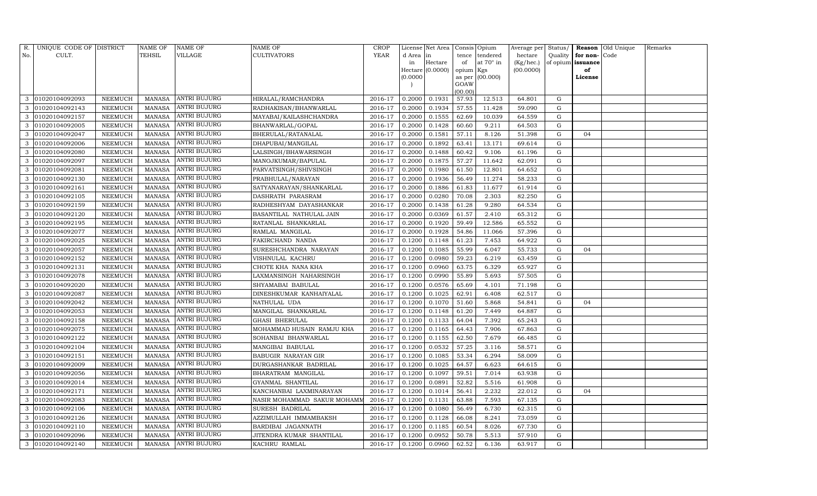| R.  | UNIQUE CODE OF DISTRICT |                | NAME OF       | NAME OF             | NAME OF                     | CROP        |           | License Net Area |                 | Consis Opium     | Average per Status/ |           |                   | Reason Old Unique | Remarks |
|-----|-------------------------|----------------|---------------|---------------------|-----------------------------|-------------|-----------|------------------|-----------------|------------------|---------------------|-----------|-------------------|-------------------|---------|
| No. | CULT.                   |                | TEHSIL        | VILLAGE             | CULTIVATORS                 | <b>YEAR</b> | d Area in |                  | tence           | tendered         | hectare             | Quality   | for non-          | Code              |         |
|     |                         |                |               |                     |                             |             | in        | Hectare          | of              | at $70^\circ$ in | (Kg/hec.)           |           | of opium issuance |                   |         |
|     |                         |                |               |                     |                             |             |           | Hectare (0.0000) | opium Kgs       |                  | (00.0000)           |           | of                |                   |         |
|     |                         |                |               |                     |                             |             | (0.0000)  |                  |                 | as per (00.000)  |                     |           | License           |                   |         |
|     |                         |                |               |                     |                             |             |           |                  | GOAW<br>(00.00) |                  |                     |           |                   |                   |         |
| 3   | 01020104092093          | NEEMUCH        | MANASA        | <b>ANTRI BUJURG</b> | HIRALAL/RAMCHANDRA          | 2016-17     | 0.2000    | 0.1931           | 57.93           | 12.513           | 64.801              | G         |                   |                   |         |
| 3   | 01020104092143          | NEEMUCH        | <b>MANASA</b> | ANTRI BUJURG        | RADHAKISAN/BHANWARLAL       | 2016-17     | 0.2000    | 0.1934           | 57.55           | 11.428           | 59.090              | G         |                   |                   |         |
| 3   | 01020104092157          | NEEMUCH        | <b>MANASA</b> | ANTRI BUJURG        | MAYABAI/KAILASHCHANDRA      | 2016-17     | 0.2000    | 0.1555           | 62.69           | 10.039           | 64.559              | G         |                   |                   |         |
| 3   | 01020104092005          | NEEMUCH        | MANASA        | ANTRI BUJURG        | BHANWARLAL/GOPAL            | 2016-17     | 0.2000    | 0.1428           | 60.60           | 9.211            | 64.503              | ${\rm G}$ |                   |                   |         |
| 3   | 01020104092047          | NEEMUCH        | <b>MANASA</b> | ANTRI BUJURG        | BHERULAL/RATANALAL          | 2016-17     | 0.2000    | 0.1581           | 57.11           | 8.126            | 51.398              | G         | 04                |                   |         |
| 3   | 01020104092006          | NEEMUCH        | <b>MANASA</b> | ANTRI BUJURG        | DHAPUBAI/MANGILAL           | 2016-17     | 0.2000    | 0.1892           | 63.41           | 13.171           | 69.614              | ${\rm G}$ |                   |                   |         |
| 3   | 01020104092080          | NEEMUCH        | <b>MANASA</b> | <b>ANTRI BUJURG</b> | LALSINGH/BHAWARSINGH        | 2016-17     | 0.2000    | 0.1488           | 60.42           | 9.106            | 61.196              | G         |                   |                   |         |
| 3   | 01020104092097          | NEEMUCH        | <b>MANASA</b> | ANTRI BUJURG        | MANOJKUMAR/BAPULAL          | 2016-17     | 0.2000    | 0.1875           | 57.27           | 11.642           | 62.091              | ${\rm G}$ |                   |                   |         |
| 3   | 01020104092081          | NEEMUCH        | <b>MANASA</b> | ANTRI BUJURG        | PARVATSINGH/SHIVSINGH       | 2016-17     | 0.2000    | 0.1980           | 61.50           | 12.801           | 64.652              | G         |                   |                   |         |
| 3   | 01020104092130          | NEEMUCH        | <b>MANASA</b> | ANTRI BUJURG        | PRABHULAL/NARAYAN           | 2016-17     | 0.2000    | 0.1936           | 56.49           | 11.274           | 58.233              | G         |                   |                   |         |
| 3   | 01020104092161          | NEEMUCH        | <b>MANASA</b> | <b>ANTRI BUJURG</b> | SATYANARAYAN/SHANKARLAL     | 2016-17     | 0.2000    | 0.1886           | 61.83           | 11.677           | 61.914              | ${\rm G}$ |                   |                   |         |
| 3   | 01020104092105          | NEEMUCH        | MANASA        | ANTRI BUJURG        | DASHRATH PARASRAM           | 2016-17     | 0.2000    | 0.0280           | 70.08           | 2.303            | 82.250              | G         |                   |                   |         |
|     | 01020104092159          | <b>NEEMUCH</b> | <b>MANASA</b> | ANTRI BUJURG        | RADHESHYAM DAYASHANKAR      | 2016-17     | 0.2000    | 0.1438           | 61.28           | 9.280            | 64.534              | ${\rm G}$ |                   |                   |         |
| 3   | 01020104092120          | NEEMUCH        | MANASA        | <b>ANTRI BUJURG</b> | BASANTILAL NATHULAL JAIN    | 2016-17     | 0.2000    | 0.0369           | 61.57           | 2.410            | 65.312              | G         |                   |                   |         |
| 3   | 01020104092195          | NEEMUCH        | MANASA        | <b>ANTRI BUJURG</b> | RATANLAL SHANKARLAL         | 2016-17     | 0.2000    | 0.1920           | 59.49           | 12.586           | 65.552              | G         |                   |                   |         |
| 3   | 01020104092077          | NEEMUCH        | <b>MANASA</b> | ANTRI BUJURG        | RAMLAL MANGILAL             | 2016-17     | 0.2000    | 0.1928           | 54.86           | 11.066           | 57.396              | G         |                   |                   |         |
| 3   | 01020104092025          | <b>NEEMUCH</b> | MANASA        | <b>ANTRI BUJURG</b> | FAKIRCHAND NANDA            | 2016-17     | 0.1200    | 0.1148           | 61.23           | 7.453            | 64.922              | G         |                   |                   |         |
| 3   | 01020104092057          | NEEMUCH        | MANASA        | <b>ANTRI BUJURG</b> | SURESHCHANDRA NARAYAN       | 2016-17     | 0.1200    | 0.1085           | 55.99           | 6.047            | 55.733              | G         | 04                |                   |         |
| 3   | 01020104092152          | NEEMUCH        | <b>MANASA</b> | <b>ANTRI BUJURG</b> | VISHNULAL KACHRU            | 2016-17     | 0.1200    | 0.0980           | 59.23           | 6.219            | 63.459              | G         |                   |                   |         |
| 3   | 01020104092131          | NEEMUCH        | MANASA        | ANTRI BUJURG        | CHOTE KHA NANA KHA          | 2016-17     | 0.1200    | 0.0960           | 63.75           | 6.329            | 65.927              | G         |                   |                   |         |
| 3   | 01020104092078          | NEEMUCH        | <b>MANASA</b> | <b>ANTRI BUJURG</b> | LAXMANSINGH NAHARSINGH      | 2016-17     | 0.1200    | 0.0990           | 55.89           | 5.693            | 57.505              | G         |                   |                   |         |
| 3   | 01020104092020          | NEEMUCH        | <b>MANASA</b> | ANTRI BUJURG        | SHYAMABAI BABULAL           | 2016-17     | 0.1200    | 0.0576           | 65.69           | 4.101            | 71.198              | ${\rm G}$ |                   |                   |         |
| 3   | 01020104092087          | NEEMUCH        | <b>MANASA</b> | ANTRI BUJURG        | DINESHKUMAR KANHAIYALAL     | 2016-17     | 0.1200    | 0.1025           | 62.91           | 6.408            | 62.517              | G         |                   |                   |         |
| 3   | 01020104092042          | NEEMUCH        | <b>MANASA</b> | ANTRI BUJURG        | NATHULAL UDA                | 2016-17     | 0.1200    | 0.1070           | 51.60           | 5.868            | 54.841              | G         | 04                |                   |         |
| 3   | 01020104092053          | NEEMUCH        | <b>MANASA</b> | ANTRI BUJURG        | MANGILAL SHANKARLAL         | 2016-17     | 0.1200    | 0.1148           | 61.20           | 7.449            | 64.887              | ${\rm G}$ |                   |                   |         |
| 3   | 01020104092158          | NEEMUCH        | <b>MANASA</b> | ANTRI BUJURG        | GHASI BHERULAL              | 2016-17     | 0.1200    | 0.1133           | 64.04           | 7.392            | 65.243              | G         |                   |                   |         |
| 3   | 01020104092075          | NEEMUCH        | <b>MANASA</b> | ANTRI BUJURG        | MOHAMMAD HUSAIN RAMJU KHA   | 2016-17     | 0.1200    | 0.1165           | 64.43           | 7.906            | 67.863              | G         |                   |                   |         |
| 3   | 01020104092122          | NEEMUCH        | <b>MANASA</b> | ANTRI BUJURG        | SOHANBAI BHANWARLAL         | 2016-17     | 0.1200    | 0.1155           | 62.50           | 7.679            | 66.485              | G         |                   |                   |         |
| 3   | 01020104092104          | NEEMUCH        | <b>MANASA</b> | <b>ANTRI BUJURG</b> | MANGIBAI BABULAL            | 2016-17     | 0.1200    | 0.0532           | 57.25           | 3.116            | 58.571              | G         |                   |                   |         |
| 3   | 01020104092151          | NEEMUCH        | <b>MANASA</b> | ANTRI BUJURG        | BABUGIR NARAYAN GIR         | 2016-17     | 0.1200    | 0.1085           | 53.34           | 6.294            | 58.009              | G         |                   |                   |         |
| 3   | 01020104092009          | NEEMUCH        | <b>MANASA</b> | <b>ANTRI BUJURG</b> | DURGASHANKAR BADRILAL       | 2016-17     | 0.1200    | 0.1025           | 64.57           | 6.623            | 64.615              | G         |                   |                   |         |
| 3   | 01020104092056          | NEEMUCH        | <b>MANASA</b> | ANTRI BUJURG        | BHARATRAM MANGILAL          | 2016-17     | 0.1200    | 0.1097           | 59.51           | 7.014            | 63.938              | G         |                   |                   |         |
| 3   | 01020104092014          | NEEMUCH        | <b>MANASA</b> | ANTRI BUJURG        | GYANMAL SHANTILAL           | 2016-17     | 0.1200    | 0.0891           | 52.82           | 5.516            | 61.908              | ${\rm G}$ |                   |                   |         |
| 3   | 01020104092171          | NEEMUCH        | <b>MANASA</b> | <b>ANTRI BUJURG</b> | KANCHANBAI LAXMINARAYAN     | 2016-17     | 0.1200    | 0.1014           | 56.41           | 2.232            | 22.012              | G         | 04                |                   |         |
| 3   | 01020104092083          | NEEMUCH        | <b>MANASA</b> | ANTRI BUJURG        | NASIR MOHAMMAD SAKUR MOHAMM | 2016-17     | 0.1200    | 0.1131           | 63.88           | 7.593            | 67.135              | G         |                   |                   |         |
| 3   | 01020104092106          | <b>NEEMUCH</b> | <b>MANASA</b> | ANTRI BUJURG        | SURESH BADRILAL             | 2016-17     | 0.1200    | 0.1080           | 56.49           | 6.730            | 62.315              | ${\rm G}$ |                   |                   |         |
| 3   | 01020104092126          | NEEMUCH        | MANASA        | ANTRI BUJURG        | AZZIMULLAH IMMAMBAKSH       | 2016-17     | 0.1200    | 0.1128           | 66.08           | 8.241            | 73.059              | G         |                   |                   |         |
| 3   | 01020104092110          | NEEMUCH        | MANASA        | <b>ANTRI BUJURG</b> | BARDIBAI JAGANNATH          | 2016-17     | 0.1200    | 0.1185           | 60.54           | 8.026            | 67.730              | G         |                   |                   |         |
| 3   | 01020104092096          | NEEMUCH        | MANASA        | ANTRI BUJURG        | JITENDRA KUMAR SHANTILAL    | 2016-17     | 0.1200    | 0.0952           | 50.78           | 5.513            | 57.910              | G         |                   |                   |         |
| 3   | 01020104092140          | NEEMUCH        | MANASA        | <b>ANTRI BUJURG</b> | KACHRU RAMLAL               | 2016-17     | 0.1200    | 0.0960           | 62.52           | 6.136            | 63.917              | G         |                   |                   |         |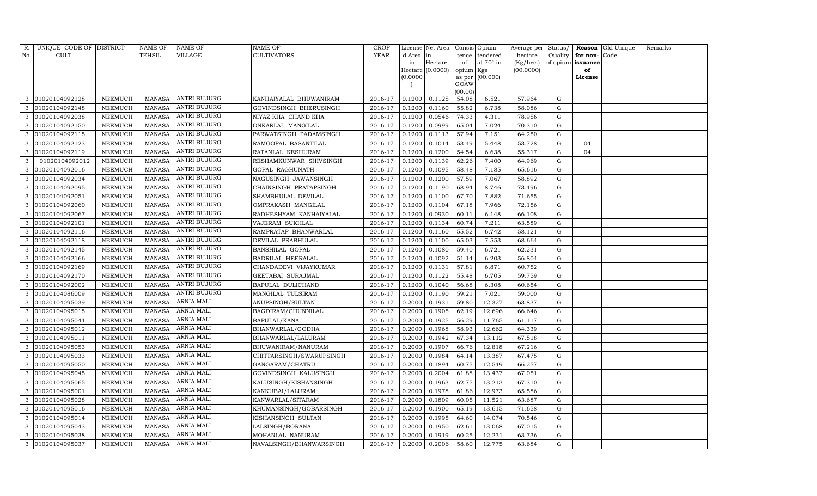| R.  | UNIQUE CODE OF DISTRICT |                | <b>NAME OF</b> | NAME OF             | NAME OF                  | CROP        |           | License Net Area |           | Consis Opium    | Average per Status/ |           |          | Reason Old Unique | Remarks |
|-----|-------------------------|----------------|----------------|---------------------|--------------------------|-------------|-----------|------------------|-----------|-----------------|---------------------|-----------|----------|-------------------|---------|
| No. | CULT.                   |                | TEHSIL         | VILLAGE             | CULTIVATORS              | <b>YEAR</b> | d Area in |                  | tence     | tendered        | hectare             | Quality   | for non- | Code              |         |
|     |                         |                |                |                     |                          |             | in        | Hectare          | of        | at 70° in       | (Kg/hec.)           | of opium  | issuance |                   |         |
|     |                         |                |                |                     |                          |             |           | Hectare (0.0000) | opium Kgs |                 | (00.0000)           |           | of       |                   |         |
|     |                         |                |                |                     |                          |             | (0.0000)  |                  | GOAW      | as per (00.000) |                     |           | License  |                   |         |
|     |                         |                |                |                     |                          |             |           |                  | (00.00)   |                 |                     |           |          |                   |         |
| 3   | 01020104092128          | NEEMUCH        | <b>MANASA</b>  | ANTRI BUJURG        | KANHAIYALAL BHUWANIRAM   | 2016-17     | 0.1200    | 0.1125           | 54.08     | 6.521           | 57.964              | G         |          |                   |         |
|     | 01020104092148          | NEEMUCH        | <b>MANASA</b>  | ANTRI BUJURG        | GOVINDSINGH BHERUSINGH   | 2016-17     | 0.1200    | 0.1160           | 55.82     | 6.738           | 58.086              | G         |          |                   |         |
| 3   | 01020104092038          | NEEMUCH        | <b>MANASA</b>  | ANTRI BUJURG        | NIYAZ KHA CHAND KHA      | 2016-17     | 0.1200    | 0.0546           | 74.33     | 4.311           | 78.956              | G         |          |                   |         |
| 3   | 01020104092150          | NEEMUCH        | <b>MANASA</b>  | ANTRI BUJURG        | ONKARLAL MANGILAL        | 2016-17     | 0.1200    | 0.0999           | 65.04     | 7.024           | 70.310              | G         |          |                   |         |
| 3   | 01020104092115          | <b>NEEMUCH</b> | <b>MANASA</b>  | ANTRI BUJURG        | PARWATSINGH PADAMSINGH   | 2016-17     | 0.1200    | 0.1113           | 57.94     | 7.151           | 64.250              | G         |          |                   |         |
| 3   | 01020104092123          | NEEMUCH        | <b>MANASA</b>  | ANTRI BUJURG        | RAMGOPAL BASANTILAL      | 2016-17     | 0.1200    | 0.1014           | 53.49     | 5.448           | 53.728              | ${\rm G}$ | 04       |                   |         |
| 3   | 01020104092119          | NEEMUCH        | <b>MANASA</b>  | ANTRI BUJURG        | RATANLAL KESHURAM        | 2016-17     | 0.1200    | 0.1200           | 54.54     | 6.638           | 55.317              | G         | 04       |                   |         |
| 3   | 01020104092012          | NEEMUCH        | <b>MANASA</b>  | ANTRI BUJURG        | RESHAMKUNWAR SHIVSINGH   | 2016-17     | 0.1200    | 0.1139           | 62.26     | 7.400           | 64.969              | G         |          |                   |         |
| 3   | 01020104092016          | NEEMUCH        | <b>MANASA</b>  | ANTRI BUJURG        | GOPAL RAGHUNATH          | 2016-17     | 0.1200    | 0.1095           | 58.48     | 7.185           | 65.616              | G         |          |                   |         |
| 3   | 01020104092034          | NEEMUCH        | <b>MANASA</b>  | ANTRI BUJURG        | NAGUSINGH JAWANSINGH     | 2016-17     | 0.1200    | 0.1200           | 57.59     | 7.067           | 58.892              | ${\rm G}$ |          |                   |         |
| 3   | 01020104092095          | NEEMUCH        | <b>MANASA</b>  | <b>ANTRI BUJURG</b> | CHAINSINGH PRATAPSINGH   | 2016-17     | 0.1200    | 0.1190           | 68.94     | 8.746           | 73.496              | ${\rm G}$ |          |                   |         |
| 3   | 01020104092051          | NEEMUCH        | <b>MANASA</b>  | ANTRI BUJURG        | SHAMBHULAL DEVILAL       | 2016-17     | 0.1200    | 0.1100           | 67.70     | 7.882           | 71.655              | G         |          |                   |         |
|     | 01020104092060          | <b>NEEMUCH</b> | <b>MANASA</b>  | ANTRI BUJURG        | OMPRAKASH MANGILAL       | 2016-17     | 0.1200    | 0.1104           | 67.18     | 7.966           | 72.156              | ${\rm G}$ |          |                   |         |
| 3   | 01020104092067          | NEEMUCH        | <b>MANASA</b>  | ANTRI BUJURG        | RADHESHYAM KANHAIYALAL   | 2016-17     | 0.1200    | 0.0930           | 60.11     | 6.148           | 66.108              | G         |          |                   |         |
| 3   | 01020104092101          | NEEMUCH        | <b>MANASA</b>  | <b>ANTRI BUJURG</b> | VAJERAM SUKHLAL          | 2016-17     | 0.1200    | 0.1134           | 60.74     | 7.211           | 63.589              | G         |          |                   |         |
| 3   | 01020104092116          | NEEMUCH        | <b>MANASA</b>  | ANTRI BUJURG        | RAMPRATAP BHANWARLAL     | 2016-17     | 0.1200    | 0.1160           | 55.52     | 6.742           | 58.121              | G         |          |                   |         |
| 3   | 01020104092118          | <b>NEEMUCH</b> | <b>MANASA</b>  | <b>ANTRI BUJURG</b> | DEVILAL PRABHULAL        | 2016-17     | 0.1200    | 0.1100           | 65.03     | 7.553           | 68.664              | G         |          |                   |         |
| 3   | 01020104092145          | NEEMUCH        | MANASA         | <b>ANTRI BUJURG</b> | <b>BANSHILAL GOPAL</b>   | 2016-17     | 0.1200    | 0.1080           | 59.40     | 6.721           | 62.231              | G         |          |                   |         |
| 3   | 01020104092166          | NEEMUCH        | <b>MANASA</b>  | <b>ANTRI BUJURG</b> | BADRILAL HEERALAL        | 2016-17     | 0.1200    | 0.1092           | 51.14     | 6.203           | 56.804              | G         |          |                   |         |
| 3   | 01020104092169          | NEEMUCH        | MANASA         | ANTRI BUJURG        | CHANDADEVI VIJAYKUMAR    | 2016-17     | 0.1200    | 0.1131           | 57.81     | 6.871           | 60.752              | G         |          |                   |         |
| 3   | 01020104092170          | NEEMUCH        | <b>MANASA</b>  | <b>ANTRI BUJURG</b> | GEETABAI SURAJMAL        | 2016-17     | 0.1200    | 0.1122           | 55.48     | 6.705           | 59.759              | ${\rm G}$ |          |                   |         |
| 3   | 01020104092002          | NEEMUCH        | <b>MANASA</b>  | ANTRI BUJURG        | BAPULAL DULICHAND        | 2016-17     | 0.1200    | 0.1040           | 56.68     | 6.308           | 60.654              | ${\rm G}$ |          |                   |         |
| 3   | 01020104086009          | NEEMUCH        | <b>MANASA</b>  | ANTRI BUJURG        | MANGILAL TULSIRAM        | 2016-17     | 0.1200    | 0.1190           | 59.21     | 7.021           | 59.000              | G         |          |                   |         |
| 3   | 01020104095039          | NEEMUCH        | <b>MANASA</b>  | ARNIA MALI          | ANUPSINGH/SULTAN         | 2016-17     | 0.2000    | 0.1931           | 59.80     | 12.327          | 63.837              | G         |          |                   |         |
|     | 01020104095015          | NEEMUCH        | <b>MANASA</b>  | ARNIA MALI          | BAGDIRAM/CHUNNILAL       | 2016-17     | 0.2000    | 0.1905           | 62.19     | 12.696          | 66.646              | ${\rm G}$ |          |                   |         |
| 3   | 01020104095044          | NEEMUCH        | <b>MANASA</b>  | ARNIA MALI          | BAPULAL/KANA             | 2016-17     | 0.2000    | 0.1925           | 56.29     | 11.765          | 61.117              | G         |          |                   |         |
| 3   | 01020104095012          | NEEMUCH        | <b>MANASA</b>  | ARNIA MALI          | BHANWARLAL/GODHA         | 2016-17     | 0.2000    | 0.1968           | 58.93     | 12.662          | 64.339              | ${\rm G}$ |          |                   |         |
| 3   | 01020104095011          | NEEMUCH        | <b>MANASA</b>  | ARNIA MALI          | BHANWARLAL/LALURAM       | 2016-17     | 0.2000    | 0.1942           | 67.34     | 13.112          | 67.518              | ${\rm G}$ |          |                   |         |
| 3   | 01020104095053          | NEEMUCH        | <b>MANASA</b>  | <b>ARNIA MALI</b>   | BHUWANIRAM/NANURAM       | 2016-17     | 0.2000    | 0.1907           | 66.76     | 12.818          | 67.216              | G         |          |                   |         |
| 3   | 01020104095033          | NEEMUCH        | <b>MANASA</b>  | ARNIA MALI          | CHITTARSINGH/SWARUPSINGH | 2016-17     | 0.2000    | 0.1984           | 64.14     | 13.387          | 67.475              | ${\rm G}$ |          |                   |         |
| 3   | 01020104095050          | NEEMUCH        | <b>MANASA</b>  | ARNIA MALI          | GANGARAM/CHATRU          | 2016-17     | 0.2000    | 0.1894           | 60.75     | 12.549          | 66.257              | G         |          |                   |         |
| 3   | 01020104095045          | <b>NEEMUCH</b> | <b>MANASA</b>  | ARNIA MALI          | GOVINDSINGH KALUSINGH    | 2016-17     | 0.2000    | 0.2004           | 61.88     | 13.437          | 67.051              | G         |          |                   |         |
| 3   | 01020104095065          | NEEMUCH        | <b>MANASA</b>  | ARNIA MALI          | KALUSINGH/KISHANSINGH    | 2016-17     | 0.2000    | 0.1963           | 62.75     | 13.213          | 67.310              | ${\rm G}$ |          |                   |         |
| 3   | 01020104095001          | NEEMUCH        | <b>MANASA</b>  | <b>ARNIA MALI</b>   | KANKUBAI/LALURAM         | 2016-17     | 0.2000    | 0.1978           | 61.86     | 12.973          | 65.586              | G         |          |                   |         |
| 3   | 01020104095028          | NEEMUCH        | <b>MANASA</b>  | ARNIA MALI          | KANWARLAL/SITARAM        | 2016-17     | 0.2000    | 0.1809           | 60.05     | 11.521          | 63.687              | ${\rm G}$ |          |                   |         |
| 3   | 01020104095016          | <b>NEEMUCH</b> | <b>MANASA</b>  | ARNIA MALI          | KHUMANSINGH/GOBARSINGH   | 2016-17     | 0.2000    | 0.1900           | 65.19     | 13.615          | 71.658              | ${\rm G}$ |          |                   |         |
| 3   | 01020104095014          | NEEMUCH        | <b>MANASA</b>  | <b>ARNIA MALI</b>   | KISHANSINGH SULTAN       | 2016-17     | 0.2000    | 0.1995           | 64.60     | 14.074          | 70.546              | G         |          |                   |         |
| 3   | 01020104095043          | NEEMUCH        | <b>MANASA</b>  | ARNIA MALI          | LALSINGH/BORANA          | 2016-17     | 0.2000    | 0.1950           | 62.61     | 13.068          | 67.015              | G         |          |                   |         |
| 3   | 01020104095038          | NEEMUCH        | <b>MANASA</b>  | ARNIA MALI          | MOHANLAL NANURAM         | 2016-17     | 0.2000    | 0.1919           | 60.25     | 12.231          | 63.736              | G         |          |                   |         |
| 3   | 01020104095037          | NEEMUCH        | MANASA         | <b>ARNIA MALI</b>   | NAVALSINGH/BHANWARSINGH  | 2016-17     | 0.2000    | 0.2006           | 58.60     | 12.775          | 63.684              | G         |          |                   |         |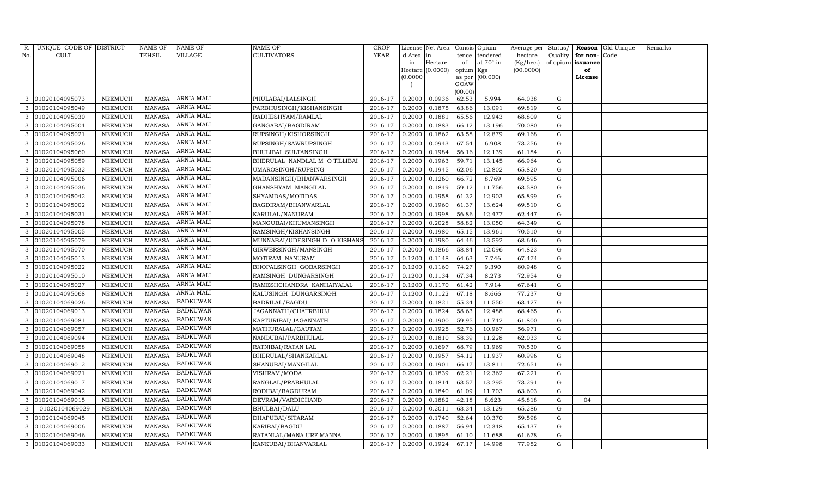| R.  | UNIQUE CODE OF DISTRICT |                 | NAME OF       | NAME OF           | NAME OF                       | CROP        |           | License Net Area |                | Consis Opium | Average per | Status/   |          | Reason Old Unique | Remarks |
|-----|-------------------------|-----------------|---------------|-------------------|-------------------------------|-------------|-----------|------------------|----------------|--------------|-------------|-----------|----------|-------------------|---------|
| No. | CULT.                   |                 | TEHSIL        | VILLAGE           | CULTIVATORS                   | <b>YEAR</b> | d Area in |                  | tence          | tendered     | hectare     | Quality   | for non- | Code              |         |
|     |                         |                 |               |                   |                               |             | in        | Hectare          | of             | at 70° in    | (Kg/hec.)   | of opium  | issuance |                   |         |
|     |                         |                 |               |                   |                               |             |           | Hectare (0.0000) | opium Kgs      |              | (00.0000)   |           | of       |                   |         |
|     |                         |                 |               |                   |                               |             | (0.0000)  |                  | as per<br>GOAW | (00.000)     |             |           | License  |                   |         |
|     |                         |                 |               |                   |                               |             |           |                  | (00.00)        |              |             |           |          |                   |         |
| 3   | 01020104095073          | NEEMUCH         | <b>MANASA</b> | ARNIA MALI        | PHULABAI/LALSINGH             | 2016-17     | 0.2000    | 0.0936           | 62.53          | 5.994        | 64.038      | G         |          |                   |         |
| 3   | 01020104095049          | NEEMUCH         | <b>MANASA</b> | ARNIA MALI        | PARBHUSINGH/KISHANSINGH       | 2016-17     | 0.2000    | 0.1875           | 63.86          | 13.091       | 69.819      | G         |          |                   |         |
| 3   | 01020104095030          | ${\tt NEEMUCH}$ | <b>MANASA</b> | ARNIA MALI        | RADHESHYAM/RAMLAL             | 2016-17     | 0.2000    | 0.1881           | 65.56          | 12.943       | 68.809      | G         |          |                   |         |
| 3   | 01020104095004          | NEEMUCH         | <b>MANASA</b> | ARNIA MALI        | GANGABAI/BAGDIRAM             | 2016-17     | 0.2000    | 0.1883           | 66.12          | 13.196       | 70.080      | ${\rm G}$ |          |                   |         |
| 3   | 01020104095021          | NEEMUCH         | <b>MANASA</b> | ARNIA MALI        | RUPSINGH/KISHORSINGH          | 2016-17     | 0.2000    | 0.1862           | 63.58          | 12.879       | 69.168      | G         |          |                   |         |
| 3   | 01020104095026          | NEEMUCH         | <b>MANASA</b> | ARNIA MALI        | RUPSINGH/SAWRUPSINGH          | 2016-17     | 0.2000    | 0.0943           | 67.54          | 6.908        | 73.256      | ${\rm G}$ |          |                   |         |
| 3   | 01020104095060          | NEEMUCH         | <b>MANASA</b> | ARNIA MALI        | BHULIBAI SULTANSINGH          | 2016-17     | 0.2000    | 0.1984           | 56.16          | 12.139       | 61.184      | G         |          |                   |         |
| 3   | 01020104095059          | NEEMUCH         | <b>MANASA</b> | ARNIA MALI        | BHERULAL NANDLAL M O TILLIBAI | 2016-17     | 0.2000    | 0.1963           | 59.71          | 13.145       | 66.964      | G         |          |                   |         |
| 3   | 01020104095032          | NEEMUCH         | <b>MANASA</b> | ARNIA MALI        | UMAROSINGH/RUPSING            | 2016-17     | 0.2000    | 0.1945           | 62.06          | 12.802       | 65.820      | G         |          |                   |         |
| 3   | 01020104095006          | NEEMUCH         | <b>MANASA</b> | ARNIA MALI        | MADANSINGH/BHANWARSINGH       | 2016-17     | 0.2000    | 0.1260           | 66.72          | 8.769        | 69.595      | G         |          |                   |         |
| 3   | 01020104095036          | ${\tt NEEMUCH}$ | <b>MANASA</b> | ARNIA MALI        | GHANSHYAM MANGILAL            | 2016-17     | 0.2000    | 0.1849           | 59.12          | 11.756       | 63.580      | G         |          |                   |         |
| 3   | 01020104095042          | NEEMUCH         | <b>MANASA</b> | ARNIA MALI        | SHYAMDAS/MOTIDAS              | 2016-17     | 0.2000    | 0.1958           | 61.32          | 12.903       | 65.899      | G         |          |                   |         |
|     | 01020104095002          | <b>NEEMUCH</b>  | <b>MANASA</b> | ARNIA MALI        | BAGDIRAM/BHANWARLAL           | 2016-17     | 0.2000    | 0.1960           | 61.37          | 13.624       | 69.510      | ${\rm G}$ |          |                   |         |
| 3   | 01020104095031          | NEEMUCH         | <b>MANASA</b> | <b>ARNIA MALI</b> | KARULAL/NANURAM               | 2016-17     | 0.2000    | 0.1998           | 56.86          | 12.477       | 62.447      | ${\rm G}$ |          |                   |         |
| 3   | 01020104095078          | NEEMUCH         | <b>MANASA</b> | ARNIA MALI        | MANGUBAI/KHUMANSINGH          | 2016-17     | 0.2000    | 0.2028           | 58.82          | 13.050       | 64.349      | G         |          |                   |         |
| 3   | 01020104095005          | NEEMUCH         | <b>MANASA</b> | ARNIA MALI        | RAMSINGH/KISHANSINGH          | 2016-17     | 0.2000    | 0.1980           | 65.15          | 13.961       | 70.510      | G         |          |                   |         |
|     | 01020104095079          | NEEMUCH         | <b>MANASA</b> | ARNIA MALI        | MUNNABAI/UDESINGH D O KISHANS | 2016-17     | 0.2000    | 0.1980           | 64.46          | 13.592       | 68.646      | ${\rm G}$ |          |                   |         |
|     | 01020104095070          | NEEMUCH         | <b>MANASA</b> | ARNIA MALI        | GIRWERSINGH/MANSINGH          | 2016-17     | 0.2000    | 0.1866           | 58.84          | 12.096       | 64.823      | G         |          |                   |         |
| 3   | 01020104095013          | NEEMUCH         | <b>MANASA</b> | ARNIA MALI        | MOTIRAM NANURAM               | 2016-17     | 0.1200    | 0.1148           | 64.63          | 7.746        | 67.474      | G         |          |                   |         |
| 3   | 01020104095022          | <b>NEEMUCH</b>  | <b>MANASA</b> | ARNIA MALI        | BHOPALSINGH GOBARSINGH        | 2016-17     | 0.1200    | 0.1160           | 74.27          | 9.390        | 80.948      | G         |          |                   |         |
| 3   | 01020104095010          | NEEMUCH         | <b>MANASA</b> | <b>ARNIA MALI</b> | RAMSINGH DUNGARSINGH          | 2016-17     | 0.1200    | 0.1134           | 67.34          | 8.273        | 72.954      | ${\rm G}$ |          |                   |         |
| 3   | 01020104095027          | NEEMUCH         | <b>MANASA</b> | <b>ARNIA MALI</b> | RAMESHCHANDRA KANHAIYALAL     | 2016-17     | 0.1200    | 0.1170           | 61.42          | 7.914        | 67.641      | G         |          |                   |         |
| 3   | 01020104095068          | NEEMUCH         | <b>MANASA</b> | ARNIA MALI        | KALUSINGH DUNGARSINGH         | 2016-17     | 0.1200    | 0.1122           | 67.18          | 8.666        | 77.237      | G         |          |                   |         |
|     | 01020104069026          | NEEMUCH         | <b>MANASA</b> | <b>BADKUWAN</b>   | BADRILAL/BAGDU                | 2016-17     | 0.2000    | 0.1821           | 55.34          | 11.550       | 63.427      | ${\rm G}$ |          |                   |         |
| 3   | 01020104069013          | NEEMUCH         | <b>MANASA</b> | <b>BADKUWAN</b>   | JAGANNATH/CHATRBHUJ           | 2016-17     | 0.2000    | 0.1824           | 58.63          | 12.488       | 68.465      | ${\rm G}$ |          |                   |         |
| 3   | 01020104069081          | NEEMUCH         | <b>MANASA</b> | <b>BADKUWAN</b>   | KASTURIBAI/JAGANNATH          | 2016-17     | 0.2000    | 0.1900           | 59.95          | 11.742       | 61.800      | G         |          |                   |         |
| 3   | 01020104069057          | NEEMUCH         | <b>MANASA</b> | <b>BADKUWAN</b>   | MATHURALAL/GAUTAM             | 2016-17     | 0.2000    | 0.1925           | 52.76          | 10.967       | 56.971      | ${\rm G}$ |          |                   |         |
|     | 01020104069094          | <b>NEEMUCH</b>  | <b>MANASA</b> | <b>BADKUWAN</b>   | NANDUBAI/PARBHULAL            | 2016-17     | 0.2000    | 0.1810           | 58.39          | 11.228       | 62.033      | ${\rm G}$ |          |                   |         |
| 3   | 01020104069058          | NEEMUCH         | MANASA        | <b>BADKUWAN</b>   | RATNIBAI/RATAN LAL            | 2016-17     | 0.2000    | 0.1697           | 68.79          | 11.969       | 70.530      | G         |          |                   |         |
| 3   | 01020104069048          | NEEMUCH         | <b>MANASA</b> | <b>BADKUWAN</b>   | BHERULAL/SHANKARLAL           | 2016-17     | 0.2000    | 0.1957           | 54.12          | 11.937       | 60.996      | G         |          |                   |         |
| 3   | 01020104069012          | NEEMUCH         | <b>MANASA</b> | <b>BADKUWAN</b>   | SHANUBAI/MANGILAL             | 2016-17     | 0.2000    | 0.1901           | 66.17          | 13.811       | 72.651      | G         |          |                   |         |
|     | 01020104069021          | <b>NEEMUCH</b>  | <b>MANASA</b> | <b>BADKUWAN</b>   | VISHRAM/MODA                  | 2016-17     | 0.2000    | 0.1839           | 62.21          | 12.362       | 67.221      | G         |          |                   |         |
| 3   | 01020104069017          | NEEMUCH         | <b>MANASA</b> | <b>BADKUWAN</b>   | RANGLAL/PRABHULAL             | 2016-17     | 0.2000    | 0.1814           | 63.57          | 13.295       | 73.291      | G         |          |                   |         |
| 3   | 01020104069042          | NEEMUCH         | <b>MANASA</b> | <b>BADKUWAN</b>   | RODIBAI/BAGDURAM              | 2016-17     | 0.2000    | 0.1840           | 61.09          | 11.703       | 63.603      | G         |          |                   |         |
| 3   | 01020104069015          | NEEMUCH         | <b>MANASA</b> | <b>BADKUWAN</b>   | DEVRAM/VARDICHAND             | 2016-17     | 0.2000    | 0.1882           | 42.18          | 8.623        | 45.818      | G         | 04       |                   |         |
| 3   | 01020104069029          | NEEMUCH         | <b>MANASA</b> | <b>BADKUWAN</b>   | BHULBAI/DALU                  | 2016-17     | 0.2000    | 0.2011           | 63.34          | 13.129       | 65.286      | ${\rm G}$ |          |                   |         |
| 3   | 01020104069045          | NEEMUCH         | <b>MANASA</b> | <b>BADKUWAN</b>   | DHAPUBAI/SITARAM              | 2016-17     | 0.2000    | 0.1740           | 52.64          | 10.370       | 59.598      | G         |          |                   |         |
| 3   | 01020104069006          | NEEMUCH         | <b>MANASA</b> | <b>BADKUWAN</b>   | KARIBAI/BAGDU                 | 2016-17     | 0.2000    | 0.1887           | 56.94          | 12.348       | 65.437      | ${\rm G}$ |          |                   |         |
| 3   | 01020104069046          | <b>NEEMUCH</b>  | <b>MANASA</b> | <b>BADKUWAN</b>   | RATANLAL/MANA URF MANNA       | 2016-17     | 0.2000    | 0.1895           | 61.10          | 11.688       | 61.678      | G         |          |                   |         |
| 3   | 01020104069033          | NEEMUCH         | MANASA        | <b>BADKUWAN</b>   | KANKUBAI/BHANVARLAL           | 2016-17     | 0.2000    | 0.1924           | 67.17          | 14.998       | 77.952      | G         |          |                   |         |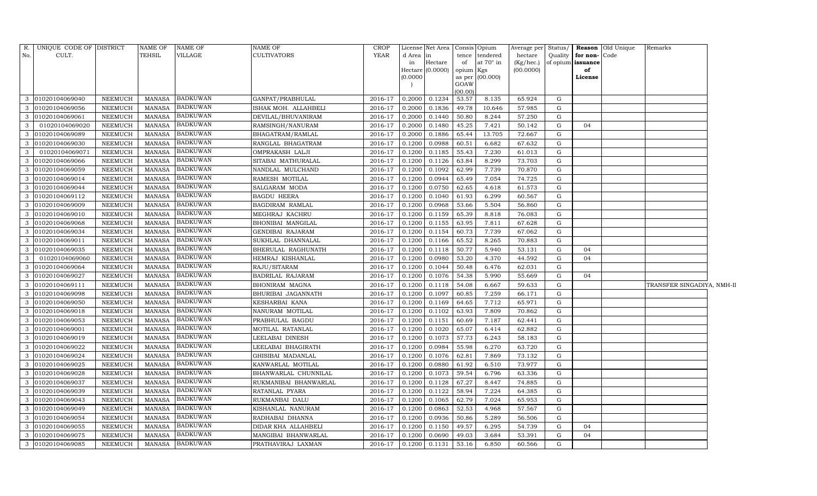| <b>TEHSIL</b><br><b>VILLAGE</b><br><b>CULTIVATORS</b><br><b>YEAR</b><br>No.<br>CULT.<br>d Area<br>tence tendered<br>hectare<br>Quality for non-Code<br>in<br>at $70^\circ$ in<br>Hectare<br>of<br>(Kg/hec.)<br>of opium issuance<br>in<br>Hectare (0.0000)<br>(00.0000)<br>of<br>opium Kgs<br>(0.0000)<br>as per (00.000)<br>License<br>GOAW<br>(00.00)<br><b>BADKUWAN</b><br>0.1234<br>53.57<br>01020104069040<br>NEEMUCH<br>MANASA<br>GANPAT/PRABHULAL<br>0.2000<br>8.135<br>65.924<br>G<br>3<br>2016-17<br><b>BADKUWAN</b><br>0.1836<br>01020104069056<br>NEEMUCH<br>MANASA<br>ISHAK MOH. ALLAHBELI<br>2016-17<br>0.2000<br>49.78<br>10.646<br>57.985<br>3<br>G<br><b>BADKUWAN</b><br>01020104069061<br>NEEMUCH<br>MANASA<br>DEVILAL/BHUVANIRAM<br>2016-17<br>0.2000<br>0.1440<br>50.80<br>8.244<br>57.250<br>3<br>G<br><b>BADKUWAN</b><br>3<br>01020104069020<br>NEEMUCH<br><b>MANASA</b><br>RAMSINGH/NANURAM<br>0.2000<br>0.1480<br>45.25<br>2016-17<br>7.421<br>50.142<br>G<br>04<br><b>BADKUWAN</b><br>3<br>01020104069089<br><b>NEEMUCH</b><br>MANASA<br>BHAGATRAM/RAMLAL<br>2016-17<br>0.2000<br>0.1886<br>65.44<br>13.705<br>72.667<br>G<br><b>BADKUWAN</b><br>01020104069030<br><b>NEEMUCH</b><br><b>MANASA</b><br>RANGLAL BHAGATRAM<br>2016-17<br>0.1200<br>0.0988<br>60.51<br>6.682<br>67.632<br>G<br>3<br><b>BADKUWAN</b><br>01020104069071<br>0.1185<br>3<br><b>NEEMUCH</b><br><b>MANASA</b><br>OMPRAKASH LALJI<br>2016-17<br>0.1200<br>55.43<br>7.230<br>61.013<br>G<br><b>BADKUWAN</b><br>01020104069066<br><b>NEEMUCH</b><br><b>MANASA</b><br>SITABAI MATHURALAL<br>2016-17<br>0.1200<br>0.1126<br>63.84<br>8.299<br>73.703<br>3<br>G<br><b>BADKUWAN</b><br>3<br>01020104069059<br>7.739<br><b>NEEMUCH</b><br><b>MANASA</b><br>NANDLAL MULCHAND<br>2016-17<br>0.1200<br>0.1092<br>62.99<br>70.870<br>G<br><b>BADKUWAN</b><br>0.0944<br>01020104069014<br><b>NEEMUCH</b><br><b>MANASA</b><br>RAMESH MOTILAL<br>2016-17<br>0.1200<br>65.49<br>7.054<br>74.725<br>G<br>3<br><b>BADKUWAN</b><br>01020104069044<br><b>NEEMUCH</b><br>SALGARAM MODA<br>2016-17<br>0.1200<br>0.0750<br>3<br><b>MANASA</b><br>62.65<br>4.618<br>61.573<br>G<br><b>BADKUWAN</b><br>3<br>01020104069112<br><b>NEEMUCH</b><br>0.1200<br>0.1040<br>MANASA<br><b>BAGDU HEERA</b><br>2016-17<br>61.93<br>6.299<br>60.567<br>G<br><b>BADKUWAN</b><br>01020104069009<br>NEEMUCH<br><b>MANASA</b><br>BAGDIRAM RAMLAL<br>0.1200<br>0.0968<br>53.66<br>5.504<br>56.860<br>${\rm G}$<br>3<br>2016-17<br><b>BADKUWAN</b><br>01020104069010<br><b>NEEMUCH</b><br><b>MANASA</b><br>MEGHRAJ KACHRU<br>2016-17<br>0.1200<br>0.1159<br>65.39<br>8.818<br>76.083<br>G<br>3<br><b>BADKUWAN</b><br>3<br>01020104069068<br>NEEMUCH<br>MANASA<br>BHONIBAI MANGILAL<br>2016-17<br>0.1200<br>0.1155<br>63.95<br>7.811<br>67.628<br>G<br><b>BADKUWAN</b><br>01020104069034<br><b>NEEMUCH</b><br><b>MANASA</b><br>GENDIBAI RAJARAM<br>2016-17<br>0.1200<br>0.1154<br>60.73<br>7.739<br>67.062<br>G<br>3<br><b>BADKUWAN</b><br>3<br>01020104069011<br><b>NEEMUCH</b><br><b>MANASA</b><br>SUKHLAL DHANNALAL<br>2016-17<br>0.1200<br>0.1166<br>65.52<br>8.265<br>70.883<br>G<br><b>BADKUWAN</b><br>0.1118<br>01020104069035<br>NEEMUCH<br><b>MANASA</b><br>BHERULAL RAGHUNATH<br>2016-17<br>0.1200<br>50.77<br>5.940<br>53.131<br>3<br>G<br>04<br><b>BADKUWAN</b><br>01020104069060<br><b>NEEMUCH</b><br>HEMRAJ KISHANLAL<br>2016-17<br>0.1200<br>0.0980<br>4.370<br>3<br><b>MANASA</b><br>53.20<br>44.592<br>G<br>04<br><b>BADKUWAN</b><br>3<br>01020104069064<br>0.1200<br>0.1044<br><b>NEEMUCH</b><br>MANASA<br>RAJU/SITARAM<br>2016-17<br>50.48<br>6.476<br>62.031<br>G<br><b>BADKUWAN</b><br>01020104069027<br>NEEMUCH<br>0.1200<br>0.1076<br>54.38<br>5.990<br>G<br>3<br><b>MANASA</b><br>BADRILAL RAJARAM<br>2016-17<br>55.669<br>04<br><b>BADKUWAN</b><br>01020104069111<br>NEEMUCH<br><b>MANASA</b><br>BHONIRAM MAGNA<br>2016-17<br>0.1200<br>0.1118<br>54.08<br>6.667<br>59.633<br>G<br>3<br><b>BADKUWAN</b><br>3<br>01020104069098<br>NEEMUCH<br><b>MANASA</b><br>2016-17<br>0.1200<br>0.1097<br>BHURIBAI JAGANNATH<br>60.85<br>7.259<br>66.171<br>G<br><b>BADKUWAN</b><br>01020104069050<br><b>NEEMUCH</b><br><b>MANASA</b><br>KESHARBAI KANA<br>2016-17<br>0.1200<br>0.1169<br>64.65<br>7.712<br>65.971<br>G<br>3<br><b>BADKUWAN</b><br>3<br>01020104069018<br><b>NEEMUCH</b><br><b>MANASA</b><br>NANURAM MOTILAL<br>2016-17<br>0.1200<br>0.1102<br>63.93<br>7.809<br>${\rm G}$<br>70.862<br><b>BADKUWAN</b><br>01020104069053<br><b>NEEMUCH</b><br><b>MANASA</b><br>PRABHULAL BAGDU<br>2016-17<br>0.1200<br>0.1151<br>60.69<br>7.187<br>62.441<br>3<br>G<br><b>BADKUWAN</b><br>01020104069001<br>MOTILAL RATANLAL<br>0.1020<br>3<br><b>NEEMUCH</b><br><b>MANASA</b><br>2016-17<br>0.1200<br>65.07<br>6.414<br>62.882<br>G<br><b>BADKUWAN</b><br>3<br>01020104069019<br><b>NEEMUCH</b><br>0.1200<br>57.73<br><b>MANASA</b><br>LEELABAI DINESH<br>2016-17<br>0.1073<br>6.243<br>58.183<br>G<br><b>BADKUWAN</b><br>01020104069022<br>0.0984<br>55.98<br>6.270<br>${\rm G}$<br>NEEMUCH<br><b>MANASA</b><br>LEELABAI BHAGIRATH<br>2016-17<br>0.1200<br>63.720<br>3<br><b>BADKUWAN</b><br>01020104069024<br><b>NEEMUCH</b><br><b>MANASA</b><br>GHISIBAI MADANLAL<br>2016-17<br>0.1200<br>0.1076<br>62.81<br>7.869<br>73.132<br>3<br>G<br><b>BADKUWAN</b><br>3<br>01020104069025<br>NEEMUCH<br><b>MANASA</b><br>2016-17<br>0.1200<br>0.0880<br>6.510<br>KANWARLAL MOTILAL<br>61.92<br>73.977<br>G<br><b>BADKUWAN</b><br>01020104069028<br><b>NEEMUCH</b><br><b>MANASA</b><br>BHANWARLAL CHUNNILAL<br>2016-17<br>0.1200<br>0.1073<br>59.54<br>6.796<br>63.336<br>${\rm G}$<br>3<br><b>BADKUWAN</b><br>3<br>01020104069037<br>NEEMUCH<br><b>MANASA</b><br>RUKMANIBAI BHANWARLAL<br>0.1200<br>0.1128<br>67.27<br>8.447<br>${\rm G}$<br>2016-17<br>74.885<br><b>BADKUWAN</b><br>01020104069039<br><b>MANASA</b><br>2016-17<br>0.1200<br>0.1122<br>58.94<br>7.224<br>NEEMUCH<br>RATANLAL PYARA<br>64.385<br>G<br>3<br><b>BADKUWAN</b><br>01020104069043<br>3<br>NEEMUCH<br><b>MANASA</b><br>RUKMANBAI DALU<br>2016-17<br>0.1200<br>0.1065<br>7.024<br>65.953<br>G<br>62.79<br><b>BADKUWAN</b><br>3<br>01020104069049<br>KISHANLAL NANURAM<br>0.0863<br><b>NEEMUCH</b><br><b>MANASA</b><br>2016-17<br>0.1200<br>52.53<br>4.968<br>57.567<br>G<br><b>BADKUWAN</b><br>01020104069054<br>NEEMUCH<br><b>MANASA</b><br>RADHABAI DHANNA<br>0.1200<br>0.0936<br>50.86<br>5.289<br>56.506<br>G<br>3<br>2016-17<br><b>BADKUWAN</b><br>01020104069055<br>DIDAR KHA ALLAHBELI<br>2016-17<br>0.1150<br>3<br><b>NEEMUCH</b><br><b>MANASA</b><br>0.1200<br>49.57<br>6.295<br>54.739<br>G<br>04<br><b>BADKUWAN</b><br>$\mathbf{3}$<br><b>MANASA</b><br>01020104069075<br><b>NEEMUCH</b><br>MANGIBAI BHANWARLAL<br>2016-17<br>0.1200<br>0.0690<br>49.03<br>3.684<br>53.391<br>G<br>04 | R. | UNIQUE CODE OF DISTRICT |                | <b>NAME OF</b> | <b>NAME OF</b>  | NAME OF            | CROP    |        | License Net Area |       | Consis Opium |        |   | Average per Status/   Reason Old Unique | Remarks |  |
|------------------------------------------------------------------------------------------------------------------------------------------------------------------------------------------------------------------------------------------------------------------------------------------------------------------------------------------------------------------------------------------------------------------------------------------------------------------------------------------------------------------------------------------------------------------------------------------------------------------------------------------------------------------------------------------------------------------------------------------------------------------------------------------------------------------------------------------------------------------------------------------------------------------------------------------------------------------------------------------------------------------------------------------------------------------------------------------------------------------------------------------------------------------------------------------------------------------------------------------------------------------------------------------------------------------------------------------------------------------------------------------------------------------------------------------------------------------------------------------------------------------------------------------------------------------------------------------------------------------------------------------------------------------------------------------------------------------------------------------------------------------------------------------------------------------------------------------------------------------------------------------------------------------------------------------------------------------------------------------------------------------------------------------------------------------------------------------------------------------------------------------------------------------------------------------------------------------------------------------------------------------------------------------------------------------------------------------------------------------------------------------------------------------------------------------------------------------------------------------------------------------------------------------------------------------------------------------------------------------------------------------------------------------------------------------------------------------------------------------------------------------------------------------------------------------------------------------------------------------------------------------------------------------------------------------------------------------------------------------------------------------------------------------------------------------------------------------------------------------------------------------------------------------------------------------------------------------------------------------------------------------------------------------------------------------------------------------------------------------------------------------------------------------------------------------------------------------------------------------------------------------------------------------------------------------------------------------------------------------------------------------------------------------------------------------------------------------------------------------------------------------------------------------------------------------------------------------------------------------------------------------------------------------------------------------------------------------------------------------------------------------------------------------------------------------------------------------------------------------------------------------------------------------------------------------------------------------------------------------------------------------------------------------------------------------------------------------------------------------------------------------------------------------------------------------------------------------------------------------------------------------------------------------------------------------------------------------------------------------------------------------------------------------------------------------------------------------------------------------------------------------------------------------------------------------------------------------------------------------------------------------------------------------------------------------------------------------------------------------------------------------------------------------------------------------------------------------------------------------------------------------------------------------------------------------------------------------------------------------------------------------------------------------------------------------------------------------------------------------------------------------------------------------------------------------------------------------------------------------------------------------------------------------------------------------------------------------------------------------------------------------------------------------------------------------------------------------------------------------------------------------------------------------------------------------------------------------------------------------------------------------------------------------------------------------------------------------------------------------------------------------------------------------------------------------------------------------------------------------------------------------------------------------------------------------------------------------------------------------------------------------------------------------------------------------------------------------------------------------------------------------------------------------------------------------------------------------------------------------------------------------------------------------------------------------------------------------------------------------------------------------------------------------------------------------------------------------------------------------------------------------------------------------------------------------------------------|----|-------------------------|----------------|----------------|-----------------|--------------------|---------|--------|------------------|-------|--------------|--------|---|-----------------------------------------|---------|--|
|                                                                                                                                                                                                                                                                                                                                                                                                                                                                                                                                                                                                                                                                                                                                                                                                                                                                                                                                                                                                                                                                                                                                                                                                                                                                                                                                                                                                                                                                                                                                                                                                                                                                                                                                                                                                                                                                                                                                                                                                                                                                                                                                                                                                                                                                                                                                                                                                                                                                                                                                                                                                                                                                                                                                                                                                                                                                                                                                                                                                                                                                                                                                                                                                                                                                                                                                                                                                                                                                                                                                                                                                                                                                                                                                                                                                                                                                                                                                                                                                                                                                                                                                                                                                                                                                                                                                                                                                                                                                                                                                                                                                                                                                                                                                                                                                                                                                                                                                                                                                                                                                                                                                                                                                                                                                                                                                                                                                                                                                                                                                                                                                                                                                                                                                                                                                                                                                                                                                                                                                                                                                                                                                                                                                                                                                                                                                                                                                                                                                                                                                                                                                                                                                                                                                                                                                                                    |    |                         |                |                |                 |                    |         |        |                  |       |              |        |   |                                         |         |  |
|                                                                                                                                                                                                                                                                                                                                                                                                                                                                                                                                                                                                                                                                                                                                                                                                                                                                                                                                                                                                                                                                                                                                                                                                                                                                                                                                                                                                                                                                                                                                                                                                                                                                                                                                                                                                                                                                                                                                                                                                                                                                                                                                                                                                                                                                                                                                                                                                                                                                                                                                                                                                                                                                                                                                                                                                                                                                                                                                                                                                                                                                                                                                                                                                                                                                                                                                                                                                                                                                                                                                                                                                                                                                                                                                                                                                                                                                                                                                                                                                                                                                                                                                                                                                                                                                                                                                                                                                                                                                                                                                                                                                                                                                                                                                                                                                                                                                                                                                                                                                                                                                                                                                                                                                                                                                                                                                                                                                                                                                                                                                                                                                                                                                                                                                                                                                                                                                                                                                                                                                                                                                                                                                                                                                                                                                                                                                                                                                                                                                                                                                                                                                                                                                                                                                                                                                                                    |    |                         |                |                |                 |                    |         |        |                  |       |              |        |   |                                         |         |  |
|                                                                                                                                                                                                                                                                                                                                                                                                                                                                                                                                                                                                                                                                                                                                                                                                                                                                                                                                                                                                                                                                                                                                                                                                                                                                                                                                                                                                                                                                                                                                                                                                                                                                                                                                                                                                                                                                                                                                                                                                                                                                                                                                                                                                                                                                                                                                                                                                                                                                                                                                                                                                                                                                                                                                                                                                                                                                                                                                                                                                                                                                                                                                                                                                                                                                                                                                                                                                                                                                                                                                                                                                                                                                                                                                                                                                                                                                                                                                                                                                                                                                                                                                                                                                                                                                                                                                                                                                                                                                                                                                                                                                                                                                                                                                                                                                                                                                                                                                                                                                                                                                                                                                                                                                                                                                                                                                                                                                                                                                                                                                                                                                                                                                                                                                                                                                                                                                                                                                                                                                                                                                                                                                                                                                                                                                                                                                                                                                                                                                                                                                                                                                                                                                                                                                                                                                                                    |    |                         |                |                |                 |                    |         |        |                  |       |              |        |   |                                         |         |  |
|                                                                                                                                                                                                                                                                                                                                                                                                                                                                                                                                                                                                                                                                                                                                                                                                                                                                                                                                                                                                                                                                                                                                                                                                                                                                                                                                                                                                                                                                                                                                                                                                                                                                                                                                                                                                                                                                                                                                                                                                                                                                                                                                                                                                                                                                                                                                                                                                                                                                                                                                                                                                                                                                                                                                                                                                                                                                                                                                                                                                                                                                                                                                                                                                                                                                                                                                                                                                                                                                                                                                                                                                                                                                                                                                                                                                                                                                                                                                                                                                                                                                                                                                                                                                                                                                                                                                                                                                                                                                                                                                                                                                                                                                                                                                                                                                                                                                                                                                                                                                                                                                                                                                                                                                                                                                                                                                                                                                                                                                                                                                                                                                                                                                                                                                                                                                                                                                                                                                                                                                                                                                                                                                                                                                                                                                                                                                                                                                                                                                                                                                                                                                                                                                                                                                                                                                                                    |    |                         |                |                |                 |                    |         |        |                  |       |              |        |   |                                         |         |  |
|                                                                                                                                                                                                                                                                                                                                                                                                                                                                                                                                                                                                                                                                                                                                                                                                                                                                                                                                                                                                                                                                                                                                                                                                                                                                                                                                                                                                                                                                                                                                                                                                                                                                                                                                                                                                                                                                                                                                                                                                                                                                                                                                                                                                                                                                                                                                                                                                                                                                                                                                                                                                                                                                                                                                                                                                                                                                                                                                                                                                                                                                                                                                                                                                                                                                                                                                                                                                                                                                                                                                                                                                                                                                                                                                                                                                                                                                                                                                                                                                                                                                                                                                                                                                                                                                                                                                                                                                                                                                                                                                                                                                                                                                                                                                                                                                                                                                                                                                                                                                                                                                                                                                                                                                                                                                                                                                                                                                                                                                                                                                                                                                                                                                                                                                                                                                                                                                                                                                                                                                                                                                                                                                                                                                                                                                                                                                                                                                                                                                                                                                                                                                                                                                                                                                                                                                                                    |    |                         |                |                |                 |                    |         |        |                  |       |              |        |   |                                         |         |  |
|                                                                                                                                                                                                                                                                                                                                                                                                                                                                                                                                                                                                                                                                                                                                                                                                                                                                                                                                                                                                                                                                                                                                                                                                                                                                                                                                                                                                                                                                                                                                                                                                                                                                                                                                                                                                                                                                                                                                                                                                                                                                                                                                                                                                                                                                                                                                                                                                                                                                                                                                                                                                                                                                                                                                                                                                                                                                                                                                                                                                                                                                                                                                                                                                                                                                                                                                                                                                                                                                                                                                                                                                                                                                                                                                                                                                                                                                                                                                                                                                                                                                                                                                                                                                                                                                                                                                                                                                                                                                                                                                                                                                                                                                                                                                                                                                                                                                                                                                                                                                                                                                                                                                                                                                                                                                                                                                                                                                                                                                                                                                                                                                                                                                                                                                                                                                                                                                                                                                                                                                                                                                                                                                                                                                                                                                                                                                                                                                                                                                                                                                                                                                                                                                                                                                                                                                                                    |    |                         |                |                |                 |                    |         |        |                  |       |              |        |   |                                         |         |  |
|                                                                                                                                                                                                                                                                                                                                                                                                                                                                                                                                                                                                                                                                                                                                                                                                                                                                                                                                                                                                                                                                                                                                                                                                                                                                                                                                                                                                                                                                                                                                                                                                                                                                                                                                                                                                                                                                                                                                                                                                                                                                                                                                                                                                                                                                                                                                                                                                                                                                                                                                                                                                                                                                                                                                                                                                                                                                                                                                                                                                                                                                                                                                                                                                                                                                                                                                                                                                                                                                                                                                                                                                                                                                                                                                                                                                                                                                                                                                                                                                                                                                                                                                                                                                                                                                                                                                                                                                                                                                                                                                                                                                                                                                                                                                                                                                                                                                                                                                                                                                                                                                                                                                                                                                                                                                                                                                                                                                                                                                                                                                                                                                                                                                                                                                                                                                                                                                                                                                                                                                                                                                                                                                                                                                                                                                                                                                                                                                                                                                                                                                                                                                                                                                                                                                                                                                                                    |    |                         |                |                |                 |                    |         |        |                  |       |              |        |   |                                         |         |  |
|                                                                                                                                                                                                                                                                                                                                                                                                                                                                                                                                                                                                                                                                                                                                                                                                                                                                                                                                                                                                                                                                                                                                                                                                                                                                                                                                                                                                                                                                                                                                                                                                                                                                                                                                                                                                                                                                                                                                                                                                                                                                                                                                                                                                                                                                                                                                                                                                                                                                                                                                                                                                                                                                                                                                                                                                                                                                                                                                                                                                                                                                                                                                                                                                                                                                                                                                                                                                                                                                                                                                                                                                                                                                                                                                                                                                                                                                                                                                                                                                                                                                                                                                                                                                                                                                                                                                                                                                                                                                                                                                                                                                                                                                                                                                                                                                                                                                                                                                                                                                                                                                                                                                                                                                                                                                                                                                                                                                                                                                                                                                                                                                                                                                                                                                                                                                                                                                                                                                                                                                                                                                                                                                                                                                                                                                                                                                                                                                                                                                                                                                                                                                                                                                                                                                                                                                                                    |    |                         |                |                |                 |                    |         |        |                  |       |              |        |   |                                         |         |  |
|                                                                                                                                                                                                                                                                                                                                                                                                                                                                                                                                                                                                                                                                                                                                                                                                                                                                                                                                                                                                                                                                                                                                                                                                                                                                                                                                                                                                                                                                                                                                                                                                                                                                                                                                                                                                                                                                                                                                                                                                                                                                                                                                                                                                                                                                                                                                                                                                                                                                                                                                                                                                                                                                                                                                                                                                                                                                                                                                                                                                                                                                                                                                                                                                                                                                                                                                                                                                                                                                                                                                                                                                                                                                                                                                                                                                                                                                                                                                                                                                                                                                                                                                                                                                                                                                                                                                                                                                                                                                                                                                                                                                                                                                                                                                                                                                                                                                                                                                                                                                                                                                                                                                                                                                                                                                                                                                                                                                                                                                                                                                                                                                                                                                                                                                                                                                                                                                                                                                                                                                                                                                                                                                                                                                                                                                                                                                                                                                                                                                                                                                                                                                                                                                                                                                                                                                                                    |    |                         |                |                |                 |                    |         |        |                  |       |              |        |   |                                         |         |  |
|                                                                                                                                                                                                                                                                                                                                                                                                                                                                                                                                                                                                                                                                                                                                                                                                                                                                                                                                                                                                                                                                                                                                                                                                                                                                                                                                                                                                                                                                                                                                                                                                                                                                                                                                                                                                                                                                                                                                                                                                                                                                                                                                                                                                                                                                                                                                                                                                                                                                                                                                                                                                                                                                                                                                                                                                                                                                                                                                                                                                                                                                                                                                                                                                                                                                                                                                                                                                                                                                                                                                                                                                                                                                                                                                                                                                                                                                                                                                                                                                                                                                                                                                                                                                                                                                                                                                                                                                                                                                                                                                                                                                                                                                                                                                                                                                                                                                                                                                                                                                                                                                                                                                                                                                                                                                                                                                                                                                                                                                                                                                                                                                                                                                                                                                                                                                                                                                                                                                                                                                                                                                                                                                                                                                                                                                                                                                                                                                                                                                                                                                                                                                                                                                                                                                                                                                                                    |    |                         |                |                |                 |                    |         |        |                  |       |              |        |   |                                         |         |  |
|                                                                                                                                                                                                                                                                                                                                                                                                                                                                                                                                                                                                                                                                                                                                                                                                                                                                                                                                                                                                                                                                                                                                                                                                                                                                                                                                                                                                                                                                                                                                                                                                                                                                                                                                                                                                                                                                                                                                                                                                                                                                                                                                                                                                                                                                                                                                                                                                                                                                                                                                                                                                                                                                                                                                                                                                                                                                                                                                                                                                                                                                                                                                                                                                                                                                                                                                                                                                                                                                                                                                                                                                                                                                                                                                                                                                                                                                                                                                                                                                                                                                                                                                                                                                                                                                                                                                                                                                                                                                                                                                                                                                                                                                                                                                                                                                                                                                                                                                                                                                                                                                                                                                                                                                                                                                                                                                                                                                                                                                                                                                                                                                                                                                                                                                                                                                                                                                                                                                                                                                                                                                                                                                                                                                                                                                                                                                                                                                                                                                                                                                                                                                                                                                                                                                                                                                                                    |    |                         |                |                |                 |                    |         |        |                  |       |              |        |   |                                         |         |  |
|                                                                                                                                                                                                                                                                                                                                                                                                                                                                                                                                                                                                                                                                                                                                                                                                                                                                                                                                                                                                                                                                                                                                                                                                                                                                                                                                                                                                                                                                                                                                                                                                                                                                                                                                                                                                                                                                                                                                                                                                                                                                                                                                                                                                                                                                                                                                                                                                                                                                                                                                                                                                                                                                                                                                                                                                                                                                                                                                                                                                                                                                                                                                                                                                                                                                                                                                                                                                                                                                                                                                                                                                                                                                                                                                                                                                                                                                                                                                                                                                                                                                                                                                                                                                                                                                                                                                                                                                                                                                                                                                                                                                                                                                                                                                                                                                                                                                                                                                                                                                                                                                                                                                                                                                                                                                                                                                                                                                                                                                                                                                                                                                                                                                                                                                                                                                                                                                                                                                                                                                                                                                                                                                                                                                                                                                                                                                                                                                                                                                                                                                                                                                                                                                                                                                                                                                                                    |    |                         |                |                |                 |                    |         |        |                  |       |              |        |   |                                         |         |  |
|                                                                                                                                                                                                                                                                                                                                                                                                                                                                                                                                                                                                                                                                                                                                                                                                                                                                                                                                                                                                                                                                                                                                                                                                                                                                                                                                                                                                                                                                                                                                                                                                                                                                                                                                                                                                                                                                                                                                                                                                                                                                                                                                                                                                                                                                                                                                                                                                                                                                                                                                                                                                                                                                                                                                                                                                                                                                                                                                                                                                                                                                                                                                                                                                                                                                                                                                                                                                                                                                                                                                                                                                                                                                                                                                                                                                                                                                                                                                                                                                                                                                                                                                                                                                                                                                                                                                                                                                                                                                                                                                                                                                                                                                                                                                                                                                                                                                                                                                                                                                                                                                                                                                                                                                                                                                                                                                                                                                                                                                                                                                                                                                                                                                                                                                                                                                                                                                                                                                                                                                                                                                                                                                                                                                                                                                                                                                                                                                                                                                                                                                                                                                                                                                                                                                                                                                                                    |    |                         |                |                |                 |                    |         |        |                  |       |              |        |   |                                         |         |  |
|                                                                                                                                                                                                                                                                                                                                                                                                                                                                                                                                                                                                                                                                                                                                                                                                                                                                                                                                                                                                                                                                                                                                                                                                                                                                                                                                                                                                                                                                                                                                                                                                                                                                                                                                                                                                                                                                                                                                                                                                                                                                                                                                                                                                                                                                                                                                                                                                                                                                                                                                                                                                                                                                                                                                                                                                                                                                                                                                                                                                                                                                                                                                                                                                                                                                                                                                                                                                                                                                                                                                                                                                                                                                                                                                                                                                                                                                                                                                                                                                                                                                                                                                                                                                                                                                                                                                                                                                                                                                                                                                                                                                                                                                                                                                                                                                                                                                                                                                                                                                                                                                                                                                                                                                                                                                                                                                                                                                                                                                                                                                                                                                                                                                                                                                                                                                                                                                                                                                                                                                                                                                                                                                                                                                                                                                                                                                                                                                                                                                                                                                                                                                                                                                                                                                                                                                                                    |    |                         |                |                |                 |                    |         |        |                  |       |              |        |   |                                         |         |  |
|                                                                                                                                                                                                                                                                                                                                                                                                                                                                                                                                                                                                                                                                                                                                                                                                                                                                                                                                                                                                                                                                                                                                                                                                                                                                                                                                                                                                                                                                                                                                                                                                                                                                                                                                                                                                                                                                                                                                                                                                                                                                                                                                                                                                                                                                                                                                                                                                                                                                                                                                                                                                                                                                                                                                                                                                                                                                                                                                                                                                                                                                                                                                                                                                                                                                                                                                                                                                                                                                                                                                                                                                                                                                                                                                                                                                                                                                                                                                                                                                                                                                                                                                                                                                                                                                                                                                                                                                                                                                                                                                                                                                                                                                                                                                                                                                                                                                                                                                                                                                                                                                                                                                                                                                                                                                                                                                                                                                                                                                                                                                                                                                                                                                                                                                                                                                                                                                                                                                                                                                                                                                                                                                                                                                                                                                                                                                                                                                                                                                                                                                                                                                                                                                                                                                                                                                                                    |    |                         |                |                |                 |                    |         |        |                  |       |              |        |   |                                         |         |  |
|                                                                                                                                                                                                                                                                                                                                                                                                                                                                                                                                                                                                                                                                                                                                                                                                                                                                                                                                                                                                                                                                                                                                                                                                                                                                                                                                                                                                                                                                                                                                                                                                                                                                                                                                                                                                                                                                                                                                                                                                                                                                                                                                                                                                                                                                                                                                                                                                                                                                                                                                                                                                                                                                                                                                                                                                                                                                                                                                                                                                                                                                                                                                                                                                                                                                                                                                                                                                                                                                                                                                                                                                                                                                                                                                                                                                                                                                                                                                                                                                                                                                                                                                                                                                                                                                                                                                                                                                                                                                                                                                                                                                                                                                                                                                                                                                                                                                                                                                                                                                                                                                                                                                                                                                                                                                                                                                                                                                                                                                                                                                                                                                                                                                                                                                                                                                                                                                                                                                                                                                                                                                                                                                                                                                                                                                                                                                                                                                                                                                                                                                                                                                                                                                                                                                                                                                                                    |    |                         |                |                |                 |                    |         |        |                  |       |              |        |   |                                         |         |  |
|                                                                                                                                                                                                                                                                                                                                                                                                                                                                                                                                                                                                                                                                                                                                                                                                                                                                                                                                                                                                                                                                                                                                                                                                                                                                                                                                                                                                                                                                                                                                                                                                                                                                                                                                                                                                                                                                                                                                                                                                                                                                                                                                                                                                                                                                                                                                                                                                                                                                                                                                                                                                                                                                                                                                                                                                                                                                                                                                                                                                                                                                                                                                                                                                                                                                                                                                                                                                                                                                                                                                                                                                                                                                                                                                                                                                                                                                                                                                                                                                                                                                                                                                                                                                                                                                                                                                                                                                                                                                                                                                                                                                                                                                                                                                                                                                                                                                                                                                                                                                                                                                                                                                                                                                                                                                                                                                                                                                                                                                                                                                                                                                                                                                                                                                                                                                                                                                                                                                                                                                                                                                                                                                                                                                                                                                                                                                                                                                                                                                                                                                                                                                                                                                                                                                                                                                                                    |    |                         |                |                |                 |                    |         |        |                  |       |              |        |   |                                         |         |  |
|                                                                                                                                                                                                                                                                                                                                                                                                                                                                                                                                                                                                                                                                                                                                                                                                                                                                                                                                                                                                                                                                                                                                                                                                                                                                                                                                                                                                                                                                                                                                                                                                                                                                                                                                                                                                                                                                                                                                                                                                                                                                                                                                                                                                                                                                                                                                                                                                                                                                                                                                                                                                                                                                                                                                                                                                                                                                                                                                                                                                                                                                                                                                                                                                                                                                                                                                                                                                                                                                                                                                                                                                                                                                                                                                                                                                                                                                                                                                                                                                                                                                                                                                                                                                                                                                                                                                                                                                                                                                                                                                                                                                                                                                                                                                                                                                                                                                                                                                                                                                                                                                                                                                                                                                                                                                                                                                                                                                                                                                                                                                                                                                                                                                                                                                                                                                                                                                                                                                                                                                                                                                                                                                                                                                                                                                                                                                                                                                                                                                                                                                                                                                                                                                                                                                                                                                                                    |    |                         |                |                |                 |                    |         |        |                  |       |              |        |   |                                         |         |  |
|                                                                                                                                                                                                                                                                                                                                                                                                                                                                                                                                                                                                                                                                                                                                                                                                                                                                                                                                                                                                                                                                                                                                                                                                                                                                                                                                                                                                                                                                                                                                                                                                                                                                                                                                                                                                                                                                                                                                                                                                                                                                                                                                                                                                                                                                                                                                                                                                                                                                                                                                                                                                                                                                                                                                                                                                                                                                                                                                                                                                                                                                                                                                                                                                                                                                                                                                                                                                                                                                                                                                                                                                                                                                                                                                                                                                                                                                                                                                                                                                                                                                                                                                                                                                                                                                                                                                                                                                                                                                                                                                                                                                                                                                                                                                                                                                                                                                                                                                                                                                                                                                                                                                                                                                                                                                                                                                                                                                                                                                                                                                                                                                                                                                                                                                                                                                                                                                                                                                                                                                                                                                                                                                                                                                                                                                                                                                                                                                                                                                                                                                                                                                                                                                                                                                                                                                                                    |    |                         |                |                |                 |                    |         |        |                  |       |              |        |   |                                         |         |  |
|                                                                                                                                                                                                                                                                                                                                                                                                                                                                                                                                                                                                                                                                                                                                                                                                                                                                                                                                                                                                                                                                                                                                                                                                                                                                                                                                                                                                                                                                                                                                                                                                                                                                                                                                                                                                                                                                                                                                                                                                                                                                                                                                                                                                                                                                                                                                                                                                                                                                                                                                                                                                                                                                                                                                                                                                                                                                                                                                                                                                                                                                                                                                                                                                                                                                                                                                                                                                                                                                                                                                                                                                                                                                                                                                                                                                                                                                                                                                                                                                                                                                                                                                                                                                                                                                                                                                                                                                                                                                                                                                                                                                                                                                                                                                                                                                                                                                                                                                                                                                                                                                                                                                                                                                                                                                                                                                                                                                                                                                                                                                                                                                                                                                                                                                                                                                                                                                                                                                                                                                                                                                                                                                                                                                                                                                                                                                                                                                                                                                                                                                                                                                                                                                                                                                                                                                                                    |    |                         |                |                |                 |                    |         |        |                  |       |              |        |   |                                         |         |  |
|                                                                                                                                                                                                                                                                                                                                                                                                                                                                                                                                                                                                                                                                                                                                                                                                                                                                                                                                                                                                                                                                                                                                                                                                                                                                                                                                                                                                                                                                                                                                                                                                                                                                                                                                                                                                                                                                                                                                                                                                                                                                                                                                                                                                                                                                                                                                                                                                                                                                                                                                                                                                                                                                                                                                                                                                                                                                                                                                                                                                                                                                                                                                                                                                                                                                                                                                                                                                                                                                                                                                                                                                                                                                                                                                                                                                                                                                                                                                                                                                                                                                                                                                                                                                                                                                                                                                                                                                                                                                                                                                                                                                                                                                                                                                                                                                                                                                                                                                                                                                                                                                                                                                                                                                                                                                                                                                                                                                                                                                                                                                                                                                                                                                                                                                                                                                                                                                                                                                                                                                                                                                                                                                                                                                                                                                                                                                                                                                                                                                                                                                                                                                                                                                                                                                                                                                                                    |    |                         |                |                |                 |                    |         |        |                  |       |              |        |   |                                         |         |  |
|                                                                                                                                                                                                                                                                                                                                                                                                                                                                                                                                                                                                                                                                                                                                                                                                                                                                                                                                                                                                                                                                                                                                                                                                                                                                                                                                                                                                                                                                                                                                                                                                                                                                                                                                                                                                                                                                                                                                                                                                                                                                                                                                                                                                                                                                                                                                                                                                                                                                                                                                                                                                                                                                                                                                                                                                                                                                                                                                                                                                                                                                                                                                                                                                                                                                                                                                                                                                                                                                                                                                                                                                                                                                                                                                                                                                                                                                                                                                                                                                                                                                                                                                                                                                                                                                                                                                                                                                                                                                                                                                                                                                                                                                                                                                                                                                                                                                                                                                                                                                                                                                                                                                                                                                                                                                                                                                                                                                                                                                                                                                                                                                                                                                                                                                                                                                                                                                                                                                                                                                                                                                                                                                                                                                                                                                                                                                                                                                                                                                                                                                                                                                                                                                                                                                                                                                                                    |    |                         |                |                |                 |                    |         |        |                  |       |              |        |   |                                         |         |  |
| TRANSFER SINGADIYA, NMH-II                                                                                                                                                                                                                                                                                                                                                                                                                                                                                                                                                                                                                                                                                                                                                                                                                                                                                                                                                                                                                                                                                                                                                                                                                                                                                                                                                                                                                                                                                                                                                                                                                                                                                                                                                                                                                                                                                                                                                                                                                                                                                                                                                                                                                                                                                                                                                                                                                                                                                                                                                                                                                                                                                                                                                                                                                                                                                                                                                                                                                                                                                                                                                                                                                                                                                                                                                                                                                                                                                                                                                                                                                                                                                                                                                                                                                                                                                                                                                                                                                                                                                                                                                                                                                                                                                                                                                                                                                                                                                                                                                                                                                                                                                                                                                                                                                                                                                                                                                                                                                                                                                                                                                                                                                                                                                                                                                                                                                                                                                                                                                                                                                                                                                                                                                                                                                                                                                                                                                                                                                                                                                                                                                                                                                                                                                                                                                                                                                                                                                                                                                                                                                                                                                                                                                                                                         |    |                         |                |                |                 |                    |         |        |                  |       |              |        |   |                                         |         |  |
|                                                                                                                                                                                                                                                                                                                                                                                                                                                                                                                                                                                                                                                                                                                                                                                                                                                                                                                                                                                                                                                                                                                                                                                                                                                                                                                                                                                                                                                                                                                                                                                                                                                                                                                                                                                                                                                                                                                                                                                                                                                                                                                                                                                                                                                                                                                                                                                                                                                                                                                                                                                                                                                                                                                                                                                                                                                                                                                                                                                                                                                                                                                                                                                                                                                                                                                                                                                                                                                                                                                                                                                                                                                                                                                                                                                                                                                                                                                                                                                                                                                                                                                                                                                                                                                                                                                                                                                                                                                                                                                                                                                                                                                                                                                                                                                                                                                                                                                                                                                                                                                                                                                                                                                                                                                                                                                                                                                                                                                                                                                                                                                                                                                                                                                                                                                                                                                                                                                                                                                                                                                                                                                                                                                                                                                                                                                                                                                                                                                                                                                                                                                                                                                                                                                                                                                                                                    |    |                         |                |                |                 |                    |         |        |                  |       |              |        |   |                                         |         |  |
|                                                                                                                                                                                                                                                                                                                                                                                                                                                                                                                                                                                                                                                                                                                                                                                                                                                                                                                                                                                                                                                                                                                                                                                                                                                                                                                                                                                                                                                                                                                                                                                                                                                                                                                                                                                                                                                                                                                                                                                                                                                                                                                                                                                                                                                                                                                                                                                                                                                                                                                                                                                                                                                                                                                                                                                                                                                                                                                                                                                                                                                                                                                                                                                                                                                                                                                                                                                                                                                                                                                                                                                                                                                                                                                                                                                                                                                                                                                                                                                                                                                                                                                                                                                                                                                                                                                                                                                                                                                                                                                                                                                                                                                                                                                                                                                                                                                                                                                                                                                                                                                                                                                                                                                                                                                                                                                                                                                                                                                                                                                                                                                                                                                                                                                                                                                                                                                                                                                                                                                                                                                                                                                                                                                                                                                                                                                                                                                                                                                                                                                                                                                                                                                                                                                                                                                                                                    |    |                         |                |                |                 |                    |         |        |                  |       |              |        |   |                                         |         |  |
|                                                                                                                                                                                                                                                                                                                                                                                                                                                                                                                                                                                                                                                                                                                                                                                                                                                                                                                                                                                                                                                                                                                                                                                                                                                                                                                                                                                                                                                                                                                                                                                                                                                                                                                                                                                                                                                                                                                                                                                                                                                                                                                                                                                                                                                                                                                                                                                                                                                                                                                                                                                                                                                                                                                                                                                                                                                                                                                                                                                                                                                                                                                                                                                                                                                                                                                                                                                                                                                                                                                                                                                                                                                                                                                                                                                                                                                                                                                                                                                                                                                                                                                                                                                                                                                                                                                                                                                                                                                                                                                                                                                                                                                                                                                                                                                                                                                                                                                                                                                                                                                                                                                                                                                                                                                                                                                                                                                                                                                                                                                                                                                                                                                                                                                                                                                                                                                                                                                                                                                                                                                                                                                                                                                                                                                                                                                                                                                                                                                                                                                                                                                                                                                                                                                                                                                                                                    |    |                         |                |                |                 |                    |         |        |                  |       |              |        |   |                                         |         |  |
|                                                                                                                                                                                                                                                                                                                                                                                                                                                                                                                                                                                                                                                                                                                                                                                                                                                                                                                                                                                                                                                                                                                                                                                                                                                                                                                                                                                                                                                                                                                                                                                                                                                                                                                                                                                                                                                                                                                                                                                                                                                                                                                                                                                                                                                                                                                                                                                                                                                                                                                                                                                                                                                                                                                                                                                                                                                                                                                                                                                                                                                                                                                                                                                                                                                                                                                                                                                                                                                                                                                                                                                                                                                                                                                                                                                                                                                                                                                                                                                                                                                                                                                                                                                                                                                                                                                                                                                                                                                                                                                                                                                                                                                                                                                                                                                                                                                                                                                                                                                                                                                                                                                                                                                                                                                                                                                                                                                                                                                                                                                                                                                                                                                                                                                                                                                                                                                                                                                                                                                                                                                                                                                                                                                                                                                                                                                                                                                                                                                                                                                                                                                                                                                                                                                                                                                                                                    |    |                         |                |                |                 |                    |         |        |                  |       |              |        |   |                                         |         |  |
|                                                                                                                                                                                                                                                                                                                                                                                                                                                                                                                                                                                                                                                                                                                                                                                                                                                                                                                                                                                                                                                                                                                                                                                                                                                                                                                                                                                                                                                                                                                                                                                                                                                                                                                                                                                                                                                                                                                                                                                                                                                                                                                                                                                                                                                                                                                                                                                                                                                                                                                                                                                                                                                                                                                                                                                                                                                                                                                                                                                                                                                                                                                                                                                                                                                                                                                                                                                                                                                                                                                                                                                                                                                                                                                                                                                                                                                                                                                                                                                                                                                                                                                                                                                                                                                                                                                                                                                                                                                                                                                                                                                                                                                                                                                                                                                                                                                                                                                                                                                                                                                                                                                                                                                                                                                                                                                                                                                                                                                                                                                                                                                                                                                                                                                                                                                                                                                                                                                                                                                                                                                                                                                                                                                                                                                                                                                                                                                                                                                                                                                                                                                                                                                                                                                                                                                                                                    |    |                         |                |                |                 |                    |         |        |                  |       |              |        |   |                                         |         |  |
|                                                                                                                                                                                                                                                                                                                                                                                                                                                                                                                                                                                                                                                                                                                                                                                                                                                                                                                                                                                                                                                                                                                                                                                                                                                                                                                                                                                                                                                                                                                                                                                                                                                                                                                                                                                                                                                                                                                                                                                                                                                                                                                                                                                                                                                                                                                                                                                                                                                                                                                                                                                                                                                                                                                                                                                                                                                                                                                                                                                                                                                                                                                                                                                                                                                                                                                                                                                                                                                                                                                                                                                                                                                                                                                                                                                                                                                                                                                                                                                                                                                                                                                                                                                                                                                                                                                                                                                                                                                                                                                                                                                                                                                                                                                                                                                                                                                                                                                                                                                                                                                                                                                                                                                                                                                                                                                                                                                                                                                                                                                                                                                                                                                                                                                                                                                                                                                                                                                                                                                                                                                                                                                                                                                                                                                                                                                                                                                                                                                                                                                                                                                                                                                                                                                                                                                                                                    |    |                         |                |                |                 |                    |         |        |                  |       |              |        |   |                                         |         |  |
|                                                                                                                                                                                                                                                                                                                                                                                                                                                                                                                                                                                                                                                                                                                                                                                                                                                                                                                                                                                                                                                                                                                                                                                                                                                                                                                                                                                                                                                                                                                                                                                                                                                                                                                                                                                                                                                                                                                                                                                                                                                                                                                                                                                                                                                                                                                                                                                                                                                                                                                                                                                                                                                                                                                                                                                                                                                                                                                                                                                                                                                                                                                                                                                                                                                                                                                                                                                                                                                                                                                                                                                                                                                                                                                                                                                                                                                                                                                                                                                                                                                                                                                                                                                                                                                                                                                                                                                                                                                                                                                                                                                                                                                                                                                                                                                                                                                                                                                                                                                                                                                                                                                                                                                                                                                                                                                                                                                                                                                                                                                                                                                                                                                                                                                                                                                                                                                                                                                                                                                                                                                                                                                                                                                                                                                                                                                                                                                                                                                                                                                                                                                                                                                                                                                                                                                                                                    |    |                         |                |                |                 |                    |         |        |                  |       |              |        |   |                                         |         |  |
|                                                                                                                                                                                                                                                                                                                                                                                                                                                                                                                                                                                                                                                                                                                                                                                                                                                                                                                                                                                                                                                                                                                                                                                                                                                                                                                                                                                                                                                                                                                                                                                                                                                                                                                                                                                                                                                                                                                                                                                                                                                                                                                                                                                                                                                                                                                                                                                                                                                                                                                                                                                                                                                                                                                                                                                                                                                                                                                                                                                                                                                                                                                                                                                                                                                                                                                                                                                                                                                                                                                                                                                                                                                                                                                                                                                                                                                                                                                                                                                                                                                                                                                                                                                                                                                                                                                                                                                                                                                                                                                                                                                                                                                                                                                                                                                                                                                                                                                                                                                                                                                                                                                                                                                                                                                                                                                                                                                                                                                                                                                                                                                                                                                                                                                                                                                                                                                                                                                                                                                                                                                                                                                                                                                                                                                                                                                                                                                                                                                                                                                                                                                                                                                                                                                                                                                                                                    |    |                         |                |                |                 |                    |         |        |                  |       |              |        |   |                                         |         |  |
|                                                                                                                                                                                                                                                                                                                                                                                                                                                                                                                                                                                                                                                                                                                                                                                                                                                                                                                                                                                                                                                                                                                                                                                                                                                                                                                                                                                                                                                                                                                                                                                                                                                                                                                                                                                                                                                                                                                                                                                                                                                                                                                                                                                                                                                                                                                                                                                                                                                                                                                                                                                                                                                                                                                                                                                                                                                                                                                                                                                                                                                                                                                                                                                                                                                                                                                                                                                                                                                                                                                                                                                                                                                                                                                                                                                                                                                                                                                                                                                                                                                                                                                                                                                                                                                                                                                                                                                                                                                                                                                                                                                                                                                                                                                                                                                                                                                                                                                                                                                                                                                                                                                                                                                                                                                                                                                                                                                                                                                                                                                                                                                                                                                                                                                                                                                                                                                                                                                                                                                                                                                                                                                                                                                                                                                                                                                                                                                                                                                                                                                                                                                                                                                                                                                                                                                                                                    |    |                         |                |                |                 |                    |         |        |                  |       |              |        |   |                                         |         |  |
|                                                                                                                                                                                                                                                                                                                                                                                                                                                                                                                                                                                                                                                                                                                                                                                                                                                                                                                                                                                                                                                                                                                                                                                                                                                                                                                                                                                                                                                                                                                                                                                                                                                                                                                                                                                                                                                                                                                                                                                                                                                                                                                                                                                                                                                                                                                                                                                                                                                                                                                                                                                                                                                                                                                                                                                                                                                                                                                                                                                                                                                                                                                                                                                                                                                                                                                                                                                                                                                                                                                                                                                                                                                                                                                                                                                                                                                                                                                                                                                                                                                                                                                                                                                                                                                                                                                                                                                                                                                                                                                                                                                                                                                                                                                                                                                                                                                                                                                                                                                                                                                                                                                                                                                                                                                                                                                                                                                                                                                                                                                                                                                                                                                                                                                                                                                                                                                                                                                                                                                                                                                                                                                                                                                                                                                                                                                                                                                                                                                                                                                                                                                                                                                                                                                                                                                                                                    |    |                         |                |                |                 |                    |         |        |                  |       |              |        |   |                                         |         |  |
|                                                                                                                                                                                                                                                                                                                                                                                                                                                                                                                                                                                                                                                                                                                                                                                                                                                                                                                                                                                                                                                                                                                                                                                                                                                                                                                                                                                                                                                                                                                                                                                                                                                                                                                                                                                                                                                                                                                                                                                                                                                                                                                                                                                                                                                                                                                                                                                                                                                                                                                                                                                                                                                                                                                                                                                                                                                                                                                                                                                                                                                                                                                                                                                                                                                                                                                                                                                                                                                                                                                                                                                                                                                                                                                                                                                                                                                                                                                                                                                                                                                                                                                                                                                                                                                                                                                                                                                                                                                                                                                                                                                                                                                                                                                                                                                                                                                                                                                                                                                                                                                                                                                                                                                                                                                                                                                                                                                                                                                                                                                                                                                                                                                                                                                                                                                                                                                                                                                                                                                                                                                                                                                                                                                                                                                                                                                                                                                                                                                                                                                                                                                                                                                                                                                                                                                                                                    |    |                         |                |                |                 |                    |         |        |                  |       |              |        |   |                                         |         |  |
|                                                                                                                                                                                                                                                                                                                                                                                                                                                                                                                                                                                                                                                                                                                                                                                                                                                                                                                                                                                                                                                                                                                                                                                                                                                                                                                                                                                                                                                                                                                                                                                                                                                                                                                                                                                                                                                                                                                                                                                                                                                                                                                                                                                                                                                                                                                                                                                                                                                                                                                                                                                                                                                                                                                                                                                                                                                                                                                                                                                                                                                                                                                                                                                                                                                                                                                                                                                                                                                                                                                                                                                                                                                                                                                                                                                                                                                                                                                                                                                                                                                                                                                                                                                                                                                                                                                                                                                                                                                                                                                                                                                                                                                                                                                                                                                                                                                                                                                                                                                                                                                                                                                                                                                                                                                                                                                                                                                                                                                                                                                                                                                                                                                                                                                                                                                                                                                                                                                                                                                                                                                                                                                                                                                                                                                                                                                                                                                                                                                                                                                                                                                                                                                                                                                                                                                                                                    |    |                         |                |                |                 |                    |         |        |                  |       |              |        |   |                                         |         |  |
|                                                                                                                                                                                                                                                                                                                                                                                                                                                                                                                                                                                                                                                                                                                                                                                                                                                                                                                                                                                                                                                                                                                                                                                                                                                                                                                                                                                                                                                                                                                                                                                                                                                                                                                                                                                                                                                                                                                                                                                                                                                                                                                                                                                                                                                                                                                                                                                                                                                                                                                                                                                                                                                                                                                                                                                                                                                                                                                                                                                                                                                                                                                                                                                                                                                                                                                                                                                                                                                                                                                                                                                                                                                                                                                                                                                                                                                                                                                                                                                                                                                                                                                                                                                                                                                                                                                                                                                                                                                                                                                                                                                                                                                                                                                                                                                                                                                                                                                                                                                                                                                                                                                                                                                                                                                                                                                                                                                                                                                                                                                                                                                                                                                                                                                                                                                                                                                                                                                                                                                                                                                                                                                                                                                                                                                                                                                                                                                                                                                                                                                                                                                                                                                                                                                                                                                                                                    |    |                         |                |                |                 |                    |         |        |                  |       |              |        |   |                                         |         |  |
|                                                                                                                                                                                                                                                                                                                                                                                                                                                                                                                                                                                                                                                                                                                                                                                                                                                                                                                                                                                                                                                                                                                                                                                                                                                                                                                                                                                                                                                                                                                                                                                                                                                                                                                                                                                                                                                                                                                                                                                                                                                                                                                                                                                                                                                                                                                                                                                                                                                                                                                                                                                                                                                                                                                                                                                                                                                                                                                                                                                                                                                                                                                                                                                                                                                                                                                                                                                                                                                                                                                                                                                                                                                                                                                                                                                                                                                                                                                                                                                                                                                                                                                                                                                                                                                                                                                                                                                                                                                                                                                                                                                                                                                                                                                                                                                                                                                                                                                                                                                                                                                                                                                                                                                                                                                                                                                                                                                                                                                                                                                                                                                                                                                                                                                                                                                                                                                                                                                                                                                                                                                                                                                                                                                                                                                                                                                                                                                                                                                                                                                                                                                                                                                                                                                                                                                                                                    |    |                         |                |                |                 |                    |         |        |                  |       |              |        |   |                                         |         |  |
|                                                                                                                                                                                                                                                                                                                                                                                                                                                                                                                                                                                                                                                                                                                                                                                                                                                                                                                                                                                                                                                                                                                                                                                                                                                                                                                                                                                                                                                                                                                                                                                                                                                                                                                                                                                                                                                                                                                                                                                                                                                                                                                                                                                                                                                                                                                                                                                                                                                                                                                                                                                                                                                                                                                                                                                                                                                                                                                                                                                                                                                                                                                                                                                                                                                                                                                                                                                                                                                                                                                                                                                                                                                                                                                                                                                                                                                                                                                                                                                                                                                                                                                                                                                                                                                                                                                                                                                                                                                                                                                                                                                                                                                                                                                                                                                                                                                                                                                                                                                                                                                                                                                                                                                                                                                                                                                                                                                                                                                                                                                                                                                                                                                                                                                                                                                                                                                                                                                                                                                                                                                                                                                                                                                                                                                                                                                                                                                                                                                                                                                                                                                                                                                                                                                                                                                                                                    |    |                         |                |                |                 |                    |         |        |                  |       |              |        |   |                                         |         |  |
|                                                                                                                                                                                                                                                                                                                                                                                                                                                                                                                                                                                                                                                                                                                                                                                                                                                                                                                                                                                                                                                                                                                                                                                                                                                                                                                                                                                                                                                                                                                                                                                                                                                                                                                                                                                                                                                                                                                                                                                                                                                                                                                                                                                                                                                                                                                                                                                                                                                                                                                                                                                                                                                                                                                                                                                                                                                                                                                                                                                                                                                                                                                                                                                                                                                                                                                                                                                                                                                                                                                                                                                                                                                                                                                                                                                                                                                                                                                                                                                                                                                                                                                                                                                                                                                                                                                                                                                                                                                                                                                                                                                                                                                                                                                                                                                                                                                                                                                                                                                                                                                                                                                                                                                                                                                                                                                                                                                                                                                                                                                                                                                                                                                                                                                                                                                                                                                                                                                                                                                                                                                                                                                                                                                                                                                                                                                                                                                                                                                                                                                                                                                                                                                                                                                                                                                                                                    |    |                         |                |                |                 |                    |         |        |                  |       |              |        |   |                                         |         |  |
|                                                                                                                                                                                                                                                                                                                                                                                                                                                                                                                                                                                                                                                                                                                                                                                                                                                                                                                                                                                                                                                                                                                                                                                                                                                                                                                                                                                                                                                                                                                                                                                                                                                                                                                                                                                                                                                                                                                                                                                                                                                                                                                                                                                                                                                                                                                                                                                                                                                                                                                                                                                                                                                                                                                                                                                                                                                                                                                                                                                                                                                                                                                                                                                                                                                                                                                                                                                                                                                                                                                                                                                                                                                                                                                                                                                                                                                                                                                                                                                                                                                                                                                                                                                                                                                                                                                                                                                                                                                                                                                                                                                                                                                                                                                                                                                                                                                                                                                                                                                                                                                                                                                                                                                                                                                                                                                                                                                                                                                                                                                                                                                                                                                                                                                                                                                                                                                                                                                                                                                                                                                                                                                                                                                                                                                                                                                                                                                                                                                                                                                                                                                                                                                                                                                                                                                                                                    |    |                         |                |                |                 |                    |         |        |                  |       |              |        |   |                                         |         |  |
|                                                                                                                                                                                                                                                                                                                                                                                                                                                                                                                                                                                                                                                                                                                                                                                                                                                                                                                                                                                                                                                                                                                                                                                                                                                                                                                                                                                                                                                                                                                                                                                                                                                                                                                                                                                                                                                                                                                                                                                                                                                                                                                                                                                                                                                                                                                                                                                                                                                                                                                                                                                                                                                                                                                                                                                                                                                                                                                                                                                                                                                                                                                                                                                                                                                                                                                                                                                                                                                                                                                                                                                                                                                                                                                                                                                                                                                                                                                                                                                                                                                                                                                                                                                                                                                                                                                                                                                                                                                                                                                                                                                                                                                                                                                                                                                                                                                                                                                                                                                                                                                                                                                                                                                                                                                                                                                                                                                                                                                                                                                                                                                                                                                                                                                                                                                                                                                                                                                                                                                                                                                                                                                                                                                                                                                                                                                                                                                                                                                                                                                                                                                                                                                                                                                                                                                                                                    |    |                         |                |                |                 |                    |         |        |                  |       |              |        |   |                                         |         |  |
|                                                                                                                                                                                                                                                                                                                                                                                                                                                                                                                                                                                                                                                                                                                                                                                                                                                                                                                                                                                                                                                                                                                                                                                                                                                                                                                                                                                                                                                                                                                                                                                                                                                                                                                                                                                                                                                                                                                                                                                                                                                                                                                                                                                                                                                                                                                                                                                                                                                                                                                                                                                                                                                                                                                                                                                                                                                                                                                                                                                                                                                                                                                                                                                                                                                                                                                                                                                                                                                                                                                                                                                                                                                                                                                                                                                                                                                                                                                                                                                                                                                                                                                                                                                                                                                                                                                                                                                                                                                                                                                                                                                                                                                                                                                                                                                                                                                                                                                                                                                                                                                                                                                                                                                                                                                                                                                                                                                                                                                                                                                                                                                                                                                                                                                                                                                                                                                                                                                                                                                                                                                                                                                                                                                                                                                                                                                                                                                                                                                                                                                                                                                                                                                                                                                                                                                                                                    |    |                         |                |                |                 |                    |         |        |                  |       |              |        |   |                                         |         |  |
|                                                                                                                                                                                                                                                                                                                                                                                                                                                                                                                                                                                                                                                                                                                                                                                                                                                                                                                                                                                                                                                                                                                                                                                                                                                                                                                                                                                                                                                                                                                                                                                                                                                                                                                                                                                                                                                                                                                                                                                                                                                                                                                                                                                                                                                                                                                                                                                                                                                                                                                                                                                                                                                                                                                                                                                                                                                                                                                                                                                                                                                                                                                                                                                                                                                                                                                                                                                                                                                                                                                                                                                                                                                                                                                                                                                                                                                                                                                                                                                                                                                                                                                                                                                                                                                                                                                                                                                                                                                                                                                                                                                                                                                                                                                                                                                                                                                                                                                                                                                                                                                                                                                                                                                                                                                                                                                                                                                                                                                                                                                                                                                                                                                                                                                                                                                                                                                                                                                                                                                                                                                                                                                                                                                                                                                                                                                                                                                                                                                                                                                                                                                                                                                                                                                                                                                                                                    |    |                         |                |                |                 |                    |         |        |                  |       |              |        |   |                                         |         |  |
|                                                                                                                                                                                                                                                                                                                                                                                                                                                                                                                                                                                                                                                                                                                                                                                                                                                                                                                                                                                                                                                                                                                                                                                                                                                                                                                                                                                                                                                                                                                                                                                                                                                                                                                                                                                                                                                                                                                                                                                                                                                                                                                                                                                                                                                                                                                                                                                                                                                                                                                                                                                                                                                                                                                                                                                                                                                                                                                                                                                                                                                                                                                                                                                                                                                                                                                                                                                                                                                                                                                                                                                                                                                                                                                                                                                                                                                                                                                                                                                                                                                                                                                                                                                                                                                                                                                                                                                                                                                                                                                                                                                                                                                                                                                                                                                                                                                                                                                                                                                                                                                                                                                                                                                                                                                                                                                                                                                                                                                                                                                                                                                                                                                                                                                                                                                                                                                                                                                                                                                                                                                                                                                                                                                                                                                                                                                                                                                                                                                                                                                                                                                                                                                                                                                                                                                                                                    |    |                         |                |                |                 |                    |         |        |                  |       |              |        |   |                                         |         |  |
|                                                                                                                                                                                                                                                                                                                                                                                                                                                                                                                                                                                                                                                                                                                                                                                                                                                                                                                                                                                                                                                                                                                                                                                                                                                                                                                                                                                                                                                                                                                                                                                                                                                                                                                                                                                                                                                                                                                                                                                                                                                                                                                                                                                                                                                                                                                                                                                                                                                                                                                                                                                                                                                                                                                                                                                                                                                                                                                                                                                                                                                                                                                                                                                                                                                                                                                                                                                                                                                                                                                                                                                                                                                                                                                                                                                                                                                                                                                                                                                                                                                                                                                                                                                                                                                                                                                                                                                                                                                                                                                                                                                                                                                                                                                                                                                                                                                                                                                                                                                                                                                                                                                                                                                                                                                                                                                                                                                                                                                                                                                                                                                                                                                                                                                                                                                                                                                                                                                                                                                                                                                                                                                                                                                                                                                                                                                                                                                                                                                                                                                                                                                                                                                                                                                                                                                                                                    |    | 3 01020104069085        | <b>NEEMUCH</b> | MANASA         | <b>BADKUWAN</b> | PRATHAVIRAJ LAXMAN | 2016-17 | 0.1200 | 0.1131           | 53.16 | 6.850        | 60.566 | G |                                         |         |  |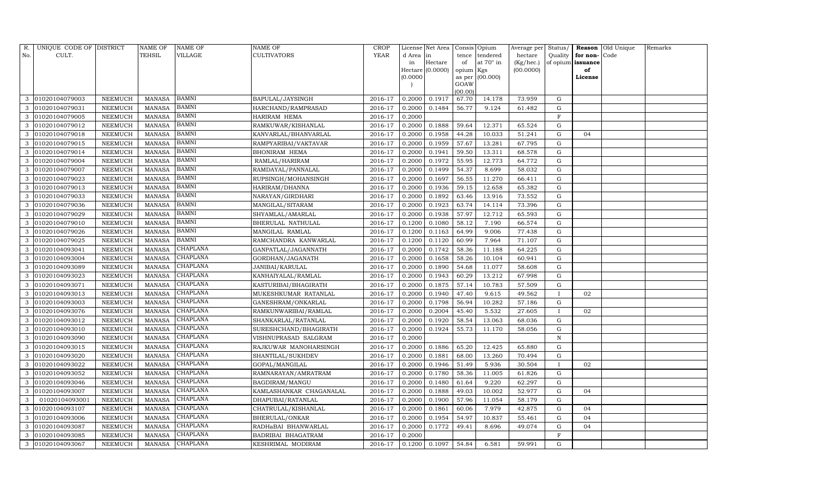| R.  | UNIQUE CODE OF DISTRICT |                 | <b>NAME OF</b> | NAME OF         | <b>NAME OF</b>          | <b>CROP</b> |           | License Net Area |                 | Consis Opium | Average per | Status/      | Reason            | Old Unique | Remarks |
|-----|-------------------------|-----------------|----------------|-----------------|-------------------------|-------------|-----------|------------------|-----------------|--------------|-------------|--------------|-------------------|------------|---------|
| No. | CULT.                   |                 | TEHSIL         | VILLAGE         | <b>CULTIVATORS</b>      | YEAR        | d Area in |                  | tence           | tendered     | hectare     | Quality      | for non-          | Code       |         |
|     |                         |                 |                |                 |                         |             | in        | Hectare          | of              | at 70° in    | (Kg/hec.)   |              | of opium issuance |            |         |
|     |                         |                 |                |                 |                         |             |           | Hectare (0.0000) | opium Kgs       |              | (00.0000)   |              | of                |            |         |
|     |                         |                 |                |                 |                         |             | (0.0000)  |                  | as per          | (00.000)     |             |              | License           |            |         |
|     |                         |                 |                |                 |                         |             |           |                  | GOAW<br>(00.00) |              |             |              |                   |            |         |
| 3   | 01020104079003          | ${\tt NEEMUCH}$ | <b>MANASA</b>  | BAMNI           | BAPULAL/JAYSINGH        | 2016-17     | 0.2000    | 0.1917           | 67.70           | 14.178       | 73.959      | G            |                   |            |         |
| 3   | 01020104079031          | NEEMUCH         | <b>MANASA</b>  | <b>BAMNI</b>    | HARCHAND/RAMPRASAD      | 2016-17     | 0.2000    | 0.1484           | 56.77           | 9.124        | 61.482      | G            |                   |            |         |
| 3   | 01020104079005          | NEEMUCH         | <b>MANASA</b>  | <b>BAMNI</b>    | HARIRAM HEMA            | 2016-17     | 0.2000    |                  |                 |              |             | $\mathbf F$  |                   |            |         |
| 3   | 01020104079012          | NEEMUCH         | <b>MANASA</b>  | <b>BAMNI</b>    | RAMKUWAR/KISHANLAL      | 2016-17     | 0.2000    | 0.1888           | 59.64           | 12.371       | 65.524      | G            |                   |            |         |
| 3   | 01020104079018          | <b>NEEMUCH</b>  | <b>MANASA</b>  | <b>BAMNI</b>    | KANVARLAL/BHANVARLAL    | 2016-17     | 0.2000    | 0.1958           | 44.28           | 10.033       | 51.241      | $\mathbf G$  | 04                |            |         |
| 3   | 01020104079015          | NEEMUCH         | <b>MANASA</b>  | BAMNI           | RAMPYARIBAI/VAKTAVAR    | 2016-17     | 0.2000    | 0.1959           | 57.67           | 13.281       | 67.795      | G            |                   |            |         |
| 3   | 01020104079014          | ${\tt NEEMUCH}$ | <b>MANASA</b>  | <b>BAMNI</b>    | <b>BHONIRAM HEMA</b>    | 2016-17     | 0.2000    | 0.1941           | 59.50           | 13.311       | 68.578      | G            |                   |            |         |
| 3   | 01020104079004          | NEEMUCH         | <b>MANASA</b>  | BAMNI           | RAMLAL/HARIRAM          | 2016-17     | 0.2000    | 0.1972           | 55.95           | 12.773       | 64.772      | G            |                   |            |         |
| 3   | 01020104079007          | NEEMUCH         | <b>MANASA</b>  | BAMNI           | RAMDAYAL/PANNALAL       | 2016-17     | 0.2000    | 0.1499           | 54.37           | 8.699        | 58.032      | $\mathbf G$  |                   |            |         |
| 3   | 01020104079023          | NEEMUCH         | <b>MANASA</b>  | <b>BAMNI</b>    | RUPSINGH/MOHANSINGH     | 2016-17     | 0.2000    | 0.1697           | 56.55           | 11.270       | 66.411      | G            |                   |            |         |
| 3   | 01020104079013          | ${\tt NEEMUCH}$ | <b>MANASA</b>  | <b>BAMNI</b>    | HARIRAM/DHANNA          | 2016-17     | 0.2000    | 0.1936           | 59.15           | 12.658       | 65.382      | G            |                   |            |         |
| 3   | 01020104079033          | NEEMUCH         | <b>MANASA</b>  | BAMNI           | NARAYAN/GIRDHARI        | 2016-17     | 0.2000    | 0.1892           | 63.46           | 13.916       | 73.552      | $\mathbf G$  |                   |            |         |
|     | 01020104079036          | <b>NEEMUCH</b>  | <b>MANASA</b>  | BAMNI           | MANGILAL/SITARAM        | 2016-17     | 0.2000    | 0.1923           | 63.74           | 14.114       | 73.396      | ${\rm G}$    |                   |            |         |
| 3   | 01020104079029          | NEEMUCH         | <b>MANASA</b>  | BAMNI           | SHYAMLAL/AMARLAL        | 2016-17     | 0.2000    | 0.1938           | 57.97           | 12.712       | 65.593      | ${\rm G}$    |                   |            |         |
| 3   | 01020104079010          | NEEMUCH         | <b>MANASA</b>  | <b>BAMNI</b>    | BHERULAL NATHULAL       | 2016-17     | 0.1200    | 0.1080           | 58.12           | 7.190        | 66.574      | G            |                   |            |         |
| 3   | 01020104079026          | NEEMUCH         | <b>MANASA</b>  | BAMNI           | MANGILAL RAMLAL         | 2016-17     | 0.1200    | 0.1163           | 64.99           | 9.006        | 77.438      | ${\rm G}$    |                   |            |         |
|     | 01020104079025          | <b>NEEMUCH</b>  | <b>MANASA</b>  | <b>BAMNI</b>    | RAMCHANDRA KANWARLAL    | 2016-17     | 0.1200    | 0.1120           | 60.99           | 7.964        | 71.107      | ${\rm G}$    |                   |            |         |
| 3   | 01020104093041          | NEEMUCH         | <b>MANASA</b>  | CHAPLANA        | GANPATLAL/JAGANNATH     | 2016-17     | 0.2000    | 0.1742           | 58.36           | 11.188       | 64.225      | G            |                   |            |         |
| 3   | 01020104093004          | NEEMUCH         | <b>MANASA</b>  | CHAPLANA        | GORDHAN/JAGANATH        | 2016-17     | 0.2000    | 0.1658           | 58.26           | 10.104       | 60.941      | ${\rm G}$    |                   |            |         |
| 3   | 01020104093089          | <b>NEEMUCH</b>  | <b>MANASA</b>  | CHAPLANA        | JANIBAI/KARULAL         | 2016-17     | 0.2000    | 0.1890           | 54.68           | 11.077       | 58.608      | $\mathbf G$  |                   |            |         |
| 3   | 01020104093023          | NEEMUCH         | <b>MANASA</b>  | <b>CHAPLANA</b> | KANHAIYALAL/RAMLAL      | 2016-17     | 0.2000    | 0.1943           | 60.29           | 13.212       | 67.998      | ${\rm G}$    |                   |            |         |
| 3   | 01020104093071          | NEEMUCH         | <b>MANASA</b>  | CHAPLANA        | KASTURIBAI/BHAGIRATH    | 2016-17     | 0.2000    | 0.1875           | 57.14           | 10.783       | 57.509      | ${\rm G}$    |                   |            |         |
| 3   | 01020104093013          | NEEMUCH         | <b>MANASA</b>  | CHAPLANA        | MUKESHKUMAR RATANLAL    | 2016-17     | 0.2000    | 0.1940           | 47.40           | 9.615        | 49.562      | $\mathbf{I}$ | 02                |            |         |
|     | 01020104093003          | <b>NEEMUCH</b>  | <b>MANASA</b>  | CHAPLANA        | GANESHRAM/ONKARLAL      | 2016-17     | 0.2000    | 0.1798           | 56.94           | 10.282       | 57.186      | ${\rm G}$    |                   |            |         |
| 3   | 01020104093076          | NEEMUCH         | <b>MANASA</b>  | CHAPLANA        | RAMKUNWARIBAI/RAMLAL    | 2016-17     | 0.2000    | 0.2004           | 45.40           | 5.532        | 27.605      | $\bf{I}$     | 02                |            |         |
| 3   | 01020104093012          | NEEMUCH         | <b>MANASA</b>  | CHAPLANA        | SHANKARLAL/RATANLAL     | 2016-17     | 0.2000    | 0.1920           | 58.54           | 13.063       | 68.036      | G            |                   |            |         |
| 3   | 01020104093010          | NEEMUCH         | <b>MANASA</b>  | CHAPLANA        | SURESHCHAND/BHAGIRATH   | 2016-17     | 0.2000    | 0.1924           | 55.73           | 11.170       | 58.056      | ${\rm G}$    |                   |            |         |
|     | 01020104093090          | <b>NEEMUCH</b>  | <b>MANASA</b>  | CHAPLANA        | VISHNUPRASAD SALGRAM    | 2016-17     | 0.2000    |                  |                 |              |             | $\mathbf N$  |                   |            |         |
| 3   | 01020104093015          | NEEMUCH         | <b>MANASA</b>  | <b>CHAPLANA</b> | RAJKUWAR MANOHARSINGH   | 2016-17     | 0.2000    | 0.1886           | 65.20           | 12.425       | 65.880      | G            |                   |            |         |
| 3   | 01020104093020          | NEEMUCH         | <b>MANASA</b>  | CHAPLANA        | SHANTILAL/SUKHDEV       | 2016-17     | 0.2000    | 0.1881           | 68.00           | 13.260       | 70.494      | ${\rm G}$    |                   |            |         |
| 3   | 01020104093022          | NEEMUCH         | MANASA         | CHAPLANA        | GOPAL/MANGILAL          | 2016-17     | 0.2000    | 0.1946           | 51.49           | 5.936        | 30.504      | $\mathbf{I}$ | 02                |            |         |
|     | 01020104093052          | <b>NEEMUCH</b>  | <b>MANASA</b>  | CHAPLANA        | RAMNARAYAN/AMRATRAM     | 2016-17     | 0.2000    | 0.1780           | 58.36           | 11.005       | 61.826      | G            |                   |            |         |
| 3   | 01020104093046          | NEEMUCH         | <b>MANASA</b>  | CHAPLANA        | BAGDIRAM/MANGU          | 2016-17     | 0.2000    | 0.1480           | 61.64           | 9.220        | 62.297      | G            |                   |            |         |
| 3   | 01020104093007          | NEEMUCH         | <b>MANASA</b>  | CHAPLANA        | KAMLASHANKAR CHAGANALAL | 2016-17     | 0.2000    | 0.1888           | 49.03           | 10.002       | 52.977      | G            | 04                |            |         |
| 3   | 01020104093001          | NEEMUCH         | <b>MANASA</b>  | CHAPLANA        | DHAPUBAI/RATANLAL       | 2016-17     | 0.2000    | 0.1900           | 57.96           | 11.054       | 58.179      | $\mathbf G$  |                   |            |         |
| 3   | 01020104093107          | NEEMUCH         | <b>MANASA</b>  | CHAPLANA        | CHATRULAL/KISHANLAL     | 2016-17     | 0.2000    | 0.1861           | 60.06           | 7.979        | 42.875      | ${\rm G}$    | 04                |            |         |
| 3   | 01020104093006          | NEEMUCH         | <b>MANASA</b>  | <b>CHAPLANA</b> | <b>BHERULAL/ONKAR</b>   | 2016-17     | 0.2000    | 0.1954           | 54.97           | 10.837       | 55.461      | G            | 04                |            |         |
| 3   | 01020104093087          | NEEMUCH         | <b>MANASA</b>  | CHAPLANA        | RADHaBAI BHANWARLAL     | 2016-17     | 0.2000    | 0.1772           | 49.41           | 8.696        | 49.074      | ${\rm G}$    | 04                |            |         |
| 3   | 01020104093085          | <b>NEEMUCH</b>  | <b>MANASA</b>  | CHAPLANA        | BADRIBAI BHAGATRAM      | 2016-17     | 0.2000    |                  |                 |              |             | $\mathbf{F}$ |                   |            |         |
| 3   | 01020104093067          | NEEMUCH         | MANASA         | CHAPLANA        | KESHRIMAL MODIRAM       | 2016-17     | 0.1200    | 0.1097           | 54.84           | 6.581        | 59.991      | G            |                   |            |         |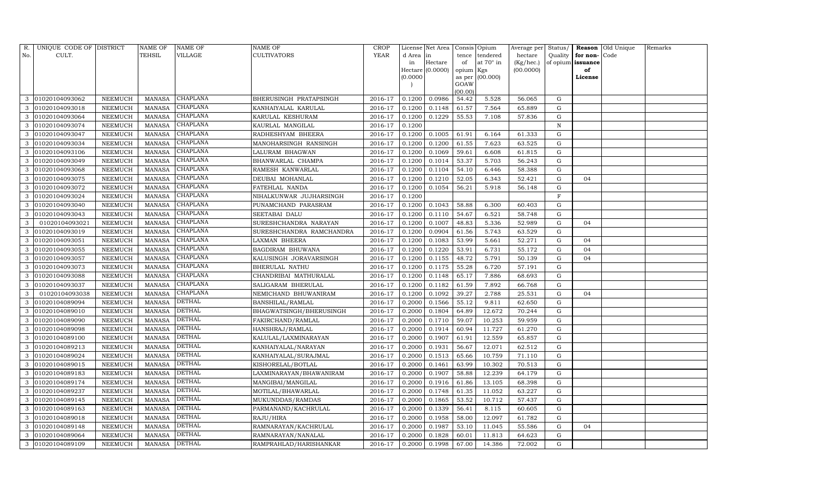| R.  | UNIQUE CODE OF DISTRICT |         | NAME OF       | NAME OF         | NAME OF                  | CROP        |           | License Net Area |           | Consis Opium    | Average per Status/ |             |              | Reason Old Unique | Remarks |
|-----|-------------------------|---------|---------------|-----------------|--------------------------|-------------|-----------|------------------|-----------|-----------------|---------------------|-------------|--------------|-------------------|---------|
| No. | CULT.                   |         | TEHSIL        | VILLAGE         | CULTIVATORS              | <b>YEAR</b> | d Area in |                  | tence     | tendered        | hectare             | Quality     | for non-Code |                   |         |
|     |                         |         |               |                 |                          |             | in        | Hectare          | of        | at 70° in       | (Kg/hec.)           | of opium    | issuance     |                   |         |
|     |                         |         |               |                 |                          |             |           | Hectare (0.0000) | opium Kgs |                 | (00.0000)           |             | of           |                   |         |
|     |                         |         |               |                 |                          |             | (0.0000)  |                  | GOAW      | as per (00.000) |                     |             | License      |                   |         |
|     |                         |         |               |                 |                          |             |           |                  | (00.00)   |                 |                     |             |              |                   |         |
| 3   | 01020104093062          | NEEMUCH | MANASA        | CHAPLANA        | BHERUSINGH PRATAPSINGH   | 2016-17     | 0.1200    | 0.0986           | 54.42     | 5.528           | 56.065              | G           |              |                   |         |
|     | 01020104093018          | NEEMUCH | <b>MANASA</b> | CHAPLANA        | KANHAIYALAL KARULAL      | 2016-17     | 0.1200    | 0.1148           | 61.57     | 7.564           | 65.889              | G           |              |                   |         |
| 3   | 01020104093064          | NEEMUCH | MANASA        | CHAPLANA        | KARULAL KESHURAM         | 2016-17     | 0.1200    | 0.1229           | 55.53     | 7.108           | 57.836              | G           |              |                   |         |
| 3   | 01020104093074          | NEEMUCH | <b>MANASA</b> | CHAPLANA        | KAURLAL MANGILAL         | 2016-17     | 0.1200    |                  |           |                 |                     | $\mathbf N$ |              |                   |         |
| 3   | 01020104093047          | NEEMUCH | <b>MANASA</b> | <b>CHAPLANA</b> | RADHESHYAM BHEERA        | 2016-17     | 0.1200    | 0.1005           | 61.91     | 6.164           | 61.333              | G           |              |                   |         |
| 3   | 01020104093034          | NEEMUCH | <b>MANASA</b> | CHAPLANA        | MANOHARSINGH RANSINGH    | 2016-17     | 0.1200    | 0.1200           | 61.55     | 7.623           | 63.525              | G           |              |                   |         |
|     | 01020104093106          | NEEMUCH | <b>MANASA</b> | <b>CHAPLANA</b> | LALURAM BHAGWAN          | 2016-17     | 0.1200    | 0.1069           | 59.61     | 6.608           | 61.815              | G           |              |                   |         |
| 3   | 01020104093049          | NEEMUCH | <b>MANASA</b> | <b>CHAPLANA</b> | BHANWARLAL CHAMPA        | 2016-17     | 0.1200    | 0.1014           | 53.37     | 5.703           | 56.243              | G           |              |                   |         |
| 3   | 01020104093068          | NEEMUCH | <b>MANASA</b> | CHAPLANA        | RAMESH KANWARLAL         | 2016-17     | 0.1200    | 0.1104           | 54.10     | 6.446           | 58.388              | G           |              |                   |         |
|     | 01020104093075          | NEEMUCH | <b>MANASA</b> | <b>CHAPLANA</b> | DEUBAI MOHANLAL          | 2016-17     | 0.1200    | 0.1210           | 52.05     | 6.343           | 52.421              | G           | 04           |                   |         |
| 3   | 01020104093072          | NEEMUCH | <b>MANASA</b> | CHAPLANA        | FATEHLAL NANDA           | 2016-17     | 0.1200    | 0.1054           | 56.21     | 5.918           | 56.148              | G           |              |                   |         |
| 3   | 01020104093024          | NEEMUCH | <b>MANASA</b> | CHAPLANA        | NIHALKUNWAR JUJHARSINGH  | 2016-17     | 0.1200    |                  |           |                 |                     | F           |              |                   |         |
|     | 01020104093040          | NEEMUCH | <b>MANASA</b> | <b>CHAPLANA</b> | PUNAMCHAND PARASRAM      | 2016-17     | 0.1200    | 0.1043           | 58.88     | 6.300           | 60.403              | G           |              |                   |         |
| 3   | 01020104093043          | NEEMUCH | <b>MANASA</b> | CHAPLANA        | SEETABAI DALU            | 2016-17     | 0.1200    | 0.1110           | 54.67     | 6.521           | 58.748              | G           |              |                   |         |
| 3   | 01020104093021          | NEEMUCH | <b>MANASA</b> | CHAPLANA        | SURESHCHANDRA NARAYAN    | 2016-17     | 0.1200    | 0.1007           | 48.83     | 5.336           | 52.989              | G           | 04           |                   |         |
| 3   | 01020104093019          | NEEMUCH | <b>MANASA</b> | CHAPLANA        | SURESHCHANDRA RAMCHANDRA | 2016-17     | 0.1200    | 0.0904           | 61.56     | 5.743           | 63.529              | G           |              |                   |         |
| 3   | 01020104093051          | NEEMUCH | <b>MANASA</b> | CHAPLANA        | LAXMAN BHEERA            | 2016-17     | 0.1200    | 0.1083           | 53.99     | 5.661           | 52.271              | G           | 04           |                   |         |
| 3   | 01020104093055          | NEEMUCH | <b>MANASA</b> | <b>CHAPLANA</b> | BAGDIRAM BHUWANA         | 2016-17     | 0.1200    | 0.1220           | 53.91     | 6.731           | 55.172              | G           | 04           |                   |         |
| 3   | 01020104093057          | NEEMUCH | <b>MANASA</b> | CHAPLANA        | KALUSINGH JORAVARSINGH   | 2016-17     | 0.1200    | 0.1155           | 48.72     | 5.791           | 50.139              | G           | 04           |                   |         |
| 3   | 01020104093073          | NEEMUCH | MANASA        | CHAPLANA        | BHERULAL NATHU           | 2016-17     | 0.1200    | 0.1175           | 55.28     | 6.720           | 57.191              | G           |              |                   |         |
|     | 01020104093088          | NEEMUCH | <b>MANASA</b> | <b>CHAPLANA</b> | CHANDRIBAI MATHURALAL    | 2016-17     | 0.1200    | 0.1148           | 65.17     | 7.886           | 68.693              | G           |              |                   |         |
| 3   | 01020104093037          | NEEMUCH | <b>MANASA</b> | CHAPLANA        | SALIGARAM BHERULAL       | 2016-17     | 0.1200    | 0.1182           | 61.59     | 7.892           | 66.768              | G           |              |                   |         |
| 3   | 01020104093038          | NEEMUCH | <b>MANASA</b> | CHAPLANA        | NEMICHAND BHUWANIRAM     | 2016-17     | 0.1200    | 0.1092           | 39.27     | 2.788           | 25.531              | ${\rm G}$   | 04           |                   |         |
| 3   | 01020104089094          | NEEMUCH | <b>MANASA</b> | <b>DETHAL</b>   | BANSHILAL/RAMLAL         | 2016-17     | 0.2000    | 0.1566           | 55.12     | 9.811           | 62.650              | G           |              |                   |         |
| 3   | 01020104089010          | NEEMUCH | <b>MANASA</b> | <b>DETHAL</b>   | BHAGWATSINGH/BHERUSINGH  | 2016-17     | 0.2000    | 0.1804           | 64.89     | 12.672          | 70.244              | ${\rm G}$   |              |                   |         |
| 3   | 01020104089090          | NEEMUCH | <b>MANASA</b> | <b>DETHAL</b>   | FAKIRCHAND/RAMLAL        | 2016-17     | 0.2000    | 0.1710           | 59.07     | 10.253          | 59.959              | G           |              |                   |         |
| 3   | 01020104089098          | NEEMUCH | <b>MANASA</b> | <b>DETHAL</b>   | HANSHRAJ/RAMLAL          | 2016-17     | 0.2000    | 0.1914           | 60.94     | 11.727          | 61.270              | G           |              |                   |         |
| 3   | 01020104089100          | NEEMUCH | <b>MANASA</b> | DETHAL          | KALULAL/LAXMINARAYAN     | 2016-17     | 0.2000    | 0.1907           | 61.91     | 12.559          | 65.857              | G           |              |                   |         |
| 3   | 01020104089213          | NEEMUCH | MANASA        | <b>DETHAL</b>   | KANHAIYALAL/NARAYAN      | 2016-17     | 0.2000    | 0.1931           | 56.67     | 12.071          | 62.512              | G           |              |                   |         |
| 3   | 01020104089024          | NEEMUCH | <b>MANASA</b> | <b>DETHAL</b>   | KANHAIYALAL/SURAJMAL     | 2016-17     | 0.2000    | 0.1513           | 65.66     | 10.759          | 71.110              | G           |              |                   |         |
| 3   | 01020104089015          | NEEMUCH | MANASA        | <b>DETHAL</b>   | KISHORELAL/BOTLAL        | 2016-17     | 0.2000    | 0.1461           | 63.99     | 10.302          | 70.513              | G           |              |                   |         |
|     | 01020104089183          | NEEMUCH | <b>MANASA</b> | <b>DETHAL</b>   | LAXMINARAYAN/BHAWANIRAM  | 2016-17     | 0.2000    | 0.1907           | 58.88     | 12.239          | 64.179              | G           |              |                   |         |
| 3   | 01020104089174          | NEEMUCH | <b>MANASA</b> | <b>DETHAL</b>   | MANGIBAI/MANGILAL        | 2016-17     | 0.2000    | 0.1916           | 61.86     | 13.105          | 68.398              | ${\rm G}$   |              |                   |         |
| 3   | 01020104089237          | NEEMUCH | <b>MANASA</b> | <b>DETHAL</b>   | MOTILAL/BHAWARLAL        | 2016-17     | 0.2000    | 0.1748           | 61.35     | 11.052          | 63.227              | G           |              |                   |         |
| 3   | 01020104089145          | NEEMUCH | <b>MANASA</b> | <b>DETHAL</b>   | MUKUNDDAS/RAMDAS         | 2016-17     | 0.2000    | 0.1865           | 53.52     | 10.712          | 57.437              | G           |              |                   |         |
| 3   | 01020104089163          | NEEMUCH | <b>MANASA</b> | <b>DETHAL</b>   | PARMANAND/KACHRULAL      | 2016-17     | 0.2000    | 0.1339           | 56.41     | 8.115           | 60.605              | ${\rm G}$   |              |                   |         |
| 3   | 01020104089018          | NEEMUCH | <b>MANASA</b> | <b>DETHAL</b>   | RAJU/HIRA                | 2016-17     | 0.2000    | 0.1958           | 58.00     | 12.097          | 61.782              | G           |              |                   |         |
| 3   | 01020104089148          | NEEMUCH | <b>MANASA</b> | <b>DETHAL</b>   | RAMNARAYAN/KACHRULAL     | 2016-17     | 0.2000    | 0.1987           | 53.10     | 11.045          | 55.586              | ${\rm G}$   | 04           |                   |         |
| 3   | 01020104089064          | NEEMUCH | <b>MANASA</b> | DETHAL          | RAMNARAYAN/NANALAL       | 2016-17     | 0.2000    | 0.1828           | 60.01     | 11.813          | 64.623              | G           |              |                   |         |
| 3   | 01020104089109          | NEEMUCH | MANASA        | <b>DETHAL</b>   | RAMPRAHLAD/HARISHANKAR   | 2016-17     | 0.2000    | 0.1998           | 67.00     | 14.386          | 72.002              | G           |              |                   |         |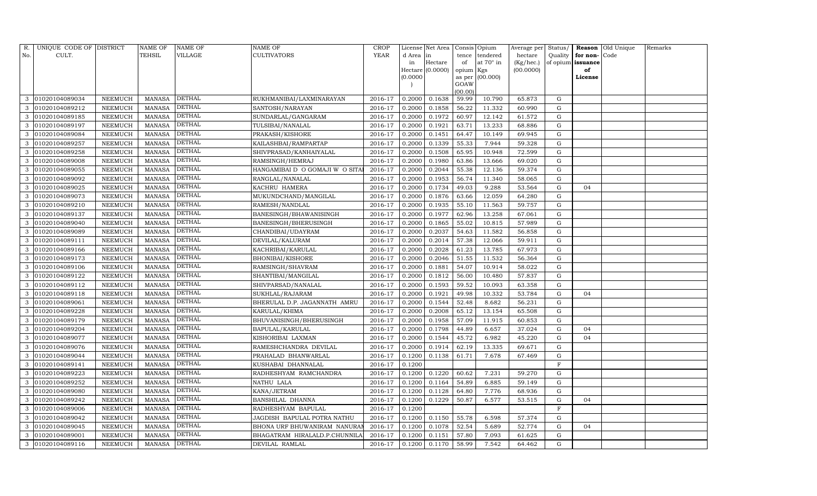| R.  | UNIQUE CODE OF DISTRICT |                | <b>NAME OF</b> | NAME OF       | <b>NAME OF</b>                 | <b>CROP</b> |           | License Net Area |                 | Consis Opium | Average per | Status/     | Reason            | Old Unique | Remarks |
|-----|-------------------------|----------------|----------------|---------------|--------------------------------|-------------|-----------|------------------|-----------------|--------------|-------------|-------------|-------------------|------------|---------|
| No. | CULT.                   |                | TEHSIL         | VILLAGE       | <b>CULTIVATORS</b>             | <b>YEAR</b> | d Area in |                  | tence           | tendered     | hectare     | Quality     | for non-          | Code       |         |
|     |                         |                |                |               |                                |             | in        | Hectare          | of              | at 70° in    | (Kg/hec.)   |             | of opium issuance |            |         |
|     |                         |                |                |               |                                |             |           | Hectare (0.0000) | opium Kgs       |              | (00.0000)   |             | of                |            |         |
|     |                         |                |                |               |                                |             | (0.0000)  |                  | as per          | (00.000)     |             |             | License           |            |         |
|     |                         |                |                |               |                                |             |           |                  | GOAW<br>(00.00) |              |             |             |                   |            |         |
| 3   | 01020104089034          | NEEMUCH        | MANASA         | DETHAL        | RUKHMANIBAI/LAXMINARAYAN       | 2016-17     | 0.2000    | 0.1638           | 59.99           | 10.790       | 65.873      | G           |                   |            |         |
|     | 01020104089212          | NEEMUCH        | <b>MANASA</b>  | <b>DETHAL</b> | SANTOSH/NARAYAN                | 2016-17     | 0.2000    | 0.1858           | 56.22           | 11.332       | 60.990      | G           |                   |            |         |
| 3   | 01020104089185          | NEEMUCH        | <b>MANASA</b>  | DETHAL        | SUNDARLAL/GANGARAM             | 2016-17     | 0.2000    | 0.1972           | 60.97           | 12.142       | 61.572      | G           |                   |            |         |
| 3   | 01020104089197          | NEEMUCH        | <b>MANASA</b>  | DETHAL        | TULSIBAI/NANALAL               | 2016-17     | 0.2000    | 0.1921           | 63.71           | 13.233       | 68.886      | ${\rm G}$   |                   |            |         |
| 3   | 01020104089084          | <b>NEEMUCH</b> | <b>MANASA</b>  | <b>DETHAL</b> | PRAKASH/KISHORE                | 2016-17     | 0.2000    | 0.1451           | 64.47           | 10.149       | 69.945      | G           |                   |            |         |
| 3   | 01020104089257          | NEEMUCH        | <b>MANASA</b>  | <b>DETHAL</b> | KAILASHBAI/RAMPARTAP           | 2016-17     | 0.2000    | 0.1339           | 55.33           | 7.944        | 59.328      | G           |                   |            |         |
| 3   | 01020104089258          | NEEMUCH        | <b>MANASA</b>  | <b>DETHAL</b> | SHIVPRASAD/KANHAIYALAL         | 2016-17     | 0.2000    | 0.1508           | 65.95           | 10.948       | 72.599      | G           |                   |            |         |
| 3   | 01020104089008          | NEEMUCH        | <b>MANASA</b>  | <b>DETHAL</b> | RAMSINGH/HEMRAJ                | 2016-17     | 0.2000    | 0.1980           | 63.86           | 13.666       | 69.020      | ${\rm G}$   |                   |            |         |
| 3   | 01020104089055          | <b>NEEMUCH</b> | <b>MANASA</b>  | <b>DETHAL</b> | HANGAMIBAI D O GOMAJI W O SITA | 2016-17     | 0.2000    | 0.2044           | 55.38           | 12.136       | 59.374      | $\mathbf G$ |                   |            |         |
| 3   | 01020104089092          | NEEMUCH        | <b>MANASA</b>  | <b>DETHAL</b> | RANGLAL/NANALAL                | 2016-17     | 0.2000    | 0.1953           | 56.74           | 11.340       | 58.065      | ${\rm G}$   |                   |            |         |
| 3   | 01020104089025          | NEEMUCH        | <b>MANASA</b>  | <b>DETHAL</b> | KACHRU HAMERA                  | 2016-17     | 0.2000    | 0.1734           | 49.03           | 9.288        | 53.564      | ${\rm G}$   | 04                |            |         |
| 3   | 01020104089073          | NEEMUCH        | MANASA         | <b>DETHAL</b> | MUKUNDCHAND/MANGILAL           | 2016-17     | 0.2000    | 0.1876           | 63.66           | 12.059       | 64.280      | G           |                   |            |         |
|     | 01020104089210          | <b>NEEMUCH</b> | <b>MANASA</b>  | <b>DETHAL</b> | RAMESH/NANDLAL                 | 2016-17     | 0.2000    | 0.1935           | 55.10           | 11.563       | 59.757      | ${\rm G}$   |                   |            |         |
| 3   | 01020104089137          | NEEMUCH        | MANASA         | <b>DETHAL</b> | BANESINGH/BHAWANISINGH         | 2016-17     | 0.2000    | 0.1977           | 62.96           | 13.258       | 67.061      | G           |                   |            |         |
| 3   | 01020104089040          | NEEMUCH        | MANASA         | <b>DETHAL</b> | BANESINGH/BHERUSINGH           | 2016-17     | 0.2000    | 0.1865           | 55.02           | 10.815       | 57.989      | G           |                   |            |         |
| 3   | 01020104089089          | NEEMUCH        | <b>MANASA</b>  | <b>DETHAL</b> | CHANDIBAI/UDAYRAM              | 2016-17     | 0.2000    | 0.2037           | 54.63           | 11.582       | 56.858      | G           |                   |            |         |
|     | 01020104089111          | <b>NEEMUCH</b> | <b>MANASA</b>  | <b>DETHAL</b> | DEVILAL/KALURAM                | 2016-17     | 0.2000    | 0.2014           | 57.38           | 12.066       | 59.911      | G           |                   |            |         |
| 3   | 01020104089166          | NEEMUCH        | MANASA         | <b>DETHAL</b> | KACHRIBAI/KARULAL              | 2016-17     | 0.2000    | 0.2028           | 61.23           | 13.785       | 67.973      | G           |                   |            |         |
| 3   | 01020104089173          | NEEMUCH        | <b>MANASA</b>  | <b>DETHAL</b> | <b>BHONIBAI/KISHORE</b>        | 2016-17     | 0.2000    | 0.2046           | 51.55           | 11.532       | 56.364      | G           |                   |            |         |
| 3   | 01020104089106          | NEEMUCH        | <b>MANASA</b>  | <b>DETHAL</b> | RAMSINGH/SHAVRAM               | 2016-17     | 0.2000    | 0.1881           | 54.07           | 10.914       | 58.022      | G           |                   |            |         |
| 3   | 01020104089122          | NEEMUCH        | <b>MANASA</b>  | <b>DETHAL</b> | SHANTIBAI/MANGILAL             | 2016-17     | 0.2000    | 0.1812           | 56.00           | 10.480       | 57.837      | G           |                   |            |         |
| 3   | 01020104089112          | NEEMUCH        | <b>MANASA</b>  | <b>DETHAL</b> | SHIVPARSAD/NANALAL             | 2016-17     | 0.2000    | 0.1593           | 59.52           | 10.093       | 63.358      | G           |                   |            |         |
| 3   | 01020104089118          | NEEMUCH        | <b>MANASA</b>  | <b>DETHAL</b> | SUKHLAL/RAJARAM                | 2016-17     | 0.2000    | 0.1921           | 49.98           | 10.332       | 53.784      | G           | 04                |            |         |
| 3   | 01020104089061          | NEEMUCH        | <b>MANASA</b>  | <b>DETHAL</b> | BHERULAL D.P. JAGANNATH AMRU   | 2016-17     | 0.2000    | 0.1544           | 52.48           | 8.682        | 56.231      | G           |                   |            |         |
|     | 01020104089228          | NEEMUCH        | <b>MANASA</b>  | DETHAL        | KARULAL/KHIMA                  | 2016-17     | 0.2000    | 0.2008           | 65.12           | 13.154       | 65.508      | G           |                   |            |         |
| 3   | 01020104089179          | NEEMUCH        | <b>MANASA</b>  | <b>DETHAL</b> | BHUVANISINGH/BHERUSINGH        | 2016-17     | 0.2000    | 0.1958           | 57.09           | 11.915       | 60.853      | G           |                   |            |         |
| 3   | 01020104089204          | NEEMUCH        | <b>MANASA</b>  | <b>DETHAL</b> | BAPULAL/KARULAL                | 2016-17     | 0.2000    | 0.1798           | 44.89           | 6.657        | 37.024      | G           | 04                |            |         |
| 3   | 01020104089077          | <b>NEEMUCH</b> | <b>MANASA</b>  | DETHAL        | KISHORIBAI LAXMAN              | 2016-17     | 0.2000    | 0.1544           | 45.72           | 6.982        | 45.220      | ${\rm G}$   | 04                |            |         |
| 3   | 01020104089076          | NEEMUCH        | <b>MANASA</b>  | <b>DETHAL</b> | RAMESHCHANDRA DEVILAL          | 2016-17     | 0.2000    | 0.1914           | 62.19           | 13.335       | 69.671      | G           |                   |            |         |
| 3   | 01020104089044          | NEEMUCH        | <b>MANASA</b>  | <b>DETHAL</b> | PRAHALAD BHANWARLAL            | 2016-17     | 0.1200    | 0.1138           | 61.71           | 7.678        | 67.469      | G           |                   |            |         |
| 3   | 01020104089141          | NEEMUCH        | <b>MANASA</b>  | <b>DETHAL</b> | KUSHABAI DHANNALAL             | 2016-17     | 0.1200    |                  |                 |              |             | $\mathbf F$ |                   |            |         |
| 3   | 01020104089223          | <b>NEEMUCH</b> | <b>MANASA</b>  | <b>DETHAL</b> | RADHESHYAM RAMCHANDRA          | 2016-17     | 0.1200    | 0.1220           | 60.62           | 7.231        | 59.270      | $\mathbf G$ |                   |            |         |
| 3   | 01020104089252          | NEEMUCH        | <b>MANASA</b>  | <b>DETHAL</b> | NATHU LALA                     | 2016-17     | 0.1200    | 0.1164           | 54.89           | 6.885        | 59.149      | G           |                   |            |         |
| 3   | 01020104089080          | NEEMUCH        | <b>MANASA</b>  | <b>DETHAL</b> | KANA/JETRAM                    | 2016-17     | 0.1200    | 0.1128           | 64.80           | 7.776        | 68.936      | ${\rm G}$   |                   |            |         |
| 3   | 01020104089242          | NEEMUCH        | <b>MANASA</b>  | <b>DETHAL</b> | <b>BANSHILAL DHANNA</b>        | 2016-17     | 0.1200    | 0.1229           | 50.87           | 6.577        | 53.515      | ${\rm G}$   | 04                |            |         |
| 3   | 01020104089006          | <b>NEEMUCH</b> | <b>MANASA</b>  | <b>DETHAL</b> | RADHESHYAM BAPULAL             | 2016-17     | 0.1200    |                  |                 |              |             | F           |                   |            |         |
| 3   | 01020104089042          | NEEMUCH        | <b>MANASA</b>  | <b>DETHAL</b> | JAGDISH BAPULAL POTRA NATHU    | 2016-17     | 0.1200    | 0.1150           | 55.78           | 6.598        | 57.374      | G           |                   |            |         |
| 3   | 01020104089045          | NEEMUCH        | <b>MANASA</b>  | <b>DETHAL</b> | BHONA URF BHUWANIRAM NANURA    | 2016-17     | 0.1200    | 0.1078           | 52.54           | 5.689        | 52.774      | G           | 04                |            |         |
| 3   | 01020104089001          | NEEMUCH        | MANASA         | DETHAL        | BHAGATRAM HIRALALD.P.CHUNNILA  | 2016-17     | 0.1200    | 0.1151           | 57.80           | 7.093        | 61.625      | G           |                   |            |         |
| 3   | 01020104089116          | NEEMUCH        | MANASA         | <b>DETHAL</b> | DEVILAL RAMLAL                 | 2016-17     | 0.1200    | 0.1170           | 58.99           | 7.542        | 64.462      | G           |                   |            |         |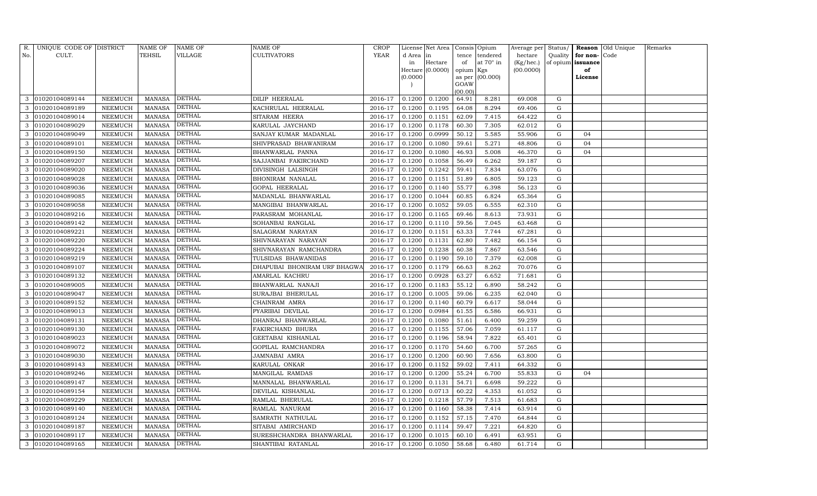| R.  | UNIQUE CODE OF DISTRICT |                | NAME OF       | <b>NAME OF</b> | <b>NAME OF</b>               | <b>CROP</b> |           | License Net Area |                 | Consis Opium      | Average per Status/ |             |                          | <b>Reason</b> Old Unique | Remarks |
|-----|-------------------------|----------------|---------------|----------------|------------------------------|-------------|-----------|------------------|-----------------|-------------------|---------------------|-------------|--------------------------|--------------------------|---------|
| No. | CULT.                   |                | TEHSIL        | VILLAGE        | <b>CULTIVATORS</b>           | YEAR        | d Area in |                  | tence           | tendered          | hectare             |             | Quality $\vert$ for non- | Code                     |         |
|     |                         |                |               |                |                              |             | in        | Hectare          | of              | at 70° in         | (Kg/hec.)           |             | of opium issuance        |                          |         |
|     |                         |                |               |                |                              |             |           | Hectare (0.0000) | opium Kgs       |                   | (00.0000)           |             | of                       |                          |         |
|     |                         |                |               |                |                              |             | (0.0000)  |                  |                 | as per $(00.000)$ |                     |             | License                  |                          |         |
|     |                         |                |               |                |                              |             |           |                  | GOAW<br>(00.00) |                   |                     |             |                          |                          |         |
| 3   | 01020104089144          | NEEMUCH        | MANASA        | DETHAL         | <b>DILIP HEERALAL</b>        | 2016-17     | 0.1200    | 0.1200           | 64.91           | 8.281             | 69.008              | G           |                          |                          |         |
| 3   | 01020104089189          | NEEMUCH        | <b>MANASA</b> | <b>DETHAL</b>  | KACHRULAL HEERALAL           | 2016-17     | 0.1200    | 0.1195           | 64.08           | 8.294             | 69.406              | G           |                          |                          |         |
| 3   | 01020104089014          | NEEMUCH        | <b>MANASA</b> | <b>DETHAL</b>  | SITARAM HEERA                | 2016-17     | 0.1200    | 0.1151           | 62.09           | 7.415             | 64.422              | G           |                          |                          |         |
| 3   | 01020104089029          | NEEMUCH        | MANASA        | <b>DETHAL</b>  | KARULAL JAYCHAND             | 2016-17     | 0.1200    | 0.1178           | 60.30           | 7.305             | 62.012              | G           |                          |                          |         |
| 3   | 01020104089049          | NEEMUCH        | <b>MANASA</b> | <b>DETHAL</b>  | SANJAY KUMAR MADANLAL        | 2016-17     | 0.1200    | 0.0999           | 50.12           | 5.585             | 55.906              | G           | 04                       |                          |         |
| 3   | 01020104089101          | NEEMUCH        | MANASA        | DETHAL         | SHIVPRASAD BHAWANIRAM        | 2016-17     | 0.1200    | 0.1080           | 59.61           | 5.271             | 48.806              | G           | 04                       |                          |         |
| 3   | 01020104089150          | NEEMUCH        | MANASA        | <b>DETHAL</b>  | BHANWARLAL PANNA             | 2016-17     | 0.1200    | 0.1080           | 46.93           | 5.008             | 46.370              | G           | 04                       |                          |         |
| 3   | 01020104089207          | NEEMUCH        | MANASA        | <b>DETHAL</b>  | SAJJANBAI FAKIRCHAND         | 2016-17     | 0.1200    | 0.1058           | 56.49           | 6.262             | 59.187              | G           |                          |                          |         |
| 3   | 01020104089020          | NEEMUCH        | MANASA        | DETHAL         | DIVISINGH LALSINGH           | 2016-17     | 0.1200    | 0.1242           | 59.41           | 7.834             | 63.076              | G           |                          |                          |         |
| 3   | 01020104089028          | NEEMUCH        | MANASA        | <b>DETHAL</b>  | BHONIRAM NANALAL             | 2016-17     | 0.1200    | 0.1151           | 51.89           | 6.805             | 59.123              | G           |                          |                          |         |
| 3   | 01020104089036          | NEEMUCH        | MANASA        | <b>DETHAL</b>  | <b>GOPAL HEERALAL</b>        | 2016-17     | 0.1200    | 0.1140           | 55.77           | 6.398             | 56.123              | G           |                          |                          |         |
| 3   | 01020104089085          | NEEMUCH        | MANASA        | DETHAL         | MADANLAL BHANWARLAL          | 2016-17     | 0.1200    | 0.1044           | 60.85           | 6.824             | 65.364              | G           |                          |                          |         |
|     | 01020104089058          | NEEMUCH        | <b>MANASA</b> | <b>DETHAL</b>  | MANGIBAI BHANWARLAL          | 2016-17     | 0.1200    | 0.1052           | 59.05           | 6.555             | 62.310              | G           |                          |                          |         |
| 3   | 01020104089216          | NEEMUCH        | <b>MANASA</b> | DETHAL         | PARASRAM MOHANLAL            | 2016-17     | 0.1200    | 0.1165           | 69.46           | 8.613             | 73.931              | G           |                          |                          |         |
| 3   | 01020104089142          | NEEMUCH        | MANASA        | <b>DETHAL</b>  | SOHANBAI RANGLAL             | 2016-17     | 0.1200    | 0.1110           | 59.56           | 7.045             | 63.468              | G           |                          |                          |         |
| 3   | 01020104089221          | NEEMUCH        | <b>MANASA</b> | <b>DETHAL</b>  | SALAGRAM NARAYAN             | 2016-17     | 0.1200    | 0.1151           | 63.33           | 7.744             | 67.281              | G           |                          |                          |         |
|     | 01020104089220          | NEEMUCH        | <b>MANASA</b> | <b>DETHAL</b>  | SHIVNARAYAN NARAYAN          | 2016-17     | 0.1200    | 0.1131           | 62.80           | 7.482             | 66.154              | G           |                          |                          |         |
| 3   | 01020104089224          | NEEMUCH        | <b>MANASA</b> | <b>DETHAL</b>  | SHIVNARAYAN RAMCHANDRA       | 2016-17     | 0.1200    | 0.1238           | 60.38           | 7.867             | 63.546              | G           |                          |                          |         |
| 3   | 01020104089219          | NEEMUCH        | MANASA        | <b>DETHAL</b>  | TULSIDAS BHAWANIDAS          | 2016-17     | 0.1200    | 0.1190           | 59.10           | 7.379             | 62.008              | G           |                          |                          |         |
| 3   | 01020104089107          | NEEMUCH        | <b>MANASA</b> | DETHAL         | DHAPUBAI BHONIRAM URF BHAGWA | 2016-17     | 0.1200    | 0.1179           | 66.63           | 8.262             | 70.076              | G           |                          |                          |         |
| 3   | 01020104089132          | NEEMUCH        | MANASA        | <b>DETHAL</b>  | AMARLAL KACHRU               | 2016-17     | 0.1200    | 0.0928           | 63.27           | 6.652             | 71.681              | G           |                          |                          |         |
| 3   | 01020104089005          | NEEMUCH        | MANASA        | <b>DETHAL</b>  | BHANWARLAL NANAJI            | 2016-17     | 0.1200    | 0.1183           | 55.12           | 6.890             | 58.242              | G           |                          |                          |         |
| 3   | 01020104089047          | NEEMUCH        | MANASA        | <b>DETHAL</b>  | SURAJBAI BHERULAL            | 2016-17     | 0.1200    | 0.1005           | 59.06           | 6.235             | 62.040              | G           |                          |                          |         |
| 3   | 01020104089152          | NEEMUCH        | <b>MANASA</b> | <b>DETHAL</b>  | CHAINRAM AMRA                | 2016-17     | 0.1200    | 0.1140           | 60.79           | 6.617             | 58.044              | G           |                          |                          |         |
| 3   | 01020104089013          | NEEMUCH        | MANASA        | <b>DETHAL</b>  | PYARIBAI DEVILAL             | 2016-17     | 0.1200    | 0.0984           | 61.55           | 6.586             | 66.931              | G           |                          |                          |         |
| 3   | 01020104089131          | NEEMUCH        | MANASA        | <b>DETHAL</b>  | DHANRAJ BHANWARLAL           | 2016-17     | 0.1200    | 0.1080           | 51.61           | 6.400             | 59.259              | G           |                          |                          |         |
| 3   | 01020104089130          | NEEMUCH        | <b>MANASA</b> | <b>DETHAL</b>  | FAKIRCHAND BHURA             | 2016-17     | 0.1200    | 0.1155           | 57.06           | 7.059             | 61.117              | G           |                          |                          |         |
| 3   | 01020104089023          | NEEMUCH        | <b>MANASA</b> | <b>DETHAL</b>  | GEETABAI KISHANLAL           | 2016-17     | 0.1200    | 0.1196           | 58.94           | 7.822             | 65.401              | $\mathbf G$ |                          |                          |         |
| 3   | 01020104089072          | NEEMUCH        | MANASA        | <b>DETHAL</b>  | GOPILAL RAMCHANDRA           | 2016-17     | 0.1200    | 0.1170           | 54.60           | 6.700             | 57.265              | G           |                          |                          |         |
| 3   | 01020104089030          | NEEMUCH        | MANASA        | <b>DETHAL</b>  | JAMNABAI AMRA                | 2016-17     | 0.1200    | 0.1200           | 60.90           | 7.656             | 63.800              | G           |                          |                          |         |
| 3   | 01020104089143          | NEEMUCH        | MANASA        | DETHAL         | KARULAL ONKAR                | 2016-17     | 0.1200    | 0.1152           | 59.02           | 7.411             | 64.332              | G           |                          |                          |         |
| 3   | 01020104089246          | <b>NEEMUCH</b> | <b>MANASA</b> | <b>DETHAL</b>  | MANGILAL RAMDAS              | 2016-17     | 0.1200    | 0.1200           | 55.24           | 6.700             | 55.833              | G           | 04                       |                          |         |
| 3   | 01020104089147          | NEEMUCH        | MANASA        | <b>DETHAL</b>  | MANNALAL BHANWARLAL          | 2016-17     | 0.1200    | 0.1131           | 54.71           | 6.698             | 59.222              | G           |                          |                          |         |
| 3   | 01020104089154          | NEEMUCH        | MANASA        | <b>DETHAL</b>  | DEVILAL KISHANLAL            | 2016-17     | 0.1200    | 0.0713           | 60.22           | 4.353             | 61.052              | G           |                          |                          |         |
| 3   | 01020104089229          | NEEMUCH        | MANASA        | <b>DETHAL</b>  | RAMLAL BHERULAL              | 2016-17     | 0.1200    | 0.1218           | 57.79           | 7.513             | 61.683              | G           |                          |                          |         |
| 3   | 01020104089140          | NEEMUCH        | <b>MANASA</b> | DETHAL         | RAMLAL NANURAM               | 2016-17     | 0.1200    | 0.1160           | 58.38           | 7.414             | 63.914              | G           |                          |                          |         |
| 3   | 01020104089124          | NEEMUCH        | MANASA        | <b>DETHAL</b>  | SAMRATH NATHULAL             | 2016-17     | 0.1200    | 0.1152           | 57.15           | 7.470             | 64.844              | G           |                          |                          |         |
| 3   | 01020104089187          | NEEMUCH        | <b>MANASA</b> | <b>DETHAL</b>  | SITABAI AMIRCHAND            | 2016-17     | 0.1200    | 0.1114           | 59.47           | 7.221             | 64.820              | G           |                          |                          |         |
| 3   | 01020104089117          | NEEMUCH        | MANASA        | <b>DETHAL</b>  | SURESHCHANDRA BHANWARLAL     | 2016-17     | 0.1200    | 0.1015           | 60.10           | 6.491             | 63.951              | G           |                          |                          |         |
| 3   | 01020104089165          | NEEMUCH        | MANASA DETHAL |                | SHANTIBAI RATANLAL           | 2016-17     | 0.1200    | 0.1050           | 58.68           | 6.480             | 61.714              | G           |                          |                          |         |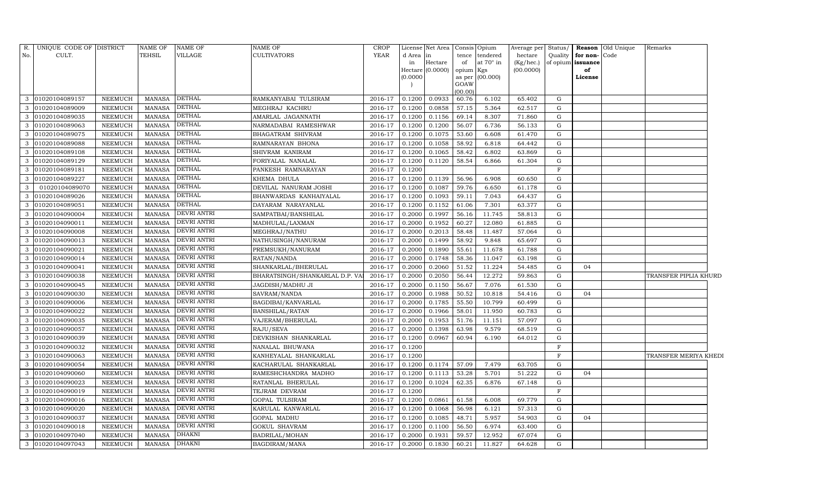| R.  | UNIQUE CODE OF DISTRICT |                | <b>NAME OF</b> | <b>NAME OF</b>     | <b>NAME OF</b>                 | <b>CROP</b> |          | License Net Area   |                | Consis Opium     | Average per | Status/     |                   | <b>Reason</b> Old Unique | Remarks               |  |
|-----|-------------------------|----------------|----------------|--------------------|--------------------------------|-------------|----------|--------------------|----------------|------------------|-------------|-------------|-------------------|--------------------------|-----------------------|--|
| No. | CULT.                   |                | <b>TEHSIL</b>  | VILLAGE            | <b>CULTIVATORS</b>             | YEAR        | d Area   | in                 | tence          | tendered         | hectare     | Quality     | for non-Code      |                          |                       |  |
|     |                         |                |                |                    |                                |             | in       | Hectare            | of             | at $70^\circ$ in | (Kg/hec.)   |             | of opium issuance |                          |                       |  |
|     |                         |                |                |                    |                                |             |          | Hectare $(0.0000)$ | opium Kgs      |                  | (00.0000)   |             | of                |                          |                       |  |
|     |                         |                |                |                    |                                |             | (0.0000) |                    | as per<br>GOAW | (00.000)         |             |             | License           |                          |                       |  |
|     |                         |                |                |                    |                                |             |          |                    | (00.00)        |                  |             |             |                   |                          |                       |  |
| 3   | 01020104089157          | <b>NEEMUCH</b> | <b>MANASA</b>  | <b>DETHAL</b>      | RAMKANYABAI TULSIRAM           | 2016-17     | 0.1200   | 0.0933             | 60.76          | 6.102            | 65.402      | G           |                   |                          |                       |  |
| 3   | 01020104089009          | <b>NEEMUCH</b> | <b>MANASA</b>  | <b>DETHAL</b>      | MEGHRAJ KACHRU                 | 2016-17     | 0.1200   | 0.0858             | 57.15          | 5.364            | 62.517      | G           |                   |                          |                       |  |
| 3   | 01020104089035          | <b>NEEMUCH</b> | <b>MANASA</b>  | <b>DETHAL</b>      | AMARLAL JAGANNATH              | 2016-17     | 0.1200   | 0.1156             | 69.14          | 8.307            | 71.860      | G           |                   |                          |                       |  |
| 3   | 01020104089063          | <b>NEEMUCH</b> | <b>MANASA</b>  | <b>DETHAL</b>      | NARMADABAI RAMESHWAR           | 2016-17     | 0.1200   | 0.1200             | 56.07          | 6.736            | 56.133      | G           |                   |                          |                       |  |
| 3   | 01020104089075          | <b>NEEMUCH</b> | <b>MANASA</b>  | <b>DETHAL</b>      | BHAGATRAM SHIVRAM              | 2016-17     | 0.1200   | 0.1075             | 53.60          | 6.608            | 61.470      | G           |                   |                          |                       |  |
| 3   | 01020104089088          | <b>NEEMUCH</b> | <b>MANASA</b>  | <b>DETHAL</b>      | RAMNARAYAN BHONA               | 2016-17     | 0.1200   | 0.1058             | 58.92          | 6.818            | 64.442      | ${\rm G}$   |                   |                          |                       |  |
| 3   | 01020104089108          | <b>NEEMUCH</b> | <b>MANASA</b>  | <b>DETHAL</b>      | SHIVRAM KANIRAM                | 2016-17     | 0.1200   | 0.1065             | 58.42          | 6.802            | 63.869      | G           |                   |                          |                       |  |
| 3   | 01020104089129          | <b>NEEMUCH</b> | <b>MANASA</b>  | <b>DETHAL</b>      | FORIYALAL NANALAL              | 2016-17     | 0.1200   | 0.1120             | 58.54          | 6.866            | 61.304      | G           |                   |                          |                       |  |
| 3   | 01020104089181          | NEEMUCH        | <b>MANASA</b>  | <b>DETHAL</b>      | PANKESH RAMNARAYAN             | 2016-17     | 0.1200   |                    |                |                  |             | $\mathbf F$ |                   |                          |                       |  |
| 3   | 01020104089227          | NEEMUCH        | <b>MANASA</b>  | <b>DETHAL</b>      | KHEMA DHULA                    | 2016-17     | 0.1200   | 0.1139             | 56.96          | 6.908            | 60.650      | G           |                   |                          |                       |  |
| 3   | 01020104089070          | NEEMUCH        | <b>MANASA</b>  | <b>DETHAL</b>      | DEVILAL NANURAM JOSHI          | 2016-17     | 0.1200   | 0.1087             | 59.76          | 6.650            | 61.178      | G           |                   |                          |                       |  |
| 3   | 01020104089026          | NEEMUCH        | <b>MANASA</b>  | <b>DETHAL</b>      | BHANWARDAS KANHAIYALAL         | 2016-17     | 0.1200   | 0.1093             | 59.11          | 7.043            | 64.437      | G           |                   |                          |                       |  |
| 3   | 01020104089051          | <b>NEEMUCH</b> | <b>MANASA</b>  | <b>DETHAL</b>      | DAYARAM NARAYANLAL             | 2016-17     | 0.1200   | 0.1152             | 61.06          | 7.301            | 63.377      | G           |                   |                          |                       |  |
| 3   | 01020104090004          | NEEMUCH        | <b>MANASA</b>  | DEVRI ANTRI        | SAMPATBAI/BANSHILAL            | 2016-17     | 0.2000   | 0.1997             | 56.16          | 11.745           | 58.813      | ${\rm G}$   |                   |                          |                       |  |
| 3   | 01020104090011          | <b>NEEMUCH</b> | <b>MANASA</b>  | DEVRI ANTRI        | MADHULAL/LAXMAN                | 2016-17     | 0.2000   | 0.1952             | 60.27          | 12.080           | 61.885      | G           |                   |                          |                       |  |
| 3   | 01020104090008          | NEEMUCH        | <b>MANASA</b>  | DEVRI ANTRI        | MEGHRAJ/NATHU                  | 2016-17     | 0.2000   | 0.2013             | 58.48          | 11.487           | 57.064      | G           |                   |                          |                       |  |
| 3   | 01020104090013          | <b>NEEMUCH</b> | <b>MANASA</b>  | DEVRI ANTRI        | NATHUSINGH/NANURAM             | 2016-17     | 0.2000   | 0.1499             | 58.92          | 9.848            | 65.697      | G           |                   |                          |                       |  |
| 3   | 01020104090021          | NEEMUCH        | <b>MANASA</b>  | DEVRI ANTRI        | PREMSUKH/NANURAM               | 2016-17     | 0.2000   | 0.1890             | 55.61          | 11.678           | 61.788      | G           |                   |                          |                       |  |
| 3   | 01020104090014          | <b>NEEMUCH</b> | <b>MANASA</b>  | DEVRI ANTRI        | RATAN/NANDA                    | 2016-17     | 0.2000   | 0.1748             | 58.36          | 11.047           | 63.198      | G           |                   |                          |                       |  |
| 3   | 01020104090041          | NEEMUCH        | <b>MANASA</b>  | DEVRI ANTRI        | SHANKARLAL/BHERULAL            | 2016-17     | 0.2000   | 0.2060             | 51.52          | 11.224           | 54.485      | G           | 04                |                          |                       |  |
| 3   | 01020104090038          | <b>NEEMUCH</b> | <b>MANASA</b>  | DEVRI ANTRI        | BHARATSINGH/SHANKARLAL D.P. V/ | 2016-17     | 0.2000   | 0.2050             | 56.44          | 12.272           | 59.863      | G           |                   |                          | TRANSFER PIPLIA KHURD |  |
| 3   | 01020104090045          | <b>NEEMUCH</b> | <b>MANASA</b>  | DEVRI ANTRI        | JAGDISH/MADHU JI               | 2016-17     | 0.2000   | 0.1150             | 56.67          | 7.076            | 61.530      | G           |                   |                          |                       |  |
| 3   | 01020104090030          | <b>NEEMUCH</b> | <b>MANASA</b>  | DEVRI ANTRI        | SAVRAM/NANDA                   | 2016-17     | 0.2000   | 0.1988             | 50.52          | 10.818           | 54.416      | G           | 04                |                          |                       |  |
| 3   | 01020104090006          | <b>NEEMUCH</b> | <b>MANASA</b>  | DEVRI ANTRI        | BAGDIBAI/KANVARLAL             | 2016-17     | 0.2000   | 0.1785             | 55.50          | 10.799           | 60.499      | G           |                   |                          |                       |  |
| 3   | 01020104090022          | NEEMUCH        | <b>MANASA</b>  | DEVRI ANTRI        | BANSHILAL/RATAN                | 2016-17     | 0.2000   | 0.1966             | 58.01          | 11.950           | 60.783      | G           |                   |                          |                       |  |
| 3   | 01020104090035          | <b>NEEMUCH</b> | <b>MANASA</b>  | DEVRI ANTRI        | VAJERAM/BHERULAL               | 2016-17     | 0.2000   | 0.1953             | 51.76          | 11.151           | 57.097      | G           |                   |                          |                       |  |
| 3   | 01020104090057          | NEEMUCH        | <b>MANASA</b>  | DEVRI ANTRI        | RAJU/SEVA                      | 2016-17     | 0.2000   | 0.1398             | 63.98          | 9.579            | 68.519      | G           |                   |                          |                       |  |
| 3   | 01020104090039          | NEEMUCH        | <b>MANASA</b>  | DEVRI ANTRI        | DEVKISHAN SHANKARLAL           | 2016-17     | 0.1200   | 0.0967             | 60.94          | 6.190            | 64.012      | G           |                   |                          |                       |  |
| 3   | 01020104090032          | NEEMUCH        | <b>MANASA</b>  | <b>DEVRI ANTRI</b> | NANALAL BHUWANA                | 2016-17     | 0.1200   |                    |                |                  |             | F           |                   |                          |                       |  |
| 3   | 01020104090063          | NEEMUCH        | <b>MANASA</b>  | DEVRI ANTRI        | KANHEYALAL SHANKARLAL          | 2016-17     | 0.1200   |                    |                |                  |             | $\mathbf F$ |                   |                          | TRANSFER MERIYA KHEDI |  |
| 3   | 01020104090054          | NEEMUCH        | <b>MANASA</b>  | DEVRI ANTRI        | KACHARULAL SHANKARLAL          | 2016-17     | 0.1200   | 0.1174             | 57.09          | 7.479            | 63.705      | G           |                   |                          |                       |  |
| 3   | 01020104090060          | <b>NEEMUCH</b> | <b>MANASA</b>  | DEVRI ANTRI        | RAMESHCHANDRA MADHO            | 2016-17     | 0.1200   | 0.1113             | 53.28          | 5.701            | 51.222      | G           | 04                |                          |                       |  |
| 3   | 01020104090023          | NEEMUCH        | <b>MANASA</b>  | DEVRI ANTRI        | RATANLAL BHERULAL              | 2016-17     | 0.1200   | 0.1024             | 62.35          | 6.876            | 67.148      | G           |                   |                          |                       |  |
| 3   | 01020104090019          | NEEMUCH        | <b>MANASA</b>  | DEVRI ANTRI        | TEJRAM DEVRAM                  | 2016-17     | 0.1200   |                    |                |                  |             | $\mathbf F$ |                   |                          |                       |  |
| 3   | 01020104090016          | <b>NEEMUCH</b> | <b>MANASA</b>  | DEVRI ANTRI        | GOPAL TULSIRAM                 | 2016-17     | 0.1200   | 0.0861             | 61.58          | 6.008            | 69.779      | G           |                   |                          |                       |  |
| 3   | 01020104090020          | NEEMUCH        | <b>MANASA</b>  | DEVRI ANTRI        | KARULAL KANWARLAL              | 2016-17     | 0.1200   | 0.1068             | 56.98          | 6.121            | 57.313      | G           |                   |                          |                       |  |
| 3   | 01020104090037          | <b>NEEMUCH</b> | <b>MANASA</b>  | <b>DEVRI ANTRI</b> | GOPAL MADHU                    | 2016-17     | 0.1200   | 0.1085             | 48.71          | 5.957            | 54.903      | G           | 04                |                          |                       |  |
| 3   | 01020104090018          | <b>NEEMUCH</b> | <b>MANASA</b>  | DEVRI ANTRI        | <b>GOKUL SHAVRAM</b>           | 2016-17     | 0.1200   | 0.1100             | 56.50          | 6.974            | 63.400      | G           |                   |                          |                       |  |
| 3   | 01020104097040          | <b>NEEMUCH</b> | <b>MANASA</b>  | <b>DHAKNI</b>      | BADRILAL/MOHAN                 | 2016-17     | 0.2000   | 0.1931             | 59.57          | 12.952           | 67.074      | G           |                   |                          |                       |  |
|     | 3 01020104097043        | <b>NEEMUCH</b> | <b>MANASA</b>  | <b>DHAKNI</b>      | BAGDIRAM/MANA                  | 2016-17     | 0.2000   | 0.1830             | 60.21          | 11.827           | 64.628      | $\mathbf G$ |                   |                          |                       |  |
|     |                         |                |                |                    |                                |             |          |                    |                |                  |             |             |                   |                          |                       |  |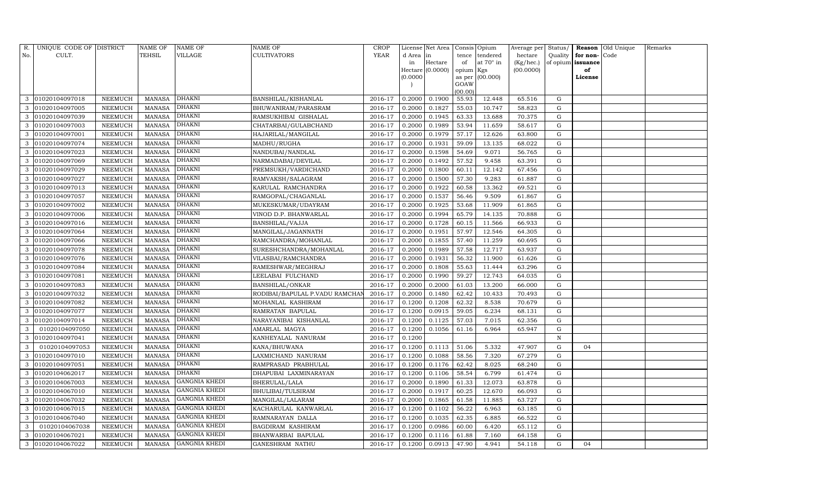| R.  | UNIQUE CODE OF DISTRICT |                 | <b>NAME OF</b> | NAME OF              | NAME OF                        | <b>CROP</b> |           | License Net Area |                | Consis Opium | Average per | Status/     |          | Reason Old Unique | Remarks |
|-----|-------------------------|-----------------|----------------|----------------------|--------------------------------|-------------|-----------|------------------|----------------|--------------|-------------|-------------|----------|-------------------|---------|
| No. | CULT.                   |                 | TEHSIL         | VILLAGE              | CULTIVATORS                    | <b>YEAR</b> | d Area in |                  | tence          | tendered     | hectare     | Quality     | for non- | Code              |         |
|     |                         |                 |                |                      |                                |             | in        | Hectare          | of             | at 70° in    | (Kg/hec.)   | of opium    | issuance |                   |         |
|     |                         |                 |                |                      |                                |             |           | Hectare (0.0000) | opium Kgs      |              | (00.0000)   |             | of       |                   |         |
|     |                         |                 |                |                      |                                |             | (0.0000)  |                  | as per<br>GOAW | (00.000)     |             |             | License  |                   |         |
|     |                         |                 |                |                      |                                |             |           |                  | (00.00)        |              |             |             |          |                   |         |
| 3   | 01020104097018          | NEEMUCH         | <b>MANASA</b>  | DHAKNI               | BANSHILAL/KISHANLAL            | 2016-17     | 0.2000    | 0.1900           | 55.93          | 12.448       | 65.516      | G           |          |                   |         |
| 3   | 01020104097005          | NEEMUCH         | <b>MANASA</b>  | DHAKNI               | BHUWANIRAM/PARASRAM            | 2016-17     | 0.2000    | 0.1827           | 55.03          | 10.747       | 58.823      | G           |          |                   |         |
| 3   | 01020104097039          | NEEMUCH         | <b>MANASA</b>  | DHAKNI               | RAMSUKHIBAI GISHALAL           | 2016-17     | 0.2000    | 0.1945           | 63.33          | 13.688       | 70.375      | G           |          |                   |         |
| 3   | 01020104097003          | NEEMUCH         | <b>MANASA</b>  | DHAKNI               | CHATARBAI/GULABCHAND           | 2016-17     | 0.2000    | 0.1989           | 53.94          | 11.659       | 58.617      | ${\rm G}$   |          |                   |         |
| 3   | 01020104097001          | NEEMUCH         | <b>MANASA</b>  | DHAKNI               | HAJARILAL/MANGILAL             | 2016-17     | 0.2000    | 0.1979           | 57.17          | 12.626       | 63.800      | G           |          |                   |         |
| 3   | 01020104097074          | NEEMUCH         | <b>MANASA</b>  | DHAKNI               | MADHU/RUGHA                    | 2016-17     | 0.2000    | 0.1931           | 59.09          | 13.135       | 68.022      | ${\rm G}$   |          |                   |         |
| 3   | 01020104097023          | NEEMUCH         | <b>MANASA</b>  | <b>DHAKNI</b>        | NANDUBAI/NANDLAL               | 2016-17     | 0.2000    | 0.1598           | 54.69          | 9.071        | 56.765      | G           |          |                   |         |
| 3   | 01020104097069          | NEEMUCH         | <b>MANASA</b>  | DHAKNI               | NARMADABAI/DEVILAL             | 2016-17     | 0.2000    | 0.1492           | 57.52          | 9.458        | 63.391      | G           |          |                   |         |
| 3   | 01020104097029          | NEEMUCH         | <b>MANASA</b>  | DHAKNI               | PREMSUKH/VARDICHAND            | 2016-17     | 0.2000    | 0.1800           | 60.11          | 12.142       | 67.456      | G           |          |                   |         |
| 3   | 01020104097027          | NEEMUCH         | <b>MANASA</b>  | DHAKNI               | RAMVAKSH/SALAGRAM              | 2016-17     | 0.2000    | 0.1500           | 57.30          | 9.283        | 61.887      | G           |          |                   |         |
| 3   | 01020104097013          | ${\tt NEEMUCH}$ | <b>MANASA</b>  | DHAKNI               | KARULAL RAMCHANDRA             | 2016-17     | 0.2000    | 0.1922           | 60.58          | 13.362       | 69.521      | G           |          |                   |         |
| 3   | 01020104097057          | NEEMUCH         | <b>MANASA</b>  | DHAKNI               | RAMGOPAL/CHAGANLAL             | 2016-17     | 0.2000    | 0.1537           | 56.46          | 9.509        | 61.867      | G           |          |                   |         |
|     | 01020104097002          | <b>NEEMUCH</b>  | <b>MANASA</b>  | DHAKNI               | MUKESKUMAR/UDAYRAM             | 2016-17     | 0.2000    | 0.1925           | 53.68          | 11.909       | 61.865      | ${\rm G}$   |          |                   |         |
| 3   | 01020104097006          | NEEMUCH         | <b>MANASA</b>  | DHAKNI               | VINOD D.P. BHANWARLAL          | 2016-17     | 0.2000    | 0.1994           | 65.79          | 14.135       | 70.888      | ${\rm G}$   |          |                   |         |
| 3   | 01020104097016          | NEEMUCH         | <b>MANASA</b>  | DHAKNI               | BANSHILAL/VAJJA                | 2016-17     | 0.2000    | 0.1728           | 60.15          | 11.566       | 66.933      | G           |          |                   |         |
| 3   | 01020104097064          | NEEMUCH         | <b>MANASA</b>  | DHAKNI               | MANGILAL/JAGANNATH             | 2016-17     | 0.2000    | 0.1951           | 57.97          | 12.546       | 64.305      | G           |          |                   |         |
|     | 01020104097066          | NEEMUCH         | <b>MANASA</b>  | DHAKNI               | RAMCHANDRA/MOHANLAL            | 2016-17     | 0.2000    | 0.1855           | 57.40          | 11.259       | 60.695      | ${\rm G}$   |          |                   |         |
|     | 01020104097078          | NEEMUCH         | <b>MANASA</b>  | DHAKNI               | SURESHCHANDRA/MOHANLAL         | 2016-17     | 0.2000    | 0.1989           | 57.58          | 12.717       | 63.937      | G           |          |                   |         |
| 3   | 01020104097076          | NEEMUCH         | <b>MANASA</b>  | <b>DHAKNI</b>        | VILASBAI/RAMCHANDRA            | 2016-17     | 0.2000    | 0.1931           | 56.32          | 11.900       | 61.626      | G           |          |                   |         |
| 3   | 01020104097084          | <b>NEEMUCH</b>  | <b>MANASA</b>  | DHAKNI               | RAMESHWAR/MEGHRAJ              | 2016-17     | 0.2000    | 0.1808           | 55.63          | 11.444       | 63.296      | ${\rm G}$   |          |                   |         |
| 3   | 01020104097081          | NEEMUCH         | <b>MANASA</b>  | <b>DHAKNI</b>        | LEELABAI FULCHAND              | 2016-17     | 0.2000    | 0.1990           | 59.27          | 12.743       | 64.035      | ${\rm G}$   |          |                   |         |
| 3   | 01020104097083          | NEEMUCH         | <b>MANASA</b>  | DHAKNI               | BANSHILAL/ONKAR                | 2016-17     | 0.2000    | 0.2000           | 61.03          | 13.200       | 66.000      | G           |          |                   |         |
| 3   | 01020104097032          | NEEMUCH         | <b>MANASA</b>  | DHAKNI               | RODIBAI/BAPULAL P.VADU RAMCHAI | 2016-17     | 0.2000    | 0.1480           | 62.42          | 10.433       | 70.493      | G           |          |                   |         |
|     | 01020104097082          | NEEMUCH         | <b>MANASA</b>  | DHAKNI               | MOHANLAL KASHIRAM              | 2016-17     | 0.1200    | 0.1208           | 62.32          | 8.538        | 70.679      | ${\rm G}$   |          |                   |         |
| 3   | 01020104097077          | NEEMUCH         | <b>MANASA</b>  | DHAKNI               | RAMRATAN BAPULAL               | 2016-17     | 0.1200    | 0.0915           | 59.05          | 6.234        | 68.131      | ${\rm G}$   |          |                   |         |
| 3   | 01020104097014          | NEEMUCH         | <b>MANASA</b>  | <b>DHAKNI</b>        | NARAYANIBAI KISHANLAL          | 2016-17     | 0.1200    | 0.1125           | 57.03          | 7.015        | 62.356      | G           |          |                   |         |
| 3   | 01020104097050          | NEEMUCH         | <b>MANASA</b>  | DHAKNI               | AMARLAL MAGYA                  | 2016-17     | 0.1200    | 0.1056           | 61.16          | 6.964        | 65.947      | ${\rm G}$   |          |                   |         |
| 3   | 01020104097041          | <b>NEEMUCH</b>  | <b>MANASA</b>  | DHAKNI               | KANHEYALAL NANURAM             | 2016-17     | 0.1200    |                  |                |              |             | $\mathbf N$ |          |                   |         |
| 3   | 01020104097053          | NEEMUCH         | <b>MANASA</b>  | <b>DHAKNI</b>        | KANA/BHUWANA                   | 2016-17     | 0.1200    | 0.1113           | 51.06          | 5.332        | 47.907      | G           | 04       |                   |         |
| 3   | 01020104097010          | NEEMUCH         | <b>MANASA</b>  | <b>DHAKNI</b>        | LAXMICHAND NANURAM             | 2016-17     | 0.1200    | 0.1088           | 58.56          | 7.320        | 67.279      | G           |          |                   |         |
| 3   | 01020104097051          | NEEMUCH         | <b>MANASA</b>  | DHAKNI               | RAMPRASAD PRABHULAL            | 2016-17     | 0.1200    | 0.1176           | 62.42          | 8.025        | 68.240      | G           |          |                   |         |
|     | 01020104062017          | <b>NEEMUCH</b>  | <b>MANASA</b>  | DHAKNI               | DHAPUBAI LAXMINARAYAN          | 2016-17     | 0.1200    | 0.1106           | 58.54          | 6.799        | 61.474      | G           |          |                   |         |
| 3   | 01020104067003          | NEEMUCH         | <b>MANASA</b>  | <b>GANGNIA KHEDI</b> | BHERULAL/LALA                  | 2016-17     | 0.2000    | 0.1890           | 61.33          | 12.073       | 63.878      | G           |          |                   |         |
| 3   | 01020104067010          | NEEMUCH         | <b>MANASA</b>  | <b>GANGNIA KHEDI</b> | BHULIBAI/TULSIRAM              | 2016-17     | 0.2000    | 0.1917           | 60.25          | 12.670       | 66.093      | G           |          |                   |         |
| 3   | 01020104067032          | NEEMUCH         | <b>MANASA</b>  | <b>GANGNIA KHEDI</b> | MANGILAL/LALARAM               | 2016-17     | 0.2000    | 0.1865           | 61.58          | 11.885       | 63.727      | G           |          |                   |         |
| 3   | 01020104067015          | NEEMUCH         | <b>MANASA</b>  | GANGNIA KHEDI        | KACHARULAL KANWARLAL           | 2016-17     | 0.1200    | 0.1102           | 56.22          | 6.963        | 63.185      | ${\rm G}$   |          |                   |         |
| 3   | 01020104067040          | NEEMUCH         | <b>MANASA</b>  | <b>GANGNIA KHEDI</b> | RAMNARAYAN DALLA               | 2016-17     | 0.1200    | 0.1035           | 62.35          | 6.885        | 66.522      | G           |          |                   |         |
| 3   | 01020104067038          | NEEMUCH         | <b>MANASA</b>  | <b>GANGNIA KHEDI</b> | BAGDIRAM KASHIRAM              | 2016-17     | 0.1200    | 0.0986           | 60.00          | 6.420        | 65.112      | ${\rm G}$   |          |                   |         |
| 3   | 01020104067021          | <b>NEEMUCH</b>  | <b>MANASA</b>  | GANGNIA KHEDI        | BHANWARBAI BAPULAL             | 2016-17     | 0.1200    | 0.1116           | 61.88          | 7.160        | 64.158      | G           |          |                   |         |
| 3   | 01020104067022          | NEEMUCH         | MANASA         | <b>GANGNIA KHEDI</b> | GANESHRAM NATHU                | 2016-17     | 0.1200    | 0.0913           | 47.90          | 4.941        | 54.118      | G           | 04       |                   |         |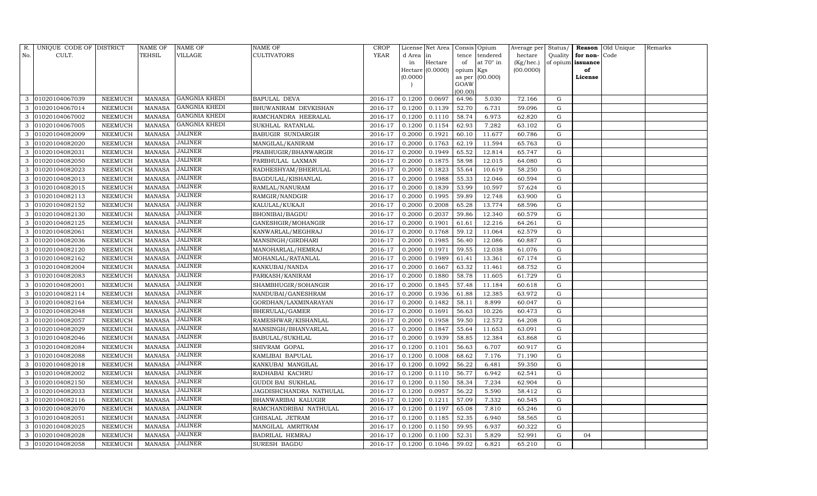| R.  | UNIQUE CODE OF DISTRICT |                 | <b>NAME OF</b> | NAME OF              | <b>NAME OF</b>           | <b>CROP</b> |           | License Net Area |                 | Consis Opium     | Average per | Status/     |                   | Reason Old Unique | Remarks |
|-----|-------------------------|-----------------|----------------|----------------------|--------------------------|-------------|-----------|------------------|-----------------|------------------|-------------|-------------|-------------------|-------------------|---------|
| No. | CULT.                   |                 | TEHSIL         | VILLAGE              | <b>CULTIVATORS</b>       | YEAR        | d Area in |                  | tence           | tendered         | hectare     | Quality     | for non-          | Code              |         |
|     |                         |                 |                |                      |                          |             | in        | Hectare          | of              | at $70^\circ$ in | (Kg/hec.)   |             | of opium issuance |                   |         |
|     |                         |                 |                |                      |                          |             |           | Hectare (0.0000) | opium Kgs       |                  | (00.0000)   |             | of                |                   |         |
|     |                         |                 |                |                      |                          |             | (0.0000)  |                  | as per          | (00.000)         |             |             | License           |                   |         |
|     |                         |                 |                |                      |                          |             |           |                  | GOAW<br>(00.00) |                  |             |             |                   |                   |         |
| 3   | 01020104067039          | ${\tt NEEMUCH}$ | <b>MANASA</b>  | <b>GANGNIA KHEDI</b> | <b>BAPULAL DEVA</b>      | 2016-17     | 0.1200    | 0.0697           | 64.96           | 5.030            | 72.166      | G           |                   |                   |         |
| 3   | 01020104067014          | NEEMUCH         | <b>MANASA</b>  | <b>GANGNIA KHEDI</b> | BHUWANIRAM DEVKISHAN     | 2016-17     | 0.1200    | 0.1139           | 52.70           | 6.731            | 59.096      | G           |                   |                   |         |
| 3   | 01020104067002          | ${\tt NEEMUCH}$ | <b>MANASA</b>  | <b>GANGNIA KHEDI</b> | RAMCHANDRA HEERALAL      | 2016-17     | 0.1200    | 0.1110           | 58.74           | 6.973            | 62.820      | G           |                   |                   |         |
| 3   | 01020104067005          | NEEMUCH         | <b>MANASA</b>  | <b>GANGNIA KHEDI</b> | SUKHLAL RATANLAL         | 2016-17     | 0.1200    | 0.1154           | 62.93           | 7.282            | 63.102      | G           |                   |                   |         |
| 3   | 01020104082009          | NEEMUCH         | <b>MANASA</b>  | <b>JALINER</b>       | <b>BABUGIR SUNDARGIR</b> | 2016-17     | 0.2000    | 0.1921           | 60.10           | 11.677           | 60.786      | G           |                   |                   |         |
| 3   | 01020104082020          | NEEMUCH         | <b>MANASA</b>  | JALINER              | MANGILAL/KANIRAM         | 2016-17     | 0.2000    | 0.1763           | 62.19           | 11.594           | 65.763      | G           |                   |                   |         |
| 3   | 01020104082031          | NEEMUCH         | <b>MANASA</b>  | <b>JALINER</b>       | PRABHUGIR/BHANWARGIR     | 2016-17     | 0.2000    | 0.1949           | 65.52           | 12.814           | 65.747      | G           |                   |                   |         |
| 3   | 01020104082050          | NEEMUCH         | <b>MANASA</b>  | <b>JALINER</b>       | PARBHULAL LAXMAN         | 2016-17     | 0.2000    | 0.1875           | 58.98           | 12.015           | 64.080      | G           |                   |                   |         |
| 3   | 01020104082023          | NEEMUCH         | <b>MANASA</b>  | <b>JALINER</b>       | RADHESHYAM/BHERULAL      | 2016-17     | 0.2000    | 0.1823           | 55.64           | 10.619           | 58.250      | G           |                   |                   |         |
| 3   | 01020104082013          | NEEMUCH         | <b>MANASA</b>  | <b>JALINER</b>       | BAGDULAL/KISHANLAL       | 2016-17     | 0.2000    | 0.1988           | 55.33           | 12.046           | 60.594      | G           |                   |                   |         |
| 3   | 01020104082015          | NEEMUCH         | <b>MANASA</b>  | <b>JALINER</b>       | RAMLAL/NANURAM           | 2016-17     | 0.2000    | 0.1839           | 53.99           | 10.597           | 57.624      | G           |                   |                   |         |
| 3   | 01020104082113          | NEEMUCH         | MANASA         | <b>JALINER</b>       | RAMGIR/NANDGIR           | 2016-17     | 0.2000    | 0.1995           | 59.89           | 12.748           | 63.900      | G           |                   |                   |         |
|     | 01020104082152          | NEEMUCH         | <b>MANASA</b>  | <b>JALINER</b>       | KALULAL/KUKAJI           | 2016-17     | 0.2000    | 0.2008           | 65.28           | 13.774           | 68.596      | G           |                   |                   |         |
| 3   | 01020104082130          | NEEMUCH         | <b>MANASA</b>  | <b>JALINER</b>       | BHONIBAI/BAGDU           | 2016-17     | 0.2000    | 0.2037           | 59.86           | 12.340           | 60.579      | G           |                   |                   |         |
| 3   | 01020104082125          | NEEMUCH         | <b>MANASA</b>  | <b>JALINER</b>       | GANESHGIR/MOHANGIR       | 2016-17     | 0.2000    | 0.1901           | 61.61           | 12.216           | 64.261      | G           |                   |                   |         |
| 3   | 01020104082061          | NEEMUCH         | <b>MANASA</b>  | <b>JALINER</b>       | KANWARLAL/MEGHRAJ        | 2016-17     | 0.2000    | 0.1768           | 59.12           | 11.064           | 62.579      | ${\rm G}$   |                   |                   |         |
|     | 01020104082036          | NEEMUCH         | <b>MANASA</b>  | JALINER              | MANSINGH/GIRDHARI        | 2016-17     | 0.2000    | 0.1985           | 56.40           | 12.086           | 60.887      | G           |                   |                   |         |
| 3   | 01020104082120          | NEEMUCH         | MANASA         | <b>JALINER</b>       | MANOHARLAL/HEMRAJ        | 2016-17     | 0.2000    | 0.1971           | 59.55           | 12.038           | 61.076      | G           |                   |                   |         |
| 3   | 01020104082162          | NEEMUCH         | <b>MANASA</b>  | <b>JALINER</b>       | MOHANLAL/RATANLAL        | 2016-17     | 0.2000    | 0.1989           | 61.41           | 13.361           | 67.174      | G           |                   |                   |         |
| 3   | 01020104082004          | NEEMUCH         | <b>MANASA</b>  | <b>JALINER</b>       | KANKUBAI/NANDA           | 2016-17     | 0.2000    | 0.1667           | 63.32           | 11.461           | 68.752      | $\mathbf G$ |                   |                   |         |
| 3   | 01020104082083          | NEEMUCH         | <b>MANASA</b>  | <b>JALINER</b>       | PARKASH/KANIRAM          | 2016-17     | 0.2000    | 0.1880           | 58.78           | 11.605           | 61.729      | G           |                   |                   |         |
| 3   | 01020104082001          | NEEMUCH         | <b>MANASA</b>  | <b>JALINER</b>       | SHAMBHUGIR/SOHANGIR      | 2016-17     | 0.2000    | 0.1845           | 57.48           | 11.184           | 60.618      | G           |                   |                   |         |
| 3   | 01020104082114          | NEEMUCH         | <b>MANASA</b>  | JALINER              | NANDUBAI/GANESHRAM       | 2016-17     | 0.2000    | 0.1936           | 61.88           | 12.385           | 63.972      | G           |                   |                   |         |
|     | 01020104082164          | NEEMUCH         | <b>MANASA</b>  | JALINER              | GORDHAN/LAXMINARAYAN     | 2016-17     | 0.2000    | 0.1482           | 58.11           | 8.899            | 60.047      | G           |                   |                   |         |
| 3   | 01020104082048          | NEEMUCH         | <b>MANASA</b>  | JALINER              | BHERULAL/GAMER           | 2016-17     | 0.2000    | 0.1691           | 56.63           | 10.226           | 60.473      | G           |                   |                   |         |
| 3   | 01020104082057          | NEEMUCH         | MANASA         | <b>JALINER</b>       | RAMESHWAR/KISHANLAL      | 2016-17     | 0.2000    | 0.1958           | 59.50           | 12.572           | 64.208      | G           |                   |                   |         |
| 3   | 01020104082029          | NEEMUCH         | <b>MANASA</b>  | <b>JALINER</b>       | MANSINGH/BHANVARLAL      | 2016-17     | 0.2000    | 0.1847           | 55.64           | 11.653           | 63.091      | G           |                   |                   |         |
|     | 01020104082046          | NEEMUCH         | <b>MANASA</b>  | JALINER              | BABULAL/SUKHLAL          | 2016-17     | 0.2000    | 0.1939           | 58.85           | 12.384           | 63.868      | G           |                   |                   |         |
|     | 01020104082084          | NEEMUCH         | <b>MANASA</b>  | <b>JALINER</b>       | SHIVRAM GOPAL            | 2016-17     | 0.1200    | 0.1101           | 56.63           | 6.707            | 60.917      | G           |                   |                   |         |
| 3   | 01020104082088          | NEEMUCH         | <b>MANASA</b>  | <b>JALINER</b>       | KAMLIBAI BAPULAL         | 2016-17     | 0.1200    | 0.1008           | 68.62           | 7.176            | 71.190      | G           |                   |                   |         |
| 3   | 01020104082018          | NEEMUCH         | <b>MANASA</b>  | JALINER              | KANKUBAI MANGILAL        | 2016-17     | 0.1200    | 0.1092           | 56.22           | 6.481            | 59.350      | $\mathbf G$ |                   |                   |         |
|     | 01020104082002          | NEEMUCH         | <b>MANASA</b>  | <b>JALINER</b>       | RADHABAI KACHRU          | 2016-17     | 0.1200    | 0.1110           | 56.77           | 6.942            | 62.541      | G           |                   |                   |         |
| 3   | 01020104082150          | NEEMUCH         | <b>MANASA</b>  | <b>JALINER</b>       | <b>GUDDI BAI SUKHLAL</b> | 2016-17     | 0.1200    | 0.1150           | 58.34           | 7.234            | 62.904      | G           |                   |                   |         |
| 3   | 01020104082033          | NEEMUCH         | <b>MANASA</b>  | <b>JALINER</b>       | JAGDISHCHANDRA NATHULAL  | 2016-17     | 0.1200    | 0.0957           | 56.22           | 5.590            | 58.412      | G           |                   |                   |         |
| 3   | 01020104082116          | NEEMUCH         | <b>MANASA</b>  | <b>JALINER</b>       | BHANWARIBAI KALUGIR      | 2016-17     | 0.1200    | 0.1211           | 57.09           | 7.332            | 60.545      | G           |                   |                   |         |
| 3   | 01020104082070          | NEEMUCH         | <b>MANASA</b>  | JALINER              | RAMCHANDRIBAI NATHULAL   | 2016-17     | 0.1200    | 0.1197           | 65.08           | 7.810            | 65.246      | G           |                   |                   |         |
| 3   | 01020104082051          | NEEMUCH         | MANASA         | <b>JALINER</b>       | GHISALAL JETRAM          | 2016-17     | 0.1200    | 0.1185           | 52.35           | 6.940            | 58.565      | G           |                   |                   |         |
| 3   | 01020104082025          | NEEMUCH         | <b>MANASA</b>  | <b>JALINER</b>       | MANGILAL AMRITRAM        | 2016-17     | 0.1200    | 0.1150           | 59.95           | 6.937            | 60.322      | G           |                   |                   |         |
| 3   | 01020104082028          | NEEMUCH         | <b>MANASA</b>  | JALINER              | BADRILAL HEMRAJ          | 2016-17     | 0.1200    | 0.1100           | 52.31           | 5.829            | 52.991      | $\mathbf G$ | 04                |                   |         |
|     | 3 01020104082058        | NEEMUCH         | MANASA         | <b>JALINER</b>       | SURESH BAGDU             | 2016-17     | 0.1200    | 0.1046           | 59.02           | 6.821            | 65.210      | G           |                   |                   |         |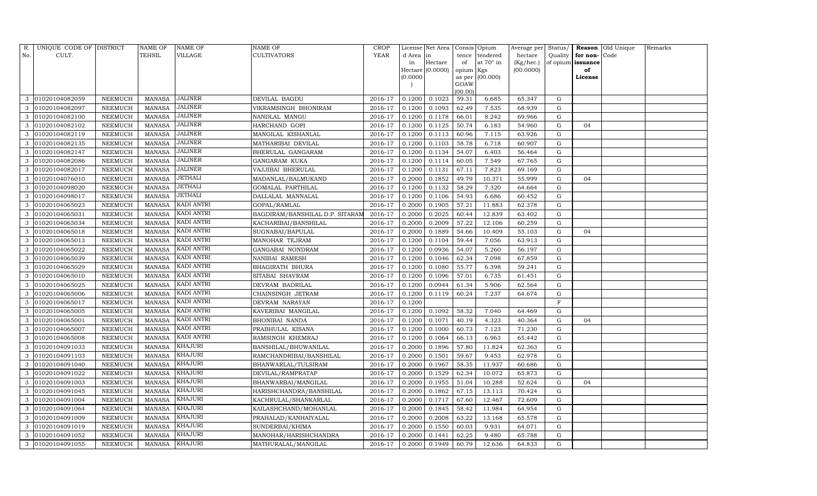| R.  | UNIQUE CODE OF DISTRICT |                | <b>NAME OF</b>          | NAME OF           | <b>NAME OF</b>                  | <b>CROP</b> |                  | License Net Area |                  | Consis Opium    | Average per      | Status/     |                   | Reason Old Unique | Remarks |
|-----|-------------------------|----------------|-------------------------|-------------------|---------------------------------|-------------|------------------|------------------|------------------|-----------------|------------------|-------------|-------------------|-------------------|---------|
| No. | CULT.                   |                | TEHSIL                  | VILLAGE           | <b>CULTIVATORS</b>              | YEAR        | d Area in        |                  | tence            | tendered        | hectare          | Quality     | for non-          | Code              |         |
|     |                         |                |                         |                   |                                 |             | in               | Hectare          | of               | at 70° in       | (Kg/hec.)        |             | of opium issuance |                   |         |
|     |                         |                |                         |                   |                                 |             |                  | Hectare (0.0000) | opium Kgs        |                 | (00.0000)        |             | of                |                   |         |
|     |                         |                |                         |                   |                                 |             | (0.0000)         |                  | as per           | (00.000)        |                  |             | License           |                   |         |
|     |                         |                |                         |                   |                                 |             |                  |                  | GOAW             |                 |                  |             |                   |                   |         |
| 3   | 01020104082059          | NEEMUCH        | <b>MANASA</b>           | JALINER           | DEVILAL BAGDU                   | 2016-17     | 0.1200           | 0.1023           | (00.00)<br>59.31 | 6.685           | 65.347           | G           |                   |                   |         |
|     | 01020104082097          | NEEMUCH        | <b>MANASA</b>           | <b>JALINER</b>    | VIKRAMSINGH BHONIRAM            | 2016-17     | 0.1200           | 0.1093           | 62.49            | 7.535           | 68.939           | G           |                   |                   |         |
| 3   | 01020104082100          | NEEMUCH        | <b>MANASA</b>           | <b>JALINER</b>    | NANDLAL MANGU                   | 2016-17     | 0.1200           | 0.1178           | 66.01            | 8.242           | 69.966           | G           |                   |                   |         |
| 3   | 01020104082102          | NEEMUCH        | MANASA                  | JALINER           | HARCHAND GOPI                   | 2016-17     | 0.1200           | 0.1125           | 50.74            | 6.183           | 54.960           | G           | 04                |                   |         |
| 3   | 01020104082119          | <b>NEEMUCH</b> | <b>MANASA</b>           | <b>JALINER</b>    | MANGILAL KISHANLAL              | 2016-17     | 0.1200           | 0.1113           | 60.96            | 7.115           | 63.926           | G           |                   |                   |         |
| 3   | 01020104082135          | NEEMUCH        | <b>MANASA</b>           | <b>JALINER</b>    | MATHARIBAI DEVILAL              | 2016-17     | 0.1200           | 0.1103           | 58.78            | 6.718           | 60.907           | G           |                   |                   |         |
| 3   | 01020104082147          | NEEMUCH        | <b>MANASA</b>           | JALINER           | BHERULAL GANGARAM               | 2016-17     | 0.1200           | 0.1134           | 54.07            | 6.403           | 56.464           | G           |                   |                   |         |
| 3   | 01020104082086          | NEEMUCH        | <b>MANASA</b>           | <b>JALINER</b>    | GANGARAM KUKA                   | 2016-17     | 0.1200           | 0.1114           | 60.05            | 7.549           | 67.765           | G           |                   |                   |         |
| 3   | 01020104082017          | NEEMUCH        | <b>MANASA</b>           | <b>JALINER</b>    | VAJJIBAI BHERULAL               | 2016-17     | 0.1200           | 0.1131           | 67.11            | 7.823           | 69.169           | $\mathbf G$ |                   |                   |         |
| 3   | 01020104076010          | NEEMUCH        | <b>MANASA</b>           | <b>JETHALI</b>    | MADANLAL/BALMUKAND              | 2016-17     | 0.2000           | 0.1852           | 49.79            | 10.371          | 55.999           | G           | 04                |                   |         |
| 3   | 01020104098020          | NEEMUCH        | <b>MANASA</b>           | <b>JETHALI</b>    | GOMALAL PARTHILAL               | 2016-17     | 0.1200           | 0.1132           | 58.29            | 7.320           | 64.664           | ${\rm G}$   |                   |                   |         |
| 3   | 01020104098017          | NEEMUCH        |                         | JETHALI           |                                 | 2016-17     |                  | 0.1106           |                  |                 |                  | G           |                   |                   |         |
|     | 01020104065023          | <b>NEEMUCH</b> | MANASA<br><b>MANASA</b> | <b>KADI ANTRI</b> | DALLALAL MANNALAL               | 2016-17     | 0.1200<br>0.2000 | 0.1905           | 54.93<br>57.21   | 6.686<br>11.883 | 60.452<br>62.378 | ${\rm G}$   |                   |                   |         |
|     |                         |                |                         | KADI ANTRI        | GOPAL/RAMLAL                    |             |                  | 0.2025           |                  |                 |                  |             |                   |                   |         |
| 3   | 01020104065031          | NEEMUCH        | <b>MANASA</b>           | KADI ANTRI        | BAGDIRAM/BANSHILAL D.P. SITARAM | 2016-17     | 0.2000           |                  | 60.44            | 12.839          | 63.402           | G           |                   |                   |         |
| 3   | 01020104065034          | NEEMUCH        | MANASA                  | KADI ANTRI        | KACHARIBAI/BANSHILAL            | 2016-17     | 0.2000           | 0.2009           | 57.22            | 12.106          | 60.259           | G           |                   |                   |         |
| 3   | 01020104065018          | NEEMUCH        | <b>MANASA</b>           | KADI ANTRI        | SUGNABAI/BAPULAL                | 2016-17     | 0.2000           | 0.1889           | 54.66            | 10.409          | 55.103           | $\mathbf G$ | 04                |                   |         |
|     | 01020104065013          | <b>NEEMUCH</b> | <b>MANASA</b>           |                   | MANOHAR TEJRAM                  | 2016-17     | 0.1200           | 0.1104           | 59.44            | 7.056           | 63.913           | G           |                   |                   |         |
| 3   | 01020104065022          | NEEMUCH        | MANASA                  | KADI ANTRI        | GANGABAI NONDRAM                | 2016-17     | 0.1200           | 0.0936           | 54.07            | 5.260           | 56.197           | G           |                   |                   |         |
| 3   | 01020104065039          | NEEMUCH        | <b>MANASA</b>           | KADI ANTRI        | NANIBAI RAMESH                  | 2016-17     | 0.1200           | 0.1046           | 62.34            | 7.098           | 67.859           | G           |                   |                   |         |
| 3   | 01020104065029          | NEEMUCH        | <b>MANASA</b>           | KADI ANTRI        | <b>BHAGIRATH BHURA</b>          | 2016-17     | 0.1200           | 0.1080           | 55.77            | 6.398           | 59.241           | G           |                   |                   |         |
| 3   | 01020104065010          | NEEMUCH        | <b>MANASA</b>           | <b>KADI ANTRI</b> | SITABAI SHAVRAM                 | 2016-17     | 0.1200           | 0.1096           | 57.01            | 6.735           | 61.451           | G           |                   |                   |         |
| 3   | 01020104065025          | NEEMUCH        | <b>MANASA</b>           | KADI ANTRI        | DEVRAM BADRILAL                 | 2016-17     | 0.1200           | 0.0944           | 61.34            | 5.906           | 62.564           | G           |                   |                   |         |
| 3   | 01020104065006          | NEEMUCH        | <b>MANASA</b>           | KADI ANTRI        | CHAINSINGH JETRAM               | 2016-17     | 0.1200           | 0.1119           | 60.24            | 7.237           | 64.674           | G           |                   |                   |         |
| 3   | 01020104065017          | NEEMUCH        | <b>MANASA</b>           | KADI ANTRI        | DEVRAM NARAYAN                  | 2016-17     | 0.1200           |                  |                  |                 |                  | $\mathbf F$ |                   |                   |         |
|     | 01020104065005          | NEEMUCH        | <b>MANASA</b>           | KADI ANTRI        | KAVERIBAI MANGILAL              | 2016-17     | 0.1200           | 0.1092           | 58.32            | 7.040           | 64.469           | ${\rm G}$   |                   |                   |         |
| 3   | 01020104065001          | NEEMUCH        | <b>MANASA</b>           | KADI ANTRI        | BHONIBAI NANDA                  | 2016-17     | 0.1200           | 0.1071           | 40.19            | 4.323           | 40.364           | G           | 04                |                   |         |
| 3   | 01020104065007          | NEEMUCH        | <b>MANASA</b>           | KADI ANTRI        | PRABHULAL KISANA                | 2016-17     | 0.1200           | 0.1000           | 60.73            | 7.123           | 71.230           | G           |                   |                   |         |
| 3   | 01020104065008          | <b>NEEMUCH</b> | <b>MANASA</b>           | KADI ANTRI        | RAMSINGH KHEMRAJ                | 2016-17     | 0.1200           | 0.1064           | 66.13            | 6.963           | 65.442           | $\mathbf G$ |                   |                   |         |
| 3   | 01020104091033          | NEEMUCH        | <b>MANASA</b>           | KHAJURI           | BANSHILAL/BHUWANILAL            | 2016-17     | 0.2000           | 0.1896           | 57.80            | 11.824          | 62.363           | G           |                   |                   |         |
| 3   | 01020104091103          | NEEMUCH        | <b>MANASA</b>           | KHAJURI           | RAMCHANDRIBAI/BANSHILAL         | 2016-17     | 0.2000           | 0.1501           | 59.67            | 9.453           | 62.978           | G           |                   |                   |         |
| 3   | 01020104091040          | NEEMUCH        | <b>MANASA</b>           | KHAJURI           | BHANWARLAL/TULSIRAM             | 2016-17     | 0.2000           | 0.1967           | 58.35            | 11.937          | 60.686           | $\mathbf G$ |                   |                   |         |
| 3   | 01020104091022          | <b>NEEMUCH</b> | <b>MANASA</b>           | KHAJURI           | DEVILAL/RAMPRATAP               | 2016-17     | 0.2000           | 0.1529           | 62.34            | 10.072          | 65.873           | $\mathbf G$ |                   |                   |         |
| 3   | 01020104091003          | NEEMUCH        | <b>MANASA</b>           | KHAJURI           | BHANWARBAI/MANGILAL             | 2016-17     | 0.2000           | 0.1955           | 51.04            | 10.288          | 52.624           | ${\rm G}$   | 04                |                   |         |
| 3   | 01020104091045          | NEEMUCH        | <b>MANASA</b>           | KHAJURI           | HARISHCHANDRA/BANSHILAL         | 2016-17     | 0.2000           | 0.1862           | 67.15            | 13.113          | 70.424           | ${\rm G}$   |                   |                   |         |
| 3   | 01020104091004          | NEEMUCH        | <b>MANASA</b>           | KHAJURI           | KACHRULAL/SHANKARLAL            | 2016-17     | 0.2000           | 0.1717           | 67.60            | 12.467          | 72.609           | ${\rm G}$   |                   |                   |         |
| 3   | 01020104091064          | <b>NEEMUCH</b> | <b>MANASA</b>           | KHAJURI           | KAILASHCHAND/MOHANLAL           | 2016-17     | 0.2000           | 0.1845           | 58.42            | 11.984          | 64.954           | ${\rm G}$   |                   |                   |         |
| 3   | 01020104091009          | NEEMUCH        | <b>MANASA</b>           | <b>KHAJURI</b>    | PRAHALAD/KANHAIYALAL            | 2016-17     | 0.2000           | 0.2008           | 63.22            | 13.168          | 65.578           | G           |                   |                   |         |
| 3   | 01020104091019          | NEEMUCH        | <b>MANASA</b>           | <b>KHAJURI</b>    | SUNDERBAI/KHIMA                 | 2016-17     | 0.2000           | 0.1550           | 60.03            | 9.931           | 64.071           | G           |                   |                   |         |
| 3   | 01020104091052          | NEEMUCH        | <b>MANASA</b>           | KHAJURI           | MANOHAR/HARISHCHANDRA           | 2016-17     | 0.2000           | 0.1441           | 62.25            | 9.480           | 65.788           | G           |                   |                   |         |
| 3   | 01020104091055          | <b>NEEMUCH</b> | MANASA                  | <b>KHAJURI</b>    | MATHURALAL/MANGILAL             | 2016-17     | 0.2000           | 0.1949           | 60.79            | 12.636          | 64.833           | G           |                   |                   |         |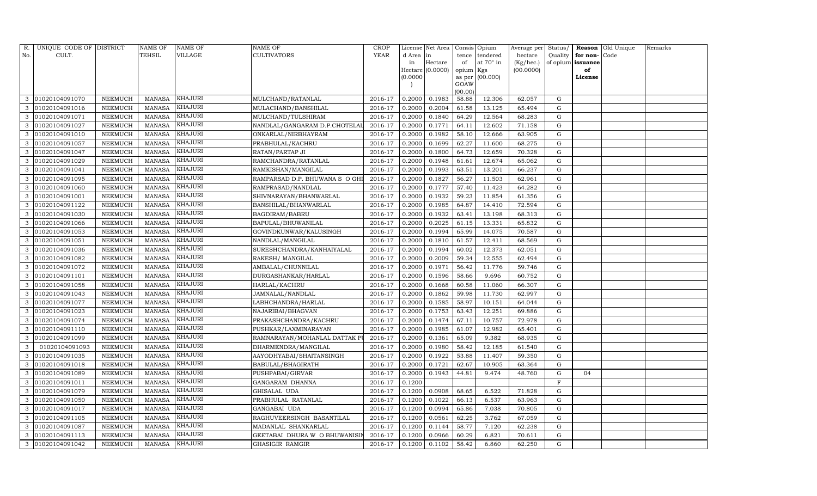| R.  | UNIQUE CODE OF DISTRICT |                | NAME OF       | NAME OF        | NAME OF                       | <b>CROP</b> |          | License Net Area |                 | Consis Opium    | Average per | Status/     |                   | Reason Old Unique | Remarks |
|-----|-------------------------|----------------|---------------|----------------|-------------------------------|-------------|----------|------------------|-----------------|-----------------|-------------|-------------|-------------------|-------------------|---------|
| No. | CULT.                   |                | TEHSIL        | VILLAGE        | <b>CULTIVATORS</b>            | <b>YEAR</b> | d Area   | in               | tence           | tendered        | hectare     | Quality     | for non-Code      |                   |         |
|     |                         |                |               |                |                               |             | in       | Hectare          | of              | at 70° in       | (Kg/hec.)   |             | of opium issuance |                   |         |
|     |                         |                |               |                |                               |             |          | Hectare (0.0000) | opium Kgs       |                 | (00.0000)   |             | of                |                   |         |
|     |                         |                |               |                |                               |             | (0.0000) |                  |                 | as per (00.000) |             |             | License           |                   |         |
|     |                         |                |               |                |                               |             |          |                  | GOAW<br>(00.00) |                 |             |             |                   |                   |         |
| 3   | 01020104091070          | NEEMUCH        | <b>MANASA</b> | KHAJURI        | MULCHAND/RATANLAL             | 2016-17     | 0.2000   | 0.1983           | 58.88           | 12.306          | 62.057      | G           |                   |                   |         |
|     | 01020104091016          | NEEMUCH        | <b>MANASA</b> | KHAJURI        | MULACHAND/BANSHILAL           | 2016-17     | 0.2000   | 0.2004           | 61.58           | 13.125          | 65.494      | G           |                   |                   |         |
| 3   | 01020104091071          | NEEMUCH        | <b>MANASA</b> | KHAJURI        | MULCHAND/TULSHIRAM            | 2016-17     | 0.2000   | 0.1840           | 64.29           | 12.564          | 68.283      | G           |                   |                   |         |
| 3   | 01020104091027          | NEEMUCH        | <b>MANASA</b> | KHAJURI        | NANDLAL/GANGARAM D.P.CHOTELAI | 2016-17     | 0.2000   | 0.1771           | 64.11           | 12.602          | 71.158      | G           |                   |                   |         |
| 3   | 01020104091010          | <b>NEEMUCH</b> | <b>MANASA</b> | KHAJURI        | ONKARLAL/NIRBHAYRAM           | 2016-17     | 0.2000   | 0.1982           | 58.10           | 12.666          | 63.905      | G           |                   |                   |         |
| 3   | 01020104091057          | NEEMUCH        | <b>MANASA</b> | KHAJURI        | PRABHULAL/KACHRU              | 2016-17     | 0.2000   | 0.1699           | 62.27           | 11.600          | 68.275      | G           |                   |                   |         |
|     | 01020104091047          | NEEMUCH        | <b>MANASA</b> | <b>KHAJURI</b> | RATAN/PARTAP JI               | 2016-17     | 0.2000   | 0.1800           | 64.73           | 12.659          | 70.328      | G           |                   |                   |         |
| 3   | 01020104091029          | <b>NEEMUCH</b> | <b>MANASA</b> | KHAJURI        | RAMCHANDRA/RATANLAL           | 2016-17     | 0.2000   | 0.1948           | 61.61           | 12.674          | 65.062      | $\mathbf G$ |                   |                   |         |
| 3   | 01020104091041          | <b>NEEMUCH</b> | <b>MANASA</b> | KHAJURI        | RAMKISHAN/MANGILAL            | 2016-17     | 0.2000   | 0.1993           | 63.51           | 13.201          | 66.237      | G           |                   |                   |         |
| 3   | 01020104091095          | NEEMUCH        | <b>MANASA</b> | KHAJURI        | RAMPARSAD D.P. BHUWANA S O GH | 2016-17     | 0.2000   | 0.1827           | 56.27           | 11.503          | 62.961      | G           |                   |                   |         |
| 3   | 01020104091060          | NEEMUCH        | <b>MANASA</b> | <b>KHAJURI</b> | RAMPRASAD/NANDLAL             | 2016-17     | 0.2000   | 0.1777           | 57.40           | 11.423          | 64.282      | $\mathbf G$ |                   |                   |         |
| 3   | 01020104091001          | NEEMUCH        | <b>MANASA</b> | KHAJURI        | SHIVNARAYAN/BHANWARLAL        | 2016-17     | 0.2000   | 0.1932           | 59.23           | 11.854          | 61.356      | G           |                   |                   |         |
|     | 01020104091122          | NEEMUCH        | <b>MANASA</b> | KHAJURI        | BANSHILAL/BHANWARLAL          | 2016-17     | 0.2000   | 0.1985           | 64.87           | 14.410          | 72.594      | $\mathbf G$ |                   |                   |         |
| 3   | 01020104091030          | NEEMUCH        | <b>MANASA</b> | <b>KHAJURI</b> | BAGDIRAM/BABRU                | 2016-17     | 0.2000   | 0.1932           | 63.41           | 13.198          | 68.313      | G           |                   |                   |         |
| 3   | 01020104091066          | NEEMUCH        | <b>MANASA</b> | <b>KHAJURI</b> | BAPULAL/BHUWANILAL            | 2016-17     | 0.2000   | 0.2025           | 61.15           | 13.331          | 65.832      | $\mathbf G$ |                   |                   |         |
| 3   | 01020104091053          | <b>NEEMUCH</b> | <b>MANASA</b> | KHAJURI        | GOVINDKUNWAR/KALUSINGH        | 2016-17     | 0.2000   | 0.1994           | 65.99           | 14.075          | 70.587      | G           |                   |                   |         |
|     | 01020104091051          | <b>NEEMUCH</b> | <b>MANASA</b> | KHAJURI        | NANDLAL/MANGILAL              | 2016-17     | 0.2000   | 0.1810           | 61.57           | 12.411          | 68.569      | G           |                   |                   |         |
|     | 01020104091036          | NEEMUCH        | <b>MANASA</b> | KHAJURI        | SURESHCHANDRA/KANHAIYALAL     | 2016-17     | 0.2000   | 0.1994           | 60.02           | 12.373          | 62.051      | G           |                   |                   |         |
| 3   | 01020104091082          | <b>NEEMUCH</b> | <b>MANASA</b> | <b>KHAJURI</b> | RAKESH/ MANGILAL              | 2016-17     | 0.2000   | 0.2009           | 59.34           | 12.555          | 62.494      | $\mathbf G$ |                   |                   |         |
| 3   | 01020104091072          | NEEMUCH        | <b>MANASA</b> | KHAJURI        | AMBALAL/CHUNNILAL             | 2016-17     | 0.2000   | 0.1971           | 56.42           | 11.776          | 59.746      | G           |                   |                   |         |
| 3   | 01020104091101          | NEEMUCH        | <b>MANASA</b> | KHAJURI        | DURGASHANKAR/HARLAL           | 2016-17     | 0.2000   | 0.1596           | 58.66           | 9.696           | 60.752      | $\mathbf G$ |                   |                   |         |
| 3   | 01020104091058          | NEEMUCH        | <b>MANASA</b> | KHAJURI        | HARLAL/KACHRU                 | 2016-17     | 0.2000   | 0.1668           | 60.58           | 11.060          | 66.307      | $\mathbf G$ |                   |                   |         |
| 3   | 01020104091043          | NEEMUCH        | <b>MANASA</b> | KHAJURI        | JAMNALAL/NANDLAL              | 2016-17     | 0.2000   | 0.1862           | 59.98           | 11.730          | 62.997      | $\mathbf G$ |                   |                   |         |
| 3   | 01020104091077          | <b>NEEMUCH</b> | <b>MANASA</b> | KHAJURI        | LABHCHANDRA/HARLAL            | 2016-17     | 0.2000   | 0.1585           | 58.97           | 10.151          | 64.044      | $\mathbf G$ |                   |                   |         |
| 3   | 01020104091023          | <b>NEEMUCH</b> | <b>MANASA</b> | KHAJURI        | NAJARIBAI/BHAGVAN             | 2016-17     | 0.2000   | 0.1753           | 63.43           | 12.251          | 69.886      | $\mathbf G$ |                   |                   |         |
| 3   | 01020104091074          | NEEMUCH        | <b>MANASA</b> | <b>KHAJURI</b> | PRAKASHCHANDRA/KACHRU         | 2016-17     | 0.2000   | 0.1474           | 67.11           | 10.757          | 72.978      | $\mathbf G$ |                   |                   |         |
| 3   | 01020104091110          | <b>NEEMUCH</b> | <b>MANASA</b> | KHAJURI        | PUSHKAR/LAXMINARAYAN          | 2016-17     | 0.2000   | 0.1985           | 61.07           | 12.982          | 65.401      | $\mathbf G$ |                   |                   |         |
| 3   | 01020104091099          | <b>NEEMUCH</b> | <b>MANASA</b> | KHAJURI        | RAMNARAYAN/MOHANLAL DATTAK P  | 2016-17     | 0.2000   | 0.1361           | 65.09           | 9.382           | 68.935      | G           |                   |                   |         |
| 3   | 01020104091093          | NEEMUCH        | <b>MANASA</b> | KHAJURI        | DHARMENDRA/MANGILAL           | 2016-17     | 0.2000   | 0.1980           | 58.42           | 12.185          | 61.540      | $\mathbf G$ |                   |                   |         |
| 3   | 01020104091035          | NEEMUCH        | <b>MANASA</b> | <b>KHAJURI</b> | AAYODHYABAI/SHAITANSINGH      | 2016-17     | 0.2000   | 0.1922           | 53.88           | 11.407          | 59.350      | G           |                   |                   |         |
| 3   | 01020104091018          | NEEMUCH        | <b>MANASA</b> | KHAJURI        | BABULAL/BHAGIRATH             | 2016-17     | 0.2000   | 0.1721           | 62.67           | 10.905          | 63.364      | G           |                   |                   |         |
| 3   | 01020104091089          | <b>NEEMUCH</b> | <b>MANASA</b> | KHAJURI        | PUSHPABAI/GIRVAR              | 2016-17     | 0.2000   | 0.1943           | 44.81           | 9.474           | 48.760      | G           | 04                |                   |         |
| 3   | 01020104091011          | <b>NEEMUCH</b> | <b>MANASA</b> | KHAJURI        | GANGARAM DHANNA               | 2016-17     | 0.1200   |                  |                 |                 |             | $\mathbf F$ |                   |                   |         |
| 3   | 01020104091079          | NEEMUCH        | <b>MANASA</b> | <b>KHAJURI</b> | GHISALAL UDA                  | 2016-17     | 0.1200   | 0.0908           | 68.65           | 6.522           | 71.828      | G           |                   |                   |         |
| 3   | 01020104091050          | NEEMUCH        | <b>MANASA</b> | KHAJURI        | PRABHULAL RATANLAL            | 2016-17     | 0.1200   | 0.1022           | 66.13           | 6.537           | 63.963      | G           |                   |                   |         |
| 3   | 01020104091017          | NEEMUCH        | <b>MANASA</b> | KHAJURI        | GANGABAI UDA                  | 2016-17     | 0.1200   | 0.0994           | 65.86           | 7.038           | 70.805      | G           |                   |                   |         |
| 3   | 01020104091105          | NEEMUCH        | <b>MANASA</b> | KHAJURI        | RAGHUVEERSINGH BASANTILAL     | 2016-17     | 0.1200   | 0.0561           | 62.25           | 3.762           | 67.059      | G           |                   |                   |         |
| 3   | 01020104091087          | NEEMUCH        | <b>MANASA</b> | KHAJURI        | MADANLAL SHANKARLAL           | 2016-17     | 0.1200   | 0.1144           | 58.77           | 7.120           | 62.238      | G           |                   |                   |         |
| 3   | 01020104091113          | <b>NEEMUCH</b> | <b>MANASA</b> | KHAJURI        | GEETABAI DHURA W O BHUWANISI  | 2016-17     | 0.1200   | 0.0966           | 60.29           | 6.821           | 70.611      | G           |                   |                   |         |
| 3   | 01020104091042          | <b>NEEMUCH</b> | MANASA        | <b>KHAJURI</b> | GHASIGIR RAMGIR               | 2016-17     | 0.1200   | 0.1102           | 58.42           | 6.860           | 62.250      | G           |                   |                   |         |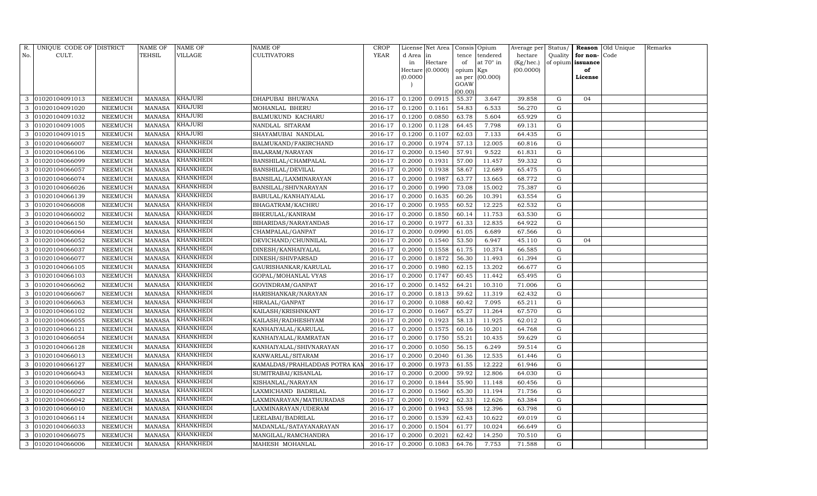| R.  | UNIQUE CODE OF DISTRICT |                 | NAME OF       | NAME OF          | NAME OF                       | <b>CROP</b> |           | License Net Area |                 | Consis Opium | Average per | Status/     |          | Reason Old Unique | Remarks |
|-----|-------------------------|-----------------|---------------|------------------|-------------------------------|-------------|-----------|------------------|-----------------|--------------|-------------|-------------|----------|-------------------|---------|
| No. | CULT.                   |                 | TEHSIL        | VILLAGE          | CULTIVATORS                   | <b>YEAR</b> | d Area in |                  | tence           | tendered     | hectare     | Quality     | for non- | Code              |         |
|     |                         |                 |               |                  |                               |             | in        | Hectare          | of              | at 70° in    | (Kg/hec.)   | of opium    | issuance |                   |         |
|     |                         |                 |               |                  |                               |             |           | Hectare (0.0000) | opium Kgs       |              | (00.0000)   |             | of       |                   |         |
|     |                         |                 |               |                  |                               |             | (0.0000)  |                  | as per          | (00.000)     |             |             | License  |                   |         |
|     |                         |                 |               |                  |                               |             |           |                  | GOAW<br>(00.00) |              |             |             |          |                   |         |
| 3   | 01020104091013          | NEEMUCH         | <b>MANASA</b> | KHAJURI          | DHAPUBAI BHUWANA              | 2016-17     | 0.1200    | 0.0915           | 55.37           | 3.647        | 39.858      | G           | 04       |                   |         |
| 3   | 01020104091020          | NEEMUCH         | <b>MANASA</b> | <b>KHAJURI</b>   | MOHANLAL BHERU                | 2016-17     | 0.1200    | 0.1161           | 54.83           | 6.533        | 56.270      | G           |          |                   |         |
| 3   | 01020104091032          | NEEMUCH         | <b>MANASA</b> | <b>KHAJURI</b>   | BALMUKUND KACHARU             | 2016-17     | 0.1200    | 0.0850           | 63.78           | 5.604        | 65.929      | G           |          |                   |         |
| 3   | 01020104091005          | NEEMUCH         | <b>MANASA</b> | KHAJURI          | NANDLAL SITARAM               | 2016-17     | 0.1200    | 0.1128           | 64.45           | 7.798        | 69.131      | $\mathbf G$ |          |                   |         |
| 3   | 01020104091015          | <b>NEEMUCH</b>  | <b>MANASA</b> | KHAJURI          | SHAYAMUBAI NANDLAL            | 2016-17     | 0.1200    | 0.1107           | 62.03           | 7.133        | 64.435      | G           |          |                   |         |
| 3   | 01020104066007          | NEEMUCH         | <b>MANASA</b> | KHANKHEDI        | BALMUKAND/FAKIRCHAND          | 2016-17     | 0.2000    | 0.1974           | 57.13           | 12.005       | 60.816      | $\mathbf G$ |          |                   |         |
| 3   | 01020104066106          | ${\tt NEEMUCH}$ | <b>MANASA</b> | KHANKHEDI        | BALARAM/NARAYAN               | 2016-17     | 0.2000    | 0.1540           | 57.91           | 9.522        | 61.831      | G           |          |                   |         |
| 3   | 01020104066099          | NEEMUCH         | <b>MANASA</b> | KHANKHEDI        | BANSHILAL/CHAMPALAL           | 2016-17     | 0.2000    | 0.1931           | 57.00           | 11.457       | 59.332      | $\mathbf G$ |          |                   |         |
| 3   | 01020104066057          | NEEMUCH         | <b>MANASA</b> | KHANKHEDI        | BANSHILAL/DEVILAL             | 2016-17     | 0.2000    | 0.1938           | 58.67           | 12.689       | 65.475      | G           |          |                   |         |
| 3   | 01020104066074          | NEEMUCH         | <b>MANASA</b> | KHANKHEDI        | BANSILAL/LAXMINARAYAN         | 2016-17     | 0.2000    | 0.1987           | 63.77           | 13.665       | 68.772      | G           |          |                   |         |
| 3   | 01020104066026          | NEEMUCH         | <b>MANASA</b> | KHANKHEDI        | BANSILAL/SHIVNARAYAN          | 2016-17     | 0.2000    | 0.1990           | 73.08           | 15.002       | 75.387      | G           |          |                   |         |
| 3   | 01020104066139          | NEEMUCH         | <b>MANASA</b> | KHANKHEDI        | BABULAL/KANHAIYALAL           | 2016-17     | 0.2000    | 0.1635           | 60.26           | 10.391       | 63.554      | G           |          |                   |         |
|     | 01020104066008          | <b>NEEMUCH</b>  | <b>MANASA</b> | KHANKHEDI        | BHAGATRAM/KACHRU              | 2016-17     | 0.2000    | 0.1955           | 60.52           | 12.225       | 62.532      | ${\rm G}$   |          |                   |         |
| 3   | 01020104066002          | NEEMUCH         | <b>MANASA</b> | KHANKHEDI        | BHERULAL/KANIRAM              | 2016-17     | 0.2000    | 0.1850           | 60.14           | 11.753       | 63.530      | G           |          |                   |         |
| 3   | 01020104066150          | NEEMUCH         | <b>MANASA</b> | KHANKHEDI        | BIHARIDAS/NARAYANDAS          | 2016-17     | 0.2000    | 0.1977           | 61.33           | 12.835       | 64.922      | G           |          |                   |         |
| 3   | 01020104066064          | NEEMUCH         | <b>MANASA</b> | KHANKHEDI        | CHAMPALAL/GANPAT              | 2016-17     | 0.2000    | 0.0990           | 61.05           | 6.689        | 67.566      | G           |          |                   |         |
|     | 01020104066052          | <b>NEEMUCH</b>  | <b>MANASA</b> | KHANKHEDI        | DEVICHAND/CHUNNILAL           | 2016-17     | 0.2000    | 0.1540           | 53.50           | 6.947        | 45.110      | ${\rm G}$   | 04       |                   |         |
|     | 01020104066037          | NEEMUCH         | <b>MANASA</b> | KHANKHEDI        | DINESH/KANHAIYALAL            | 2016-17     | 0.2000    | 0.1558           | 61.75           | 10.374       | 66.585      | G           |          |                   |         |
| 3   | 01020104066077          | NEEMUCH         | <b>MANASA</b> | KHANKHEDI        | DINESH/SHIVPARSAD             | 2016-17     | 0.2000    | 0.1872           | 56.30           | 11.493       | 61.394      | G           |          |                   |         |
| 3   | 01020104066105          | <b>NEEMUCH</b>  | <b>MANASA</b> | KHANKHEDI        | GAURISHANKAR/KARULAL          | 2016-17     | 0.2000    | 0.1980           | 62.15           | 13.202       | 66.677      | ${\rm G}$   |          |                   |         |
| 3   | 01020104066103          | NEEMUCH         | <b>MANASA</b> | KHANKHEDI        | GOPAL/MOHANLAL VYAS           | 2016-17     | 0.2000    | 0.1747           | 60.45           | 11.442       | 65.495      | ${\rm G}$   |          |                   |         |
| 3   | 01020104066062          | NEEMUCH         | <b>MANASA</b> | KHANKHEDI        | GOVINDRAM/GANPAT              | 2016-17     | 0.2000    | 0.1452           | 64.21           | 10.310       | 71.006      | G           |          |                   |         |
| 3   | 01020104066067          | NEEMUCH         | <b>MANASA</b> | KHANKHEDI        | HARISHANKAR/NARAYAN           | 2016-17     | 0.2000    | 0.1813           | 59.62           | 11.319       | 62.432      | ${\rm G}$   |          |                   |         |
|     | 01020104066063          | <b>NEEMUCH</b>  | <b>MANASA</b> | KHANKHEDI        | HIRALAL/GANPAT                | 2016-17     | 0.2000    | 0.1088           | 60.42           | 7.095        | 65.211      | ${\rm G}$   |          |                   |         |
| 3   | 01020104066102          | NEEMUCH         | <b>MANASA</b> | KHANKHEDI        | KAILASH/KRISHNKANT            | 2016-17     | 0.2000    | 0.1667           | 65.27           | 11.264       | 67.570      | ${\rm G}$   |          |                   |         |
| 3   | 01020104066055          | NEEMUCH         | <b>MANASA</b> | KHANKHEDI        | KAILASH/RADHESHYAM            | 2016-17     | 0.2000    | 0.1923           | 58.13           | 11.925       | 62.012      | G           |          |                   |         |
| 3   | 01020104066121          | NEEMUCH         | <b>MANASA</b> | KHANKHEDI        | KANHAIYALAL/KARULAL           | 2016-17     | 0.2000    | 0.1575           | 60.16           | 10.201       | 64.768      | ${\rm G}$   |          |                   |         |
|     | 01020104066054          | <b>NEEMUCH</b>  | <b>MANASA</b> | KHANKHEDI        | KANHAIYALAL/RAMRATAN          | 2016-17     | 0.2000    | 0.1750           | 55.21           | 10.435       | 59.629      | ${\rm G}$   |          |                   |         |
| 3   | 01020104066128          | NEEMUCH         | <b>MANASA</b> | KHANKHEDI        | KANHAIYALAL/SHIVNARAYAN       | 2016-17     | 0.2000    | 0.1050           | 56.15           | 6.249        | 59.514      | G           |          |                   |         |
| 3   | 01020104066013          | NEEMUCH         | <b>MANASA</b> | <b>KHANKHEDI</b> | KANWARLAL/SITARAM             | 2016-17     | 0.2000    | 0.2040           | 61.36           | 12.535       | 61.446      | G           |          |                   |         |
| 3   | 01020104066127          | NEEMUCH         | <b>MANASA</b> | KHANKHEDI        | KAMALDAS/PRAHLADDAS POTRA KAI | 2016-17     | 0.2000    | 0.1973           | 61.55           | 12.222       | 61.946      | G           |          |                   |         |
|     | 01020104066043          | <b>NEEMUCH</b>  | <b>MANASA</b> | KHANKHEDI        | SUMITRABAI/KISANLAL           | 2016-17     | 0.2000    | 0.2000           | 59.92           | 12.806       | 64.030      | G           |          |                   |         |
| 3   | 01020104066066          | NEEMUCH         | <b>MANASA</b> | KHANKHEDI        | KISHANLAL/NARAYAN             | 2016-17     | 0.2000    | 0.1844           | 55.90           | 11.148       | 60.456      | G           |          |                   |         |
| 3   | 01020104066027          | NEEMUCH         | <b>MANASA</b> | KHANKHEDI        | LAXMICHAND BADRILAL           | 2016-17     | 0.2000    | 0.1560           | 65.30           | 11.194       | 71.756      | G           |          |                   |         |
| 3   | 01020104066042          | NEEMUCH         | <b>MANASA</b> | KHANKHEDI        | LAXMINARAYAN/MATHURADAS       | 2016-17     | 0.2000    | 0.1992           | 62.33           | 12.626       | 63.384      | G           |          |                   |         |
| 3   | 01020104066010          | NEEMUCH         | <b>MANASA</b> | KHANKHEDI        | LAXMINARAYAN/UDERAM           | 2016-17     | 0.2000    | 0.1943           | 55.98           | 12.396       | 63.798      | $\mathbf G$ |          |                   |         |
| 3   | 01020104066114          | NEEMUCH         | <b>MANASA</b> | <b>KHANKHEDI</b> | LEELABAI/BADRILAL             | 2016-17     | 0.2000    | 0.1539           | 62.43           | 10.622       | 69.019      | $\mathbf G$ |          |                   |         |
| 3   | 01020104066033          | NEEMUCH         | <b>MANASA</b> | KHANKHEDI        | MADANLAL/SATAYANARAYAN        | 2016-17     | 0.2000    | 0.1504           | 61.77           | 10.024       | 66.649      | $\mathbf G$ |          |                   |         |
| 3   | 01020104066075          | <b>NEEMUCH</b>  | <b>MANASA</b> | KHANKHEDI        | MANGILAL/RAMCHANDRA           | 2016-17     | 0.2000    | 0.2021           | 62.42           | 14.250       | 70.510      | G           |          |                   |         |
| 3   | 01020104066006          | NEEMUCH         | MANASA        | KHANKHEDI        | MAHESH MOHANLAL               | 2016-17     | 0.2000    | 0.1083           | 64.76           | 7.753        | 71.588      | G           |          |                   |         |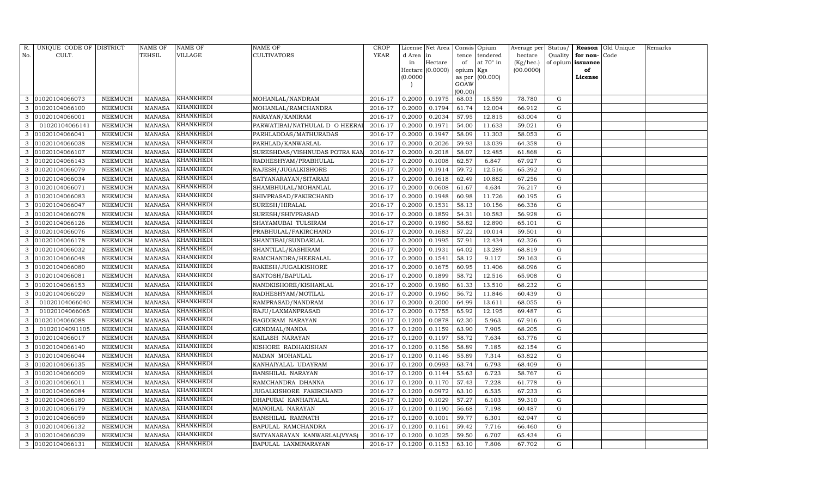| R.  | UNIQUE CODE OF DISTRICT |                | NAME OF       | NAME OF          | NAME OF                       | <b>CROP</b> |           | License Net Area |                | Consis Opium | Average per | Status/     |          | Reason Old Unique | Remarks |
|-----|-------------------------|----------------|---------------|------------------|-------------------------------|-------------|-----------|------------------|----------------|--------------|-------------|-------------|----------|-------------------|---------|
| No. | CULT.                   |                | TEHSIL        | VILLAGE          | CULTIVATORS                   | <b>YEAR</b> | d Area in |                  | tence          | tendered     | hectare     | Quality     | for non- | Code              |         |
|     |                         |                |               |                  |                               |             | in        | Hectare          | of             | at 70° in    | (Kg/hec.)   | of opium    | issuance |                   |         |
|     |                         |                |               |                  |                               |             |           | Hectare (0.0000) | opium Kgs      |              | (00.0000)   |             | of       |                   |         |
|     |                         |                |               |                  |                               |             | (0.0000)  |                  | as per<br>GOAW | (00.000)     |             |             | License  |                   |         |
|     |                         |                |               |                  |                               |             |           |                  | (00.00)        |              |             |             |          |                   |         |
| 3   | 01020104066073          | NEEMUCH        | MANASA        | KHANKHEDI        | MOHANLAL/NANDRAM              | 2016-17     | 0.2000    | 0.1975           | 68.03          | 15.559       | 78.780      | G           |          |                   |         |
| 3   | 01020104066100          | NEEMUCH        | <b>MANASA</b> | KHANKHEDI        | MOHANLAL/RAMCHANDRA           | 2016-17     | 0.2000    | 0.1794           | 61.74          | 12.004       | 66.912      | G           |          |                   |         |
| 3   | 01020104066001          | <b>NEEMUCH</b> | <b>MANASA</b> | KHANKHEDI        | NARAYAN/KANIRAM               | 2016-17     | 0.2000    | 0.2034           | 57.95          | 12.815       | 63.004      | G           |          |                   |         |
| 3   | 01020104066141          | NEEMUCH        | <b>MANASA</b> | KHANKHEDI        | PARWATIBAI/NATHULAL D O HEERA | 2016-17     | 0.2000    | 0.1971           | 54.00          | 11.633       | 59.021      | $\mathbf G$ |          |                   |         |
| 3   | 01020104066041          | NEEMUCH        | <b>MANASA</b> | KHANKHEDI        | PARHLADDAS/MATHURADAS         | 2016-17     | 0.2000    | 0.1947           | 58.09          | 11.303       | 58.053      | G           |          |                   |         |
| 3   | 01020104066038          | NEEMUCH        | <b>MANASA</b> | KHANKHEDI        | PARHLAD/KANWARLAL             | 2016-17     | 0.2000    | 0.2026           | 59.93          | 13.039       | 64.358      | $\mathbf G$ |          |                   |         |
| 3   | 01020104066107          | NEEMUCH        | <b>MANASA</b> | KHANKHEDI        | SURESHDAS/VISHNUDAS POTRA KAN | 2016-17     | 0.2000    | 0.2018           | 58.07          | 12.485       | 61.868      | G           |          |                   |         |
| 3   | 01020104066143          | <b>NEEMUCH</b> | <b>MANASA</b> | KHANKHEDI        | RADHESHYAM/PRABHULAL          | 2016-17     | 0.2000    | 0.1008           | 62.57          | 6.847        | 67.927      | ${\rm G}$   |          |                   |         |
| 3   | 01020104066079          | NEEMUCH        | <b>MANASA</b> | KHANKHEDI        | RAJESH/JUGALKISHORE           | 2016-17     | 0.2000    | 0.1914           | 59.72          | 12.516       | 65.392      | G           |          |                   |         |
| 3   | 01020104066034          | NEEMUCH        | <b>MANASA</b> | KHANKHEDI        | SATYANARAYAN/SITARAM          | 2016-17     | 0.2000    | 0.1618           | 62.49          | 10.882       | 67.256      | G           |          |                   |         |
| 3   | 01020104066071          | NEEMUCH        | <b>MANASA</b> | KHANKHEDI        | SHAMBHULAL/MOHANLAL           | 2016-17     | 0.2000    | 0.0608           | 61.67          | 4.634        | 76.217      | G           |          |                   |         |
| 3   | 01020104066083          | NEEMUCH        | <b>MANASA</b> | KHANKHEDI        | SHIVPRASAD/FAKIRCHAND         | 2016-17     | 0.2000    | 0.1948           | 60.98          | 11.726       | 60.195      | G           |          |                   |         |
|     | 01020104066047          | NEEMUCH        | <b>MANASA</b> | KHANKHEDI        | SURESH/HIRALAL                | 2016-17     | 0.2000    | 0.1531           | 58.13          | 10.156       | 66.336      | ${\rm G}$   |          |                   |         |
| 3   | 01020104066078          | NEEMUCH        | <b>MANASA</b> | KHANKHEDI        | SURESH/SHIVPRASAD             | 2016-17     | 0.2000    | 0.1859           | 54.31          | 10.583       | 56.928      | ${\rm G}$   |          |                   |         |
| 3   | 01020104066126          | NEEMUCH        | <b>MANASA</b> | KHANKHEDI        | SHAYAMUBAI TULSIRAM           | 2016-17     | 0.2000    | 0.1980           | 58.82          | 12.890       | 65.101      | G           |          |                   |         |
| 3   | 01020104066076          | NEEMUCH        | <b>MANASA</b> | KHANKHEDI        | PRABHULAL/FAKIRCHAND          | 2016-17     | 0.2000    | 0.1683           | 57.22          | 10.014       | 59.501      | G           |          |                   |         |
|     | 01020104066178          | NEEMUCH        | <b>MANASA</b> | KHANKHEDI        | SHANTIBAI/SUNDARLAL           | 2016-17     | 0.2000    | 0.1995           | 57.91          | 12.434       | 62.326      | ${\rm G}$   |          |                   |         |
|     | 01020104066032          | NEEMUCH        | <b>MANASA</b> | <u>KHANKHEDI</u> | SHANTILAL/KASHIRAM            | 2016-17     | 0.2000    | 0.1931           | 64.02          | 13.289       | 68.819      | G           |          |                   |         |
| 3   | 01020104066048          | NEEMUCH        | <b>MANASA</b> | KHANKHEDI        | RAMCHANDRA/HEERALAL           | 2016-17     | 0.2000    | 0.1541           | 58.12          | 9.117        | 59.163      | ${\rm G}$   |          |                   |         |
| 3   | 01020104066080          | NEEMUCH        | <b>MANASA</b> | KHANKHEDI        | RAKESH/JUGALKISHORE           | 2016-17     | 0.2000    | 0.1675           | 60.95          | 11.406       | 68.096      | G           |          |                   |         |
| 3   | 01020104066081          | NEEMUCH        | <b>MANASA</b> | KHANKHEDI        | SANTOSH/BAPULAL               | 2016-17     | 0.2000    | 0.1899           | 58.72          | 12.516       | 65.908      | ${\rm G}$   |          |                   |         |
| 3   | 01020104066153          | NEEMUCH        | <b>MANASA</b> | KHANKHEDI        | NANDKISHORE/KISHANLAL         | 2016-17     | 0.2000    | 0.1980           | 61.33          | 13.510       | 68.232      | G           |          |                   |         |
| 3   | 01020104066029          | NEEMUCH        | <b>MANASA</b> | KHANKHEDI        | RADHESHYAM/MOTILAL            | 2016-17     | 0.2000    | 0.1960           | 56.72          | 11.846       | 60.439      | G           |          |                   |         |
| 3   | 01020104066040          | <b>NEEMUCH</b> | <b>MANASA</b> | KHANKHEDI        | RAMPRASAD/NANDRAM             | 2016-17     | 0.2000    | 0.2000           | 64.99          | 13.611       | 68.055      | G           |          |                   |         |
| 3   | 01020104066065          | NEEMUCH        | <b>MANASA</b> | KHANKHEDI        | RAJU/LAXMANPRASAD             | 2016-17     | 0.2000    | 0.1755           | 65.92          | 12.195       | 69.487      | ${\rm G}$   |          |                   |         |
| 3   | 01020104066088          | NEEMUCH        | <b>MANASA</b> | KHANKHEDI        | BAGDIRAM NARAYAN              | 2016-17     | 0.1200    | 0.0878           | 62.30          | 5.963        | 67.916      | G           |          |                   |         |
| 3   | 01020104091105          | NEEMUCH        | <b>MANASA</b> | KHANKHEDI        | GENDMAL/NANDA                 | 2016-17     | 0.1200    | 0.1159           | 63.90          | 7.905        | 68.205      | ${\rm G}$   |          |                   |         |
| 3   | 01020104066017          | <b>NEEMUCH</b> | <b>MANASA</b> | KHANKHEDI        | KAILASH NARAYAN               | 2016-17     | 0.1200    | 0.1197           | 58.72          | 7.634        | 63.776      | ${\rm G}$   |          |                   |         |
| 3   | 01020104066140          | NEEMUCH        | <b>MANASA</b> | KHANKHEDI        | KISHORE RADHAKISHAN           | 2016-17     | 0.1200    | 0.1156           | 58.89          | 7.185        | 62.154      | G           |          |                   |         |
| 3   | 01020104066044          | NEEMUCH        | <b>MANASA</b> | <b>KHANKHEDI</b> | MADAN MOHANLAL                | 2016-17     | 0.1200    | 0.1146           | 55.89          | 7.314        | 63.822      | ${\rm G}$   |          |                   |         |
| 3   | 01020104066135          | NEEMUCH        | <b>MANASA</b> | KHANKHEDI        | KANHAIYALAL UDAYRAM           | 2016-17     | 0.1200    | 0.0993           | 63.74          | 6.793        | 68.409      | G           |          |                   |         |
|     | 01020104066009          | <b>NEEMUCH</b> | <b>MANASA</b> | KHANKHEDI        | BANSHILAL NARAYAN             | 2016-17     | 0.1200    | 0.1144           | 55.63          | 6.723        | 58.767      | G           |          |                   |         |
| 3   | 01020104066011          | <b>NEEMUCH</b> | <b>MANASA</b> | KHANKHEDI        | RAMCHANDRA DHANNA             | 2016-17     | 0.1200    | 0.1170           | 57.43          | 7.228        | 61.778      | G           |          |                   |         |
| 3   | 01020104066084          | NEEMUCH        | <b>MANASA</b> | KHANKHEDI        | JUGALKISHORE FAKIRCHAND       | 2016-17     | 0.1200    | 0.0972           | 63.10          | 6.535        | 67.233      | G           |          |                   |         |
| 3   | 01020104066180          | NEEMUCH        | <b>MANASA</b> | KHANKHEDI        | DHAPUBAI KANHAIYALAL          | 2016-17     | 0.1200    | 0.1029           | 57.27          | 6.103        | 59.310      | G           |          |                   |         |
| 3   | 01020104066179          | NEEMUCH        | <b>MANASA</b> | KHANKHEDI        | MANGILAL NARAYAN              | 2016-17     | 0.1200    | 0.1190           | 56.68          | 7.198        | 60.487      | ${\rm G}$   |          |                   |         |
| 3   | 01020104066059          | NEEMUCH        | <b>MANASA</b> | KHANKHEDI        | BANSHILAL RAMNATH             | 2016-17     | 0.1200    | 0.1001           | 59.77          | 6.301        | 62.947      | ${\rm G}$   |          |                   |         |
| 3   | 01020104066132          | NEEMUCH        | <b>MANASA</b> | KHANKHEDI        | BAPULAL RAMCHANDRA            | 2016-17     | 0.1200    | 0.1161           | 59.42          | 7.716        | 66.460      | ${\rm G}$   |          |                   |         |
| 3   | 01020104066039          | <b>NEEMUCH</b> | <b>MANASA</b> | KHANKHEDI        | SATYANARAYAN KANWARLAL(VYAS)  | 2016-17     | 0.1200    | 0.1025           | 59.50          | 6.707        | 65.434      | G           |          |                   |         |
| 3   | 01020104066131          | NEEMUCH        | MANASA        | <b>KHANKHEDI</b> | BAPULAL LAXMINARAYAN          | 2016-17     | 0.1200    | 0.1153           | 63.10          | 7.806        | 67.702      | G           |          |                   |         |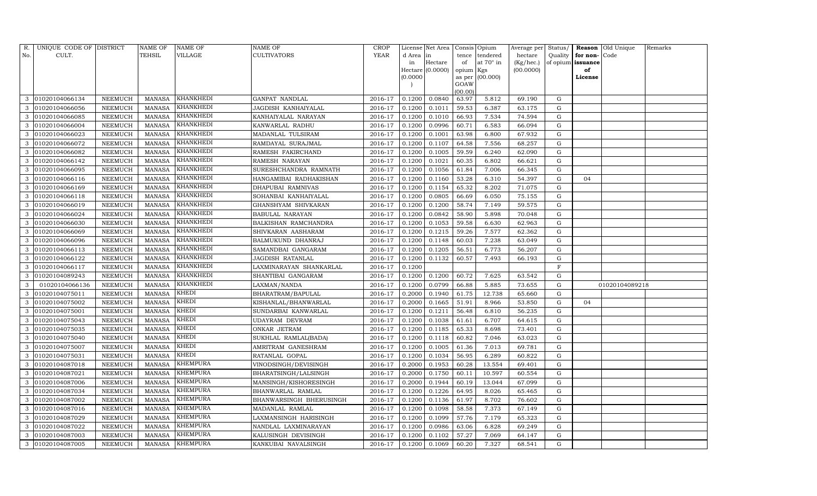| R.  | UNIQUE CODE OF DISTRICT |                | NAME OF       | <b>NAME OF</b>   | NAME OF                 | <b>CROP</b> |          | License Net Area   |           | Consis Opium     | Average per Status/ |             |                   | Reason Old Unique | Remarks |
|-----|-------------------------|----------------|---------------|------------------|-------------------------|-------------|----------|--------------------|-----------|------------------|---------------------|-------------|-------------------|-------------------|---------|
| No. | CULT.                   |                | TEHSIL        | VILLAGE          | <b>CULTIVATORS</b>      | <b>YEAR</b> | d Area   | in                 | tence     | tendered         | hectare             | Quality     | for non-Code      |                   |         |
|     |                         |                |               |                  |                         |             | in       | Hectare            | of        | at $70^\circ$ in | (Kg/hec.)           |             | of opium issuance |                   |         |
|     |                         |                |               |                  |                         |             |          | Hectare $(0.0000)$ | opium Kgs |                  | (00.0000)           |             | of                |                   |         |
|     |                         |                |               |                  |                         |             | (0.0000) |                    | GOAW      | as per (00.000)  |                     |             | License           |                   |         |
|     |                         |                |               |                  |                         |             |          |                    | (00.00)   |                  |                     |             |                   |                   |         |
| 3   | 01020104066134          | NEEMUCH        | <b>MANASA</b> | KHANKHEDI        | GANPAT NANDLAL          | 2016-17     | 0.1200   | 0.0840             | 63.97     | 5.812            | 69.190              | G           |                   |                   |         |
|     | 01020104066056          | NEEMUCH        | <b>MANASA</b> | KHANKHEDI        | JAGDISH KANHAIYALAL     | 2016-17     | 0.1200   | 0.1011             | 59.53     | 6.387            | 63.175              | G           |                   |                   |         |
| 3   | 01020104066085          | NEEMUCH        | <b>MANASA</b> | KHANKHEDI        | KANHAIYALAL NARAYAN     | 2016-17     | 0.1200   | 0.1010             | 66.93     | 7.534            | 74.594              | G           |                   |                   |         |
| 3   | 01020104066004          | NEEMUCH        | <b>MANASA</b> | KHANKHEDI        | KANWARLAL RADHU         | 2016-17     | 0.1200   | 0.0996             | 60.71     | 6.583            | 66.094              | G           |                   |                   |         |
| 3   | 01020104066023          | NEEMUCH        | <b>MANASA</b> | KHANKHEDI        | MADANLAL TULSIRAM       | 2016-17     | 0.1200   | 0.1001             | 63.98     | 6.800            | 67.932              | G           |                   |                   |         |
| 3   | 01020104066072          | NEEMUCH        | <b>MANASA</b> | KHANKHEDI        | RAMDAYAL SURAJMAL       | 2016-17     | 0.1200   | 0.1107             | 64.58     | 7.556            | 68.257              | G           |                   |                   |         |
|     | 01020104066082          | NEEMUCH        | <b>MANASA</b> | KHANKHEDI        | RAMESH FAKIRCHAND       | 2016-17     | 0.1200   | 0.1005             | 59.59     | 6.240            | 62.090              | G           |                   |                   |         |
| 3   | 01020104066142          | <b>NEEMUCH</b> | <b>MANASA</b> | KHANKHEDI        | RAMESH NARAYAN          | 2016-17     | 0.1200   | 0.1021             | 60.35     | 6.802            | 66.621              | G           |                   |                   |         |
| 3   | 01020104066095          | <b>NEEMUCH</b> | <b>MANASA</b> | KHANKHEDI        | SURESHCHANDRA RAMNATH   | 2016-17     | 0.1200   | 0.1056             | 61.84     | 7.006            | 66.345              | G           |                   |                   |         |
| 3   | 01020104066116          | NEEMUCH        | <b>MANASA</b> | KHANKHEDI        | HANGAMIBAI RADHAKISHAN  | 2016-17     | 0.1200   | 0.1160             | 53.28     | 6.310            | 54.397              | G           | 04                |                   |         |
| 3   | 01020104066169          | NEEMUCH        | <b>MANASA</b> | KHANKHEDI        | DHAPUBAI RAMNIVAS       | 2016-17     | 0.1200   | 0.1154             | 65.32     | 8.202            | 71.075              | G           |                   |                   |         |
| 3   | 01020104066118          | NEEMUCH        | <b>MANASA</b> | KHANKHEDI        | SOHANBAI KANHAIYALAL    | 2016-17     | 0.1200   | 0.0805             | 66.69     | 6.050            | 75.155              | G           |                   |                   |         |
|     | 01020104066019          | <b>NEEMUCH</b> | <b>MANASA</b> | KHANKHEDI        | GHANSHYAM SHIVKARAN     | 2016-17     | 0.1200   | 0.1200             | 58.74     | 7.149            | 59.575              | G           |                   |                   |         |
| 3   | 01020104066024          | NEEMUCH        | <b>MANASA</b> | KHANKHEDI        | BABULAL NARAYAN         | 2016-17     | 0.1200   | 0.0842             | 58.90     | 5.898            | 70.048              | G           |                   |                   |         |
| 3   | 01020104066030          | NEEMUCH        | <b>MANASA</b> | KHANKHEDI        | BALKISHAN RAMCHANDRA    | 2016-17     | 0.1200   | 0.1053             | 59.58     | 6.630            | 62.963              | G           |                   |                   |         |
| 3   | 01020104066069          | NEEMUCH        | <b>MANASA</b> | KHANKHEDI        | SHIVKARAN AASHARAM      | 2016-17     | 0.1200   | 0.1215             | 59.26     | 7.577            | 62.362              | G           |                   |                   |         |
| 3   | 01020104066096          | NEEMUCH        | <b>MANASA</b> | KHANKHEDI        | BALMUKUND DHANRAJ       | 2016-17     | 0.1200   | 0.1148             | 60.03     | 7.238            | 63.049              | G           |                   |                   |         |
| 3   | 01020104066113          | NEEMUCH        | MANASA        | KHANKHEDI        | SAMANDBAI GANGARAM      | 2016-17     | 0.1200   | 0.1205             | 56.51     | 6.773            | 56.207              | G           |                   |                   |         |
|     | 01020104066122          | NEEMUCH        | <b>MANASA</b> | KHANKHEDI        | JAGDISH RATANLAL        | 2016-17     | 0.1200   | 0.1132             | 60.57     | 7.493            | 66.193              | G           |                   |                   |         |
| 3   | 01020104066117          | NEEMUCH        | <b>MANASA</b> | KHANKHEDI        | LAXMINARAYAN SHANKARLAL | 2016-17     | 0.1200   |                    |           |                  |                     | $_{\rm F}$  |                   |                   |         |
|     | 01020104089243          | NEEMUCH        | <b>MANASA</b> | <b>KHANKHEDI</b> | SHANTIBAI GANGARAM      | 2016-17     | 0.1200   | 0.1200             | 60.72     | 7.625            | 63.542              | G           |                   |                   |         |
| 3   | 01020104066136          | NEEMUCH        | <b>MANASA</b> | KHANKHEDI        | LAXMAN/NANDA            | 2016-17     | 0.1200   | 0.0799             | 66.88     | 5.885            | 73.655              | G           |                   | 01020104089218    |         |
| 3   | 01020104075011          | NEEMUCH        | <b>MANASA</b> | KHEDI            | BHARATRAM/BAPULAL       | 2016-17     | 0.2000   | 0.1940             | 61.75     | 12.738           | 65.660              | G           |                   |                   |         |
| 3   | 01020104075002          | <b>NEEMUCH</b> | <b>MANASA</b> | KHEDI            | KISHANLAL/BHANWARLAL    | 2016-17     | 0.2000   | 0.1665             | 51.91     | 8.966            | 53.850              | G           | 04                |                   |         |
|     | 01020104075001          | NEEMUCH        | <b>MANASA</b> | KHEDI            | SUNDARBAI KANWARLAL     | 2016-17     | 0.1200   | 0.1211             | 56.48     | 6.810            | 56.235              | G           |                   |                   |         |
|     | 01020104075043          | NEEMUCH        | <b>MANASA</b> | KHEDI            | UDAYRAM DEVRAM          | 2016-17     | 0.1200   | 0.1038             | 61.61     | 6.707            | 64.615              | G           |                   |                   |         |
| 3   | 01020104075035          | NEEMUCH        | <b>MANASA</b> | KHEDI            | ONKAR JETRAM            | 2016-17     | 0.1200   | 0.1185             | 65.33     | 8.698            | 73.401              | G           |                   |                   |         |
| 3   | 01020104075040          | NEEMUCH        | <b>MANASA</b> | KHEDI            | SUKHLAL RAMLAL(BADA)    | 2016-17     | 0.1200   | 0.1118             | 60.82     | 7.046            | 63.023              | G           |                   |                   |         |
| 3   | 01020104075007          | NEEMUCH        | <b>MANASA</b> | KHEDI            | AMRITRAM GANESHRAM      | 2016-17     | 0.1200   | 0.1005             | 61.36     | 7.013            | 69.781              | G           |                   |                   |         |
| 3   | 01020104075031          | NEEMUCH        | <b>MANASA</b> | KHEDI            | RATANLAL GOPAL          | 2016-17     | 0.1200   | 0.1034             | 56.95     | 6.289            | 60.822              | G           |                   |                   |         |
| 3   | 01020104087018          | NEEMUCH        | <b>MANASA</b> | KHEMPURA         | VINODSINGH/DEVISINGH    | 2016-17     | 0.2000   | 0.1953             | 60.28     | 13.554           | 69.401              | G           |                   |                   |         |
| 3   | 01020104087021          | <b>NEEMUCH</b> | <b>MANASA</b> | <b>KHEMPURA</b>  | BHARATSINGH/LALSINGH    | 2016-17     | 0.2000   | 0.1750             | 60.11     | 10.597           | 60.554              | G           |                   |                   |         |
| 3   | 01020104087006          | NEEMUCH        | <b>MANASA</b> | <b>KHEMPURA</b>  | MANSINGH/KISHORESINGH   | 2016-17     | 0.2000   | 0.1944             | 60.19     | 13.044           | 67.099              | G           |                   |                   |         |
| 3   | 01020104087034          | NEEMUCH        | <b>MANASA</b> | <b>KHEMPURA</b>  | BHANWARLAL RAMLAL       | 2016-17     | 0.1200   | 0.1226             | 64.95     | 8.026            | 65.465              | G           |                   |                   |         |
| 3   | 01020104087002          | <b>NEEMUCH</b> | <b>MANASA</b> | KHEMPURA         | BHANWARSINGH BHERUSINGH | 2016-17     | 0.1200   | 0.1136             | 61.97     | 8.702            | 76.602              | $\mathbf G$ |                   |                   |         |
| 3   | 01020104087016          | <b>NEEMUCH</b> | <b>MANASA</b> | <b>KHEMPURA</b>  | MADANLAL RAMLAL         | 2016-17     | 0.1200   | 0.1098             | 58.58     | 7.373            | 67.149              | G           |                   |                   |         |
| 3   | 01020104087029          | NEEMUCH        | <b>MANASA</b> | <b>KHEMPURA</b>  | LAXMANSINGH HARISINGH   | 2016-17     | 0.1200   | 0.1099             | 57.76     | 7.179            | 65.323              | G           |                   |                   |         |
| 3   | 01020104087022          | NEEMUCH        | <b>MANASA</b> | <b>KHEMPURA</b>  | NANDLAL LAXMINARAYAN    | 2016-17     | 0.1200   | 0.0986             | 63.06     | 6.828            | 69.249              | G           |                   |                   |         |
| 3   | 01020104087003          | <b>NEEMUCH</b> | <b>MANASA</b> | <b>KHEMPURA</b>  | KALUSINGH DEVISINGH     | 2016-17     | 0.1200   | 0.1102             | 57.27     | 7.069            | 64.147              | G           |                   |                   |         |
| 3   | 01020104087005          | <b>NEEMUCH</b> | MANASA        | <b>KHEMPURA</b>  | KANKUBAI NAVALSINGH     | 2016-17     | 0.1200   | 0.1069             | 60.20     | 7.327            | 68.541              | G           |                   |                   |         |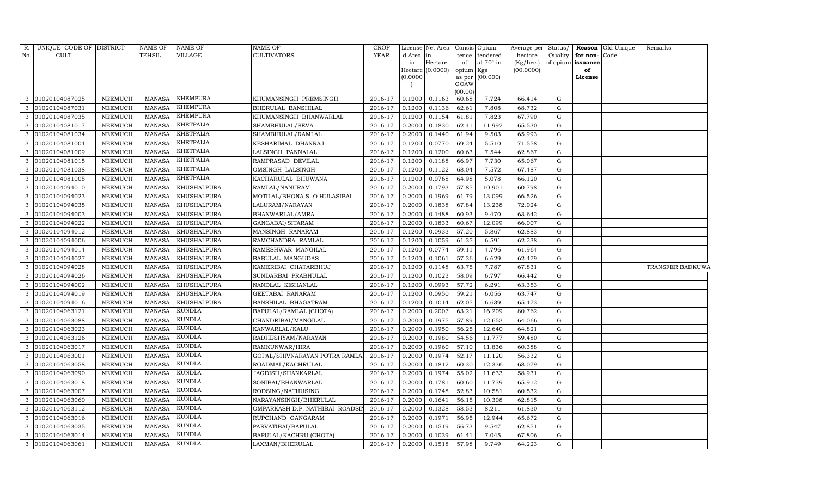| R.           | UNIQUE CODE OF DISTRICT |         | <b>NAME OF</b> | <b>NAME OF</b>     | <b>NAME OF</b>                  | CROP    |           | License Net Area   Consis   Opium |           |                  | Average per Status/ |         |                   | Reason Old Unique | Remarks          |
|--------------|-------------------------|---------|----------------|--------------------|---------------------------------|---------|-----------|-----------------------------------|-----------|------------------|---------------------|---------|-------------------|-------------------|------------------|
| No.          | CULT.                   |         | TEHSIL         | VILLAGE            | <b>CULTIVATORS</b>              | YEAR    | d Area in |                                   |           | tence tendered   | hectare             | Quality | for non-Code      |                   |                  |
|              |                         |         |                |                    |                                 |         | in        | Hectare                           | of        | at $70^\circ$ in | (Kg/hec.)           |         | of opium issuance |                   |                  |
|              |                         |         |                |                    |                                 |         |           | Hectare (0.0000)                  | opium Kgs |                  | (00.0000)           |         | of                |                   |                  |
|              |                         |         |                |                    |                                 |         | (0.0000)  |                                   | GOAW      | as per (00.000)  |                     |         | License           |                   |                  |
|              |                         |         |                |                    |                                 |         |           |                                   | (00.00)   |                  |                     |         |                   |                   |                  |
| 3            | 01020104087025          | NEEMUCH | MANASA         | <b>KHEMPURA</b>    | KHUMANSINGH PREMSINGH           | 2016-17 | 0.1200    | 0.1163                            | 60.68     | 7.724            | 66.414              | G       |                   |                   |                  |
| 3            | 01020104087031          | NEEMUCH | <b>MANASA</b>  | <b>KHEMPURA</b>    | BHERULAL BANSHILAL              | 2016-17 | 0.1200    | 0.1136                            | 62.61     | 7.808            | 68.732              | G       |                   |                   |                  |
| 3            | 01020104087035          | NEEMUCH | <b>MANASA</b>  | <b>KHEMPURA</b>    | KHUMANSINGH BHANWARLAL          | 2016-17 | 0.1200    | 0.1154                            | 61.81     | 7.823            | 67.790              | G       |                   |                   |                  |
| $\mathbf{3}$ | 01020104081017          | NEEMUCH | <b>MANASA</b>  | <b>KHETPALIA</b>   | SHAMBHULAL/SEVA                 | 2016-17 | 0.2000    | 0.1830                            | 62.41     | 11.992           | 65.530              | G       |                   |                   |                  |
| 3            | 01020104081034          | NEEMUCH | <b>MANASA</b>  | <b>KHETPALIA</b>   | SHAMBHULAL/RAMLAL               | 2016-17 | 0.2000    | 0.1440                            | 61.94     | 9.503            | 65.993              | G       |                   |                   |                  |
| 3            | 01020104081004          | NEEMUCH | MANASA         | <b>KHETPALIA</b>   | KESHARIMAL DHANRAJ              | 2016-17 | 0.1200    | 0.0770                            | 69.24     | 5.510            | 71.558              | G       |                   |                   |                  |
| 3            | 01020104081009          | NEEMUCH | <b>MANASA</b>  | <b>KHETPALIA</b>   | LALSINGH PANNALAL               | 2016-17 | 0.1200    | 0.1200                            | 60.63     | 7.544            | 62.867              | G       |                   |                   |                  |
| $\mathbf{3}$ | 01020104081015          | NEEMUCH | <b>MANASA</b>  | <b>KHETPALIA</b>   | RAMPRASAD DEVILAL               | 2016-17 | 0.1200    | 0.1188                            | 66.97     | 7.730            | 65.067              | G       |                   |                   |                  |
| 3            | 01020104081038          | NEEMUCH | <b>MANASA</b>  | <b>KHETPALIA</b>   | OMSINGH LALSINGH                | 2016-17 | 0.1200    | 0.1122                            | 68.04     | 7.572            | 67.487              | G       |                   |                   |                  |
| 3            | 01020104081005          | NEEMUCH | <b>MANASA</b>  | <b>KHETPALIA</b>   | KACHARULAL BHUWANA              | 2016-17 | 0.1200    | 0.0768                            | 64.98     | 5.078            | 66.120              | G       |                   |                   |                  |
| $\mathbf{3}$ | 01020104094010          | NEEMUCH | <b>MANASA</b>  | <b>KHUSHALPURA</b> | RAMLAL/NANURAM                  | 2016-17 | 0.2000    | 0.1793                            | 57.85     | 10.901           | 60.798              | G       |                   |                   |                  |
| 3            | 01020104094023          | NEEMUCH | MANASA         | <b>KHUSHALPURA</b> | MOTILAL/BHONA S O HULASIBAI     | 2016-17 | 0.2000    | 0.1969                            | 61.79     | 13.099           | 66.526              | G       |                   |                   |                  |
| 3            | 01020104094035          | NEEMUCH | <b>MANASA</b>  | <b>KHUSHALPURA</b> | LALURAM/NARAYAN                 | 2016-17 | 0.2000    | 0.1838                            | 67.84     | 13.238           | 72.024              | G       |                   |                   |                  |
| 3            | 01020104094003          | NEEMUCH | <b>MANASA</b>  | <b>KHUSHALPURA</b> | BHANWARLAL/AMRA                 | 2016-17 | 0.2000    | 0.1488                            | 60.93     | 9.470            | 63.642              | G       |                   |                   |                  |
| $\mathbf{3}$ | 01020104094022          | NEEMUCH | MANASA         | KHUSHALPURA        | GANGABAI/SITARAM                | 2016-17 | 0.2000    | 0.1833                            | 60.67     | 12.099           | 66.007              | G       |                   |                   |                  |
| 3            | 01020104094012          | NEEMUCH | MANASA         | KHUSHALPURA        | MANSINGH RANARAM                | 2016-17 | 0.1200    | 0.0933                            | 57.20     | 5.867            | 62.883              | G       |                   |                   |                  |
| 3            | 01020104094006          | NEEMUCH | MANASA         | KHUSHALPURA        | RAMCHANDRA RAMLAL               | 2016-17 | 0.1200    | 0.1059                            | 61.35     | 6.591            | 62.238              | G       |                   |                   |                  |
| 3            | 01020104094014          | NEEMUCH | MANASA         | KHUSHALPURA        | RAMESHWAR MANGILAL              | 2016-17 | 0.1200    | 0.0774                            | 59.11     | 4.796            | 61.964              | G       |                   |                   |                  |
| $\mathbf{3}$ | 01020104094027          | NEEMUCH | MANASA         | <b>KHUSHALPURA</b> | <b>BABULAL MANGUDAS</b>         | 2016-17 | 0.1200    | 0.1061                            | 57.36     | 6.629            | 62.479              | G       |                   |                   |                  |
| 3            | 01020104094028          | NEEMUCH | MANASA         | KHUSHALPURA        | KAMERIBAI CHATARBHUJ            | 2016-17 | 0.1200    | 0.1148                            | 63.75     | 7.787            | 67.831              | G       |                   |                   | TRANSFER BADKUWA |
| $\mathbf{3}$ | 01020104094026          | NEEMUCH | <b>MANASA</b>  | KHUSHALPURA        | SUNDARBAI PRABHULAL             | 2016-17 | 0.1200    | 0.1023                            | 58.09     | 6.797            | 66.442              | G       |                   |                   |                  |
| 3            | 01020104094002          | NEEMUCH | MANASA         | <b>KHUSHALPURA</b> | NANDLAL KISHANLAL               | 2016-17 | 0.1200    | 0.0993                            | 57.72     | 6.291            | 63.353              | G       |                   |                   |                  |
| 3            | 01020104094019          | NEEMUCH | <b>MANASA</b>  | KHUSHALPURA        | GEETABAI RANARAM                | 2016-17 | 0.1200    | 0.0950                            | 59.21     | 6.056            | 63.747              | G       |                   |                   |                  |
| 3            | 01020104094016          | NEEMUCH | <b>MANASA</b>  | KHUSHALPURA        | BANSHILAL BHAGATRAM             | 2016-17 | 0.1200    | 0.1014                            | 62.05     | 6.639            | 65.473              | G       |                   |                   |                  |
| 3            | 01020104063121          | NEEMUCH | <b>MANASA</b>  | KUNDLA             | BAPULAL/RAMLAL (CHOTA)          | 2016-17 | 0.2000    | 0.2007                            | 63.21     | 16.209           | 80.762              | G       |                   |                   |                  |
| $\mathbf{3}$ | 01020104063088          | NEEMUCH | <b>MANASA</b>  | <b>KUNDLA</b>      | CHANDRIBAI/MANGILAL             | 2016-17 | 0.2000    | 0.1975                            | 57.89     | 12.653           | 64.066              | G       |                   |                   |                  |
| 3            | 01020104063023          | NEEMUCH | <b>MANASA</b>  | <b>KUNDLA</b>      | KANWARLAL/KALU                  | 2016-17 | 0.2000    | 0.1950                            | 56.25     | 12.640           | 64.821              | G       |                   |                   |                  |
| 3            | 01020104063126          | NEEMUCH | <b>MANASA</b>  | KUNDLA             | RADHESHYAM/NARAYAN              | 2016-17 | 0.2000    | 0.1980                            | 54.56     | 11.777           | 59.480              | G       |                   |                   |                  |
| $\mathbf{3}$ | 01020104063017          | NEEMUCH | MANASA         | <b>KUNDLA</b>      | RAMKUNWAR/HIRA                  | 2016-17 | 0.2000    | 0.1960                            | 57.10     | 11.836           | 60.388              | G       |                   |                   |                  |
| 3            | 01020104063001          | NEEMUCH | <b>MANASA</b>  | <b>KUNDLA</b>      | GOPAL/SHIVNARAYAN POTRA RAMLA   | 2016-17 | 0.2000    | 0.1974                            | 52.17     | 11.120           | 56.332              | G       |                   |                   |                  |
| $\mathbf{3}$ | 01020104063058          | NEEMUCH | <b>MANASA</b>  | <b>KUNDLA</b>      | ROADMAL/KACHRULAL               | 2016-17 | 0.2000    | 0.1812                            | 60.30     | 12.336           | 68.079              | G       |                   |                   |                  |
| 3            | 01020104063090          | NEEMUCH | <b>MANASA</b>  | <b>KUNDLA</b>      | JAGDISH/SHANKARLAL              | 2016-17 | 0.2000    | 0.1974                            | 55.02     | 11.633           | 58.931              | G       |                   |                   |                  |
| 3            | 01020104063018          | NEEMUCH | <b>MANASA</b>  | KUNDLA             | SONIBAI/BHANWARLAL              | 2016-17 | 0.2000    | 0.1781                            | 60.60     | 11.739           | 65.912              | G       |                   |                   |                  |
| 3            | 01020104063007          | NEEMUCH | MANASA         | <b>KUNDLA</b>      | RODSING/NATHUSING               | 2016-17 | 0.2000    | 0.1748                            | 52.83     | 10.581           | 60.532              | G       |                   |                   |                  |
| $\mathbf{3}$ | 01020104063060          | NEEMUCH | <b>MANASA</b>  | <b>KUNDLA</b>      | NARAYANSINGH/BHERULAL           | 2016-17 | 0.2000    | 0.1641                            | 56.15     | 10.308           | 62.815              | G       |                   |                   |                  |
| 3            | 01020104063112          | NEEMUCH | <b>MANASA</b>  | <b>KUNDLA</b>      | OMPARKASH D.P. NATHIBAI ROADSII | 2016-17 | 0.2000    | 0.1328                            | 58.53     | 8.211            | 61.830              | G       |                   |                   |                  |
| $\mathbf{3}$ | 01020104063016          | NEEMUCH | MANASA         | <b>KUNDLA</b>      | RUPCHAND GANGARAM               | 2016-17 | 0.2000    | 0.1971                            | 56.95     | 12.944           | 65.672              | G       |                   |                   |                  |
| $\mathbf{3}$ | 01020104063035          | NEEMUCH | MANASA         | <b>KUNDLA</b>      | PARVATIBAI/BAPULAL              | 2016-17 | 0.2000    | 0.1519                            | 56.73     | 9.547            | 62.851              | G       |                   |                   |                  |
| $\mathbf{3}$ | 01020104063014          | NEEMUCH | MANASA         | <b>KUNDLA</b>      | BAPULAL/KACHRU (CHOTA)          | 2016-17 | 0.2000    | 0.1039                            | 61.41     | 7.045            | 67.806              | G       |                   |                   |                  |
|              | 3 01020104063061        | NEEMUCH | MANASA KUNDLA  |                    | LAXMAN/BHERULAL                 | 2016-17 |           | $0.2000$ 0.1518                   | 57.98     | 9.749            | 64.223              | G       |                   |                   |                  |
|              |                         |         |                |                    |                                 |         |           |                                   |           |                  |                     |         |                   |                   |                  |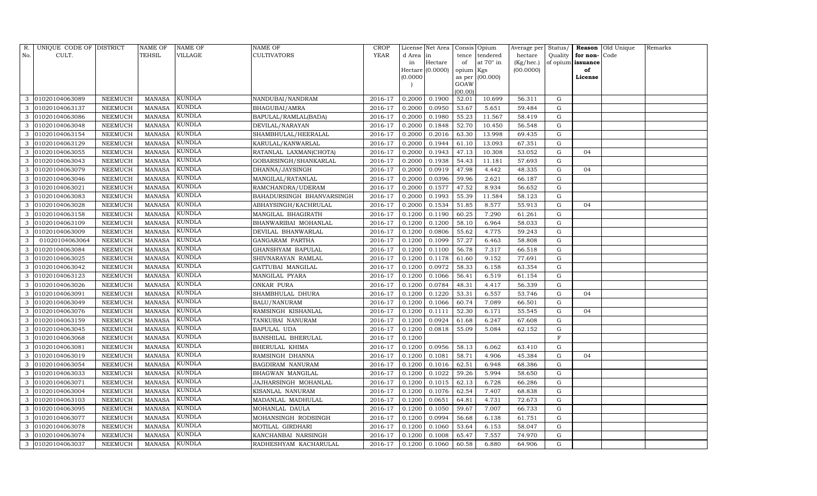| R.  | UNIQUE CODE OF DISTRICT |                 | <b>NAME OF</b> | NAME OF       | <b>NAME OF</b>            | <b>CROP</b> |           | License Net Area |                | Consis Opium     | Average per | Status/     |                   | <b>Reason</b> Old Unique | Remarks |
|-----|-------------------------|-----------------|----------------|---------------|---------------------------|-------------|-----------|------------------|----------------|------------------|-------------|-------------|-------------------|--------------------------|---------|
| No. | CULT.                   |                 | TEHSIL         | VILLAGE       | <b>CULTIVATORS</b>        | YEAR        | d Area in |                  | tence          | tendered         | hectare     | Quality     | for non-          | Code                     |         |
|     |                         |                 |                |               |                           |             | in        | Hectare          | of             | at $70^\circ$ in | (Kg/hec.)   |             | of opium issuance |                          |         |
|     |                         |                 |                |               |                           |             |           | Hectare (0.0000) | opium Kgs      |                  | (00.0000)   |             | of                |                          |         |
|     |                         |                 |                |               |                           |             | (0.0000)  |                  | as per<br>GOAW | (00.000)         |             |             | License           |                          |         |
|     |                         |                 |                |               |                           |             |           |                  | (00.00)        |                  |             |             |                   |                          |         |
| 3   | 01020104063089          | NEEMUCH         | <b>MANASA</b>  | <b>KUNDLA</b> | NANDUBAI/NANDRAM          | 2016-17     | 0.2000    | 0.1900           | 52.01          | 10.699           | 56.311      | G           |                   |                          |         |
| 3   | 01020104063137          | NEEMUCH         | <b>MANASA</b>  | KUNDLA        | BHAGUBAI/AMRA             | 2016-17     | 0.2000    | 0.0950           | 53.67          | 5.651            | 59.484      | G           |                   |                          |         |
| 3   | 01020104063086          | NEEMUCH         | <b>MANASA</b>  | KUNDLA        | BAPULAL/RAMLAL(BADA)      | 2016-17     | 0.2000    | 0.1980           | 55.23          | 11.567           | 58.419      | G           |                   |                          |         |
| 3   | 01020104063048          | NEEMUCH         | <b>MANASA</b>  | KUNDLA        | DEVILAL/NARAYAN           | 2016-17     | 0.2000    | 0.1848           | 52.70          | 10.450           | 56.548      | G           |                   |                          |         |
| 3   | 01020104063154          | NEEMUCH         | <b>MANASA</b>  | <b>KUNDLA</b> | SHAMBHULAL/HEERALAL       | 2016-17     | 0.2000    | 0.2016           | 63.30          | 13.998           | 69.435      | G           |                   |                          |         |
| 3   | 01020104063129          | NEEMUCH         | MANASA         | KUNDLA        | KARULAL/KANWARLAL         | 2016-17     | 0.2000    | 0.1944           | 61.10          | 13.093           | 67.351      | G           |                   |                          |         |
| 3   | 01020104063055          | NEEMUCH         | <b>MANASA</b>  | <b>KUNDLA</b> | RATANLAL LAXMAN(CHOTA)    | 2016-17     | 0.2000    | 0.1943           | 47.13          | 10.308           | 53.052      | G           | 04                |                          |         |
| 3   | 01020104063043          | NEEMUCH         | <b>MANASA</b>  | KUNDLA        | GOBARSINGH/SHANKARLAL     | 2016-17     | 0.2000    | 0.1938           | 54.43          | 11.181           | 57.693      | G           |                   |                          |         |
| 3   | 01020104063079          | NEEMUCH         | <b>MANASA</b>  | <b>KUNDLA</b> | DHANNA/JAYSINGH           | 2016-17     | 0.2000    | 0.0919           | 47.98          | 4.442            | 48.335      | G           | 04                |                          |         |
| 3   | 01020104063046          | NEEMUCH         | MANASA         | KUNDLA        | MANGILAL/RATANLAL         | 2016-17     | 0.2000    | 0.0396           | 59.96          | 2.621            | 66.187      | G           |                   |                          |         |
| 3   | 01020104063021          | NEEMUCH         | <b>MANASA</b>  | <b>KUNDLA</b> | RAMCHANDRA/UDERAM         | 2016-17     | 0.2000    | 0.1577           | 47.52          | 8.934            | 56.652      | G           |                   |                          |         |
| 3   | 01020104063083          | NEEMUCH         | MANASA         | KUNDLA        | BAHADURSINGH BHANVARSINGH | 2016-17     | 0.2000    | 0.1993           | 55.39          | 11.584           | 58.123      | G           |                   |                          |         |
|     | 01020104063028          | NEEMUCH         | <b>MANASA</b>  | <b>KUNDLA</b> | ABHAYSINGH/KACHRULAL      | 2016-17     | 0.2000    | 0.1534           | 51.85          | 8.577            | 55.913      | G           | 04                |                          |         |
| 3   | 01020104063158          | NEEMUCH         | <b>MANASA</b>  | KUNDLA        | MANGILAL BHAGIRATH        | 2016-17     | 0.1200    | 0.1190           | 60.25          | 7.290            | 61.261      | G           |                   |                          |         |
| 3   | 01020104063109          | NEEMUCH         | <b>MANASA</b>  | KUNDLA        | BHANWARIBAI MOHANLAL      | 2016-17     | 0.1200    | 0.1200           | 58.10          | 6.964            | 58.033      | G           |                   |                          |         |
| 3   | 01020104063009          | NEEMUCH         | <b>MANASA</b>  | KUNDLA        | DEVILAL BHANWARLAL        | 2016-17     | 0.1200    | 0.0806           | 55.62          | 4.775            | 59.243      | G           |                   |                          |         |
| 3   | 01020104063064          | NEEMUCH         | <b>MANASA</b>  | KUNDLA        | GANGARAM PARTHA           | 2016-17     | 0.1200    | 0.1099           | 57.27          | 6.463            | 58.808      | G           |                   |                          |         |
| 3   | 01020104063084          | NEEMUCH         | <b>MANASA</b>  | KUNDLA        | GHANSHYAM BAPULAL         | 2016-17     | 0.1200    | 0.1100           | 56.78          | 7.317            | 66.518      | G           |                   |                          |         |
| 3   | 01020104063025          | NEEMUCH         | <b>MANASA</b>  | KUNDLA        | SHIVNARAYAN RAMLAL        | 2016-17     | 0.1200    | 0.1178           | 61.60          | 9.152            | 77.691      | G           |                   |                          |         |
| 3   | 01020104063042          | NEEMUCH         | <b>MANASA</b>  | KUNDLA        | GATTUBAI MANGILAL         | 2016-17     | 0.1200    | 0.0972           | 58.33          | 6.158            | 63.354      | $\mathbf G$ |                   |                          |         |
| 3   | 01020104063123          | NEEMUCH         | MANASA         | <b>KUNDLA</b> | MANGILAL PYARA            | 2016-17     | 0.1200    | 0.1066           | 56.41          | 6.519            | 61.154      | G           |                   |                          |         |
| 3   | 01020104063026          | NEEMUCH         | <b>MANASA</b>  | <b>KUNDLA</b> | ONKAR PURA                | 2016-17     | 0.1200    | 0.0784           | 48.31          | 4.417            | 56.339      | G           |                   |                          |         |
| 3   | 01020104063091          | ${\tt NEEMUCH}$ | MANASA         | KUNDLA        | SHAMBHULAL DHURA          | 2016-17     | 0.1200    | 0.1220           | 53.31          | 6.557            | 53.746      | G           | 04                |                          |         |
|     | 01020104063049          | NEEMUCH         | <b>MANASA</b>  | KUNDLA        | <b>BALU/NANURAM</b>       | 2016-17     | 0.1200    | 0.1066           | 60.74          | 7.089            | 66.501      | G           |                   |                          |         |
| 3   | 01020104063076          | NEEMUCH         | <b>MANASA</b>  | KUNDLA        | RAMSINGH KISHANLAL        | 2016-17     | 0.1200    | 0.1111           | 52.30          | 6.171            | 55.545      | G           | 04                |                          |         |
| 3   | 01020104063159          | NEEMUCH         | MANASA         | <b>KUNDLA</b> | TANKUBAI NANURAM          | 2016-17     | 0.1200    | 0.0924           | 61.68          | 6.247            | 67.608      | G           |                   |                          |         |
| 3   | 01020104063045          | NEEMUCH         | <b>MANASA</b>  | KUNDLA        | <b>BAPULAL UDA</b>        | 2016-17     | 0.1200    | 0.0818           | 55.09          | 5.084            | 62.152      | G           |                   |                          |         |
|     | 01020104063068          | NEEMUCH         | <b>MANASA</b>  | KUNDLA        | BANSHILAL BHERULAL        | 2016-17     | 0.1200    |                  |                |                  |             | $\rm F$     |                   |                          |         |
| 3   | 01020104063081          | NEEMUCH         | <b>MANASA</b>  | KUNDLA        | BHERULAL KHIMA            | 2016-17     | 0.1200    | 0.0956           | 58.13          | 6.062            | 63.410      | G           |                   |                          |         |
| 3   | 01020104063019          | NEEMUCH         | <b>MANASA</b>  | KUNDLA        | RAMSINGH DHANNA           | 2016-17     | 0.1200    | 0.1081           | 58.71          | 4.906            | 45.384      | G           | 04                |                          |         |
| 3   | 01020104063054          | NEEMUCH         | <b>MANASA</b>  | KUNDLA        | BAGDIRAM NANURAM          | 2016-17     | 0.1200    | 0.1016           | 62.51          | 6.948            | 68.386      | G           |                   |                          |         |
|     | 01020104063033          | NEEMUCH         | <b>MANASA</b>  | KUNDLA        | BHAGWAN MANGILAL          | 2016-17     | 0.1200    | 0.1022           | 59.26          | 5.994            | 58.650      | G           |                   |                          |         |
| 3   | 01020104063071          | NEEMUCH         | <b>MANASA</b>  | KUNDLA        | JAJHARSINGH MOHANLAL      | 2016-17     | 0.1200    | 0.1015           | 62.13          | 6.728            | 66.286      | G           |                   |                          |         |
| 3   | 01020104063004          | NEEMUCH         | <b>MANASA</b>  | KUNDLA        | KISANLAL NANURAM          | 2016-17     | 0.1200    | 0.1076           | 62.54          | 7.407            | 68.838      | G           |                   |                          |         |
| 3   | 01020104063103          | <b>NEEMUCH</b>  | <b>MANASA</b>  | KUNDLA        | MADANLAL MADHULAL         | 2016-17     | 0.1200    | 0.0651           | 64.81          | 4.731            | 72.673      | G           |                   |                          |         |
| 3   | 01020104063095          | NEEMUCH         | <b>MANASA</b>  | KUNDLA        | MOHANLAL DAULA            | 2016-17     | 0.1200    | 0.1050           | 59.67          | 7.007            | 66.733      | G           |                   |                          |         |
| 3   | 01020104063077          | NEEMUCH         | MANASA         | KUNDLA        | MOHANSINGH RODSINGH       | 2016-17     | 0.1200    | 0.0994           | 56.68          | 6.138            | 61.751      | G           |                   |                          |         |
| 3   | 01020104063078          | NEEMUCH         | <b>MANASA</b>  | KUNDLA        | MOTILAL GIRDHARI          | 2016-17     | 0.1200    | 0.1060           | 53.64          | 6.153            | 58.047      | G           |                   |                          |         |
| 3   | 01020104063074          | NEEMUCH         | <b>MANASA</b>  | KUNDLA        | KANCHANBAI NARSINGH       | 2016-17     | 0.1200    | 0.1008           | 65.47          | 7.557            | 74.970      | $\mathbf G$ |                   |                          |         |
|     | 3 01020104063037        | NEEMUCH         | MANASA         | <b>KUNDLA</b> | RADHESHYAM KACHARULAL     | 2016-17     | 0.1200    | 0.1060           | 60.58          | 6.880            | 64.906      | G           |                   |                          |         |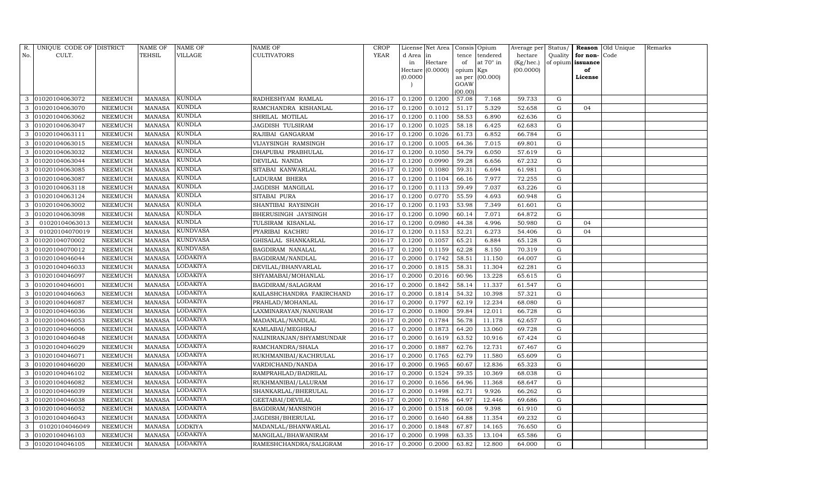| R.  | UNIQUE CODE OF DISTRICT |                | <b>NAME OF</b> | NAME OF         | NAME OF                   | <b>CROP</b> |           | License Net Area |                 | Consis Opium    | Average per | Status/   |          | Reason Old Unique | Remarks |
|-----|-------------------------|----------------|----------------|-----------------|---------------------------|-------------|-----------|------------------|-----------------|-----------------|-------------|-----------|----------|-------------------|---------|
| No. | CULT.                   |                | TEHSIL         | VILLAGE         | CULTIVATORS               | <b>YEAR</b> | d Area in |                  | tence           | tendered        | hectare     | Quality   | for non- | Code              |         |
|     |                         |                |                |                 |                           |             | in        | Hectare          | of              | at 70° in       | (Kg/hec.)   | of opium  | issuance |                   |         |
|     |                         |                |                |                 |                           |             |           | Hectare (0.0000) | opium Kgs       |                 | (00.0000)   |           | of       |                   |         |
|     |                         |                |                |                 |                           |             | (0.0000)  |                  |                 | as per (00.000) |             |           | License  |                   |         |
|     |                         |                |                |                 |                           |             |           |                  | GOAW<br>(00.00) |                 |             |           |          |                   |         |
| 3   | 01020104063072          | NEEMUCH        | <b>MANASA</b>  | KUNDLA          | RADHESHYAM RAMLAL         | 2016-17     | 0.1200    | 0.1200           | 57.08           | 7.168           | 59.733      | G         |          |                   |         |
| 3   | 01020104063070          | NEEMUCH        | <b>MANASA</b>  | KUNDLA          | RAMCHANDRA KISHANLAL      | 2016-17     | 0.1200    | 0.1012           | 51.17           | 5.329           | 52.658      | G         | 04       |                   |         |
| 3   | 01020104063062          | NEEMUCH        | <b>MANASA</b>  | KUNDLA          | SHRILAL MOTILAL           | 2016-17     | 0.1200    | 0.1100           | 58.53           | 6.890           | 62.636      | G         |          |                   |         |
| 3   | 01020104063047          | NEEMUCH        | <b>MANASA</b>  | KUNDLA          | JAGDISH TULSIRAM          | 2016-17     | 0.1200    | 0.1025           | 58.18           | 6.425           | 62.683      | G         |          |                   |         |
| 3   | 01020104063111          | <b>NEEMUCH</b> | <b>MANASA</b>  | KUNDLA          | RAJIBAI GANGARAM          | 2016-17     | 0.1200    | 0.1026           | 61.73           | 6.852           | 66.784      | G         |          |                   |         |
| 3   | 01020104063015          | NEEMUCH        | <b>MANASA</b>  | KUNDLA          | VIJAYSINGH RAMSINGH       | 2016-17     | 0.1200    | 0.1005           | 64.36           | 7.015           | 69.801      | ${\rm G}$ |          |                   |         |
| 3   | 01020104063032          | NEEMUCH        | <b>MANASA</b>  | <b>KUNDLA</b>   | DHAPUBAI PRABHULAL        | 2016-17     | 0.1200    | 0.1050           | 54.79           | 6.050           | 57.619      | G         |          |                   |         |
| 3   | 01020104063044          | NEEMUCH        | <b>MANASA</b>  | KUNDLA          | DEVILAL NANDA             | 2016-17     | 0.1200    | 0.0990           | 59.28           | 6.656           | 67.232      | G         |          |                   |         |
| 3   | 01020104063085          | NEEMUCH        | <b>MANASA</b>  | KUNDLA          | SITABAI KANWARLAL         | 2016-17     | 0.1200    | 0.1080           | 59.31           | 6.694           | 61.981      | G         |          |                   |         |
| 3   | 01020104063087          | NEEMUCH        | <b>MANASA</b>  | KUNDLA          | LADURAM BHERA             | 2016-17     | 0.1200    | 0.1104           | 66.16           | 7.977           | 72.255      | G         |          |                   |         |
| 3   | 01020104063118          | NEEMUCH        | <b>MANASA</b>  | KUNDLA          | JAGDISH MANGILAL          | 2016-17     | 0.1200    | 0.1113           | 59.49           | 7.037           | 63.226      | G         |          |                   |         |
| 3   | 01020104063124          | NEEMUCH        | <b>MANASA</b>  | KUNDLA          | SITABAI PURA              | 2016-17     | 0.1200    | 0.0770           | 55.59           | 4.693           | 60.948      | G         |          |                   |         |
|     | 01020104063002          | <b>NEEMUCH</b> | <b>MANASA</b>  | <b>KUNDLA</b>   | SHANTIBAI RAYSINGH        | 2016-17     | 0.1200    | 0.1193           | 53.98           | 7.349           | 61.601      | G         |          |                   |         |
| 3   | 01020104063098          | NEEMUCH        | <b>MANASA</b>  | KUNDLA          | BHERUSINGH JAYSINGH       | 2016-17     | 0.1200    | 0.1090           | 60.14           | 7.071           | 64.872      | ${\rm G}$ |          |                   |         |
| 3   | 01020104063013          | NEEMUCH        | <b>MANASA</b>  | KUNDLA          | TULSIRAM KISANLAL         | 2016-17     | 0.1200    | 0.0980           | 44.38           | 4.996           | 50.980      | G         | 04       |                   |         |
| 3   | 01020104070019          | NEEMUCH        | <b>MANASA</b>  | KUNDVASA        | PYARIBAI KACHRU           | 2016-17     | 0.1200    | 0.1153           | 52.21           | 6.273           | 54.406      | G         | 04       |                   |         |
|     | 01020104070002          | NEEMUCH        | <b>MANASA</b>  | <b>KUNDVASA</b> | GHISALAL SHANKARLAL       | 2016-17     | 0.1200    | 0.1057           | 65.21           | 6.884           | 65.128      | ${\rm G}$ |          |                   |         |
| 3   | 01020104070012          | NEEMUCH        | <b>MANASA</b>  | KUNDVASA        | BAGDIRAM NANALAL          | 2016-17     | 0.1200    | 0.1159           | 62.28           | 8.150           | 70.319      | G         |          |                   |         |
| 3   | 01020104046044          | NEEMUCH        | <b>MANASA</b>  | LODAKIYA        | BAGDIRAM/NANDLAL          | 2016-17     | 0.2000    | 0.1742           | 58.51           | 11.150          | 64.007      | G         |          |                   |         |
| 3   | 01020104046033          | <b>NEEMUCH</b> | <b>MANASA</b>  | LODAKIYA        | DEVILAL/BHANVARLAL        | 2016-17     | 0.2000    | 0.1815           | 58.31           | 11.304          | 62.281      | ${\rm G}$ |          |                   |         |
| 3   | 01020104046097          | NEEMUCH        | <b>MANASA</b>  | <b>LODAKIYA</b> | SHYAMABAI/MOHANLAL        | 2016-17     | 0.2000    | 0.2016           | 60.96           | 13.228          | 65.615      | ${\rm G}$ |          |                   |         |
| 3   | 01020104046001          | NEEMUCH        | <b>MANASA</b>  | LODAKIYA        | BAGDIRAM/SALAGRAM         | 2016-17     | 0.2000    | 0.1842           | 58.14           | 11.337          | 61.547      | G         |          |                   |         |
| 3   | 01020104046063          | NEEMUCH        | <b>MANASA</b>  | LODAKIYA        | KAILASHCHANDRA FAKIRCHAND | 2016-17     | 0.2000    | 0.1814           | 54.32           | 10.398          | 57.321      | G         |          |                   |         |
|     | 01020104046087          | NEEMUCH        | <b>MANASA</b>  | <b>LODAKIYA</b> | PRAHLAD/MOHANLAL          | 2016-17     | 0.2000    | 0.1797           | 62.19           | 12.234          | 68.080      | G         |          |                   |         |
| 3   | 01020104046036          | NEEMUCH        | <b>MANASA</b>  | LODAKIYA        | LAXMINARAYAN/NANURAM      | 2016-17     | 0.2000    | 0.1800           | 59.84           | 12.011          | 66.728      | ${\rm G}$ |          |                   |         |
| 3   | 01020104046053          | NEEMUCH        | <b>MANASA</b>  | LODAKIYA        | MADANLAL/NANDLAL          | 2016-17     | 0.2000    | 0.1784           | 56.78           | 11.178          | 62.657      | G         |          |                   |         |
| 3   | 01020104046006          | NEEMUCH        | <b>MANASA</b>  | LODAKIYA        | KAMLABAI/MEGHRAJ          | 2016-17     | 0.2000    | 0.1873           | 64.20           | 13.060          | 69.728      | ${\rm G}$ |          |                   |         |
|     | 01020104046048          | <b>NEEMUCH</b> | <b>MANASA</b>  | LODAKIYA        | NALINIRANJAN/SHYAMSUNDAR  | 2016-17     | 0.2000    | 0.1619           | 63.52           | 10.916          | 67.424      | ${\rm G}$ |          |                   |         |
| 3   | 01020104046029          | NEEMUCH        | MANASA         | <b>LODAKIYA</b> | RAMCHANDRA/SHALA          | 2016-17     | 0.2000    | 0.1887           | 62.76           | 12.731          | 67.467      | G         |          |                   |         |
| 3   | 01020104046071          | NEEMUCH        | <b>MANASA</b>  | LODAKIYA        | RUKHMANIBAI/KACHRULAL     | 2016-17     | 0.2000    | 0.1765           | 62.79           | 11.580          | 65.609      | G         |          |                   |         |
| 3   | 01020104046020          | NEEMUCH        | <b>MANASA</b>  | LODAKIYA        | VARDICHAND/NANDA          | 2016-17     | 0.2000    | 0.1965           | 60.67           | 12.836          | 65.323      | G         |          |                   |         |
|     | 01020104046102          | <b>NEEMUCH</b> | <b>MANASA</b>  | <b>LODAKIYA</b> | RAMPRAHLAD/BADRILAL       | 2016-17     | 0.2000    | 0.1524           | 59.35           | 10.369          | 68.038      | G         |          |                   |         |
| 3   | 01020104046082          | NEEMUCH        | <b>MANASA</b>  | LODAKIYA        | RUKHMANIBAI/LALURAM       | 2016-17     | 0.2000    | 0.1656           | 64.96           | 11.368          | 68.647      | G         |          |                   |         |
| 3   | 01020104046039          | NEEMUCH        | <b>MANASA</b>  | LODAKIYA        | SHANKARLAL/BHERULAL       | 2016-17     | 0.2000    | 0.1498           | 62.71           | 9.926           | 66.262      | G         |          |                   |         |
| 3   | 01020104046038          | NEEMUCH        | <b>MANASA</b>  | LODAKIYA        | GEETABAI/DEVILAL          | 2016-17     | 0.2000    | 0.1786           | 64.97           | 12.446          | 69.686      | G         |          |                   |         |
| 3   | 01020104046052          | NEEMUCH        | <b>MANASA</b>  | LODAKIYA        | BAGDIRAM/MANSINGH         | 2016-17     | 0.2000    | 0.1518           | 60.08           | 9.398           | 61.910      | ${\rm G}$ |          |                   |         |
| 3   | 01020104046043          | NEEMUCH        | <b>MANASA</b>  | LODAKIYA        | JAGDISH/BHERULAL          | 2016-17     | 0.2000    | 0.1640           | 64.88           | 11.354          | 69.232      | G         |          |                   |         |
| 3   | 01020104046049          | NEEMUCH        | <b>MANASA</b>  | LODKIYA         | MADANLAL/BHANWARLAL       | 2016-17     | 0.2000    | 0.1848           | 67.87           | 14.165          | 76.650      | ${\rm G}$ |          |                   |         |
| 3   | 01020104046103          | <b>NEEMUCH</b> | <b>MANASA</b>  | LODAKIYA        | MANGILAL/BHAWANIRAM       | 2016-17     | 0.2000    | 0.1998           | 63.35           | 13.104          | 65.586      | G         |          |                   |         |
| 3   | 01020104046105          | NEEMUCH        |                | MANASA LODAKIYA | RAMESHCHANDRA/SALIGRAM    | 2016-17     | 0.2000    | 0.2000           | 63.82           | 12.800          | 64.000      | G         |          |                   |         |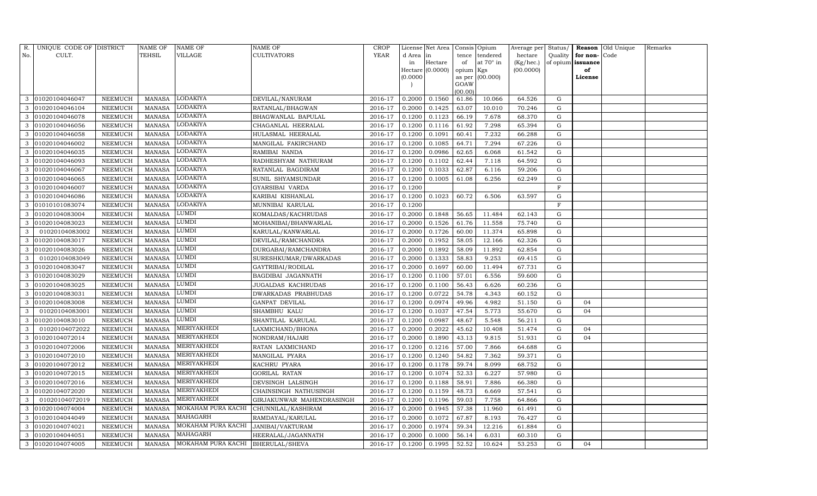| R.  | UNIQUE CODE OF DISTRICT |         | <b>NAME OF</b> | NAME OF                                  | <b>NAME OF</b>             | <b>CROP</b> |           | License Net Area |                 | Consis Opium     | Average per | Status/     |                   | Reason Old Unique | Remarks |
|-----|-------------------------|---------|----------------|------------------------------------------|----------------------------|-------------|-----------|------------------|-----------------|------------------|-------------|-------------|-------------------|-------------------|---------|
| No. | CULT.                   |         | TEHSIL         | VILLAGE                                  | <b>CULTIVATORS</b>         | YEAR        | d Area in |                  | tence           | tendered         | hectare     | Quality     | for non-          | Code              |         |
|     |                         |         |                |                                          |                            |             | in        | Hectare          | of              | at $70^\circ$ in | (Kg/hec.)   |             | of opium issuance |                   |         |
|     |                         |         |                |                                          |                            |             |           | Hectare (0.0000) | opium Kgs       |                  | (00.0000)   |             | of                |                   |         |
|     |                         |         |                |                                          |                            |             | (0.0000)  |                  |                 | as per (00.000)  |             |             | License           |                   |         |
|     |                         |         |                |                                          |                            |             |           |                  | GOAW<br>(00.00) |                  |             |             |                   |                   |         |
| 3   | 01020104046047          | NEEMUCH | <b>MANASA</b>  | LODAKIYA                                 | DEVILAL/NANURAM            | 2016-17     | 0.2000    | 0.1560           | 61.86           | 10.066           | 64.526      | G           |                   |                   |         |
| 3   | 01020104046104          | NEEMUCH | <b>MANASA</b>  | <b>LODAKIYA</b>                          | RATANLAL/BHAGWAN           | 2016-17     | 0.2000    | 0.1425           | 63.07           | 10.010           | 70.246      | G           |                   |                   |         |
| 3   | 01020104046078          | NEEMUCH | <b>MANASA</b>  | LODAKIYA                                 | BHAGWANLAL BAPULAL         | 2016-17     | 0.1200    | 0.1123           | 66.19           | 7.678            | 68.370      | G           |                   |                   |         |
| 3   | 01020104046056          | NEEMUCH | MANASA         | LODAKIYA                                 | CHAGANLAL HEERALAL         | 2016-17     | 0.1200    | 0.1116           | 61.92           | 7.298            | 65.394      | G           |                   |                   |         |
| 3   | 01020104046058          | NEEMUCH | <b>MANASA</b>  | <b>LODAKIYA</b>                          | HULASMAL HEERALAL          | 2016-17     | 0.1200    | 0.1091           | 60.41           | 7.232            | 66.288      | G           |                   |                   |         |
| 3   | 01020104046002          | NEEMUCH | <b>MANASA</b>  | LODAKIYA                                 | MANGILAL FAKIRCHAND        | 2016-17     | 0.1200    | 0.1085           | 64.71           | 7.294            | 67.226      | G           |                   |                   |         |
| 3   | 01020104046035          | NEEMUCH | MANASA         | LODAKIYA                                 | RAMIBAI NANDA              | 2016-17     | 0.1200    | 0.0986           | 62.65           | 6.068            | 61.542      | G           |                   |                   |         |
| 3   | 01020104046093          | NEEMUCH | MANASA         | LODAKIYA                                 | RADHESHYAM NATHURAM        | 2016-17     | 0.1200    | 0.1102           | 62.44           | 7.118            | 64.592      | G           |                   |                   |         |
| 3   | 01020104046067          | NEEMUCH | <b>MANASA</b>  | LODAKIYA                                 | RATANLAL BAGDIRAM          | 2016-17     | 0.1200    | 0.1033           | 62.87           | 6.116            | 59.206      | G           |                   |                   |         |
| 3   | 01020104046065          | NEEMUCH | MANASA         | <b>LODAKIYA</b>                          | SUNIL SHYAMSUNDAR          | 2016-17     | 0.1200    | 0.1005           | 61.08           | 6.256            | 62.249      | G           |                   |                   |         |
| 3   | 01020104046007          | NEEMUCH | <b>MANASA</b>  | LODAKIYA                                 | GYARSIBAI VARDA            | 2016-17     | 0.1200    |                  |                 |                  |             | F           |                   |                   |         |
| 3   | 01020104046086          | NEEMUCH | MANASA         | LODAKIYA                                 | KARIBAI KISHANLAL          | 2016-17     | 0.1200    | 0.1023           | 60.72           | 6.506            | 63.597      | G           |                   |                   |         |
|     | 01010101083074          | NEEMUCH | <b>MANASA</b>  | <b>LODAKIYA</b>                          | MUNNIBAI KARULAL           | 2016-17     | 0.1200    |                  |                 |                  |             | F           |                   |                   |         |
| 3   | 01020104083004          | NEEMUCH | <b>MANASA</b>  | LUMDI                                    | KOMALDAS/KACHRUDAS         | 2016-17     | 0.2000    | 0.1848           | 56.65           | 11.484           | 62.143      | G           |                   |                   |         |
| 3   | 01020104083023          | NEEMUCH | <b>MANASA</b>  | LUMDI                                    | MOHANIBAI/BHANWARLAL       | 2016-17     | 0.2000    | 0.1526           | 61.76           | 11.558           | 75.740      | G           |                   |                   |         |
| 3   | 01020104083002          | NEEMUCH | <b>MANASA</b>  | LUMDI                                    | KARULAL/KANWARLAL          | 2016-17     | 0.2000    | 0.1726           | 60.00           | 11.374           | 65.898      | ${\rm G}$   |                   |                   |         |
|     | 01020104083017          | NEEMUCH | MANASA         | LUMDI                                    | DEVILAL/RAMCHANDRA         | 2016-17     | 0.2000    | 0.1952           | 58.05           | 12.166           | 62.326      | G           |                   |                   |         |
| 3   | 01020104083026          | NEEMUCH | MANASA         | <b>LUMDI</b>                             | DURGABAI/RAMCHANDRA        | 2016-17     | 0.2000    | 0.1892           | 58.09           | 11.892           | 62.854      | G           |                   |                   |         |
| 3   | 01020104083049          | NEEMUCH | <b>MANASA</b>  | LUMDI                                    | SURESHKUMAR/DWARKADAS      | 2016-17     | 0.2000    | 0.1333           | 58.83           | 9.253            | 69.415      | G           |                   |                   |         |
| 3   | 01020104083047          | NEEMUCH | <b>MANASA</b>  | LUMDI                                    | GAYTRIBAI/RODILAL          | 2016-17     | 0.2000    | 0.1697           | 60.00           | 11.494           | 67.731      | $\mathbf G$ |                   |                   |         |
| 3   | 01020104083029          | NEEMUCH | <b>MANASA</b>  | LUMDI                                    | BAGDIBAI JAGANNATH         | 2016-17     | 0.1200    | 0.1100           | 57.01           | 6.556            | 59.600      | G           |                   |                   |         |
| 3   | 01020104083025          | NEEMUCH | <b>MANASA</b>  | LUMDI                                    | JUGALDAS KACHRUDAS         | 2016-17     | 0.1200    | 0.1100           | 56.43           | 6.626            | 60.236      | G           |                   |                   |         |
| 3   | 01020104083031          | NEEMUCH | MANASA         | LUMDI                                    | <b>DWARKADAS PRABHUDAS</b> | 2016-17     | 0.1200    | 0.0722           | 54.78           | 4.343            | 60.152      | G           |                   |                   |         |
| 3   | 01020104083008          | NEEMUCH | <b>MANASA</b>  | LUMDI                                    | GANPAT DEVILAL             | 2016-17     | 0.1200    | 0.0974           | 49.96           | 4.982            | 51.150      | G           | 04                |                   |         |
| 3   | 01020104083001          | NEEMUCH | <b>MANASA</b>  | LUMDI                                    | SHAMBHU KALU               | 2016-17     | 0.1200    | 0.1037           | 47.54           | 5.773            | 55.670      | G           | 04                |                   |         |
| 3   | 01020104083010          | NEEMUCH | MANASA         | LUMDI                                    | SHANTILAL KARULAL          | 2016-17     | 0.1200    | 0.0987           | 48.67           | 5.548            | 56.211      | G           |                   |                   |         |
| 3   | 01020104072022          | NEEMUCH | MANASA         | MERIYAKHEDI                              | LAXMICHAND/BHONA           | 2016-17     | 0.2000    | 0.2022           | 45.62           | 10.408           | 51.474      | G           | 04                |                   |         |
|     | 01020104072014          | NEEMUCH | <b>MANASA</b>  | MERIYAKHEDI                              | NONDRAM/HAJARI             | 2016-17     | 0.2000    | 0.1890           | 43.13           | 9.815            | 51.931      | G           | 04                |                   |         |
| 3   | 01020104072006          | NEEMUCH | MANASA         | MERIYAKHEDI                              | RATAN LAXMICHAND           | 2016-17     | 0.1200    | 0.1216           | 57.00           | 7.866            | 64.688      | G           |                   |                   |         |
| 3   | 01020104072010          | NEEMUCH | <b>MANASA</b>  | MERIYAKHEDI                              | MANGILAL PYARA             | 2016-17     | 0.1200    | 0.1240           | 54.82           | 7.362            | 59.371      | G           |                   |                   |         |
| 3   | 01020104072012          | NEEMUCH | <b>MANASA</b>  | MERIYAKHEDI                              | KACHRU PYARA               | 2016-17     | 0.1200    | 0.1178           | 59.74           | 8.099            | 68.752      | G           |                   |                   |         |
|     | 01020104072015          | NEEMUCH | <b>MANASA</b>  | MERIYAKHEDI                              | <b>GORILAL RATAN</b>       | 2016-17     | 0.1200    | 0.1074           | 52.33           | 6.227            | 57.980      | G           |                   |                   |         |
| 3   | 01020104072016          | NEEMUCH | <b>MANASA</b>  | MERIYAKHEDI                              | DEVSINGH LALSINGH          | 2016-17     | 0.1200    | 0.1188           | 58.91           | 7.886            | 66.380      | G           |                   |                   |         |
| 3   | 01020104072020          | NEEMUCH | <b>MANASA</b>  | MERIYAKHEDI                              | CHAINSINGH NATHUSINGH      | 2016-17     | 0.1200    | 0.1159           | 48.73           | 6.669            | 57.541      | G           |                   |                   |         |
| 3   | 01020104072019          | NEEMUCH | <b>MANASA</b>  | MERIYAKHEDI                              | GIRJAKUNWAR MAHENDRASINGH  | 2016-17     | 0.1200    | 0.1196           | 59.03           | 7.758            | 64.866      | G           |                   |                   |         |
| 3   | 01020104074004          | NEEMUCH | <b>MANASA</b>  | MOKAHAM PURA KACHI                       | CHUNNILAL/KASHIRAM         | 2016-17     | 0.2000    | 0.1945           | 57.38           | 11.960           | 61.491      | G           |                   |                   |         |
| 3   | 01020104044049          | NEEMUCH | MANASA         | MAHAGARH                                 | RAMDAYAL/KARULAL           | 2016-17     | 0.2000    | 0.1072           | 67.87           | 8.193            | 76.427      | G           |                   |                   |         |
| 3   | 01020104074021          | NEEMUCH | <b>MANASA</b>  | MOKAHAM PURA KACHI                       | JANIBAI/VAKTURAM           | 2016-17     | 0.2000    | 0.1974           | 59.34           | 12.216           | 61.884      | G           |                   |                   |         |
| 3   | 01020104044051          | NEEMUCH | <b>MANASA</b>  | MAHAGARH                                 | HEERALAL/JAGANNATH         | 2016-17     | 0.2000    | 0.1000           | 56.14           | 6.031            | 60.310      | $\mathbf G$ |                   |                   |         |
|     | 3 01020104074005        | NEEMUCH |                | MANASA MOKAHAM PURA KACHI BHERULAL/SHEVA |                            | 2016-17     | 0.1200    | 0.1995           | 52.52           | 10.624           | 53.253      | G           | 04                |                   |         |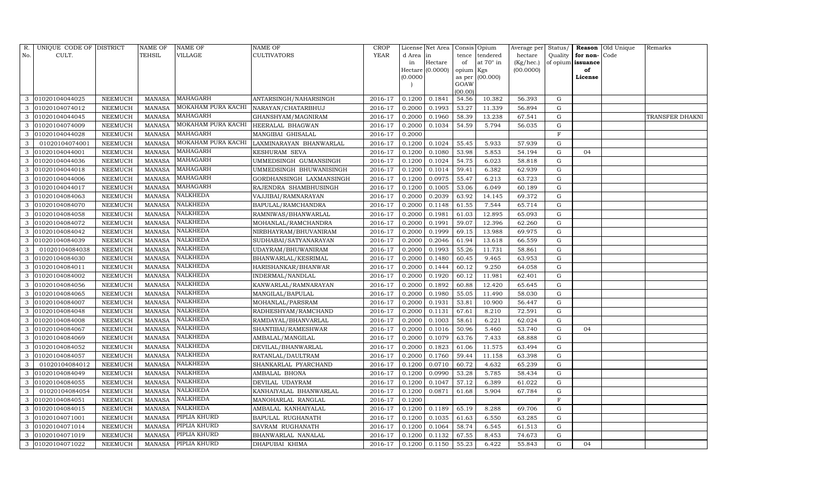| R.  | UNIQUE CODE OF DISTRICT |                | NAME OF       | NAME OF            | <b>NAME OF</b>           | <b>CROP</b> |           | License Net Area |                 | Consis Opium | Average per | Status/     | Reason            | Old Unique | Remarks         |
|-----|-------------------------|----------------|---------------|--------------------|--------------------------|-------------|-----------|------------------|-----------------|--------------|-------------|-------------|-------------------|------------|-----------------|
| No. | CULT.                   |                | TEHSIL        | VILLAGE            | <b>CULTIVATORS</b>       | YEAR        | d Area in |                  | tence           | tendered     | hectare     | Quality     | for non-          | Code       |                 |
|     |                         |                |               |                    |                          |             | in        | Hectare          | of              | at 70° in    | (Kg/hec.)   |             | of opium issuance |            |                 |
|     |                         |                |               |                    |                          |             |           | Hectare (0.0000) | opium Kgs       |              | (00.0000)   |             | of                |            |                 |
|     |                         |                |               |                    |                          |             | (0.0000)  |                  | as per          | (00.000)     |             |             | License           |            |                 |
|     |                         |                |               |                    |                          |             |           |                  | GOAW<br>(00.00) |              |             |             |                   |            |                 |
| 3   | 01020104044025          | NEEMUCH        | <b>MANASA</b> | MAHAGARH           | ANTARSINGH/NAHARSINGH    | 2016-17     | 0.1200    | 0.1841           | 54.56           | 10.382       | 56.393      | G           |                   |            |                 |
|     | 01020104074012          | NEEMUCH        | <b>MANASA</b> | MOKAHAM PURA KACHI | NARAYAN/CHATARBHUJ       | 2016-17     | 0.2000    | 0.1993           | 53.27           | 11.339       | 56.894      | G           |                   |            |                 |
| 3   | 01020104044045          | NEEMUCH        | <b>MANASA</b> | MAHAGARH           | GHANSHYAM/MAGNIRAM       | 2016-17     | 0.2000    | 0.1960           | 58.39           | 13.238       | 67.541      | G           |                   |            | TRANSFER DHAKNI |
| 3   | 01020104074009          | NEEMUCH        | <b>MANASA</b> | MOKAHAM PURA KACHI | HEERALAL BHAGWAN         | 2016-17     | 0.2000    | 0.1034           | 54.59           | 5.794        | 56.035      | ${\rm G}$   |                   |            |                 |
| 3   | 01020104044028          | <b>NEEMUCH</b> | <b>MANASA</b> | MAHAGARH           | MANGIBAI GHISALAL        | 2016-17     | 0.2000    |                  |                 |              |             | $\mathbf F$ |                   |            |                 |
| 3   | 01020104074001          | NEEMUCH        | <b>MANASA</b> | MOKAHAM PURA KACHI | LAXMINARAYAN BHANWARLAL  | 2016-17     | 0.1200    | 0.1024           | 55.45           | 5.933        | 57.939      | G           |                   |            |                 |
| 3   | 01020104044001          | NEEMUCH        | <b>MANASA</b> | MAHAGARH           | KESHURAM SEVA            | 2016-17     | 0.1200    | 0.1080           | 53.98           | 5.853        | 54.194      | G           | 04                |            |                 |
| 3   | 01020104044036          | NEEMUCH        | <b>MANASA</b> | MAHAGARH           | UMMEDSINGH GUMANSINGH    | 2016-17     | 0.1200    | 0.1024           | 54.75           | 6.023        | 58.818      | G           |                   |            |                 |
| 3   | 01020104044018          | <b>NEEMUCH</b> | <b>MANASA</b> | MAHAGARH           | UMMEDSINGH BHUWANISINGH  | 2016-17     | 0.1200    | 0.1014           | 59.41           | 6.382        | 62.939      | $\mathbf G$ |                   |            |                 |
| 3   | 01020104044006          | NEEMUCH        | <b>MANASA</b> | MAHAGARH           | GORDHANSINGH LAXMANSINGH | 2016-17     | 0.1200    | 0.0975           | 55.47           | 6.213        | 63.723      | ${\rm G}$   |                   |            |                 |
| 3   | 01020104044017          | NEEMUCH        | <b>MANASA</b> | MAHAGARH           | RAJENDRA SHAMBHUSINGH    | 2016-17     | 0.1200    | 0.1005           | 53.06           | 6.049        | 60.189      | ${\rm G}$   |                   |            |                 |
| 3   | 01020104084063          | NEEMUCH        | MANASA        | NALKHEDA           | VAJJIBAI/RAMNARAYAN      | 2016-17     | 0.2000    | 0.2039           | 63.92           | 14.145       | 69.372      | G           |                   |            |                 |
|     | 01020104084070          | <b>NEEMUCH</b> | <b>MANASA</b> | NALKHEDA           | BAPULAL/RAMCHANDRA       | 2016-17     | 0.2000    | 0.1148           | 61.55           | 7.544        | 65.714      | ${\rm G}$   |                   |            |                 |
| 3   | 01020104084058          | NEEMUCH        | MANASA        | NALKHEDA           | RAMNIWAS/BHANWARLAL      | 2016-17     | 0.2000    | 0.1981           | 61.03           | 12.895       | 65.093      | G           |                   |            |                 |
| 3   | 01020104084072          | NEEMUCH        | MANASA        | NALKHEDA           | MOHANLAL/RAMCHANDRA      | 2016-17     | 0.2000    | 0.1991           | 59.07           | 12.396       | 62.260      | G           |                   |            |                 |
| 3   | 01020104084042          | NEEMUCH        | <b>MANASA</b> | NALKHEDA           | NIRBHAYRAM/BHUVANIRAM    | 2016-17     | 0.2000    | 0.1999           | 69.15           | 13.988       | 69.975      | G           |                   |            |                 |
|     | 01020104084039          | <b>NEEMUCH</b> | <b>MANASA</b> | NALKHEDA           | SUDHABAI/SATYANARAYAN    | 2016-17     | 0.2000    | 0.2046           | 61.94           | 13.618       | 66.559      | G           |                   |            |                 |
| 3   | 01020104084038          | NEEMUCH        | MANASA        | NALKHEDA           | UDAYRAM/BHUWANIRAM       | 2016-17     | 0.2000    | 0.1993           | 55.26           | 11.731       | 58.861      | G           |                   |            |                 |
| 3   | 01020104084030          | NEEMUCH        | MANASA        | NALKHEDA           | BHANWARLAL/KESRIMAL      | 2016-17     | 0.2000    | 0.1480           | 60.45           | 9.465        | 63.953      | G           |                   |            |                 |
| 3   | 01020104084011          | NEEMUCH        | <b>MANASA</b> | NALKHEDA           | HARISHANKAR/BHANWAR      | 2016-17     | 0.2000    | 0.1444           | 60.12           | 9.250        | 64.058      | G           |                   |            |                 |
| 3   | 01020104084002          | NEEMUCH        | <b>MANASA</b> | <b>NALKHEDA</b>    | INDERMAL/NANDLAL         | 2016-17     | 0.2000    | 0.1920           | 60.12           | 11.981       | 62.401      | G           |                   |            |                 |
| 3   | 01020104084056          | NEEMUCH        | <b>MANASA</b> | NALKHEDA           | KANWARLAL/RAMNARAYAN     | 2016-17     | 0.2000    | 0.1892           | 60.88           | 12.420       | 65.645      | G           |                   |            |                 |
| 3   | 01020104084065          | NEEMUCH        | <b>MANASA</b> | NALKHEDA           | MANGILAL/BAPULAL         | 2016-17     | 0.2000    | 0.1980           | 55.05           | 11.490       | 58.030      | G           |                   |            |                 |
| 3   | 01020104084007          | NEEMUCH        | <b>MANASA</b> | NALKHEDA           | MOHANLAL/PARSRAM         | 2016-17     | 0.2000    | 0.1931           | 53.81           | 10.900       | 56.447      | G           |                   |            |                 |
|     | 01020104084048          | NEEMUCH        | <b>MANASA</b> | NALKHEDA           | RADHESHYAM/RAMCHAND      | 2016-17     | 0.2000    | 0.1131           | 67.61           | 8.210        | 72.591      | G           |                   |            |                 |
|     | 01020104084008          | NEEMUCH        | <b>MANASA</b> | NALKHEDA           | RAMDAYAL/BHANVARLAL      | 2016-17     | 0.2000    | 0.1003           | 58.61           | 6.221        | 62.024      | G           |                   |            |                 |
| 3   | 01020104084067          | NEEMUCH        | <b>MANASA</b> | NALKHEDA           | SHANTIBAI/RAMESHWAR      | 2016-17     | 0.2000    | 0.1016           | 50.96           | 5.460        | 53.740      | G           | 04                |            |                 |
| 3   | 01020104084069          | NEEMUCH        | <b>MANASA</b> | NALKHEDA           | AMBALAL/MANGILAL         | 2016-17     | 0.2000    | 0.1079           | 63.76           | 7.433        | 68.888      | $\mathbf G$ |                   |            |                 |
| 3   | 01020104084052          | NEEMUCH        | <b>MANASA</b> | NALKHEDA           | DEVILAL/BHANWARLAL       | 2016-17     | 0.2000    | 0.1823           | 61.06           | 11.575       | 63.494      | G           |                   |            |                 |
| 3   | 01020104084057          | NEEMUCH        | <b>MANASA</b> | NALKHEDA           | RATANLAL/DAULTRAM        | 2016-17     | 0.2000    | 0.1760           | 59.44           | 11.158       | 63.398      | ${\rm G}$   |                   |            |                 |
| 3   | 01020104084012          | NEEMUCH        | <b>MANASA</b> | NALKHEDA           | SHANKARLAL PYARCHAND     | 2016-17     | 0.1200    | 0.0710           | 60.72           | 4.632        | 65.239      | $\mathbf G$ |                   |            |                 |
| 3   | 01020104084049          | NEEMUCH        | <b>MANASA</b> | NALKHEDA           | AMBALAL BHONA            | 2016-17     | 0.1200    | 0.0990           | 53.28           | 5.785        | 58.434      | $\mathbf G$ |                   |            |                 |
| 3   | 01020104084055          | NEEMUCH        | <b>MANASA</b> | NALKHEDA           | DEVILAL UDAYRAM          | 2016-17     | 0.1200    | 0.1047           | 57.12           | 6.389        | 61.022      | ${\rm G}$   |                   |            |                 |
| 3   | 01020104084054          | NEEMUCH        | <b>MANASA</b> | NALKHEDA           | KANHAIYALAL BHANWARLAL   | 2016-17     | 0.1200    | 0.0871           | 61.68           | 5.904        | 67.784      | ${\rm G}$   |                   |            |                 |
| 3   | 01020104084051          | NEEMUCH        | <b>MANASA</b> | NALKHEDA           | MANOHARLAL RANGLAL       | 2016-17     | 0.1200    |                  |                 |              |             | $\mathbf F$ |                   |            |                 |
| 3   | 01020104084015          | <b>NEEMUCH</b> | <b>MANASA</b> | NALKHEDA           | AMBALAL KANHAIYALAL      | 2016-17     | 0.1200    | 0.1189           | 65.19           | 8.288        | 69.706      | ${\rm G}$   |                   |            |                 |
| 3   | 01020104071001          | NEEMUCH        | <b>MANASA</b> | PIPLIA KHURD       | <b>BAPULAL RUGHANATH</b> | 2016-17     | 0.1200    | 0.1035           | 61.63           | 6.550        | 63.285      | G           |                   |            |                 |
| 3   | 01020104071014          | NEEMUCH        | <b>MANASA</b> | PIPLIA KHURD       | SAVRAM RUGHANATH         | 2016-17     | 0.1200    | 0.1064           | 58.74           | 6.545        | 61.513      | G           |                   |            |                 |
| 3   | 01020104071019          | NEEMUCH        | MANASA        | PIPLIA KHURD       | BHANWARLAL NANALAL       | 2016-17     | 0.1200    | 0.1132           | 67.55           | 8.453        | 74.673      | G           |                   |            |                 |
| 3   | 01020104071022          | <b>NEEMUCH</b> | MANASA        | PIPLIA KHURD       | DHAPUBAI KHIMA           | 2016-17     | 0.1200    | 0.1150           | 55.23           | 6.422        | 55.843      | G           | 04                |            |                 |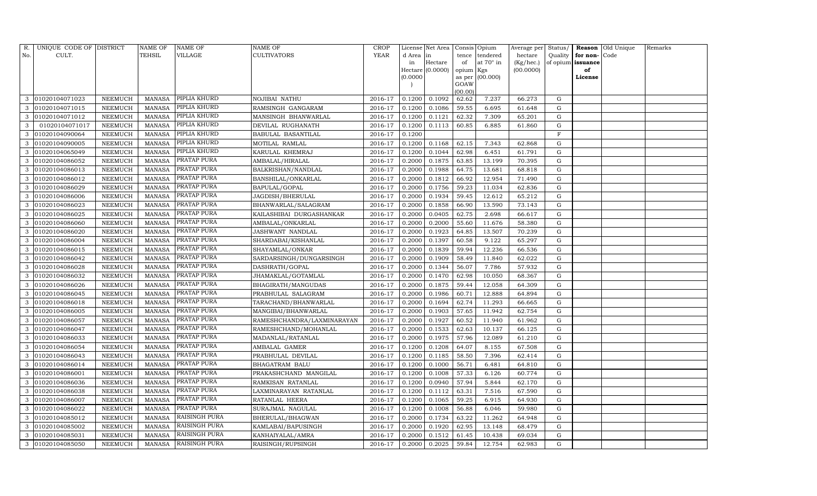| R.  | UNIQUE CODE OF DISTRICT |                 | NAME OF       | NAME OF              | NAME OF                    | CROP        |           | License Net Area |           | Consis Opium     | Average per Status/ |           |          | Reason Old Unique | Remarks |
|-----|-------------------------|-----------------|---------------|----------------------|----------------------------|-------------|-----------|------------------|-----------|------------------|---------------------|-----------|----------|-------------------|---------|
| No. | CULT.                   |                 | TEHSIL        | VILLAGE              | CULTIVATORS                | <b>YEAR</b> | d Area in |                  | tence     | tendered         | hectare             | Quality   | for non- | Code              |         |
|     |                         |                 |               |                      |                            |             | in        | Hectare          | of        | at $70^\circ$ in | (Kg/hec.)           | of opium  | issuance |                   |         |
|     |                         |                 |               |                      |                            |             |           | Hectare (0.0000) | opium Kgs |                  | (00.0000)           |           | of       |                   |         |
|     |                         |                 |               |                      |                            |             | (0.0000)  |                  | GOAW      | as per (00.000)  |                     |           | License  |                   |         |
|     |                         |                 |               |                      |                            |             |           |                  | (00.00)   |                  |                     |           |          |                   |         |
| 3   | 01020104071023          | NEEMUCH         | MANASA        | PIPLIA KHURD         | NOJIBAI NATHU              | 2016-17     | 0.1200    | 0.1092           | 62.62     | 7.237            | 66.273              | G         |          |                   |         |
| 3   | 01020104071015          | NEEMUCH         | <b>MANASA</b> | PIPLIA KHURD         | RAMSINGH GANGARAM          | 2016-17     | 0.1200    | 0.1086           | 59.55     | 6.695            | 61.648              | G         |          |                   |         |
| 3   | 01020104071012          | NEEMUCH         | <b>MANASA</b> | PIPLIA KHURD         | MANSINGH BHANWARLAL        | 2016-17     | 0.1200    | 0.1121           | 62.32     | 7.309            | 65.201              | G         |          |                   |         |
| 3   | 01020104071017          | NEEMUCH         | <b>MANASA</b> | PIPLIA KHURD         | DEVILAL RUGHANATH          | 2016-17     | 0.1200    | 0.1113           | 60.85     | 6.885            | 61.860              | ${\rm G}$ |          |                   |         |
| 3   | 01020104090064          | NEEMUCH         | <b>MANASA</b> | PIPLIA KHURD         | BABULAL BASANTILAL         | 2016-17     | 0.1200    |                  |           |                  |                     | $\rm F$   |          |                   |         |
| 3   | 01020104090005          | NEEMUCH         | <b>MANASA</b> | PIPLIA KHURD         | MOTILAL RAMLAL             | 2016-17     | 0.1200    | 0.1168           | 62.15     | 7.343            | 62.868              | ${\rm G}$ |          |                   |         |
| 3   | 01020104065049          | <b>NEEMUCH</b>  | <b>MANASA</b> | PIPLIA KHURD         | KARULAL KHEMRAJ            | 2016-17     | 0.1200    | 0.1044           | 62.98     | 6.451            | 61.791              | G         |          |                   |         |
| 3   | 01020104086052          | NEEMUCH         | <b>MANASA</b> | PRATAP PURA          | AMBALAL/HIRALAL            | 2016-17     | 0.2000    | 0.1875           | 63.85     | 13.199           | 70.395              | G         |          |                   |         |
| 3   | 01020104086013          | NEEMUCH         | <b>MANASA</b> | PRATAP PURA          | BALKRISHAN/NANDLAL         | 2016-17     | 0.2000    | 0.1988           | 64.75     | 13.681           | 68.818              | G         |          |                   |         |
| 3   | 01020104086012          | NEEMUCH         | <b>MANASA</b> | PRATAP PURA          | BANSHILAL/ONKARLAL         | 2016-17     | 0.2000    | 0.1812           | 66.92     | 12.954           | 71.490              | G         |          |                   |         |
| 3   | 01020104086029          | ${\tt NEEMUCH}$ | <b>MANASA</b> | PRATAP PURA          | BAPULAL/GOPAL              | 2016-17     | 0.2000    | 0.1756           | 59.23     | 11.034           | 62.836              | G         |          |                   |         |
| 3   | 01020104086006          | NEEMUCH         | <b>MANASA</b> | PRATAP PURA          | JAGDISH/BHERULAL           | 2016-17     | 0.2000    | 0.1934           | 59.45     | 12.612           | 65.212              | G         |          |                   |         |
|     | 01020104086023          | <b>NEEMUCH</b>  | <b>MANASA</b> | PRATAP PURA          | BHANWARLAL/SALAGRAM        | 2016-17     | 0.2000    | 0.1858           | 66.90     | 13.590           | 73.143              | G         |          |                   |         |
| 3   | 01020104086025          | NEEMUCH         | <b>MANASA</b> | PRATAP PURA          | KAILASHIBAI DURGASHANKAR   | 2016-17     | 0.2000    | 0.0405           | 62.75     | 2.698            | 66.617              | G         |          |                   |         |
| 3   | 01020104086060          | NEEMUCH         | <b>MANASA</b> | PRATAP PURA          | AMBALAL/ONKARLAL           | 2016-17     | 0.2000    | 0.2000           | 55.60     | 11.676           | 58.380              | G         |          |                   |         |
| 3   | 01020104086020          | NEEMUCH         | <b>MANASA</b> | PRATAP PURA          | JASHWANT NANDLAL           | 2016-17     | 0.2000    | 0.1923           | 64.85     | 13.507           | 70.239              | G         |          |                   |         |
|     | 01020104086004          | NEEMUCH         | <b>MANASA</b> | PRATAP PURA          | SHARDABAI/KISHANLAL        | 2016-17     | 0.2000    | 0.1397           | 60.58     | 9.122            | 65.297              | ${\rm G}$ |          |                   |         |
| 3   | 01020104086015          | NEEMUCH         | <b>MANASA</b> | PRATAP PURA          | SHAYAMLAL/ONKAR            | 2016-17     | 0.2000    | 0.1839           | 59.94     | 12.236           | 66.536              | G         |          |                   |         |
| 3   | 01020104086042          | NEEMUCH         | <b>MANASA</b> | PRATAP PURA          | SARDARSINGH/DUNGARSINGH    | 2016-17     | 0.2000    | 0.1909           | 58.49     | 11.840           | 62.022              | G         |          |                   |         |
| 3   | 01020104086028          | <b>NEEMUCH</b>  | <b>MANASA</b> | PRATAP PURA          | DASHRATH/GOPAL             | 2016-17     | 0.2000    | 0.1344           | 56.07     | 7.786            | 57.932              | ${\rm G}$ |          |                   |         |
| 3   | 01020104086032          | NEEMUCH         | <b>MANASA</b> | PRATAP PURA          | JHAMAKLAL/GOTAMLAL         | 2016-17     | 0.2000    | 0.1470           | 62.98     | 10.050           | 68.367              | ${\rm G}$ |          |                   |         |
| 3   | 01020104086026          | NEEMUCH         | <b>MANASA</b> | PRATAP PURA          | BHAGIRATH/MANGUDAS         | 2016-17     | 0.2000    | 0.1875           | 59.44     | 12.058           | 64.309              | G         |          |                   |         |
| 3   | 01020104086045          | NEEMUCH         | <b>MANASA</b> | PRATAP PURA          | PRABHULAL SALAGRAM         | 2016-17     | 0.2000    | 0.1986           | 60.71     | 12.888           | 64.894              | G         |          |                   |         |
| 3   | 01020104086018          | NEEMUCH         | <b>MANASA</b> | PRATAP PURA          | TARACHAND/BHANWARLAL       | 2016-17     | 0.2000    | 0.1694           | 62.74     | 11.293           | 66.665              | G         |          |                   |         |
| 3   | 01020104086005          | NEEMUCH         | <b>MANASA</b> | PRATAP PURA          | MANGIBAI/BHANWARLAL        | 2016-17     | 0.2000    | 0.1903           | 57.65     | 11.942           | 62.754              | ${\rm G}$ |          |                   |         |
| 3   | 01020104086057          | NEEMUCH         | <b>MANASA</b> | PRATAP PURA          | RAMESHCHANDRA/LAXMINARAYAN | 2016-17     | 0.2000    | 0.1927           | 60.52     | 11.940           | 61.962              | G         |          |                   |         |
| 3   | 01020104086047          | NEEMUCH         | <b>MANASA</b> | PRATAP PURA          | RAMESHCHAND/MOHANLAL       | 2016-17     | 0.2000    | 0.1533           | 62.63     | 10.137           | 66.125              | ${\rm G}$ |          |                   |         |
| 3   | 01020104086033          | <b>NEEMUCH</b>  | <b>MANASA</b> | PRATAP PURA          | MADANLAL/RATANLAL          | 2016-17     | 0.2000    | 0.1975           | 57.96     | 12.089           | 61.210              | ${\rm G}$ |          |                   |         |
| 3   | 01020104086054          | NEEMUCH         | MANASA        | PRATAP PURA          | AMBALAL GAMER              | 2016-17     | 0.1200    | 0.1208           | 64.07     | 8.155            | 67.508              | G         |          |                   |         |
| 3   | 01020104086043          | NEEMUCH         | <b>MANASA</b> | PRATAP PURA          | PRABHULAL DEVILAL          | 2016-17     | 0.1200    | 0.1185           | 58.50     | 7.396            | 62.414              | G         |          |                   |         |
| 3   | 01020104086014          | NEEMUCH         | <b>MANASA</b> | PRATAP PURA          | BHAGATRAM BALU             | 2016-17     | 0.1200    | 0.1000           | 56.71     | 6.481            | 64.810              | G         |          |                   |         |
| 3   | 01020104086001          | <b>NEEMUCH</b>  | <b>MANASA</b> | PRATAP PURA          | PRAKASHCHAND MANGILAL      | 2016-17     | 0.1200    | 0.1008           | 57.33     | 6.126            | 60.774              | G         |          |                   |         |
| 3   | 01020104086036          | NEEMUCH         | <b>MANASA</b> | PRATAP PURA          | RAMKISAN RATANLAL          | 2016-17     | 0.1200    | 0.0940           | 57.94     | 5.844            | 62.170              | G         |          |                   |         |
| 3   | 01020104086038          | NEEMUCH         | <b>MANASA</b> | PRATAP PURA          | LAXMINARAYAN RATANLAL      | 2016-17     | 0.1200    | 0.1112           | 63.31     | 7.516            | 67.590              | G         |          |                   |         |
| 3   | 01020104086007          | NEEMUCH         | <b>MANASA</b> | PRATAP PURA          | RATANLAL HEERA             | 2016-17     | 0.1200    | 0.1065           | 59.25     | 6.915            | 64.930              | G         |          |                   |         |
| 3   | 01020104086022          | NEEMUCH         | MANASA        | PRATAP PURA          | SURAJMAL NAGULAL           | 2016-17     | 0.1200    | 0.1008           | 56.88     | 6.046            | 59.980              | ${\rm G}$ |          |                   |         |
| 3   | 01020104085012          | NEEMUCH         | <b>MANASA</b> | <b>RAISINGH PURA</b> | BHERULAL/BHAGWAN           | 2016-17     | 0.2000    | 0.1734           | 63.22     | 11.262           | 64.948              | G         |          |                   |         |
| 3   | 01020104085002          | NEEMUCH         | <b>MANASA</b> | RAISINGH PURA        | KAMLABAI/BAPUSINGH         | 2016-17     | 0.2000    | 0.1920           | 62.95     | 13.148           | 68.479              | ${\rm G}$ |          |                   |         |
| 3   | 01020104085031          | NEEMUCH         | <b>MANASA</b> | RAISINGH PURA        | KANHAIYALAL/AMRA           | 2016-17     | 0.2000    | 0.1512           | 61.45     | 10.438           | 69.034              | G         |          |                   |         |
| 3   | 01020104085050          | NEEMUCH         | MANASA        | <b>RAISINGH PURA</b> | RAISINGH/RUPSINGH          | 2016-17     | 0.2000    | 0.2025           | 59.84     | 12.754           | 62.983              | G         |          |                   |         |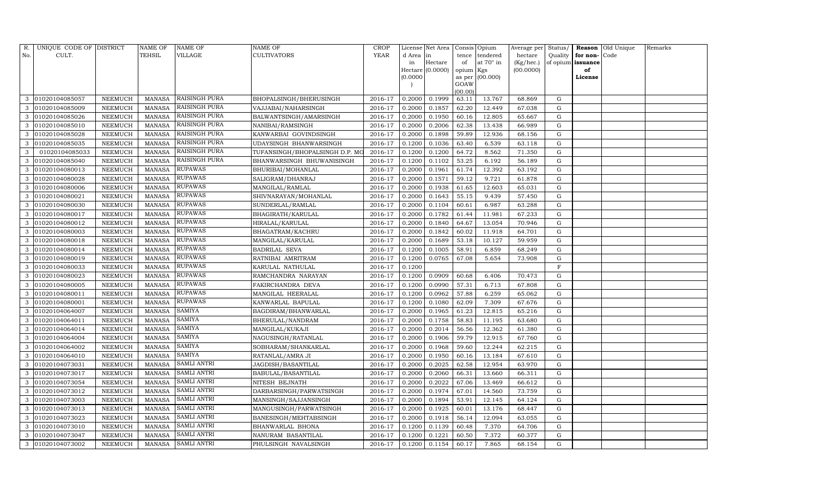| R.  | UNIQUE CODE OF DISTRICT |                | <b>NAME OF</b> | NAME OF              | NAME OF                        | <b>CROP</b> |           | License Net Area |                 | Consis Opium    | Average per | Status/   |          | Reason Old Unique | Remarks |
|-----|-------------------------|----------------|----------------|----------------------|--------------------------------|-------------|-----------|------------------|-----------------|-----------------|-------------|-----------|----------|-------------------|---------|
| No. | CULT.                   |                | TEHSIL         | VILLAGE              | CULTIVATORS                    | <b>YEAR</b> | d Area in |                  | tence           | tendered        | hectare     | Quality   | for non- | Code              |         |
|     |                         |                |                |                      |                                |             | in        | Hectare          | of              | at 70° in       | (Kg/hec.)   | of opium  | issuance |                   |         |
|     |                         |                |                |                      |                                |             |           | Hectare (0.0000) | opium Kgs       |                 | (00.0000)   |           | of       |                   |         |
|     |                         |                |                |                      |                                |             | (0.0000)  |                  |                 | as per (00.000) |             |           | License  |                   |         |
|     |                         |                |                |                      |                                |             |           |                  | GOAW<br>(00.00) |                 |             |           |          |                   |         |
| 3   | 01020104085057          | NEEMUCH        | <b>MANASA</b>  | RAISINGH PURA        | BHOPALSINGH/BHERUSINGH         | 2016-17     | 0.2000    | 0.1999           | 63.11           | 13.767          | 68.869      | G         |          |                   |         |
|     | 01020104085009          | NEEMUCH        | <b>MANASA</b>  | <b>RAISINGH PURA</b> | VAJJABAI/NAHARSINGH            | 2016-17     | 0.2000    | 0.1857           | 62.20           | 12.449          | 67.038      | G         |          |                   |         |
| 3   | 01020104085026          | NEEMUCH        | <b>MANASA</b>  | RAISINGH PURA        | BALWANTSINGH/AMARSINGH         | 2016-17     | 0.2000    | 0.1950           | 60.16           | 12.805          | 65.667      | G         |          |                   |         |
| 3   | 01020104085010          | NEEMUCH        | <b>MANASA</b>  | RAISINGH PURA        | NANIBAI/RAMSINGH               | 2016-17     | 0.2000    | 0.2006           | 62.38           | 13.438          | 66.989      | G         |          |                   |         |
| 3   | 01020104085028          | <b>NEEMUCH</b> | <b>MANASA</b>  | RAISINGH PURA        | KANWARBAI GOVINDSINGH          | 2016-17     | 0.2000    | 0.1898           | 59.89           | 12.936          | 68.156      | G         |          |                   |         |
| 3   | 01020104085035          | NEEMUCH        | <b>MANASA</b>  | RAISINGH PURA        | UDAYSINGH BHANWARSINGH         | 2016-17     | 0.1200    | 0.1036           | 63.40           | 6.539           | 63.118      | ${\rm G}$ |          |                   |         |
| 3   | 01020104085033          | NEEMUCH        | <b>MANASA</b>  | RAISINGH PURA        | TUFANSINGH/BHOPALSINGH D.P. MO | 2016-17     | 0.1200    | 0.1200           | 64.72           | 8.562           | 71.350      | G         |          |                   |         |
| 3   | 01020104085040          | NEEMUCH        | <b>MANASA</b>  | RAISINGH PURA        | BHANWARSINGH BHUWANISINGH      | 2016-17     | 0.1200    | 0.1102           | 53.25           | 6.192           | 56.189      | ${\rm G}$ |          |                   |         |
| 3   | 01020104080013          | NEEMUCH        | <b>MANASA</b>  | RUPAWAS              | BHURIBAI/MOHANLAL              | 2016-17     | 0.2000    | 0.1961           | 61.74           | 12.392          | 63.192      | G         |          |                   |         |
| 3   | 01020104080028          | NEEMUCH        | <b>MANASA</b>  | RUPAWAS              | SALIGRAM/DHANRAJ               | 2016-17     | 0.2000    | 0.1571           | 59.12           | 9.721           | 61.878      | ${\rm G}$ |          |                   |         |
| 3   | 01020104080006          | NEEMUCH        | <b>MANASA</b>  | RUPAWAS              | MANGILAL/RAMLAL                | 2016-17     | 0.2000    | 0.1938           | 61.65           | 12.603          | 65.031      | ${\rm G}$ |          |                   |         |
| 3   | 01020104080021          | NEEMUCH        | <b>MANASA</b>  | RUPAWAS              | SHIVNARAYAN/MOHANLAL           | 2016-17     | 0.2000    | 0.1643           | 55.15           | 9.439           | 57.450      | G         |          |                   |         |
|     | 01020104080030          | <b>NEEMUCH</b> | <b>MANASA</b>  | <b>RUPAWAS</b>       | SUNDERLAL/RAMLAL               | 2016-17     | 0.2000    | 0.1104           | 60.61           | 6.987           | 63.288      | ${\rm G}$ |          |                   |         |
| 3   | 01020104080017          | NEEMUCH        | <b>MANASA</b>  | RUPAWAS              | BHAGIRATH/KARULAL              | 2016-17     | 0.2000    | 0.1782           | 61.44           | 11.981          | 67.233      | G         |          |                   |         |
| 3   | 01020104080012          | NEEMUCH        | <b>MANASA</b>  | <b>RUPAWAS</b>       | HIRALAL/KARULAL                | 2016-17     | 0.2000    | 0.1840           | 64.67           | 13.054          | 70.946      | G         |          |                   |         |
| 3   | 01020104080003          | NEEMUCH        | <b>MANASA</b>  | <b>RUPAWAS</b>       | BHAGATRAM/KACHRU               | 2016-17     | 0.2000    | 0.1842           | 60.02           | 11.918          | 64.701      | G         |          |                   |         |
|     | 01020104080018          | <b>NEEMUCH</b> | <b>MANASA</b>  | RUPAWAS              | MANGILAL/KARULAL               | 2016-17     | 0.2000    | 0.1689           | 53.18           | 10.127          | 59.959      | G         |          |                   |         |
| 3   | 01020104080014          | NEEMUCH        | MANASA         | <b>RUPAWAS</b>       | BADRILAL SEVA                  | 2016-17     | 0.1200    | 0.1005           | 58.91           | 6.859           | 68.249      | G         |          |                   |         |
| 3   | 01020104080019          | NEEMUCH        | <b>MANASA</b>  | <b>RUPAWAS</b>       | RATNIBAI AMRITRAM              | 2016-17     | 0.1200    | 0.0765           | 67.08           | 5.654           | 73.908      | G         |          |                   |         |
| 3   | 01020104080033          | NEEMUCH        | <b>MANASA</b>  | RUPAWAS              | KARULAL NATHULAL               | 2016-17     | 0.1200    |                  |                 |                 |             | F         |          |                   |         |
| 3   | 01020104080023          | NEEMUCH        | <b>MANASA</b>  | <b>RUPAWAS</b>       | RAMCHANDRA NARAYAN             | 2016-17     | 0.1200    | 0.0909           | 60.68           | 6.406           | 70.473      | ${\rm G}$ |          |                   |         |
| 3   | 01020104080005          | <b>NEEMUCH</b> | <b>MANASA</b>  | RUPAWAS              | FAKIRCHANDRA DEVA              | 2016-17     | 0.1200    | 0.0990           | 57.31           | 6.713           | 67.808      | ${\rm G}$ |          |                   |         |
| 3   | 01020104080011          | NEEMUCH        | <b>MANASA</b>  | RUPAWAS              | MANGILAL HEERALAL              | 2016-17     | 0.1200    | 0.0962           | 57.88           | 6.259           | 65.062      | G         |          |                   |         |
| 3   | 01020104080001          | NEEMUCH        | <b>MANASA</b>  | <b>RUPAWAS</b>       | KANWARLAL BAPULAL              | 2016-17     | 0.1200    | 0.1080           | 62.09           | 7.309           | 67.676      | ${\rm G}$ |          |                   |         |
|     | 01020104064007          | NEEMUCH        | <b>MANASA</b>  | SAMIYA               | BAGDIRAM/BHANWARLAL            | 2016-17     | 0.2000    | 0.1965           | 61.23           | 12.815          | 65.216      | ${\rm G}$ |          |                   |         |
| 3   | 01020104064011          | NEEMUCH        | <b>MANASA</b>  | SAMIYA               | BHERULAL/NANDRAM               | 2016-17     | 0.2000    | 0.1758           | 58.83           | 11.195          | 63.680      | G         |          |                   |         |
| 3   | 01020104064014          | NEEMUCH        | <b>MANASA</b>  | SAMIYA               | MANGILAL/KUKAJI                | 2016-17     | 0.2000    | 0.2014           | 56.56           | 12.362          | 61.380      | ${\rm G}$ |          |                   |         |
| 3   | 01020104064004          | NEEMUCH        | <b>MANASA</b>  | SAMIYA               | NAGUSINGH/RATANLAL             | 2016-17     | 0.2000    | 0.1906           | 59.79           | 12.915          | 67.760      | ${\rm G}$ |          |                   |         |
| 3   | 01020104064002          | NEEMUCH        | <b>MANASA</b>  | <b>SAMIYA</b>        | SOBHARAM/SHANKARLAL            | 2016-17     | 0.2000    | 0.1968           | 59.60           | 12.244          | 62.215      | G         |          |                   |         |
| 3   | 01020104064010          | NEEMUCH        | <b>MANASA</b>  | SAMIYA               | RATANLAL/AMRA JI               | 2016-17     | 0.2000    | 0.1950           | 60.16           | 13.184          | 67.610      | ${\rm G}$ |          |                   |         |
| 3   | 01020104073031          | NEEMUCH        | <b>MANASA</b>  | <b>SAMLI ANTRI</b>   | JAGDISH/BASANTILAL             | 2016-17     | 0.2000    | 0.2025           | 62.58           | 12.954          | 63.970      | G         |          |                   |         |
| 3   | 01020104073017          | <b>NEEMUCH</b> | <b>MANASA</b>  | SAMLI ANTRI          | BABULAL/BASANTILAL             | 2016-17     | 0.2000    | 0.2060           | 66.31           | 13.660          | 66.311      | G         |          |                   |         |
| 3   | 01020104073054          | NEEMUCH        | <b>MANASA</b>  | <b>SAMLI ANTRI</b>   | NITESH BEJNATH                 | 2016-17     | 0.2000    | 0.2022           | 67.06           | 13.469          | 66.612      | ${\rm G}$ |          |                   |         |
| 3   | 01020104073012          | NEEMUCH        | <b>MANASA</b>  | SAMLI ANTRI          | DARBARSINGH/PARWATSINGH        | 2016-17     | 0.2000    | 0.1974           | 67.01           | 14.560          | 73.759      | G         |          |                   |         |
| 3   | 01020104073003          | NEEMUCH        | <b>MANASA</b>  | SAMLI ANTRI          | MANSINGH/SAJJANSINGH           | 2016-17     | 0.2000    | 0.1894           | 53.91           | 12.145          | 64.124      | ${\rm G}$ |          |                   |         |
| 3   | 01020104073013          | <b>NEEMUCH</b> | <b>MANASA</b>  | <b>SAMLI ANTRI</b>   | MANGUSINGH/PARWATSINGH         | 2016-17     | 0.2000    | 0.1925           | 60.01           | 13.176          | 68.447      | ${\rm G}$ |          |                   |         |
| 3   | 01020104073023          | NEEMUCH        | <b>MANASA</b>  | <b>SAMLI ANTRI</b>   | BANESINGH/MEHTABSINGH          | 2016-17     | 0.2000    | 0.1918           | 56.14           | 12.094          | 63.055      | G         |          |                   |         |
| 3   | 01020104073010          | NEEMUCH        | <b>MANASA</b>  | <b>SAMLI ANTRI</b>   | BHANWARLAL BHONA               | 2016-17     | 0.1200    | 0.1139           | 60.48           | 7.370           | 64.706      | G         |          |                   |         |
| 3   | 01020104073047          | NEEMUCH        | <b>MANASA</b>  | <b>SAMLI ANTRI</b>   | NANURAM BASANTILAL             | 2016-17     | 0.1200    | 0.1221           | 60.50           | 7.372           | 60.377      | G         |          |                   |         |
| 3   | 01020104073002          | NEEMUCH        | MANASA         | <b>SAMLI ANTRI</b>   | PHULSINGH NAVALSINGH           | 2016-17     | 0.1200    | 0.1154           | 60.17           | 7.865           | 68.154      | G         |          |                   |         |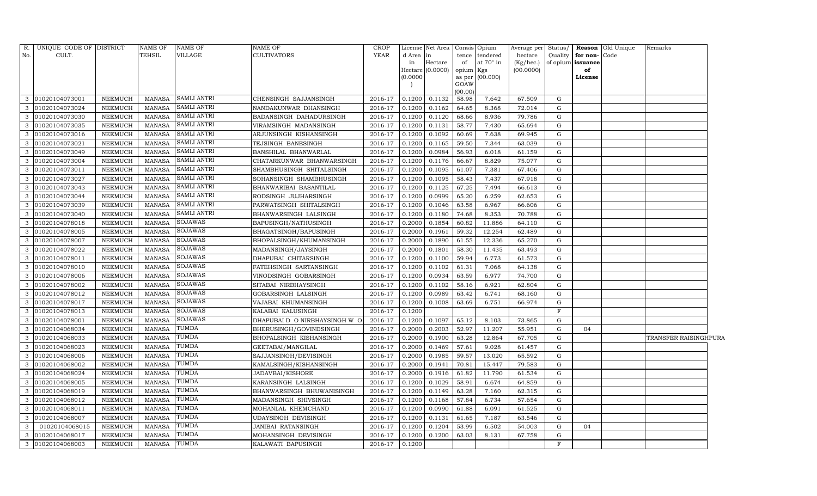| R.  | UNIQUE CODE OF DISTRICT |                | <b>NAME OF</b> | NAME OF            | NAME OF                       | <b>CROP</b> |           | License Net Area | Consis Opium   |                  | Average per Status/ |             |                   | Reason Old Unique | Remarks               |  |
|-----|-------------------------|----------------|----------------|--------------------|-------------------------------|-------------|-----------|------------------|----------------|------------------|---------------------|-------------|-------------------|-------------------|-----------------------|--|
| No. | CULT.                   |                | <b>TEHSIL</b>  | VILLAGE            | <b>CULTIVATORS</b>            | YEAR        | d Area in |                  | tence          | tendered         | hectare             | Quality     | for non-Code      |                   |                       |  |
|     |                         |                |                |                    |                               |             | in        | Hectare          | of             | at $70^\circ$ in | (Kg/hec.)           |             | of opium issuance |                   |                       |  |
|     |                         |                |                |                    |                               |             | (0.0000)  | Hectare (0.0000) | opium          | Kgs<br>(00.000)  | (00.0000)           |             | of<br>License     |                   |                       |  |
|     |                         |                |                |                    |                               |             |           |                  | as per<br>GOAW |                  |                     |             |                   |                   |                       |  |
|     |                         |                |                |                    |                               |             |           |                  | (00.00)        |                  |                     |             |                   |                   |                       |  |
| 3   | 01020104073001          | <b>NEEMUCH</b> | MANASA         | <b>SAMLI ANTRI</b> | CHENSINGH SAJJANSINGH         | 2016-17     | 0.1200    | 0.1132           | 58.98          | 7.642            | 67.509              | G           |                   |                   |                       |  |
| 3   | 01020104073024          | NEEMUCH        | <b>MANASA</b>  | <b>SAMLI ANTRI</b> | NANDAKUNWAR DHANSINGH         | 2016-17     | 0.1200    | 0.1162           | 64.65          | 8.368            | 72.014              | G           |                   |                   |                       |  |
| 3   | 01020104073030          | <b>NEEMUCH</b> | <b>MANASA</b>  | <b>SAMLI ANTRI</b> | BADANSINGH DAHADURSINGH       | 2016-17     | 0.1200    | 0.1120           | 68.66          | 8.936            | 79.786              | G           |                   |                   |                       |  |
| 3   | 01020104073035          | <b>NEEMUCH</b> | <b>MANASA</b>  | <b>SAMLI ANTRI</b> | VIRAMSINGH MADANSINGH         | 2016-17     | 0.1200    | 0.1131           | 58.77          | 7.430            | 65.694              | G           |                   |                   |                       |  |
| 3   | 01020104073016          | <b>NEEMUCH</b> | <b>MANASA</b>  | <b>SAMLI ANTRI</b> | ARJUNSINGH KISHANSINGH        | 2016-17     | 0.1200    | 0.1092           | 60.69          | 7.638            | 69.945              | G           |                   |                   |                       |  |
| 3   | 01020104073021          | <b>NEEMUCH</b> | <b>MANASA</b>  | <b>SAMLI ANTRI</b> | TEJSINGH BANESINGH            | 2016-17     | 0.1200    | 0.1165           | 59.50          | 7.344            | 63.039              | G           |                   |                   |                       |  |
| 3   | 01020104073049          | <b>NEEMUCH</b> | <b>MANASA</b>  | <b>SAMLI ANTRI</b> | BANSHILAL BHANWARLAL          | 2016-17     | 0.1200    | 0.0984           | 56.93          | 6.018            | 61.159              | G           |                   |                   |                       |  |
| 3   | 01020104073004          | <b>NEEMUCH</b> | <b>MANASA</b>  | <b>SAMLI ANTRI</b> | CHATARKUNWAR BHANWARSINGH     | 2016-17     | 0.1200    | 0.1176           | 66.67          | 8.829            | 75.077              | G           |                   |                   |                       |  |
| 3   | 01020104073011          | <b>NEEMUCH</b> | <b>MANASA</b>  | <b>SAMLI ANTRI</b> | SHAMBHUSINGH SHITALSINGH      | 2016-17     | 0.1200    | 0.1095           | 61.07          | 7.381            | 67.406              | G           |                   |                   |                       |  |
| 3   | 01020104073027          | NEEMUCH        | <b>MANASA</b>  | <b>SAMLI ANTRI</b> | SOHANSINGH SHAMBHUSINGH       | 2016-17     | 0.1200    | 0.1095           | 58.43          | 7.437            | 67.918              | G           |                   |                   |                       |  |
| 3   | 01020104073043          | NEEMUCH        | <b>MANASA</b>  | <b>SAMLI ANTRI</b> | BHANWARIBAI BASANTILAL        | 2016-17     | 0.1200    | 0.1125           | 67.25          | 7.494            | 66.613              | G           |                   |                   |                       |  |
| 3   | 01020104073044          | NEEMUCH        | <b>MANASA</b>  | <b>SAMLI ANTRI</b> | RODSINGH JUJHARSINGH          | 2016-17     | 0.1200    | 0.0999           | 65.20          | 6.259            | 62.653              | G           |                   |                   |                       |  |
| 3   | 01020104073039          | <b>NEEMUCH</b> | <b>MANASA</b>  | <b>SAMLI ANTRI</b> | PARWATSINGH SHITALSINGH       | 2016-17     | 0.1200    | 0.1046           | 63.58          | 6.967            | 66.606              | G           |                   |                   |                       |  |
| 3   | 01020104073040          | NEEMUCH        | <b>MANASA</b>  | <b>SAMLI ANTRI</b> | BHANWARSINGH LALSINGH         | 2016-17     | 0.1200    | 0.1180           | 74.68          | 8.353            | 70.788              | G           |                   |                   |                       |  |
| 3   | 01020104078018          | <b>NEEMUCH</b> | <b>MANASA</b>  | SOJAWAS            | BAPUSINGH/NATHUSINGH          | 2016-17     | 0.2000    | 0.1854           | 60.82          | 11.886           | 64.110              | G           |                   |                   |                       |  |
| 3   | 01020104078005          | <b>NEEMUCH</b> | <b>MANASA</b>  | SOJAWAS            | BHAGATSINGH/BAPUSINGH         | 2016-17     | 0.2000    | 0.1961           | 59.32          | 12.254           | 62.489              | G           |                   |                   |                       |  |
| 3   | 01020104078007          | <b>NEEMUCH</b> | <b>MANASA</b>  | SOJAWAS            | BHOPALSINGH/KHUMANSINGH       | 2016-17     | 0.2000    | 0.1890           | 61.55          | 12.336           | 65.270              | G           |                   |                   |                       |  |
| 3   | 01020104078022          | <b>NEEMUCH</b> | <b>MANASA</b>  | SOJAWAS            | MADANSINGH/JAYSINGH           | 2016-17     | 0.2000    | 0.1801           | 58.30          | 11.435           | 63.493              | G           |                   |                   |                       |  |
| 3   | 01020104078011          | <b>NEEMUCH</b> | <b>MANASA</b>  | <b>SOJAWAS</b>     | DHAPUBAI CHITARSINGH          | 2016-17     | 0.1200    | 0.1100           | 59.94          | 6.773            | 61.573              | G           |                   |                   |                       |  |
| 3   | 01020104078010          | <b>NEEMUCH</b> | <b>MANASA</b>  | SOJAWAS            | FATEHSINGH SARTANSINGH        | 2016-17     | 0.1200    | 0.1102           | 61.31          | 7.068            | 64.138              | G           |                   |                   |                       |  |
| 3   | 01020104078006          | NEEMUCH        | <b>MANASA</b>  | <b>SOJAWAS</b>     | VINODSINGH GOBARSINGH         | 2016-17     | 0.1200    | 0.0934           | 63.59          | 6.977            | 74.700              | G           |                   |                   |                       |  |
| 3   | 01020104078002          | <b>NEEMUCH</b> | <b>MANASA</b>  | SOJAWAS            | SITABAI NIRBHAYSINGH          | 2016-17     | 0.1200    | 0.1102           | 58.16          | 6.921            | 62.804              | G           |                   |                   |                       |  |
| 3   | 01020104078012          | <b>NEEMUCH</b> | <b>MANASA</b>  | <b>SOJAWAS</b>     | GOBARSINGH LALSINGH           | 2016-17     | 0.1200    | 0.0989           | 63.42          | 6.741            | 68.160              | G           |                   |                   |                       |  |
| 3   | 01020104078017          | <b>NEEMUCH</b> | <b>MANASA</b>  | <b>SOJAWAS</b>     | VAJABAI KHUMANSINGH           | 2016-17     | 0.1200    | 0.1008           | 63.69          | 6.751            | 66.974              | G           |                   |                   |                       |  |
| 3   | 01020104078013          | <b>NEEMUCH</b> | <b>MANASA</b>  | <b>SOJAWAS</b>     | KALABAI KALUSINGH             | 2016-17     | 0.1200    |                  |                |                  |                     | $\mathbf F$ |                   |                   |                       |  |
| 3   | 01020104078001          | NEEMUCH        | <b>MANASA</b>  | <b>SOJAWAS</b>     | DHAPUBAI D-O NIRBHAYSINGH W-O | 2016-17     | 0.1200    | 0.1097           | 65.12          | 8.103            | 73.865              | G           |                   |                   |                       |  |
| 3   | 01020104068034          | NEEMUCH        | <b>MANASA</b>  | <b>TUMDA</b>       | BHERUSINGH/GOVINDSINGH        | 2016-17     | 0.2000    | 0.2003           | 52.97          | 11.207           | 55.951              | G           | 04                |                   |                       |  |
| 3   | 01020104068033          | NEEMUCH        | <b>MANASA</b>  | TUMDA              | BHOPALSINGH KISHANSINGH       | 2016-17     | 0.2000    | 0.1900           | 63.28          | 12.864           | 67.705              | G           |                   |                   | TRANSFER RAISINGHPURA |  |
| 3   | 01020104068023          | NEEMUCH        | <b>MANASA</b>  | TUMDA              | GEETABAI/MANGILAL             | 2016-17     | 0.2000    | 0.1469           | 57.61          | 9.028            | 61.457              | G           |                   |                   |                       |  |
| 3   | 01020104068006          | NEEMUCH        | <b>MANASA</b>  | TUMDA              | SAJJANSINGH/DEVISINGH         | 2016-17     | 0.2000    | 0.1985           | 59.57          | 13.020           | 65.592              | G           |                   |                   |                       |  |
| 3   | 01020104068002          | NEEMUCH        | <b>MANASA</b>  | TUMDA              | KAMALSINGH/KISHANSINGH        | 2016-17     | 0.2000    | 0.1941           | 70.81          | 15.447           | 79.583              | G           |                   |                   |                       |  |
| 3   | 01020104068024          | <b>NEEMUCH</b> | <b>MANASA</b>  | TUMDA              | JADAVBAI/KISHORE              | 2016-17     | 0.2000    | 0.1916           | 61.82          | 11.790           | 61.534              | G           |                   |                   |                       |  |
| 3   | 01020104068005          | NEEMUCH        | <b>MANASA</b>  | TUMDA              | KARANSINGH LALSINGH           | 2016-17     | 0.1200    | 0.1029           | 58.91          | 6.674            | 64.859              | G           |                   |                   |                       |  |
| 3   | 01020104068019          | NEEMUCH        | <b>MANASA</b>  | TUMDA              | BHANWARSINGH BHUWANISINGH     | 2016-17     | 0.1200    | 0.1149           | 63.28          | 7.160            | 62.315              | G           |                   |                   |                       |  |
| 3   | 01020104068012          | <b>NEEMUCH</b> | <b>MANASA</b>  | TUMDA              | MADANSINGH SHIVSINGH          | 2016-17     | 0.1200    | 0.1168           | 57.84          | 6.734            | 57.654              | G           |                   |                   |                       |  |
| 3   | 01020104068011          | <b>NEEMUCH</b> | <b>MANASA</b>  | TUMDA              | MOHANLAL KHEMCHAND            | 2016-17     | 0.1200    | 0.0990           | 61.88          | 6.091            | 61.525              | G           |                   |                   |                       |  |
| 3   | 01020104068007          | <b>NEEMUCH</b> | <b>MANASA</b>  | TUMDA              | UDAYSINGH DEVISINGH           | 2016-17     | 0.1200    | 0.1131           | 61.65          | 7.187            | 63.546              | G           |                   |                   |                       |  |
| 3   | 01020104068015          | <b>NEEMUCH</b> | <b>MANASA</b>  | TUMDA              | JANIBAI RATANSINGH            | 2016-17     | 0.1200    | 0.1204           | 53.99          | 6.502            | 54.003              | G           | 04                |                   |                       |  |
| 3   | 01020104068017          | <b>NEEMUCH</b> | <b>MANASA</b>  | TUMDA              | MOHANSINGH DEVISINGH          | 2016-17     | 0.1200    | 0.1200           | 63.03          | 8.131            | 67.758              | G           |                   |                   |                       |  |
|     | 3 01020104068003        | <b>NEEMUCH</b> | <b>MANASA</b>  | <b>TUMDA</b>       | KALAWATI BAPUSINGH            | 2016-17     | 0.1200    |                  |                |                  |                     | F           |                   |                   |                       |  |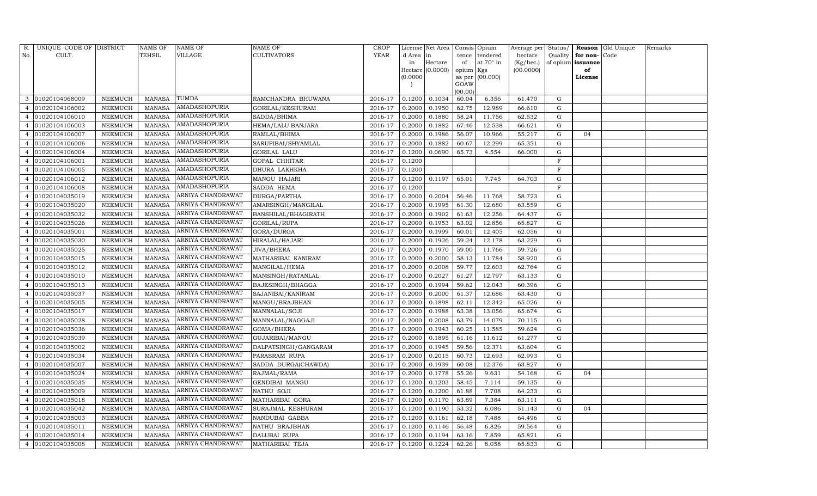| R.             | UNIQUE CODE OF DISTRICT |                 | <b>NAME OF</b> | <b>NAME OF</b>    | NAME OF              | CROP        |          | License Net Area |           | Consis Opium    | Average per | Status/ |                   | Reason Old Unique | Remarks |
|----------------|-------------------------|-----------------|----------------|-------------------|----------------------|-------------|----------|------------------|-----------|-----------------|-------------|---------|-------------------|-------------------|---------|
| No.            | CULT.                   |                 | <b>TEHSIL</b>  | VILLAGE           | CULTIVATORS          | <b>YEAR</b> | d Area   | in               | tence     | tendered        | hectare     | Quality | for non-Code      |                   |         |
|                |                         |                 |                |                   |                      |             | in       | Hectare          | of        | at 70° in       | (Kg/hec.)   |         | of opium issuance |                   |         |
|                |                         |                 |                |                   |                      |             |          | Hectare (0.0000) | opium Kgs |                 | (00.0000)   |         | of                |                   |         |
|                |                         |                 |                |                   |                      |             | (0.0000) |                  | GOAW      | as per (00.000) |             |         | License           |                   |         |
|                |                         |                 |                |                   |                      |             |          |                  | (00.00)   |                 |             |         |                   |                   |         |
| 3              | 01020104068009          | NEEMUCH         | MANASA         | TUMDA             | RAMCHANDRA BHUWANA   | 2016-17     | 0.1200   | 0.1034           | 60.04     | 6.356           | 61.470      | G       |                   |                   |         |
|                | 01020104106002          | ${\tt NEEMUCH}$ | <b>MANASA</b>  | AMADASHOPURIA     | GORILAL/KESHURAM     | 2016-17     | 0.2000   | 0.1950           | 62.75     | 12.989          | 66.610      | G       |                   |                   |         |
| $\overline{4}$ | 01020104106010          | <b>NEEMUCH</b>  | <b>MANASA</b>  | AMADASHOPURIA     | SADDA/BHIMA          | 2016-17     | 0.2000   | 0.1880           | 58.24     | 11.756          | 62.532      | G       |                   |                   |         |
| $\overline{4}$ | 01020104106003          | NEEMUCH         | MANASA         | AMADASHOPURIA     | HEMA/LALU BANJARA    | 2016-17     | 0.2000   | 0.1882           | 67.46     | 12.538          | 66.621      | G       |                   |                   |         |
| $\overline{4}$ | 01020104106007          | NEEMUCH         | <b>MANASA</b>  | AMADASHOPURIA     | RAMLAL/BHIMA         | 2016-17     | 0.2000   | 0.1986           | 56.07     | 10.966          | 55.217      | G       | 04                |                   |         |
|                | 01020104106006          | NEEMUCH         | <b>MANASA</b>  | AMADASHOPURIA     | SARUPIBAI/SHYAMLAL   | 2016-17     | 0.2000   | 0.1882           | 60.67     | 12.299          | 65.351      | G       |                   |                   |         |
| $\overline{4}$ | 01020104106004          | NEEMUCH         | <b>MANASA</b>  | AMADASHOPURIA     | GORILAL LALU         | 2016-17     | 0.1200   | 0.0690           | 65.73     | 4.554           | 66.000      | G       |                   |                   |         |
| $\overline{4}$ | 01020104106001          | NEEMUCH         | MANASA         | AMADASHOPURIA     | GOPAL CHHITAR        | 2016-17     | 0.1200   |                  |           |                 |             | F       |                   |                   |         |
|                | 01020104106005          | NEEMUCH         | <b>MANASA</b>  | AMADASHOPURIA     | DHURA LAKHKHA        | 2016-17     | 0.1200   |                  |           |                 |             | F       |                   |                   |         |
|                | 01020104106012          | NEEMUCH         | <b>MANASA</b>  | AMADASHOPURIA     | MANGU HAJARI         | 2016-17     | 0.1200   | 0.1197           | 65.01     | 7.745           | 64.703      | G       |                   |                   |         |
| $\overline{4}$ | 01020104106008          | NEEMUCH         | <b>MANASA</b>  | AMADASHOPURIA     | SADDA HEMA           | 2016-17     | 0.1200   |                  |           |                 |             | F       |                   |                   |         |
| $\overline{4}$ | 01020104035019          | NEEMUCH         | <b>MANASA</b>  | ARNIYA CHANDRAWAT | DURGA/PARTHA         | 2016-17     | 0.2000   | 0.2004           | 56.46     | 11.768          | 58.723      | G       |                   |                   |         |
|                | 01020104035020          | NEEMUCH         | <b>MANASA</b>  | ARNIYA CHANDRAWAT | AMARSINGH/MANGILAL   | 2016-17     | 0.2000   | 0.1995           | 61.30     | 12.680          | 63.559      | G       |                   |                   |         |
| $\overline{4}$ | 01020104035032          | NEEMUCH         | <b>MANASA</b>  | ARNIYA CHANDRAWAT | BANSHILAL/BHAGIRATH  | 2016-17     | 0.2000   | 0.1902           | 61.63     | 12.256          | 64.437      | G       |                   |                   |         |
| $\overline{4}$ | 01020104035026          | NEEMUCH         | MANASA         | ARNIYA CHANDRAWAT | GORILAL/RUPA         | 2016-17     | 0.2000   | 0.1953           | 63.02     | 12.856          | 65.827      | G       |                   |                   |         |
| $\overline{4}$ | 01020104035001          | <b>NEEMUCH</b>  | <b>MANASA</b>  | ARNIYA CHANDRAWAT | GORA/DURGA           | 2016-17     | 0.2000   | 0.1999           | 60.01     | 12.405          | 62.056      | G       |                   |                   |         |
|                | 01020104035030          | NEEMUCH         | <b>MANASA</b>  | ARNIYA CHANDRAWAT | HIRALAL/HAJARI       | 2016-17     | 0.2000   | 0.1926           | 59.24     | 12.178          | 63.229      | G       |                   |                   |         |
| $\overline{4}$ | 01020104035025          | NEEMUCH         | <b>MANASA</b>  | ARNIYA CHANDRAWAT | JIVA/BHERA           | 2016-17     | 0.2000   | 0.1970           | 59.00     | 11.766          | 59.726      | G       |                   |                   |         |
| $\overline{4}$ | 01020104035015          | NEEMUCH         | <b>MANASA</b>  | ARNIYA CHANDRAWAT | MATHARIBAI KANIRAM   | 2016-17     | 0.2000   | 0.2000           | 58.13     | 11.784          | 58.920      | G       |                   |                   |         |
|                | 01020104035012          | NEEMUCH         | <b>MANASA</b>  | ARNIYA CHANDRAWAT | MANGILAL/HEMA        | 2016-17     | 0.2000   | 0.2008           | 59.77     | 12.603          | 62.764      | G       |                   |                   |         |
|                | 01020104035010          | NEEMUCH         | MANASA         | ARNIYA CHANDRAWAT | MANSINGH/RATANLAL    | 2016-17     | 0.2000   | 0.2027           | 61.27     | 12.797          | 63.133      | G       |                   |                   |         |
| $\overline{4}$ | 01020104035013          | NEEMUCH         | <b>MANASA</b>  | ARNIYA CHANDRAWAT | BAJESINGH/BHAGGA     | 2016-17     | 0.2000   | 0.1994           | 59.62     | 12.043          | 60.396      | G       |                   |                   |         |
| $\overline{4}$ | 01020104035037          | NEEMUCH         | MANASA         | ARNIYA CHANDRAWAT | SAJANIBAI/KANIRAM    | 2016-17     | 0.2000   | 0.2000           | 61.37     | 12.686          | 63.430      | G       |                   |                   |         |
|                | 01020104035005          | NEEMUCH         | <b>MANASA</b>  | ARNIYA CHANDRAWAT | MANGU/BRAJBHAN       | 2016-17     | 0.2000   | 0.1898           | 62.11     | 12.342          | 65.026      | G       |                   |                   |         |
|                | 01020104035017          | <b>NEEMUCH</b>  | <b>MANASA</b>  | ARNIYA CHANDRAWAT | MANNALAL/SOJI        | 2016-17     | 0.2000   | 0.1988           | 63.38     | 13.056          | 65.674      | G       |                   |                   |         |
| $\overline{4}$ | 01020104035028          | NEEMUCH         | <b>MANASA</b>  | ARNIYA CHANDRAWAT | MANNALAL/NAGGAJI     | 2016-17     | 0.2000   | 0.2008           | 63.79     | 14.079          | 70.115      | G       |                   |                   |         |
| $\overline{4}$ | 01020104035036          | NEEMUCH         | MANASA         | ARNIYA CHANDRAWAT | GOMA/BHERA           | 2016-17     | 0.2000   | 0.1943           | 60.25     | 11.585          | 59.624      | G       |                   |                   |         |
|                | 01020104035039          | NEEMUCH         | <b>MANASA</b>  | ARNIYA CHANDRAWAT | GUJARIBAI/MANGU      | 2016-17     | 0.2000   | 0.1895           | 61.16     | 11.612          | 61.277      | G       |                   |                   |         |
| $\overline{4}$ | 01020104035002          | NEEMUCH         | <b>MANASA</b>  | ARNIYA CHANDRAWAT | DALPATSINGH/GANGARAM | 2016-17     | 0.2000   | 0.1945           | 59.56     | 12.371          | 63.604      | G       |                   |                   |         |
| $\overline{4}$ | 01020104035034          | <b>NEEMUCH</b>  | <b>MANASA</b>  | ARNIYA CHANDRAWAT | PARASRAM RUPA        | 2016-17     | 0.2000   | 0.2015           | 60.73     | 12.693          | 62.993      | G       |                   |                   |         |
| $\Delta$       | 01020104035007          | NEEMUCH         | <b>MANASA</b>  | ARNIYA CHANDRAWAT | SADDA DURGA(CHAWDA)  | 2016-17     | 0.2000   | 0.1939           | 60.08     | 12.376          | 63.827      | G       |                   |                   |         |
|                | 01020104035024          | NEEMUCH         | <b>MANASA</b>  | ARNIYA CHANDRAWAT | RAJMAL/RAMA          | 2016-17     | 0.2000   | 0.1778           | 55.26     | 9.631           | 54.168      | G       | 04                |                   |         |
| $\overline{4}$ | 01020104035035          | NEEMUCH         | <b>MANASA</b>  | ARNIYA CHANDRAWAT | GENDIBAI MANGU       | 2016-17     | 0.1200   | 0.1203           | 58.45     | 7.114           | 59.135      | G       |                   |                   |         |
| $\overline{4}$ | 01020104035009          | NEEMUCH         | <b>MANASA</b>  | ARNIYA CHANDRAWAT | NATHU SOJI           | 2016-17     | 0.1200   | 0.1200           | 61.88     | 7.708           | 64.233      | G       |                   |                   |         |
| $\overline{4}$ | 01020104035018          | <b>NEEMUCH</b>  | <b>MANASA</b>  | ARNIYA CHANDRAWAT | MATHARIBAI GORA      | 2016-17     | 0.1200   | 0.1170           | 63.89     | 7.384           | 63.111      | G       |                   |                   |         |
|                | 01020104035042          | <b>NEEMUCH</b>  | <b>MANASA</b>  | ARNIYA CHANDRAWAT | SURAJMAL KESHURAM    | 2016-17     | 0.1200   | 0.1190           | 53.32     | 6.086           | 51.143      | G       | 04                |                   |         |
| $\overline{4}$ | 01020104035003          | NEEMUCH         | <b>MANASA</b>  | ARNIYA CHANDRAWAT | NANDUBAI GABBA       | 2016-17     | 0.1200   | 0.1161           | 62.18     | 7.488           | 64.496      | G       |                   |                   |         |
| $\overline{4}$ | 01020104035011          | <b>NEEMUCH</b>  | <b>MANASA</b>  | ARNIYA CHANDRAWAT | NATHU BRAJBHAN       | 2016-17     | 0.1200   | 0.1146           | 56.48     | 6.826           | 59.564      | G       |                   |                   |         |
|                | 01020104035014          | NEEMUCH         | <b>MANASA</b>  | ARNIYA CHANDRAWAT | DALUBAI RUPA         | 2016-17     | 0.1200   | 0.1194           | 63.16     | 7.859           | 65.821      | G       |                   |                   |         |
| $\overline{4}$ | 01020104035008          | NEEMUCH         | MANASA         | ARNIYA CHANDRAWAT | MATHARIBAI TEJA      | 2016-17     | 0.1200   | 0.1224           | 62.26     | 8.058           | 65.833      | G       |                   |                   |         |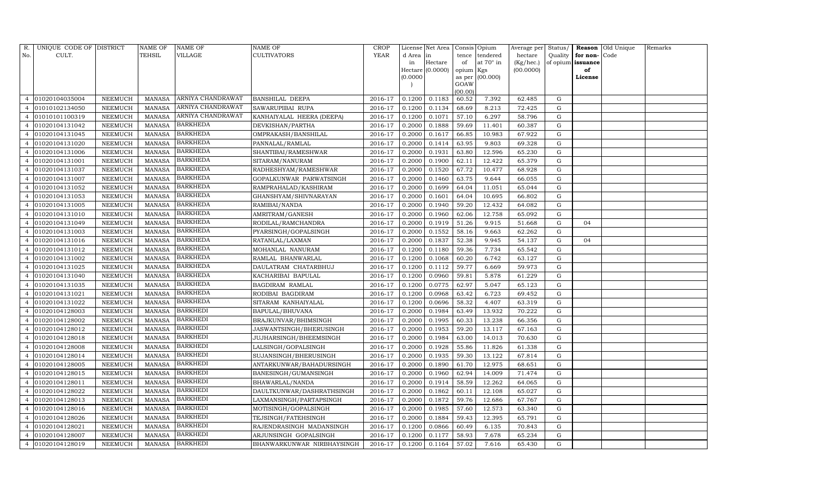| R.             | UNIQUE CODE OF DISTRICT |                | <b>NAME OF</b> | NAME OF           | NAME OF                    | <b>CROP</b> |           | License Net Area |           | Consis Opium    | Average per Status/ |             |          | Reason Old Unique | Remarks |
|----------------|-------------------------|----------------|----------------|-------------------|----------------------------|-------------|-----------|------------------|-----------|-----------------|---------------------|-------------|----------|-------------------|---------|
| No.            | CULT.                   |                | TEHSIL         | VILLAGE           | CULTIVATORS                | <b>YEAR</b> | d Area in |                  | tence     | tendered        | hectare             | Quality     | for non- | Code              |         |
|                |                         |                |                |                   |                            |             | in        | Hectare          | of        | at 70° in       | (Kg/hec.)           | of opium    | issuance |                   |         |
|                |                         |                |                |                   |                            |             |           | Hectare (0.0000) | opium Kgs |                 | (00.0000)           |             | of       |                   |         |
|                |                         |                |                |                   |                            |             | (0.0000)  |                  | GOAW      | as per (00.000) |                     |             | License  |                   |         |
|                |                         |                |                |                   |                            |             |           |                  | (00.00)   |                 |                     |             |          |                   |         |
|                | 01020104035004          | NEEMUCH        | MANASA         | ARNIYA CHANDRAWAT | <b>BANSHILAL DEEPA</b>     | 2016-17     | 0.1200    | 0.1183           | 60.52     | 7.392           | 62.485              | G           |          |                   |         |
|                | 01010102134050          | NEEMUCH        | <b>MANASA</b>  | ARNIYA CHANDRAWAT | SAWARUPIBAI RUPA           | 2016-17     | 0.1200    | 0.1134           | 68.69     | 8.213           | 72.425              | G           |          |                   |         |
|                | 01010101100319          | NEEMUCH        | <b>MANASA</b>  | ARNIYA CHANDRAWAT | KANHAIYALAL HEERA (DEEPA)  | 2016-17     | 0.1200    | 0.1071           | 57.10     | 6.297           | 58.796              | G           |          |                   |         |
| 4              | 01020104131042          | NEEMUCH        | <b>MANASA</b>  | <b>BARKHEDA</b>   | DEVKISHAN/PARTHA           | 2016-17     | 0.2000    | 0.1888           | 59.69     | 11.401          | 60.387              | ${\rm G}$   |          |                   |         |
|                | 01020104131045          | NEEMUCH        | <b>MANASA</b>  | <b>BARKHEDA</b>   | OMPRAKASH/BANSHILAL        | 2016-17     | 0.2000    | 0.1617           | 66.85     | 10.983          | 67.922              | G           |          |                   |         |
|                | 01020104131020          | NEEMUCH        | <b>MANASA</b>  | <b>BARKHEDA</b>   | PANNALAL/RAMLAL            | 2016-17     | 0.2000    | 0.1414           | 63.95     | 9.803           | 69.328              | ${\rm G}$   |          |                   |         |
|                | 01020104131006          | NEEMUCH        | <b>MANASA</b>  | <b>BARKHEDA</b>   | SHANTIBAI/RAMESHWAR        | 2016-17     | 0.2000    | 0.1931           | 63.80     | 12.596          | 65.230              | G           |          |                   |         |
| 4              | 01020104131001          | NEEMUCH        | <b>MANASA</b>  | <b>BARKHEDA</b>   | SITARAM/NANURAM            | 2016-17     | 0.2000    | 0.1900           | 62.11     | 12.422          | 65.379              | G           |          |                   |         |
| 4              | 01020104131037          | NEEMUCH        | <b>MANASA</b>  | <b>BARKHEDA</b>   | RADHESHYAM/RAMESHWAR       | 2016-17     | 0.2000    | 0.1520           | 67.72     | 10.477          | 68.928              | G           |          |                   |         |
|                | 01020104131007          | NEEMUCH        | <b>MANASA</b>  | <b>BARKHEDA</b>   | GOPALKUNWAR PARWATSINGH    | 2016-17     | 0.2000    | 0.1460           | 63.75     | 9.644           | 66.055              | G           |          |                   |         |
|                | 01020104131052          | NEEMUCH        | <b>MANASA</b>  | <b>BARKHEDA</b>   | RAMPRAHALAD/KASHIRAM       | 2016-17     | 0.2000    | 0.1699           | 64.04     | 11.051          | 65.044              | ${\rm G}$   |          |                   |         |
|                | 01020104131053          | NEEMUCH        | <b>MANASA</b>  | <b>BARKHEDA</b>   | GHANSHYAM/SHIVNARAYAN      | 2016-17     | 0.2000    | 0.1601           | 64.04     | 10.695          | 66.802              | G           |          |                   |         |
|                | 01020104131005          | NEEMUCH        | <b>MANASA</b>  | <b>BARKHEDA</b>   | RAMIBAI/NANDA              | 2016-17     | 0.2000    | 0.1940           | 59.20     | 12.432          | 64.082              | G           |          |                   |         |
|                | 01020104131010          | NEEMUCH        | <b>MANASA</b>  | <b>BARKHEDA</b>   | AMRITRAM/GANESH            | 2016-17     | 0.2000    | 0.1960           | 62.06     | 12.758          | 65.092              | ${\rm G}$   |          |                   |         |
| $\overline{4}$ | 01020104131049          | NEEMUCH        | <b>MANASA</b>  | <b>BARKHEDA</b>   | RODILAL/RAMCHANDRA         | 2016-17     | 0.2000    | 0.1919           | 51.26     | 9.915           | 51.668              | ${\rm G}$   | 04       |                   |         |
|                | 01020104131003          | NEEMUCH        | <b>MANASA</b>  | <b>BARKHEDA</b>   | PYARSINGH/GOPALSINGH       | 2016-17     | 0.2000    | 0.1552           | 58.16     | 9.663           | 62.262              | ${\rm G}$   |          |                   |         |
|                | 01020104131016          | NEEMUCH        | <b>MANASA</b>  | BARKHEDA          | RATANLAL/LAXMAN            | 2016-17     | 0.2000    | 0.1837           | 52.38     | 9.945           | 54.137              | ${\rm G}$   | 04       |                   |         |
|                | 01020104131012          | NEEMUCH        | <b>MANASA</b>  | <b>BARKHEDA</b>   | MOHANLAL NANURAM           | 2016-17     | 0.1200    | 0.1180           | 59.36     | 7.734           | 65.542              | G           |          |                   |         |
|                | 01020104131002          | NEEMUCH        | <b>MANASA</b>  | <b>BARKHEDA</b>   | RAMLAL BHANWARLAL          | 2016-17     | 0.1200    | 0.1068           | 60.20     | 6.742           | 63.127              | ${\rm G}$   |          |                   |         |
| $\overline{4}$ | 01020104131025          | NEEMUCH        | <b>MANASA</b>  | <b>BARKHEDA</b>   | DAULATRAM CHATARBHUJ       | 2016-17     | 0.1200    | 0.1112           | 59.77     | 6.669           | 59.973              | G           |          |                   |         |
|                | 01020104131040          | NEEMUCH        | <b>MANASA</b>  | <b>BARKHEDA</b>   | KACHARIBAI BAPULAL         | 2016-17     | 0.1200    | 0.0960           | 59.81     | 5.878           | 61.229              | G           |          |                   |         |
| 4              | 01020104131035          | NEEMUCH        | <b>MANASA</b>  | <b>BARKHEDA</b>   | BAGDIRAM RAMLAL            | 2016-17     | 0.1200    | 0.0775           | 62.97     | 5.047           | 65.123              | G           |          |                   |         |
| 4              | 01020104131021          | NEEMUCH        | MANASA         | BARKHEDA          | RODIBAI BAGDIRAM           | 2016-17     | 0.1200    | 0.0968           | 63.42     | 6.723           | 69.452              | G           |          |                   |         |
|                | 01020104131022          | NEEMUCH        | <b>MANASA</b>  | <b>BARKHEDA</b>   | SITARAM KANHAIYALAL        | 2016-17     | 0.1200    | 0.0696           | 58.32     | 4.407           | 63.319              | ${\rm G}$   |          |                   |         |
|                | 01020104128003          | NEEMUCH        | <b>MANASA</b>  | BARKHEDI          | BAPULAL/BHUVANA            | 2016-17     | 0.2000    | 0.1984           | 63.49     | 13.932          | 70.222              | ${\rm G}$   |          |                   |         |
|                | 01020104128002          | NEEMUCH        | <b>MANASA</b>  | <b>BARKHEDI</b>   | BRAJKUNVAR/BHIMSINGH       | 2016-17     | 0.2000    | 0.1995           | 60.33     | 13.238          | 66.356              | G           |          |                   |         |
| 4              | 01020104128012          | NEEMUCH        | <b>MANASA</b>  | BARKHEDI          | JASWANTSINGH/BHERUSINGH    | 2016-17     | 0.2000    | 0.1953           | 59.20     | 13.117          | 67.163              | G           |          |                   |         |
|                | 01020104128018          | NEEMUCH        | <b>MANASA</b>  | <b>BARKHEDI</b>   | JUJHARSINGH/BHEEMSINGH     | 2016-17     | 0.2000    | 0.1984           | 63.00     | 14.013          | 70.630              | ${\rm G}$   |          |                   |         |
|                | 01020104128008          | NEEMUCH        | <b>MANASA</b>  | <b>BARKHEDI</b>   | LALSINGH/GOPALSINGH        | 2016-17     | 0.2000    | 0.1928           | 55.86     | 11.826          | 61.338              | G           |          |                   |         |
|                | 01020104128014          | NEEMUCH        | <b>MANASA</b>  | <b>BARKHEDI</b>   | SUJANSINGH/BHERUSINGH      | 2016-17     | 0.2000    | 0.1935           | 59.30     | 13.122          | 67.814              | $\mathbf G$ |          |                   |         |
|                | 01020104128005          | NEEMUCH        | <b>MANASA</b>  | BARKHEDI          | ANTARKUNWAR/BAHADURSINGH   | 2016-17     | 0.2000    | 0.1890           | 61.70     | 12.975          | 68.651              | G           |          |                   |         |
|                | 01020104128015          | NEEMUCH        | <b>MANASA</b>  | <b>BARKHEDI</b>   | BANESINGH/GUMANSINGH       | 2016-17     | 0.2000    | 0.1960           | 62.94     | 14.009          | 71.474              | G           |          |                   |         |
|                | 01020104128011          | NEEMUCH        | <b>MANASA</b>  | <b>BARKHEDI</b>   | BHAWARLAL/NANDA            | 2016-17     | 0.2000    | 0.1914           | 58.59     | 12.262          | 64.065              | G           |          |                   |         |
|                | 01020104128022          | NEEMUCH        | <b>MANASA</b>  | <b>BARKHEDI</b>   | DAULTKUNWAR/DASHRATHSINGH  | 2016-17     | 0.2000    | 0.1862           | 60.11     | 12.108          | 65.027              | $\mathbf G$ |          |                   |         |
|                | 01020104128013          | <b>NEEMUCH</b> | <b>MANASA</b>  | BARKHEDI          | LAXMANSINGH/PARTAPSINGH    | 2016-17     | 0.2000    | 0.1872           | 59.76     | 12.686          | 67.767              | $\mathbf G$ |          |                   |         |
|                | 01020104128016          | NEEMUCH        | <b>MANASA</b>  | BARKHEDI          | MOTISINGH/GOPALSINGH       | 2016-17     | 0.2000    | 0.1985           | 57.60     | 12.573          | 63.340              | $\mathbf G$ |          |                   |         |
| 4              | 01020104128026          | NEEMUCH        | <b>MANASA</b>  | <b>BARKHEDI</b>   | TEJSINGH/FATEHSINGH        | 2016-17     | 0.2000    | 0.1884           | 59.43     | 12.395          | 65.791              | G           |          |                   |         |
| $\overline{a}$ | 01020104128021          | NEEMUCH        | <b>MANASA</b>  | <b>BARKHEDI</b>   | RAJENDRASINGH MADANSINGH   | 2016-17     | 0.1200    | 0.0866           | 60.49     | 6.135           | 70.843              | $\mathbf G$ |          |                   |         |
|                | 01020104128007          | NEEMUCH        | <b>MANASA</b>  | <b>BARKHEDI</b>   | ARJUNSINGH GOPALSINGH      | 2016-17     | 0.1200    | 0.1177           | 58.93     | 7.678           | 65.234              | G           |          |                   |         |
| $\overline{4}$ | 01020104128019          | NEEMUCH        |                | MANASA BARKHEDI   | BHANWARKUNWAR NIRBHAYSINGH | 2016-17     | 0.1200    | 0.1164           | 57.02     | 7.616           | 65.430              | G           |          |                   |         |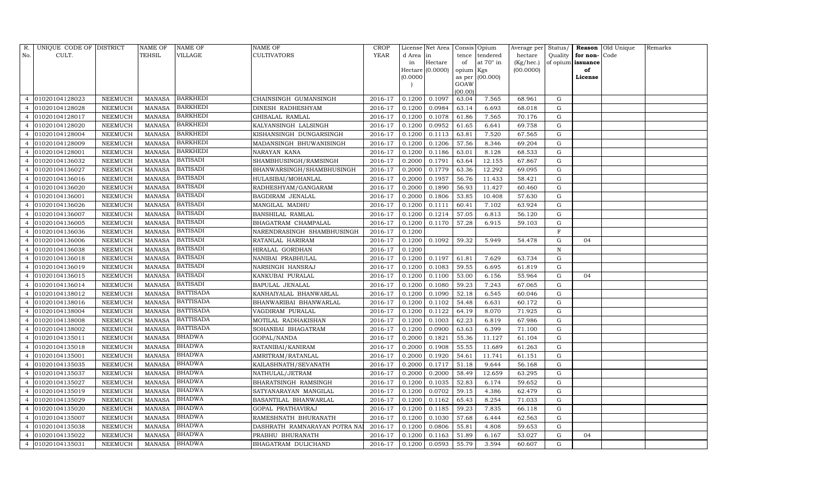| R.             | UNIQUE CODE OF DISTRICT |                | NAME OF       | NAME OF          | NAME OF                      | CROP        |           | License Net Area |           | Consis Opium     | Average per Status/ |           |                   | Reason Old Unique | Remarks |
|----------------|-------------------------|----------------|---------------|------------------|------------------------------|-------------|-----------|------------------|-----------|------------------|---------------------|-----------|-------------------|-------------------|---------|
| No.            | CULT.                   |                | TEHSIL        | VILLAGE          | CULTIVATORS                  | <b>YEAR</b> | d Area in |                  | tence     | tendered         | hectare             | Quality   | for non-          | Code              |         |
|                |                         |                |               |                  |                              |             | in        | Hectare          | of        | at $70^\circ$ in | (Kg/hec.)           |           | of opium issuance |                   |         |
|                |                         |                |               |                  |                              |             |           | Hectare (0.0000) | opium Kgs |                  | (00.0000)           |           | of                |                   |         |
|                |                         |                |               |                  |                              |             | (0.0000)  |                  | GOAW      | as per (00.000)  |                     |           | License           |                   |         |
|                |                         |                |               |                  |                              |             |           |                  | (00.00)   |                  |                     |           |                   |                   |         |
|                | 01020104128023          | NEEMUCH        | <b>MANASA</b> | BARKHEDI         | CHAINSINGH GUMANSINGH        | 2016-17     | 0.1200    | 0.1097           | 63.04     | 7.565            | 68.961              | G         |                   |                   |         |
|                | 01020104128028          | NEEMUCH        | <b>MANASA</b> | <b>BARKHEDI</b>  | DINESH RADHESHYAM            | 2016-17     | 0.1200    | 0.0984           | 63.14     | 6.693            | 68.018              | G         |                   |                   |         |
|                | 01020104128017          | NEEMUCH        | <b>MANASA</b> | <b>BARKHEDI</b>  | GHISALAL RAMLAL              | 2016-17     | 0.1200    | 0.1078           | 61.86     | 7.565            | 70.176              | G         |                   |                   |         |
| $\overline{4}$ | 01020104128020          | NEEMUCH        | MANASA        | <b>BARKHEDI</b>  | KALYANSINGH LALSINGH         | 2016-17     | 0.1200    | 0.0952           | 61.65     | 6.641            | 69.758              | G         |                   |                   |         |
| 4              | 01020104128004          | NEEMUCH        | <b>MANASA</b> | <b>BARKHEDI</b>  | KISHANSINGH DUNGARSINGH      | 2016-17     | 0.1200    | 0.1113           | 63.81     | 7.520            | 67.565              | G         |                   |                   |         |
|                | 01020104128009          | NEEMUCH        | <b>MANASA</b> | <b>BARKHEDI</b>  | MADANSINGH BHUWANISINGH      | 2016-17     | 0.1200    | 0.1206           | 57.56     | 8.346            | 69.204              | G         |                   |                   |         |
|                | 01020104128001          | NEEMUCH        | <b>MANASA</b> | <b>BARKHEDI</b>  | NARAYAN KANA                 | 2016-17     | 0.1200    | 0.1186           | 63.01     | 8.128            | 68.533              | G         |                   |                   |         |
| 4              | 01020104136032          | NEEMUCH        | <b>MANASA</b> | <b>BATISADI</b>  | SHAMBHUSINGH/RAMSINGH        | 2016-17     | 0.2000    | 0.1791           | 63.64     | 12.155           | 67.867              | G         |                   |                   |         |
|                | 01020104136027          | NEEMUCH        | <b>MANASA</b> | BATISADI         | BHANWARSINGH/SHAMBHUSINGH    | 2016-17     | 0.2000    | 0.1779           | 63.36     | 12.292           | 69.095              | G         |                   |                   |         |
|                | 01020104136016          | NEEMUCH        | <b>MANASA</b> | <b>BATISADI</b>  | HULASIBAI/MOHANLAL           | 2016-17     | 0.2000    | 0.1957           | 56.76     | 11.433           | 58.421              | ${\rm G}$ |                   |                   |         |
|                | 01020104136020          | NEEMUCH        | <b>MANASA</b> | <b>BATISADI</b>  | RADHESHYAM/GANGARAM          | 2016-17     | 0.2000    | 0.1890           | 56.93     | 11.427           | 60.460              | G         |                   |                   |         |
|                | 01020104136001          | NEEMUCH        | <b>MANASA</b> | <b>BATISADI</b>  | BAGDIRAM JENALAL             | 2016-17     | 0.2000    | 0.1806           | 53.85     | 10.408           | 57.630              | G         |                   |                   |         |
|                | 01020104136026          | <b>NEEMUCH</b> | <b>MANASA</b> | <b>BATISADI</b>  | MANGILAL MADHU               | 2016-17     | 0.1200    | 0.1111           | 60.41     | 7.102            | 63.924              | ${\rm G}$ |                   |                   |         |
|                | 01020104136007          | NEEMUCH        | MANASA        | <b>BATISADI</b>  | BANSHILAL RAMLAL             | 2016-17     | 0.1200    | 0.1214           | 57.05     | 6.813            | 56.120              | G         |                   |                   |         |
| 4              | 01020104136005          | NEEMUCH        | MANASA        | <b>BATISADI</b>  | BHAGATRAM CHAMPALAL          | 2016-17     | 0.1200    | 0.1170           | 57.28     | 6.915            | 59.103              | G         |                   |                   |         |
|                | 01020104136036          | NEEMUCH        | <b>MANASA</b> | <b>BATISADI</b>  | NARENDRASINGH SHAMBHUSINGH   | 2016-17     | 0.1200    |                  |           |                  |                     | F         |                   |                   |         |
|                | 01020104136006          | <b>NEEMUCH</b> | <b>MANASA</b> | <b>BATISADI</b>  | RATANLAL HARIRAM             | 2016-17     | 0.1200    | 0.1092           | 59.32     | 5.949            | 54.478              | G         | 04                |                   |         |
|                | 01020104136038          | NEEMUCH        | MANASA        | <b>BATISADI</b>  | HIRALAL GORDHAN              | 2016-17     | 0.1200    |                  |           |                  |                     | N         |                   |                   |         |
| 4              | 01020104136018          | NEEMUCH        | <b>MANASA</b> | <b>BATISADI</b>  | NANIBAI PRABHULAL            | 2016-17     | 0.1200    | 0.1197           | 61.81     | 7.629            | 63.734              | G         |                   |                   |         |
|                | 01020104136019          | NEEMUCH        | MANASA        | <b>BATISADI</b>  | NARSINGH HANSRAJ             | 2016-17     | 0.1200    | 0.1083           | 59.55     | 6.695            | 61.819              | G         |                   |                   |         |
|                | 01020104136015          | NEEMUCH        | <b>MANASA</b> | <b>BATISADI</b>  | KANKUBAI PURALAL             | 2016-17     | 0.1200    | 0.1100           | 53.00     | 6.156            | 55.964              | ${\rm G}$ | 04                |                   |         |
|                | 01020104136014          | NEEMUCH        | <b>MANASA</b> | <b>BATISADI</b>  | BAPULAL JENALAL              | 2016-17     | 0.1200    | 0.1080           | 59.23     | 7.243            | 67.065              | G         |                   |                   |         |
|                | 01020104138012          | NEEMUCH        | <b>MANASA</b> | <b>BATTISADA</b> | KANHAIYALAL BHANWARLAL       | 2016-17     | 0.1200    | 0.1090           | 52.18     | 6.545            | 60.046              | G         |                   |                   |         |
|                | 01020104138016          | NEEMUCH        | <b>MANASA</b> | <b>BATTISADA</b> | BHANWARIBAI BHANWARLAL       | 2016-17     | 0.1200    | 0.1102           | 54.48     | 6.631            | 60.172              | G         |                   |                   |         |
|                | 01020104138004          | NEEMUCH        | <b>MANASA</b> | <b>BATTISADA</b> | VAGDIRAM PURALAL             | 2016-17     | 0.1200    | 0.1122           | 64.19     | 8.070            | 71.925              | ${\rm G}$ |                   |                   |         |
|                | 01020104138008          | NEEMUCH        | <b>MANASA</b> | <b>BATTISADA</b> | MOTILAL RADHAKISHAN          | 2016-17     | 0.1200    | 0.1003           | 62.23     | 6.819            | 67.986              | G         |                   |                   |         |
|                | 01020104138002          | NEEMUCH        | <b>MANASA</b> | <b>BATTISADA</b> | SOHANBAI BHAGATRAM           | 2016-17     | 0.1200    | 0.0900           | 63.63     | 6.399            | 71.100              | G         |                   |                   |         |
| $\overline{4}$ | 01020104135011          | NEEMUCH        | <b>MANASA</b> | BHADWA           | GOPAL/NANDA                  | 2016-17     | 0.2000    | 0.1821           | 55.36     | 11.127           | 61.104              | ${\rm G}$ |                   |                   |         |
|                | 01020104135018          | NEEMUCH        | <b>MANASA</b> | <b>BHADWA</b>    | RATANIBAI/KANIRAM            | 2016-17     | 0.2000    | 0.1908           | 55.55     | 11.689           | 61.263              | G         |                   |                   |         |
| 4              | 01020104135001          | NEEMUCH        | <b>MANASA</b> | <b>BHADWA</b>    | AMRITRAM/RATANLAL            | 2016-17     | 0.2000    | 0.1920           | 54.61     | 11.741           | 61.151              | G         |                   |                   |         |
| 4              | 01020104135035          | NEEMUCH        | <b>MANASA</b> | <b>BHADWA</b>    | KAILASHNATH/SEVANATH         | 2016-17     | 0.2000    | 0.1717           | 51.18     | 9.644            | 56.168              | G         |                   |                   |         |
|                | 01020104135037          | NEEMUCH        | <b>MANASA</b> | <b>BHADWA</b>    | NATHULAL/JETRAM              | 2016-17     | 0.2000    | 0.2000           | 58.49     | 12.659           | 63.295              | G         |                   |                   |         |
|                | 01020104135027          | NEEMUCH        | <b>MANASA</b> | <b>BHADWA</b>    | BHARATSINGH RAMSINGH         | 2016-17     | 0.1200    | 0.1035           | 52.83     | 6.174            | 59.652              | ${\rm G}$ |                   |                   |         |
|                | 01020104135019          | NEEMUCH        | <b>MANASA</b> | <b>BHADWA</b>    | SATYANARAYAN MANGILAL        | 2016-17     | 0.1200    | 0.0702           | 59.15     | 4.386            | 62.479              | G         |                   |                   |         |
| 4              | 01020104135029          | NEEMUCH        | <b>MANASA</b> | <b>BHADWA</b>    | BASANTILAL BHANWARLAL        | 2016-17     | 0.1200    | 0.1162           | 65.43     | 8.254            | 71.033              | G         |                   |                   |         |
|                | 01020104135020          | <b>NEEMUCH</b> | <b>MANASA</b> | <b>BHADWA</b>    | GOPAL PRATHAVIRAJ            | 2016-17     | 0.1200    | 0.1185           | 59.23     | 7.835            | 66.118              | ${\rm G}$ |                   |                   |         |
|                | 01020104135007          | NEEMUCH        | MANASA        | <b>BHADWA</b>    | RAMESHNATH BHURANATH         | 2016-17     | 0.1200    | 0.1030           | 57.68     | 6.444            | 62.563              | G         |                   |                   |         |
| 4              | 01020104135038          | NEEMUCH        | <b>MANASA</b> | <b>BHADWA</b>    | DASHRATH RAMNARAYAN POTRA NA | 2016-17     | 0.1200    | 0.0806           | 55.81     | 4.808            | 59.653              | G         |                   |                   |         |
| 4              | 01020104135022          | NEEMUCH        | <b>MANASA</b> | <b>BHADWA</b>    | PRABHU BHURANATH             | 2016-17     | 0.1200    | 0.1163           | 51.89     | 6.167            | 53.027              | G         | 04                |                   |         |
| 4              | 01020104135031          | NEEMUCH        | MANASA        | <b>BHADWA</b>    | BHAGATRAM DULICHAND          | 2016-17     | 0.1200    | 0.0593           | 55.79     | 3.594            | 60.607              | G         |                   |                   |         |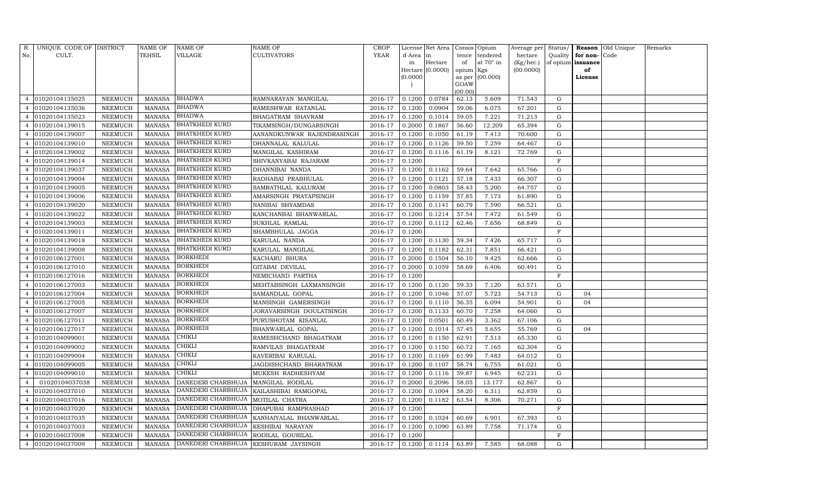| R.             | UNIQUE CODE OF DISTRICT |                | NAME OF       | NAME OF                                     | NAME OF                                   | CROP        |           | License Net Area   Consis   Opium |                 |                  | Average per Status/ |             |                          | <b>Reason</b> Old Unique | Remarks |
|----------------|-------------------------|----------------|---------------|---------------------------------------------|-------------------------------------------|-------------|-----------|-----------------------------------|-----------------|------------------|---------------------|-------------|--------------------------|--------------------------|---------|
| No.            | CULT.                   |                | TEHSIL        | VILLAGE                                     | <b>CULTIVATORS</b>                        | <b>YEAR</b> | d Area in |                                   | tence           | tendered         | hectare             | Quality     | for non-                 | Code                     |         |
|                |                         |                |               |                                             |                                           |             | in        | Hectare                           | of              | at $70^\circ$ in | (Kg/hec.)           |             | of opium <b>issuance</b> |                          |         |
|                |                         |                |               |                                             |                                           |             |           | Hectare (0.0000)                  | opium Kgs       |                  | (00.0000)           |             | of                       |                          |         |
|                |                         |                |               |                                             |                                           |             | (0.0000)  |                                   |                 | as per (00.000)  |                     |             | License                  |                          |         |
|                |                         |                |               |                                             |                                           |             |           |                                   | GOAW<br>(00.00) |                  |                     |             |                          |                          |         |
| 4              | 01020104135025          | NEEMUCH        | MANASA        | <b>BHADWA</b>                               | RAMNARAYAN MANGILAL                       | 2016-17     | 0.1200    | 0.0784                            | 62.13           | 5.609            | 71.543              | G           |                          |                          |         |
|                | 01020104135036          | NEEMUCH        | MANASA        | <b>BHADWA</b>                               | RAMESHWAR RATANLAL                        | 2016-17     | 0.1200    | 0.0904                            | 59.06           | 6.075            | 67.201              | G           |                          |                          |         |
| 4              | 01020104135023          | NEEMUCH        | MANASA        | <b>BHADWA</b>                               | BHAGATRAM SHAVRAM                         | 2016-17     | 0.1200    | 0.1014                            | 59.05           | 7.221            | 71.213              | G           |                          |                          |         |
| 4              | 01020104139015          | NEEMUCH        | MANASA        | <b>BHATKHEDI KURD</b>                       | TIKAMSINGH/DUNGARSINGH                    | 2016-17     | 0.2000    | 0.1867                            | 56.60           | 12.209           | 65.394              | G           |                          |                          |         |
|                | 01020104139007          | NEEMUCH        | <b>MANASA</b> | <b>BHATKHEDI KURD</b>                       | AANANDKUNWAR RAJENDRASINGH                | 2016-17     | 0.1200    | 0.1050                            | 61.19           | 7.413            | 70.600              | G           |                          |                          |         |
| 4              | 01020104139010          | NEEMUCH        | MANASA        | <b>BHATKHEDI KURD</b>                       | DHANNALAL KALULAL                         | 2016-17     | 0.1200    | 0.1126                            | 59.50           | 7.259            | 64.467              | G           |                          |                          |         |
|                | 01020104139002          | NEEMUCH        | <b>MANASA</b> | <b>BHATKHEDI KURD</b>                       | MANGILAL KASHIRAM                         | 2016-17     | 0.1200    | 0.1116                            | 61.19           | 8.121            | 72.769              | G           |                          |                          |         |
| 4              | 01020104139014          | NEEMUCH        | MANASA        | <b>BHATKHEDI KURD</b>                       | SHIVKANYABAI RAJARAM                      | 2016-17     | 0.1200    |                                   |                 |                  |                     | F           |                          |                          |         |
| 4              | 01020104139037          | NEEMUCH        | MANASA        | <b>BHATKHEDI KURD</b>                       | DHANNIBAI NANDA                           | 2016-17     | 0.1200    | 0.1162                            | 59.64           | 7.642            | 65.766              | G           |                          |                          |         |
|                | 01020104139004          | NEEMUCH        | MANASA        | <b>BHATKHEDI KURD</b>                       | RADHABAI PRABHULAL                        | 2016-17     | 0.1200    | 0.1121                            | 57.18           | 7.433            | 66.307              | G           |                          |                          |         |
| 4              | 01020104139005          | NEEMUCH        | <b>MANASA</b> | <b>BHATKHEDI KURD</b>                       | SAMRATHLAL KALURAM                        | 2016-17     | 0.1200    | 0.0803                            | 58.43           | 5.200            | 64.757              | G           |                          |                          |         |
|                | 01020104139006          | NEEMUCH        | MANASA        | BHATKHEDI KURD                              | AMARSINGH PRATAPSINGH                     | 2016-17     | 0.1200    | 0.1159                            | 57.85           | 7.173            | 61.890              | G           |                          |                          |         |
|                | 01020104139020          | NEEMUCH        | <b>MANASA</b> | <b>BHATKHEDI KURD</b>                       | NANIBAI SHYAMDAS                          | 2016-17     | 0.1200    | 0.1141                            | 60.79           | 7.590            | 66.521              | G           |                          |                          |         |
|                | 01020104139022          | NEEMUCH        | <b>MANASA</b> | <b>BHATKHEDI KURD</b>                       | KANCHANBAI BHANWARLAL                     | 2016-17     | 0.1200    | 0.1214                            | 57.54           | 7.472            | 61.549              | G           |                          |                          |         |
| $\overline{4}$ | 01020104139003          | NEEMUCH        | MANASA        | <b>BHATKHEDI KURD</b>                       | SUKHLAL RAMLAL                            | 2016-17     | 0.1200    | 0.1112                            | 62.46           | 7.656            | 68.849              | G           |                          |                          |         |
|                | 01020104139011          | NEEMUCH        | <b>MANASA</b> | <b>BHATKHEDI KURD</b>                       | SHAMBHULAL JAGGA                          | 2016-17     | 0.1200    |                                   |                 |                  |                     | $\mathbf F$ |                          |                          |         |
|                | 01020104139018          | NEEMUCH        | MANASA        | <b>BHATKHEDI KURD</b>                       | KARULAL NANDA                             | 2016-17     | 0.1200    | 0.1130                            | 59.34           | 7.426            | 65.717              | $\mathbf G$ |                          |                          |         |
|                | 01020104139008          | NEEMUCH        | <b>MANASA</b> | <b>BHATKHEDI KURD</b>                       | KARULAL MANGILAL                          | 2016-17     | 0.1200    | 0.1182                            | 62.31           | 7.851            | 66.421              | G           |                          |                          |         |
|                | 01020106127001          | NEEMUCH        | <b>MANASA</b> | <b>BORKHEDI</b>                             | KACHARU BHURA                             | 2016-17     | 0.2000    | 0.1504                            | 56.10           | 9.425            | 62.666              | $\mathbf G$ |                          |                          |         |
| $\overline{4}$ | 01020106127010          | NEEMUCH        | MANASA        | <b>BORKHEDI</b>                             | GITABAI DEVILAL                           | 2016-17     | 0.2000    | 0.1059                            | 58.69           | 6.406            | 60.491              | G           |                          |                          |         |
|                | 01020106127016          | NEEMUCH        | MANASA        | <b>BORKHEDI</b>                             | NEMICHAND PARTHA                          | 2016-17     | 0.1200    |                                   |                 |                  |                     | $\rm F$     |                          |                          |         |
| 4              | 01020106127003          | NEEMUCH        | <b>MANASA</b> | <b>BORKHEDI</b>                             | MEHTABSINGH LAXMANSINGH                   | 2016-17     | 0.1200    | 0.1120                            | 59.33           | 7.120            | 63.571              | G           |                          |                          |         |
| 4              | 01020106127004          | NEEMUCH        | MANASA        | <b>BORKHEDI</b>                             | SAMANDLAL GOPAL                           | 2016-17     | 0.1200    | 0.1046                            | 57.07           | 5.723            | 54.713              | G           | 04                       |                          |         |
| $\overline{4}$ | 01020106127005          | NEEMUCH        | <b>MANASA</b> | <b>BORKHEDI</b>                             | MANSINGH GAMERSINGH                       | 2016-17     | 0.1200    | 0.1110                            | 56.35           | 6.094            | 54.901              | G           | 04                       |                          |         |
| 4              | 01020106127007          | NEEMUCH        | MANASA        | <b>BORKHEDI</b>                             | JORAVARSINGH DOULATSINGH                  | 2016-17     | 0.1200    | 0.1133                            | 60.70           | 7.258            | 64.060              | G           |                          |                          |         |
|                | 01020106127011          | NEEMUCH        | <b>MANASA</b> | <b>BORKHEDI</b>                             | PURUSHOTAM KISANLAL                       | 2016-17     | 0.1200    | 0.0501                            | 60.49           | 3.362            | 67.106              | G           |                          |                          |         |
| $\overline{a}$ | 01020106127017          | NEEMUCH        | MANASA        | <b>BORKHEDI</b>                             | BHANWARLAL GOPAL                          | 2016-17     | 0.1200    | 0.1014                            | 57.45           | 5.655            | 55.769              | G           | 04                       |                          |         |
|                | 01020104099001          | NEEMUCH        | <b>MANASA</b> | CHIKLI                                      | RAMESHCHAND BHAGATRAM                     | 2016-17     | 0.1200    | 0.1150                            | 62.91           | 7.513            | 65.330              | G           |                          |                          |         |
|                | 01020104099002          | NEEMUCH        | MANASA        | CHIKLI                                      | RAMVILAS BHAGATRAM                        | 2016-17     | 0.1200    | 0.1150                            | 60.72           | 7.165            | 62.304              | G           |                          |                          |         |
|                | 01020104099004          | NEEMUCH        | <b>MANASA</b> | <b>CHIKLI</b>                               | KAVERIBAI KARULAL                         | 2016-17     | 0.1200    | 0.1169                            | 61.99           | 7.483            | 64.012              | $\mathbf G$ |                          |                          |         |
|                | 01020104099005          | NEEMUCH        | <b>MANASA</b> | CHIKLI                                      | JAGDISHCHAND BHARATRAM                    | 2016-17     | 0.1200    | 0.1107                            | 58.74           | 6.755            | 61.021              | G           |                          |                          |         |
|                | 01020104099010          | NEEMUCH        | <b>MANASA</b> | CHIKLI                                      | MUKESH RADHESHYAM                         | 2016-17     | 0.1200    | 0.1116                            | 59.87           | 6.945            | 62.231              | G           |                          |                          |         |
| $\overline{4}$ | 01020104037038          | NEEMUCH        | <b>MANASA</b> | DANEDERI CHARBHUJA                          | MANGILAL RODILAL                          | 2016-17     | 0.2000    | 0.2096                            | 58.05           | 13.177           | 62.867              | G           |                          |                          |         |
| $\overline{4}$ | 01020104037010          | NEEMUCH        | <b>MANASA</b> | DANEDERI CHARBHUJA                          | KAILASHIBAI RAMGOPAL                      | 2016-17     | 0.1200    | 0.1004                            | 58.20           | 6.311            | 62.859              | $\mathbf G$ |                          |                          |         |
|                | 01020104037016          | <b>NEEMUCH</b> | <b>MANASA</b> | DANEDERI CHARBHUJA                          | MOTILAL CHATRA                            | 2016-17     | 0.1200    | 0.1182                            | 63.54           | 8.306            | 70.271              | $\mathbf G$ |                          |                          |         |
| 4              | 01020104037020          | NEEMUCH        | <b>MANASA</b> | DANEDERI CHARBHUJA                          | DHAPUBAI RAMPRASHAD                       | 2016-17     | 0.1200    |                                   |                 |                  |                     | $\rm F$     |                          |                          |         |
| 4              | 01020104037035          | NEEMUCH        | <b>MANASA</b> |                                             | DANEDERI CHARBHUJA KANHAIYALAL BHANWARLAL | 2016-17     | 0.1200    | 0.1024                            | 60.69           | 6.901            | 67.393              | G           |                          |                          |         |
| 4              | 01020104037003          | NEEMUCH        | <b>MANASA</b> | DANEDERI CHARBHUJA                          | KESHIBAI NARAYAN                          | 2016-17     | 0.1200    | 0.1090                            | 63.89           | 7.758            | 71.174              | G           |                          |                          |         |
| $\overline{4}$ | 01020104037008          | NEEMUCH        | <b>MANASA</b> | DANEDERI CHARBHUJA                          | RODILAL GOURILAL                          | 2016-17     | 0.1200    |                                   |                 |                  |                     | F           |                          |                          |         |
| $\overline{4}$ | 01020104037009          | NEEMUCH        |               | MANASA DANEDERI CHARBHUJA KESHURAM JAYSINGH |                                           | 2016-17     |           | $0.1200$ 0.1114 63.89             |                 | 7.585            | 68.088              | G           |                          |                          |         |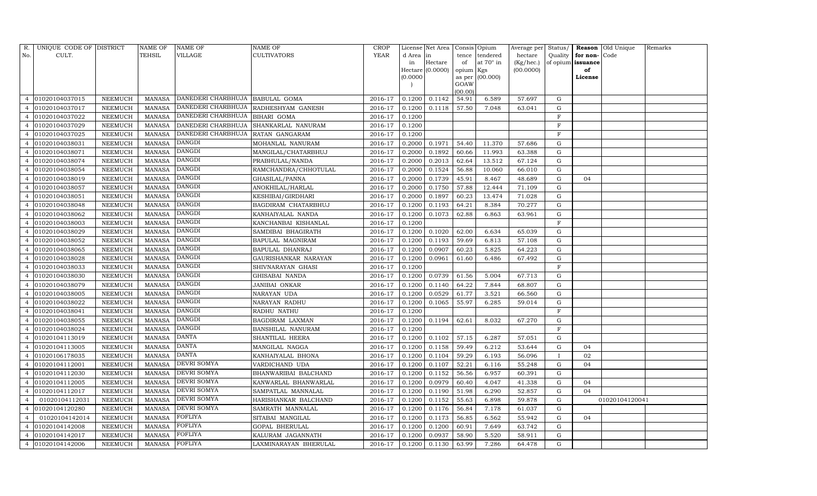| R.             | UNIQUE CODE OF DISTRICT |                 | <b>NAME OF</b> | NAME OF                           | NAME OF               | CROP        |           | License Net Area |           | Consis Opium     | Average per Status/ |              |                   | Reason Old Unique | Remarks |
|----------------|-------------------------|-----------------|----------------|-----------------------------------|-----------------------|-------------|-----------|------------------|-----------|------------------|---------------------|--------------|-------------------|-------------------|---------|
| No.            | CULT.                   |                 | TEHSIL         | VILLAGE                           | CULTIVATORS           | <b>YEAR</b> | d Area in |                  | tence     | tendered         | hectare             | Quality      | for non-Code      |                   |         |
|                |                         |                 |                |                                   |                       |             | in        | Hectare          | of        | at $70^\circ$ in | (Kg/hec.)           |              | of opium issuance |                   |         |
|                |                         |                 |                |                                   |                       |             |           | Hectare (0.0000) | opium Kgs |                  | (00.0000)           |              | of                |                   |         |
|                |                         |                 |                |                                   |                       |             | (0.0000)  |                  | GOAW      | as per (00.000)  |                     |              | License           |                   |         |
|                |                         |                 |                |                                   |                       |             |           |                  | (00.00)   |                  |                     |              |                   |                   |         |
| 4              | 01020104037015          | ${\tt NEEMUCH}$ | MANASA         | DANEDERI CHARBHUJA   BABULAL GOMA |                       | 2016-17     | 0.1200    | 0.1142           | 54.91     | 6.589            | 57.697              | G            |                   |                   |         |
|                | 01020104037017          | NEEMUCH         | <b>MANASA</b>  | DANEDERI CHARBHUJA                | RADHESHYAM GANESH     | 2016-17     | 0.1200    | 0.1118           | 57.50     | 7.048            | 63.041              | G            |                   |                   |         |
| 4              | 01020104037022          | NEEMUCH         | MANASA         | DANEDERI CHARBHUJA                | BIHARI GOMA           | 2016-17     | 0.1200    |                  |           |                  |                     | $_{\rm F}$   |                   |                   |         |
|                | 01020104037029          | NEEMUCH         | MANASA         | DANEDERI CHARBHUJA                | SHANKARLAL NANURAM    | 2016-17     | 0.1200    |                  |           |                  |                     | F            |                   |                   |         |
|                | 01020104037025          | NEEMUCH         | <b>MANASA</b>  | DANEDERI CHARBHUJA                | RATAN GANGARAM        | 2016-17     | 0.1200    |                  |           |                  |                     | F            |                   |                   |         |
|                | 01020104038031          | NEEMUCH         | MANASA         | <b>DANGDI</b>                     | MOHANLAL NANURAM      | 2016-17     | 0.2000    | 0.1971           | 54.40     | 11.370           | 57.686              | G            |                   |                   |         |
|                | 01020104038071          | NEEMUCH         | <b>MANASA</b>  | <b>DANGDI</b>                     | MANGILAL/CHATARBHUJ   | 2016-17     | 0.2000    | 0.1892           | 60.66     | 11.993           | 63.388              | G            |                   |                   |         |
|                | 01020104038074          | NEEMUCH         | <b>MANASA</b>  | <b>DANGDI</b>                     | PRABHULAL/NANDA       | 2016-17     | 0.2000    | 0.2013           | 62.64     | 13.512           | 67.124              | G            |                   |                   |         |
|                | 01020104038054          | NEEMUCH         | <b>MANASA</b>  | DANGDI                            | RAMCHANDRA/CHHOTULAL  | 2016-17     | 0.2000    | 0.1524           | 56.88     | 10.060           | 66.010              | G            |                   |                   |         |
|                | 01020104038019          | NEEMUCH         | <b>MANASA</b>  | <b>DANGDI</b>                     | GHASILAL/PANNA        | 2016-17     | 0.2000    | 0.1739           | 45.91     | 8.467            | 48.689              | G            | 04                |                   |         |
| 4              | 01020104038057          | NEEMUCH         | <b>MANASA</b>  | <b>DANGDI</b>                     | ANOKHILAL/HARLAL      | 2016-17     | 0.2000    | 0.1750           | 57.88     | 12.444           | 71.109              | G            |                   |                   |         |
| 4              | 01020104038051          | NEEMUCH         | MANASA         | DANGDI                            | KESHIBAI/GIRDHARI     | 2016-17     | 0.2000    | 0.1897           | 60.23     | 13.474           | 71.028              | G            |                   |                   |         |
|                | 01020104038048          | NEEMUCH         | <b>MANASA</b>  | <b>DANGDI</b>                     | BAGDIRAM CHATARBHUJ   | 2016-17     | 0.1200    | 0.1193           | 64.21     | 8.384            | 70.277              | G            |                   |                   |         |
|                | 01020104038062          | NEEMUCH         | <b>MANASA</b>  | <b>DANGDI</b>                     | KANHAIYALAL NANDA     | 2016-17     | 0.1200    | 0.1073           | 62.88     | 6.863            | 63.961              | G            |                   |                   |         |
|                | 01020104038003          | NEEMUCH         | <b>MANASA</b>  | <b>DANGDI</b>                     | KANCHANBAI KISHANLAL  | 2016-17     | 0.1200    |                  |           |                  |                     | F            |                   |                   |         |
| 4              | 01020104038029          | NEEMUCH         | MANASA         | <b>DANGDI</b>                     | SAMDIBAI BHAGIRATH    | 2016-17     | 0.1200    | 0.1020           | 62.00     | 6.634            | 65.039              | G            |                   |                   |         |
| $\overline{4}$ | 01020104038052          | NEEMUCH         | <b>MANASA</b>  | DANGDI                            | BAPULAL MAGNIRAM      | 2016-17     | 0.1200    | 0.1193           | 59.69     | 6.813            | 57.108              | G            |                   |                   |         |
|                | 01020104038065          | NEEMUCH         | MANASA         | <b>DANGDI</b>                     | BAPULAL DHANRAJ       | 2016-17     | 0.1200    | 0.0907           | 60.23     | 5.825            | 64.223              | G            |                   |                   |         |
|                | 01020104038028          | NEEMUCH         | <b>MANASA</b>  | <b>DANGDI</b>                     | GAURISHANKAR NARAYAN  | 2016-17     | 0.1200    | 0.0961           | 61.60     | 6.486            | 67.492              | G            |                   |                   |         |
|                | 01020104038033          | NEEMUCH         | MANASA         | DANGDI                            | SHIVNARAYAN GHASI     | 2016-17     | 0.1200    |                  |           |                  |                     | F            |                   |                   |         |
|                | 01020104038030          | NEEMUCH         | <b>MANASA</b>  | <b>DANGDI</b>                     | GHISABAI NANDA        | 2016-17     | 0.1200    | 0.0739           | 61.56     | 5.004            | 67.713              | G            |                   |                   |         |
| 4              | 01020104038079          | NEEMUCH         | MANASA         | <b>DANGDI</b>                     | JANIBAI ONKAR         | 2016-17     | 0.1200    | 0.1140           | 64.22     | 7.844            | 68.807              | G            |                   |                   |         |
| 4              | 01020104038005          | NEEMUCH         | <b>MANASA</b>  | DANGDI                            | NARAYAN UDA           | 2016-17     | 0.1200    | 0.0529           | 61.77     | 3.521            | 66.560              | ${\rm G}$    |                   |                   |         |
|                | 01020104038022          | NEEMUCH         | <b>MANASA</b>  | <b>DANGDI</b>                     | NARAYAN RADHU         | 2016-17     | 0.1200    | 0.1065           | 55.97     | 6.285            | 59.014              | ${\rm G}$    |                   |                   |         |
|                | 01020104038041          | NEEMUCH         | <b>MANASA</b>  | <b>DANGDI</b>                     | RADHU NATHU           | 2016-17     | 0.1200    |                  |           |                  |                     | $\mathbf F$  |                   |                   |         |
|                | 01020104038055          | NEEMUCH         | <b>MANASA</b>  | <b>DANGDI</b>                     | BAGDIRAM LAXMAN       | 2016-17     | 0.1200    | 0.1194           | 62.61     | 8.032            | 67.270              | G            |                   |                   |         |
|                | 01020104038024          | NEEMUCH         | <b>MANASA</b>  | <b>DANGDI</b>                     | BANSHILAL NANURAM     | 2016-17     | 0.1200    |                  |           |                  |                     | F            |                   |                   |         |
|                | 01020104113019          | NEEMUCH         | <b>MANASA</b>  | DANTA                             | SHANTILAL HEERA       | 2016-17     | 0.1200    | 0.1102           | 57.15     | 6.287            | 57.051              | G            |                   |                   |         |
|                | 01020104113005          | NEEMUCH         | MANASA         | <b>DANTA</b>                      | MANGILAL NAGGA        | 2016-17     | 0.1200    | 0.1158           | 59.49     | 6.212            | 53.644              | G            | 04                |                   |         |
| 4              | 01020106178035          | NEEMUCH         | <b>MANASA</b>  | <b>DANTA</b>                      | KANHAIYALAL BHONA     | 2016-17     | 0.1200    | 0.1104           | 59.29     | 6.193            | 56.096              | $\mathbf{I}$ | 02                |                   |         |
| $\overline{4}$ | 01020104112001          | NEEMUCH         | MANASA         | DEVRI SOMYA                       | VARDICHAND UDA        | 2016-17     | 0.1200    | 0.1107           | 52.21     | 6.116            | 55.248              | G            | 04                |                   |         |
|                | 01020104112030          | NEEMUCH         | <b>MANASA</b>  | DEVRI SOMYA                       | BHANWARIBAI BALCHAND  | 2016-17     | 0.1200    | 0.1152           | 56.56     | 6.957            | 60.391              | G            |                   |                   |         |
|                | 01020104112005          | NEEMUCH         | <b>MANASA</b>  | DEVRI SOMYA                       | KANWARLAL BHANWARLAL  | 2016-17     | 0.1200    | 0.0979           | 60.40     | 4.047            | 41.338              | G            | 04                |                   |         |
| 4              | 01020104112017          | NEEMUCH         | MANASA         | <b>DEVRI SOMYA</b>                | SAMPATLAL MANNALAL    | 2016-17     | 0.1200    | 0.1190           | 51.98     | 6.290            | 52.857              | G            | 04                |                   |         |
| $\overline{a}$ | 01020104112031          | NEEMUCH         | <b>MANASA</b>  | DEVRI SOMYA                       | HARISHANKAR BALCHAND  | 2016-17     | 0.1200    | 0.1152           | 55.63     | 6.898            | 59.878              | G            |                   | 01020104120041    |         |
|                | 01020104120280          | NEEMUCH         | <b>MANASA</b>  | DEVRI SOMYA                       | SAMRATH MANNALAL      | 2016-17     | 0.1200    | 0.1176           | 56.84     | 7.178            | 61.037              | ${\rm G}$    |                   |                   |         |
| 4              | 01020104142014          | NEEMUCH         | <b>MANASA</b>  | <b>FOFLIYA</b>                    | SITABAI MANGILAL      | 2016-17     | 0.1200    | 0.1173           | 56.85     | 6.562            | 55.942              | G            | 04                |                   |         |
| $\overline{4}$ | 01020104142008          | NEEMUCH         | <b>MANASA</b>  | FOFLIYA                           | GOPAL BHERULAL        | 2016-17     | 0.1200    | 0.1200           | 60.91     | 7.649            | 63.742              | ${\rm G}$    |                   |                   |         |
| $\overline{4}$ | 01020104142017          | NEEMUCH         | <b>MANASA</b>  | FOFLIYA                           | KALURAM JAGANNATH     | 2016-17     | 0.1200    | 0.0937           | 58.90     | 5.520            | 58.911              | G            |                   |                   |         |
| $\overline{4}$ | 01020104142006          | NEEMUCH         | MANASA         | <b>FOFLIYA</b>                    | LAXMINARAYAN BHERULAL | 2016-17     | 0.1200    | 0.1130           | 63.99     | 7.286            | 64.478              | G            |                   |                   |         |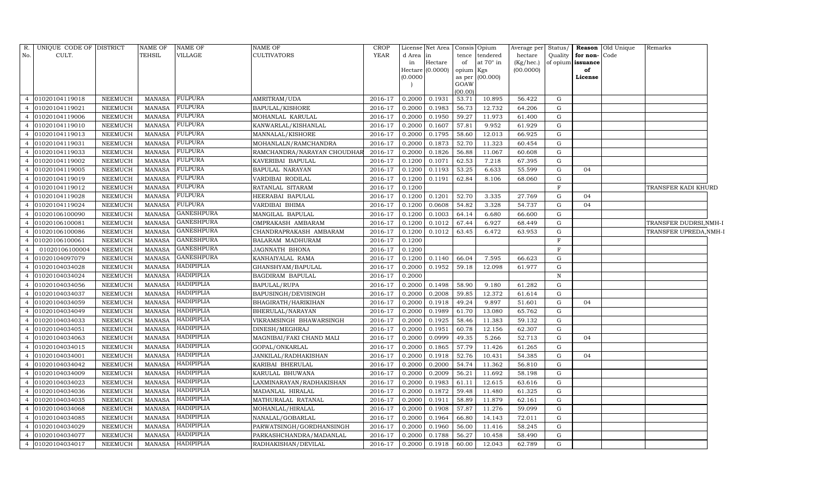| No.<br>CULT.<br><b>TEHSIL</b><br>VILLAGE<br><b>CULTIVATORS</b><br>YEAR<br>d Area in<br>tendered<br>Quality<br>for non-Code<br>tence<br>hectare<br>at $70^\circ$ in<br>Hectare<br>of<br>(Kg/hec.)<br>of opium issuance<br>in<br>(00.0000)<br>Hectare (0.0000)<br>opium<br>Kgs<br>of<br>(0.0000)<br>(00.000)<br>as per<br>License<br>GOAW<br>(00.00)<br><b>FULPURA</b><br>01020104119018<br>0.2000<br>0.1931<br>53.71<br>10.895<br>56.422<br><b>NEEMUCH</b><br>MANASA<br>AMRITRAM/UDA<br>2016-17<br>G<br>$\overline{4}$<br><b>FULPURA</b><br>0.2000<br>01020104119021<br>NEEMUCH<br><b>MANASA</b><br>BAPULAL/KISHORE<br>2016-17<br>0.1983<br>56.73<br>12.732<br>64.206<br>G<br><b>FULPURA</b><br>01020104119006<br><b>NEEMUCH</b><br><b>MANASA</b><br>MOHANLAL KARULAL<br>2016-17<br>0.2000<br>0.1950<br>59.27<br>11.973<br>61.400<br>G<br>$\overline{4}$<br><b>FULPURA</b><br>01020104119010<br>0.2000<br>0.1607<br>9.952<br><b>NEEMUCH</b><br><b>MANASA</b><br>KANWARLAL/KISHANLAL<br>2016-17<br>57.81<br>61.929<br>G<br>$\overline{4}$<br><b>FULPURA</b><br>01020104119013<br><b>NEEMUCH</b><br><b>MANASA</b><br>0.2000<br>0.1795<br>12.013<br>MANNALAL/KISHORE<br>2016-17<br>58.60<br>66.925<br>G<br>$\overline{4}$<br><b>FULPURA</b><br>01020104119031<br><b>MANASA</b><br>2016-17<br>0.2000<br>0.1873<br>52.70<br>11.323<br><b>NEEMUCH</b><br>MOHANLALN/RAMCHANDRA<br>60.454<br>G<br><b>FULPURA</b><br>01020104119033<br><b>NEEMUCH</b><br><b>MANASA</b><br>2016-17<br>0.2000<br>0.1826<br>56.88<br>11.067<br>RAMCHANDRA/NARAYAN CHOUDHAR<br>60.608<br>G<br>4<br><b>FULPURA</b><br>01020104119002<br><b>NEEMUCH</b><br><b>MANASA</b><br>2016-17<br>0.1200<br>0.1071<br>62.53<br>7.218<br>KAVERIBAI BAPULAL<br>67.395<br>G<br>$\overline{4}$<br><b>FULPURA</b><br>01020104119005<br>NEEMUCH<br><b>MANASA</b><br>0.1200<br>0.1193<br>53.25<br>6.633<br>BAPULAL NARAYAN<br>2016-17<br>55.599<br>G<br>04<br>$\overline{4}$<br><b>FULPURA</b><br>01020104119019<br>NEEMUCH<br><b>MANASA</b><br>0.1200<br>0.1191<br>62.84<br>VARDIBAI RODILAL<br>2016-17<br>8.106<br>68.060<br>G<br><b>FULPURA</b><br>01020104119012<br>NEEMUCH<br><b>MANASA</b><br>RATANLAL SITARAM<br>2016-17<br>0.1200<br>F<br>TRANSFER KADI KHURD<br>$\overline{4}$<br><b>FULPURA</b><br>01020104119028<br>NEEMUCH<br><b>MANASA</b><br>HEERABAI BAPULAL<br>2016-17<br>0.1200<br>0.1201<br>52.70<br>3.335<br>27.769<br>G<br>04<br>$\overline{4}$<br><b>FULPURA</b><br>01020104119024<br><b>NEEMUCH</b><br><b>MANASA</b><br>VARDIBAI BHIMA<br>2016-17<br>0.1200<br>0.0608<br>54.82<br>3.328<br>54.737<br>G<br>04<br>$\overline{4}$<br><b>GANESHPURA</b><br>01020106100090<br><b>MANASA</b><br>MANGILAL BAPULAL<br>2016-17<br>0.1200<br>0.1003<br><b>NEEMUCH</b><br>64.14<br>6.680<br>66.600<br>G<br>$\overline{4}$ |  |
|------------------------------------------------------------------------------------------------------------------------------------------------------------------------------------------------------------------------------------------------------------------------------------------------------------------------------------------------------------------------------------------------------------------------------------------------------------------------------------------------------------------------------------------------------------------------------------------------------------------------------------------------------------------------------------------------------------------------------------------------------------------------------------------------------------------------------------------------------------------------------------------------------------------------------------------------------------------------------------------------------------------------------------------------------------------------------------------------------------------------------------------------------------------------------------------------------------------------------------------------------------------------------------------------------------------------------------------------------------------------------------------------------------------------------------------------------------------------------------------------------------------------------------------------------------------------------------------------------------------------------------------------------------------------------------------------------------------------------------------------------------------------------------------------------------------------------------------------------------------------------------------------------------------------------------------------------------------------------------------------------------------------------------------------------------------------------------------------------------------------------------------------------------------------------------------------------------------------------------------------------------------------------------------------------------------------------------------------------------------------------------------------------------------------------------------------------------------------------------------------------------------------------------------------------------------------------------------------------------------------------------------------------------------------------------------------------------------------------------------------------------------------------------|--|
|                                                                                                                                                                                                                                                                                                                                                                                                                                                                                                                                                                                                                                                                                                                                                                                                                                                                                                                                                                                                                                                                                                                                                                                                                                                                                                                                                                                                                                                                                                                                                                                                                                                                                                                                                                                                                                                                                                                                                                                                                                                                                                                                                                                                                                                                                                                                                                                                                                                                                                                                                                                                                                                                                                                                                                                    |  |
|                                                                                                                                                                                                                                                                                                                                                                                                                                                                                                                                                                                                                                                                                                                                                                                                                                                                                                                                                                                                                                                                                                                                                                                                                                                                                                                                                                                                                                                                                                                                                                                                                                                                                                                                                                                                                                                                                                                                                                                                                                                                                                                                                                                                                                                                                                                                                                                                                                                                                                                                                                                                                                                                                                                                                                                    |  |
|                                                                                                                                                                                                                                                                                                                                                                                                                                                                                                                                                                                                                                                                                                                                                                                                                                                                                                                                                                                                                                                                                                                                                                                                                                                                                                                                                                                                                                                                                                                                                                                                                                                                                                                                                                                                                                                                                                                                                                                                                                                                                                                                                                                                                                                                                                                                                                                                                                                                                                                                                                                                                                                                                                                                                                                    |  |
|                                                                                                                                                                                                                                                                                                                                                                                                                                                                                                                                                                                                                                                                                                                                                                                                                                                                                                                                                                                                                                                                                                                                                                                                                                                                                                                                                                                                                                                                                                                                                                                                                                                                                                                                                                                                                                                                                                                                                                                                                                                                                                                                                                                                                                                                                                                                                                                                                                                                                                                                                                                                                                                                                                                                                                                    |  |
|                                                                                                                                                                                                                                                                                                                                                                                                                                                                                                                                                                                                                                                                                                                                                                                                                                                                                                                                                                                                                                                                                                                                                                                                                                                                                                                                                                                                                                                                                                                                                                                                                                                                                                                                                                                                                                                                                                                                                                                                                                                                                                                                                                                                                                                                                                                                                                                                                                                                                                                                                                                                                                                                                                                                                                                    |  |
|                                                                                                                                                                                                                                                                                                                                                                                                                                                                                                                                                                                                                                                                                                                                                                                                                                                                                                                                                                                                                                                                                                                                                                                                                                                                                                                                                                                                                                                                                                                                                                                                                                                                                                                                                                                                                                                                                                                                                                                                                                                                                                                                                                                                                                                                                                                                                                                                                                                                                                                                                                                                                                                                                                                                                                                    |  |
|                                                                                                                                                                                                                                                                                                                                                                                                                                                                                                                                                                                                                                                                                                                                                                                                                                                                                                                                                                                                                                                                                                                                                                                                                                                                                                                                                                                                                                                                                                                                                                                                                                                                                                                                                                                                                                                                                                                                                                                                                                                                                                                                                                                                                                                                                                                                                                                                                                                                                                                                                                                                                                                                                                                                                                                    |  |
|                                                                                                                                                                                                                                                                                                                                                                                                                                                                                                                                                                                                                                                                                                                                                                                                                                                                                                                                                                                                                                                                                                                                                                                                                                                                                                                                                                                                                                                                                                                                                                                                                                                                                                                                                                                                                                                                                                                                                                                                                                                                                                                                                                                                                                                                                                                                                                                                                                                                                                                                                                                                                                                                                                                                                                                    |  |
|                                                                                                                                                                                                                                                                                                                                                                                                                                                                                                                                                                                                                                                                                                                                                                                                                                                                                                                                                                                                                                                                                                                                                                                                                                                                                                                                                                                                                                                                                                                                                                                                                                                                                                                                                                                                                                                                                                                                                                                                                                                                                                                                                                                                                                                                                                                                                                                                                                                                                                                                                                                                                                                                                                                                                                                    |  |
|                                                                                                                                                                                                                                                                                                                                                                                                                                                                                                                                                                                                                                                                                                                                                                                                                                                                                                                                                                                                                                                                                                                                                                                                                                                                                                                                                                                                                                                                                                                                                                                                                                                                                                                                                                                                                                                                                                                                                                                                                                                                                                                                                                                                                                                                                                                                                                                                                                                                                                                                                                                                                                                                                                                                                                                    |  |
|                                                                                                                                                                                                                                                                                                                                                                                                                                                                                                                                                                                                                                                                                                                                                                                                                                                                                                                                                                                                                                                                                                                                                                                                                                                                                                                                                                                                                                                                                                                                                                                                                                                                                                                                                                                                                                                                                                                                                                                                                                                                                                                                                                                                                                                                                                                                                                                                                                                                                                                                                                                                                                                                                                                                                                                    |  |
|                                                                                                                                                                                                                                                                                                                                                                                                                                                                                                                                                                                                                                                                                                                                                                                                                                                                                                                                                                                                                                                                                                                                                                                                                                                                                                                                                                                                                                                                                                                                                                                                                                                                                                                                                                                                                                                                                                                                                                                                                                                                                                                                                                                                                                                                                                                                                                                                                                                                                                                                                                                                                                                                                                                                                                                    |  |
|                                                                                                                                                                                                                                                                                                                                                                                                                                                                                                                                                                                                                                                                                                                                                                                                                                                                                                                                                                                                                                                                                                                                                                                                                                                                                                                                                                                                                                                                                                                                                                                                                                                                                                                                                                                                                                                                                                                                                                                                                                                                                                                                                                                                                                                                                                                                                                                                                                                                                                                                                                                                                                                                                                                                                                                    |  |
|                                                                                                                                                                                                                                                                                                                                                                                                                                                                                                                                                                                                                                                                                                                                                                                                                                                                                                                                                                                                                                                                                                                                                                                                                                                                                                                                                                                                                                                                                                                                                                                                                                                                                                                                                                                                                                                                                                                                                                                                                                                                                                                                                                                                                                                                                                                                                                                                                                                                                                                                                                                                                                                                                                                                                                                    |  |
|                                                                                                                                                                                                                                                                                                                                                                                                                                                                                                                                                                                                                                                                                                                                                                                                                                                                                                                                                                                                                                                                                                                                                                                                                                                                                                                                                                                                                                                                                                                                                                                                                                                                                                                                                                                                                                                                                                                                                                                                                                                                                                                                                                                                                                                                                                                                                                                                                                                                                                                                                                                                                                                                                                                                                                                    |  |
|                                                                                                                                                                                                                                                                                                                                                                                                                                                                                                                                                                                                                                                                                                                                                                                                                                                                                                                                                                                                                                                                                                                                                                                                                                                                                                                                                                                                                                                                                                                                                                                                                                                                                                                                                                                                                                                                                                                                                                                                                                                                                                                                                                                                                                                                                                                                                                                                                                                                                                                                                                                                                                                                                                                                                                                    |  |
|                                                                                                                                                                                                                                                                                                                                                                                                                                                                                                                                                                                                                                                                                                                                                                                                                                                                                                                                                                                                                                                                                                                                                                                                                                                                                                                                                                                                                                                                                                                                                                                                                                                                                                                                                                                                                                                                                                                                                                                                                                                                                                                                                                                                                                                                                                                                                                                                                                                                                                                                                                                                                                                                                                                                                                                    |  |
|                                                                                                                                                                                                                                                                                                                                                                                                                                                                                                                                                                                                                                                                                                                                                                                                                                                                                                                                                                                                                                                                                                                                                                                                                                                                                                                                                                                                                                                                                                                                                                                                                                                                                                                                                                                                                                                                                                                                                                                                                                                                                                                                                                                                                                                                                                                                                                                                                                                                                                                                                                                                                                                                                                                                                                                    |  |
|                                                                                                                                                                                                                                                                                                                                                                                                                                                                                                                                                                                                                                                                                                                                                                                                                                                                                                                                                                                                                                                                                                                                                                                                                                                                                                                                                                                                                                                                                                                                                                                                                                                                                                                                                                                                                                                                                                                                                                                                                                                                                                                                                                                                                                                                                                                                                                                                                                                                                                                                                                                                                                                                                                                                                                                    |  |
| <b>GANESHPURA</b><br>01020106100081<br><b>NEEMUCH</b><br><b>MANASA</b><br>2016-17<br>0.1200<br>0.1012<br>67.44<br>6.927<br>G<br>OMPRAKASH AMBARAM<br>68.449<br>TRANSFER DUDRSI, NMH-I<br>4                                                                                                                                                                                                                                                                                                                                                                                                                                                                                                                                                                                                                                                                                                                                                                                                                                                                                                                                                                                                                                                                                                                                                                                                                                                                                                                                                                                                                                                                                                                                                                                                                                                                                                                                                                                                                                                                                                                                                                                                                                                                                                                                                                                                                                                                                                                                                                                                                                                                                                                                                                                         |  |
| <b>GANESHPURA</b><br>01020106100086<br><b>NEEMUCH</b><br>CHANDRAPRAKASH AMBARAM<br>2016-17<br>0.1200<br>0.1012<br>6.472<br>TRANSFER UPREDA,NMH-I<br><b>MANASA</b><br>63.45<br>63.953<br>G<br>$\overline{4}$                                                                                                                                                                                                                                                                                                                                                                                                                                                                                                                                                                                                                                                                                                                                                                                                                                                                                                                                                                                                                                                                                                                                                                                                                                                                                                                                                                                                                                                                                                                                                                                                                                                                                                                                                                                                                                                                                                                                                                                                                                                                                                                                                                                                                                                                                                                                                                                                                                                                                                                                                                        |  |
| <b>GANESHPURA</b><br>01020106100061<br><b>NEEMUCH</b><br><b>MANASA</b><br>BALARAM MADHURAM<br>2016-17<br>0.1200<br>$\mathbf F$<br>$\overline{4}$                                                                                                                                                                                                                                                                                                                                                                                                                                                                                                                                                                                                                                                                                                                                                                                                                                                                                                                                                                                                                                                                                                                                                                                                                                                                                                                                                                                                                                                                                                                                                                                                                                                                                                                                                                                                                                                                                                                                                                                                                                                                                                                                                                                                                                                                                                                                                                                                                                                                                                                                                                                                                                   |  |
| <b>GANESHPURA</b><br>$\mathbf F$<br>01020106100004<br><b>NEEMUCH</b><br>2016-17<br>0.1200<br><b>MANASA</b><br>JAGNNATH BHONA<br>$\overline{4}$                                                                                                                                                                                                                                                                                                                                                                                                                                                                                                                                                                                                                                                                                                                                                                                                                                                                                                                                                                                                                                                                                                                                                                                                                                                                                                                                                                                                                                                                                                                                                                                                                                                                                                                                                                                                                                                                                                                                                                                                                                                                                                                                                                                                                                                                                                                                                                                                                                                                                                                                                                                                                                     |  |
| <b>GANESHPURA</b><br>01020104097079<br><b>NEEMUCH</b><br><b>MANASA</b><br>KANHAIYALAL RAMA<br>2016-17<br>0.1200<br>0.1140<br>66.04<br>7.595<br>66.623<br>G<br>$\overline{4}$                                                                                                                                                                                                                                                                                                                                                                                                                                                                                                                                                                                                                                                                                                                                                                                                                                                                                                                                                                                                                                                                                                                                                                                                                                                                                                                                                                                                                                                                                                                                                                                                                                                                                                                                                                                                                                                                                                                                                                                                                                                                                                                                                                                                                                                                                                                                                                                                                                                                                                                                                                                                       |  |
| HADIPIPLIA<br>01020104034028<br><b>NEEMUCH</b><br><b>MANASA</b><br>GHANSHYAM/BAPULAL<br>2016-17<br>0.2000<br>0.1952<br>59.18<br>12.098<br>61.977<br>$\overline{4}$<br>G                                                                                                                                                                                                                                                                                                                                                                                                                                                                                                                                                                                                                                                                                                                                                                                                                                                                                                                                                                                                                                                                                                                                                                                                                                                                                                                                                                                                                                                                                                                                                                                                                                                                                                                                                                                                                                                                                                                                                                                                                                                                                                                                                                                                                                                                                                                                                                                                                                                                                                                                                                                                            |  |
| <b>HADIPIPLIA</b><br>01020104034024<br>NEEMUCH<br><b>MANASA</b><br>0.2000<br>$\mathbf N$<br>BAGDIRAM BAPULAL<br>2016-17                                                                                                                                                                                                                                                                                                                                                                                                                                                                                                                                                                                                                                                                                                                                                                                                                                                                                                                                                                                                                                                                                                                                                                                                                                                                                                                                                                                                                                                                                                                                                                                                                                                                                                                                                                                                                                                                                                                                                                                                                                                                                                                                                                                                                                                                                                                                                                                                                                                                                                                                                                                                                                                            |  |
| HADIPIPLIA<br>01020104034056<br>0.1498<br><b>NEEMUCH</b><br><b>MANASA</b><br>BAPULAL/RUPA<br>2016-17<br>0.2000<br>58.90<br>9.180<br>61.282<br>G<br>4                                                                                                                                                                                                                                                                                                                                                                                                                                                                                                                                                                                                                                                                                                                                                                                                                                                                                                                                                                                                                                                                                                                                                                                                                                                                                                                                                                                                                                                                                                                                                                                                                                                                                                                                                                                                                                                                                                                                                                                                                                                                                                                                                                                                                                                                                                                                                                                                                                                                                                                                                                                                                               |  |
| <b>HADIPIPLIA</b><br>01020104034037<br>0.2000<br>0.2008<br>12.372<br><b>NEEMUCH</b><br><b>MANASA</b><br>BAPUSINGH/DEVISINGH<br>2016-17<br>59.85<br>61.614<br>G<br>4                                                                                                                                                                                                                                                                                                                                                                                                                                                                                                                                                                                                                                                                                                                                                                                                                                                                                                                                                                                                                                                                                                                                                                                                                                                                                                                                                                                                                                                                                                                                                                                                                                                                                                                                                                                                                                                                                                                                                                                                                                                                                                                                                                                                                                                                                                                                                                                                                                                                                                                                                                                                                |  |
| HADIPIPLIA<br>01020104034059<br><b>NEEMUCH</b><br>MANASA<br>BHAGIRATH/HARIKIHAN<br>2016-17<br>0.2000<br>0.1918<br>49.24<br>9.897<br>51.601<br>G<br>04<br>$\overline{4}$                                                                                                                                                                                                                                                                                                                                                                                                                                                                                                                                                                                                                                                                                                                                                                                                                                                                                                                                                                                                                                                                                                                                                                                                                                                                                                                                                                                                                                                                                                                                                                                                                                                                                                                                                                                                                                                                                                                                                                                                                                                                                                                                                                                                                                                                                                                                                                                                                                                                                                                                                                                                            |  |
| HADIPIPLIA<br>01020104034049<br>NEEMUCH<br><b>MANASA</b><br>G<br>BHERULAL/NARAYAN<br>2016-17<br>0.2000<br>0.1989<br>61.70<br>13.080<br>65.762                                                                                                                                                                                                                                                                                                                                                                                                                                                                                                                                                                                                                                                                                                                                                                                                                                                                                                                                                                                                                                                                                                                                                                                                                                                                                                                                                                                                                                                                                                                                                                                                                                                                                                                                                                                                                                                                                                                                                                                                                                                                                                                                                                                                                                                                                                                                                                                                                                                                                                                                                                                                                                      |  |
| HADIPIPLIA<br>01020104034033<br>NEEMUCH<br><b>MANASA</b><br>VIKRAMSINGH BHAWARSINGH<br>2016-17<br>0.2000<br>0.1925<br>58.46<br>11.383<br>59.132<br>G<br>4                                                                                                                                                                                                                                                                                                                                                                                                                                                                                                                                                                                                                                                                                                                                                                                                                                                                                                                                                                                                                                                                                                                                                                                                                                                                                                                                                                                                                                                                                                                                                                                                                                                                                                                                                                                                                                                                                                                                                                                                                                                                                                                                                                                                                                                                                                                                                                                                                                                                                                                                                                                                                          |  |
| <b>HADIPIPLIA</b><br>01020104034051<br>NEEMUCH<br><b>MANASA</b><br>DINESH/MEGHRAJ<br>2016-17<br>0.2000<br>0.1951<br>60.78<br>12.156<br>62.307<br>G<br>$\overline{4}$                                                                                                                                                                                                                                                                                                                                                                                                                                                                                                                                                                                                                                                                                                                                                                                                                                                                                                                                                                                                                                                                                                                                                                                                                                                                                                                                                                                                                                                                                                                                                                                                                                                                                                                                                                                                                                                                                                                                                                                                                                                                                                                                                                                                                                                                                                                                                                                                                                                                                                                                                                                                               |  |
| HADIPIPLIA<br>01020104034063<br>2016-17<br>0.2000<br>0.0999<br>49.35<br>5.266<br><b>NEEMUCH</b><br>MANASA<br>MAGNIBAI/FAKI CHAND MALI<br>52.713<br>G<br>04<br>$\overline{4}$                                                                                                                                                                                                                                                                                                                                                                                                                                                                                                                                                                                                                                                                                                                                                                                                                                                                                                                                                                                                                                                                                                                                                                                                                                                                                                                                                                                                                                                                                                                                                                                                                                                                                                                                                                                                                                                                                                                                                                                                                                                                                                                                                                                                                                                                                                                                                                                                                                                                                                                                                                                                       |  |
| <b>HADIPIPLIA</b><br>01020104034015<br>NEEMUCH<br><b>MANASA</b><br>GOPAL/ONKARLAL<br>2016-17<br>0.2000<br>0.1865<br>57.79<br>11.426<br>G<br>61.265                                                                                                                                                                                                                                                                                                                                                                                                                                                                                                                                                                                                                                                                                                                                                                                                                                                                                                                                                                                                                                                                                                                                                                                                                                                                                                                                                                                                                                                                                                                                                                                                                                                                                                                                                                                                                                                                                                                                                                                                                                                                                                                                                                                                                                                                                                                                                                                                                                                                                                                                                                                                                                 |  |
| HADIPIPLIA<br>01020104034001<br>NEEMUCH<br><b>MANASA</b><br>JANKILAL/RADHAKISHAN<br>2016-17<br>0.2000<br>0.1918<br>52.76<br>10.431<br>54.385<br>G<br>04<br>$\overline{4}$                                                                                                                                                                                                                                                                                                                                                                                                                                                                                                                                                                                                                                                                                                                                                                                                                                                                                                                                                                                                                                                                                                                                                                                                                                                                                                                                                                                                                                                                                                                                                                                                                                                                                                                                                                                                                                                                                                                                                                                                                                                                                                                                                                                                                                                                                                                                                                                                                                                                                                                                                                                                          |  |
| HADIPIPLIA<br>01020104034042<br>0.2000<br>NEEMUCH<br><b>MANASA</b><br>KARIBAI BHERULAL<br>2016-17<br>0.2000<br>54.74<br>11.362<br>G<br>56.810<br>$\overline{4}$                                                                                                                                                                                                                                                                                                                                                                                                                                                                                                                                                                                                                                                                                                                                                                                                                                                                                                                                                                                                                                                                                                                                                                                                                                                                                                                                                                                                                                                                                                                                                                                                                                                                                                                                                                                                                                                                                                                                                                                                                                                                                                                                                                                                                                                                                                                                                                                                                                                                                                                                                                                                                    |  |
| HADIPIPLIA<br>01020104034009<br><b>NEEMUCH</b><br><b>MANASA</b><br>KARULAL BHUWANA<br>2016-17<br>0.2000<br>0.2009<br>56.21<br>11.692<br>58.198<br>G<br>$\overline{4}$                                                                                                                                                                                                                                                                                                                                                                                                                                                                                                                                                                                                                                                                                                                                                                                                                                                                                                                                                                                                                                                                                                                                                                                                                                                                                                                                                                                                                                                                                                                                                                                                                                                                                                                                                                                                                                                                                                                                                                                                                                                                                                                                                                                                                                                                                                                                                                                                                                                                                                                                                                                                              |  |
| HADIPIPLIA<br>01020104034023<br>NEEMUCH<br><b>MANASA</b><br>LAXMINARAYAN/RADHAKISHAN<br>2016-17<br>0.2000<br>0.1983<br>12.615<br>G<br>61.11<br>63.616                                                                                                                                                                                                                                                                                                                                                                                                                                                                                                                                                                                                                                                                                                                                                                                                                                                                                                                                                                                                                                                                                                                                                                                                                                                                                                                                                                                                                                                                                                                                                                                                                                                                                                                                                                                                                                                                                                                                                                                                                                                                                                                                                                                                                                                                                                                                                                                                                                                                                                                                                                                                                              |  |
| <b>HADIPIPLIA</b><br>01020104034036<br>NEEMUCH<br><b>MANASA</b><br>MADANLAL HIRALAL<br>2016-17<br>0.2000<br>0.1872<br>59.48<br>11.480<br>61.325<br>G<br>$\overline{4}$                                                                                                                                                                                                                                                                                                                                                                                                                                                                                                                                                                                                                                                                                                                                                                                                                                                                                                                                                                                                                                                                                                                                                                                                                                                                                                                                                                                                                                                                                                                                                                                                                                                                                                                                                                                                                                                                                                                                                                                                                                                                                                                                                                                                                                                                                                                                                                                                                                                                                                                                                                                                             |  |
| HADIPIPLIA<br>01020104034035<br><b>NEEMUCH</b><br>MATHURALAL RATANAL<br>2016-17<br>0.1911<br>11.879<br><b>MANASA</b><br>0.2000<br>58.89<br>62.161<br>G<br>$\overline{4}$                                                                                                                                                                                                                                                                                                                                                                                                                                                                                                                                                                                                                                                                                                                                                                                                                                                                                                                                                                                                                                                                                                                                                                                                                                                                                                                                                                                                                                                                                                                                                                                                                                                                                                                                                                                                                                                                                                                                                                                                                                                                                                                                                                                                                                                                                                                                                                                                                                                                                                                                                                                                           |  |
| HADIPIPLIA<br>01020104034068<br>0.2000<br>0.1908<br><b>NEEMUCH</b><br><b>MANASA</b><br>MOHANLAL/HIRALAL<br>2016-17<br>57.87<br>11.276<br>59.099<br>G<br>$\overline{4}$                                                                                                                                                                                                                                                                                                                                                                                                                                                                                                                                                                                                                                                                                                                                                                                                                                                                                                                                                                                                                                                                                                                                                                                                                                                                                                                                                                                                                                                                                                                                                                                                                                                                                                                                                                                                                                                                                                                                                                                                                                                                                                                                                                                                                                                                                                                                                                                                                                                                                                                                                                                                             |  |
| HADIPIPLIA<br>0.2000<br>G<br>01020104034085<br><b>NEEMUCH</b><br><b>MANASA</b><br>NANALAL/GOBARLAL<br>2016-17<br>0.1964<br>14.143<br>72.011<br>66.80<br>$\overline{4}$                                                                                                                                                                                                                                                                                                                                                                                                                                                                                                                                                                                                                                                                                                                                                                                                                                                                                                                                                                                                                                                                                                                                                                                                                                                                                                                                                                                                                                                                                                                                                                                                                                                                                                                                                                                                                                                                                                                                                                                                                                                                                                                                                                                                                                                                                                                                                                                                                                                                                                                                                                                                             |  |
| HADIPIPLIA<br>01020104034029<br><b>MANASA</b><br>PARWATSINGH/GORDHANSINGH<br>2016-17<br>0.1960<br><b>NEEMUCH</b><br>0.2000<br>56.00<br>11.416<br>58.245<br>G<br>4                                                                                                                                                                                                                                                                                                                                                                                                                                                                                                                                                                                                                                                                                                                                                                                                                                                                                                                                                                                                                                                                                                                                                                                                                                                                                                                                                                                                                                                                                                                                                                                                                                                                                                                                                                                                                                                                                                                                                                                                                                                                                                                                                                                                                                                                                                                                                                                                                                                                                                                                                                                                                  |  |
| HADIPIPLIA<br>01020104034077<br>0.1788<br><b>NEEMUCH</b><br><b>MANASA</b><br>PARKASHCHANDRA/MADANLAL<br>2016-17<br>0.2000<br>56.27<br>10.458<br>58.490<br>G<br>$\overline{4}$                                                                                                                                                                                                                                                                                                                                                                                                                                                                                                                                                                                                                                                                                                                                                                                                                                                                                                                                                                                                                                                                                                                                                                                                                                                                                                                                                                                                                                                                                                                                                                                                                                                                                                                                                                                                                                                                                                                                                                                                                                                                                                                                                                                                                                                                                                                                                                                                                                                                                                                                                                                                      |  |
| <b>HADIPIPLIA</b><br>01020104034017<br><b>NEEMUCH</b><br><b>MANASA</b><br>2016-17<br>0.2000<br>0.1918<br>60.00<br>12.043<br>62.789<br>$\mathbf G$<br>RADHAKISHAN/DEVILAL<br>$\overline{4}$                                                                                                                                                                                                                                                                                                                                                                                                                                                                                                                                                                                                                                                                                                                                                                                                                                                                                                                                                                                                                                                                                                                                                                                                                                                                                                                                                                                                                                                                                                                                                                                                                                                                                                                                                                                                                                                                                                                                                                                                                                                                                                                                                                                                                                                                                                                                                                                                                                                                                                                                                                                         |  |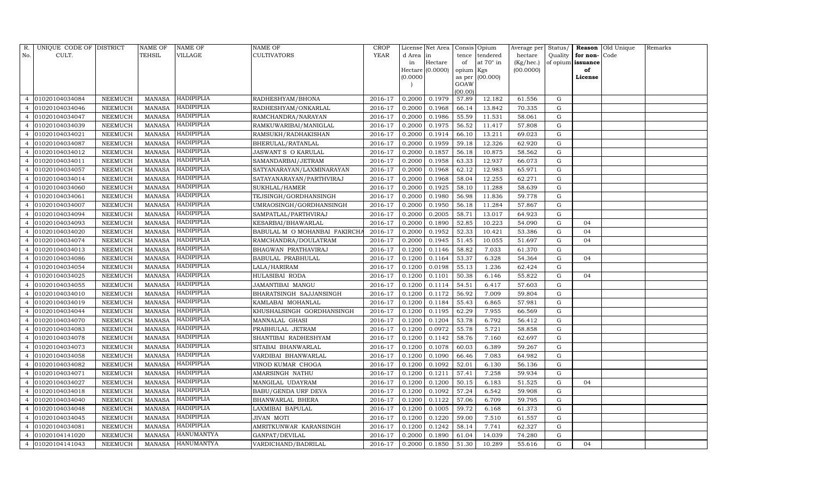| R.             | UNIQUE CODE OF DISTRICT |                 | NAME OF       | NAME OF           | NAME OF                       | <b>CROP</b> |           | License Net Area |           | Consis Opium    | Average per | Status/     |          | Reason Old Unique | Remarks |
|----------------|-------------------------|-----------------|---------------|-------------------|-------------------------------|-------------|-----------|------------------|-----------|-----------------|-------------|-------------|----------|-------------------|---------|
| No.            | CULT.                   |                 | TEHSIL        | VILLAGE           | CULTIVATORS                   | <b>YEAR</b> | d Area in |                  | tence     | tendered        | hectare     | Quality     | for non- | Code              |         |
|                |                         |                 |               |                   |                               |             | in        | Hectare          | of        | at 70° in       | (Kg/hec.)   | of opium    | issuance |                   |         |
|                |                         |                 |               |                   |                               |             |           | Hectare (0.0000) | opium Kgs |                 | (00.0000)   |             | of       |                   |         |
|                |                         |                 |               |                   |                               |             | (0.0000)  |                  | GOAW      | as per (00.000) |             |             | License  |                   |         |
|                |                         |                 |               |                   |                               |             |           |                  | (00.00)   |                 |             |             |          |                   |         |
|                | 01020104034084          | NEEMUCH         | <b>MANASA</b> | HADIPIPLIA        | RADHESHYAM/BHONA              | 2016-17     | 0.2000    | 0.1979           | 57.89     | 12.182          | 61.556      | G           |          |                   |         |
|                | 01020104034046          | NEEMUCH         | <b>MANASA</b> | <b>HADIPIPLIA</b> | RADHESHYAM/ONKARLAL           | 2016-17     | 0.2000    | 0.1968           | 66.14     | 13.842          | 70.335      | G           |          |                   |         |
|                | 01020104034047          | NEEMUCH         | <b>MANASA</b> | <b>HADIPIPLIA</b> | RAMCHANDRA/NARAYAN            | 2016-17     | 0.2000    | 0.1986           | 55.59     | 11.531          | 58.061      | G           |          |                   |         |
| 4              | 01020104034039          | NEEMUCH         | <b>MANASA</b> | <b>HADIPIPLIA</b> | RAMKUWARIBAI/MANIGLAL         | 2016-17     | 0.2000    | 0.1975           | 56.52     | 11.417          | 57.808      | $\mathbf G$ |          |                   |         |
|                | 01020104034021          | NEEMUCH         | <b>MANASA</b> | HADIPIPLIA        | RAMSUKH/RADHAKISHAN           | 2016-17     | 0.2000    | 0.1914           | 66.10     | 13.211          | 69.023      | G           |          |                   |         |
|                | 01020104034087          | NEEMUCH         | <b>MANASA</b> | HADIPIPLIA        | BHERULAL/RATANLAL             | 2016-17     | 0.2000    | 0.1959           | 59.18     | 12.326          | 62.920      | $\mathbf G$ |          |                   |         |
| 4              | 01020104034012          | NEEMUCH         | <b>MANASA</b> | <b>HADIPIPLIA</b> | JASWANT S O KARULAL           | 2016-17     | 0.2000    | 0.1857           | 56.18     | 10.875          | 58.562      | G           |          |                   |         |
| 4              | 01020104034011          | NEEMUCH         | <b>MANASA</b> | HADIPIPLIA        | SAMANDARBAI/JETRAM            | 2016-17     | 0.2000    | 0.1958           | 63.33     | 12.937          | 66.073      | G           |          |                   |         |
|                | 01020104034057          | NEEMUCH         | <b>MANASA</b> | HADIPIPLIA        | SATYANARAYAN/LAXMINARAYAN     | 2016-17     | 0.2000    | 0.1968           | 62.12     | 12.983          | 65.971      | G           |          |                   |         |
|                | 01020104034014          | NEEMUCH         | <b>MANASA</b> | HADIPIPLIA        | SATAYANARAYAN/PARTHVIRAJ      | 2016-17     | 0.2000    | 0.1968           | 58.04     | 12.255          | 62.271      | G           |          |                   |         |
| 4              | 01020104034060          | ${\tt NEEMUCH}$ | <b>MANASA</b> | HADIPIPLIA        | SUKHLAL/HAMER                 | 2016-17     | 0.2000    | 0.1925           | 58.10     | 11.288          | 58.639      | G           |          |                   |         |
|                | 01020104034061          | NEEMUCH         | <b>MANASA</b> | HADIPIPLIA        | TEJSINGH/GORDHANSINGH         | 2016-17     | 0.2000    | 0.1980           | 56.98     | 11.836          | 59.778      | G           |          |                   |         |
|                | 01020104034007          | <b>NEEMUCH</b>  | <b>MANASA</b> | HADIPIPLIA        | UMRAOSINGH/GORDHANSINGH       | 2016-17     | 0.2000    | 0.1950           | 56.18     | 11.284          | 57.867      | G           |          |                   |         |
|                | 01020104034094          | NEEMUCH         | <b>MANASA</b> | <b>HADIPIPLIA</b> | SAMPATLAL/PARTHVIRAJ          | 2016-17     | 0.2000    | 0.2005           | 58.71     | 13.017          | 64.923      | ${\rm G}$   |          |                   |         |
|                | 01020104034093          | NEEMUCH         | <b>MANASA</b> | <b>HADIPIPLIA</b> | KESARBAI/BHAWARLAL            | 2016-17     | 0.2000    | 0.1890           | 52.85     | 10.223          | 54.090      | G           | 04       |                   |         |
|                | 01020104034020          | NEEMUCH         | <b>MANASA</b> | HADIPIPLIA        | BABULAL M O MOHANBAI FAKIRCHA | 2016-17     | 0.2000    | 0.1952           | 52.33     | 10.421          | 53.386      | G           | 04       |                   |         |
|                | 01020104034074          | NEEMUCH         | <b>MANASA</b> | HADIPIPLIA        | RAMCHANDRA/DOULATRAM          | 2016-17     | 0.2000    | 0.1945           | 51.45     | 10.055          | 51.697      | ${\rm G}$   | 04       |                   |         |
|                | 01020104034013          | NEEMUCH         | <b>MANASA</b> | <b>HADIPIPLIA</b> | BHAGWAN PRATHAVIRAJ           | 2016-17     | 0.1200    | 0.1146           | 58.82     | 7.033           | 61.370      | G           |          |                   |         |
|                | 01020104034086          | NEEMUCH         | <b>MANASA</b> | HADIPIPLIA        | BABULAL PRABHULAL             | 2016-17     | 0.1200    | 0.1164           | 53.37     | 6.328           | 54.364      | G           | 04       |                   |         |
| 4              | 01020104034054          | <b>NEEMUCH</b>  | <b>MANASA</b> | HADIPIPLIA        | LALA/HARIRAM                  | 2016-17     | 0.1200    | 0.0198           | 55.13     | 1.236           | 62.424      | G           |          |                   |         |
|                | 01020104034025          | NEEMUCH         | <b>MANASA</b> | HADIPIPLIA        | HULASIBAI RODA                | 2016-17     | 0.1200    | 0.1101           | 50.38     | 6.146           | 55.822      | ${\rm G}$   | 04       |                   |         |
| 4              | 01020104034055          | NEEMUCH         | <b>MANASA</b> | HADIPIPLIA        | JAMANTIBAI MANGU              | 2016-17     | 0.1200    | 0.1114           | 54.51     | 6.417           | 57.603      | G           |          |                   |         |
|                | 01020104034010          | NEEMUCH         | <b>MANASA</b> | HADIPIPLIA        | BHARATSINGH SAJJANSINGH       | 2016-17     | 0.1200    | 0.1172           | 56.92     | 7.009           | 59.804      | G           |          |                   |         |
|                | 01020104034019          | NEEMUCH         | <b>MANASA</b> | HADIPIPLIA        | KAMLABAI MOHANLAL             | 2016-17     | 0.1200    | 0.1184           | 55.43     | 6.865           | 57.981      | G           |          |                   |         |
|                | 01020104034044          | NEEMUCH         | <b>MANASA</b> | HADIPIPLIA        | KHUSHALSINGH GORDHANSINGH     | 2016-17     | 0.1200    | 0.1195           | 62.29     | 7.955           | 66.569      | $\mathbf G$ |          |                   |         |
|                | 01020104034070          | NEEMUCH         | <b>MANASA</b> | <b>HADIPIPLIA</b> | MANNALAL GHASI                | 2016-17     | 0.1200    | 0.1204           | 53.78     | 6.792           | 56.412      | G           |          |                   |         |
|                | 01020104034083          | NEEMUCH         | <b>MANASA</b> | HADIPIPLIA        | PRABHULAL JETRAM              | 2016-17     | 0.1200    | 0.0972           | 55.78     | 5.721           | 58.858      | ${\rm G}$   |          |                   |         |
|                | 01020104034078          | <b>NEEMUCH</b>  | <b>MANASA</b> | HADIPIPLIA        | SHANTIBAI RADHESHYAM          | 2016-17     | 0.1200    | 0.1142           | 58.76     | 7.160           | 62.697      | ${\rm G}$   |          |                   |         |
|                | 01020104034073          | NEEMUCH         | MANASA        | <b>HADIPIPLIA</b> | SITABAI BHANWARLAL            | 2016-17     | 0.1200    | 0.1078           | 60.03     | 6.389           | 59.267      | G           |          |                   |         |
| 4              | 01020104034058          | NEEMUCH         | <b>MANASA</b> | <b>HADIPIPLIA</b> | VARDIBAI BHANWARLAL           | 2016-17     | 0.1200    | 0.1090           | 66.46     | 7.083           | 64.982      | G           |          |                   |         |
| 4              | 01020104034082          | NEEMUCH         | <b>MANASA</b> | HADIPIPLIA        | VINOD KUMAR CHOGA             | 2016-17     | 0.1200    | 0.1092           | 52.01     | 6.130           | 56.136      | G           |          |                   |         |
|                | 01020104034071          | <b>NEEMUCH</b>  | <b>MANASA</b> | HADIPIPLIA        | AMARSINGH NATHU               | 2016-17     | 0.1200    | 0.1211           | 57.41     | 7.258           | 59.934      | G           |          |                   |         |
|                | 01020104034027          | NEEMUCH         | <b>MANASA</b> | HADIPIPLIA        | MANGILAL UDAYRAM              | 2016-17     | 0.1200    | 0.1200           | 50.15     | 6.183           | 51.525      | G           | 04       |                   |         |
| 4              | 01020104034018          | NEEMUCH         | <b>MANASA</b> | <b>HADIPIPLIA</b> | BABU/GENDA URF DEVA           | 2016-17     | 0.1200    | 0.1092           | 57.24     | 6.542           | 59.908      | G           |          |                   |         |
| 4              | 01020104034040          | NEEMUCH         | <b>MANASA</b> | HADIPIPLIA        | BHANWARLAL BHERA              | 2016-17     | 0.1200    | 0.1122           | 57.06     | 6.709           | 59.795      | G           |          |                   |         |
|                | 01020104034048          | NEEMUCH         | <b>MANASA</b> | HADIPIPLIA        | LAXMIBAI BAPULAL              | 2016-17     | 0.1200    | 0.1005           | 59.72     | 6.168           | 61.373      | $\mathbf G$ |          |                   |         |
|                | 01020104034045          | NEEMUCH         | <b>MANASA</b> | <b>HADIPIPLIA</b> | JIVAN MOTI                    | 2016-17     | 0.1200    | 0.1220           | 59.00     | 7.510           | 61.557      | G           |          |                   |         |
|                | 01020104034081          | NEEMUCH         | <b>MANASA</b> | HADIPIPLIA        | AMRITKUNWAR KARANSINGH        | 2016-17     | 0.1200    | 0.1242           | 58.14     | 7.741           | 62.327      | $\mathbf G$ |          |                   |         |
|                | 01020104141020          | <b>NEEMUCH</b>  | <b>MANASA</b> | HANUMANTYA        | GANPAT/DEVILAL                | 2016-17     | 0.2000    | 0.1890           | 61.04     | 14.039          | 74.280      | G           |          |                   |         |
| $\overline{4}$ | 01020104141043          | NEEMUCH         | MANASA        | <b>HANUMANTYA</b> | VARDICHAND/BADRILAL           | 2016-17     | 0.2000    | 0.1850           | 51.30     | 10.289          | 55.616      | G           | 04       |                   |         |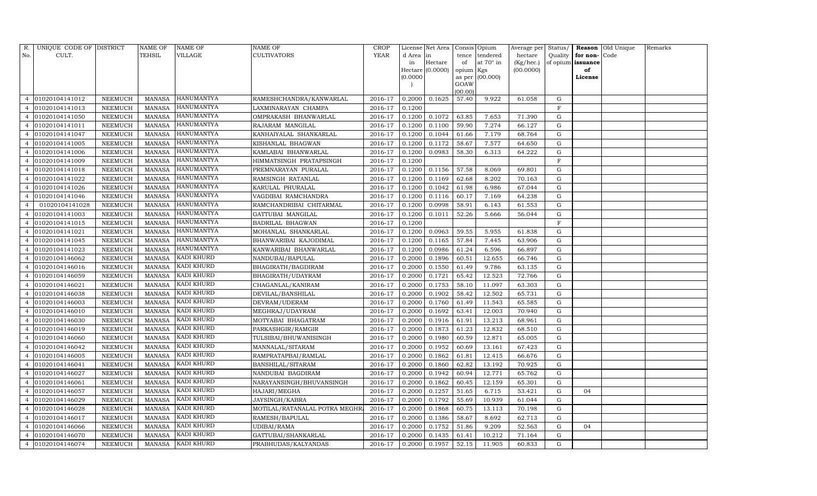| R.             | UNIQUE CODE OF DISTRICT |                | NAME OF       | NAME OF           | NAME OF                       | CROP        |           | License Net Area |                 | Consis Opium     | Average per Status/ |             |                   | Reason Old Unique | Remarks |
|----------------|-------------------------|----------------|---------------|-------------------|-------------------------------|-------------|-----------|------------------|-----------------|------------------|---------------------|-------------|-------------------|-------------------|---------|
| No.            | CULT.                   |                | TEHSIL        | VILLAGE           | <b>CULTIVATORS</b>            | <b>YEAR</b> | d Area in |                  | tence           | tendered         | hectare             | Quality     | for non-          | Code              |         |
|                |                         |                |               |                   |                               |             | in        | Hectare          | of              | at $70^\circ$ in | (Kg/hec.)           |             | of opium issuance |                   |         |
|                |                         |                |               |                   |                               |             |           | Hectare (0.0000) | opium Kgs       |                  | (00.0000)           |             | of                |                   |         |
|                |                         |                |               |                   |                               |             | (0.0000)  |                  |                 | as per (00.000)  |                     |             | License           |                   |         |
|                |                         |                |               |                   |                               |             |           |                  | GOAW<br>(00.00) |                  |                     |             |                   |                   |         |
| $\overline{4}$ | 01020104141012          | NEEMUCH        | <b>MANASA</b> | HANUMANTYA        | RAMESHCHANDRA/KANWARLAL       | 2016-17     | 0.2000    | 0.1625           | 57.40           | 9.922            | 61.058              | G           |                   |                   |         |
|                | 01020104141013          | NEEMUCH        | <b>MANASA</b> | <b>HANUMANTYA</b> | LAXMINARAYAN CHAMPA           | 2016-17     | 0.1200    |                  |                 |                  |                     | $\mathbf F$ |                   |                   |         |
|                | 01020104141050          | NEEMUCH        | <b>MANASA</b> | HANUMANTYA        | OMPRAKASH BHANWARLAL          | 2016-17     | 0.1200    | 0.1072           | 63.85           | 7.653            | 71.390              | G           |                   |                   |         |
| $\overline{4}$ | 01020104141011          | NEEMUCH        | MANASA        | <b>HANUMANTYA</b> | RAJARAM MANGILAL              | 2016-17     | 0.1200    | 0.1100           | 59.90           | 7.274            | 66.127              | G           |                   |                   |         |
| $\overline{4}$ | 01020104141047          | NEEMUCH        | <b>MANASA</b> | <b>HANUMANTYA</b> | KANHAIYALAL SHANKARLAL        | 2016-17     | 0.1200    | 0.1044           | 61.66           | 7.179            | 68.764              | G           |                   |                   |         |
|                | 01020104141005          | NEEMUCH        | <b>MANASA</b> | <b>HANUMANTYA</b> | KISHANLAL BHAGWAN             | 2016-17     | 0.1200    | 0.1172           | 58.67           | 7.577            | 64.650              | $\mathbf G$ |                   |                   |         |
|                | 01020104141006          | NEEMUCH        | <b>MANASA</b> | <b>HANUMANTYA</b> | KAMLABAI BHANWARLAL           | 2016-17     | 0.1200    | 0.0983           | 58.30           | 6.313            | 64.222              | G           |                   |                   |         |
| 4              | 01020104141009          | NEEMUCH        | <b>MANASA</b> | HANUMANTYA        | HIMMATSINGH PRATAPSINGH       | 2016-17     | 0.1200    |                  |                 |                  |                     | $\mathbf F$ |                   |                   |         |
| 4              | 01020104141018          | <b>NEEMUCH</b> | <b>MANASA</b> | HANUMANTYA        | PREMNARAYAN PURALAL           | 2016-17     | 0.1200    | 0.1156           | 57.58           | 8.069            | 69.801              | G           |                   |                   |         |
|                | 01020104141022          | NEEMUCH        | <b>MANASA</b> | <b>HANUMANTYA</b> | RAMSINGH RATANLAL             | 2016-17     | 0.1200    | 0.1169           | 62.68           | 8.202            | 70.163              | ${\rm G}$   |                   |                   |         |
|                | 01020104141026          | NEEMUCH        | <b>MANASA</b> | <b>HANUMANTYA</b> | KARULAL PHURALAL              | 2016-17     | 0.1200    | 0.1042           | 61.98           | 6.986            | 67.044              | G           |                   |                   |         |
|                | 01020104141046          | NEEMUCH        | MANASA        | <b>HANUMANTYA</b> | VAGDIBAI RAMCHANDRA           | 2016-17     | 0.1200    | 0.1116           | 60.17           | 7.169            | 64.238              | G           |                   |                   |         |
|                | 01020104141028          | <b>NEEMUCH</b> | <b>MANASA</b> | HANUMANTYA        | RAMCHANDRIBAI CHITARMAL       | 2016-17     | 0.1200    | 0.0998           | 58.91           | 6.143            | 61.553              | ${\rm G}$   |                   |                   |         |
| 4              | 01020104141003          | NEEMUCH        | MANASA        | <b>HANUMANTYA</b> | GATTUBAI MANGILAL             | 2016-17     | 0.1200    | 0.1011           | 52.26           | 5.666            | 56.044              | G           |                   |                   |         |
| 4              | 01020104141015          | NEEMUCH        | MANASA        | <b>HANUMANTYA</b> | BADRILAL BHAGWAN              | 2016-17     | 0.1200    |                  |                 |                  |                     | F           |                   |                   |         |
|                | 01020104141021          | NEEMUCH        | <b>MANASA</b> | <b>HANUMANTYA</b> | MOHANLAL SHANKARLAL           | 2016-17     | 0.1200    | 0.0963           | 59.55           | 5.955            | 61.838              | G           |                   |                   |         |
|                | 01020104141045          | NEEMUCH        | <b>MANASA</b> | <b>HANUMANTYA</b> | BHANWARIBAI KAJODIMAL         | 2016-17     | 0.1200    | 0.1165           | 57.84           | 7.445            | 63.906              | G           |                   |                   |         |
|                | 01020104141023          | NEEMUCH        | MANASA        | <b>HANUMANTYA</b> | KANWARIBAI BHANWARLAL         | 2016-17     | 0.1200    | 0.0986           | 61.24           | 6.596            | 66.897              | G           |                   |                   |         |
| 4              | 01020104146062          | NEEMUCH        | MANASA        | KADI KHURD        | NANDUBAI/BAPULAL              | 2016-17     | 0.2000    | 0.1896           | 60.51           | 12.655           | 66.746              | G           |                   |                   |         |
|                | 01020104146016          | NEEMUCH        | MANASA        | KADI KHURD        | BHAGIRATH/BAGDIRAM            | 2016-17     | 0.2000    | 0.1550           | 61.49           | 9.786            | 63.135              | G           |                   |                   |         |
|                | 01020104146059          | NEEMUCH        | <b>MANASA</b> | KADI KHURD        | BHAGIRATH/UDAYRAM             | 2016-17     | 0.2000    | 0.1721           | 65.42           | 12.523           | 72.766              | G           |                   |                   |         |
|                | 01020104146021          | NEEMUCH        | <b>MANASA</b> | KADI KHURD        | CHAGANLAL/KANIRAM             | 2016-17     | 0.2000    | 0.1753           | 58.10           | 11.097           | 63.303              | $\mathbf G$ |                   |                   |         |
|                | 01020104146038          | NEEMUCH        | MANASA        | KADI KHURD        | DEVILAL/BANSHILAL             | 2016-17     | 0.2000    | 0.1902           | 58.42           | 12.502           | 65.731              | G           |                   |                   |         |
|                | 01020104146003          | NEEMUCH        | <b>MANASA</b> | KADI KHURD        | DEVRAM/UDERAM                 | 2016-17     | 0.2000    | 0.1760           | 61.49           | 11.543           | 65.585              | $\mathbf G$ |                   |                   |         |
|                | 01020104146010          | NEEMUCH        | <b>MANASA</b> | KADI KHURD        | MEGHRAJ/UDAYRAM               | 2016-17     | 0.2000    | 0.1692           | 63.41           | 12.003           | 70.940              | $\mathbf G$ |                   |                   |         |
|                | 01020104146030          | NEEMUCH        | <b>MANASA</b> | KADI KHURD        | MOTYABAI BHAGATRAM            | 2016-17     | 0.2000    | 0.1916           | 61.91           | 13.213           | 68.961              | G           |                   |                   |         |
|                | 01020104146019          | NEEMUCH        | <b>MANASA</b> | KADI KHURD        | PARKASHGIR/RAMGIR             | 2016-17     | 0.2000    | 0.1873           | 61.23           | 12.832           | 68.510              | $\mathbf G$ |                   |                   |         |
| $\overline{4}$ | 01020104146060          | NEEMUCH        | <b>MANASA</b> | KADI KHURD        | TULSIBAI/BHUWANISINGH         | 2016-17     | 0.2000    | 0.1980           | 60.59           | 12.871           | 65.005              | ${\rm G}$   |                   |                   |         |
|                | 01020104146042          | NEEMUCH        | MANASA        | KADI KHURD        | MANNALAL/SITARAM              | 2016-17     | 0.2000    | 0.1952           | 60.69           | 13.161           | 67.423              | G           |                   |                   |         |
| 4              | 01020104146005          | NEEMUCH        | <b>MANASA</b> | KADI KHURD        | RAMPRATAPBAI/RAMLAL           | 2016-17     | 0.2000    | 0.1862           | 61.81           | 12.415           | 66.676              | ${\rm G}$   |                   |                   |         |
| 4              | 01020104146041          | NEEMUCH        | MANASA        | KADI KHURD        | BANSHILAL/SITARAM             | 2016-17     | 0.2000    | 0.1860           | 62.82           | 13.192           | 70.925              | G           |                   |                   |         |
|                | 01020104146027          | NEEMUCH        | <b>MANASA</b> | KADI KHURD        | NANDUBAI BAGDIRAM             | 2016-17     | 0.2000    | 0.1942           | 60.94           | 12.771           | 65.762              | G           |                   |                   |         |
|                | 01020104146061          | NEEMUCH        | <b>MANASA</b> | KADI KHURD        | NARAYANSINGH/BHUVANSINGH      | 2016-17     | 0.2000    | 0.1862           | 60.45           | 12.159           | 65.301              | $\mathbf G$ |                   |                   |         |
|                | 01020104146057          | NEEMUCH        | <b>MANASA</b> | KADI KHURD        | HAJARI/MEGHA                  | 2016-17     | 0.2000    | 0.1257           | 51.65           | 6.715            | 53.421              | G           | 04                |                   |         |
| 4              | 01020104146029          | NEEMUCH        | <b>MANASA</b> | KADI KHURD        | JAYSINGH/KABRA                | 2016-17     | 0.2000    | 0.1792           | 55.69           | 10.939           | 61.044              | G           |                   |                   |         |
|                | 01020104146028          | <b>NEEMUCH</b> | <b>MANASA</b> | KADI KHURD        | MOTILAL/RATANALAL POTRA MEGHR | 2016-17     | 0.2000    | 0.1868           | 60.75           | 13.113           | 70.198              | ${\rm G}$   |                   |                   |         |
|                | 01020104146017          | NEEMUCH        | MANASA        | KADI KHURD        | RAMESH/BAPULAL                | 2016-17     | 0.2000    | 0.1386           | 58.67           | 8.692            | 62.713              | G           |                   |                   |         |
| 4              | 01020104146066          | NEEMUCH        | <b>MANASA</b> | KADI KHURD        | UDIBAI/RAMA                   | 2016-17     | 0.2000    | 0.1752           | 51.86           | 9.209            | 52.563              | G           | 04                |                   |         |
| 4              | 01020104146070          | NEEMUCH        | MANASA        | KADI KHURD        | GATTUBAI/SHANKARLAL           | 2016-17     | 0.2000    | 0.1435           | 61.41           | 10.212           | 71.164              | G           |                   |                   |         |
| 4              | 01020104146074          | NEEMUCH        | MANASA        | KADI KHURD        | PRABHUDAS/KALYANDAS           | 2016-17     | 0.2000    | 0.1957           | 52.15           | 11.905           | 60.833              | G           |                   |                   |         |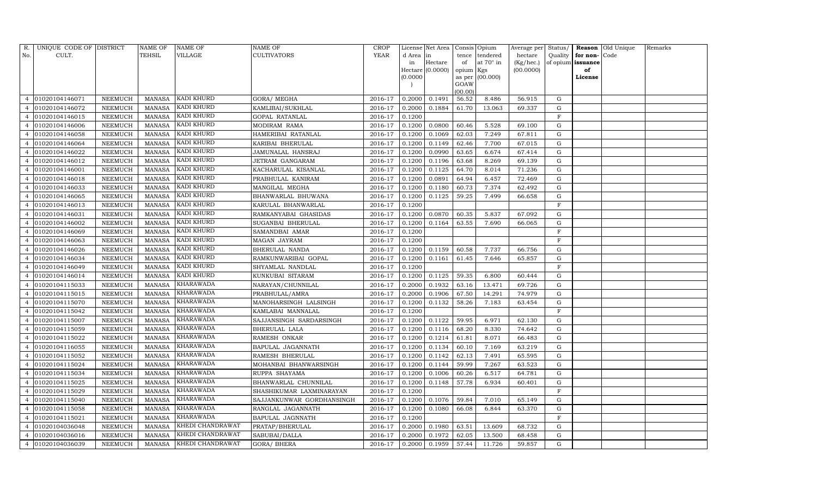| R.             | UNIQUE CODE OF DISTRICT |                 | <b>NAME OF</b> | NAME OF          | NAME OF                   | CROP        |           | License Net Area |           | Consis Opium     | Average per Status/ |             |                   | Reason Old Unique | Remarks |
|----------------|-------------------------|-----------------|----------------|------------------|---------------------------|-------------|-----------|------------------|-----------|------------------|---------------------|-------------|-------------------|-------------------|---------|
| No.            | CULT.                   |                 | TEHSIL         | VILLAGE          | <b>CULTIVATORS</b>        | <b>YEAR</b> | d Area in |                  | tence     | tendered         | hectare             | Quality     | for non-Code      |                   |         |
|                |                         |                 |                |                  |                           |             | in        | Hectare          | of        | at $70^\circ$ in | (Kg/hec.)           |             | of opium issuance |                   |         |
|                |                         |                 |                |                  |                           |             |           | Hectare (0.0000) | opium Kgs |                  | (00.0000)           |             | of                |                   |         |
|                |                         |                 |                |                  |                           |             | (0.0000)  |                  | GOAW      | as per (00.000)  |                     |             | License           |                   |         |
|                |                         |                 |                |                  |                           |             |           |                  | (00.00)   |                  |                     |             |                   |                   |         |
| $\overline{4}$ | 01020104146071          | NEEMUCH         | MANASA         | KADI KHURD       | GORA/MEGHA                | 2016-17     | 0.2000    | 0.1491           | 56.52     | 8.486            | 56.915              | G           |                   |                   |         |
|                | 01020104146072          | NEEMUCH         | <b>MANASA</b>  | KADI KHURD       | KAMLIBAI/SUKHLAL          | 2016-17     | 0.2000    | 0.1884           | 61.70     | 13.063           | 69.337              | G           |                   |                   |         |
|                | 01020104146015          | NEEMUCH         | <b>MANASA</b>  | KADI KHURD       | GOPAL RATANLAL            | 2016-17     | 0.1200    |                  |           |                  |                     | $\mathbf F$ |                   |                   |         |
| $\overline{a}$ | 01020104146006          | NEEMUCH         | MANASA         | KADI KHURD       | MODIRAM RAMA              | 2016-17     | 0.1200    | 0.0800           | 60.46     | 5.528            | 69.100              | $\mathbf G$ |                   |                   |         |
|                | 01020104146058          | NEEMUCH         | <b>MANASA</b>  | KADI KHURD       | HAMERIBAI RATANLAL        | 2016-17     | 0.1200    | 0.1069           | 62.03     | 7.249            | 67.811              | G           |                   |                   |         |
|                | 01020104146064          | NEEMUCH         | <b>MANASA</b>  | KADI KHURD       | KARIBAI BHERULAL          | 2016-17     | 0.1200    | 0.1149           | 62.46     | 7.700            | 67.015              | G           |                   |                   |         |
| 4              | 01020104146022          | NEEMUCH         | MANASA         | KADI KHURD       | JAMUNALAL HANSRAJ         | 2016-17     | 0.1200    | 0.0990           | 63.65     | 6.674            | 67.414              | G           |                   |                   |         |
| 4              | 01020104146012          | NEEMUCH         | <b>MANASA</b>  | KADI KHURD       | JETRAM GANGARAM           | 2016-17     | 0.1200    | 0.1196           | 63.68     | 8.269            | 69.139              | $\mathbf G$ |                   |                   |         |
| 4              | 01020104146001          | NEEMUCH         | MANASA         | KADI KHURD       | KACHARULAL KISANLAL       | 2016-17     | 0.1200    | 0.1125           | 64.70     | 8.014            | 71.236              | G           |                   |                   |         |
|                | 01020104146018          | NEEMUCH         | MANASA         | KADI KHURD       | PRABHULAL KANIRAM         | 2016-17     | 0.1200    | 0.0891           | 64.94     | 6.457            | 72.469              | G           |                   |                   |         |
| $\overline{4}$ | 01020104146033          | ${\tt NEEMUCH}$ | <b>MANASA</b>  | KADI KHURD       | MANGILAL MEGHA            | 2016-17     | 0.1200    | 0.1180           | 60.73     | 7.374            | 62.492              | G           |                   |                   |         |
|                | 01020104146065          | NEEMUCH         | <b>MANASA</b>  | KADI KHURD       | BHANWARLAL BHUWANA        | 2016-17     | 0.1200    | 0.1125           | 59.25     | 7.499            | 66.658              | G           |                   |                   |         |
|                | 01020104146013          | NEEMUCH         | <b>MANASA</b>  | KADI KHURD       | KARULAL BHANWARLAL        | 2016-17     | 0.1200    |                  |           |                  |                     | $\mathbf F$ |                   |                   |         |
|                | 01020104146031          | NEEMUCH         | <b>MANASA</b>  | KADI KHURD       | RAMKANYABAI GHASIDAS      | 2016-17     | 0.1200    | 0.0870           | 60.35     | 5.837            | 67.092              | G           |                   |                   |         |
|                | 01020104146002          | NEEMUCH         | <b>MANASA</b>  | KADI KHURD       | SUGANBAI BHERULAL         | 2016-17     | 0.1200    | 0.1164           | 63.55     | 7.690            | 66.065              | G           |                   |                   |         |
|                | 01020104146069          | NEEMUCH         | <b>MANASA</b>  | KADI KHURD       | SAMANDBAI AMAR            | 2016-17     | 0.1200    |                  |           |                  |                     | F           |                   |                   |         |
|                | 01020104146063          | NEEMUCH         | <b>MANASA</b>  | KADI KHURD       | MAGAN JAYRAM              | 2016-17     | 0.1200    |                  |           |                  |                     | $\mathbf F$ |                   |                   |         |
|                | 01020104146026          | NEEMUCH         | <b>MANASA</b>  | KADI KHURD       | BHERULAL NANDA            | 2016-17     | 0.1200    | 0.1159           | 60.58     | 7.737            | 66.756              | G           |                   |                   |         |
|                | 01020104146034          | NEEMUCH         | <b>MANASA</b>  | KADI KHURD       | RAMKUNWARIBAI GOPAL       | 2016-17     | 0.1200    | 0.1161           | 61.45     | 7.646            | 65.857              | G           |                   |                   |         |
| 4              | 01020104146049          | NEEMUCH         | <b>MANASA</b>  | KADI KHURD       | SHYAMLAL NANDLAL          | 2016-17     | 0.1200    |                  |           |                  |                     | $\mathbf F$ |                   |                   |         |
|                | 01020104146014          | NEEMUCH         | <b>MANASA</b>  | KADI KHURD       | KUNKUBAI SITARAM          | 2016-17     | 0.1200    | 0.1125           | 59.35     | 6.800            | 60.444              | G           |                   |                   |         |
| 4              | 01020104115033          | NEEMUCH         | <b>MANASA</b>  | KHARAWADA        | NARAYAN/CHUNNILAL         | 2016-17     | 0.2000    | 0.1932           | 63.16     | 13.471           | 69.726              | G           |                   |                   |         |
| 4              | 01020104115015          | NEEMUCH         | <b>MANASA</b>  | KHARAWADA        | PRABHULAL/AMRA            | 2016-17     | 0.2000    | 0.1906           | 67.50     | 14.291           | 74.979              | G           |                   |                   |         |
|                | 01020104115070          | NEEMUCH         | <b>MANASA</b>  | KHARAWADA        | MANOHARSINGH LALSINGH     | 2016-17     | 0.1200    | 0.1132           | 58.26     | 7.183            | 63.454              | G           |                   |                   |         |
|                | 01020104115042          | NEEMUCH         | <b>MANASA</b>  | KHARAWADA        | KAMLABAI MANNALAL         | 2016-17     | 0.1200    |                  |           |                  |                     | $\mathbf F$ |                   |                   |         |
|                | 01020104115007          | NEEMUCH         | <b>MANASA</b>  | KHARAWADA        | SAJJANSINGH SARDARSINGH   | 2016-17     | 0.1200    | 0.1122           | 59.95     | 6.971            | 62.130              | G           |                   |                   |         |
| 4              | 01020104115059          | NEEMUCH         | <b>MANASA</b>  | <b>KHARAWADA</b> | BHERULAL LALA             | 2016-17     | 0.1200    | 0.1116           | 68.20     | 8.330            | 74.642              | G           |                   |                   |         |
|                | 01020104115022          | NEEMUCH         | <b>MANASA</b>  | KHARAWADA        | RAMESH ONKAR              | 2016-17     | 0.1200    | 0.1214           | 61.81     | 8.071            | 66.483              | ${\rm G}$   |                   |                   |         |
|                | 01020104116055          | NEEMUCH         | MANASA         | KHARAWADA        | BAPULAL JAGANNATH         | 2016-17     | 0.1200    | 0.1134           | 60.10     | 7.169            | 63.219              | G           |                   |                   |         |
| 4              | 01020104115052          | NEEMUCH         | <b>MANASA</b>  | KHARAWADA        | RAMESH BHERULAL           | 2016-17     | 0.1200    | 0.1142           | 62.13     | 7.491            | 65.595              | G           |                   |                   |         |
| 4              | 01020104115024          | NEEMUCH         | MANASA         | KHARAWADA        | MOHANBAI BHANWARSINGH     | 2016-17     | 0.1200    | 0.1144           | 59.99     | 7.267            | 63.523              | G           |                   |                   |         |
|                | 01020104115034          | NEEMUCH         | <b>MANASA</b>  | KHARAWADA        | RUPPA SHAYAMA             | 2016-17     | 0.1200    | 0.1006           | 60.26     | 6.517            | 64.781              | G           |                   |                   |         |
| 4              | 01020104115025          | NEEMUCH         | <b>MANASA</b>  | KHARAWADA        | BHANWARLAL CHUNNILAL      | 2016-17     | 0.1200    | 0.1148           | 57.78     | 6.934            | 60.401              | G           |                   |                   |         |
| 4              | 01020104115029          | NEEMUCH         | <b>MANASA</b>  | KHARAWADA        | SHASHIKUMAR LAXMINARAYAN  | 2016-17     | 0.1200    |                  |           |                  |                     | F           |                   |                   |         |
| 4              | 01020104115040          | NEEMUCH         | <b>MANASA</b>  | <b>KHARAWADA</b> | SAJJANKUNWAR GORDHANSINGH | 2016-17     | 0.1200    | 0.1076           | 59.84     | 7.010            | 65.149              | G           |                   |                   |         |
|                | 01020104115058          | NEEMUCH         | MANASA         | KHARAWADA        | RANGLAL JAGANNATH         | 2016-17     | 0.1200    | 0.1080           | 66.08     | 6.844            | 63.370              | G           |                   |                   |         |
| 4              | 01020104115021          | NEEMUCH         | <b>MANASA</b>  | KHARAWADA        | BAPULAL JAGNNATH          | 2016-17     | 0.1200    |                  |           |                  |                     | F           |                   |                   |         |
| $\overline{4}$ | 01020104036048          | NEEMUCH         | <b>MANASA</b>  | KHEDI CHANDRAWAT | PRATAP/BHERULAL           | 2016-17     | 0.2000    | 0.1980           | 63.51     | 13.609           | 68.732              | ${\rm G}$   |                   |                   |         |
| 4              | 01020104036016          | NEEMUCH         | <b>MANASA</b>  | KHEDI CHANDRAWAT | SABUBAI/DALLA             | 2016-17     | 0.2000    | 0.1972           | 62.05     | 13.500           | 68.458              | G           |                   |                   |         |
| $\overline{4}$ | 01020104036039          | NEEMUCH         | MANASA         | KHEDI CHANDRAWAT | <b>GORA/ BHERA</b>        | 2016-17     | 0.2000    | 0.1959           | 57.44     | 11.726           | 59.857              | G           |                   |                   |         |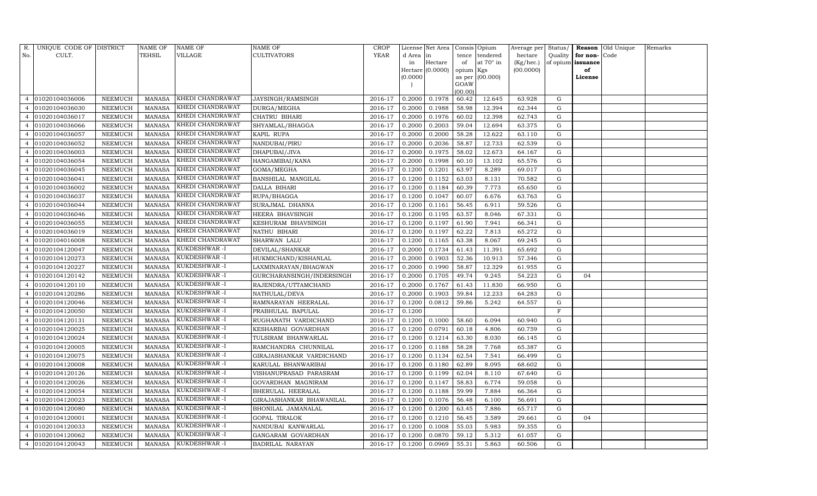| R.             | UNIQUE CODE OF DISTRICT |                | NAME OF       | NAME OF          | NAME OF                   | CROP        |           | License Net Area |           | Consis Opium     | Average per Status/ |             |                   | Reason Old Unique | Remarks |
|----------------|-------------------------|----------------|---------------|------------------|---------------------------|-------------|-----------|------------------|-----------|------------------|---------------------|-------------|-------------------|-------------------|---------|
| No.            | CULT.                   |                | TEHSIL        | VILLAGE          | CULTIVATORS               | <b>YEAR</b> | d Area in |                  | tence     | tendered         | hectare             | Quality     | for non-          | Code              |         |
|                |                         |                |               |                  |                           |             | in        | Hectare          | of        | at $70^\circ$ in | (Kg/hec.)           |             | of opium issuance |                   |         |
|                |                         |                |               |                  |                           |             |           | Hectare (0.0000) | opium Kgs |                  | (00.0000)           |             | of                |                   |         |
|                |                         |                |               |                  |                           |             | (0.0000)  |                  | GOAW      | as per (00.000)  |                     |             | License           |                   |         |
|                |                         |                |               |                  |                           |             |           |                  | (00.00)   |                  |                     |             |                   |                   |         |
| 4              | 01020104036006          | NEEMUCH        | MANASA        | KHEDI CHANDRAWAT | JAYSINGH/RAMSINGH         | 2016-17     | 0.2000    | 0.1978           | 60.42     | 12.645           | 63.928              | G           |                   |                   |         |
|                | 01020104036030          | NEEMUCH        | <b>MANASA</b> | KHEDI CHANDRAWAT | DURGA/MEGHA               | 2016-17     | 0.2000    | 0.1988           | 58.98     | 12.394           | 62.344              | G           |                   |                   |         |
|                | 01020104036017          | NEEMUCH        | <b>MANASA</b> | KHEDI CHANDRAWAT | CHATRU BIHARI             | 2016-17     | 0.2000    | 0.1976           | 60.02     | 12.398           | 62.743              | G           |                   |                   |         |
| 4              | 01020104036066          | NEEMUCH        | <b>MANASA</b> | KHEDI CHANDRAWAT | SHYAMLAL/BHAGGA           | 2016-17     | 0.2000    | 0.2003           | 59.04     | 12.694           | 63.375              | ${\rm G}$   |                   |                   |         |
|                | 01020104036057          | NEEMUCH        | <b>MANASA</b> | KHEDI CHANDRAWAT | KAPIL RUPA                | 2016-17     | 0.2000    | 0.2000           | 58.28     | 12.622           | 63.110              | G           |                   |                   |         |
|                | 01020104036052          | NEEMUCH        | <b>MANASA</b> | KHEDI CHANDRAWAT | NANDUBAI/PIRU             | 2016-17     | 0.2000    | 0.2036           | 58.87     | 12.733           | 62.539              | ${\rm G}$   |                   |                   |         |
| 4              | 01020104036003          | NEEMUCH        | <b>MANASA</b> | KHEDI CHANDRAWAT | DHAPUBAI/JIVA             | 2016-17     | 0.2000    | 0.1975           | 58.02     | 12.673           | 64.167              | G           |                   |                   |         |
| 4              | 01020104036054          | NEEMUCH        | <b>MANASA</b> | KHEDI CHANDRAWAT | HANGAMIBAI/KANA           | 2016-17     | 0.2000    | 0.1998           | 60.10     | 13.102           | 65.576              | ${\rm G}$   |                   |                   |         |
| 4              | 01020104036045          | NEEMUCH        | <b>MANASA</b> | KHEDI CHANDRAWAT | GOMA/MEGHA                | 2016-17     | 0.1200    | 0.1201           | 63.97     | 8.289            | 69.017              | G           |                   |                   |         |
|                | 01020104036041          | NEEMUCH        | <b>MANASA</b> | KHEDI CHANDRAWAT | BANSHILAL MANGILAL        | 2016-17     | 0.1200    | 0.1152           | 63.03     | 8.131            | 70.582              | G           |                   |                   |         |
| 4              | 01020104036002          | NEEMUCH        | <b>MANASA</b> | KHEDI CHANDRAWAT | DALLA BIHARI              | 2016-17     | 0.1200    | 0.1184           | 60.39     | 7.773            | 65.650              | G           |                   |                   |         |
|                | 01020104036037          | NEEMUCH        | <b>MANASA</b> | KHEDI CHANDRAWAT | RUPA/BHAGGA               | 2016-17     | 0.1200    | 0.1047           | 60.07     | 6.676            | 63.763              | G           |                   |                   |         |
|                | 01020104036044          | NEEMUCH        | <b>MANASA</b> | KHEDI CHANDRAWAT | SURAJMAL DHANNA           | 2016-17     | 0.1200    | 0.1161           | 56.45     | 6.911            | 59.526              | G           |                   |                   |         |
|                | 01020104036046          | NEEMUCH        | <b>MANASA</b> | KHEDI CHANDRAWAT | HEERA BHAVSINGH           | 2016-17     | 0.1200    | 0.1195           | 63.57     | 8.046            | 67.331              | G           |                   |                   |         |
|                | 01020104036055          | NEEMUCH        | <b>MANASA</b> | KHEDI CHANDRAWAT | KESHURAM BHAVSINGH        | 2016-17     | 0.1200    | 0.1197           | 61.90     | 7.941            | 66.341              | G           |                   |                   |         |
|                | 01020104036019          | NEEMUCH        | <b>MANASA</b> | KHEDI CHANDRAWAT | NATHU BIHARI              | 2016-17     | 0.1200    | 0.1197           | 62.22     | 7.813            | 65.272              | G           |                   |                   |         |
|                | 01020104016008          | NEEMUCH        | <b>MANASA</b> | KHEDI CHANDRAWAT | SHARWAN LALU              | 2016-17     | 0.1200    | 0.1165           | 63.38     | 8.067            | 69.245              | G           |                   |                   |         |
|                | 01020104120047          | NEEMUCH        | <b>MANASA</b> | KUKDESHWAR -I    | DEVILAL/SHANKAR           | 2016-17     | 0.2000    | 0.1734           | 61.43     | 11.391           | 65.692              | G           |                   |                   |         |
|                | 01020104120273          | NEEMUCH        | <b>MANASA</b> | KUKDESHWAR-I     | HUKMICHAND/KISHANLAL      | 2016-17     | 0.2000    | 0.1903           | 52.36     | 10.913           | 57.346              | G           |                   |                   |         |
| 4              | 01020104120227          | NEEMUCH        | <b>MANASA</b> | KUKDESHWAR -I    | LAXMINARAYAN/BHAGWAN      | 2016-17     | 0.2000    | 0.1990           | 58.87     | 12.329           | 61.955              | G           |                   |                   |         |
|                | 01020104120142          | NEEMUCH        | <b>MANASA</b> | KUKDESHWAR-I     | GURCHARANSINGH/INDERSINGH | 2016-17     | 0.2000    | 0.1705           | 49.74     | 9.245            | 54.223              | G           | 04                |                   |         |
| 4              | 01020104120110          | NEEMUCH        | <b>MANASA</b> | KUKDESHWAR -I    | RAJENDRA/UTTAMCHAND       | 2016-17     | 0.2000    | 0.1767           | 61.43     | 11.830           | 66.950              | G           |                   |                   |         |
| 4              | 01020104120286          | NEEMUCH        | <b>MANASA</b> | KUKDESHWAR -I    | NATHULAL/DEVA             | 2016-17     | 0.2000    | 0.1903           | 59.84     | 12.233           | 64.283              | G           |                   |                   |         |
|                | 01020104120046          | NEEMUCH        | <b>MANASA</b> | KUKDESHWAR-I     | RAMNARAYAN HEERALAL       | 2016-17     | 0.1200    | 0.0812           | 59.86     | 5.242            | 64.557              | G           |                   |                   |         |
|                | 01020104120050          | NEEMUCH        | <b>MANASA</b> | KUKDESHWAR -I    | PRABHULAL BAPULAL         | 2016-17     | 0.1200    |                  |           |                  |                     | $\mathbf F$ |                   |                   |         |
|                | 01020104120131          | NEEMUCH        | <b>MANASA</b> | KUKDESHWAR-I     | RUGHANATH VARDICHAND      | 2016-17     | 0.1200    | 0.1000           | 58.60     | 6.094            | 60.940              | G           |                   |                   |         |
| 4              | 01020104120025          | NEEMUCH        | <b>MANASA</b> | KUKDESHWAR -I    | KESHARBAI GOVARDHAN       | 2016-17     | 0.1200    | 0.0791           | 60.18     | 4.806            | 60.759              | G           |                   |                   |         |
|                | 01020104120024          | <b>NEEMUCH</b> | <b>MANASA</b> | KUKDESHWAR -I    | TULSIRAM BHANWARLAL       | 2016-17     | 0.1200    | 0.1214           | 63.30     | 8.030            | 66.145              | ${\rm G}$   |                   |                   |         |
|                | 01020104120005          | NEEMUCH        | MANASA        | KUKDESHWAR-I     | RAMCHANDRA CHUNNILAL      | 2016-17     | 0.1200    | 0.1188           | 58.28     | 7.768            | 65.387              | G           |                   |                   |         |
| 4              | 01020104120075          | NEEMUCH        | <b>MANASA</b> | KUKDESHWAR-I     | GIRAJASHANKAR VARDICHAND  | 2016-17     | 0.1200    | 0.1134           | 62.54     | 7.541            | 66.499              | G           |                   |                   |         |
| 4              | 01020104120008          | NEEMUCH        | <b>MANASA</b> | KUKDESHWAR -I    | KARULAL BHANWARIBAI       | 2016-17     | 0.1200    | 0.1180           | 62.89     | 8.095            | 68.602              | G           |                   |                   |         |
|                | 01020104120126          | <b>NEEMUCH</b> | <b>MANASA</b> | KUKDESHWAR -I    | VISHANUPRASAD PARASRAM    | 2016-17     | 0.1200    | 0.1199           | 62.04     | 8.110            | 67.640              | G           |                   |                   |         |
| 4              | 01020104120026          | NEEMUCH        | <b>MANASA</b> | KUKDESHWAR -I    | GOVARDHAN MAGNIRAM        | 2016-17     | 0.1200    | 0.1147           | 58.83     | 6.774            | 59.058              | G           |                   |                   |         |
| 4              | 01020104120054          | NEEMUCH        | MANASA        | KUKDESHWAR-I     | BHERULAL HEERALAL         | 2016-17     | 0.1200    | 0.1188           | 59.99     | 7.884            | 66.364              | G           |                   |                   |         |
| 4              | 01020104120023          | NEEMUCH        | <b>MANASA</b> | KUKDESHWAR-I     | GIRAJASHANKAR BHAWANILAL  | 2016-17     | 0.1200    | 0.1076           | 56.48     | 6.100            | 56.691              | G           |                   |                   |         |
|                | 01020104120080          | NEEMUCH        | MANASA        | KUKDESHWAR -I    | BHONILAL JAMANALAL        | 2016-17     | 0.1200    | 0.1200           | 63.45     | 7.886            | 65.717              | ${\rm G}$   |                   |                   |         |
|                | 01020104120001          | NEEMUCH        | <b>MANASA</b> | KUKDESHWAR -I    | GOPAL TIRALOK             | 2016-17     | 0.1200    | 0.1210           | 56.45     | 3.589            | 29.661              | G           | 04                |                   |         |
| $\overline{4}$ | 01020104120033          | NEEMUCH        | <b>MANASA</b> | KUKDESHWAR-I     | NANDUBAI KANWARLAL        | 2016-17     | 0.1200    | 0.1008           | 55.03     | 5.983            | 59.355              | ${\rm G}$   |                   |                   |         |
| 4              | 01020104120062          | NEEMUCH        | <b>MANASA</b> | KUKDESHWAR -I    | GANGARAM GOVARDHAN        | 2016-17     | 0.1200    | 0.0870           | 59.12     | 5.312            | 61.057              | G           |                   |                   |         |
| $\overline{4}$ | 01020104120043          | NEEMUCH        | MANASA        | KUKDESHWAR-I     | BADRILAL NARAYAN          | 2016-17     | 0.1200    | 0.0969           | 55.31     | 5.863            | 60.506              | G           |                   |                   |         |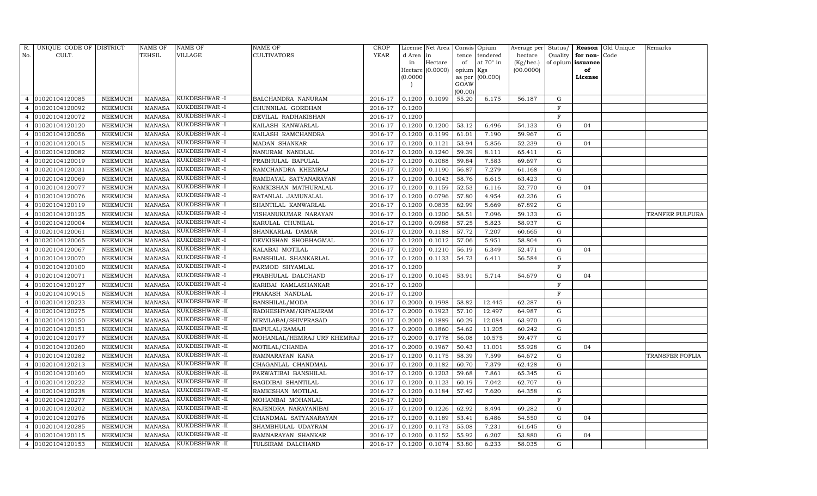| R.             | UNIQUE CODE OF DISTRICT |                | <b>NAME OF</b> | <b>NAME OF</b> | NAME OF                     | <b>CROP</b> |           | License Net Area |                    | Consis Opium     | Average per | Status/      |                   | Reason Old Unique | Remarks         |
|----------------|-------------------------|----------------|----------------|----------------|-----------------------------|-------------|-----------|------------------|--------------------|------------------|-------------|--------------|-------------------|-------------------|-----------------|
| No.            | CULT.                   |                | TEHSIL         | VILLAGE        | <b>CULTIVATORS</b>          | <b>YEAR</b> | d Area in |                  | tence              | tendered         | hectare     | Quality      | for non-          | Code              |                 |
|                |                         |                |                |                |                             |             | in        | Hectare          | of                 | at $70^\circ$ in | (Kg/hec.)   |              | of opium issuance |                   |                 |
|                |                         |                |                |                |                             |             |           | Hectare (0.0000) | opium Kgs          |                  | (00.0000)   |              | of                |                   |                 |
|                |                         |                |                |                |                             |             | (0.0000)  |                  | GOAW               | as per (00.000)  |             |              | License           |                   |                 |
|                |                         |                |                |                |                             |             |           |                  | (00.00)            |                  |             |              |                   |                   |                 |
| 4              | 01020104120085          | NEEMUCH        | MANASA         | KUKDESHWAR-I   | BALCHANDRA NANURAM          | 2016-17     | 0.1200    | 0.1099           | 55.20              | 6.175            | 56.187      | G            |                   |                   |                 |
|                | 01020104120092          | NEEMUCH        | <b>MANASA</b>  | KUKDESHWAR-I   | CHUNNILAL GORDHAN           | 2016-17     | 0.1200    |                  |                    |                  |             | $\mathbf F$  |                   |                   |                 |
| $\overline{4}$ | 01020104120072          | NEEMUCH        | MANASA         | KUKDESHWAR-I   | DEVILAL RADHAKISHAN         | 2016-17     | 0.1200    |                  |                    |                  |             | $\mathbf{F}$ |                   |                   |                 |
|                | 01020104120120          | NEEMUCH        | MANASA         | KUKDESHWAR-I   | KAILASH KANWARLAL           | 2016-17     | 0.1200    | 0.1200           | 53.12              | 6.496            | 54.133      | G            | 04                |                   |                 |
| $\overline{4}$ | 01020104120056          | NEEMUCH        | <b>MANASA</b>  | KUKDESHWAR -I  | KAILASH RAMCHANDRA          | 2016-17     | 0.1200    | 0.1199           | 61.01              | 7.190            | 59.967      | G            |                   |                   |                 |
|                | 01020104120015          | NEEMUCH        | <b>MANASA</b>  | KUKDESHWAR -I  | MADAN SHANKAR               | 2016-17     | 0.1200    | 0.1121           | 53.94              | 5.856            | 52.239      | G            | 04                |                   |                 |
|                | 01020104120082          | NEEMUCH        | <b>MANASA</b>  | KUKDESHWAR-I   | NANURAM NANDLAL             | 2016-17     | 0.1200    | 0.1240           | 59.39              | 8.111            | 65.411      | G            |                   |                   |                 |
|                | 01020104120019          | NEEMUCH        | <b>MANASA</b>  | KUKDESHWAR-I   | PRABHULAL BAPULAL           | 2016-17     | 0.1200    | 0.1088           | 59.84              | 7.583            | 69.697      | G            |                   |                   |                 |
|                | 01020104120031          | NEEMUCH        | <b>MANASA</b>  | KUKDESHWAR -I  | RAMCHANDRA KHEMRAJ          | 2016-17     | 0.1200    | 0.1190           | 56.87              | 7.279            | 61.168      | G            |                   |                   |                 |
|                | 01020104120069          | NEEMUCH        | <b>MANASA</b>  | KUKDESHWAR-I   | RAMDAYAL SATYANARAYAN       | 2016-17     | 0.1200    | 0.1043           | 58.76              | 6.615            | 63.423      | G            |                   |                   |                 |
|                | 01020104120077          | NEEMUCH        | <b>MANASA</b>  | KUKDESHWAR -I  | RAMKISHAN MATHURALAL        | 2016-17     | 0.1200    | 0.1159           | 52.53              | 6.116            | 52.770      | G            | 04                |                   |                 |
| $\overline{4}$ | 01020104120076          | NEEMUCH        | MANASA         | KUKDESHWAR -I  | RATANLAL JAMUNALAL          | 2016-17     | 0.1200    | 0.0796           | 57.80              | 4.954            | 62.236      | $\mathbf G$  |                   |                   |                 |
|                | 01020104120119          | NEEMUCH        | <b>MANASA</b>  | KUKDESHWAR -I  | SHANTILAL KANWARLAL         | 2016-17     | 0.1200    | 0.0835           | 62.99              | 5.669            | 67.892      | G            |                   |                   |                 |
|                | 01020104120125          | NEEMUCH        | <b>MANASA</b>  | KUKDESHWAR -I  | VISHANUKUMAR NARAYAN        | 2016-17     | 0.1200    | 0.1200           | 58.51              | 7.096            | 59.133      | G            |                   |                   | TRANFER FULPURA |
| 4              | 01020104120004          | NEEMUCH        | <b>MANASA</b>  | KUKDESHWAR-I   | KARULAL CHUNILAL            | 2016-17     | 0.1200    | 0.0988           | 57.25              | 5.823            | 58.937      | G            |                   |                   |                 |
| $\overline{4}$ | 01020104120061          | NEEMUCH        | MANASA         | KUKDESHWAR -I  | SHANKARLAL DAMAR            | 2016-17     | 0.1200    | 0.1188           | 57.72              | 7.207            | 60.665      | G            |                   |                   |                 |
| 4              | 01020104120065          | NEEMUCH        | <b>MANASA</b>  | KUKDESHWAR -I  | DEVKISHAN SHOBHAGMAL        | 2016-17     | 0.1200    | 0.1012           | 57.06              | 5.951            | 58.804      | $\mathbf G$  |                   |                   |                 |
|                | 01020104120067          | NEEMUCH        | MANASA         | KUKDESHWAR-I   | KALABAI MOTILAL             | 2016-17     | 0.1200    | 0.1210           | 56.19              | 6.349            | 52.471      | G            | 04                |                   |                 |
| 4              | 01020104120070          | NEEMUCH        | <b>MANASA</b>  | KUKDESHWAR-I   | BANSHILAL SHANKARLAL        | 2016-17     | 0.1200    | 0.1133           | $\overline{54.73}$ | 6.411            | 56.584      | G            |                   |                   |                 |
| $\overline{4}$ | 01020104120100          | NEEMUCH        | <b>MANASA</b>  | KUKDESHWAR -I  | PARMOD SHYAMLAL             | 2016-17     | 0.1200    |                  |                    |                  |             | F            |                   |                   |                 |
|                | 01020104120071          | <b>NEEMUCH</b> | <b>MANASA</b>  | KUKDESHWAR-I   | PRABHULAL DALCHAND          | 2016-17     | 0.1200    | 0.1045           | 53.91              | 5.714            | 54.679      | G            | 04                |                   |                 |
|                | 01020104120127          | NEEMUCH        | <b>MANASA</b>  | KUKDESHWAR-I   | KARIBAI KAMLASHANKAR        | 2016-17     | 0.1200    |                  |                    |                  |             | $\mathbf F$  |                   |                   |                 |
| 4              | 01020104109015          | NEEMUCH        | <b>MANASA</b>  | KUKDESHWAR-I   | PRAKASH NANDLAL             | 2016-17     | 0.1200    |                  |                    |                  |             | F            |                   |                   |                 |
|                | 01020104120223          | NEEMUCH        | <b>MANASA</b>  | KUKDESHWAR -II | <b>BANSHILAL/MODA</b>       | 2016-17     | 0.2000    | 0.1998           | 58.82              | 12.445           | 62.287      | G            |                   |                   |                 |
|                | 01020104120275          | <b>NEEMUCH</b> | <b>MANASA</b>  | KUKDESHWAR -II | RADHESHYAM/KHYALIRAM        | 2016-17     | 0.2000    | 0.1923           | 57.10              | 12.497           | 64.987      | G            |                   |                   |                 |
|                | 01020104120150          | NEEMUCH        | <b>MANASA</b>  | KUKDESHWAR -II | NIRMLABAI/SHIVPRASAD        | 2016-17     | 0.2000    | 0.1889           | 60.29              | 12.084           | 63.970      | G            |                   |                   |                 |
| 4              | 01020104120151          | NEEMUCH        | <b>MANASA</b>  | KUKDESHWAR-II  | BAPULAL/RAMAJI              | 2016-17     | 0.2000    | 0.1860           | 54.62              | 11.205           | 60.242      | ${\rm G}$    |                   |                   |                 |
| 4              | 01020104120177          | NEEMUCH        | <b>MANASA</b>  | KUKDESHWAR -II | MOHANLAL/HEMRAJ URF KHEMRAJ | 2016-17     | 0.2000    | 0.1778           | 56.08              | 10.575           | 59.477      | G            |                   |                   |                 |
|                | 01020104120260          | NEEMUCH        | <b>MANASA</b>  | KUKDESHWAR-II  | MOTILAL/CHANDA              | 2016-17     | 0.2000    | 0.1967           | 50.43              | 11.001           | 55.928      | G            | 04                |                   |                 |
|                | 01020104120282          | NEEMUCH        | <b>MANASA</b>  | KUKDESHWAR-II  | RAMNARAYAN KANA             | 2016-17     | 0.1200    | 0.1175           | 58.39              | 7.599            | 64.672      | ${\rm G}$    |                   |                   | TRANSFER FOFLIA |
| 4              | 01020104120213          | NEEMUCH        | MANASA         | KUKDESHWAR -II | CHAGANLAL CHANDMAL          | 2016-17     | 0.1200    | 0.1182           | 60.70              | 7.379            | 62.428      | G            |                   |                   |                 |
|                | 01020104120160          | NEEMUCH        | <b>MANASA</b>  | KUKDESHWAR-II  | PARWATIBAI BANSHILAL        | 2016-17     | 0.1200    | 0.1203           | 59.68              | 7.861            | 65.345      | ${\rm G}$    |                   |                   |                 |
|                | 01020104120222          | NEEMUCH        | MANASA         | KUKDESHWAR -II | <b>BAGDIBAI SHANTILAL</b>   | 2016-17     | 0.1200    | 0.1123           | 60.19              | 7.042            | 62.707      | ${\rm G}$    |                   |                   |                 |
|                | 01020104120238          | NEEMUCH        | <b>MANASA</b>  | KUKDESHWAR-II  | RAMKISHAN MOTILAL           | 2016-17     | 0.1200    | 0.1184           | 57.42              | 7.620            | 64.358      | ${\rm G}$    |                   |                   |                 |
| 4              | 01020104120277          | NEEMUCH        | MANASA         | KUKDESHWAR-II  | MOHANBAI MOHANLAL           | 2016-17     | 0.1200    |                  |                    |                  |             | $\mathbf F$  |                   |                   |                 |
|                | 01020104120202          | <b>NEEMUCH</b> | <b>MANASA</b>  | KUKDESHWAR -II | RAJENDRA NARAYANIBAI        | 2016-17     | 0.1200    | 0.1226           | 62.92              | 8.494            | 69.282      | G            |                   |                   |                 |
|                | 01020104120276          | NEEMUCH        | MANASA         | KUKDESHWAR-II  | CHANDMAL SATYANARAYAN       | 2016-17     | 0.1200    | 0.1189           | 53.41              | 6.486            | 54.550      | G            | 04                |                   |                 |
| 4              | 01020104120285          | NEEMUCH        | <b>MANASA</b>  | KUKDESHWAR-II  | SHAMBHULAL UDAYRAM          | 2016-17     | 0.1200    | 0.1173           | 55.08              | 7.231            | 61.645      | G            |                   |                   |                 |
| 4              | 01020104120115          | NEEMUCH        | MANASA         | KUKDESHWAR -II | RAMNARAYAN SHANKAR          | 2016-17     | 0.1200    | 0.1152           | 55.92              | 6.207            | 53.880      | G            | 04                |                   |                 |
| 4              | 01020104120153          | NEEMUCH        | MANASA         | KUKDESHWAR-II  | TULSIRAM DALCHAND           | 2016-17     | 0.1200    | 0.1074           | 53.80              | 6.233            | 58.035      | G            |                   |                   |                 |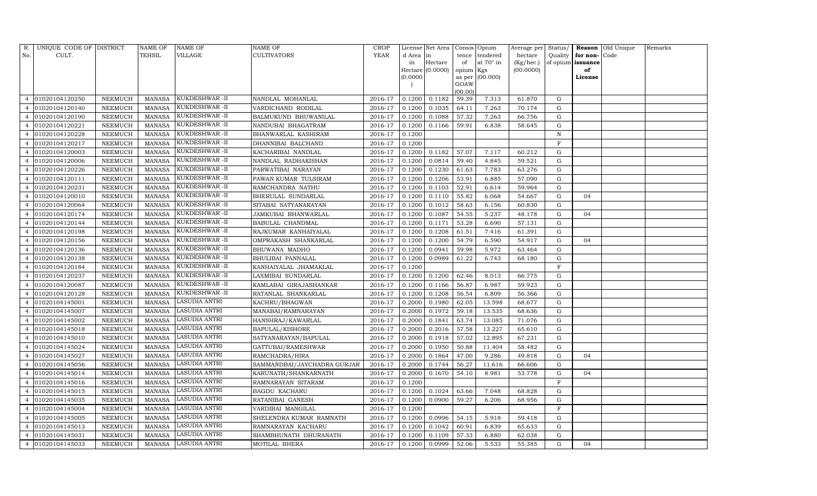| R.             | UNIQUE CODE OF DISTRICT |                | NAME OF       | <b>NAME OF</b>       | NAME OF                     | CROP    |           | License Net Area   Consis   Opium |                 |                 | Average per Status/ |             |                   | <b>Reason</b> Old Unique | Remarks |
|----------------|-------------------------|----------------|---------------|----------------------|-----------------------------|---------|-----------|-----------------------------------|-----------------|-----------------|---------------------|-------------|-------------------|--------------------------|---------|
| No.            | CULT.                   |                | TEHSIL        | VILLAGE              | CULTIVATORS                 | YEAR    | d Area in |                                   |                 | tence tendered  | hectare             | Quality     | for non-Code      |                          |         |
|                |                         |                |               |                      |                             |         | in        | Hectare                           | of              | at 70° in       | (Kg/hec.)           |             | of opium issuance |                          |         |
|                |                         |                |               |                      |                             |         |           | Hectare (0.0000)                  | opium Kgs       |                 | (00.0000)           |             | of                |                          |         |
|                |                         |                |               |                      |                             |         | (0.0000)  |                                   |                 | as per (00.000) |                     |             | License           |                          |         |
|                |                         |                |               |                      |                             |         |           |                                   | GOAW<br>(00.00) |                 |                     |             |                   |                          |         |
| $\overline{4}$ | 01020104120250          | NEEMUCH        | MANASA        | KUKDESHWAR -II       | NANDLAL MOHANLAL            | 2016-17 | 0.1200    | 0.1182                            | 59.39           | 7.313           | 61.870              | G           |                   |                          |         |
|                | 01020104120140          | NEEMUCH        | <b>MANASA</b> | KUKDESHWAR-II        | VARDICHAND RODILAL          | 2016-17 | 0.1200    | 0.1035                            | 64.11           | 7.263           | 70.174              | G           |                   |                          |         |
| $\overline{4}$ | 01020104120190          | <b>NEEMUCH</b> | MANASA        | KUKDESHWAR-II        | BALMUKUND BHUWANILAL        | 2016-17 | 0.1200    | 0.1088                            | 57.32           | 7.263           | 66.756              | G           |                   |                          |         |
| $\overline{4}$ | 01020104120221          | <b>NEEMUCH</b> | <b>MANASA</b> | KUKDESHWAR-II        | NANDUBAI BHAGATRAM          | 2016-17 | 0.1200    | 0.1166                            | 59.91           | 6.838           | 58.645              | G           |                   |                          |         |
| $\overline{4}$ | 01020104120228          | NEEMUCH        | <b>MANASA</b> | KUKDESHWAR-II        | BHANWARLAL KASHIRAM         | 2016-17 | 0.1200    |                                   |                 |                 |                     | $\mathbf N$ |                   |                          |         |
|                | 01020104120217          | NEEMUCH        | <b>MANASA</b> | KUKDESHWAR -II       | DHANNIBAI BALCHAND          | 2016-17 | 0.1200    |                                   |                 |                 |                     | $\mathbf F$ |                   |                          |         |
| 4              | 01020104120003          | NEEMUCH        | <b>MANASA</b> | KUKDESHWAR-II        | KACHARIBAI NANDLAL          | 2016-17 | 0.1200    | 0.1182                            | 57.07           | 7.117           | 60.212              | G           |                   |                          |         |
| $\overline{4}$ | 01020104120006          | NEEMUCH        | <b>MANASA</b> | KUKDESHWAR -II       | NANDLAL RADHAKISHAN         | 2016-17 | 0.1200    | 0.0814                            | 59.40           | 4.845           | 59.521              | G           |                   |                          |         |
| $\overline{4}$ | 01020104120226          | <b>NEEMUCH</b> | <b>MANASA</b> | KUKDESHWAR -II       | PARWATIBAI NARAYAN          | 2016-17 | 0.1200    | 0.1230                            | 61.63           | 7.783           | 63.276              | G           |                   |                          |         |
|                | 01020104120111          | NEEMUCH        | <b>MANASA</b> | KUKDESHWAR-II        | PAWAN KUMAR TULSIRAM        | 2016-17 | 0.1200    | 0.1206                            | 53.91           | 6.885           | 57.090              | G           |                   |                          |         |
| $\overline{4}$ | 01020104120231          | <b>NEEMUCH</b> | <b>MANASA</b> | KUKDESHWAR-II        | RAMCHANDRA NATHU            | 2016-17 | 0.1200    | 0.1103                            | 52.91           | 6.614           | 59.964              | G           |                   |                          |         |
| $\overline{4}$ | 01020104120010          | NEEMUCH        | MANASA        | KUKDESHWAR -II       | BHERULAL SUNDARLAL          | 2016-17 | 0.1200    | 0.1110                            | 55.82           | 6.068           | 54.667              | G           | 04                |                          |         |
|                | 01020104120064          | <b>NEEMUCH</b> | <b>MANASA</b> | KUKDESHWAR-II        | SITABAI SATYANARAYAN        | 2016-17 | 0.1200    | 0.1012                            | 58.63           | 6.156           | 60.830              | G           |                   |                          |         |
| $\overline{4}$ | 01020104120174          | NEEMUCH        | MANASA        | KUKDESHWAR -II       | JAMKUBAI BHANWARLAL         | 2016-17 | 0.1200    | 0.1087                            | 54.55           | 5.237           | 48.178              | G           | 04                |                          |         |
| $\overline{4}$ | 01020104120144          | NEEMUCH        | MANASA        | KUKDESHWAR-II        | BABULAL CHANDMAL            | 2016-17 | 0.1200    | 0.1171                            | 53.28           | 6.690           | 57.131              | G           |                   |                          |         |
| $\overline{4}$ | 01020104120198          | NEEMUCH        | MANASA        | KUKDESHWAR-II        | RAJKUMAR KANHAIYALAL        | 2016-17 | 0.1200    | 0.1208                            | 61.51           | 7.416           | 61.391              | G           |                   |                          |         |
|                | 01020104120156          | NEEMUCH        | MANASA        | KUKDESHWAR -II       | OMPRAKASH SHANKARLAL        | 2016-17 | 0.1200    | 0.1200                            | 54.79           | 6.590           | 54.917              | G           | 04                |                          |         |
| $\overline{4}$ | 01020104120136          | NEEMUCH        | MANASA        | KUKDESHWAR-II        | BHUWANA MADHO               | 2016-17 | 0.1200    | 0.0941                            | 59.98           | 5.972           | 63.464              | G           |                   |                          |         |
| $\overline{4}$ | 01020104120138          | NEEMUCH        | <b>MANASA</b> | KUKDESHWAR-II        | BHULIBAI PANNALAL           | 2016-17 | 0.1200    | 0.0989                            | 61.22           | 6.743           | 68.180              | G           |                   |                          |         |
| $\overline{4}$ | 01020104120184          | NEEMUCH        | MANASA        | KUKDESHWAR-II        | KANHAIYALAL JHAMAKLAL       | 2016-17 | 0.1200    |                                   |                 |                 |                     | F           |                   |                          |         |
|                | 01020104120237          | NEEMUCH        | <b>MANASA</b> | KUKDESHWAR-II        | LAXMIBAI SUNDARLAL          | 2016-17 | 0.1200    | 0.1200                            | 62.46           | 8.013           | 66.775              | G           |                   |                          |         |
| $\overline{4}$ | 01020104120087          | NEEMUCH        | <b>MANASA</b> | KUKDESHWAR-II        | KAMLABAI GIRAJASHANKAR      | 2016-17 | 0.1200    | 0.1166                            | 56.87           | 6.987           | 59.923              | G           |                   |                          |         |
| $\overline{4}$ | 01020104120128          | NEEMUCH        | <b>MANASA</b> | KUKDESHWAR-II        | RATANLAL SHANKARLAL         | 2016-17 | 0.1200    | 0.1208                            | 56.54           | 6.809           | 56.366              | G           |                   |                          |         |
| $\overline{4}$ | 01020104145001          | <b>NEEMUCH</b> | <b>MANASA</b> | LASUDIA ANTRI        | KACHRU/BHAGWAN              | 2016-17 | 0.2000    | 0.1980                            | 62.05           | 13.598          | 68.677              | G           |                   |                          |         |
|                | 01020104145007          | NEEMUCH        | <b>MANASA</b> | LASUDIA ANTRI        | MANABAI/RAMNARAYAN          | 2016-17 | 0.2000    | 0.1972                            | 59.18           | 13.535          | 68.636              | G           |                   |                          |         |
| $\overline{4}$ | 01020104145002          | NEEMUCH        | <b>MANASA</b> | LASUDIA ANTRI        | HANSHRAJ/KAWARLAL           | 2016-17 | 0.2000    | 0.1841                            | 63.74           | 13.085          | 71.076              | G           |                   |                          |         |
| $\overline{4}$ | 01020104145018          | NEEMUCH        | <b>MANASA</b> | LASUDIA ANTRI        | BAPULAL/KISHORE             | 2016-17 | 0.2000    | 0.2016                            | 57.58           | 13.227          | 65.610              | G           |                   |                          |         |
|                | 01020104145010          | NEEMUCH        | <b>MANASA</b> | LASUDIA ANTRI        | SATYANARAYAN/BAPULAL        | 2016-17 | 0.2000    | 0.1918                            | 57.02           | 12.895          | 67.231              | G           |                   |                          |         |
|                | 01020104145024          | NEEMUCH        | <b>MANASA</b> | LASUDIA ANTRI        | GATTUBAI/RAMESHWAR          | 2016-17 | 0.2000    | 0.1950                            | 50.88           | 11.404          | 58.482              | G           |                   |                          |         |
| $\overline{4}$ | 01020104145027          | NEEMUCH        | MANASA        | LASUDIA ANTRI        | RAMCHADRA/HIRA              | 2016-17 | 0.2000    | 0.1864                            | 47.00           | 9.286           | 49.818              | G           | 04                |                          |         |
| $\overline{4}$ | 01020104145056          | <b>NEEMUCH</b> | <b>MANASA</b> | LASUDIA ANTRI        | SAMMANDBAI/JAYCHADRA GURJAR | 2016-17 | 0.2000    | 0.1744                            | 56.27           | 11.616          | 66.606              | G           |                   |                          |         |
| $\overline{4}$ | 01020104145014          | NEEMUCH        | <b>MANASA</b> | LASUDIA ANTRI        | KARUNATH/SHANKARNATH        | 2016-17 | 0.2000    | 0.1670                            | 54.10           | 8.981           | 53.778              | G           | 04                |                          |         |
|                | 01020104145016          | NEEMUCH        | <b>MANASA</b> | LASUDIA ANTRI        | RAMNARAYAN SITARAM          | 2016-17 | 0.1200    |                                   |                 |                 |                     | $\mathbf F$ |                   |                          |         |
| $\overline{4}$ | 01020104145015          | NEEMUCH        | <b>MANASA</b> | LASUDIA ANTRI        | <b>BAGDU KACHARU</b>        | 2016-17 | 0.1200    | 0.1024                            | 63.66           | 7.048           | 68.828              | G           |                   |                          |         |
| $\overline{4}$ | 01020104145035          | <b>NEEMUCH</b> | <b>MANASA</b> | LASUDIA ANTRI        | RATANIBAI GANESH            | 2016-17 | 0.1200    | 0.0900                            | 59.27           | 6.206           | 68.956              | G           |                   |                          |         |
|                | 01020104145004          | <b>NEEMUCH</b> | <b>MANASA</b> | LASUDIA ANTRI        | VARDIBAI MANGILAL           | 2016-17 | 0.1200    |                                   |                 |                 |                     | F           |                   |                          |         |
| 4              | 01020104145005          | <b>NEEMUCH</b> | MANASA        | LASUDIA ANTRI        | SHELENDRA KUMAR RAMNATH     | 2016-17 | 0.1200    | 0.0996                            | 54.15           | 5.918           | 59.418              | G           |                   |                          |         |
| $\overline{4}$ | 01020104145013          | NEEMUCH        | MANASA        | LASUDIA ANTRI        | RAMNARAYAN KACHARU          | 2016-17 | 0.1200    | 0.1042                            | 60.91           | 6.839           | 65.633              | G           |                   |                          |         |
| $\overline{4}$ | 01020104145031          | <b>NEEMUCH</b> | MANASA        | LASUDIA ANTRI        | SHAMBHUNATH DHURANATH       | 2016-17 | 0.1200    | 0.1109                            | 57.33           | 6.880           | 62.038              | G           |                   |                          |         |
| $\overline{4}$ | 01020104145033          | NEEMUCH        | MANASA        | <b>LASUDIA ANTRI</b> | MOTILAL BHERA               | 2016-17 | 0.1200    | 0.0999                            | 52.06           | 5.533           | 55.385              | G           | 04                |                          |         |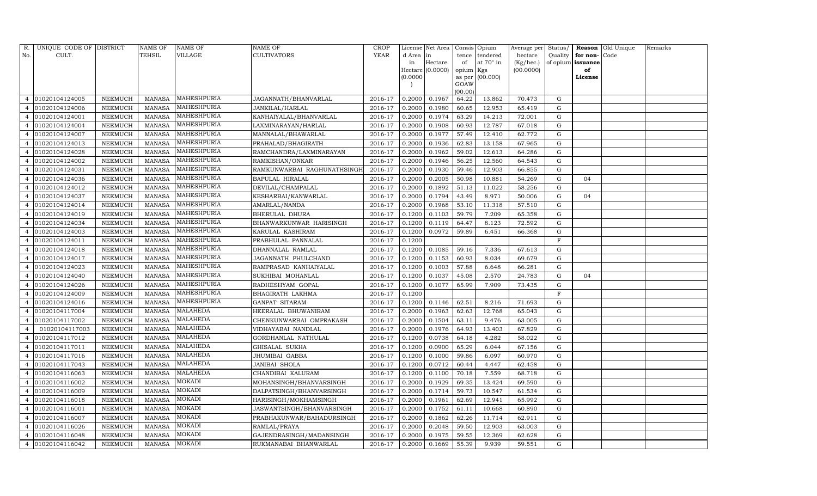| R.             | UNIQUE CODE OF DISTRICT |                | NAME OF       | NAME OF            | NAME OF                     | <b>CROP</b> |           | License Net Area |                 | Consis Opium     | Average per Status/ |             |          | Reason Old Unique | Remarks |
|----------------|-------------------------|----------------|---------------|--------------------|-----------------------------|-------------|-----------|------------------|-----------------|------------------|---------------------|-------------|----------|-------------------|---------|
| No.            | CULT.                   |                | TEHSIL        | VILLAGE            | CULTIVATORS                 | <b>YEAR</b> | d Area in |                  | tence           | tendered         | hectare             | Quality     | for non- | Code              |         |
|                |                         |                |               |                    |                             |             | in        | Hectare          | of              | at $70^\circ$ in | (Kg/hec.)           | of opium    | issuance |                   |         |
|                |                         |                |               |                    |                             |             |           | Hectare (0.0000) | opium Kgs       |                  | (00.0000)           |             | of       |                   |         |
|                |                         |                |               |                    |                             |             | (0.0000)  |                  |                 | as per (00.000)  |                     |             | License  |                   |         |
|                |                         |                |               |                    |                             |             |           |                  | GOAW<br>(00.00) |                  |                     |             |          |                   |         |
|                | 01020104124005          | NEEMUCH        | MANASA        | MAHESHPURIA        | JAGANNATH/BHANVARLAL        | 2016-17     | 0.2000    | 0.1967           | 64.22           | 13.862           | 70.473              | G           |          |                   |         |
|                | 01020104124006          | NEEMUCH        | <b>MANASA</b> | MAHESHPURIA        | JANKILAL/HARLAL             | 2016-17     | 0.2000    | 0.1980           | 60.65           | 12.953           | 65.419              | G           |          |                   |         |
|                | 01020104124001          | NEEMUCH        | <b>MANASA</b> | MAHESHPURIA        | KANHAIYALAL/BHANVARLAL      | 2016-17     | 0.2000    | 0.1974           | 63.29           | 14.213           | 72.001              | G           |          |                   |         |
| $\overline{4}$ | 01020104124004          | NEEMUCH        | MANASA        | MAHESHPURIA        | LAXMINARAYAN/HARLAL         | 2016-17     | 0.2000    | 0.1908           | 60.93           | 12.787           | 67.018              | ${\rm G}$   |          |                   |         |
|                | 01020104124007          | NEEMUCH        | <b>MANASA</b> | <b>MAHESHPURIA</b> | MANNALAL/BHAWARLAL          | 2016-17     | 0.2000    | 0.1977           | 57.49           | 12.410           | 62.772              | G           |          |                   |         |
|                | 01020104124013          | NEEMUCH        | <b>MANASA</b> | MAHESHPURIA        | PRAHALAD/BHAGIRATH          | 2016-17     | 0.2000    | 0.1936           | 62.83           | 13.158           | 67.965              | ${\rm G}$   |          |                   |         |
| 4              | 01020104124028          | NEEMUCH        | <b>MANASA</b> | MAHESHPURIA        | RAMCHANDRA/LAXMINARAYAN     | 2016-17     | 0.2000    | 0.1962           | 59.02           | 12.613           | 64.286              | G           |          |                   |         |
| 4              | 01020104124002          | NEEMUCH        | <b>MANASA</b> | MAHESHPURIA        | RAMKISHAN/ONKAR             | 2016-17     | 0.2000    | 0.1946           | 56.25           | 12.560           | 64.543              | ${\rm G}$   |          |                   |         |
| $\overline{4}$ | 01020104124031          | NEEMUCH        | <b>MANASA</b> | MAHESHPURIA        | RAMKUNWARBAI RAGHUNATHSINGH | 2016-17     | 0.2000    | 0.1930           | 59.46           | 12.903           | 66.855              | G           |          |                   |         |
|                | 01020104124036          | NEEMUCH        | <b>MANASA</b> | MAHESHPURIA        | BAPULAL HIRALAL             | 2016-17     | 0.2000    | 0.2005           | 50.98           | 10.881           | 54.269              | G           | 04       |                   |         |
| 4              | 01020104124012          | NEEMUCH        | <b>MANASA</b> | MAHESHPURIA        | DEVILAL/CHAMPALAL           | 2016-17     | 0.2000    | 0.1892           | 51.13           | 11.022           | 58.256              | G           |          |                   |         |
|                | 01020104124037          | NEEMUCH        | <b>MANASA</b> | MAHESHPURIA        | KESHARBAI/KANWARLAL         | 2016-17     | 0.2000    | 0.1794           | 43.49           | 8.971            | 50.006              | G           | 04       |                   |         |
|                | 01020104124014          | <b>NEEMUCH</b> | <b>MANASA</b> | MAHESHPURIA        | AMARLAL/NANDA               | 2016-17     | 0.2000    | 0.1968           | 53.10           | 11.318           | 57.510              | G           |          |                   |         |
|                | 01020104124019          | NEEMUCH        | <b>MANASA</b> | MAHESHPURIA        | BHERULAL DHURA              | 2016-17     | 0.1200    | 0.1103           | 59.79           | 7.209            | 65.358              | G           |          |                   |         |
|                | 01020104124034          | NEEMUCH        | <b>MANASA</b> | MAHESHPURIA        | BHANWARKUNWAR HARISINGH     | 2016-17     | 0.1200    | 0.1119           | 64.47           | 8.123            | 72.592              | G           |          |                   |         |
|                | 01020104124003          | NEEMUCH        | <b>MANASA</b> | MAHESHPURIA        | KARULAL KASHIRAM            | 2016-17     | 0.1200    | 0.0972           | 59.89           | 6.451            | 66.368              | G           |          |                   |         |
|                | 01020104124011          | NEEMUCH        | <b>MANASA</b> | MAHESHPURIA        | PRABHULAL PANNALAL          | 2016-17     | 0.1200    |                  |                 |                  |                     | $\mathbf F$ |          |                   |         |
|                | 01020104124018          | NEEMUCH        | <b>MANASA</b> | MAHESHPURIA        | DHANNALAL RAMLAL            | 2016-17     | 0.1200    | 0.1085           | 59.16           | 7.336            | 67.613              | G           |          |                   |         |
|                | 01020104124017          | NEEMUCH        | <b>MANASA</b> | MAHESHPURIA        | JAGANNATH PHULCHAND         | 2016-17     | 0.1200    | 0.1153           | 60.93           | 8.034            | 69.679              | G           |          |                   |         |
| 4              | 01020104124023          | NEEMUCH        | <b>MANASA</b> | MAHESHPURIA        | RAMPRASAD KANHAIYALAL       | 2016-17     | 0.1200    | 0.1003           | 57.88           | 6.648            | 66.281              | G           |          |                   |         |
|                | 01020104124040          | NEEMUCH        | <b>MANASA</b> | MAHESHPURIA        | SUKHIBAI MOHANLAL           | 2016-17     | 0.1200    | 0.1037           | 45.08           | 2.570            | 24.783              | ${\rm G}$   | 04       |                   |         |
| 4              | 01020104124026          | NEEMUCH        | <b>MANASA</b> | MAHESHPURIA        | RADHESHYAM GOPAL            | 2016-17     | 0.1200    | 0.1077           | 65.99           | 7.909            | 73.435              | G           |          |                   |         |
| 4              | 01020104124009          | NEEMUCH        | <b>MANASA</b> | MAHESHPURIA        | BHAGIRATH LAKHMA            | 2016-17     | 0.1200    |                  |                 |                  |                     | F           |          |                   |         |
|                | 01020104124016          | <b>NEEMUCH</b> | <b>MANASA</b> | MAHESHPURIA        | GANPAT SITARAM              | 2016-17     | 0.1200    | 0.1146           | 62.51           | 8.216            | 71.693              | G           |          |                   |         |
|                | 01020104117004          | NEEMUCH        | <b>MANASA</b> | <b>MALAHEDA</b>    | HEERALAL BHUWANIRAM         | 2016-17     | 0.2000    | 0.1963           | 62.63           | 12.768           | 65.043              | ${\rm G}$   |          |                   |         |
|                | 01020104117002          | NEEMUCH        | <b>MANASA</b> | <b>MALAHEDA</b>    | CHENKUNWARBAI OMPRAKASH     | 2016-17     | 0.2000    | 0.1504           | 63.11           | 9.476            | 63.005              | G           |          |                   |         |
| 4              | 01020104117003          | NEEMUCH        | <b>MANASA</b> | <b>MALAHEDA</b>    | VIDHAYABAI NANDLAL          | 2016-17     | 0.2000    | 0.1976           | 64.93           | 13.403           | 67.829              | ${\rm G}$   |          |                   |         |
|                | 01020104117012          | <b>NEEMUCH</b> | <b>MANASA</b> | <b>MALAHEDA</b>    | GORDHANLAL NATHULAL         | 2016-17     | 0.1200    | 0.0738           | 64.18           | 4.282            | 58.022              | ${\rm G}$   |          |                   |         |
|                | 01020104117011          | NEEMUCH        | MANASA        | <b>MALAHEDA</b>    | GHISALAL SUKHA              | 2016-17     | 0.1200    | 0.0900           | 65.29           | 6.044            | 67.156              | G           |          |                   |         |
| 4              | 01020104117016          | NEEMUCH        | MANASA        | <b>MALAHEDA</b>    | JHUMIBAI GABBA              | 2016-17     | 0.1200    | 0.1000           | 59.86           | 6.097            | 60.970              | G           |          |                   |         |
| 4              | 01020104117043          | NEEMUCH        | <b>MANASA</b> | <b>MALAHEDA</b>    | JANIBAI SHOLA               | 2016-17     | 0.1200    | 0.0712           | 60.44           | 4.447            | 62.458              | G           |          |                   |         |
|                | 01020104116063          | <b>NEEMUCH</b> | <b>MANASA</b> | MALAHEDA           | CHANDIBAI KALURAM           | 2016-17     | 0.1200    | 0.1100           | 70.18           | 7.559            | 68.718              | G           |          |                   |         |
| 4              | 01020104116002          | NEEMUCH        | <b>MANASA</b> | MOKADI             | MOHANSINGH/BHANVARSINGH     | 2016-17     | 0.2000    | 0.1929           | 69.35           | 13.424           | 69.590              | G           |          |                   |         |
| 4              | 01020104116009          | NEEMUCH        | <b>MANASA</b> | MOKADI             | DALPATSINGH/BHANVARSINGH    | 2016-17     | 0.2000    | 0.1714           | 59.73           | 10.547           | 61.534              | G           |          |                   |         |
| 4              | 01020104116018          | NEEMUCH        | <b>MANASA</b> | MOKADI             | HARISINGH/MOKHAMSINGH       | 2016-17     | 0.2000    | 0.1961           | 62.69           | 12.941           | 65.992              | G           |          |                   |         |
|                | 01020104116001          | NEEMUCH        | MANASA        | MOKADI             | JASWANTSINGH/BHANVARSINGH   | 2016-17     | 0.2000    | 0.1752           | 61.11           | 10.668           | 60.890              | ${\rm G}$   |          |                   |         |
|                | 01020104116007          | NEEMUCH        | <b>MANASA</b> | <b>MOKADI</b>      | PRABHAKUNWAR/BAHADURSINGH   | 2016-17     | 0.2000    | 0.1862           | 62.26           | 11.714           | 62.911              | G           |          |                   |         |
| $\overline{4}$ | 01020104116026          | NEEMUCH        | <b>MANASA</b> | MOKADI             | RAMLAL/PRAYA                | 2016-17     | 0.2000    | 0.2048           | 59.50           | 12.903           | 63.003              | ${\rm G}$   |          |                   |         |
| $\overline{4}$ | 01020104116048          | NEEMUCH        | <b>MANASA</b> | MOKADI             | GAJENDRASINGH/MADANSINGH    | 2016-17     | 0.2000    | 0.1975           | 59.55           | 12.369           | 62.628              | G           |          |                   |         |
| $\overline{4}$ | 01020104116042          | NEEMUCH        | MANASA        | <b>MOKADI</b>      | RUKMANABAI BHANWARLAL       | 2016-17     | 0.2000    | 0.1669           | 55.39           | 9.939            | 59.551              | G           |          |                   |         |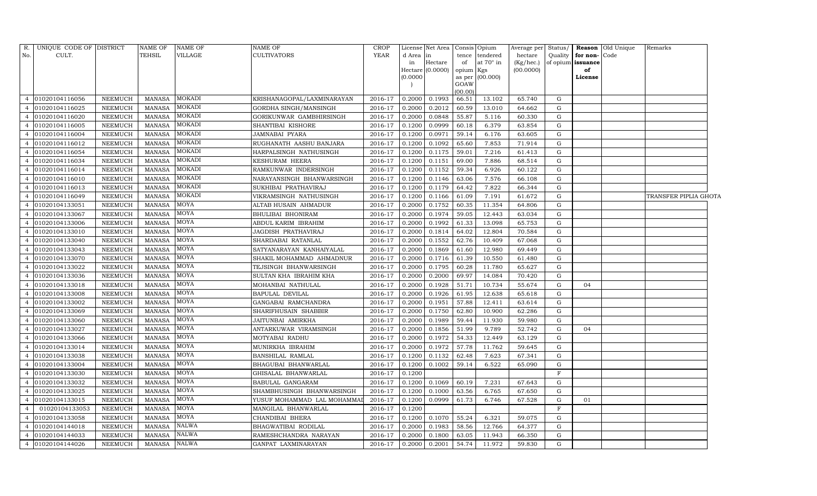| R.             | UNIQUE CODE OF DISTRICT |                | <b>NAME OF</b> | <b>NAME OF</b> | <b>NAME OF</b>             | CROP    |          | License Net Area   Consis   Opium |                     |           |           |             |                          | Average per Status/ <b>Reason</b> Old Unique | Remarks               |  |
|----------------|-------------------------|----------------|----------------|----------------|----------------------------|---------|----------|-----------------------------------|---------------------|-----------|-----------|-------------|--------------------------|----------------------------------------------|-----------------------|--|
| No.            | CULT.                   |                | <b>TEHSIL</b>  | VILLAGE        | <b>CULTIVATORS</b>         | YEAR    | d Area   | in                                | tence               | tendered  | hectare   |             | Quality for non-Code     |                                              |                       |  |
|                |                         |                |                |                |                            |         | in       | Hectare                           | of                  | at 70° in | (Kg/hec.) |             | of opium <b>issuance</b> |                                              |                       |  |
|                |                         |                |                |                |                            |         | (0.0000) | Hectare (0.0000)                  | opium Kgs<br>as per | (00.000)  | (00.0000) |             | of<br>License            |                                              |                       |  |
|                |                         |                |                |                |                            |         |          |                                   | GOAW                |           |           |             |                          |                                              |                       |  |
|                |                         |                |                |                |                            |         |          |                                   | (00.00)             |           |           |             |                          |                                              |                       |  |
| $\overline{4}$ | 01020104116056          | <b>NEEMUCH</b> | <b>MANASA</b>  | MOKADI         | KRISHANAGOPAL/LAXMINARAYAN | 2016-17 | 0.2000   | 0.1993                            | 66.51               | 13.102    | 65.740    | G           |                          |                                              |                       |  |
| $\overline{4}$ | 01020104116025          | <b>NEEMUCH</b> | <b>MANASA</b>  | MOKADI         | GORDHA SINGH/MANSINGH      | 2016-17 | 0.2000   | 0.2012                            | 60.59               | 13.010    | 64.662    | G           |                          |                                              |                       |  |
| $\overline{4}$ | 01020104116020          | <b>NEEMUCH</b> | <b>MANASA</b>  | MOKADI         | GORIKUNWAR GAMBHIRSINGH    | 2016-17 | 0.2000   | 0.0848                            | 55.87               | 5.116     | 60.330    | G           |                          |                                              |                       |  |
| $\overline{4}$ | 01020104116005          | <b>NEEMUCH</b> | <b>MANASA</b>  | MOKADI         | SHANTIBAI KISHORE          | 2016-17 | 0.1200   | 0.0999                            | 60.18               | 6.379     | 63.854    | G           |                          |                                              |                       |  |
| $\overline{4}$ | 01020104116004          | <b>NEEMUCH</b> | <b>MANASA</b>  | <b>MOKADI</b>  | JAMNABAI PYARA             | 2016-17 | 0.1200   | 0.0971                            | 59.14               | 6.176     | 63.605    | G           |                          |                                              |                       |  |
| $\overline{4}$ | 01020104116012          | <b>NEEMUCH</b> | <b>MANASA</b>  | MOKADI         | RUGHANATH AASHU BANJARA    | 2016-17 | 0.1200   | 0.1092                            | 65.60               | 7.853     | 71.914    | G           |                          |                                              |                       |  |
| $\overline{4}$ | 01020104116054          | <b>NEEMUCH</b> | <b>MANASA</b>  | MOKADI         | HARPALSINGH NATHUSINGH     | 2016-17 | 0.1200   | 0.1175                            | 59.01               | 7.216     | 61.413    | G           |                          |                                              |                       |  |
| $\overline{4}$ | 01020104116034          | <b>NEEMUCH</b> | <b>MANASA</b>  | MOKADI         | KESHURAM HEERA             | 2016-17 | 0.1200   | 0.1151                            | 69.00               | 7.886     | 68.514    | G           |                          |                                              |                       |  |
| $\overline{4}$ | 01020104116014          | <b>NEEMUCH</b> | <b>MANASA</b>  | MOKADI         | RAMKUNWAR INDERSINGH       | 2016-17 | 0.1200   | 0.1152                            | 59.34               | 6.926     | 60.122    | G           |                          |                                              |                       |  |
| $\overline{4}$ | 01020104116010          | <b>NEEMUCH</b> | <b>MANASA</b>  | <b>MOKADI</b>  | NARAYANSINGH BHANWARSINGH  | 2016-17 | 0.1200   | 0.1146                            | 63.06               | 7.576     | 66.108    | G           |                          |                                              |                       |  |
| $\overline{4}$ | 01020104116013          | <b>NEEMUCH</b> | <b>MANASA</b>  | <b>MOKADI</b>  | SUKHIBAI PRATHAVIRAJ       | 2016-17 | 0.1200   | 0.1179                            | 64.42               | 7.822     | 66.344    | G           |                          |                                              |                       |  |
| $\overline{4}$ | 01020104116049          | <b>NEEMUCH</b> | <b>MANASA</b>  | MOKADI         | VIKRAMSINGH NATHUSINGH     | 2016-17 | 0.1200   | 0.1166                            | 61.09               | 7.191     | 61.672    | G           |                          |                                              | TRANSFER PIPLIA GHOTA |  |
| $\overline{4}$ | 01020104133051          | <b>NEEMUCH</b> | <b>MANASA</b>  | MOYA           | ALTAB HUSAIN AHMADUR       | 2016-17 | 0.2000   | 0.1752                            | 60.35               | 11.354    | 64.806    | G           |                          |                                              |                       |  |
| $\overline{4}$ | 01020104133067          | <b>NEEMUCH</b> | <b>MANASA</b>  | MOYA           | BHULIBAI BHONIRAM          | 2016-17 | 0.2000   | 0.1974                            | 59.05               | 12.443    | 63.034    | G           |                          |                                              |                       |  |
| $\overline{4}$ | 01020104133006          | NEEMUCH        | <b>MANASA</b>  | MOYA           | ABDUL KARIM IBRAHIM        | 2016-17 | 0.2000   | 0.1992                            | 61.33               | 13.098    | 65.753    | G           |                          |                                              |                       |  |
| $\overline{4}$ | 01020104133010          | NEEMUCH        | <b>MANASA</b>  | MOYA           | JAGDISH PRATHAVIRAJ        | 2016-17 | 0.2000   | 0.1814                            | 64.02               | 12.804    | 70.584    | G           |                          |                                              |                       |  |
| $\overline{4}$ | 01020104133040          | <b>NEEMUCH</b> | <b>MANASA</b>  | MOYA           | SHARDABAI RATANLAL         | 2016-17 | 0.2000   | 0.1552                            | 62.76               | 10.409    | 67.068    | G           |                          |                                              |                       |  |
| $\overline{4}$ | 01020104133043          | NEEMUCH        | <b>MANASA</b>  | MOYA           | SATYANARAYAN KANHAIYALAL   | 2016-17 | 0.2000   | 0.1869                            | 61.60               | 12.980    | 69.449    | G           |                          |                                              |                       |  |
| $\overline{4}$ | 01020104133070          | NEEMUCH        | <b>MANASA</b>  | MOYA           | SHAKIL MOHAMMAD AHMADNUR   | 2016-17 | 0.2000   | 0.1716                            | 61.39               | 10.550    | 61.480    | G           |                          |                                              |                       |  |
| $\overline{4}$ | 01020104133022          | NEEMUCH        | <b>MANASA</b>  | MOYA           | TEJSINGH BHANWARSINGH      | 2016-17 | 0.2000   | 0.1795                            | 60.28               | 11.780    | 65.627    | G           |                          |                                              |                       |  |
| $\overline{4}$ | 01020104133036          | NEEMUCH        | <b>MANASA</b>  | MOYA           | SULTAN KHA IBRAHIM KHA     | 2016-17 | 0.2000   | 0.2000                            | 69.97               | 14.084    | 70.420    | G           |                          |                                              |                       |  |
| $\overline{4}$ | 01020104133018          | <b>NEEMUCH</b> | <b>MANASA</b>  | MOYA           | MOHANBAI NATHULAL          | 2016-17 | 0.2000   | 0.1928                            | 51.71               | 10.734    | 55.674    | G           | 04                       |                                              |                       |  |
| $\overline{4}$ | 01020104133008          | NEEMUCH        | <b>MANASA</b>  | MOYA           | BAPULAL DEVILAL            | 2016-17 | 0.2000   | 0.1926                            | 61.95               | 12.638    | 65.618    | G           |                          |                                              |                       |  |
| $\overline{4}$ | 01020104133002          | <b>NEEMUCH</b> | <b>MANASA</b>  | MOYA           | GANGABAI RAMCHANDRA        | 2016-17 | 0.2000   | 0.1951                            | 57.88               | 12.411    | 63.614    | G           |                          |                                              |                       |  |
| $\overline{4}$ | 01020104133069          | NEEMUCH        | <b>MANASA</b>  | MOYA           | SHARIFHUSAIN SHABBIR       | 2016-17 | 0.2000   | 0.1750                            | 62.80               | 10.900    | 62.286    | G           |                          |                                              |                       |  |
| $\overline{4}$ | 01020104133060          | <b>NEEMUCH</b> | <b>MANASA</b>  | MOYA           | JAITUNBAI AMIRKHA          | 2016-17 | 0.2000   | 0.1989                            | 59.44               | 11.930    | 59.980    | G           |                          |                                              |                       |  |
| $\overline{4}$ | 01020104133027          | NEEMUCH        | <b>MANASA</b>  | MOYA           | ANTARKUWAR VIRAMSINGH      | 2016-17 | 0.2000   | 0.1856                            | 51.99               | 9.789     | 52.742    | G           | 04                       |                                              |                       |  |
| $\overline{4}$ | 01020104133066          | <b>NEEMUCH</b> | <b>MANASA</b>  | MOYA           | MOTYABAI RADHU             | 2016-17 | 0.2000   | 0.1972                            | 54.33               | 12.449    | 63.129    | G           |                          |                                              |                       |  |
| $\overline{4}$ | 01020104133014          | <b>NEEMUCH</b> | <b>MANASA</b>  | MOYA           | MUNIRKHA IBRAHIM           | 2016-17 | 0.2000   | 0.1972                            | 57.78               | 11.762    | 59.645    | G           |                          |                                              |                       |  |
| $\overline{4}$ | 01020104133038          | <b>NEEMUCH</b> | <b>MANASA</b>  | MOYA           | <b>BANSHILAL RAMLAL</b>    | 2016-17 | 0.1200   | 0.1132                            | 62.48               | 7.623     | 67.341    | G           |                          |                                              |                       |  |
| $\overline{4}$ | 01020104133004          | <b>NEEMUCH</b> | <b>MANASA</b>  | MOYA           | BHAGUBAI BHANWARLAL        | 2016-17 | 0.1200   | 0.1002                            | 59.14               | 6.522     | 65.090    | G           |                          |                                              |                       |  |
| $\overline{4}$ | 01020104133030          | <b>NEEMUCH</b> | <b>MANASA</b>  | MOYA           | GHISALAL BHANWARLAL        | 2016-17 | 0.1200   |                                   |                     |           |           | $\mathbf F$ |                          |                                              |                       |  |
| $\overline{4}$ | 01020104133032          | <b>NEEMUCH</b> | <b>MANASA</b>  | MOYA           | BABULAL GANGARAM           | 2016-17 | 0.1200   | 0.1069                            | 60.19               | 7.231     | 67.643    | G           |                          |                                              |                       |  |
| $\overline{4}$ | 01020104133025          | <b>NEEMUCH</b> | <b>MANASA</b>  | MOYA           | SHAMBHUSINGH BHANWARSINGH  | 2016-17 | 0.1200   | 0.1000                            | 63.56               | 6.765     | 67.650    | G           |                          |                                              |                       |  |
| $\overline{4}$ | 01020104133015          | <b>NEEMUCH</b> | <b>MANASA</b>  | MOYA           | YUSUF MOHAMMAD LAL MOHAMMA | 2016-17 | 0.1200   | 0.0999                            | 61.73               | 6.746     | 67.528    | G           | 01                       |                                              |                       |  |
| $\overline{4}$ | 01020104133053          | <b>NEEMUCH</b> | <b>MANASA</b>  | MOYA           | MANGILAL BHANWARLAL        | 2016-17 | 0.1200   |                                   |                     |           |           | F           |                          |                                              |                       |  |
| $\overline{4}$ | 01020104133058          | <b>NEEMUCH</b> | <b>MANASA</b>  | MOYA           | CHANDIBAI BHERA            | 2016-17 | 0.1200   | 0.1070                            | 55.24               | 6.321     | 59.075    | G           |                          |                                              |                       |  |
| $\overline{4}$ | 01020104144018          | NEEMUCH        | <b>MANASA</b>  | NALWA          | BHAGWATIBAI RODILAL        | 2016-17 | 0.2000   | 0.1983                            | 58.56               | 12.766    | 64.377    | G           |                          |                                              |                       |  |
| $\overline{4}$ | 01020104144033          | <b>NEEMUCH</b> | <b>MANASA</b>  | <b>NALWA</b>   | RAMESHCHANDRA NARAYAN      | 2016-17 | 0.2000   | 0.1800                            | 63.05               | 11.943    | 66.350    | G           |                          |                                              |                       |  |
|                | 4 01020104144026        | <b>NEEMUCH</b> | <b>MANASA</b>  | <b>NALWA</b>   | GANPAT LAXMINARAYAN        | 2016-17 | 0.2000   | 0.2001                            | 54.74               | 11.972    | 59.830    | G           |                          |                                              |                       |  |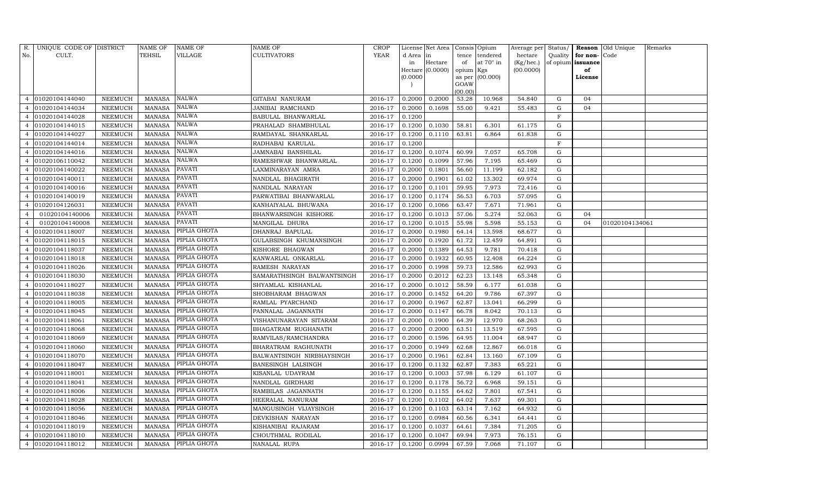| R.             | UNIQUE CODE OF DISTRICT |                | NAME OF       | <b>NAME OF</b> | NAME OF                    | CROP           |           | License Net Area   Consis   Opium |           |                  | Average per Status/ |             |                   | Reason Old Unique | Remarks |
|----------------|-------------------------|----------------|---------------|----------------|----------------------------|----------------|-----------|-----------------------------------|-----------|------------------|---------------------|-------------|-------------------|-------------------|---------|
| No.            | CULT.                   |                | TEHSIL        | VILLAGE        | <b>CULTIVATORS</b>         | <b>YEAR</b>    | d Area in |                                   | tence     | tendered         | hectare             | Quality     | for non-Code      |                   |         |
|                |                         |                |               |                |                            |                | in        | Hectare                           | of        | at $70^\circ$ in | (Kg/hec.)           |             | of opium issuance |                   |         |
|                |                         |                |               |                |                            |                |           | Hectare (0.0000)                  | opium Kgs |                  | (00.0000)           |             | of                |                   |         |
|                |                         |                |               |                |                            |                | (0.0000)  |                                   | GOAW      | as per (00.000)  |                     |             | License           |                   |         |
|                |                         |                |               |                |                            |                |           |                                   | (00.00)   |                  |                     |             |                   |                   |         |
| $\overline{4}$ | 01020104144040          | NEEMUCH        | MANASA        | NALWA          | GITABAI NANURAM            | 2016-17        | 0.2000    | 0.2000                            | 53.28     | 10.968           | 54.840              | G           | 04                |                   |         |
|                | 01020104144034          | NEEMUCH        | <b>MANASA</b> | <b>NALWA</b>   | JANIBAI RAMCHAND           | 2016-17        | 0.2000    | 0.1698                            | 55.00     | 9.421            | 55.483              | G           | 04                |                   |         |
|                | 01020104144028          | NEEMUCH        | <b>MANASA</b> | NALWA          | BABULAL BHANWARLAL         | 2016-17        | 0.1200    |                                   |           |                  |                     | $\mathbf F$ |                   |                   |         |
| 4              | 01020104144015          | NEEMUCH        | MANASA        | NALWA          | PRAHALAD SHAMBHULAL        | 2016-17        | 0.1200    | 0.1030                            | 58.81     | 6.301            | 61.175              | G           |                   |                   |         |
| 4              | 01020104144027          | NEEMUCH        | <b>MANASA</b> | NALWA          | RAMDAYAL SHANKARLAL        | 2016-17        | 0.1200    | 0.1110                            | 63.81     | 6.864            | 61.838              | G           |                   |                   |         |
|                | 01020104144014          | NEEMUCH        | <b>MANASA</b> | NALWA          | RADHABAI KARULAL           | 2016-17        | 0.1200    |                                   |           |                  |                     | $\mathbf F$ |                   |                   |         |
|                | 01020104144016          | NEEMUCH        | <b>MANASA</b> | NALWA          | JAMNABAI BANSHILAL         | 2016-17        | 0.1200    | 0.1074                            | 60.99     | 7.057            | 65.708              | G           |                   |                   |         |
| 4              | 01020106110042          | NEEMUCH        | <b>MANASA</b> | <b>NALWA</b>   | RAMESHWAR BHANWARLAL       | 2016-17        | 0.1200    | 0.1099                            | 57.96     | 7.195            | 65.469              | ${\rm G}$   |                   |                   |         |
| 4              | 01020104140022          | NEEMUCH        | <b>MANASA</b> | PAVATI         | LAXMINARAYAN AMRA          | 2016-17        | 0.2000    | 0.1801                            | 56.60     | 11.199           | 62.182              | G           |                   |                   |         |
|                | 01020104140011          | NEEMUCH        | <b>MANASA</b> | PAVATI         | NANDLAL BHAGIRATH          | 2016-17        | 0.2000    | 0.1901                            | 61.02     | 13.302           | 69.974              | G           |                   |                   |         |
| 4              | 01020104140016          | NEEMUCH        | <b>MANASA</b> | PAVATI         | NANDLAL NARAYAN            | 2016-17        | 0.1200    | 0.1101                            | 59.95     | 7.973            | 72.416              | G           |                   |                   |         |
|                | 01020104140019          | NEEMUCH        | MANASA        | PAVATI         | PARWATIBAI BHANWARLAL      | 2016-17        | 0.1200    | 0.1174                            | 56.53     | 6.703            | 57.095              | G           |                   |                   |         |
|                | 01020104126031          | <b>NEEMUCH</b> | <b>MANASA</b> | <b>PAVATI</b>  | KANHAIYALAL BHUWANA        | 2016-17        | 0.1200    | 0.1066                            | 63.47     | 7.671            | 71.961              | G           |                   |                   |         |
| 4              | 01020104140006          | NEEMUCH        | MANASA        | PAVATI         | BHANWARSINGH KISHORE       | 2016-17        | 0.1200    | 0.1013                            | 57.06     | 5.274            | 52.063              | G           | 04                |                   |         |
| $\overline{4}$ | 01020104140008          | NEEMUCH        | MANASA        | <b>PAVATI</b>  | MANGILAL DHURA             | 2016-17        | 0.1200    | 0.1015                            | 55.98     | 5.598            | 55.153              | G           | 04                | 01020104134061    |         |
| 4              | 01020104118007          | NEEMUCH        | MANASA        | PIPLIA GHOTA   | DHANRAJ BAPULAL            | 2016-17        | 0.2000    | 0.1980                            | 64.14     | 13.598           | 68.677              | G           |                   |                   |         |
|                | 01020104118015          | NEEMUCH        | <b>MANASA</b> | PIPLIA GHOTA   | GULABSINGH KHUMANSINGH     | 2016-17        | 0.2000    | 0.1920                            | 61.72     | 12.459           | 64.891              | G           |                   |                   |         |
|                | 01020104118037          | NEEMUCH        | MANASA        | PIPLIA GHOTA   | KISHORE BHAGWAN            | 2016-17        | 0.2000    | 0.1389                            | 64.53     | 9.781            | 70.418              | G           |                   |                   |         |
| 4              | 01020104118018          | NEEMUCH        | <b>MANASA</b> | PIPLIA GHOTA   | KANWARLAL ONKARLAL         | 2016-17        | 0.2000    | 0.1932                            | 60.95     | 12.408           | 64.224              | G           |                   |                   |         |
| 4              | 01020104118026          | NEEMUCH        | MANASA        | PIPLIA GHOTA   | RAMESH NARAYAN             | 2016-17        | 0.2000    | 0.1998                            | 59.73     | 12.586           | 62.993              | G           |                   |                   |         |
|                | 01020104118030          | NEEMUCH        | <b>MANASA</b> | PIPLIA GHOTA   | SAMARATHSINGH BALWANTSINGH | 2016-17        | 0.2000    | 0.2012                            | 62.23     | 13.148           | 65.348              | G           |                   |                   |         |
|                | 01020104118027          | NEEMUCH        | <b>MANASA</b> | PIPLIA GHOTA   | SHYAMLAL KISHANLAL         | 2016-17        | 0.2000    | 0.1012                            | 58.59     | 6.177            | 61.038              | G           |                   |                   |         |
|                | 01020104118038          | NEEMUCH        | MANASA        | PIPLIA GHOTA   | SHOBHARAM BHAGWAN          | 2016-17        | 0.2000    | 0.1452                            | 64.20     | 9.786            | 67.397              | G           |                   |                   |         |
|                | 01020104118005          | NEEMUCH        | <b>MANASA</b> | PIPLIA GHOTA   | RAMLAL PYARCHAND           | 2016-17        | 0.2000    | 0.1967                            | 62.87     | 13.041           | 66.299              | G           |                   |                   |         |
|                | 01020104118045          | NEEMUCH        | <b>MANASA</b> | PIPLIA GHOTA   | PANNALAL JAGANNATH         | 2016-17        | 0.2000    | 0.1147                            | 66.78     | 8.042            | 70.113              | G           |                   |                   |         |
|                | 01020104118061          | NEEMUCH        | <b>MANASA</b> | PIPLIA GHOTA   | VISHANUNARAYAN SITARAM     | 2016-17        | 0.2000    | 0.1900                            | 64.39     | 12.970           | 68.263              | G           |                   |                   |         |
|                | 01020104118068          | NEEMUCH        | <b>MANASA</b> | PIPLIA GHOTA   | BHAGATRAM RUGHANATH        | 2016-17        | 0.2000    | 0.2000                            | 63.51     | 13.519           | 67.595              | G           |                   |                   |         |
| $\overline{4}$ | 01020104118069          | NEEMUCH        | <b>MANASA</b> | PIPLIA GHOTA   | RAMVILAS/RAMCHANDRA        | 2016-17        | 0.2000    | 0.1596                            | 64.95     | 11.004           | 68.947              | G           |                   |                   |         |
|                | 01020104118060          | NEEMUCH        | <b>MANASA</b> | PIPLIA GHOTA   | BHARATRAM RAGHUNATH        | 2016-17        | 0.2000    | 0.1949                            | 62.68     | 12.867           | 66.018              | G           |                   |                   |         |
| 4              | 01020104118070          | NEEMUCH        | <b>MANASA</b> | PIPLIA GHOTA   | BALWANTSINGH NIRBHAYSINGH  | 2016-17        | 0.2000    | 0.1961                            | 62.84     | 13.160           | 67.109              | G           |                   |                   |         |
| 4              | 01020104118047          | NEEMUCH        | <b>MANASA</b> | PIPLIA GHOTA   | BANESINGH LALSINGH         | 2016-17        | 0.1200    | 0.1132                            | 62.87     | 7.383            | 65.221              | G           |                   |                   |         |
| 4              | 01020104118001          | NEEMUCH        | <b>MANASA</b> | PIPLIA GHOTA   | KISANLAL UDAYRAM           | 2016-17        | 0.1200    | 0.1003                            | 57.98     | 6.129            | 61.107              | G           |                   |                   |         |
|                | 01020104118041          | NEEMUCH        | <b>MANASA</b> | PIPLIA GHOTA   | NANDLAL GIRDHARI           | 2016-17        | 0.1200    | 0.1178                            | 56.72     | 6.968            | 59.151              | G           |                   |                   |         |
|                | 01020104118006          | NEEMUCH        | <b>MANASA</b> | PIPLIA GHOTA   | RAMBILAS JAGANNATH         | 2016-17        | 0.1200    | 0.1155                            | 64.62     | 7.801            | 67.541              | G           |                   |                   |         |
| 4              | 01020104118028          | NEEMUCH        | <b>MANASA</b> | PIPLIA GHOTA   | HEERALAL NANURAM           | 2016-17        | 0.1200    | 0.1102                            | 64.02     | 7.637            | 69.301              | G           |                   |                   |         |
|                | 01020104118056          | <b>NEEMUCH</b> | <b>MANASA</b> | PIPLIA GHOTA   | MANGUSINGH VIJAYSINGH      | 2016-17        | 0.1200    | 0.1103                            | 63.14     | 7.162            | 64.932              | ${\rm G}$   |                   |                   |         |
|                | 01020104118046          | NEEMUCH        | MANASA        | PIPLIA GHOTA   | DEVKISHAN NARAYAN          | 2016-17        | 0.1200    | 0.0984                            | 60.56     | 6.341            | 64.441              | G           |                   |                   |         |
| 4              | 01020104118019          | NEEMUCH        | <b>MANASA</b> | PIPLIA GHOTA   | KISHANIBAI RAJARAM         | 2016-17        | 0.1200    | 0.1037                            | 64.61     | 7.384            | 71.205              | G           |                   |                   |         |
| 4              | 01020104118010          | NEEMUCH        | MANASA        | PIPLIA GHOTA   | CHOUTHMAL RODILAL          | 2016-17        | 0.1200    | 0.1047                            | 69.94     | 7.973            | 76.151              | G           |                   |                   |         |
| $\overline{4}$ | 01020104118012          | NEEMUCH        | MANASA        | PIPLIA GHOTA   | NANALAL RUPA               | 2016-17 0.1200 |           | 0.0994                            | 67.59     | 7.068            | 71.107              | G           |                   |                   |         |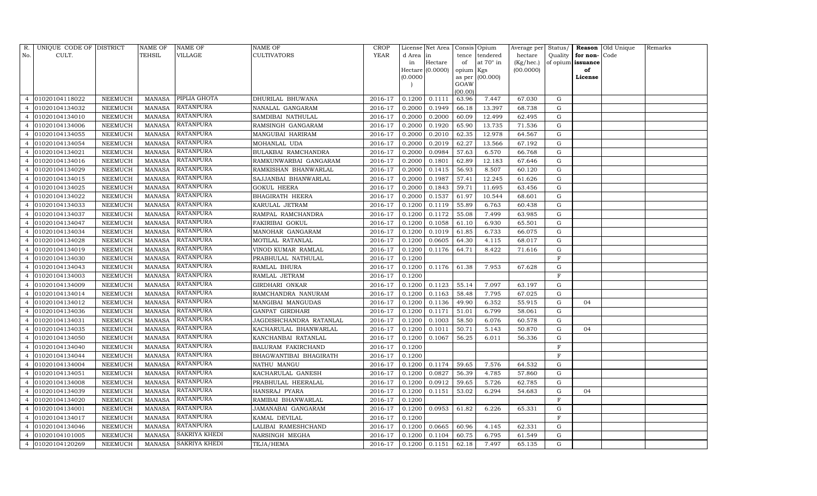| R.             | UNIQUE CODE OF DISTRICT |                | NAME OF       | <b>NAME OF</b>       | NAME OF                 | CROP           |           | License Net Area   Consis   Opium |           |                  | Average per Status/ |              |                   | Reason Old Unique | Remarks |
|----------------|-------------------------|----------------|---------------|----------------------|-------------------------|----------------|-----------|-----------------------------------|-----------|------------------|---------------------|--------------|-------------------|-------------------|---------|
| No.            | CULT.                   |                | TEHSIL        | VILLAGE              | <b>CULTIVATORS</b>      | <b>YEAR</b>    | d Area in |                                   | tence     | tendered         | hectare             | Quality      | for non-Code      |                   |         |
|                |                         |                |               |                      |                         |                | in        | Hectare                           | of        | at $70^\circ$ in | (Kg/hec.)           |              | of opium issuance |                   |         |
|                |                         |                |               |                      |                         |                |           | Hectare (0.0000)                  | opium Kgs |                  | (00.0000)           |              | of                |                   |         |
|                |                         |                |               |                      |                         |                | (0.0000)  |                                   | GOAW      | as per (00.000)  |                     |              | License           |                   |         |
|                |                         |                |               |                      |                         |                |           |                                   | (00.00)   |                  |                     |              |                   |                   |         |
| $\overline{4}$ | 01020104118022          | NEEMUCH        | MANASA        | PIPLIA GHOTA         | DHURILAL BHUWANA        | 2016-17        | 0.1200    | 0.1111                            | 63.96     | 7.447            | 67.030              | G            |                   |                   |         |
|                | 01020104134032          | NEEMUCH        | <b>MANASA</b> | <b>RATANPURA</b>     | NANALAL GANGARAM        | 2016-17        | 0.2000    | 0.1949                            | 66.18     | 13.397           | 68.738              | G            |                   |                   |         |
|                | 01020104134010          | NEEMUCH        | MANASA        | <b>RATANPURA</b>     | SAMDIBAI NATHULAL       | 2016-17        | 0.2000    | 0.2000                            | 60.09     | 12.499           | 62.495              | G            |                   |                   |         |
| 4              | 01020104134006          | NEEMUCH        | MANASA        | <b>RATANPURA</b>     | RAMSINGH GANGARAM       | 2016-17        | 0.2000    | 0.1920                            | 65.90     | 13.735           | 71.536              | G            |                   |                   |         |
| 4              | 01020104134055          | NEEMUCH        | <b>MANASA</b> | <b>RATANPURA</b>     | MANGUBAI HARIRAM        | 2016-17        | 0.2000    | 0.2010                            | 62.35     | 12.978           | 64.567              | G            |                   |                   |         |
|                | 01020104134054          | NEEMUCH        | <b>MANASA</b> | <b>RATANPURA</b>     | MOHANLAL UDA            | 2016-17        | 0.2000    | 0.2019                            | 62.27     | 13.566           | 67.192              | G            |                   |                   |         |
|                | 01020104134021          | NEEMUCH        | <b>MANASA</b> | <b>RATANPURA</b>     | BULAKBAI RAMCHANDRA     | 2016-17        | 0.2000    | 0.0984                            | 57.63     | 6.570            | 66.768              | G            |                   |                   |         |
| 4              | 01020104134016          | NEEMUCH        | <b>MANASA</b> | <b>RATANPURA</b>     | RAMKUNWARBAI GANGARAM   | 2016-17        | 0.2000    | 0.1801                            | 62.89     | 12.183           | 67.646              | G            |                   |                   |         |
|                | 01020104134029          | NEEMUCH        | <b>MANASA</b> | RATANPURA            | RAMKISHAN BHANWARLAL    | 2016-17        | 0.2000    | 0.1415                            | 56.93     | 8.507            | 60.120              | G            |                   |                   |         |
|                | 01020104134015          | NEEMUCH        | <b>MANASA</b> | <b>RATANPURA</b>     | SAJJANBAI BHANWARLAL    | 2016-17        | 0.2000    | 0.1987                            | 57.41     | 12.245           | 61.626              | G            |                   |                   |         |
|                | 01020104134025          | NEEMUCH        | <b>MANASA</b> | <b>RATANPURA</b>     | <b>GOKUL HEERA</b>      | 2016-17        | 0.2000    | 0.1843                            | 59.71     | 11.695           | 63.456              | G            |                   |                   |         |
|                | 01020104134022          | NEEMUCH        | MANASA        | <b>RATANPURA</b>     | BHAGIRATH HEERA         | 2016-17        | 0.2000    | 0.1537                            | 61.97     | 10.544           | 68.601              | G            |                   |                   |         |
|                | 01020104134033          | <b>NEEMUCH</b> | <b>MANASA</b> | <b>RATANPURA</b>     | KARULAL JETRAM          | 2016-17        | 0.1200    | 0.1119                            | 55.89     | 6.763            | 60.438              | G            |                   |                   |         |
|                | 01020104134037          | NEEMUCH        | MANASA        | <b>RATANPURA</b>     | RAMPAL RAMCHANDRA       | 2016-17        | 0.1200    | 0.1172                            | 55.08     | 7.499            | 63.985              | G            |                   |                   |         |
| 4              | 01020104134047          | NEEMUCH        | MANASA        | <b>RATANPURA</b>     | FAKIRIBAI GOKUL         | 2016-17        | 0.1200    | 0.1058                            | 61.10     | 6.930            | 65.501              | G            |                   |                   |         |
| 4              | 01020104134034          | NEEMUCH        | MANASA        | <b>RATANPURA</b>     | MANOHAR GANGARAM        | 2016-17        | 0.1200    | 0.1019                            | 61.85     | 6.733            | 66.075              | G            |                   |                   |         |
|                | 01020104134028          | NEEMUCH        | <b>MANASA</b> | <b>RATANPURA</b>     | MOTILAL RATANLAL        | 2016-17        | 0.1200    | 0.0605                            | 64.30     | 4.115            | 68.017              | G            |                   |                   |         |
|                | 01020104134019          | NEEMUCH        | MANASA        | <b>RATANPURA</b>     | VINOD KUMAR RAMLAL      | 2016-17        | 0.1200    | 0.1176                            | 64.71     | 8.422            | 71.616              | G            |                   |                   |         |
| 4              | 01020104134030          | NEEMUCH        | MANASA        | <b>RATANPURA</b>     | PRABHULAL NATHULAL      | 2016-17        | 0.1200    |                                   |           |                  |                     | F            |                   |                   |         |
| 4              | 01020104134043          | NEEMUCH        | MANASA        | RATANPURA            | RAMLAL BHURA            | 2016-17        | 0.1200    | 0.1176                            | 61.38     | 7.953            | 67.628              | G            |                   |                   |         |
|                | 01020104134003          | NEEMUCH        | <b>MANASA</b> | <b>RATANPURA</b>     | RAMLAL JETRAM           | 2016-17        | 0.1200    |                                   |           |                  |                     | F            |                   |                   |         |
|                | 01020104134009          | NEEMUCH        | <b>MANASA</b> | <b>RATANPURA</b>     | GIRDHARI ONKAR          | 2016-17        | 0.1200    | 0.1123                            | 55.14     | 7.097            | 63.197              | G            |                   |                   |         |
|                | 01020104134014          | NEEMUCH        | MANASA        | <b>RATANPURA</b>     | RAMCHANDRA NANURAM      | 2016-17        | 0.1200    | 0.1163                            | 58.48     | 7.795            | 67.025              | G            |                   |                   |         |
|                | 01020104134012          | NEEMUCH        | <b>MANASA</b> | <b>RATANPURA</b>     | MANGIBAI MANGUDAS       | 2016-17        | 0.1200    | 0.1136                            | 49.90     | 6.352            | 55.915              | G            | 04                |                   |         |
|                | 01020104134036          | NEEMUCH        | <b>MANASA</b> | <b>RATANPURA</b>     | GANPAT GIRDHARI         | 2016-17        | 0.1200    | 0.1171                            | 51.01     | 6.799            | 58.061              | G            |                   |                   |         |
|                | 01020104134031          | NEEMUCH        | <b>MANASA</b> | <b>RATANPURA</b>     | JAGDISHCHANDRA RATANLAL | 2016-17        | 0.1200    | 0.1003                            | 58.50     | 6.076            | 60.578              | G            |                   |                   |         |
|                | 01020104134035          | NEEMUCH        | <b>MANASA</b> | <b>RATANPURA</b>     | KACHARULAL BHANWARLAL   | 2016-17        | 0.1200    | 0.1011                            | 50.71     | 5.143            | 50.870              | G            | 04                |                   |         |
| $\overline{4}$ | 01020104134050          | NEEMUCH        | <b>MANASA</b> | RATANPURA            | KANCHANBAI RATANLAL     | 2016-17        | 0.1200    | 0.1067                            | 56.25     | 6.011            | 56.336              | G            |                   |                   |         |
|                | 01020104134040          | NEEMUCH        | MANASA        | <b>RATANPURA</b>     | BALURAM FAKIRCHAND      | 2016-17        | 0.1200    |                                   |           |                  |                     | $\mathbf F$  |                   |                   |         |
| 4              | 01020104134044          | NEEMUCH        | <b>MANASA</b> | <b>RATANPURA</b>     | BHAGWANTIBAI BHAGIRATH  | 2016-17        | 0.1200    |                                   |           |                  |                     | $\mathbf F$  |                   |                   |         |
| 4              | 01020104134004          | NEEMUCH        | <b>MANASA</b> | <b>RATANPURA</b>     | NATHU MANGU             | 2016-17        | 0.1200    | 0.1174                            | 59.65     | 7.576            | 64.532              | G            |                   |                   |         |
| 4              | 01020104134051          | NEEMUCH        | <b>MANASA</b> | RATANPURA            | KACHARULAL GANESH       | 2016-17        | 0.1200    | 0.0827                            | 56.39     | 4.785            | 57.860              | G            |                   |                   |         |
|                | 01020104134008          | NEEMUCH        | <b>MANASA</b> | RATANPURA            | PRABHULAL HEERALAL      | 2016-17        | 0.1200    | 0.0912                            | 59.65     | 5.726            | 62.785              | G            |                   |                   |         |
|                | 01020104134039          | NEEMUCH        | <b>MANASA</b> | <b>RATANPURA</b>     | HANSRAJ PYARA           | 2016-17        | 0.1200    | 0.1151                            | 53.02     | 6.294            | 54.683              | G            | 04                |                   |         |
| 4              | 01020104134020          | NEEMUCH        | <b>MANASA</b> | <b>RATANPURA</b>     | RAMIBAI BHANWARLAL      | 2016-17        | 0.1200    |                                   |           |                  |                     | $\mathbf F$  |                   |                   |         |
|                | 01020104134001          | <b>NEEMUCH</b> | <b>MANASA</b> | RATANPURA            | JAMANABAI GANGARAM      | 2016-17        | 0.1200    | 0.0953                            | 61.82     | 6.226            | 65.331              | ${\rm G}$    |                   |                   |         |
|                | 01020104134017          | NEEMUCH        | MANASA        | <b>RATANPURA</b>     | KAMAL DEVILAL           | 2016-17        | 0.1200    |                                   |           |                  |                     | $\mathbf{F}$ |                   |                   |         |
| 4              | 01020104134046          | NEEMUCH        | <b>MANASA</b> | <b>RATANPURA</b>     | LALIBAI RAMESHCHAND     | 2016-17        | 0.1200    | 0.0665                            | 60.96     | 4.145            | 62.331              | G            |                   |                   |         |
| 4              | 01020104101005          | NEEMUCH        | MANASA        | SAKRIYA KHEDI        | NARSINGH MEGHA          | 2016-17        | 0.1200    | 0.1104                            | 60.75     | 6.795            | 61.549              | G            |                   |                   |         |
| $\overline{4}$ | 01020104120269          | NEEMUCH        | MANASA        | <b>SAKRIYA KHEDI</b> | TEJA/HEMA               | 2016-17 0.1200 |           | 0.1151                            | 62.18     | 7.497            | 65.135              | G            |                   |                   |         |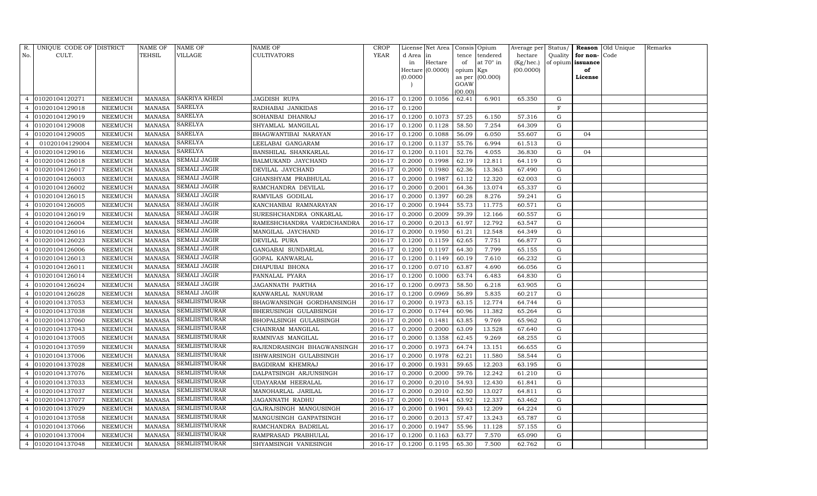|                | R. UNIQUE CODE OF DISTRICT |                | NAME OF       | <b>NAME OF</b>       | <b>NAME OF</b>                | CROP    |           | License Net Area   Consis   Opium |           |                  |                               |             |                          | Average per Status / Reason Old Unique | Remarks |
|----------------|----------------------------|----------------|---------------|----------------------|-------------------------------|---------|-----------|-----------------------------------|-----------|------------------|-------------------------------|-------------|--------------------------|----------------------------------------|---------|
| No.            | CULT.                      |                | TEHSIL        | <b>VILLAGE</b>       | <b>CULTIVATORS</b>            | YEAR    | d Area in |                                   | tence     | tendered         | hectare                       |             | Quality $\vert$ for non- | Code                                   |         |
|                |                            |                |               |                      |                               |         | in        | Hectare                           | of        | at $70^\circ$ in | $(Kg/hec.)$ of opium issuance |             |                          |                                        |         |
|                |                            |                |               |                      |                               |         | (0.0000)  | Hectare (0.0000)                  | opium Kgs | as per (00.000)  | (00.0000)                     |             | of<br>License            |                                        |         |
|                |                            |                |               |                      |                               |         |           |                                   | GOAW      |                  |                               |             |                          |                                        |         |
|                |                            |                |               |                      |                               |         |           |                                   | (00.00)   |                  |                               |             |                          |                                        |         |
| $\overline{4}$ | 01020104120271             | NEEMUCH        | MANASA        | <b>SAKRIYA KHEDI</b> | JAGDISH RUPA                  | 2016-17 | 0.1200    | 0.1056                            | 62.41     | 6.901            | 65.350                        | G           |                          |                                        |         |
|                | 01020104129018             | NEEMUCH        | MANASA        | <b>SARELYA</b>       | RADHABAI JANKIDAS             | 2016-17 | 0.1200    |                                   |           |                  |                               | $\mathbf F$ |                          |                                        |         |
| $\overline{4}$ | 01020104129019             | <b>NEEMUCH</b> | MANASA        | <b>SARELYA</b>       | SOHANBAI DHANRAJ              | 2016-17 | 0.1200    | 0.1073                            | 57.25     | 6.150            | 57.316                        | G           |                          |                                        |         |
| $\overline{4}$ | 01020104129008             | NEEMUCH        | MANASA        | <b>SARELYA</b>       | SHYAMLAL MANGILAL             | 2016-17 | 0.1200    | 0.1128                            | 58.50     | 7.254            | 64.309                        | G           |                          |                                        |         |
| $\overline{4}$ | 01020104129005             | NEEMUCH        | <b>MANASA</b> | <b>SARELYA</b>       | BHAGWANTIBAI NARAYAN          | 2016-17 | 0.1200    | 0.1088                            | 56.09     | 6.050            | 55.607                        | G           | 04                       |                                        |         |
| $\overline{4}$ | 01020104129004             | NEEMUCH        | MANASA        | <b>SARELYA</b>       | LEELABAI GANGARAM             | 2016-17 | 0.1200    | 0.1137                            | 55.76     | 6.994            | 61.513                        | G           |                          |                                        |         |
| $\overline{4}$ | 01020104129016             | NEEMUCH        | MANASA        | <b>SARELYA</b>       | <b>BANSHILAL SHANKARLAL</b>   | 2016-17 | 0.1200    | 0.1101                            | 52.76     | 4.055            | 36.830                        | G           | 04                       |                                        |         |
| $\overline{4}$ | 01020104126018             | NEEMUCH        | MANASA        | <b>SEMALI JAGIR</b>  | <b>BALMUKAND JAYCHAND</b>     | 2016-17 | 0.2000    | 0.1998                            | 62.19     | 12.811           | 64.119                        | G           |                          |                                        |         |
| $\overline{4}$ | 01020104126017             | NEEMUCH        | MANASA        | <b>SEMALI JAGIR</b>  | DEVILAL JAYCHAND              | 2016-17 | 0.2000    | 0.1980                            | 62.36     | 13.363           | 67.490                        | G           |                          |                                        |         |
| $\overline{4}$ | 01020104126003             | NEEMUCH        | MANASA        | <b>SEMALI JAGIR</b>  | GHANSHYAM PRABHULAL           | 2016-17 | 0.2000    | 0.1987                            | 61.12     | 12.320           | 62.003                        | G           |                          |                                        |         |
| $\overline{4}$ | 01020104126002             | NEEMUCH        | <b>MANASA</b> | <b>SEMALI JAGIR</b>  | RAMCHANDRA DEVILAL            | 2016-17 | 0.2000    | 0.2001                            | 64.36     | 13.074           | 65.337                        | G           |                          |                                        |         |
| $\overline{4}$ | 01020104126015             | NEEMUCH        | MANASA        | <b>SEMALI JAGIR</b>  | RAMVILAS GODILAL              | 2016-17 | 0.2000    | 0.1397                            | 60.28     | 8.276            | 59.241                        | G           |                          |                                        |         |
|                | 01020104126005             | NEEMUCH        | MANASA        | <b>SEMALI JAGIR</b>  | KANCHANBAI RAMNARAYAN         | 2016-17 | 0.2000    | 0.1944                            | 55.73     | 11.775           | 60.571                        | G           |                          |                                        |         |
| $\overline{4}$ | 01020104126019             | <b>NEEMUCH</b> | MANASA        | <b>SEMALI JAGIR</b>  | SURESHCHANDRA ONKARLAL        | 2016-17 | 0.2000    | 0.2009                            | 59.39     | 12.166           | 60.557                        | G           |                          |                                        |         |
| $\overline{4}$ | 01020104126004             | NEEMUCH        | MANASA        | <b>SEMALI JAGIR</b>  | RAMESHCHANDRA VARDICHANDRA    | 2016-17 | 0.2000    | 0.2013                            | 61.97     | 12.792           | 63.547                        | G           |                          |                                        |         |
| $\overline{4}$ | 01020104126016             | NEEMUCH        | <b>MANASA</b> | <b>SEMALI JAGIR</b>  | MANGILAL JAYCHAND             | 2016-17 | 0.2000    | 0.1950                            | 61.21     | 12.548           | 64.349                        | G           |                          |                                        |         |
|                | 01020104126023             | NEEMUCH        | MANASA        | <b>SEMALI JAGIR</b>  | DEVILAL PURA                  | 2016-17 | 0.1200    | 0.1159                            | 62.65     | 7.751            | 66.877                        | G           |                          |                                        |         |
| $\overline{4}$ | 01020104126006             | NEEMUCH        | MANASA        | <b>SEMALI JAGIR</b>  | GANGABAI SUNDARLAL            | 2016-17 | 0.1200    | 0.1197                            | 64.30     | 7.799            | 65.155                        | G           |                          |                                        |         |
| $\overline{4}$ | 01020104126013             | NEEMUCH        | MANASA        | <b>SEMALI JAGIR</b>  | GOPAL KANWARLAL               | 2016-17 | 0.1200    | 0.1149                            | 60.19     | 7.610            | 66.232                        | G           |                          |                                        |         |
| $\overline{4}$ | 01020104126011             | <b>NEEMUCH</b> | MANASA        | <b>SEMALI JAGIR</b>  | DHAPUBAI BHONA                | 2016-17 | 0.1200    | 0.0710                            | 63.87     | 4.690            | 66.056                        | $\mathbf G$ |                          |                                        |         |
| $\overline{4}$ | 01020104126014             | NEEMUCH        | MANASA        | <b>SEMALI JAGIR</b>  | PANNALAL PYARA                | 2016-17 | 0.1200    | 0.1000                            | 63.74     | 6.483            | 64.830                        | G           |                          |                                        |         |
| $\overline{4}$ | 01020104126024             | NEEMUCH        | MANASA        | <b>SEMALI JAGIR</b>  | JAGANNATH PARTHA              | 2016-17 | 0.1200    | 0.0973                            | 58.50     | 6.218            | 63.905                        | G           |                          |                                        |         |
| $\overline{4}$ | 01020104126028             | NEEMUCH        | MANASA        | <b>SEMALI JAGIR</b>  | KANWARLAL NANURAM             | 2016-17 | 0.1200    | 0.0969                            | 56.89     | 5.835            | 60.217                        | G           |                          |                                        |         |
| $\overline{4}$ | 01020104137053             | NEEMUCH        | <b>MANASA</b> | <b>SEMLIISTMURAR</b> | BHAGWANSINGH GORDHANSINGH     | 2016-17 | 0.2000    | 0.1973                            | 63.15     | 12.774           | 64.744                        | G           |                          |                                        |         |
| $\overline{4}$ | 01020104137038             | <b>NEEMUCH</b> | MANASA        | <b>SEMLIISTMURAR</b> | <b>BHERUSINGH GULABSINGH</b>  | 2016-17 | 0.2000    | 0.1744                            | 60.96     | 11.382           | 65.264                        | G           |                          |                                        |         |
| $\overline{4}$ | 01020104137060             | NEEMUCH        | MANASA        | <b>SEMLIISTMURAR</b> | <b>BHOPALSINGH GULABSINGH</b> | 2016-17 | 0.2000    | 0.1481                            | 63.85     | 9.769            | 65.962                        | G           |                          |                                        |         |
| $\overline{4}$ | 01020104137043             | NEEMUCH        | MANASA        | <b>SEMLIISTMURAR</b> | CHAINRAM MANGILAL             | 2016-17 | 0.2000    | 0.2000                            | 63.09     | 13.528           | 67.640                        | G           |                          |                                        |         |
|                | 01020104137005             | <b>NEEMUCH</b> | MANASA        | <b>SEMLIISTMURAR</b> | RAMNIVAS MANGILAL             | 2016-17 | 0.2000    | 0.1358                            | 62.45     | 9.269            | 68.255                        | G           |                          |                                        |         |
| $\overline{4}$ | 01020104137059             | NEEMUCH        | MANASA        | <b>SEMLIISTMURAR</b> | RAJENDRASINGH BHAGWANSINGH    | 2016-17 | 0.2000    | 0.1973                            | 64.74     | 13.151           | 66.655                        | G           |                          |                                        |         |
| $\overline{4}$ | 01020104137006             | NEEMUCH        | MANASA        | <b>SEMLIISTMURAR</b> | ISHWARSINGH GULABSINGH        | 2016-17 | 0.2000    | 0.1978                            | 62.21     | 11.580           | 58.544                        | G           |                          |                                        |         |
| $\overline{4}$ | 01020104137028             | NEEMUCH        | MANASA        | <b>SEMLIISTMURAR</b> | <b>BAGDIRAM KHEMRAJ</b>       | 2016-17 | 0.2000    | 0.1931                            | 59.65     | 12.203           | 63.195                        | G           |                          |                                        |         |
|                | 01020104137076             | NEEMUCH        | MANASA        | <b>SEMLIISTMURAR</b> | DALPATSINGH ARJUNSINGH        | 2016-17 | 0.2000    | 0.2000                            | 59.76     | 12.242           | 61.210                        | G           |                          |                                        |         |
| $\overline{4}$ | 01020104137033             | <b>NEEMUCH</b> | MANASA        | <b>SEMLIISTMURAR</b> | UDAYARAM HEERALAL             | 2016-17 | 0.2000    | 0.2010                            | 54.93     | 12.430           | 61.841                        | G           |                          |                                        |         |
| $\overline{4}$ | 01020104137037             | NEEMUCH        | MANASA        | <b>SEMLIISTMURAR</b> | MANOHARLAL JARILAL            | 2016-17 | 0.2000    | 0.2010                            | 62.50     | 13.027           | 64.811                        | G           |                          |                                        |         |
| $\overline{4}$ | 01020104137077             | NEEMUCH        | MANASA        | <b>SEMLIISTMURAR</b> | JAGANNATH RADHU               | 2016-17 | 0.2000    | 0.1944                            | 63.92     | 12.337           | 63.462                        | G           |                          |                                        |         |
|                | 01020104137029             | NEEMUCH        | MANASA        | <b>SEMLIISTMURAR</b> | GAJRAJSINGH MANGUSINGH        | 2016-17 | 0.2000    | 0.1901                            | 59.43     | 12.209           | 64.224                        | G           |                          |                                        |         |
| 4              | 01020104137058             | NEEMUCH        | MANASA        | <b>SEMLIISTMURAR</b> | MANGUSINGH GANPATSINGH        | 2016-17 | 0.2000    | 0.2013                            | 57.47     | 13.243           | 65.787                        | G           |                          |                                        |         |
| $\overline{4}$ | 01020104137066             | NEEMUCH        | MANASA        | <b>SEMLIISTMURAR</b> | RAMCHANDRA BADRILAL           | 2016-17 | 0.2000    | 0.1947                            | 55.96     | 11.128           | 57.155                        | G           |                          |                                        |         |
| $\overline{4}$ | 01020104137004             | NEEMUCH        | MANASA        | <b>SEMLIISTMURAR</b> | RAMPRASAD PRABHULAL           | 2016-17 | 0.1200    | 0.1163                            | 63.77     | 7.570            | 65.090                        | G           |                          |                                        |         |
| $\overline{4}$ | 01020104137048             | NEEMUCH        |               | MANASA SEMLIISTMURAR | SHYAMSINGH VANESINGH          | 2016-17 | 0.1200    | 0.1195                            | 65.30     | 7.500            | 62.762                        | G           |                          |                                        |         |